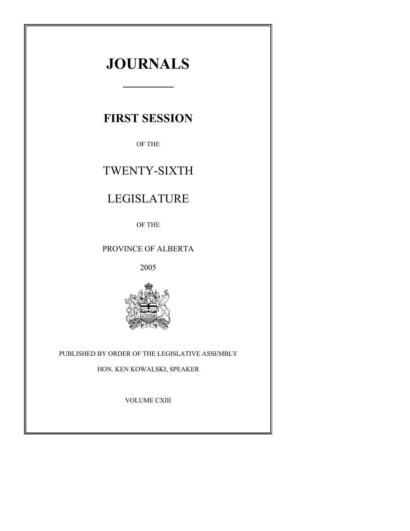# **JOURNALS**

# **FIRST SESSION**

OF THE

# TWENTY-SIXTH

# LEGISLATURE

OF THE

# PROVINCE OF ALBERTA

2005



# PUBLISHED BY ORDER OF THE LEGISLATIVE ASSEMBLY

HON. KEN KOWALSKI, SPEAKER

VOLUME CXIII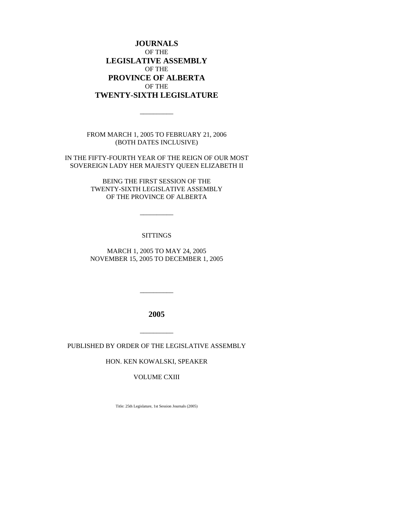**JOURNALS** OF THE **LEGISLATIVE ASSEMBLY** OF THE **PROVINCE OF ALBERTA** OF THE **TWENTY-SIXTH LEGISLATURE**

FROM MARCH 1, 2005 TO FEBRUARY 21, 2006 (BOTH DATES INCLUSIVE)

 $\overline{\phantom{a}}$ 

IN THE FIFTY-FOURTH YEAR OF THE REIGN OF OUR MOST SOVEREIGN LADY HER MAJESTY QUEEN ELIZABETH II

> BEING THE FIRST SESSION OF THE TWENTY-SIXTH LEGISLATIVE ASSEMBLY OF THE PROVINCE OF ALBERTA

> > \_\_\_\_\_\_\_\_\_\_

### **SITTINGS**

MARCH 1, 2005 TO MAY 24, 2005 NOVEMBER 15, 2005 TO DECEMBER 1, 2005

**2005**

\_\_\_\_\_\_\_\_\_\_

PUBLISHED BY ORDER OF THE LEGISLATIVE ASSEMBLY

\_\_\_\_\_\_\_\_\_\_

HON. KEN KOWALSKI, SPEAKER

VOLUME CXIII

Title: 25th Legislature, 1st Session Journals (2005)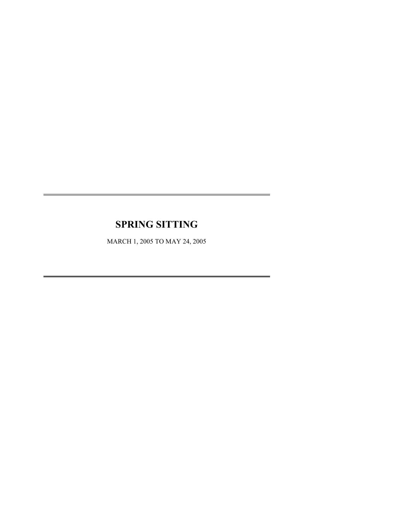# **SPRING SITTING**

MARCH 1, 2005 TO MAY 24, 2005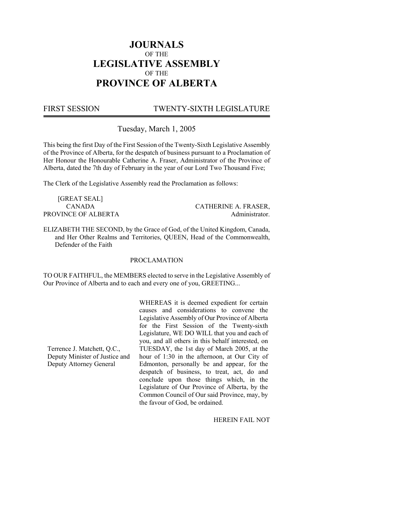# **JOURNALS** OF THE **LEGISLATIVE ASSEMBLY** OF THE **PROVINCE OF ALBERTA**

# FIRST SESSION TWENTY-SIXTH LEGISLATURE

Tuesday, March 1, 2005

This being the first Day of the First Session of the Twenty-Sixth Legislative Assembly of the Province of Alberta, for the despatch of business pursuant to a Proclamation of Her Honour the Honourable Catherine A. Fraser, Administrator of the Province of Alberta, dated the 7th day of February in the year of our Lord Two Thousand Five;

The Clerk of the Legislative Assembly read the Proclamation as follows:

[GREAT SEAL] CANADA CATHERINE A. FRASER, PROVINCE OF ALBERTA Administrator.

ELIZABETH THE SECOND, by the Grace of God, of the United Kingdom, Canada, and Her Other Realms and Territories, QUEEN, Head of the Commonwealth, Defender of the Faith

### PROCLAMATION

TO OUR FAITHFUL, the MEMBERS elected to serve in the Legislative Assembly of Our Province of Alberta and to each and every one of you, GREETING...

Terrence J. Matchett, Q.C., Deputy Minister of Justice and Deputy Attorney General

WHEREAS it is deemed expedient for certain causes and considerations to convene the Legislative Assembly of Our Province of Alberta for the First Session of the Twenty-sixth Legislature, WE DO WILL that you and each of you, and all others in this behalf interested, on TUESDAY, the 1st day of March 2005, at the hour of 1:30 in the afternoon, at Our City of Edmonton, personally be and appear, for the despatch of business, to treat, act, do and conclude upon those things which, in the Legislature of Our Province of Alberta, by the Common Council of Our said Province, may, by the favour of God, be ordained.

HEREIN FAIL NOT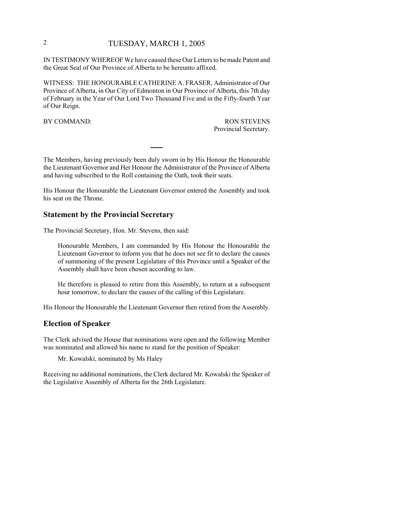# 2 TUESDAY, MARCH 1, 2005

IN TESTIMONY WHEREOF We have caused these Our Letters to be made Patent and the Great Seal of Our Province of Alberta to be hereunto affixed.

WITNESS: THE HONOURABLE CATHERINE A. FRASER, Administrator of Our Province of Alberta, in Our City of Edmonton in Our Province of Alberta, this 7th day of February in the Year of Our Lord Two Thousand Five and in the Fifty-fourth Year of Our Reign.

BY COMMAND: RON STEVENS Provincial Secretary.

The Members, having previously been duly sworn in by His Honour the Honourable the Lieutenant Governor and Her Honour the Administrator of the Province of Alberta and having subscribed to the Roll containing the Oath, took their seats.

His Honour the Honourable the Lieutenant Governor entered the Assembly and took his seat on the Throne.

### **Statement by the Provincial Secretary**

The Provincial Secretary, Hon. Mr. Stevens, then said:

Honourable Members, I am commanded by His Honour the Honourable the Lieutenant Governor to inform you that he does not see fit to declare the causes of summoning of the present Legislature of this Province until a Speaker of the Assembly shall have been chosen according to law.

He therefore is pleased to retire from this Assembly, to return at a subsequent hour tomorrow, to declare the causes of the calling of this Legislature.

His Honour the Honourable the Lieutenant Governor then retired from the Assembly.

### **Election of Speaker**

The Clerk advised the House that nominations were open and the following Member was nominated and allowed his name to stand for the position of Speaker:

Mr. Kowalski, nominated by Ms Haley

Receiving no additional nominations, the Clerk declared Mr. Kowalski the Speaker of the Legislative Assembly of Alberta for the 26th Legislature.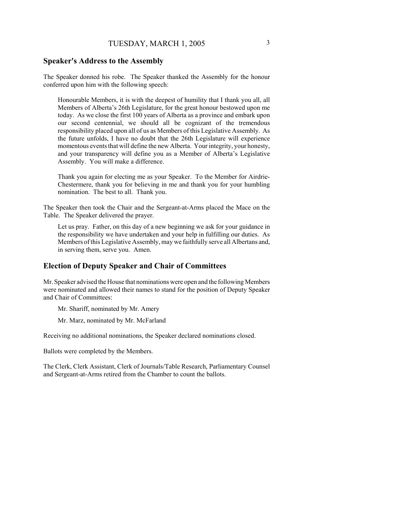### **Speaker's Address to the Assembly**

The Speaker donned his robe. The Speaker thanked the Assembly for the honour conferred upon him with the following speech:

Honourable Members, it is with the deepest of humility that I thank you all, all Members of Alberta's 26th Legislature, for the great honour bestowed upon me today. As we close the first 100 years of Alberta as a province and embark upon our second centennial, we should all be cognizant of the tremendous responsibility placed upon all of us as Members of this Legislative Assembly. As the future unfolds, I have no doubt that the 26th Legislature will experience momentous events that will define the new Alberta. Your integrity, your honesty, and your transparency will define you as a Member of Alberta's Legislative Assembly. You will make a difference.

Thank you again for electing me as your Speaker. To the Member for Airdrie-Chestermere, thank you for believing in me and thank you for your humbling nomination. The best to all. Thank you.

The Speaker then took the Chair and the Sergeant-at-Arms placed the Mace on the Table. The Speaker delivered the prayer.

Let us pray. Father, on this day of a new beginning we ask for your guidance in the responsibility we have undertaken and your help in fulfilling our duties. As Members of this Legislative Assembly, may we faithfully serve all Albertans and, in serving them, serve you. Amen.

## **Election of Deputy Speaker and Chair of Committees**

Mr. Speaker advised the House that nominations were open and the following Members were nominated and allowed their names to stand for the position of Deputy Speaker and Chair of Committees:

Mr. Shariff, nominated by Mr. Amery

Mr. Marz, nominated by Mr. McFarland

Receiving no additional nominations, the Speaker declared nominations closed.

Ballots were completed by the Members.

The Clerk, Clerk Assistant, Clerk of Journals/Table Research, Parliamentary Counsel and Sergeant-at-Arms retired from the Chamber to count the ballots.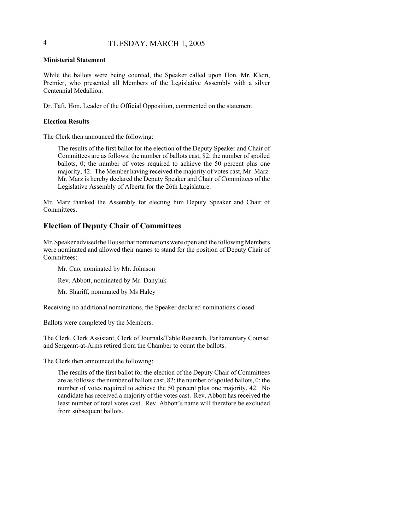# 4 TUESDAY, MARCH 1, 2005

### **Ministerial Statement**

While the ballots were being counted, the Speaker called upon Hon. Mr. Klein, Premier, who presented all Members of the Legislative Assembly with a silver Centennial Medallion.

Dr. Taft, Hon. Leader of the Official Opposition, commented on the statement.

### **Election Results**

The Clerk then announced the following:

The results of the first ballot for the election of the Deputy Speaker and Chair of Committees are as follows: the number of ballots cast, 82; the number of spoiled ballots, 0; the number of votes required to achieve the 50 percent plus one majority, 42. The Member having received the majority of votes cast, Mr. Marz. Mr. Marz is hereby declared the Deputy Speaker and Chair of Committees of the Legislative Assembly of Alberta for the 26th Legislature.

Mr. Marz thanked the Assembly for electing him Deputy Speaker and Chair of Committees.

### **Election of Deputy Chair of Committees**

Mr. Speaker advised the House that nominations were open and the following Members were nominated and allowed their names to stand for the position of Deputy Chair of Committees:

Mr. Cao, nominated by Mr. Johnson

Rev. Abbott, nominated by Mr. Danyluk

Mr. Shariff, nominated by Ms Haley

Receiving no additional nominations, the Speaker declared nominations closed.

Ballots were completed by the Members.

The Clerk, Clerk Assistant, Clerk of Journals/Table Research, Parliamentary Counsel and Sergeant-at-Arms retired from the Chamber to count the ballots.

The Clerk then announced the following:

The results of the first ballot for the election of the Deputy Chair of Committees are as follows: the number of ballots cast, 82; the number of spoiled ballots, 0; the number of votes required to achieve the 50 percent plus one majority, 42. No candidate has received a majority of the votes cast. Rev. Abbott has received the least number of total votes cast. Rev. Abbott's name will therefore be excluded from subsequent ballots.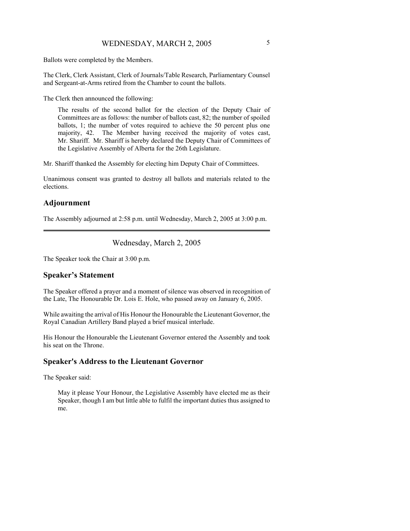Ballots were completed by the Members.

The Clerk, Clerk Assistant, Clerk of Journals/Table Research, Parliamentary Counsel and Sergeant-at-Arms retired from the Chamber to count the ballots.

The Clerk then announced the following:

The results of the second ballot for the election of the Deputy Chair of Committees are as follows: the number of ballots cast, 82; the number of spoiled ballots, 1; the number of votes required to achieve the 50 percent plus one majority, 42. The Member having received the majority of votes cast, Mr. Shariff. Mr. Shariff is hereby declared the Deputy Chair of Committees of the Legislative Assembly of Alberta for the 26th Legislature.

Mr. Shariff thanked the Assembly for electing him Deputy Chair of Committees.

Unanimous consent was granted to destroy all ballots and materials related to the elections.

# **Adjournment**

The Assembly adjourned at 2:58 p.m. until Wednesday, March 2, 2005 at 3:00 p.m.

### Wednesday, March 2, 2005

The Speaker took the Chair at 3:00 p.m.

### **Speaker's Statement**

The Speaker offered a prayer and a moment of silence was observed in recognition of the Late, The Honourable Dr. Lois E. Hole, who passed away on January 6, 2005.

While awaiting the arrival of His Honour the Honourable the Lieutenant Governor, the Royal Canadian Artillery Band played a brief musical interlude.

His Honour the Honourable the Lieutenant Governor entered the Assembly and took his seat on the Throne.

### **Speaker's Address to the Lieutenant Governor**

The Speaker said:

May it please Your Honour, the Legislative Assembly have elected me as their Speaker, though I am but little able to fulfil the important duties thus assigned to me.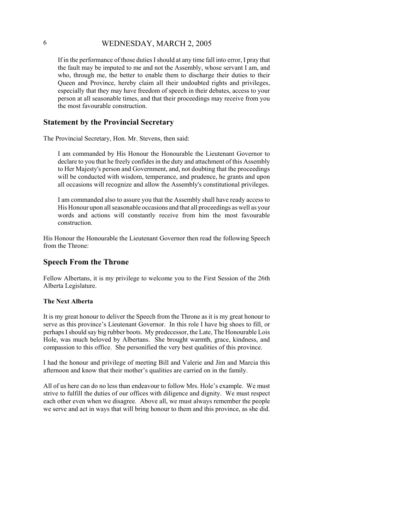If in the performance of those duties I should at any time fall into error, I pray that the fault may be imputed to me and not the Assembly, whose servant I am, and who, through me, the better to enable them to discharge their duties to their Queen and Province, hereby claim all their undoubted rights and privileges, especially that they may have freedom of speech in their debates, access to your person at all seasonable times, and that their proceedings may receive from you the most favourable construction.

### **Statement by the Provincial Secretary**

The Provincial Secretary, Hon. Mr. Stevens, then said:

I am commanded by His Honour the Honourable the Lieutenant Governor to declare to you that he freely confides in the duty and attachment of this Assembly to Her Majesty's person and Government, and, not doubting that the proceedings will be conducted with wisdom, temperance, and prudence, he grants and upon all occasions will recognize and allow the Assembly's constitutional privileges.

I am commanded also to assure you that the Assembly shall have ready access to His Honour upon all seasonable occasions and that all proceedings as well as your words and actions will constantly receive from him the most favourable construction.

His Honour the Honourable the Lieutenant Governor then read the following Speech from the Throne:

### **Speech From the Throne**

Fellow Albertans, it is my privilege to welcome you to the First Session of the 26th Alberta Legislature.

#### **The Next Alberta**

It is my great honour to deliver the Speech from the Throne as it is my great honour to serve as this province's Lieutenant Governor. In this role I have big shoes to fill, or perhaps I should say big rubber boots. My predecessor, the Late, The Honourable Lois Hole, was much beloved by Albertans. She brought warmth, grace, kindness, and compassion to this office. She personified the very best qualities of this province.

I had the honour and privilege of meeting Bill and Valerie and Jim and Marcia this afternoon and know that their mother's qualities are carried on in the family.

All of us here can do no less than endeavour to follow Mrs. Hole's example. We must strive to fulfill the duties of our offices with diligence and dignity. We must respect each other even when we disagree. Above all, we must always remember the people we serve and act in ways that will bring honour to them and this province, as she did.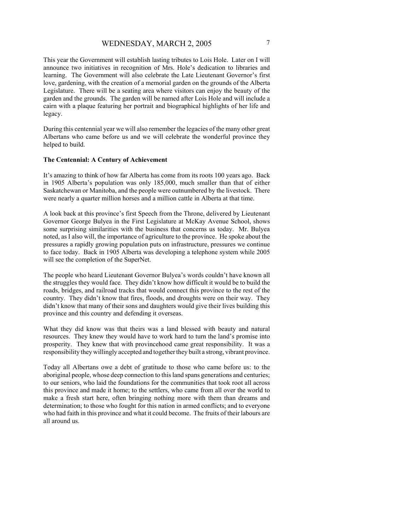This year the Government will establish lasting tributes to Lois Hole. Later on I will announce two initiatives in recognition of Mrs. Hole's dedication to libraries and learning. The Government will also celebrate the Late Lieutenant Governor's first love, gardening, with the creation of a memorial garden on the grounds of the Alberta Legislature. There will be a seating area where visitors can enjoy the beauty of the garden and the grounds. The garden will be named after Lois Hole and will include a cairn with a plaque featuring her portrait and biographical highlights of her life and legacy.

During this centennial year we will also remember the legacies of the many other great Albertans who came before us and we will celebrate the wonderful province they helped to build.

### **The Centennial: A Century of Achievement**

It's amazing to think of how far Alberta has come from its roots 100 years ago. Back in 1905 Alberta's population was only 185,000, much smaller than that of either Saskatchewan or Manitoba, and the people were outnumbered by the livestock. There were nearly a quarter million horses and a million cattle in Alberta at that time.

A look back at this province's first Speech from the Throne, delivered by Lieutenant Governor George Bulyea in the First Legislature at McKay Avenue School, shows some surprising similarities with the business that concerns us today. Mr. Bulyea noted, as I also will, the importance of agriculture to the province. He spoke about the pressures a rapidly growing population puts on infrastructure, pressures we continue to face today. Back in 1905 Alberta was developing a telephone system while 2005 will see the completion of the SuperNet.

The people who heard Lieutenant Governor Bulyea's words couldn't have known all the struggles they would face. They didn't know how difficult it would be to build the roads, bridges, and railroad tracks that would connect this province to the rest of the country. They didn't know that fires, floods, and droughts were on their way. They didn't know that many of their sons and daughters would give their lives building this province and this country and defending it overseas.

What they did know was that theirs was a land blessed with beauty and natural resources. They knew they would have to work hard to turn the land's promise into prosperity. They knew that with provincehood came great responsibility. It was a responsibility they willingly accepted and together they built a strong, vibrant province.

Today all Albertans owe a debt of gratitude to those who came before us: to the aboriginal people, whose deep connection to this land spans generations and centuries; to our seniors, who laid the foundations for the communities that took root all across this province and made it home; to the settlers, who came from all over the world to make a fresh start here, often bringing nothing more with them than dreams and determination; to those who fought for this nation in armed conflicts; and to everyone who had faith in this province and what it could become. The fruits of their labours are all around us.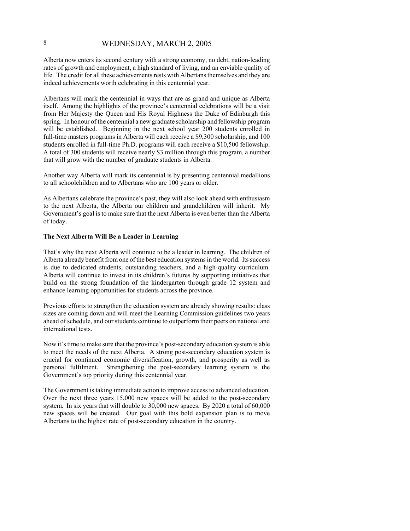Alberta now enters its second century with a strong economy, no debt, nation-leading rates of growth and employment, a high standard of living, and an enviable quality of life. The credit for all these achievements rests with Albertans themselves and they are indeed achievements worth celebrating in this centennial year.

Albertans will mark the centennial in ways that are as grand and unique as Alberta itself. Among the highlights of the province's centennial celebrations will be a visit from Her Majesty the Queen and His Royal Highness the Duke of Edinburgh this spring. In honour of the centennial a new graduate scholarship and fellowship program will be established. Beginning in the next school year 200 students enrolled in full-time masters programs in Alberta will each receive a \$9,300 scholarship, and 100 students enrolled in full-time Ph.D. programs will each receive a \$10,500 fellowship. A total of 300 students will receive nearly \$3 million through this program, a number that will grow with the number of graduate students in Alberta.

Another way Alberta will mark its centennial is by presenting centennial medallions to all schoolchildren and to Albertans who are 100 years or older.

As Albertans celebrate the province's past, they will also look ahead with enthusiasm to the next Alberta, the Alberta our children and grandchildren will inherit. My Government's goal is to make sure that the next Alberta is even better than the Alberta of today.

#### **The Next Alberta Will Be a Leader in Learning**

That's why the next Alberta will continue to be a leader in learning. The children of Alberta already benefit from one of the best education systems in the world. Its success is due to dedicated students, outstanding teachers, and a high-quality curriculum. Alberta will continue to invest in its children's futures by supporting initiatives that build on the strong foundation of the kindergarten through grade 12 system and enhance learning opportunities for students across the province.

Previous efforts to strengthen the education system are already showing results: class sizes are coming down and will meet the Learning Commission guidelines two years ahead of schedule, and our students continue to outperform their peers on national and international tests.

Now it's time to make sure that the province's post-secondary education system is able to meet the needs of the next Alberta. A strong post-secondary education system is crucial for continued economic diversification, growth, and prosperity as well as personal fulfilment. Strengthening the post-secondary learning system is the Government's top priority during this centennial year.

The Government is taking immediate action to improve access to advanced education. Over the next three years 15,000 new spaces will be added to the post-secondary system. In six years that will double to 30,000 new spaces. By 2020 a total of 60,000 new spaces will be created. Our goal with this bold expansion plan is to move Albertans to the highest rate of post-secondary education in the country.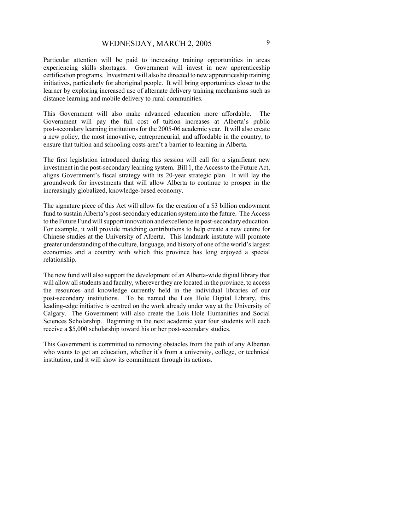Particular attention will be paid to increasing training opportunities in areas experiencing skills shortages. Government will invest in new apprenticeship certification programs. Investment will also be directed to new apprenticeship training initiatives, particularly for aboriginal people. It will bring opportunities closer to the learner by exploring increased use of alternate delivery training mechanisms such as distance learning and mobile delivery to rural communities.

This Government will also make advanced education more affordable. The Government will pay the full cost of tuition increases at Alberta's public post-secondary learning institutions for the 2005-06 academic year. It will also create a new policy, the most innovative, entrepreneurial, and affordable in the country, to ensure that tuition and schooling costs aren't a barrier to learning in Alberta.

The first legislation introduced during this session will call for a significant new investment in the post-secondary learning system. Bill 1, the Access to the Future Act, aligns Government's fiscal strategy with its 20-year strategic plan. It will lay the groundwork for investments that will allow Alberta to continue to prosper in the increasingly globalized, knowledge-based economy.

The signature piece of this Act will allow for the creation of a \$3 billion endowment fund to sustain Alberta's post-secondary education system into the future. The Access to the Future Fund will support innovation and excellence in post-secondary education. For example, it will provide matching contributions to help create a new centre for Chinese studies at the University of Alberta. This landmark institute will promote greater understanding of the culture, language, and history of one of the world's largest economies and a country with which this province has long enjoyed a special relationship.

The new fund will also support the development of an Alberta-wide digital library that will allow all students and faculty, wherever they are located in the province, to access the resources and knowledge currently held in the individual libraries of our post-secondary institutions. To be named the Lois Hole Digital Library, this leading-edge initiative is centred on the work already under way at the University of Calgary. The Government will also create the Lois Hole Humanities and Social Sciences Scholarship. Beginning in the next academic year four students will each receive a \$5,000 scholarship toward his or her post-secondary studies.

This Government is committed to removing obstacles from the path of any Albertan who wants to get an education, whether it's from a university, college, or technical institution, and it will show its commitment through its actions.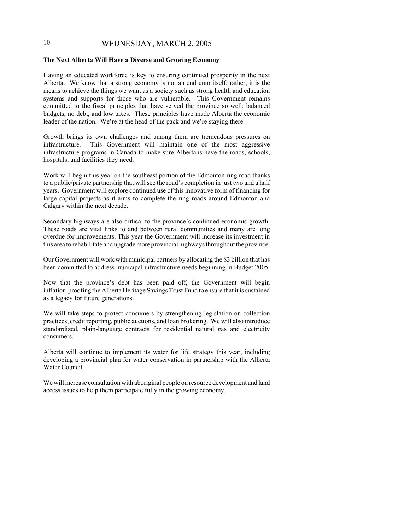#### **The Next Alberta Will Have a Diverse and Growing Economy**

Having an educated workforce is key to ensuring continued prosperity in the next Alberta. We know that a strong economy is not an end unto itself; rather, it is the means to achieve the things we want as a society such as strong health and education systems and supports for those who are vulnerable. This Government remains committed to the fiscal principles that have served the province so well: balanced budgets, no debt, and low taxes. These principles have made Alberta the economic leader of the nation. We're at the head of the pack and we're staying there.

Growth brings its own challenges and among them are tremendous pressures on infrastructure. This Government will maintain one of the most aggressive infrastructure programs in Canada to make sure Albertans have the roads, schools, hospitals, and facilities they need.

Work will begin this year on the southeast portion of the Edmonton ring road thanks to a public/private partnership that will see the road's completion in just two and a half years. Government will explore continued use of this innovative form of financing for large capital projects as it aims to complete the ring roads around Edmonton and Calgary within the next decade.

Secondary highways are also critical to the province's continued economic growth. These roads are vital links to and between rural communities and many are long overdue for improvements. This year the Government will increase its investment in this area to rehabilitate and upgrade more provincial highways throughout the province.

Our Government will work with municipal partners by allocating the \$3 billion that has been committed to address municipal infrastructure needs beginning in Budget 2005.

Now that the province's debt has been paid off, the Government will begin inflation-proofing the Alberta Heritage Savings Trust Fund to ensure that it is sustained as a legacy for future generations.

We will take steps to protect consumers by strengthening legislation on collection practices, credit reporting, public auctions, and loan brokering. We will also introduce standardized, plain-language contracts for residential natural gas and electricity consumers.

Alberta will continue to implement its water for life strategy this year, including developing a provincial plan for water conservation in partnership with the Alberta Water Council.

We will increase consultation with aboriginal people on resource development and land access issues to help them participate fully in the growing economy.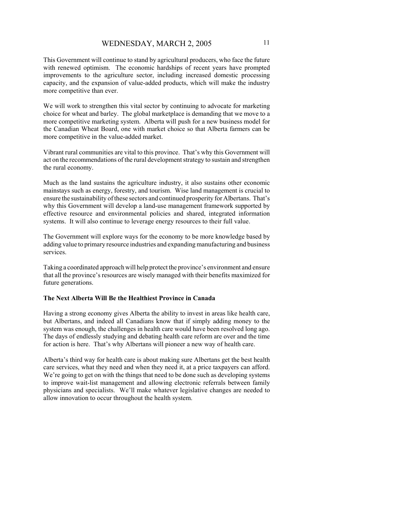This Government will continue to stand by agricultural producers, who face the future with renewed optimism. The economic hardships of recent years have prompted improvements to the agriculture sector, including increased domestic processing capacity, and the expansion of value-added products, which will make the industry more competitive than ever.

We will work to strengthen this vital sector by continuing to advocate for marketing choice for wheat and barley. The global marketplace is demanding that we move to a more competitive marketing system. Alberta will push for a new business model for the Canadian Wheat Board, one with market choice so that Alberta farmers can be more competitive in the value-added market.

Vibrant rural communities are vital to this province. That's why this Government will act on the recommendations of the rural development strategy to sustain and strengthen the rural economy.

Much as the land sustains the agriculture industry, it also sustains other economic mainstays such as energy, forestry, and tourism. Wise land management is crucial to ensure the sustainability of these sectors and continued prosperity for Albertans. That's why this Government will develop a land-use management framework supported by effective resource and environmental policies and shared, integrated information systems. It will also continue to leverage energy resources to their full value.

The Government will explore ways for the economy to be more knowledge based by adding value to primary resource industries and expanding manufacturing and business services.

Taking a coordinated approach will help protect the province's environment and ensure that all the province's resources are wisely managed with their benefits maximized for future generations.

### **The Next Alberta Will Be the Healthiest Province in Canada**

Having a strong economy gives Alberta the ability to invest in areas like health care, but Albertans, and indeed all Canadians know that if simply adding money to the system was enough, the challenges in health care would have been resolved long ago. The days of endlessly studying and debating health care reform are over and the time for action is here. That's why Albertans will pioneer a new way of health care.

Alberta's third way for health care is about making sure Albertans get the best health care services, what they need and when they need it, at a price taxpayers can afford. We're going to get on with the things that need to be done such as developing systems to improve wait-list management and allowing electronic referrals between family physicians and specialists. We'll make whatever legislative changes are needed to allow innovation to occur throughout the health system.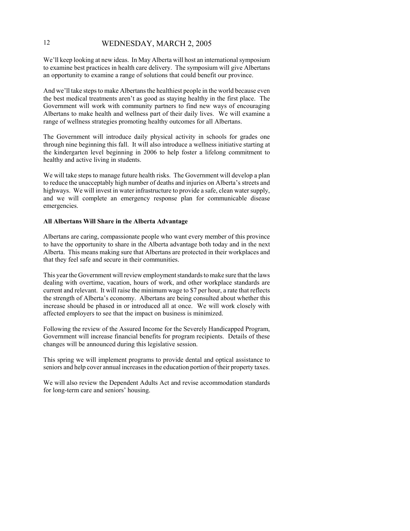We'll keep looking at new ideas. In May Alberta will host an international symposium to examine best practices in health care delivery. The symposium will give Albertans an opportunity to examine a range of solutions that could benefit our province.

And we'll take steps to make Albertans the healthiest people in the world because even the best medical treatments aren't as good as staying healthy in the first place. The Government will work with community partners to find new ways of encouraging Albertans to make health and wellness part of their daily lives. We will examine a range of wellness strategies promoting healthy outcomes for all Albertans.

The Government will introduce daily physical activity in schools for grades one through nine beginning this fall. It will also introduce a wellness initiative starting at the kindergarten level beginning in 2006 to help foster a lifelong commitment to healthy and active living in students.

We will take steps to manage future health risks. The Government will develop a plan to reduce the unacceptably high number of deaths and injuries on Alberta's streets and highways. We will invest in water infrastructure to provide a safe, clean water supply, and we will complete an emergency response plan for communicable disease emergencies.

### **All Albertans Will Share in the Alberta Advantage**

Albertans are caring, compassionate people who want every member of this province to have the opportunity to share in the Alberta advantage both today and in the next Alberta. This means making sure that Albertans are protected in their workplaces and that they feel safe and secure in their communities.

This year the Government will review employment standards to make sure that the laws dealing with overtime, vacation, hours of work, and other workplace standards are current and relevant. It will raise the minimum wage to \$7 per hour, a rate that reflects the strength of Alberta's economy. Albertans are being consulted about whether this increase should be phased in or introduced all at once. We will work closely with affected employers to see that the impact on business is minimized.

Following the review of the Assured Income for the Severely Handicapped Program, Government will increase financial benefits for program recipients. Details of these changes will be announced during this legislative session.

This spring we will implement programs to provide dental and optical assistance to seniors and help cover annual increases in the education portion of their property taxes.

We will also review the Dependent Adults Act and revise accommodation standards for long-term care and seniors' housing.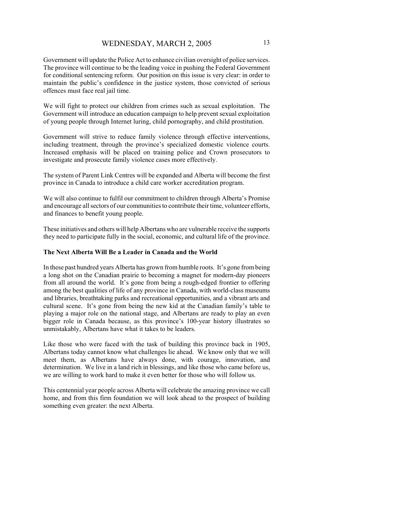Government will update the Police Act to enhance civilian oversight of police services. The province will continue to be the leading voice in pushing the Federal Government for conditional sentencing reform. Our position on this issue is very clear: in order to maintain the public's confidence in the justice system, those convicted of serious offences must face real jail time.

We will fight to protect our children from crimes such as sexual exploitation. The Government will introduce an education campaign to help prevent sexual exploitation of young people through Internet luring, child pornography, and child prostitution.

Government will strive to reduce family violence through effective interventions, including treatment, through the province's specialized domestic violence courts. Increased emphasis will be placed on training police and Crown prosecutors to investigate and prosecute family violence cases more effectively.

The system of Parent Link Centres will be expanded and Alberta will become the first province in Canada to introduce a child care worker accreditation program.

We will also continue to fulfil our commitment to children through Alberta's Promise and encourage all sectors of our communities to contribute their time, volunteer efforts, and finances to benefit young people.

These initiatives and others will help Albertans who are vulnerable receive the supports they need to participate fully in the social, economic, and cultural life of the province.

### **The Next Alberta Will Be a Leader in Canada and the World**

In these past hundred years Alberta has grown from humble roots. It's gone from being a long shot on the Canadian prairie to becoming a magnet for modern-day pioneers from all around the world. It's gone from being a rough-edged frontier to offering among the best qualities of life of any province in Canada, with world-class museums and libraries, breathtaking parks and recreational opportunities, and a vibrant arts and cultural scene. It's gone from being the new kid at the Canadian family's table to playing a major role on the national stage, and Albertans are ready to play an even bigger role in Canada because, as this province's 100-year history illustrates so unmistakably, Albertans have what it takes to be leaders.

Like those who were faced with the task of building this province back in 1905, Albertans today cannot know what challenges lie ahead. We know only that we will meet them, as Albertans have always done, with courage, innovation, and determination. We live in a land rich in blessings, and like those who came before us, we are willing to work hard to make it even better for those who will follow us.

This centennial year people across Alberta will celebrate the amazing province we call home, and from this firm foundation we will look ahead to the prospect of building something even greater: the next Alberta.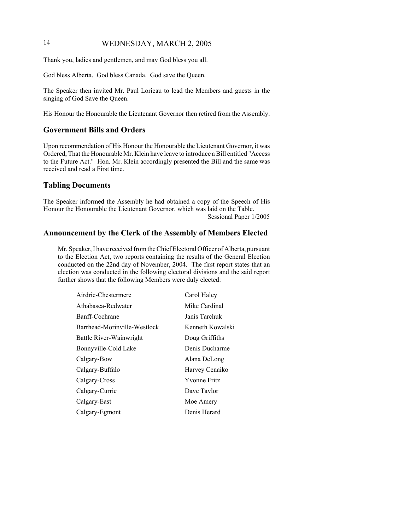Thank you, ladies and gentlemen, and may God bless you all.

God bless Alberta. God bless Canada. God save the Queen.

The Speaker then invited Mr. Paul Lorieau to lead the Members and guests in the singing of God Save the Queen.

His Honour the Honourable the Lieutenant Governor then retired from the Assembly.

# **Government Bills and Orders**

Upon recommendation of His Honour the Honourable the Lieutenant Governor, it was Ordered, That the Honourable Mr. Klein have leave to introduce a Bill entitled "Access to the Future Act." Hon. Mr. Klein accordingly presented the Bill and the same was received and read a First time.

# **Tabling Documents**

The Speaker informed the Assembly he had obtained a copy of the Speech of His Honour the Honourable the Lieutenant Governor, which was laid on the Table. Sessional Paper 1/2005

### **Announcement by the Clerk of the Assembly of Members Elected**

Mr. Speaker, I have received from the Chief Electoral Officer of Alberta, pursuant to the Election Act, two reports containing the results of the General Election conducted on the 22nd day of November, 2004. The first report states that an election was conducted in the following electoral divisions and the said report further shows that the following Members were duly elected:

| Airdrie-Chestermere          | Carol Haley         |
|------------------------------|---------------------|
| Athabasca-Redwater           | Mike Cardinal       |
| Banff-Cochrane               | Janis Tarchuk       |
| Barrhead-Morinville-Westlock | Kenneth Kowalski    |
| Battle River-Wainwright      | Doug Griffiths      |
| Bonnyville-Cold Lake         | Denis Ducharme      |
| Calgary-Bow                  | Alana DeLong        |
| Calgary-Buffalo              | Harvey Cenaiko      |
| Calgary-Cross                | <b>Yvonne Fritz</b> |
| Calgary-Currie               | Dave Taylor         |
| Calgary-East                 | Moe Amery           |
| Calgary-Egmont               | Denis Herard        |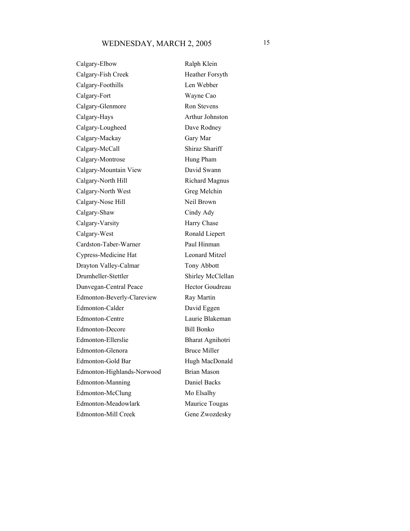# WEDNESDAY, MARCH 2, 2005 15

Calgary-Elbow Ralph Klein Calgary-Fish Creek Heather Forsyth Calgary-Foothills Len Webber Calgary-Fort Wayne Cao Calgary-Glenmore Ron Stevens Calgary-Hays Arthur Johnston Calgary-Lougheed Dave Rodney Calgary-Mackay Gary Mar Calgary-McCall Shiraz Shariff Calgary-Montrose Hung Pham Calgary-Mountain View David Swann Calgary-North Hill Richard Magnus Calgary-North West Greg Melchin Calgary-Nose Hill Neil Brown Calgary-Shaw Cindy Ady Calgary-Varsity Harry Chase Calgary-West Ronald Liepert Cardston-Taber-Warner Paul Hinman Cypress-Medicine Hat Leonard Mitzel Drayton Valley-Calmar Tony Abbott Drumheller-Stettler Shirley McClellan Dunvegan-Central Peace Hector Goudreau Edmonton-Beverly-Clareview Ray Martin Edmonton-Calder David Eggen Edmonton-Centre Laurie Blakeman Edmonton-Decore Bill Bonko Edmonton-Ellerslie Bharat Agnihotri Edmonton-Glenora Bruce Miller Edmonton-Gold Bar Hugh MacDonald Edmonton-Highlands-Norwood Brian Mason Edmonton-Manning Daniel Backs Edmonton-McClung Mo Elsalhy Edmonton-Meadowlark Maurice Tougas Edmonton-Mill Creek Gene Zwozdesky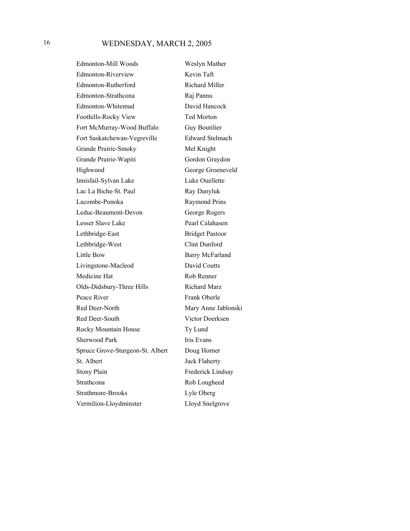Edmonton-Mill Woods Weslyn Mather Edmonton-Riverview Kevin Taft Edmonton-Rutherford Richard Miller Edmonton-Strathcona Raj Pannu Edmonton-Whitemud David Hancock Foothills-Rocky View Ted Morton Fort McMurray-Wood Buffalo Guy Boutilier Fort Saskatchewan-Vegreville Edward Stelmach Grande Prairie-Smoky Mel Knight Grande Prairie-Wapiti Gordon Graydon Highwood George Groeneveld Innisfail-Sylvan Lake Luke Ouellette Lac La Biche-St. Paul Ray Danyluk Lacombe-Ponoka Raymond Prins Leduc-Beaumont-Devon George Rogers Lesser Slave Lake Pearl Calahasen Lethbridge-East Bridget Pastoor Lethbridge-West Clint Dunford Little Bow Barry McFarland Livingstone-Macleod David Coutts Medicine Hat Rob Renner Olds-Didsbury-Three Hills Richard Marz Peace River Frank Oberle Red Deer-North Mary Anne Jablonski Red Deer-South Victor Doerksen Rocky Mountain House Ty Lund Sherwood Park Iris Evans Spruce Grove-Sturgeon-St. Albert Doug Horner St. Albert Jack Flaherty Stony Plain Frederick Lindsay Strathcona Rob Lougheed Strathmore-Brooks Lyle Oberg Vermilion-Lloydminster Lloyd Snelgrove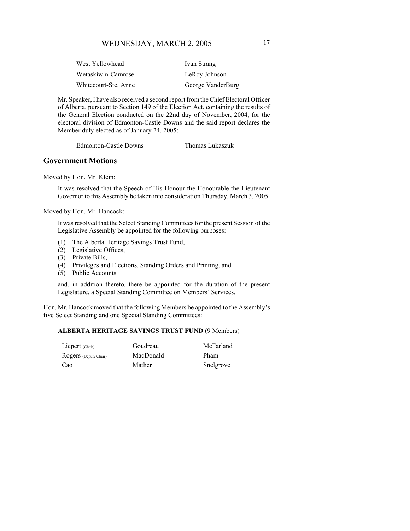| West Yellowhead      | Ivan Strang       |
|----------------------|-------------------|
| Wetaskiwin-Camrose   | LeRoy Johnson     |
| Whitecourt-Ste. Anne | George VanderBurg |

Mr. Speaker, I have also received a second report from the Chief Electoral Officer of Alberta, pursuant to Section 149 of the Election Act, containing the results of the General Election conducted on the 22nd day of November, 2004, for the electoral division of Edmonton-Castle Downs and the said report declares the Member duly elected as of January 24, 2005:

Edmonton-Castle Downs Thomas Lukaszuk

### **Government Motions**

Moved by Hon. Mr. Klein:

It was resolved that the Speech of His Honour the Honourable the Lieutenant Governor to this Assembly be taken into consideration Thursday, March 3, 2005.

Moved by Hon. Mr. Hancock:

It was resolved that the Select Standing Committees for the present Session of the Legislative Assembly be appointed for the following purposes:

- (1) The Alberta Heritage Savings Trust Fund,
- (2) Legislative Offices,
- (3) Private Bills,
- (4) Privileges and Elections, Standing Orders and Printing, and
- (5) Public Accounts

and, in addition thereto, there be appointed for the duration of the present Legislature, a Special Standing Committee on Members' Services.

Hon. Mr. Hancock moved that the following Members be appointed to the Assembly's five Select Standing and one Special Standing Committees:

#### **ALBERTA HERITAGE SAVINGS TRUST FUND** (9 Members)

| Liepert (Chair)       | Goudreau  | McFarland |
|-----------------------|-----------|-----------|
| Rogers (Deputy Chair) | MacDonald | Pham      |
| Cao                   | Mather    | Snelgrove |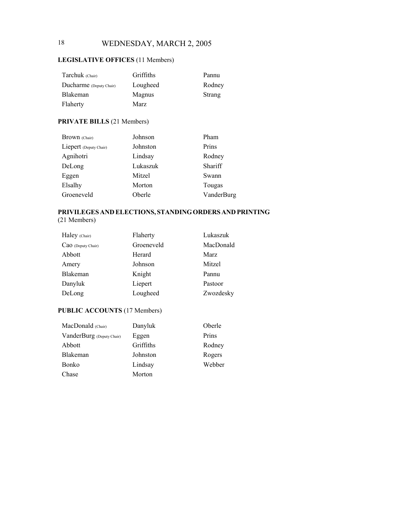# **LEGISLATIVE OFFICES** (11 Members)

| Tarchuk (Chair)         | Griffiths | Pannu  |
|-------------------------|-----------|--------|
| Ducharme (Deputy Chair) | Lougheed  | Rodney |
| <b>Blakeman</b>         | Magnus    | Strang |
| Flaherty                | Marz      |        |

# **PRIVATE BILLS** (21 Members)

| <b>Brown</b> (Chair)   | Johnson  | Pham       |
|------------------------|----------|------------|
| Liepert (Deputy Chair) | Johnston | Prins      |
| Agnihotri              | Lindsay  | Rodney     |
| DeLong                 | Lukaszuk | Shariff    |
| Eggen                  | Mitzel   | Swann      |
| Elsalhy                | Morton   | Tougas     |
| Groeneveld             | Oberle   | VanderBurg |

# **PRIVILEGES AND ELECTIONS, STANDING ORDERS AND PRINTING**

(21 Members)

| Haley (Chair)      | Flaherty   | Lukaszuk  |
|--------------------|------------|-----------|
| CaO (Deputy Chair) | Groeneveld | MacDonald |
| Abbott             | Herard     | Marz      |
| Amery              | Johnson    | Mitzel    |
| Blakeman           | Knight     | Pannu     |
| Danyluk            | Liepert    | Pastoor   |
| DeLong             | Lougheed   | Zwozdesky |

# **PUBLIC ACCOUNTS** (17 Members)

| MacDonald (Chair)         | Danyluk   | Oberle |
|---------------------------|-----------|--------|
| VanderBurg (Deputy Chair) | Eggen     | Prins  |
| Abbott                    | Griffiths | Rodney |
| Blakeman                  | Johnston  | Rogers |
| <b>Bonko</b>              | Lindsay   | Webber |
| Chase                     | Morton    |        |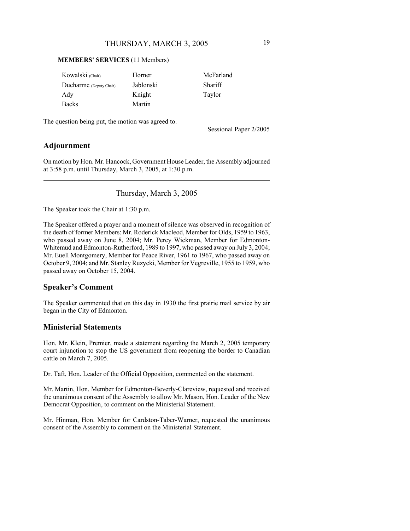### **MEMBERS' SERVICES** (11 Members)

| Kowalski (Chair)        | Horner    | McFarland |
|-------------------------|-----------|-----------|
| Ducharme (Deputy Chair) | Jablonski | Shariff   |
| Ady                     | Knight    | Taylor    |
| <b>Backs</b>            | Martin    |           |

The question being put, the motion was agreed to.

Sessional Paper 2/2005

# **Adjournment**

On motion by Hon. Mr. Hancock, Government House Leader, the Assembly adjourned at 3:58 p.m. until Thursday, March 3, 2005, at 1:30 p.m.

# Thursday, March 3, 2005

The Speaker took the Chair at 1:30 p.m.

The Speaker offered a prayer and a moment of silence was observed in recognition of the death of former Members: Mr. Roderick Macleod, Member for Olds, 1959 to 1963, who passed away on June 8, 2004; Mr. Percy Wickman, Member for Edmonton-Whitemud and Edmonton-Rutherford, 1989 to 1997, who passed away on July 3, 2004; Mr. Euell Montgomery, Member for Peace River, 1961 to 1967, who passed away on October 9, 2004; and Mr. Stanley Ruzycki, Member for Vegreville, 1955 to 1959, who passed away on October 15, 2004.

# **Speaker's Comment**

The Speaker commented that on this day in 1930 the first prairie mail service by air began in the City of Edmonton.

# **Ministerial Statements**

Hon. Mr. Klein, Premier, made a statement regarding the March 2, 2005 temporary court injunction to stop the US government from reopening the border to Canadian cattle on March 7, 2005.

Dr. Taft, Hon. Leader of the Official Opposition, commented on the statement.

Mr. Martin, Hon. Member for Edmonton-Beverly-Clareview, requested and received the unanimous consent of the Assembly to allow Mr. Mason, Hon. Leader of the New Democrat Opposition, to comment on the Ministerial Statement.

Mr. Hinman, Hon. Member for Cardston-Taber-Warner, requested the unanimous consent of the Assembly to comment on the Ministerial Statement.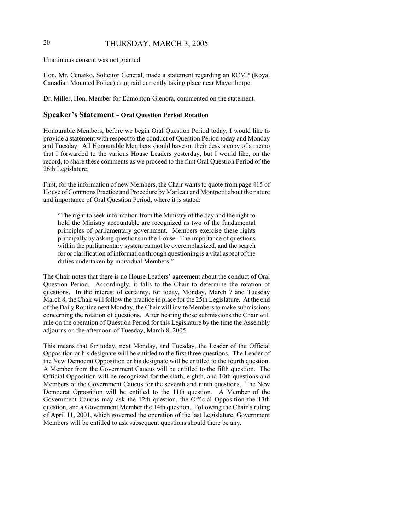# 20 THURSDAY, MARCH 3, 2005

Unanimous consent was not granted.

Hon. Mr. Cenaiko, Solicitor General, made a statement regarding an RCMP (Royal Canadian Mounted Police) drug raid currently taking place near Mayerthorpe.

Dr. Miller, Hon. Member for Edmonton-Glenora, commented on the statement.

### **Speaker's Statement - Oral Question Period Rotation**

Honourable Members, before we begin Oral Question Period today, I would like to provide a statement with respect to the conduct of Question Period today and Monday and Tuesday. All Honourable Members should have on their desk a copy of a memo that I forwarded to the various House Leaders yesterday, but I would like, on the record, to share these comments as we proceed to the first Oral Question Period of the 26th Legislature.

First, for the information of new Members, the Chair wants to quote from page 415 of House of Commons Practice and Procedure by Marleau and Montpetit about the nature and importance of Oral Question Period, where it is stated:

"The right to seek information from the Ministry of the day and the right to hold the Ministry accountable are recognized as two of the fundamental principles of parliamentary government. Members exercise these rights principally by asking questions in the House. The importance of questions within the parliamentary system cannot be overemphasized, and the search for or clarification of information through questioning is a vital aspect of the duties undertaken by individual Members."

The Chair notes that there is no House Leaders' agreement about the conduct of Oral Question Period. Accordingly, it falls to the Chair to determine the rotation of questions. In the interest of certainty, for today, Monday, March 7 and Tuesday March 8, the Chair will follow the practice in place for the 25th Legislature. At the end of the Daily Routine next Monday, the Chair will invite Members to make submissions concerning the rotation of questions. After hearing those submissions the Chair will rule on the operation of Question Period for this Legislature by the time the Assembly adjourns on the afternoon of Tuesday, March 8, 2005.

This means that for today, next Monday, and Tuesday, the Leader of the Official Opposition or his designate will be entitled to the first three questions. The Leader of the New Democrat Opposition or his designate will be entitled to the fourth question. A Member from the Government Caucus will be entitled to the fifth question. The Official Opposition will be recognized for the sixth, eighth, and 10th questions and Members of the Government Caucus for the seventh and ninth questions. The New Democrat Opposition will be entitled to the 11th question. A Member of the Government Caucus may ask the 12th question, the Official Opposition the 13th question, and a Government Member the 14th question. Following the Chair's ruling of April 11, 2001, which governed the operation of the last Legislature, Government Members will be entitled to ask subsequent questions should there be any.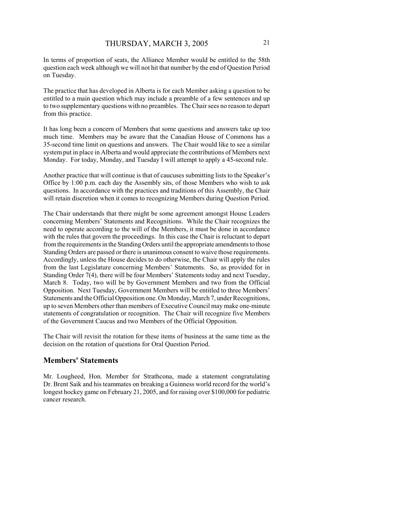In terms of proportion of seats, the Alliance Member would be entitled to the 58th question each week although we will not hit that number by the end of Question Period on Tuesday.

The practice that has developed in Alberta is for each Member asking a question to be entitled to a main question which may include a preamble of a few sentences and up to two supplementary questions with no preambles. The Chair sees no reason to depart from this practice.

It has long been a concern of Members that some questions and answers take up too much time. Members may be aware that the Canadian House of Commons has a 35-second time limit on questions and answers. The Chair would like to see a similar system put in place in Alberta and would appreciate the contributions of Members next Monday. For today, Monday, and Tuesday I will attempt to apply a 45-second rule.

Another practice that will continue is that of caucuses submitting lists to the Speaker's Office by 1:00 p.m. each day the Assembly sits, of those Members who wish to ask questions. In accordance with the practices and traditions of this Assembly, the Chair will retain discretion when it comes to recognizing Members during Question Period.

The Chair understands that there might be some agreement amongst House Leaders concerning Members' Statements and Recognitions. While the Chair recognizes the need to operate according to the will of the Members, it must be done in accordance with the rules that govern the proceedings. In this case the Chair is reluctant to depart from the requirements in the Standing Orders until the appropriate amendments to those Standing Orders are passed or there is unanimous consent to waive those requirements. Accordingly, unless the House decides to do otherwise, the Chair will apply the rules from the last Legislature concerning Members' Statements. So, as provided for in Standing Order 7(4), there will be four Members' Statements today and next Tuesday, March 8. Today, two will be by Government Members and two from the Official Opposition. Next Tuesday, Government Members will be entitled to three Members' Statements and the Official Opposition one. On Monday, March 7, under Recognitions, up to seven Members other than members of Executive Council may make one-minute statements of congratulation or recognition. The Chair will recognize five Members of the Government Caucus and two Members of the Official Opposition.

The Chair will revisit the rotation for these items of business at the same time as the decision on the rotation of questions for Oral Question Period.

### **Members' Statements**

Mr. Lougheed, Hon. Member for Strathcona, made a statement congratulating Dr. Brent Saik and his teammates on breaking a Guinness world record for the world's longest hockey game on February 21, 2005, and for raising over \$100,000 for pediatric cancer research.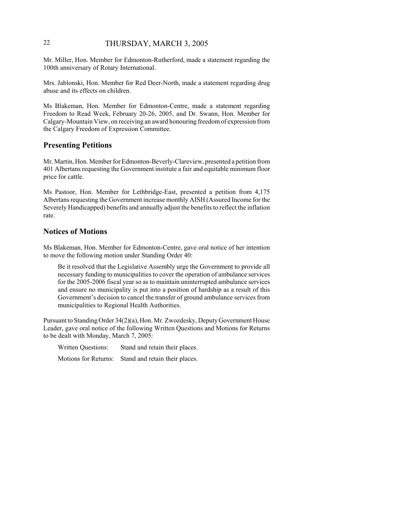# 22 THURSDAY, MARCH 3, 2005

Mr. Miller, Hon. Member for Edmonton-Rutherford, made a statement regarding the 100th anniversary of Rotary International.

Mrs. Jablonski, Hon. Member for Red Deer-North, made a statement regarding drug abuse and its effects on children.

Ms Blakeman, Hon. Member for Edmonton-Centre, made a statement regarding Freedom to Read Week, February 20-26, 2005, and Dr. Swann, Hon. Member for Calgary-Mountain View, on receiving an award honouring freedom of expression from the Calgary Freedom of Expression Committee.

# **Presenting Petitions**

Mr. Martin, Hon. Member for Edmonton-Beverly-Clareview, presented a petition from 401 Albertans requesting the Government institute a fair and equitable minimum floor price for cattle.

Ms Pastoor, Hon. Member for Lethbridge-East, presented a petition from 4,175 Albertans requesting the Government increase monthly AISH (Assured Income for the Severely Handicapped) benefits and annually adjust the benefits to reflect the inflation rate.

### **Notices of Motions**

Ms Blakeman, Hon. Member for Edmonton-Centre, gave oral notice of her intention to move the following motion under Standing Order 40:

Be it resolved that the Legislative Assembly urge the Government to provide all necessary funding to municipalities to cover the operation of ambulance services for the 2005-2006 fiscal year so as to maintain uninterrupted ambulance services and ensure no municipality is put into a position of hardship as a result of this Government's decision to cancel the transfer of ground ambulance services from municipalities to Regional Health Authorities.

Pursuant to Standing Order 34(2)(a), Hon. Mr. Zwozdesky, Deputy Government House Leader, gave oral notice of the following Written Questions and Motions for Returns to be dealt with Monday, March 7, 2005:

Written Questions: Stand and retain their places.

Motions for Returns: Stand and retain their places.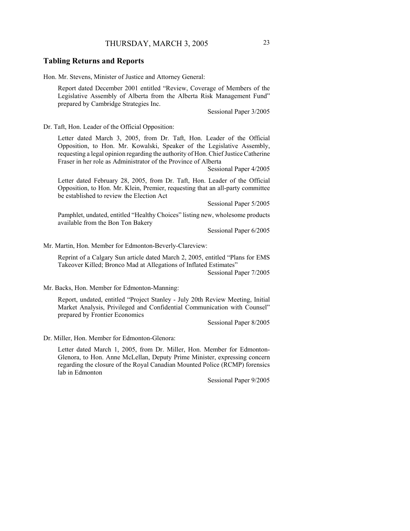### **Tabling Returns and Reports**

Hon. Mr. Stevens, Minister of Justice and Attorney General:

Report dated December 2001 entitled "Review, Coverage of Members of the Legislative Assembly of Alberta from the Alberta Risk Management Fund" prepared by Cambridge Strategies Inc.

Sessional Paper 3/2005

Dr. Taft, Hon. Leader of the Official Opposition:

Letter dated March 3, 2005, from Dr. Taft, Hon. Leader of the Official Opposition, to Hon. Mr. Kowalski, Speaker of the Legislative Assembly, requesting a legal opinion regarding the authority of Hon. Chief Justice Catherine Fraser in her role as Administrator of the Province of Alberta

Sessional Paper 4/2005

Letter dated February 28, 2005, from Dr. Taft, Hon. Leader of the Official Opposition, to Hon. Mr. Klein, Premier, requesting that an all-party committee be established to review the Election Act

Sessional Paper 5/2005

Pamphlet, undated, entitled "Healthy Choices" listing new, wholesome products available from the Bon Ton Bakery

Sessional Paper 6/2005

Mr. Martin, Hon. Member for Edmonton-Beverly-Clareview:

Reprint of a Calgary Sun article dated March 2, 2005, entitled "Plans for EMS Takeover Killed; Bronco Mad at Allegations of Inflated Estimates"

Sessional Paper 7/2005

Mr. Backs, Hon. Member for Edmonton-Manning:

Report, undated, entitled "Project Stanley - July 20th Review Meeting, Initial Market Analysis, Privileged and Confidential Communication with Counsel" prepared by Frontier Economics

Sessional Paper 8/2005

Dr. Miller, Hon. Member for Edmonton-Glenora:

Letter dated March 1, 2005, from Dr. Miller, Hon. Member for Edmonton-Glenora, to Hon. Anne McLellan, Deputy Prime Minister, expressing concern regarding the closure of the Royal Canadian Mounted Police (RCMP) forensics lab in Edmonton

Sessional Paper 9/2005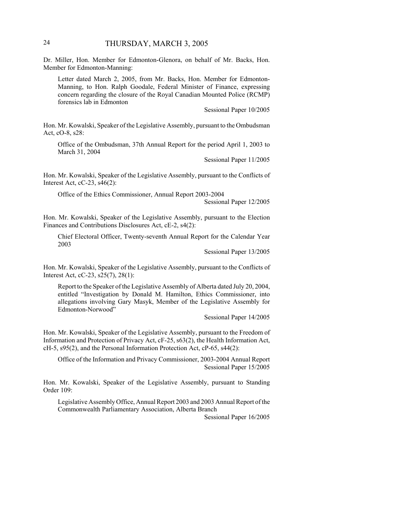Dr. Miller, Hon. Member for Edmonton-Glenora, on behalf of Mr. Backs, Hon. Member for Edmonton-Manning:

Letter dated March 2, 2005, from Mr. Backs, Hon. Member for Edmonton-Manning, to Hon. Ralph Goodale, Federal Minister of Finance, expressing concern regarding the closure of the Royal Canadian Mounted Police (RCMP) forensics lab in Edmonton

Sessional Paper 10/2005

Hon. Mr. Kowalski, Speaker of the Legislative Assembly, pursuant to the Ombudsman Act, cO-8, s28:

Office of the Ombudsman, 37th Annual Report for the period April 1, 2003 to March 31, 2004

Sessional Paper 11/2005

Hon. Mr. Kowalski, Speaker of the Legislative Assembly, pursuant to the Conflicts of Interest Act, cC-23, s46(2):

Office of the Ethics Commissioner, Annual Report 2003-2004

Sessional Paper 12/2005

Hon. Mr. Kowalski, Speaker of the Legislative Assembly, pursuant to the Election Finances and Contributions Disclosures Act, cE-2, s4(2):

Chief Electoral Officer, Twenty-seventh Annual Report for the Calendar Year 2003

Sessional Paper 13/2005

Hon. Mr. Kowalski, Speaker of the Legislative Assembly, pursuant to the Conflicts of Interest Act, cC-23, s25(7), 28(1):

Report to the Speaker of the Legislative Assembly of Alberta dated July 20, 2004, entitled "Investigation by Donald M. Hamilton, Ethics Commissioner, into allegations involving Gary Masyk, Member of the Legislative Assembly for Edmonton-Norwood"

Sessional Paper 14/2005

Hon. Mr. Kowalski, Speaker of the Legislative Assembly, pursuant to the Freedom of Information and Protection of Privacy Act, cF-25, s63(2), the Health Information Act, cH-5, s95(2), and the Personal Information Protection Act, cP-65, s44(2):

Office of the Information and Privacy Commissioner, 2003-2004 Annual Report Sessional Paper 15/2005

Hon. Mr. Kowalski, Speaker of the Legislative Assembly, pursuant to Standing Order 109:

Legislative Assembly Office, Annual Report 2003 and 2003 Annual Report of the Commonwealth Parliamentary Association, Alberta Branch

Sessional Paper 16/2005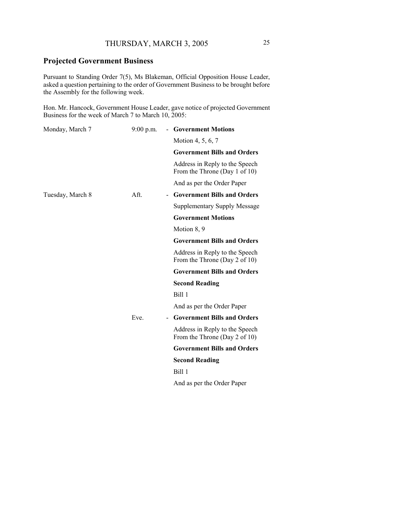# **Projected Government Business**

Pursuant to Standing Order 7(5), Ms Blakeman, Official Opposition House Leader, asked a question pertaining to the order of Government Business to be brought before the Assembly for the following week.

Hon. Mr. Hancock, Government House Leader, gave notice of projected Government Business for the week of March 7 to March 10, 2005:

| Monday, March 7  | $9:00$ p.m. |  | <b>Government Motions</b>                                       |
|------------------|-------------|--|-----------------------------------------------------------------|
|                  |             |  | Motion 4, 5, 6, 7                                               |
|                  |             |  | <b>Government Bills and Orders</b>                              |
|                  |             |  | Address in Reply to the Speech<br>From the Throne (Day 1 of 10) |
|                  |             |  | And as per the Order Paper                                      |
| Tuesday, March 8 | Aft.        |  | <b>Government Bills and Orders</b>                              |
|                  |             |  | Supplementary Supply Message                                    |
|                  |             |  | <b>Government Motions</b>                                       |
|                  |             |  | Motion 8, 9                                                     |
|                  |             |  | <b>Government Bills and Orders</b>                              |
|                  |             |  | Address in Reply to the Speech<br>From the Throne (Day 2 of 10) |
|                  |             |  | <b>Government Bills and Orders</b>                              |
|                  |             |  | <b>Second Reading</b>                                           |
|                  |             |  | Bill 1                                                          |
|                  |             |  | And as per the Order Paper                                      |
|                  | Eve.        |  | <b>Government Bills and Orders</b>                              |
|                  |             |  | Address in Reply to the Speech<br>From the Throne (Day 2 of 10) |
|                  |             |  | <b>Government Bills and Orders</b>                              |
|                  |             |  | <b>Second Reading</b>                                           |
|                  |             |  | Bill 1                                                          |
|                  |             |  | And as per the Order Paper                                      |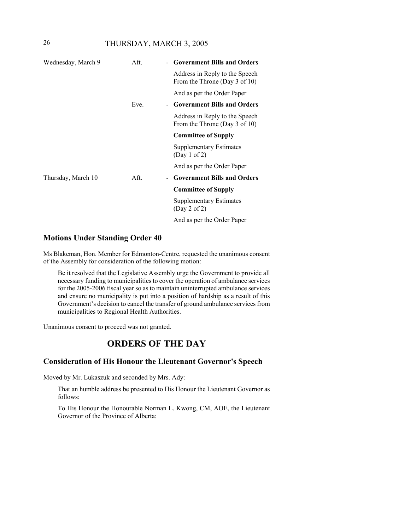# 26 THURSDAY, MARCH 3, 2005

| Wednesday, March 9 | Aft. | - Government Bills and Orders                                   |
|--------------------|------|-----------------------------------------------------------------|
|                    |      | Address in Reply to the Speech<br>From the Throne (Day 3 of 10) |
|                    |      | And as per the Order Paper                                      |
|                    | Eve. | - Government Bills and Orders                                   |
|                    |      | Address in Reply to the Speech<br>From the Throne (Day 3 of 10) |
|                    |      | <b>Committee of Supply</b>                                      |
|                    |      | Supplementary Estimates<br>(Day 1 of 2)                         |
|                    |      | And as per the Order Paper                                      |
| Thursday, March 10 | Aft. | <b>Government Bills and Orders</b>                              |
|                    |      | <b>Committee of Supply</b>                                      |
|                    |      | Supplementary Estimates<br>(Day 2 of 2)                         |
|                    |      | And as per the Order Paper                                      |

### **Motions Under Standing Order 40**

Ms Blakeman, Hon. Member for Edmonton-Centre, requested the unanimous consent of the Assembly for consideration of the following motion:

Be it resolved that the Legislative Assembly urge the Government to provide all necessary funding to municipalities to cover the operation of ambulance services for the 2005-2006 fiscal year so as to maintain uninterrupted ambulance services and ensure no municipality is put into a position of hardship as a result of this Government's decision to cancel the transfer of ground ambulance services from municipalities to Regional Health Authorities.

Unanimous consent to proceed was not granted.

# **ORDERS OF THE DAY**

# **Consideration of His Honour the Lieutenant Governor's Speech**

Moved by Mr. Lukaszuk and seconded by Mrs. Ady:

That an humble address be presented to His Honour the Lieutenant Governor as follows:

To His Honour the Honourable Norman L. Kwong, CM, AOE, the Lieutenant Governor of the Province of Alberta: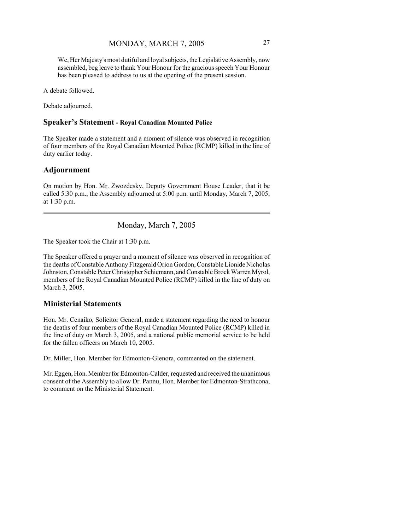We, Her Majesty's most dutiful and loyal subjects, the Legislative Assembly, now assembled, beg leave to thank Your Honour for the gracious speech Your Honour has been pleased to address to us at the opening of the present session.

A debate followed.

Debate adjourned.

#### **Speaker's Statement - Royal Canadian Mounted Police**

The Speaker made a statement and a moment of silence was observed in recognition of four members of the Royal Canadian Mounted Police (RCMP) killed in the line of duty earlier today.

## **Adjournment**

On motion by Hon. Mr. Zwozdesky, Deputy Government House Leader, that it be called 5:30 p.m., the Assembly adjourned at 5:00 p.m. until Monday, March 7, 2005, at 1:30 p.m.

Monday, March 7, 2005

The Speaker took the Chair at 1:30 p.m.

The Speaker offered a prayer and a moment of silence was observed in recognition of the deaths of Constable Anthony Fitzgerald Orion Gordon, Constable Lionide Nicholas Johnston, Constable Peter Christopher Schiemann, and Constable Brock Warren Myrol, members of the Royal Canadian Mounted Police (RCMP) killed in the line of duty on March 3, 2005.

### **Ministerial Statements**

Hon. Mr. Cenaiko, Solicitor General, made a statement regarding the need to honour the deaths of four members of the Royal Canadian Mounted Police (RCMP) killed in the line of duty on March 3, 2005, and a national public memorial service to be held for the fallen officers on March 10, 2005.

Dr. Miller, Hon. Member for Edmonton-Glenora, commented on the statement.

Mr. Eggen, Hon. Member for Edmonton-Calder, requested and received the unanimous consent of the Assembly to allow Dr. Pannu, Hon. Member for Edmonton-Strathcona, to comment on the Ministerial Statement.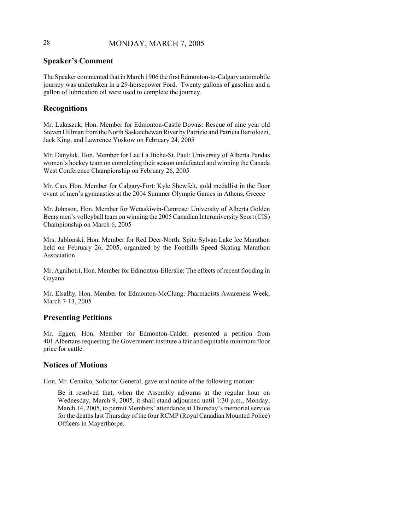# 28 MONDAY, MARCH 7, 2005

# **Speaker's Comment**

The Speaker commented that in March 1906 the first Edmonton-to-Calgary automobile journey was undertaken in a 29-horsepower Ford. Twenty gallons of gasoline and a gallon of lubrication oil were used to complete the journey.

# **Recognitions**

Mr. Lukaszuk, Hon. Member for Edmonton-Castle Downs: Rescue of nine year old Steven Hillman from the North Saskatchewan River by Patrizio and Patricia Bartolozzi, Jack King, and Lawrence Yuskow on February 24, 2005

Mr. Danyluk, Hon. Member for Lac La Biche-St. Paul: University of Alberta Pandas women's hockey team on completing their season undefeated and winning the Canada West Conference Championship on February 26, 2005

Mr. Cao, Hon. Member for Calgary-Fort: Kyle Shewfelt, gold medallist in the floor event of men's gymnastics at the 2004 Summer Olympic Games in Athens, Greece

Mr. Johnson, Hon. Member for Wetaskiwin-Camrose: University of Alberta Golden Bears men's volleyball team on winning the 2005 Canadian Interuniversity Sport (CIS) Championship on March 6, 2005

Mrs. Jablonski, Hon. Member for Red Deer-North: Spitz Sylvan Lake Ice Marathon held on February 26, 2005, organized by the Foothills Speed Skating Marathon Association

Mr. Agnihotri, Hon. Member for Edmonton-Ellerslie: The effects of recent flooding in Guyana

Mr. Elsalhy, Hon. Member for Edmonton-McClung: Pharmacists Awareness Week, March 7-13, 2005

# **Presenting Petitions**

Mr. Eggen, Hon. Member for Edmonton-Calder, presented a petition from 401 Albertans requesting the Government institute a fair and equitable minimum floor price for cattle.

### **Notices of Motions**

Hon. Mr. Cenaiko, Solicitor General, gave oral notice of the following motion:

Be it resolved that, when the Assembly adjourns at the regular hour on Wednesday, March 9, 2005, it shall stand adjourned until 1:30 p.m., Monday, March 14, 2005, to permit Members' attendance at Thursday's memorial service for the deaths last Thursday of the four RCMP (Royal Canadian Mounted Police) Officers in Mayerthorpe.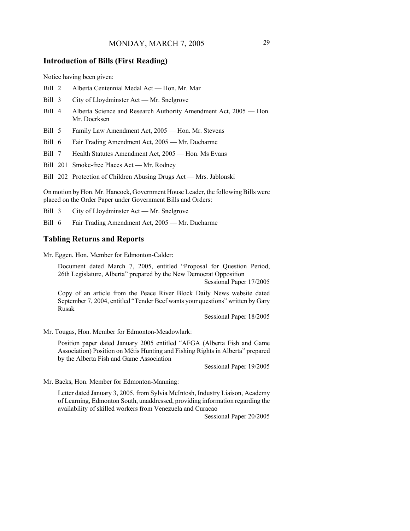### **Introduction of Bills (First Reading)**

Notice having been given:

- Bill 2 Alberta Centennial Medal Act Hon. Mr. Mar
- Bill 3 City of Lloydminster Act Mr. Snelgrove
- Bill 4 Alberta Science and Research Authority Amendment Act, 2005 Hon. Mr. Doerksen
- Bill 5 Family Law Amendment Act, 2005 Hon. Mr. Stevens
- Bill 6 Fair Trading Amendment Act, 2005 Mr. Ducharme
- Bill 7 Health Statutes Amendment Act, 2005 Hon. Ms Evans
- Bill 201 Smoke-free Places Act Mr. Rodney
- Bill 202 Protection of Children Abusing Drugs Act Mrs. Jablonski

On motion by Hon. Mr. Hancock, Government House Leader, the following Bills were placed on the Order Paper under Government Bills and Orders:

Bill 3 City of Lloydminster Act — Mr. Snelgrove

Bill 6 Fair Trading Amendment Act, 2005 — Mr. Ducharme

### **Tabling Returns and Reports**

Mr. Eggen, Hon. Member for Edmonton-Calder:

Document dated March 7, 2005, entitled "Proposal for Question Period, 26th Legislature, Alberta" prepared by the New Democrat Opposition

Sessional Paper 17/2005

Copy of an article from the Peace River Block Daily News website dated September 7, 2004, entitled "Tender Beef wants your questions" written by Gary Rusak

Sessional Paper 18/2005

Mr. Tougas, Hon. Member for Edmonton-Meadowlark:

Position paper dated January 2005 entitled "AFGA (Alberta Fish and Game Association) Position on Métis Hunting and Fishing Rights in Alberta" prepared by the Alberta Fish and Game Association

Sessional Paper 19/2005

Mr. Backs, Hon. Member for Edmonton-Manning:

Letter dated January 3, 2005, from Sylvia McIntosh, Industry Liaison, Academy of Learning, Edmonton South, unaddressed, providing information regarding the availability of skilled workers from Venezuela and Curacao

Sessional Paper 20/2005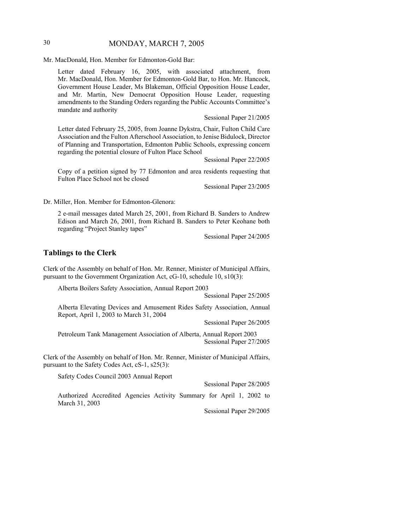# 30 MONDAY, MARCH 7, 2005

Mr. MacDonald, Hon. Member for Edmonton-Gold Bar:

Letter dated February 16, 2005, with associated attachment, from Mr. MacDonald, Hon. Member for Edmonton-Gold Bar, to Hon. Mr. Hancock, Government House Leader, Ms Blakeman, Official Opposition House Leader, and Mr. Martin, New Democrat Opposition House Leader, requesting amendments to the Standing Orders regarding the Public Accounts Committee's mandate and authority

Sessional Paper 21/2005

Letter dated February 25, 2005, from Joanne Dykstra, Chair, Fulton Child Care Association and the Fulton Afterschool Association, to Jenise Bidulock, Director of Planning and Transportation, Edmonton Public Schools, expressing concern regarding the potential closure of Fulton Place School

Sessional Paper 22/2005

Copy of a petition signed by 77 Edmonton and area residents requesting that Fulton Place School not be closed

Sessional Paper 23/2005

Dr. Miller, Hon. Member for Edmonton-Glenora:

2 e-mail messages dated March 25, 2001, from Richard B. Sanders to Andrew Edison and March 26, 2001, from Richard B. Sanders to Peter Keohane both regarding "Project Stanley tapes"

Sessional Paper 24/2005

### **Tablings to the Clerk**

Clerk of the Assembly on behalf of Hon. Mr. Renner, Minister of Municipal Affairs, pursuant to the Government Organization Act, cG-10, schedule 10, s10(3):

Alberta Boilers Safety Association, Annual Report 2003

Sessional Paper 25/2005

Alberta Elevating Devices and Amusement Rides Safety Association, Annual Report, April 1, 2003 to March 31, 2004

Sessional Paper 26/2005

Petroleum Tank Management Association of Alberta, Annual Report 2003 Sessional Paper 27/2005

Clerk of the Assembly on behalf of Hon. Mr. Renner, Minister of Municipal Affairs, pursuant to the Safety Codes Act, cS-1, s25(3):

Safety Codes Council 2003 Annual Report

Sessional Paper 28/2005

Authorized Accredited Agencies Activity Summary for April 1, 2002 to March 31, 2003

Sessional Paper 29/2005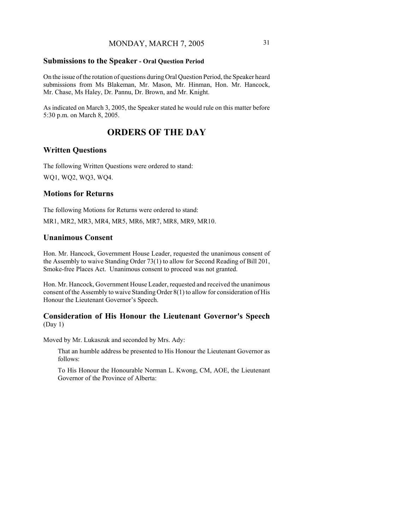### **Submissions to the Speaker - Oral Question Period**

On the issue of the rotation of questions during Oral Question Period, the Speaker heard submissions from Ms Blakeman, Mr. Mason, Mr. Hinman, Hon. Mr. Hancock, Mr. Chase, Ms Haley, Dr. Pannu, Dr. Brown, and Mr. Knight.

As indicated on March 3, 2005, the Speaker stated he would rule on this matter before 5:30 p.m. on March 8, 2005.

# **ORDERS OF THE DAY**

### **Written Questions**

The following Written Questions were ordered to stand: WQ1, WQ2, WQ3, WQ4.

### **Motions for Returns**

The following Motions for Returns were ordered to stand:

MR1, MR2, MR3, MR4, MR5, MR6, MR7, MR8, MR9, MR10.

### **Unanimous Consent**

Hon. Mr. Hancock, Government House Leader, requested the unanimous consent of the Assembly to waive Standing Order 73(1) to allow for Second Reading of Bill 201, Smoke-free Places Act. Unanimous consent to proceed was not granted.

Hon. Mr. Hancock, Government House Leader, requested and received the unanimous consent of the Assembly to waive Standing Order 8(1) to allow for consideration of His Honour the Lieutenant Governor's Speech.

### **Consideration of His Honour the Lieutenant Governor's Speech** (Day 1)

Moved by Mr. Lukaszuk and seconded by Mrs. Ady:

That an humble address be presented to His Honour the Lieutenant Governor as follows:

To His Honour the Honourable Norman L. Kwong, CM, AOE, the Lieutenant Governor of the Province of Alberta: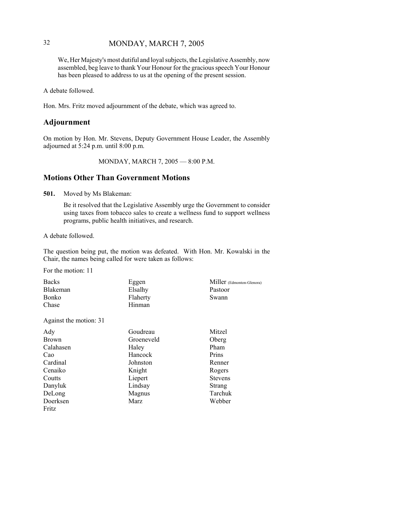# 32 MONDAY, MARCH 7, 2005

We, Her Majesty's most dutiful and loyal subjects, the Legislative Assembly, now assembled, beg leave to thank Your Honour for the gracious speech Your Honour has been pleased to address to us at the opening of the present session.

A debate followed.

Hon. Mrs. Fritz moved adjournment of the debate, which was agreed to.

### **Adjournment**

On motion by Hon. Mr. Stevens, Deputy Government House Leader, the Assembly adjourned at 5:24 p.m. until 8:00 p.m.

MONDAY, MARCH 7, 2005 — 8:00 P.M.

### **Motions Other Than Government Motions**

**501.** Moved by Ms Blakeman:

Be it resolved that the Legislative Assembly urge the Government to consider using taxes from tobacco sales to create a wellness fund to support wellness programs, public health initiatives, and research.

A debate followed.

The question being put, the motion was defeated. With Hon. Mr. Kowalski in the Chair, the names being called for were taken as follows:

For the motion: 11

| <b>Backs</b> | Eggen    | Miller (Edmonton-Glenora) |
|--------------|----------|---------------------------|
| Blakeman     | Elsalhy  | Pastoor                   |
| Bonko        | Flaherty | Swann                     |
| Chase        | Hinman   |                           |
|              |          |                           |

Against the motion: 31

| Ady       | Goudreau   | Mitzel         |
|-----------|------------|----------------|
| Brown     | Groeneveld | Oberg          |
| Calahasen | Haley      | Pham           |
| Cao       | Hancock    | Prins          |
| Cardinal  | Johnston   | Renner         |
| Cenaiko   | Knight     | Rogers         |
| Coutts    | Liepert    | <b>Stevens</b> |
| Danyluk   | Lindsay    | <b>Strang</b>  |
| DeLong    | Magnus     | Tarchuk        |
| Doerksen  | Marz       | Webber         |
| Fritz     |            |                |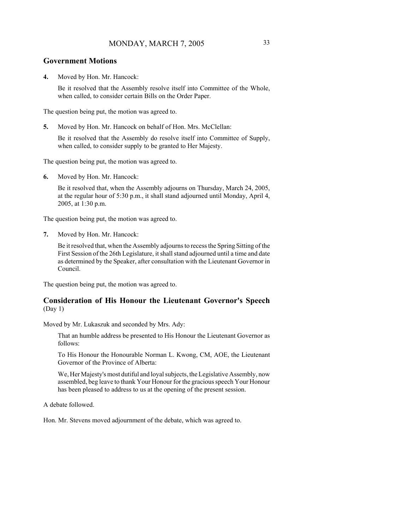### **Government Motions**

**4.** Moved by Hon. Mr. Hancock:

Be it resolved that the Assembly resolve itself into Committee of the Whole, when called, to consider certain Bills on the Order Paper.

The question being put, the motion was agreed to.

**5.** Moved by Hon. Mr. Hancock on behalf of Hon. Mrs. McClellan:

Be it resolved that the Assembly do resolve itself into Committee of Supply, when called, to consider supply to be granted to Her Majesty.

The question being put, the motion was agreed to.

**6.** Moved by Hon. Mr. Hancock:

Be it resolved that, when the Assembly adjourns on Thursday, March 24, 2005, at the regular hour of 5:30 p.m., it shall stand adjourned until Monday, April 4, 2005, at 1:30 p.m.

The question being put, the motion was agreed to.

**7.** Moved by Hon. Mr. Hancock:

Be it resolved that, when the Assembly adjourns to recess the Spring Sitting of the First Session of the 26th Legislature, it shall stand adjourned until a time and date as determined by the Speaker, after consultation with the Lieutenant Governor in Council.

The question being put, the motion was agreed to.

### **Consideration of His Honour the Lieutenant Governor's Speech** (Day 1)

Moved by Mr. Lukaszuk and seconded by Mrs. Ady:

That an humble address be presented to His Honour the Lieutenant Governor as follows:

To His Honour the Honourable Norman L. Kwong, CM, AOE, the Lieutenant Governor of the Province of Alberta:

We, Her Majesty's most dutiful and loyal subjects, the Legislative Assembly, now assembled, beg leave to thank Your Honour for the gracious speech Your Honour has been pleased to address to us at the opening of the present session.

A debate followed.

Hon. Mr. Stevens moved adjournment of the debate, which was agreed to.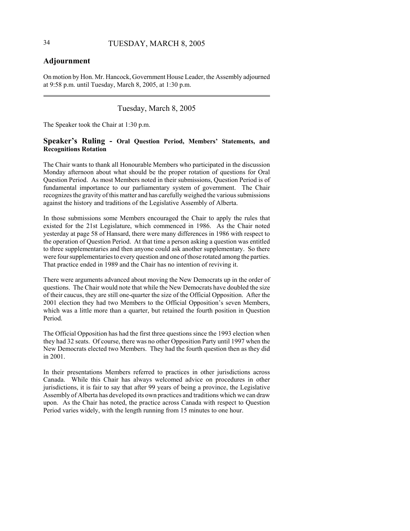# **Adjournment**

On motion by Hon. Mr. Hancock, Government House Leader, the Assembly adjourned at 9:58 p.m. until Tuesday, March 8, 2005, at 1:30 p.m.

# Tuesday, March 8, 2005

The Speaker took the Chair at 1:30 p.m.

### **Speaker's Ruling - Oral Question Period, Members' Statements, and Recognitions Rotation**

The Chair wants to thank all Honourable Members who participated in the discussion Monday afternoon about what should be the proper rotation of questions for Oral Question Period. As most Members noted in their submissions, Question Period is of fundamental importance to our parliamentary system of government. The Chair recognizes the gravity of this matter and has carefully weighed the various submissions against the history and traditions of the Legislative Assembly of Alberta.

In those submissions some Members encouraged the Chair to apply the rules that existed for the 21st Legislature, which commenced in 1986. As the Chair noted yesterday at page 58 of Hansard, there were many differences in 1986 with respect to the operation of Question Period. At that time a person asking a question was entitled to three supplementaries and then anyone could ask another supplementary. So there were four supplementaries to every question and one of those rotated among the parties. That practice ended in 1989 and the Chair has no intention of reviving it.

There were arguments advanced about moving the New Democrats up in the order of questions. The Chair would note that while the New Democrats have doubled the size of their caucus, they are still one-quarter the size of the Official Opposition. After the 2001 election they had two Members to the Official Opposition's seven Members, which was a little more than a quarter, but retained the fourth position in Question Period.

The Official Opposition has had the first three questions since the 1993 election when they had 32 seats. Of course, there was no other Opposition Party until 1997 when the New Democrats elected two Members. They had the fourth question then as they did in 2001.

In their presentations Members referred to practices in other jurisdictions across Canada. While this Chair has always welcomed advice on procedures in other jurisdictions, it is fair to say that after 99 years of being a province, the Legislative Assembly of Alberta has developed its own practices and traditions which we can draw upon. As the Chair has noted, the practice across Canada with respect to Question Period varies widely, with the length running from 15 minutes to one hour.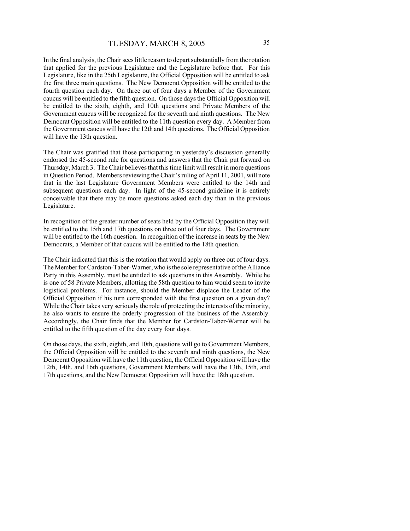In the final analysis, the Chair sees little reason to depart substantially from the rotation that applied for the previous Legislature and the Legislature before that. For this Legislature, like in the 25th Legislature, the Official Opposition will be entitled to ask the first three main questions. The New Democrat Opposition will be entitled to the fourth question each day. On three out of four days a Member of the Government caucus will be entitled to the fifth question. On those days the Official Opposition will be entitled to the sixth, eighth, and 10th questions and Private Members of the Government caucus will be recognized for the seventh and ninth questions. The New Democrat Opposition will be entitled to the 11th question every day. A Member from the Government caucus will have the 12th and 14th questions. The Official Opposition will have the 13th question.

The Chair was gratified that those participating in yesterday's discussion generally endorsed the 45-second rule for questions and answers that the Chair put forward on Thursday, March 3. The Chair believes that this time limit will result in more questions in Question Period. Members reviewing the Chair's ruling of April 11, 2001, will note that in the last Legislature Government Members were entitled to the 14th and subsequent questions each day. In light of the 45-second guideline it is entirely conceivable that there may be more questions asked each day than in the previous Legislature.

In recognition of the greater number of seats held by the Official Opposition they will be entitled to the 15th and 17th questions on three out of four days. The Government will be entitled to the 16th question. In recognition of the increase in seats by the New Democrats, a Member of that caucus will be entitled to the 18th question.

The Chair indicated that this is the rotation that would apply on three out of four days. The Member for Cardston-Taber-Warner, who is the sole representative of the Alliance Party in this Assembly, must be entitled to ask questions in this Assembly. While he is one of 58 Private Members, allotting the 58th question to him would seem to invite logistical problems. For instance, should the Member displace the Leader of the Official Opposition if his turn corresponded with the first question on a given day? While the Chair takes very seriously the role of protecting the interests of the minority, he also wants to ensure the orderly progression of the business of the Assembly. Accordingly, the Chair finds that the Member for Cardston-Taber-Warner will be entitled to the fifth question of the day every four days.

On those days, the sixth, eighth, and 10th, questions will go to Government Members, the Official Opposition will be entitled to the seventh and ninth questions, the New Democrat Opposition will have the 11th question, the Official Opposition will have the 12th, 14th, and 16th questions, Government Members will have the 13th, 15th, and 17th questions, and the New Democrat Opposition will have the 18th question.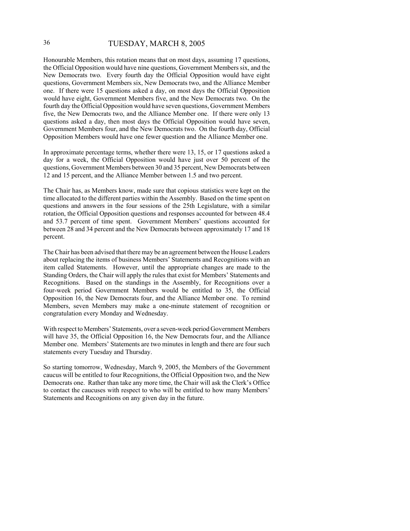# 36 TUESDAY, MARCH 8, 2005

Honourable Members, this rotation means that on most days, assuming 17 questions, the Official Opposition would have nine questions, Government Members six, and the New Democrats two. Every fourth day the Official Opposition would have eight questions, Government Members six, New Democrats two, and the Alliance Member one. If there were 15 questions asked a day, on most days the Official Opposition would have eight, Government Members five, and the New Democrats two. On the fourth day the Official Opposition would have seven questions, Government Members five, the New Democrats two, and the Alliance Member one. If there were only 13 questions asked a day, then most days the Official Opposition would have seven, Government Members four, and the New Democrats two. On the fourth day, Official Opposition Members would have one fewer question and the Alliance Member one.

In approximate percentage terms, whether there were 13, 15, or 17 questions asked a day for a week, the Official Opposition would have just over 50 percent of the questions, Government Members between 30 and 35 percent, New Democrats between 12 and 15 percent, and the Alliance Member between 1.5 and two percent.

The Chair has, as Members know, made sure that copious statistics were kept on the time allocated to the different parties within the Assembly. Based on the time spent on questions and answers in the four sessions of the 25th Legislature, with a similar rotation, the Official Opposition questions and responses accounted for between 48.4 and 53.7 percent of time spent. Government Members' questions accounted for between 28 and 34 percent and the New Democrats between approximately 17 and 18 percent.

The Chair has been advised that there may be an agreement between the House Leaders about replacing the items of business Members' Statements and Recognitions with an item called Statements. However, until the appropriate changes are made to the Standing Orders, the Chair will apply the rules that exist for Members' Statements and Recognitions. Based on the standings in the Assembly, for Recognitions over a four-week period Government Members would be entitled to 35, the Official Opposition 16, the New Democrats four, and the Alliance Member one. To remind Members, seven Members may make a one-minute statement of recognition or congratulation every Monday and Wednesday.

With respect to Members' Statements, over a seven-week period Government Members will have 35, the Official Opposition 16, the New Democrats four, and the Alliance Member one. Members' Statements are two minutes in length and there are four such statements every Tuesday and Thursday.

So starting tomorrow, Wednesday, March 9, 2005, the Members of the Government caucus will be entitled to four Recognitions, the Official Opposition two, and the New Democrats one. Rather than take any more time, the Chair will ask the Clerk's Office to contact the caucuses with respect to who will be entitled to how many Members' Statements and Recognitions on any given day in the future.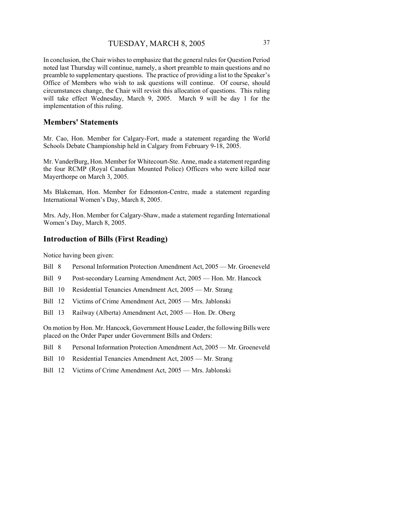In conclusion, the Chair wishes to emphasize that the general rules for Question Period noted last Thursday will continue, namely, a short preamble to main questions and no preamble to supplementary questions. The practice of providing a list to the Speaker's Office of Members who wish to ask questions will continue. Of course, should circumstances change, the Chair will revisit this allocation of questions. This ruling will take effect Wednesday, March 9, 2005. March 9 will be day 1 for the implementation of this ruling.

### **Members' Statements**

Mr. Cao, Hon. Member for Calgary-Fort, made a statement regarding the World Schools Debate Championship held in Calgary from February 9-18, 2005.

Mr. VanderBurg, Hon. Member for Whitecourt-Ste. Anne, made a statement regarding the four RCMP (Royal Canadian Mounted Police) Officers who were killed near Mayerthorpe on March 3, 2005.

Ms Blakeman, Hon. Member for Edmonton-Centre, made a statement regarding International Women's Day, March 8, 2005.

Mrs. Ady, Hon. Member for Calgary-Shaw, made a statement regarding International Women's Day, March 8, 2005.

# **Introduction of Bills (First Reading)**

Notice having been given:

- Bill 8 Personal Information Protection Amendment Act, 2005 Mr. Groeneveld
- Bill 9 Post-secondary Learning Amendment Act, 2005 Hon. Mr. Hancock
- Bill 10 Residential Tenancies Amendment Act, 2005 Mr. Strang
- Bill 12 Victims of Crime Amendment Act, 2005 Mrs. Jablonski
- Bill 13 Railway (Alberta) Amendment Act, 2005 Hon. Dr. Oberg

On motion by Hon. Mr. Hancock, Government House Leader, the following Bills were placed on the Order Paper under Government Bills and Orders:

- Bill 8 Personal Information Protection Amendment Act, 2005 Mr. Groeneveld
- Bill 10 Residential Tenancies Amendment Act, 2005 Mr. Strang
- Bill 12 Victims of Crime Amendment Act, 2005 Mrs. Jablonski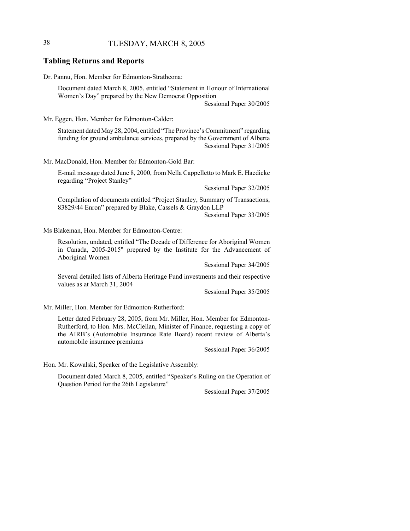# 38 TUESDAY, MARCH 8, 2005

### **Tabling Returns and Reports**

Dr. Pannu, Hon. Member for Edmonton-Strathcona:

Document dated March 8, 2005, entitled "Statement in Honour of International Women's Day" prepared by the New Democrat Opposition

Sessional Paper 30/2005

Mr. Eggen, Hon. Member for Edmonton-Calder:

Statement dated May 28, 2004, entitled "The Province's Commitment" regarding funding for ground ambulance services, prepared by the Government of Alberta Sessional Paper 31/2005

Mr. MacDonald, Hon. Member for Edmonton-Gold Bar:

E-mail message dated June 8, 2000, from Nella Cappelletto to Mark E. Haedicke regarding "Project Stanley"

Sessional Paper 32/2005

Compilation of documents entitled "Project Stanley, Summary of Transactions, 83829/44 Enron" prepared by Blake, Cassels & Graydon LLP

Sessional Paper 33/2005

Ms Blakeman, Hon. Member for Edmonton-Centre:

Resolution, undated, entitled "The Decade of Difference for Aboriginal Women in Canada, 2005-2015" prepared by the Institute for the Advancement of Aboriginal Women

Sessional Paper 34/2005

Several detailed lists of Alberta Heritage Fund investments and their respective values as at March 31, 2004

Sessional Paper 35/2005

Mr. Miller, Hon. Member for Edmonton-Rutherford:

Letter dated February 28, 2005, from Mr. Miller, Hon. Member for Edmonton-Rutherford, to Hon. Mrs. McClellan, Minister of Finance, requesting a copy of the AIRB's (Automobile Insurance Rate Board) recent review of Alberta's automobile insurance premiums

Sessional Paper 36/2005

Hon. Mr. Kowalski, Speaker of the Legislative Assembly:

Document dated March 8, 2005, entitled "Speaker's Ruling on the Operation of Question Period for the 26th Legislature"

Sessional Paper 37/2005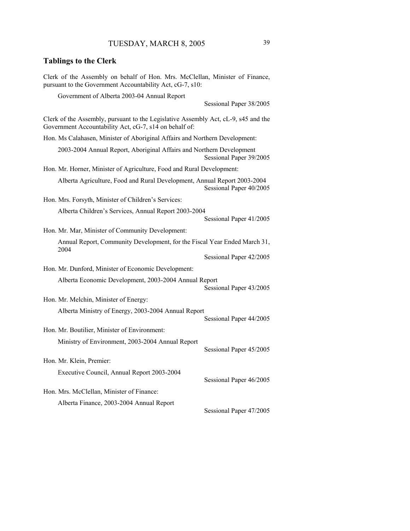# **Tablings to the Clerk** Clerk of the Assembly on behalf of Hon. Mrs. McClellan, Minister of Finance, pursuant to the Government Accountability Act, cG-7, s10: Government of Alberta 2003-04 Annual Report Sessional Paper 38/2005 Clerk of the Assembly, pursuant to the Legislative Assembly Act, cL-9, s45 and the Government Accountability Act, cG-7, s14 on behalf of: Hon. Ms Calahasen, Minister of Aboriginal Affairs and Northern Development: 2003-2004 Annual Report, Aboriginal Affairs and Northern Development Sessional Paper 39/2005 Hon. Mr. Horner, Minister of Agriculture, Food and Rural Development: Alberta Agriculture, Food and Rural Development, Annual Report 2003-2004 Sessional Paper 40/2005 Hon. Mrs. Forsyth, Minister of Children's Services: Alberta Children's Services, Annual Report 2003-2004 Sessional Paper 41/2005 Hon. Mr. Mar, Minister of Community Development: Annual Report, Community Development, for the Fiscal Year Ended March 31, 2004 Sessional Paper 42/2005 Hon. Mr. Dunford, Minister of Economic Development: Alberta Economic Development, 2003-2004 Annual Report Sessional Paper 43/2005 Hon. Mr. Melchin, Minister of Energy: Alberta Ministry of Energy, 2003-2004 Annual Report Sessional Paper 44/2005 Hon. Mr. Boutilier, Minister of Environment: Ministry of Environment, 2003-2004 Annual Report Sessional Paper 45/2005 Hon. Mr. Klein, Premier: Executive Council, Annual Report 2003-2004 Sessional Paper 46/2005 Hon. Mrs. McClellan, Minister of Finance: Alberta Finance, 2003-2004 Annual Report

Sessional Paper 47/2005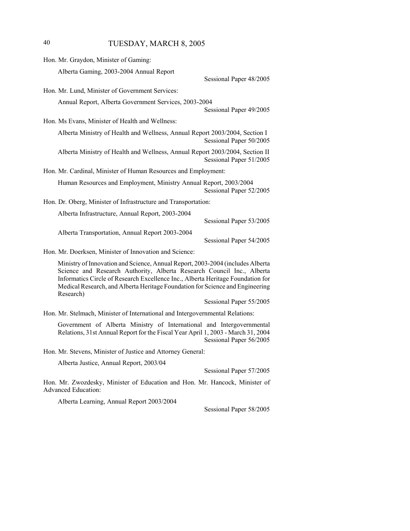# 40 TUESDAY, MARCH 8, 2005

| Hon. Mr. Graydon, Minister of Gaming:                                                                   |  |
|---------------------------------------------------------------------------------------------------------|--|
| Alberta Gaming, 2003-2004 Annual Report                                                                 |  |
| Sessional Paper 48/2005                                                                                 |  |
| Hon. Mr. Lund, Minister of Government Services:                                                         |  |
| Annual Report, Alberta Government Services, 2003-2004<br>Sessional Paper 49/2005                        |  |
| Hon. Ms Evans, Minister of Health and Wellness:                                                         |  |
| Alberta Ministry of Health and Wellness, Annual Report 2003/2004, Section I<br>Sessional Paper 50/2005  |  |
| Alberta Ministry of Health and Wellness, Annual Report 2003/2004, Section II<br>Sessional Paper 51/2005 |  |
| Hon. Mr. Cardinal, Minister of Human Resources and Employment:                                          |  |
| Human Resources and Employment, Ministry Annual Report, 2003/2004<br>Sessional Paper 52/2005            |  |
| Hon. Dr. Oberg, Minister of Infrastructure and Transportation:                                          |  |
| Alberta Infrastructure, Annual Report, 2003-2004                                                        |  |
| Sessional Paper 53/2005                                                                                 |  |
| Alberta Transportation, Annual Report 2003-2004<br>Sessional Paper 54/2005                              |  |
| Hon. Mr. Doerksen, Minister of Innovation and Science:                                                  |  |
| Minister of Innovation and Coisness, Annual Denort, 2002, 2004 (includes Alberto                        |  |

Ministry of Innovation and Science, Annual Report, 2003-2004 (includes Alberta Science and Research Authority, Alberta Research Council Inc., Alberta Informatics Circle of Research Excellence Inc., Alberta Heritage Foundation for Medical Research, and Alberta Heritage Foundation for Science and Engineering Research)

Sessional Paper 55/2005

Hon. Mr. Stelmach, Minister of International and Intergovernmental Relations:

Government of Alberta Ministry of International and Intergovernmental Relations, 31st Annual Report for the Fiscal Year April 1, 2003 - March 31, 2004 Sessional Paper 56/2005

Hon. Mr. Stevens, Minister of Justice and Attorney General:

Alberta Justice, Annual Report, 2003/04

Sessional Paper 57/2005

Hon. Mr. Zwozdesky, Minister of Education and Hon. Mr. Hancock, Minister of Advanced Education:

Alberta Learning, Annual Report 2003/2004

Sessional Paper 58/2005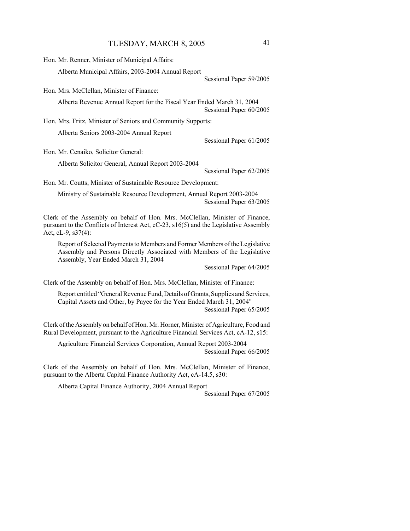| Hon. Mr. Renner, Minister of Municipal Affairs:                                                                                                                                                 |                         |
|-------------------------------------------------------------------------------------------------------------------------------------------------------------------------------------------------|-------------------------|
| Alberta Municipal Affairs, 2003-2004 Annual Report                                                                                                                                              |                         |
|                                                                                                                                                                                                 | Sessional Paper 59/2005 |
| Hon. Mrs. McClellan, Minister of Finance:                                                                                                                                                       |                         |
| Alberta Revenue Annual Report for the Fiscal Year Ended March 31, 2004                                                                                                                          | Sessional Paper 60/2005 |
| Hon. Mrs. Fritz, Minister of Seniors and Community Supports:                                                                                                                                    |                         |
| Alberta Seniors 2003-2004 Annual Report                                                                                                                                                         |                         |
|                                                                                                                                                                                                 | Sessional Paper 61/2005 |
| Hon. Mr. Cenaiko, Solicitor General:                                                                                                                                                            |                         |
| Alberta Solicitor General, Annual Report 2003-2004                                                                                                                                              |                         |
|                                                                                                                                                                                                 | Sessional Paper 62/2005 |
| Hon. Mr. Coutts, Minister of Sustainable Resource Development:                                                                                                                                  |                         |
| Ministry of Sustainable Resource Development, Annual Report 2003-2004                                                                                                                           | Sessional Paper 63/2005 |
| Clerk of the Assembly on behalf of Hon. Mrs. McClellan, Minister of Finance,<br>pursuant to the Conflicts of Interest Act, cC-23, s16(5) and the Legislative Assembly<br>Act, cL-9, s37(4):     |                         |
| Report of Selected Payments to Members and Former Members of the Legislative<br>Assembly and Persons Directly Associated with Members of the Legislative<br>Assembly, Year Ended March 31, 2004 |                         |
|                                                                                                                                                                                                 | Sessional Paper 64/2005 |
| Clerk of the Assembly on behalf of Hon. Mrs. McClellan, Minister of Finance:                                                                                                                    |                         |
| Report entitled "General Revenue Fund, Details of Grants, Supplies and Services,<br>Capital Assets and Other, by Payee for the Year Ended March 31, 2004"<br>Sessional Paper 65/2005            |                         |
| Clerk of the Assembly on behalf of Hon. Mr. Horner, Minister of Agriculture, Food and<br>Rural Development, pursuant to the Agriculture Financial Services Act, cA-12, s15:                     |                         |
| Agriculture Financial Services Corporation, Annual Report 2003-2004                                                                                                                             | Sessional Paper 66/2005 |

Clerk of the Assembly on behalf of Hon. Mrs. McClellan, Minister of Finance, pursuant to the Alberta Capital Finance Authority Act, cA-14.5, s30:

Alberta Capital Finance Authority, 2004 Annual Report

Sessional Paper 67/2005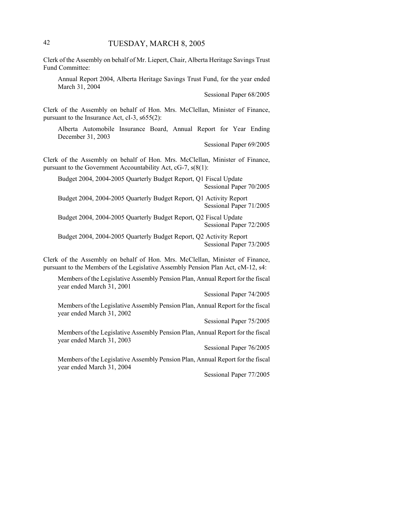Clerk of the Assembly on behalf of Mr. Liepert, Chair, Alberta Heritage Savings Trust Fund Committee:

Annual Report 2004, Alberta Heritage Savings Trust Fund, for the year ended March 31, 2004

Sessional Paper 68/2005

Clerk of the Assembly on behalf of Hon. Mrs. McClellan, Minister of Finance, pursuant to the Insurance Act, cI-3, s655(2):

Alberta Automobile Insurance Board, Annual Report for Year Ending December 31, 2003

Sessional Paper 69/2005

Clerk of the Assembly on behalf of Hon. Mrs. McClellan, Minister of Finance, pursuant to the Government Accountability Act, cG-7, s(8(1):

Budget 2004, 2004-2005 Quarterly Budget Report, Q1 Fiscal Update Sessional Paper 70/2005

Budget 2004, 2004-2005 Quarterly Budget Report, Q1 Activity Report Sessional Paper 71/2005

Budget 2004, 2004-2005 Quarterly Budget Report, Q2 Fiscal Update Sessional Paper 72/2005

Budget 2004, 2004-2005 Quarterly Budget Report, Q2 Activity Report Sessional Paper 73/2005

Clerk of the Assembly on behalf of Hon. Mrs. McClellan, Minister of Finance, pursuant to the Members of the Legislative Assembly Pension Plan Act, cM-12, s4:

Members of the Legislative Assembly Pension Plan, Annual Report for the fiscal year ended March 31, 2001

Sessional Paper 74/2005

Members of the Legislative Assembly Pension Plan, Annual Report for the fiscal year ended March 31, 2002

Sessional Paper 75/2005

Members of the Legislative Assembly Pension Plan, Annual Report for the fiscal year ended March 31, 2003

Sessional Paper 76/2005

Members of the Legislative Assembly Pension Plan, Annual Report for the fiscal year ended March 31, 2004

Sessional Paper 77/2005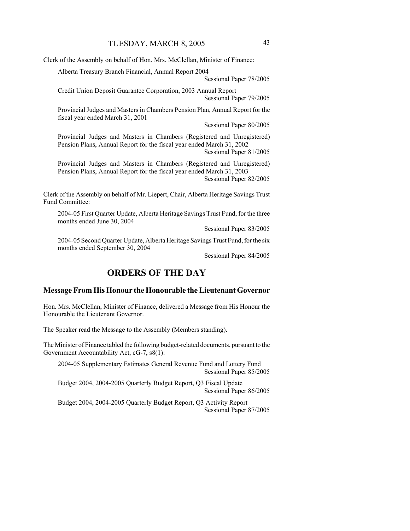Clerk of the Assembly on behalf of Hon. Mrs. McClellan, Minister of Finance:

Alberta Treasury Branch Financial, Annual Report 2004

#### Sessional Paper 78/2005

Credit Union Deposit Guarantee Corporation, 2003 Annual Report Sessional Paper 79/2005

Provincial Judges and Masters in Chambers Pension Plan, Annual Report for the fiscal year ended March 31, 2001

Sessional Paper 80/2005

Provincial Judges and Masters in Chambers (Registered and Unregistered) Pension Plans, Annual Report for the fiscal year ended March 31, 2002 Sessional Paper 81/2005

Provincial Judges and Masters in Chambers (Registered and Unregistered) Pension Plans, Annual Report for the fiscal year ended March 31, 2003 Sessional Paper 82/2005

Clerk of the Assembly on behalf of Mr. Liepert, Chair, Alberta Heritage Savings Trust Fund Committee:

2004-05 First Quarter Update, Alberta Heritage Savings Trust Fund, for the three months ended June 30, 2004

Sessional Paper 83/2005

2004-05 Second Quarter Update, Alberta Heritage Savings Trust Fund, for the six months ended September 30, 2004

Sessional Paper 84/2005

# **ORDERS OF THE DAY**

### **Message From His Honour the Honourable the Lieutenant Governor**

Hon. Mrs. McClellan, Minister of Finance, delivered a Message from His Honour the Honourable the Lieutenant Governor.

The Speaker read the Message to the Assembly (Members standing).

The Minister of Finance tabled the following budget-related documents, pursuant to the Government Accountability Act, cG-7, s8(1):

2004-05 Supplementary Estimates General Revenue Fund and Lottery Fund Sessional Paper 85/2005

Budget 2004, 2004-2005 Quarterly Budget Report, Q3 Fiscal Update Sessional Paper 86/2005

Budget 2004, 2004-2005 Quarterly Budget Report, Q3 Activity Report Sessional Paper 87/2005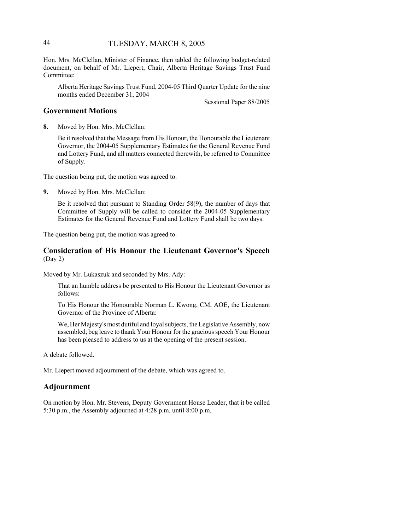# 44 TUESDAY, MARCH 8, 2005

Hon. Mrs. McClellan, Minister of Finance, then tabled the following budget-related document, on behalf of Mr. Liepert, Chair, Alberta Heritage Savings Trust Fund Committee:

Alberta Heritage Savings Trust Fund, 2004-05 Third Quarter Update for the nine months ended December 31, 2004

Sessional Paper 88/2005

### **Government Motions**

**8.** Moved by Hon. Mrs. McClellan:

Be it resolved that the Message from His Honour, the Honourable the Lieutenant Governor, the 2004-05 Supplementary Estimates for the General Revenue Fund and Lottery Fund, and all matters connected therewith, be referred to Committee of Supply.

The question being put, the motion was agreed to.

**9.** Moved by Hon. Mrs. McClellan:

Be it resolved that pursuant to Standing Order 58(9), the number of days that Committee of Supply will be called to consider the 2004-05 Supplementary Estimates for the General Revenue Fund and Lottery Fund shall be two days.

The question being put, the motion was agreed to.

### **Consideration of His Honour the Lieutenant Governor's Speech** (Day 2)

Moved by Mr. Lukaszuk and seconded by Mrs. Ady:

That an humble address be presented to His Honour the Lieutenant Governor as follows:

To His Honour the Honourable Norman L. Kwong, CM, AOE, the Lieutenant Governor of the Province of Alberta:

We, Her Majesty's most dutiful and loyal subjects, the Legislative Assembly, now assembled, beg leave to thank Your Honour for the gracious speech Your Honour has been pleased to address to us at the opening of the present session.

A debate followed.

Mr. Liepert moved adjournment of the debate, which was agreed to.

# **Adjournment**

On motion by Hon. Mr. Stevens, Deputy Government House Leader, that it be called 5:30 p.m., the Assembly adjourned at 4:28 p.m. until 8:00 p.m.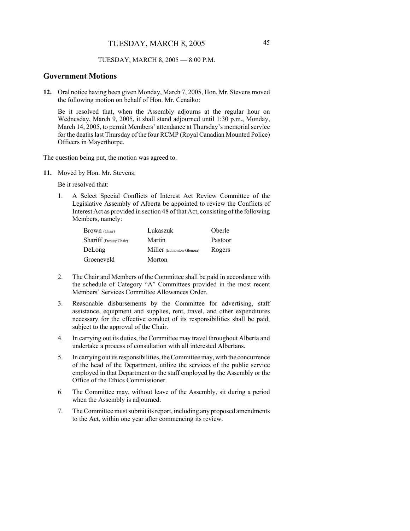#### TUESDAY, MARCH 8, 2005 — 8:00 P.M.

### **Government Motions**

**12.** Oral notice having been given Monday, March 7, 2005, Hon. Mr. Stevens moved the following motion on behalf of Hon. Mr. Cenaiko:

Be it resolved that, when the Assembly adjourns at the regular hour on Wednesday, March 9, 2005, it shall stand adjourned until 1:30 p.m., Monday, March 14, 2005, to permit Members' attendance at Thursday's memorial service for the deaths last Thursday of the four RCMP (Royal Canadian Mounted Police) Officers in Mayerthorpe.

The question being put, the motion was agreed to.

**11.** Moved by Hon. Mr. Stevens:

Be it resolved that:

1. A Select Special Conflicts of Interest Act Review Committee of the Legislative Assembly of Alberta be appointed to review the Conflicts of Interest Act as provided in section 48 of that Act, consisting of the following Members, namely:

| Brown (Chair)          | Lukaszuk                  | Oberle  |
|------------------------|---------------------------|---------|
| Shariff (Deputy Chair) | Martin                    | Pastoor |
| DeLong                 | Miller (Edmonton-Glenora) | Rogers  |
| Groeneveld             | Morton                    |         |

- 2. The Chair and Members of the Committee shall be paid in accordance with the schedule of Category "A" Committees provided in the most recent Members' Services Committee Allowances Order.
- 3. Reasonable disbursements by the Committee for advertising, staff assistance, equipment and supplies, rent, travel, and other expenditures necessary for the effective conduct of its responsibilities shall be paid, subject to the approval of the Chair.
- 4. In carrying out its duties, the Committee may travel throughout Alberta and undertake a process of consultation with all interested Albertans.
- 5. In carrying out its responsibilities, the Committee may, with the concurrence of the head of the Department, utilize the services of the public service employed in that Department or the staff employed by the Assembly or the Office of the Ethics Commissioner.
- 6. The Committee may, without leave of the Assembly, sit during a period when the Assembly is adjourned.
- 7. The Committee must submit its report, including any proposed amendments to the Act, within one year after commencing its review.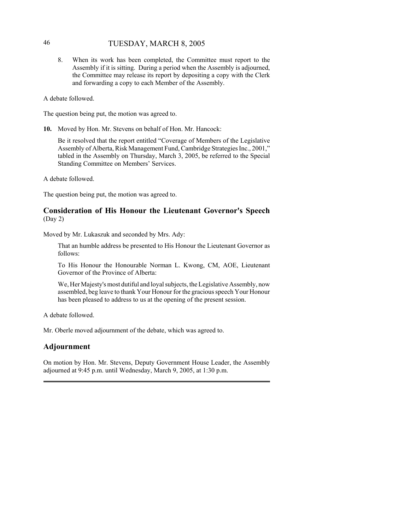# 46 TUESDAY, MARCH 8, 2005

8. When its work has been completed, the Committee must report to the Assembly if it is sitting. During a period when the Assembly is adjourned, the Committee may release its report by depositing a copy with the Clerk and forwarding a copy to each Member of the Assembly.

A debate followed.

The question being put, the motion was agreed to.

**10.** Moved by Hon. Mr. Stevens on behalf of Hon. Mr. Hancock:

Be it resolved that the report entitled "Coverage of Members of the Legislative Assembly of Alberta, Risk Management Fund, Cambridge Strategies Inc., 2001," tabled in the Assembly on Thursday, March 3, 2005, be referred to the Special Standing Committee on Members' Services.

A debate followed.

The question being put, the motion was agreed to.

# **Consideration of His Honour the Lieutenant Governor's Speech** (Day 2)

Moved by Mr. Lukaszuk and seconded by Mrs. Ady:

That an humble address be presented to His Honour the Lieutenant Governor as follows:

To His Honour the Honourable Norman L. Kwong, CM, AOE, Lieutenant Governor of the Province of Alberta:

We, Her Majesty's most dutiful and loyal subjects, the Legislative Assembly, now assembled, beg leave to thank Your Honour for the gracious speech Your Honour has been pleased to address to us at the opening of the present session.

A debate followed.

Mr. Oberle moved adjournment of the debate, which was agreed to.

### **Adjournment**

On motion by Hon. Mr. Stevens, Deputy Government House Leader, the Assembly adjourned at 9:45 p.m. until Wednesday, March 9, 2005, at 1:30 p.m.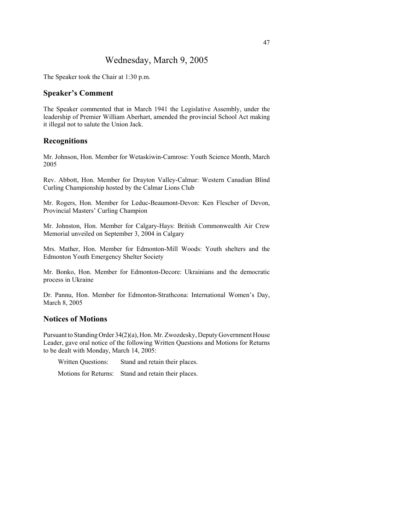# Wednesday, March 9, 2005

The Speaker took the Chair at 1:30 p.m.

### **Speaker's Comment**

The Speaker commented that in March 1941 the Legislative Assembly, under the leadership of Premier William Aberhart, amended the provincial School Act making it illegal not to salute the Union Jack.

### **Recognitions**

Mr. Johnson, Hon. Member for Wetaskiwin-Camrose: Youth Science Month, March 2005

Rev. Abbott, Hon. Member for Drayton Valley-Calmar: Western Canadian Blind Curling Championship hosted by the Calmar Lions Club

Mr. Rogers, Hon. Member for Leduc-Beaumont-Devon: Ken Flescher of Devon, Provincial Masters' Curling Champion

Mr. Johnston, Hon. Member for Calgary-Hays: British Commonwealth Air Crew Memorial unveiled on September 3, 2004 in Calgary

Mrs. Mather, Hon. Member for Edmonton-Mill Woods: Youth shelters and the Edmonton Youth Emergency Shelter Society

Mr. Bonko, Hon. Member for Edmonton-Decore: Ukrainians and the democratic process in Ukraine

Dr. Pannu, Hon. Member for Edmonton-Strathcona: International Women's Day, March 8, 2005

### **Notices of Motions**

Pursuant to Standing Order 34(2)(a), Hon. Mr. Zwozdesky, Deputy Government House Leader, gave oral notice of the following Written Questions and Motions for Returns to be dealt with Monday, March 14, 2005:

Written Questions: Stand and retain their places.

Motions for Returns: Stand and retain their places.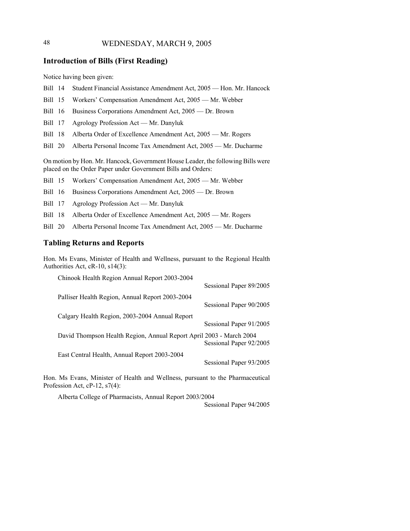# 48 WEDNESDAY, MARCH 9, 2005

# **Introduction of Bills (First Reading)**

Notice having been given:

- Bill 14 Student Financial Assistance Amendment Act, 2005 Hon. Mr. Hancock
- Bill 15 Workers' Compensation Amendment Act, 2005 Mr. Webber
- Bill 16 Business Corporations Amendment Act, 2005 Dr. Brown
- Bill 17 Agrology Profession Act Mr. Danyluk
- Bill 18 Alberta Order of Excellence Amendment Act, 2005 Mr. Rogers
- Bill 20 Alberta Personal Income Tax Amendment Act, 2005 Mr. Ducharme

On motion by Hon. Mr. Hancock, Government House Leader, the following Bills were placed on the Order Paper under Government Bills and Orders:

- Bill 15 Workers' Compensation Amendment Act, 2005 Mr. Webber
- Bill 16 Business Corporations Amendment Act, 2005 Dr. Brown
- Bill 17 Agrology Profession Act Mr. Danyluk
- Bill 18 Alberta Order of Excellence Amendment Act, 2005 Mr. Rogers
- Bill 20 Alberta Personal Income Tax Amendment Act, 2005 Mr. Ducharme

# **Tabling Returns and Reports**

Hon. Ms Evans, Minister of Health and Wellness, pursuant to the Regional Health Authorities Act, cR-10, s14(3):

| Chinook Health Region Annual Report 2003-2004                       |                         |
|---------------------------------------------------------------------|-------------------------|
|                                                                     | Sessional Paper 89/2005 |
| Palliser Health Region, Annual Report 2003-2004                     |                         |
|                                                                     | Sessional Paper 90/2005 |
| Calgary Health Region, 2003-2004 Annual Report                      |                         |
|                                                                     | Sessional Paper 91/2005 |
| David Thompson Health Region, Annual Report April 2003 - March 2004 |                         |
|                                                                     | Sessional Paper 92/2005 |
| East Central Health, Annual Report 2003-2004                        |                         |
|                                                                     | Sessional Paper 93/2005 |
|                                                                     |                         |

Hon. Ms Evans, Minister of Health and Wellness, pursuant to the Pharmaceutical Profession Act, cP-12, s7(4):

Alberta College of Pharmacists, Annual Report 2003/2004

Sessional Paper 94/2005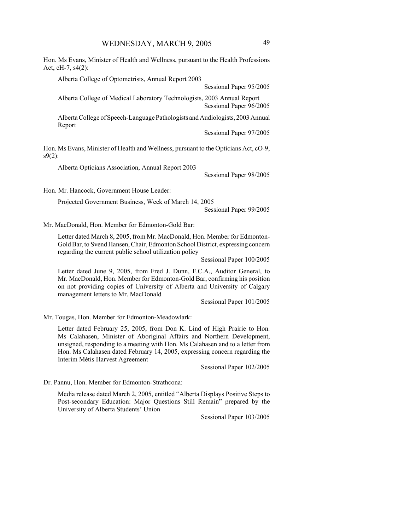Hon. Ms Evans, Minister of Health and Wellness, pursuant to the Health Professions Act, cH-7, s4(2):

Alberta College of Optometrists, Annual Report 2003

Sessional Paper 95/2005

Alberta College of Medical Laboratory Technologists, 2003 Annual Report Sessional Paper 96/2005

Alberta College of Speech-Language Pathologists and Audiologists, 2003 Annual Report

Sessional Paper 97/2005

Hon. Ms Evans, Minister of Health and Wellness, pursuant to the Opticians Act, cO-9,  $s9(2)$ :

Alberta Opticians Association, Annual Report 2003

Sessional Paper 98/2005

Hon. Mr. Hancock, Government House Leader:

Projected Government Business, Week of March 14, 2005

Sessional Paper 99/2005

Mr. MacDonald, Hon. Member for Edmonton-Gold Bar:

Letter dated March 8, 2005, from Mr. MacDonald, Hon. Member for Edmonton-Gold Bar, to Svend Hansen, Chair, Edmonton School District, expressing concern regarding the current public school utilization policy

Sessional Paper 100/2005

Letter dated June 9, 2005, from Fred J. Dunn, F.C.A., Auditor General, to Mr. MacDonald, Hon. Member for Edmonton-Gold Bar, confirming his position on not providing copies of University of Alberta and University of Calgary management letters to Mr. MacDonald

Sessional Paper 101/2005

Mr. Tougas, Hon. Member for Edmonton-Meadowlark:

Letter dated February 25, 2005, from Don K. Lind of High Prairie to Hon. Ms Calahasen, Minister of Aboriginal Affairs and Northern Development, unsigned, responding to a meeting with Hon. Ms Calahasen and to a letter from Hon. Ms Calahasen dated February 14, 2005, expressing concern regarding the Interim Métis Harvest Agreement

Sessional Paper 102/2005

Dr. Pannu, Hon. Member for Edmonton-Strathcona:

Media release dated March 2, 2005, entitled "Alberta Displays Positive Steps to Post-secondary Education: Major Questions Still Remain" prepared by the University of Alberta Students' Union

Sessional Paper 103/2005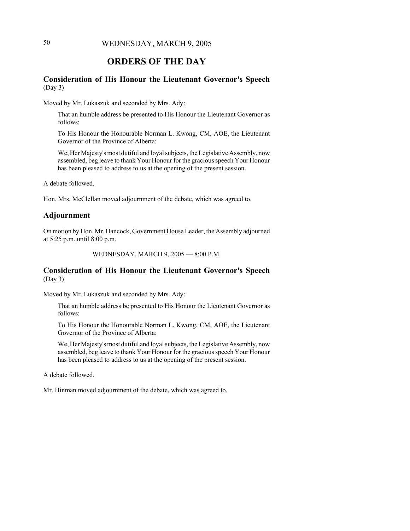# 50 WEDNESDAY, MARCH 9, 2005

# **ORDERS OF THE DAY**

# **Consideration of His Honour the Lieutenant Governor's Speech** (Day 3)

Moved by Mr. Lukaszuk and seconded by Mrs. Ady:

That an humble address be presented to His Honour the Lieutenant Governor as follows:

To His Honour the Honourable Norman L. Kwong, CM, AOE, the Lieutenant Governor of the Province of Alberta:

We, Her Majesty's most dutiful and loyal subjects, the Legislative Assembly, now assembled, beg leave to thank Your Honour for the gracious speech Your Honour has been pleased to address to us at the opening of the present session.

A debate followed.

Hon. Mrs. McClellan moved adjournment of the debate, which was agreed to.

### **Adjournment**

On motion by Hon. Mr. Hancock, Government House Leader, the Assembly adjourned at 5:25 p.m. until 8:00 p.m.

WEDNESDAY, MARCH 9, 2005 — 8:00 P.M.

# **Consideration of His Honour the Lieutenant Governor's Speech** (Day 3)

Moved by Mr. Lukaszuk and seconded by Mrs. Ady:

That an humble address be presented to His Honour the Lieutenant Governor as follows:

To His Honour the Honourable Norman L. Kwong, CM, AOE, the Lieutenant Governor of the Province of Alberta:

We, Her Majesty's most dutiful and loyal subjects, the Legislative Assembly, now assembled, beg leave to thank Your Honour for the gracious speech Your Honour has been pleased to address to us at the opening of the present session.

A debate followed.

Mr. Hinman moved adjournment of the debate, which was agreed to.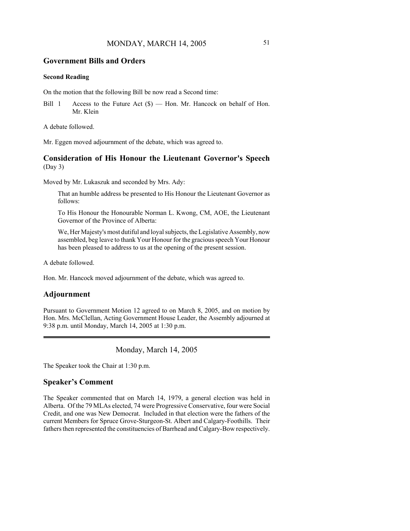### **Government Bills and Orders**

### **Second Reading**

On the motion that the following Bill be now read a Second time:

Bill 1 Access to the Future Act  $(\$)$  — Hon. Mr. Hancock on behalf of Hon. Mr. Klein

A debate followed.

Mr. Eggen moved adjournment of the debate, which was agreed to.

# **Consideration of His Honour the Lieutenant Governor's Speech** (Day 3)

Moved by Mr. Lukaszuk and seconded by Mrs. Ady:

That an humble address be presented to His Honour the Lieutenant Governor as follows:

To His Honour the Honourable Norman L. Kwong, CM, AOE, the Lieutenant Governor of the Province of Alberta:

We, Her Majesty's most dutiful and loyal subjects, the Legislative Assembly, now assembled, beg leave to thank Your Honour for the gracious speech Your Honour has been pleased to address to us at the opening of the present session.

A debate followed.

Hon. Mr. Hancock moved adjournment of the debate, which was agreed to.

# **Adjournment**

Pursuant to Government Motion 12 agreed to on March 8, 2005, and on motion by Hon. Mrs. McClellan, Acting Government House Leader, the Assembly adjourned at 9:38 p.m. until Monday, March 14, 2005 at 1:30 p.m.

Monday, March 14, 2005

The Speaker took the Chair at 1:30 p.m.

### **Speaker's Comment**

The Speaker commented that on March 14, 1979, a general election was held in Alberta. Of the 79 MLAs elected, 74 were Progressive Conservative, four were Social Credit, and one was New Democrat. Included in that election were the fathers of the current Members for Spruce Grove-Sturgeon-St. Albert and Calgary-Foothills. Their fathers then represented the constituencies of Barrhead and Calgary-Bow respectively.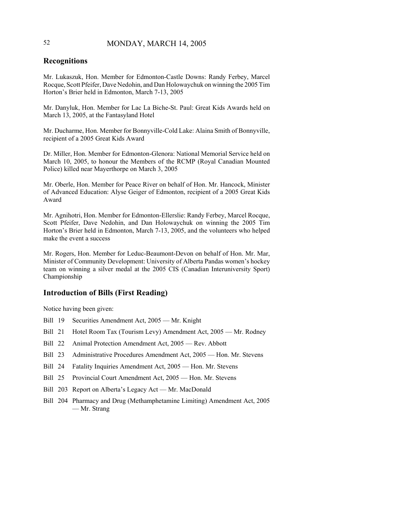# 52 MONDAY, MARCH 14, 2005

# **Recognitions**

Mr. Lukaszuk, Hon. Member for Edmonton-Castle Downs: Randy Ferbey, Marcel Rocque, Scott Pfeifer, Dave Nedohin, and Dan Holowaychuk on winning the 2005 Tim Horton's Brier held in Edmonton, March 7-13, 2005

Mr. Danyluk, Hon. Member for Lac La Biche-St. Paul: Great Kids Awards held on March 13, 2005, at the Fantasyland Hotel

Mr. Ducharme, Hon. Member for Bonnyville-Cold Lake: Alaina Smith of Bonnyville, recipient of a 2005 Great Kids Award

Dr. Miller, Hon. Member for Edmonton-Glenora: National Memorial Service held on March 10, 2005, to honour the Members of the RCMP (Royal Canadian Mounted Police) killed near Mayerthorpe on March 3, 2005

Mr. Oberle, Hon. Member for Peace River on behalf of Hon. Mr. Hancock, Minister of Advanced Education: Alyse Geiger of Edmonton, recipient of a 2005 Great Kids Award

Mr. Agnihotri, Hon. Member for Edmonton-Ellerslie: Randy Ferbey, Marcel Rocque, Scott Pfeifer, Dave Nedohin, and Dan Holowaychuk on winning the 2005 Tim Horton's Brier held in Edmonton, March 7-13, 2005, and the volunteers who helped make the event a success

Mr. Rogers, Hon. Member for Leduc-Beaumont-Devon on behalf of Hon. Mr. Mar, Minister of Community Development: University of Alberta Pandas women's hockey team on winning a silver medal at the 2005 CIS (Canadian Interuniversity Sport) Championship

# **Introduction of Bills (First Reading)**

Notice having been given:

- Bill 19 Securities Amendment Act, 2005 Mr. Knight
- Bill 21 Hotel Room Tax (Tourism Levy) Amendment Act, 2005 Mr. Rodney
- Bill 22 Animal Protection Amendment Act, 2005 Rev. Abbott
- Bill 23 Administrative Procedures Amendment Act, 2005 Hon. Mr. Stevens
- Bill 24 Fatality Inquiries Amendment Act, 2005 Hon. Mr. Stevens
- Bill 25 Provincial Court Amendment Act, 2005 Hon. Mr. Stevens
- Bill 203 Report on Alberta's Legacy Act Mr. MacDonald
- Bill 204 Pharmacy and Drug (Methamphetamine Limiting) Amendment Act, 2005 — Mr. Strang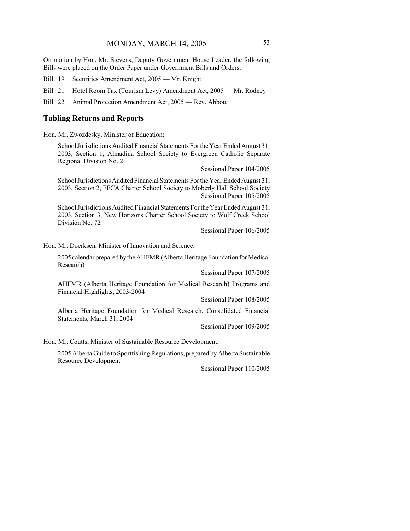On motion by Hon. Mr. Stevens, Deputy Government House Leader, the following Bills were placed on the Order Paper under Government Bills and Orders:

Bill 19 Securities Amendment Act, 2005 — Mr. Knight

Bill 21 Hotel Room Tax (Tourism Levy) Amendment Act, 2005 — Mr. Rodney

Bill 22 Animal Protection Amendment Act, 2005 — Rev. Abbott

### **Tabling Returns and Reports**

Hon. Mr. Zwozdesky, Minister of Education:

School Jurisdictions Audited Financial Statements For the Year Ended August 31, 2003, Section 1, Almadina School Society to Evergreen Catholic Separate Regional Division No. 2

Sessional Paper 104/2005

School Jurisdictions Audited Financial Statements For the Year Ended August 31, 2003, Section 2, FFCA Charter School Society to Moberly Hall School Society Sessional Paper 105/2005

School Jurisdictions Audited Financial Statements For the Year Ended August 31, 2003, Section 3, New Horizons Charter School Society to Wolf Creek School Division No. 72

Sessional Paper 106/2005

Hon. Mr. Doerksen, Minister of Innovation and Science:

2005 calendar prepared by the AHFMR (Alberta Heritage Foundation for Medical Research)

Sessional Paper 107/2005

AHFMR (Alberta Heritage Foundation for Medical Research) Programs and Financial Highlights, 2003-2004

Sessional Paper 108/2005

Alberta Heritage Foundation for Medical Research, Consolidated Financial Statements, March 31, 2004

Sessional Paper 109/2005

Hon. Mr. Coutts, Minister of Sustainable Resource Development:

2005 Alberta Guide to Sportfishing Regulations, prepared by Alberta Sustainable Resource Development

Sessional Paper 110/2005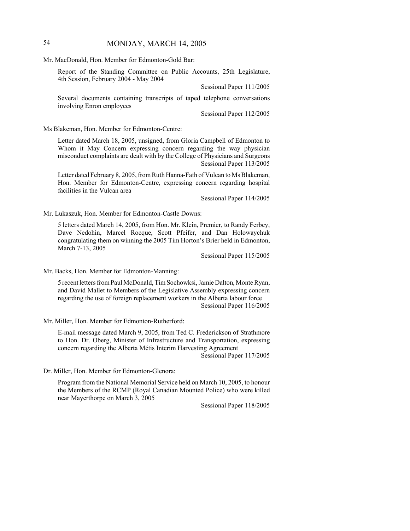# 54 MONDAY, MARCH 14, 2005

Mr. MacDonald, Hon. Member for Edmonton-Gold Bar:

Report of the Standing Committee on Public Accounts, 25th Legislature, 4th Session, February 2004 - May 2004

Sessional Paper 111/2005

Several documents containing transcripts of taped telephone conversations involving Enron employees

Sessional Paper 112/2005

Ms Blakeman, Hon. Member for Edmonton-Centre:

Letter dated March 18, 2005, unsigned, from Gloria Campbell of Edmonton to Whom it May Concern expressing concern regarding the way physician misconduct complaints are dealt with by the College of Physicians and Surgeons Sessional Paper 113/2005

Letter dated February 8, 2005, from Ruth Hanna-Fath of Vulcan to Ms Blakeman, Hon. Member for Edmonton-Centre, expressing concern regarding hospital facilities in the Vulcan area

Sessional Paper 114/2005

Mr. Lukaszuk, Hon. Member for Edmonton-Castle Downs:

5 letters dated March 14, 2005, from Hon. Mr. Klein, Premier, to Randy Ferbey, Dave Nedohin, Marcel Rocque, Scott Pfeifer, and Dan Holowaychuk congratulating them on winning the 2005 Tim Horton's Brier held in Edmonton, March 7-13, 2005

Sessional Paper 115/2005

Mr. Backs, Hon. Member for Edmonton-Manning:

5 recent letters from Paul McDonald, Tim Sochowksi, Jamie Dalton, Monte Ryan, and David Mallet to Members of the Legislative Assembly expressing concern regarding the use of foreign replacement workers in the Alberta labour force Sessional Paper 116/2005

Mr. Miller, Hon. Member for Edmonton-Rutherford:

E-mail message dated March 9, 2005, from Ted C. Frederickson of Strathmore to Hon. Dr. Oberg, Minister of Infrastructure and Transportation, expressing concern regarding the Alberta Métis Interim Harvesting Agreement

Sessional Paper 117/2005

Dr. Miller, Hon. Member for Edmonton-Glenora:

Program from the National Memorial Service held on March 10, 2005, to honour the Members of the RCMP (Royal Canadian Mounted Police) who were killed near Mayerthorpe on March 3, 2005

Sessional Paper 118/2005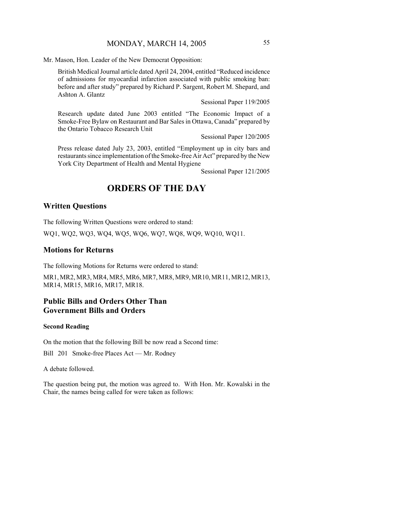Mr. Mason, Hon. Leader of the New Democrat Opposition:

British Medical Journal article dated April 24, 2004, entitled "Reduced incidence of admissions for myocardial infarction associated with public smoking ban: before and after study" prepared by Richard P. Sargent, Robert M. Shepard, and Ashton A. Glantz

Sessional Paper 119/2005

Research update dated June 2003 entitled "The Economic Impact of a Smoke-Free Bylaw on Restaurant and Bar Sales in Ottawa, Canada" prepared by the Ontario Tobacco Research Unit

Sessional Paper 120/2005

Press release dated July 23, 2003, entitled "Employment up in city bars and restaurants since implementation of the Smoke-free Air Act" prepared by the New York City Department of Health and Mental Hygiene

Sessional Paper 121/2005

# **ORDERS OF THE DAY**

### **Written Questions**

The following Written Questions were ordered to stand:

WQ1, WQ2, WQ3, WQ4, WQ5, WQ6, WQ7, WQ8, WQ9, WQ10, WQ11.

### **Motions for Returns**

The following Motions for Returns were ordered to stand:

MR1, MR2, MR3, MR4, MR5, MR6, MR7, MR8, MR9, MR10, MR11, MR12, MR13, MR14, MR15, MR16, MR17, MR18.

# **Public Bills and Orders Other Than Government Bills and Orders**

#### **Second Reading**

On the motion that the following Bill be now read a Second time:

Bill 201 Smoke-free Places Act — Mr. Rodney

A debate followed.

The question being put, the motion was agreed to. With Hon. Mr. Kowalski in the Chair, the names being called for were taken as follows: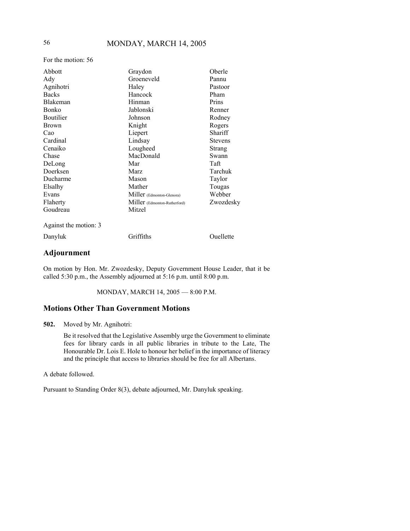For the motion: 56

| Abbott                | Graydon                      | Oberle         |
|-----------------------|------------------------------|----------------|
| Ady                   | Groeneveld                   | Pannu          |
| Agnihotri             | Haley                        | Pastoor        |
| <b>Backs</b>          | Hancock                      | Pham           |
| <b>Blakeman</b>       | Hinman                       | Prins          |
| <b>Bonko</b>          | Jablonski                    | Renner         |
| Boutilier             | Johnson                      | Rodney         |
| <b>Brown</b>          | Knight                       | Rogers         |
| Cao                   | Liepert                      | Shariff        |
| Cardinal              | Lindsay                      | <b>Stevens</b> |
| Cenaiko               | Lougheed                     | Strang         |
| Chase                 | MacDonald                    | Swann          |
| DeLong                | Mar                          | Taft           |
| Doerksen              | Marz                         | Tarchuk        |
| Ducharme              | Mason                        | Taylor         |
| Elsalhy               | Mather                       | Tougas         |
| Evans                 | Miller (Edmonton-Glenora)    | Webber         |
| Flaherty              | Miller (Edmonton-Rutherford) | Zwozdesky      |
| Goudreau              | Mitzel                       |                |
| Against the motion: 3 |                              |                |
| Danyluk               | Griffiths                    | Ouellette      |
|                       |                              |                |

# **Adjournment**

On motion by Hon. Mr. Zwozdesky, Deputy Government House Leader, that it be called 5:30 p.m., the Assembly adjourned at 5:16 p.m. until 8:00 p.m.

MONDAY, MARCH 14, 2005 — 8:00 P.M.

### **Motions Other Than Government Motions**

**502.** Moved by Mr. Agnihotri:

Be it resolved that the Legislative Assembly urge the Government to eliminate fees for library cards in all public libraries in tribute to the Late, The Honourable Dr. Lois E. Hole to honour her belief in the importance of literacy and the principle that access to libraries should be free for all Albertans.

A debate followed.

Pursuant to Standing Order 8(3), debate adjourned, Mr. Danyluk speaking.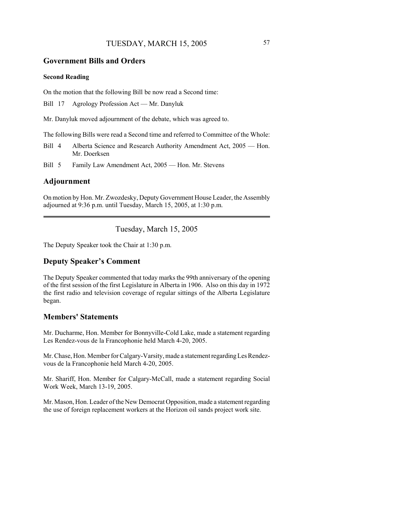# TUESDAY, MARCH 15, 2005 57

### **Government Bills and Orders**

### **Second Reading**

On the motion that the following Bill be now read a Second time:

Bill 17 Agrology Profession Act — Mr. Danyluk

Mr. Danyluk moved adjournment of the debate, which was agreed to.

The following Bills were read a Second time and referred to Committee of the Whole:

- Bill 4 Alberta Science and Research Authority Amendment Act, 2005 Hon. Mr. Doerksen
- Bill 5 Family Law Amendment Act, 2005 Hon. Mr. Stevens

### **Adjournment**

On motion by Hon. Mr. Zwozdesky, Deputy Government House Leader, the Assembly adjourned at 9:36 p.m. until Tuesday, March 15, 2005, at 1:30 p.m.

Tuesday, March 15, 2005

The Deputy Speaker took the Chair at 1:30 p.m.

# **Deputy Speaker's Comment**

The Deputy Speaker commented that today marks the 99th anniversary of the opening of the first session of the first Legislature in Alberta in 1906. Also on this day in 1972 the first radio and television coverage of regular sittings of the Alberta Legislature began.

### **Members' Statements**

Mr. Ducharme, Hon. Member for Bonnyville-Cold Lake, made a statement regarding Les Rendez-vous de la Francophonie held March 4-20, 2005.

Mr. Chase, Hon. Member for Calgary-Varsity, made a statement regarding Les Rendezvous de la Francophonie held March 4-20, 2005.

Mr. Shariff, Hon. Member for Calgary-McCall, made a statement regarding Social Work Week, March 13-19, 2005.

Mr. Mason, Hon. Leader of the New Democrat Opposition, made a statement regarding the use of foreign replacement workers at the Horizon oil sands project work site.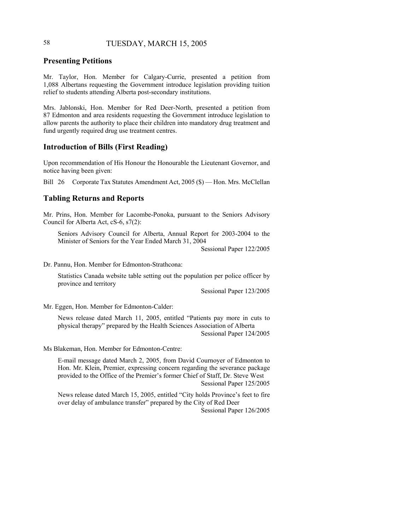# 58 TUESDAY, MARCH 15, 2005

# **Presenting Petitions**

Mr. Taylor, Hon. Member for Calgary-Currie, presented a petition from 1,088 Albertans requesting the Government introduce legislation providing tuition relief to students attending Alberta post-secondary institutions.

Mrs. Jablonski, Hon. Member for Red Deer-North, presented a petition from 87 Edmonton and area residents requesting the Government introduce legislation to allow parents the authority to place their children into mandatory drug treatment and fund urgently required drug use treatment centres.

# **Introduction of Bills (First Reading)**

Upon recommendation of His Honour the Honourable the Lieutenant Governor, and notice having been given:

Bill 26 Corporate Tax Statutes Amendment Act, 2005 (\$) — Hon. Mrs. McClellan

### **Tabling Returns and Reports**

Mr. Prins, Hon. Member for Lacombe-Ponoka, pursuant to the Seniors Advisory Council for Alberta Act, cS-6, s7(2):

Seniors Advisory Council for Alberta, Annual Report for 2003-2004 to the Minister of Seniors for the Year Ended March 31, 2004

Sessional Paper 122/2005

Dr. Pannu, Hon. Member for Edmonton-Strathcona:

Statistics Canada website table setting out the population per police officer by province and territory

Sessional Paper 123/2005

Mr. Eggen, Hon. Member for Edmonton-Calder:

News release dated March 11, 2005, entitled "Patients pay more in cuts to physical therapy" prepared by the Health Sciences Association of Alberta Sessional Paper 124/2005

Ms Blakeman, Hon. Member for Edmonton-Centre:

E-mail message dated March 2, 2005, from David Cournoyer of Edmonton to Hon. Mr. Klein, Premier, expressing concern regarding the severance package provided to the Office of the Premier's former Chief of Staff, Dr. Steve West Sessional Paper 125/2005

News release dated March 15, 2005, entitled "City holds Province's feet to fire over delay of ambulance transfer" prepared by the City of Red Deer Sessional Paper 126/2005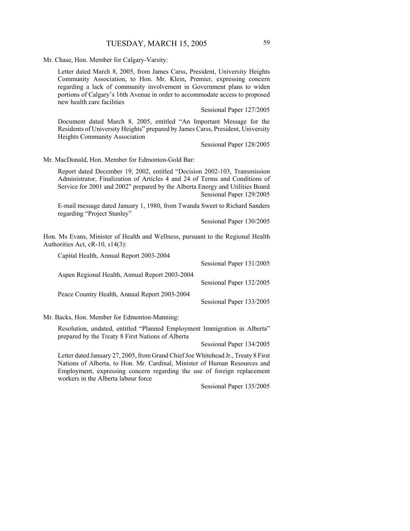Mr. Chase, Hon. Member for Calgary-Varsity:

Letter dated March 8, 2005, from James Carss, President, University Heights Community Association, to Hon. Mr. Klein, Premier, expressing concern regarding a lack of community involvement in Government plans to widen portions of Calgary's 16th Avenue in order to accommodate access to proposed new health care facilities

Sessional Paper 127/2005

Document dated March 8, 2005, entitled "An Important Message for the Residents of University Heights" prepared by James Carss, President, University Heights Community Association

Sessional Paper 128/2005

Mr. MacDonald, Hon. Member for Edmonton-Gold Bar:

Report dated December 19, 2002, entitled "Decision 2002-103, Transmission Administrator, Finalization of Articles 4 and 24 of Terms and Conditions of Service for 2001 and 2002" prepared by the Alberta Energy and Utilities Board Sessional Paper 129/2005

E-mail message dated January 1, 1980, from Twanda Sweet to Richard Sanders regarding "Project Stanley"

Sessional Paper 130/2005

Hon. Ms Evans, Minister of Health and Wellness, pursuant to the Regional Health Authorities Act, cR-10, s14(3):

| Capital Health, Annual Report 2003-2004        |                          |
|------------------------------------------------|--------------------------|
|                                                | Sessional Paper 131/2005 |
| Aspen Regional Health, Annual Report 2003-2004 |                          |
|                                                | Sessional Paper 132/2005 |
| Peace Country Health, Annual Report 2003-2004  |                          |
|                                                | Sessional Paper 133/2005 |

Mr. Backs, Hon. Member for Edmonton-Manning:

Resolution, undated, entitled "Planned Employment Immigration in Alberta" prepared by the Treaty 8 First Nations of Alberta

Sessional Paper 134/2005

Letter dated January 27, 2005, from Grand Chief Joe Whitehead Jr., Treaty 8 First Nations of Alberta, to Hon. Mr. Cardinal, Minister of Human Resources and Employment, expressing concern regarding the use of foreign replacement workers in the Alberta labour force

Sessional Paper 135/2005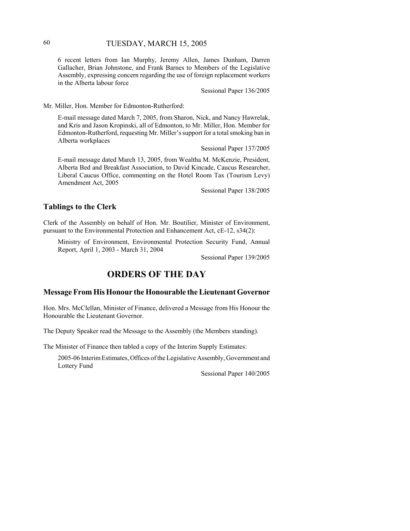# 60 TUESDAY, MARCH 15, 2005

6 recent letters from Ian Murphy, Jeremy Allen, James Dunham, Darren Gallacher, Brian Johnstone, and Frank Barnes to Members of the Legislative Assembly, expressing concern regarding the use of foreign replacement workers in the Alberta labour force

Sessional Paper 136/2005

Mr. Miller, Hon. Member for Edmonton-Rutherford:

E-mail message dated March 7, 2005, from Sharon, Nick, and Nancy Hawrelak, and Kris and Jason Kropinski, all of Edmonton, to Mr. Miller, Hon. Member for Edmonton-Rutherford, requesting Mr. Miller's support for a total smoking ban in Alberta workplaces

Sessional Paper 137/2005

E-mail message dated March 13, 2005, from Wealtha M. McKenzie, President, Alberta Bed and Breakfast Association, to David Kincade, Caucus Researcher, Liberal Caucus Office, commenting on the Hotel Room Tax (Tourism Levy) Amendment Act, 2005

Sessional Paper 138/2005

# **Tablings to the Clerk**

Clerk of the Assembly on behalf of Hon. Mr. Boutilier, Minister of Environment, pursuant to the Environmental Protection and Enhancement Act, cE-12, s34(2):

Ministry of Environment, Environmental Protection Security Fund, Annual Report, April 1, 2003 - March 31, 2004

Sessional Paper 139/2005

# **ORDERS OF THE DAY**

### **Message From His Honour the Honourable the Lieutenant Governor**

Hon. Mrs. McClellan, Minister of Finance, delivered a Message from His Honour the Honourable the Lieutenant Governor.

The Deputy Speaker read the Message to the Assembly (the Members standing).

The Minister of Finance then tabled a copy of the Interim Supply Estimates:

2005-06 Interim Estimates, Offices of the Legislative Assembly, Government and Lottery Fund

Sessional Paper 140/2005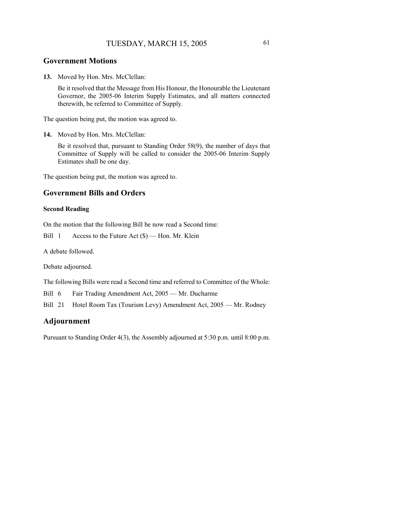### **Government Motions**

**13.** Moved by Hon. Mrs. McClellan:

Be it resolved that the Message from His Honour, the Honourable the Lieutenant Governor, the 2005-06 Interim Supply Estimates, and all matters connected therewith, be referred to Committee of Supply.

The question being put, the motion was agreed to.

```
14. Moved by Hon. Mrs. McClellan:
```
Be it resolved that, pursuant to Standing Order 58(9), the number of days that Committee of Supply will be called to consider the 2005-06 Interim Supply Estimates shall be one day.

The question being put, the motion was agreed to.

### **Government Bills and Orders**

#### **Second Reading**

On the motion that the following Bill be now read a Second time:

Bill 1 Access to the Future Act (\$) — Hon. Mr. Klein

A debate followed.

Debate adjourned.

The following Bills were read a Second time and referred to Committee of the Whole:

Bill 6 Fair Trading Amendment Act, 2005 — Mr. Ducharme

Bill 21 Hotel Room Tax (Tourism Levy) Amendment Act, 2005 — Mr. Rodney

# **Adjournment**

Pursuant to Standing Order 4(3), the Assembly adjourned at 5:30 p.m. until 8:00 p.m.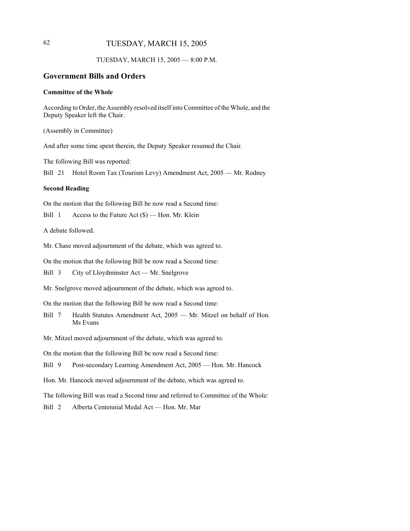# 62 TUESDAY, MARCH 15, 2005

### TUESDAY, MARCH 15, 2005 — 8:00 P.M.

# **Government Bills and Orders**

### **Committee of the Whole**

According to Order, the Assembly resolved itself into Committee of the Whole, and the Deputy Speaker left the Chair.

(Assembly in Committee)

And after some time spent therein, the Deputy Speaker resumed the Chair.

The following Bill was reported:

Bill 21 Hotel Room Tax (Tourism Levy) Amendment Act, 2005 — Mr. Rodney

#### **Second Reading**

On the motion that the following Bill be now read a Second time:

Bill 1 Access to the Future Act (\$) — Hon. Mr. Klein

A debate followed.

Mr. Chase moved adjournment of the debate, which was agreed to.

On the motion that the following Bill be now read a Second time:

Bill 3 City of Lloydminster Act — Mr. Snelgrove

Mr. Snelgrove moved adjournment of the debate, which was agreed to.

On the motion that the following Bill be now read a Second time:

- Bill 7 Health Statutes Amendment Act, 2005 Mr. Mitzel on behalf of Hon. Ms Evans
- Mr. Mitzel moved adjournment of the debate, which was agreed to.

On the motion that the following Bill be now read a Second time:

Bill 9 Post-secondary Learning Amendment Act, 2005 — Hon. Mr. Hancock

Hon. Mr. Hancock moved adjournment of the debate, which was agreed to.

The following Bill was read a Second time and referred to Committee of the Whole:

Bill 2 Alberta Centennial Medal Act — Hon. Mr. Mar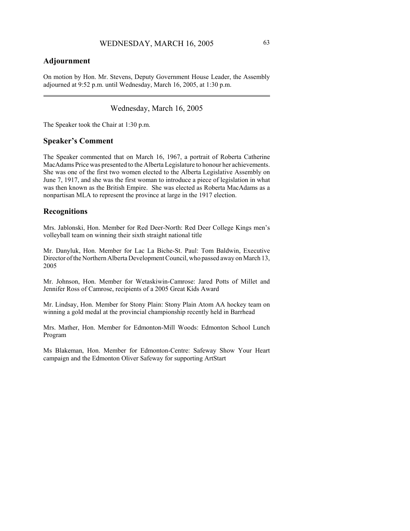# **Adjournment**

On motion by Hon. Mr. Stevens, Deputy Government House Leader, the Assembly adjourned at 9:52 p.m. until Wednesday, March 16, 2005, at 1:30 p.m.

Wednesday, March 16, 2005

The Speaker took the Chair at 1:30 p.m.

### **Speaker's Comment**

The Speaker commented that on March 16, 1967, a portrait of Roberta Catherine MacAdams Price was presented to the Alberta Legislature to honour her achievements. She was one of the first two women elected to the Alberta Legislative Assembly on June 7, 1917, and she was the first woman to introduce a piece of legislation in what was then known as the British Empire. She was elected as Roberta MacAdams as a nonpartisan MLA to represent the province at large in the 1917 election.

### **Recognitions**

Mrs. Jablonski, Hon. Member for Red Deer-North: Red Deer College Kings men's volleyball team on winning their sixth straight national title

Mr. Danyluk, Hon. Member for Lac La Biche-St. Paul: Tom Baldwin, Executive Director of the Northern Alberta Development Council, who passed away on March 13, 2005

Mr. Johnson, Hon. Member for Wetaskiwin-Camrose: Jared Potts of Millet and Jennifer Ross of Camrose, recipients of a 2005 Great Kids Award

Mr. Lindsay, Hon. Member for Stony Plain: Stony Plain Atom AA hockey team on winning a gold medal at the provincial championship recently held in Barrhead

Mrs. Mather, Hon. Member for Edmonton-Mill Woods: Edmonton School Lunch Program

Ms Blakeman, Hon. Member for Edmonton-Centre: Safeway Show Your Heart campaign and the Edmonton Oliver Safeway for supporting ArtStart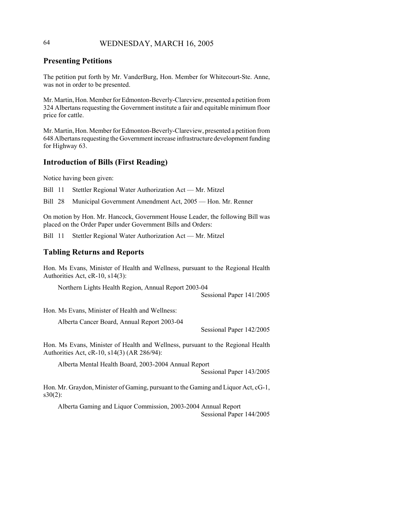# 64 WEDNESDAY, MARCH 16, 2005

# **Presenting Petitions**

The petition put forth by Mr. VanderBurg, Hon. Member for Whitecourt-Ste. Anne, was not in order to be presented.

Mr. Martin, Hon. Member for Edmonton-Beverly-Clareview, presented a petition from 324 Albertans requesting the Government institute a fair and equitable minimum floor price for cattle.

Mr. Martin, Hon. Member for Edmonton-Beverly-Clareview, presented a petition from 648 Albertans requesting the Government increase infrastructure development funding for Highway 63.

# **Introduction of Bills (First Reading)**

Notice having been given:

Bill 11 Stettler Regional Water Authorization Act — Mr. Mitzel

Bill 28 Municipal Government Amendment Act, 2005 — Hon. Mr. Renner

On motion by Hon. Mr. Hancock, Government House Leader, the following Bill was placed on the Order Paper under Government Bills and Orders:

Bill 11 Stettler Regional Water Authorization Act — Mr. Mitzel

### **Tabling Returns and Reports**

Hon. Ms Evans, Minister of Health and Wellness, pursuant to the Regional Health Authorities Act, cR-10, s14(3):

Northern Lights Health Region, Annual Report 2003-04 Sessional Paper 141/2005

Hon. Ms Evans, Minister of Health and Wellness:

Alberta Cancer Board, Annual Report 2003-04

Sessional Paper 142/2005

Hon. Ms Evans, Minister of Health and Wellness, pursuant to the Regional Health Authorities Act, cR-10, s14(3) (AR 286/94):

Alberta Mental Health Board, 2003-2004 Annual Report

Sessional Paper 143/2005

Hon. Mr. Graydon, Minister of Gaming, pursuant to the Gaming and Liquor Act, cG-1, s30(2):

Alberta Gaming and Liquor Commission, 2003-2004 Annual Report Sessional Paper 144/2005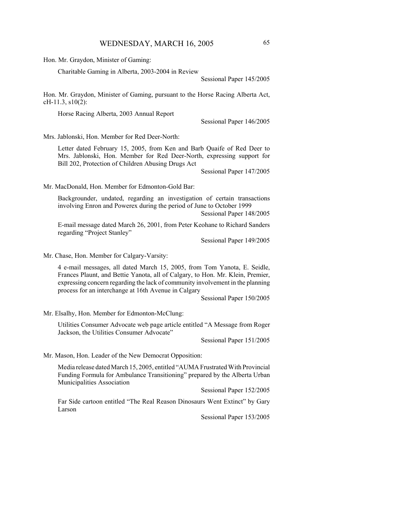Hon. Mr. Graydon, Minister of Gaming:

Charitable Gaming in Alberta, 2003-2004 in Review

Sessional Paper 145/2005

Hon. Mr. Graydon, Minister of Gaming, pursuant to the Horse Racing Alberta Act, cH-11.3, s10(2):

Horse Racing Alberta, 2003 Annual Report

Sessional Paper 146/2005

Mrs. Jablonski, Hon. Member for Red Deer-North:

Letter dated February 15, 2005, from Ken and Barb Quaife of Red Deer to Mrs. Jablonski, Hon. Member for Red Deer-North, expressing support for Bill 202, Protection of Children Abusing Drugs Act

Sessional Paper 147/2005

Mr. MacDonald, Hon. Member for Edmonton-Gold Bar:

Backgrounder, undated, regarding an investigation of certain transactions involving Enron and Powerex during the period of June to October 1999 Sessional Paper 148/2005

E-mail message dated March 26, 2001, from Peter Keohane to Richard Sanders regarding "Project Stanley"

Sessional Paper 149/2005

Mr. Chase, Hon. Member for Calgary-Varsity:

4 e-mail messages, all dated March 15, 2005, from Tom Yanota, E. Seidle, Frances Plaunt, and Bettie Yanota, all of Calgary, to Hon. Mr. Klein, Premier, expressing concern regarding the lack of community involvement in the planning process for an interchange at 16th Avenue in Calgary

Sessional Paper 150/2005

Mr. Elsalhy, Hon. Member for Edmonton-McClung:

Utilities Consumer Advocate web page article entitled "A Message from Roger Jackson, the Utilities Consumer Advocate"

Sessional Paper 151/2005

Mr. Mason, Hon. Leader of the New Democrat Opposition:

Media release dated March 15, 2005, entitled "AUMA Frustrated With Provincial Funding Formula for Ambulance Transitioning" prepared by the Alberta Urban Municipalities Association

Sessional Paper 152/2005

Far Side cartoon entitled "The Real Reason Dinosaurs Went Extinct" by Gary Larson

Sessional Paper 153/2005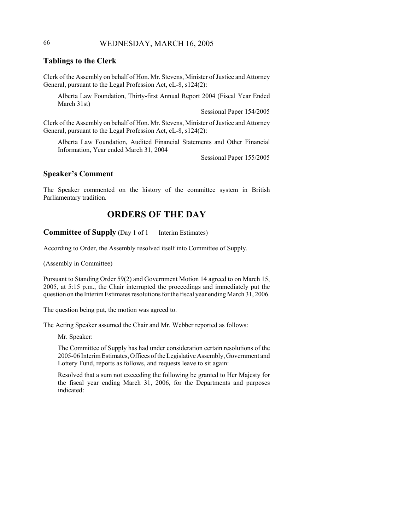# 66 WEDNESDAY, MARCH 16, 2005

# **Tablings to the Clerk**

Clerk of the Assembly on behalf of Hon. Mr. Stevens, Minister of Justice and Attorney General, pursuant to the Legal Profession Act, cL-8, s124(2):

Alberta Law Foundation, Thirty-first Annual Report 2004 (Fiscal Year Ended March 31st)

Sessional Paper 154/2005

Clerk of the Assembly on behalf of Hon. Mr. Stevens, Minister of Justice and Attorney General, pursuant to the Legal Profession Act, cL-8, s124(2):

Alberta Law Foundation, Audited Financial Statements and Other Financial Information, Year ended March 31, 2004

Sessional Paper 155/2005

# **Speaker's Comment**

The Speaker commented on the history of the committee system in British Parliamentary tradition.

# **ORDERS OF THE DAY**

**Committee of Supply** (Day 1 of 1 — Interim Estimates)

According to Order, the Assembly resolved itself into Committee of Supply.

(Assembly in Committee)

Pursuant to Standing Order 59(2) and Government Motion 14 agreed to on March 15, 2005, at 5:15 p.m., the Chair interrupted the proceedings and immediately put the question on the Interim Estimates resolutions for the fiscal year ending March 31, 2006.

The question being put, the motion was agreed to.

The Acting Speaker assumed the Chair and Mr. Webber reported as follows:

Mr. Speaker:

The Committee of Supply has had under consideration certain resolutions of the 2005-06 Interim Estimates, Offices of the Legislative Assembly, Government and Lottery Fund, reports as follows, and requests leave to sit again:

Resolved that a sum not exceeding the following be granted to Her Majesty for the fiscal year ending March 31, 2006, for the Departments and purposes indicated: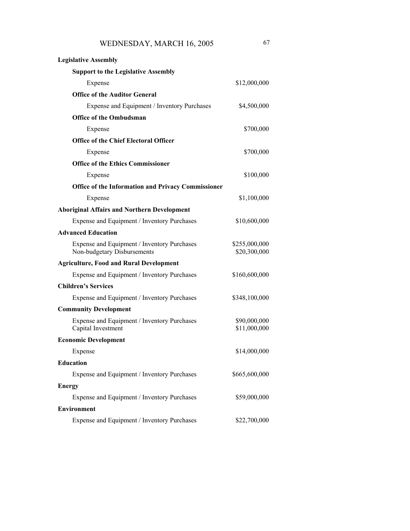| <b>Legislative Assembly</b>                                                |                               |
|----------------------------------------------------------------------------|-------------------------------|
| <b>Support to the Legislative Assembly</b>                                 |                               |
| Expense                                                                    | \$12,000,000                  |
| <b>Office of the Auditor General</b>                                       |                               |
| Expense and Equipment / Inventory Purchases                                | \$4,500,000                   |
| <b>Office of the Ombudsman</b>                                             |                               |
| Expense                                                                    | \$700,000                     |
| <b>Office of the Chief Electoral Officer</b>                               |                               |
| Expense                                                                    | \$700,000                     |
| <b>Office of the Ethics Commissioner</b>                                   |                               |
| Expense                                                                    | \$100,000                     |
| <b>Office of the Information and Privacy Commissioner</b>                  |                               |
| Expense                                                                    | \$1,100,000                   |
| <b>Aboriginal Affairs and Northern Development</b>                         |                               |
| Expense and Equipment / Inventory Purchases                                | \$10,600,000                  |
| <b>Advanced Education</b>                                                  |                               |
| Expense and Equipment / Inventory Purchases<br>Non-budgetary Disbursements | \$255,000,000<br>\$20,300,000 |
| <b>Agriculture, Food and Rural Development</b>                             |                               |
| Expense and Equipment / Inventory Purchases                                | \$160,600,000                 |
| <b>Children's Services</b>                                                 |                               |
| Expense and Equipment / Inventory Purchases                                | \$348,100,000                 |
| <b>Community Development</b>                                               |                               |
| Expense and Equipment / Inventory Purchases<br>Capital Investment          | \$90,000,000<br>\$11,000,000  |
| <b>Economic Development</b>                                                |                               |
| Expense                                                                    | \$14,000,000                  |
| <b>Education</b>                                                           |                               |
| Expense and Equipment / Inventory Purchases                                | \$665,600,000                 |
| <b>Energy</b>                                                              |                               |
| Expense and Equipment / Inventory Purchases                                | \$59,000,000                  |
| Environment                                                                |                               |

Expense and Equipment / Inventory Purchases \$22,700,000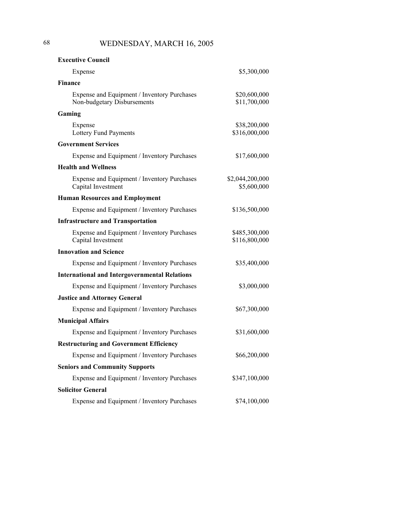| <b>Executive Council</b>                                                   |                                |
|----------------------------------------------------------------------------|--------------------------------|
| Expense                                                                    | \$5,300,000                    |
| <b>Finance</b>                                                             |                                |
| Expense and Equipment / Inventory Purchases<br>Non-budgetary Disbursements | \$20,600,000<br>\$11,700,000   |
| Gaming                                                                     |                                |
| Expense<br>Lottery Fund Payments                                           | \$38,200,000<br>\$316,000,000  |
| <b>Government Services</b>                                                 |                                |
| Expense and Equipment / Inventory Purchases                                | \$17,600,000                   |
| <b>Health and Wellness</b>                                                 |                                |
| Expense and Equipment / Inventory Purchases<br>Capital Investment          | \$2,044,200,000<br>\$5,600,000 |
| <b>Human Resources and Employment</b>                                      |                                |
| Expense and Equipment / Inventory Purchases                                | \$136,500,000                  |
| <b>Infrastructure and Transportation</b>                                   |                                |
| Expense and Equipment / Inventory Purchases<br>Capital Investment          | \$485,300,000<br>\$116,800,000 |
| <b>Innovation and Science</b>                                              |                                |
| Expense and Equipment / Inventory Purchases                                | \$35,400,000                   |
| <b>International and Intergovernmental Relations</b>                       |                                |
| Expense and Equipment / Inventory Purchases                                | \$3,000,000                    |
| <b>Justice and Attorney General</b>                                        |                                |
| Expense and Equipment / Inventory Purchases                                | \$67,300,000                   |
| <b>Municipal Affairs</b>                                                   |                                |
| Expense and Equipment / Inventory Purchases                                | \$31,600,000                   |
| <b>Restructuring and Government Efficiency</b>                             |                                |
| Expense and Equipment / Inventory Purchases                                | \$66,200,000                   |
| <b>Seniors and Community Supports</b>                                      |                                |
| Expense and Equipment / Inventory Purchases                                | \$347,100,000                  |
| Solicitor General                                                          |                                |
| Expense and Equipment / Inventory Purchases                                | \$74,100,000                   |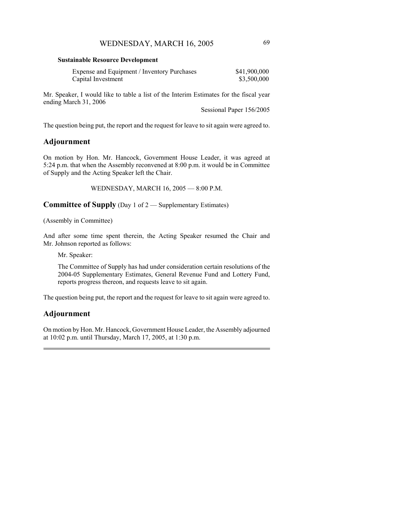#### **Sustainable Resource Development**

| Expense and Equipment / Inventory Purchases | \$41,900,000 |
|---------------------------------------------|--------------|
| Capital Investment                          | \$3,500,000  |

Mr. Speaker, I would like to table a list of the Interim Estimates for the fiscal year ending March 31, 2006

Sessional Paper 156/2005

The question being put, the report and the request for leave to sit again were agreed to.

## **Adjournment**

On motion by Hon. Mr. Hancock, Government House Leader, it was agreed at 5:24 p.m. that when the Assembly reconvened at 8:00 p.m. it would be in Committee of Supply and the Acting Speaker left the Chair.

WEDNESDAY, MARCH 16, 2005 — 8:00 P.M.

**Committee of Supply** (Day 1 of 2 — Supplementary Estimates)

(Assembly in Committee)

And after some time spent therein, the Acting Speaker resumed the Chair and Mr. Johnson reported as follows:

Mr. Speaker:

The Committee of Supply has had under consideration certain resolutions of the 2004-05 Supplementary Estimates, General Revenue Fund and Lottery Fund, reports progress thereon, and requests leave to sit again.

The question being put, the report and the request for leave to sit again were agreed to.

## **Adjournment**

On motion by Hon. Mr. Hancock, Government House Leader, the Assembly adjourned at 10:02 p.m. until Thursday, March 17, 2005, at 1:30 p.m.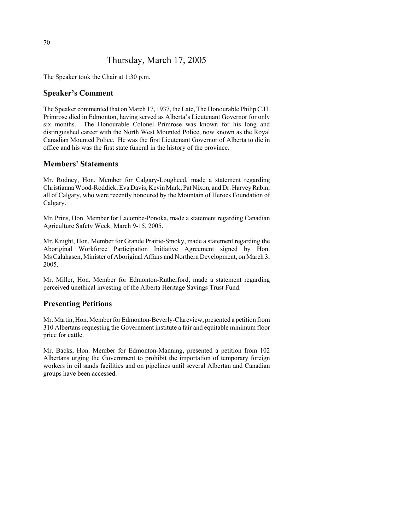# Thursday, March 17, 2005

The Speaker took the Chair at 1:30 p.m.

## **Speaker's Comment**

The Speaker commented that on March 17, 1937, the Late, The Honourable Philip C.H. Primrose died in Edmonton, having served as Alberta's Lieutenant Governor for only six months. The Honourable Colonel Primrose was known for his long and distinguished career with the North West Mounted Police, now known as the Royal Canadian Mounted Police. He was the first Lieutenant Governor of Alberta to die in office and his was the first state funeral in the history of the province.

## **Members' Statements**

Mr. Rodney, Hon. Member for Calgary-Lougheed, made a statement regarding Christianna Wood-Roddick, Eva Davis, Kevin Mark, Pat Nixon, and Dr. Harvey Rabin, all of Calgary, who were recently honoured by the Mountain of Heroes Foundation of Calgary.

Mr. Prins, Hon. Member for Lacombe-Ponoka, made a statement regarding Canadian Agriculture Safety Week, March 9-15, 2005.

Mr. Knight, Hon. Member for Grande Prairie-Smoky, made a statement regarding the Aboriginal Workforce Participation Initiative Agreement signed by Hon. Ms Calahasen, Minister of Aboriginal Affairs and Northern Development, on March 3, 2005.

Mr. Miller, Hon. Member for Edmonton-Rutherford, made a statement regarding perceived unethical investing of the Alberta Heritage Savings Trust Fund.

## **Presenting Petitions**

Mr. Martin, Hon. Member for Edmonton-Beverly-Clareview, presented a petition from 310 Albertans requesting the Government institute a fair and equitable minimum floor price for cattle.

Mr. Backs, Hon. Member for Edmonton-Manning, presented a petition from 102 Albertans urging the Government to prohibit the importation of temporary foreign workers in oil sands facilities and on pipelines until several Albertan and Canadian groups have been accessed.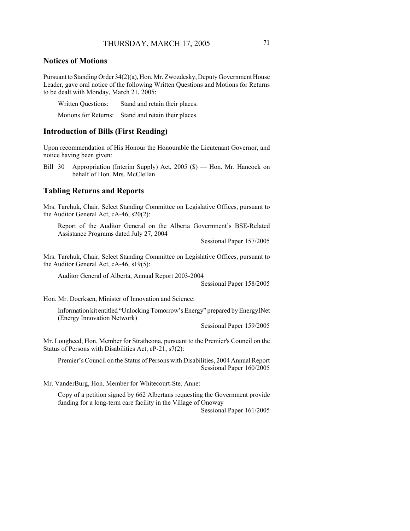### **Notices of Motions**

Pursuant to Standing Order 34(2)(a), Hon. Mr. Zwozdesky, Deputy Government House Leader, gave oral notice of the following Written Questions and Motions for Returns to be dealt with Monday, March 21, 2005:

Written Questions: Stand and retain their places.

Motions for Returns: Stand and retain their places.

### **Introduction of Bills (First Reading)**

Upon recommendation of His Honour the Honourable the Lieutenant Governor, and notice having been given:

Bill 30 Appropriation (Interim Supply) Act, 2005 (\$) — Hon. Mr. Hancock on behalf of Hon. Mrs. McClellan

### **Tabling Returns and Reports**

Mrs. Tarchuk, Chair, Select Standing Committee on Legislative Offices, pursuant to the Auditor General Act, cA-46, s20(2):

Report of the Auditor General on the Alberta Government's BSE-Related Assistance Programs dated July 27, 2004

Sessional Paper 157/2005

Mrs. Tarchuk, Chair, Select Standing Committee on Legislative Offices, pursuant to the Auditor General Act, cA-46, s19(5):

Auditor General of Alberta, Annual Report 2003-2004

Sessional Paper 158/2005

Hon. Mr. Doerksen, Minister of Innovation and Science:

Information kit entitled "Unlocking Tomorrow's Energy" prepared by EnergyINet (Energy Innovation Network)

Sessional Paper 159/2005

Mr. Lougheed, Hon. Member for Strathcona, pursuant to the Premier's Council on the Status of Persons with Disabilities Act, cP-21, s7(2):

Premier's Council on the Status of Persons with Disabilities, 2004 Annual Report Sessional Paper 160/2005

Mr. VanderBurg, Hon. Member for Whitecourt-Ste. Anne:

Copy of a petition signed by 662 Albertans requesting the Government provide funding for a long-term care facility in the Village of Onoway Sessional Paper 161/2005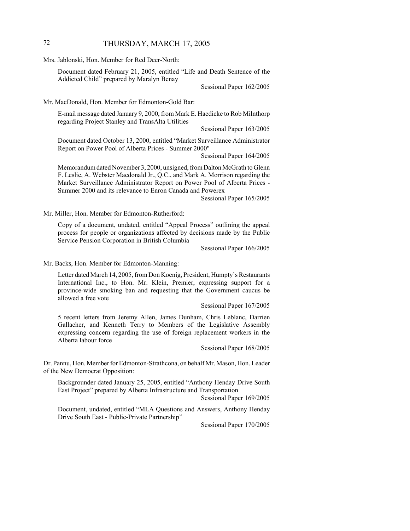## 72 THURSDAY, MARCH 17, 2005

Mrs. Jablonski, Hon. Member for Red Deer-North:

Document dated February 21, 2005, entitled "Life and Death Sentence of the Addicted Child" prepared by Maralyn Benay

Sessional Paper 162/2005

Mr. MacDonald, Hon. Member for Edmonton-Gold Bar:

E-mail message dated January 9, 2000, from Mark E. Haedicke to Rob Milnthorp regarding Project Stanley and TransAlta Utilities

Sessional Paper 163/2005

Document dated October 13, 2000, entitled "Market Surveillance Administrator Report on Power Pool of Alberta Prices - Summer 2000"

Sessional Paper 164/2005

Memorandum dated November 3, 2000, unsigned, from Dalton McGrath to Glenn F. Leslie, A. Webster Macdonald Jr., Q.C., and Mark A. Morrison regarding the Market Surveillance Administrator Report on Power Pool of Alberta Prices - Summer 2000 and its relevance to Enron Canada and Powerex

Sessional Paper 165/2005

Mr. Miller, Hon. Member for Edmonton-Rutherford:

Copy of a document, undated, entitled "Appeal Process" outlining the appeal process for people or organizations affected by decisions made by the Public Service Pension Corporation in British Columbia

Sessional Paper 166/2005

Mr. Backs, Hon. Member for Edmonton-Manning:

Letter dated March 14, 2005, from Don Koenig, President, Humpty's Restaurants International Inc., to Hon. Mr. Klein, Premier, expressing support for a province-wide smoking ban and requesting that the Government caucus be allowed a free vote

Sessional Paper 167/2005

5 recent letters from Jeremy Allen, James Dunham, Chris Leblanc, Darrien Gallacher, and Kenneth Terry to Members of the Legislative Assembly expressing concern regarding the use of foreign replacement workers in the Alberta labour force

Sessional Paper 168/2005

Dr. Pannu, Hon. Member for Edmonton-Strathcona, on behalf Mr. Mason, Hon. Leader of the New Democrat Opposition:

Backgrounder dated January 25, 2005, entitled "Anthony Henday Drive South East Project" prepared by Alberta Infrastructure and Transportation

Sessional Paper 169/2005

Document, undated, entitled "MLA Questions and Answers, Anthony Henday Drive South East - Public-Private Partnership"

Sessional Paper 170/2005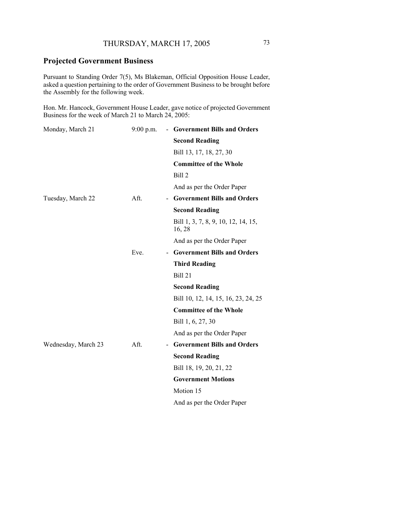# **Projected Government Business**

Pursuant to Standing Order 7(5), Ms Blakeman, Official Opposition House Leader, asked a question pertaining to the order of Government Business to be brought before the Assembly for the following week.

Hon. Mr. Hancock, Government House Leader, gave notice of projected Government Business for the week of March 21 to March 24, 2005:

| Monday, March 21    | $9:00$ p.m. | - Government Bills and Orders                 |
|---------------------|-------------|-----------------------------------------------|
|                     |             | <b>Second Reading</b>                         |
|                     |             | Bill 13, 17, 18, 27, 30                       |
|                     |             | <b>Committee of the Whole</b>                 |
|                     |             | Bill 2                                        |
|                     |             | And as per the Order Paper                    |
| Tuesday, March 22   | Aft.        | - Government Bills and Orders                 |
|                     |             | <b>Second Reading</b>                         |
|                     |             | Bill 1, 3, 7, 8, 9, 10, 12, 14, 15,<br>16, 28 |
|                     |             | And as per the Order Paper                    |
|                     | Eve.        | <b>Government Bills and Orders</b>            |
|                     |             | <b>Third Reading</b>                          |
|                     |             | Bill 21                                       |
|                     |             | <b>Second Reading</b>                         |
|                     |             | Bill 10, 12, 14, 15, 16, 23, 24, 25           |
|                     |             | <b>Committee of the Whole</b>                 |
|                     |             | Bill 1, 6, 27, 30                             |
|                     |             | And as per the Order Paper                    |
| Wednesday, March 23 | Aft.        | - Government Bills and Orders                 |
|                     |             | <b>Second Reading</b>                         |
|                     |             | Bill 18, 19, 20, 21, 22                       |
|                     |             | <b>Government Motions</b>                     |
|                     |             | Motion 15                                     |
|                     |             | And as per the Order Paper                    |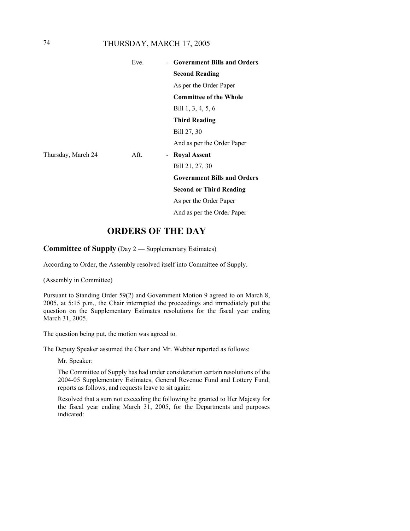## 74 THURSDAY, MARCH 17, 2005

|                    | Eve. | <b>Government Bills and Orders</b> |
|--------------------|------|------------------------------------|
|                    |      | <b>Second Reading</b>              |
|                    |      | As per the Order Paper             |
|                    |      | <b>Committee of the Whole</b>      |
|                    |      | Bill 1, 3, 4, 5, 6                 |
|                    |      | <b>Third Reading</b>               |
|                    |      | Bill 27, 30                        |
|                    |      | And as per the Order Paper         |
| Thursday, March 24 | Aft. | - Royal Assent                     |
|                    |      | Bill 21, 27, 30                    |
|                    |      | <b>Government Bills and Orders</b> |
|                    |      | <b>Second or Third Reading</b>     |
|                    |      | As per the Order Paper             |
|                    |      | And as per the Order Paper         |

# **ORDERS OF THE DAY**

**Committee of Supply** (Day 2 — Supplementary Estimates)

According to Order, the Assembly resolved itself into Committee of Supply.

(Assembly in Committee)

Pursuant to Standing Order 59(2) and Government Motion 9 agreed to on March 8, 2005, at 5:15 p.m., the Chair interrupted the proceedings and immediately put the question on the Supplementary Estimates resolutions for the fiscal year ending March 31, 2005.

The question being put, the motion was agreed to.

The Deputy Speaker assumed the Chair and Mr. Webber reported as follows:

Mr. Speaker:

The Committee of Supply has had under consideration certain resolutions of the 2004-05 Supplementary Estimates, General Revenue Fund and Lottery Fund, reports as follows, and requests leave to sit again:

Resolved that a sum not exceeding the following be granted to Her Majesty for the fiscal year ending March 31, 2005, for the Departments and purposes indicated: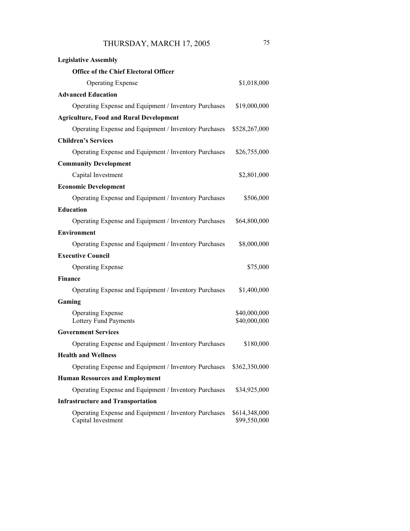| <b>Legislative Assembly</b>                                                 |                               |
|-----------------------------------------------------------------------------|-------------------------------|
| <b>Office of the Chief Electoral Officer</b>                                |                               |
| <b>Operating Expense</b>                                                    | \$1,018,000                   |
| <b>Advanced Education</b>                                                   |                               |
| Operating Expense and Equipment / Inventory Purchases                       | \$19,000,000                  |
| <b>Agriculture, Food and Rural Development</b>                              |                               |
| Operating Expense and Equipment / Inventory Purchases                       | \$528,267,000                 |
| <b>Children's Services</b>                                                  |                               |
| Operating Expense and Equipment / Inventory Purchases                       | \$26,755,000                  |
| <b>Community Development</b>                                                |                               |
| Capital Investment                                                          | \$2,801,000                   |
| <b>Economic Development</b>                                                 |                               |
| Operating Expense and Equipment / Inventory Purchases                       | \$506,000                     |
| <b>Education</b>                                                            |                               |
| Operating Expense and Equipment / Inventory Purchases                       | \$64,800,000                  |
| <b>Environment</b>                                                          |                               |
| Operating Expense and Equipment / Inventory Purchases                       | \$8,000,000                   |
| <b>Executive Council</b>                                                    |                               |
| <b>Operating Expense</b>                                                    | \$75,000                      |
| <b>Finance</b>                                                              |                               |
| Operating Expense and Equipment / Inventory Purchases                       | \$1,400,000                   |
| Gaming                                                                      |                               |
| <b>Operating Expense</b><br>Lottery Fund Payments                           | \$40,000,000<br>\$40,000,000  |
| <b>Government Services</b>                                                  |                               |
| Operating Expense and Equipment / Inventory Purchases                       | \$180,000                     |
| <b>Health and Wellness</b>                                                  |                               |
| Operating Expense and Equipment / Inventory Purchases                       | \$362,350,000                 |
| <b>Human Resources and Employment</b>                                       |                               |
| Operating Expense and Equipment / Inventory Purchases                       | \$34,925,000                  |
| <b>Infrastructure and Transportation</b>                                    |                               |
| Operating Expense and Equipment / Inventory Purchases<br>Capital Investment | \$614,348,000<br>\$99,550,000 |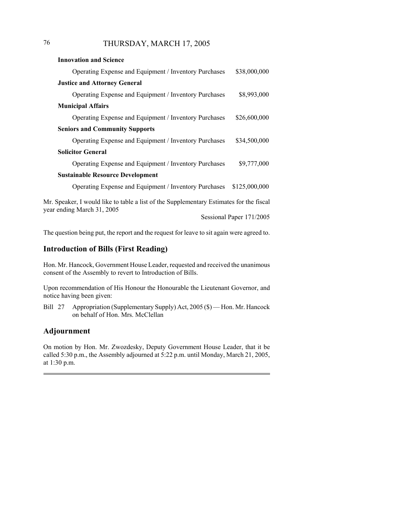# 76 THURSDAY, MARCH 17, 2005

| <b>Innovation and Science</b>                                                                                         |               |
|-----------------------------------------------------------------------------------------------------------------------|---------------|
| Operating Expense and Equipment / Inventory Purchases                                                                 | \$38,000,000  |
| <b>Justice and Attorney General</b>                                                                                   |               |
| Operating Expense and Equipment / Inventory Purchases                                                                 | \$8,993,000   |
| <b>Municipal Affairs</b>                                                                                              |               |
| Operating Expense and Equipment / Inventory Purchases                                                                 | \$26,600,000  |
| <b>Seniors and Community Supports</b>                                                                                 |               |
| Operating Expense and Equipment / Inventory Purchases                                                                 | \$34,500,000  |
| <b>Solicitor General</b>                                                                                              |               |
| Operating Expense and Equipment / Inventory Purchases                                                                 | \$9,777,000   |
| <b>Sustainable Resource Development</b>                                                                               |               |
| Operating Expense and Equipment / Inventory Purchases                                                                 | \$125,000,000 |
| Mr. Speaker, I would like to table a list of the Supplementary Estimates for the fiscal<br>year ending March 31, 2005 |               |

Sessional Paper 171/2005

The question being put, the report and the request for leave to sit again were agreed to.

## **Introduction of Bills (First Reading)**

Hon. Mr. Hancock, Government House Leader, requested and received the unanimous consent of the Assembly to revert to Introduction of Bills.

Upon recommendation of His Honour the Honourable the Lieutenant Governor, and notice having been given:

Bill 27 Appropriation (Supplementary Supply) Act, 2005 (\$) — Hon. Mr. Hancock on behalf of Hon. Mrs. McClellan

## **Adjournment**

On motion by Hon. Mr. Zwozdesky, Deputy Government House Leader, that it be called 5:30 p.m., the Assembly adjourned at 5:22 p.m. until Monday, March 21, 2005, at 1:30 p.m.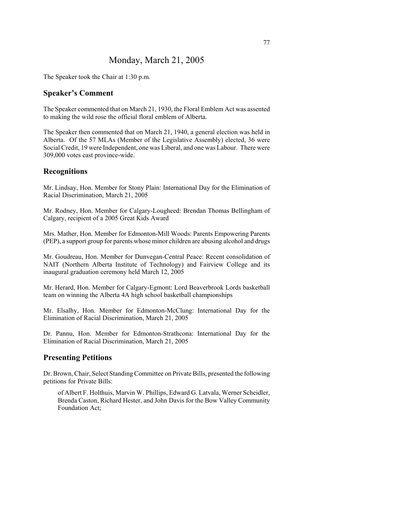# Monday, March 21, 2005

The Speaker took the Chair at 1:30 p.m.

### **Speaker's Comment**

The Speaker commented that on March 21, 1930, the Floral Emblem Act was assented to making the wild rose the official floral emblem of Alberta.

The Speaker then commented that on March 21, 1940, a general election was held in Alberta. Of the 57 MLAs (Member of the Legislative Assembly) elected, 36 were Social Credit, 19 were Independent, one was Liberal, and one was Labour. There were 309,000 votes cast province-wide.

### **Recognitions**

Mr. Lindsay, Hon. Member for Stony Plain: International Day for the Elimination of Racial Discrimination, March 21, 2005

Mr. Rodney, Hon. Member for Calgary-Lougheed: Brendan Thomas Bellingham of Calgary, recipient of a 2005 Great Kids Award

Mrs. Mather, Hon. Member for Edmonton-Mill Woods: Parents Empowering Parents (PEP), a support group for parents whose minor children are abusing alcohol and drugs

Mr. Goudreau, Hon. Member for Dunvegan-Central Peace: Recent consolidation of NAIT (Northern Alberta Institute of Technology) and Fairview College and its inaugural graduation ceremony held March 12, 2005

Mr. Herard, Hon. Member for Calgary-Egmont: Lord Beaverbrook Lords basketball team on winning the Alberta 4A high school basketball championships

Mr. Elsalhy, Hon. Member for Edmonton-McClung: International Day for the Elimination of Racial Discrimination, March 21, 2005

Dr. Pannu, Hon. Member for Edmonton-Strathcona: International Day for the Elimination of Racial Discrimination, March 21, 2005

## **Presenting Petitions**

Dr. Brown, Chair, Select Standing Committee on Private Bills, presented the following petitions for Private Bills:

of Albert F. Holthuis, Marvin W. Phillips, Edward G. Latvala, Werner Scheidler, Brenda Caston, Richard Hester, and John Davis for the Bow Valley Community Foundation Act;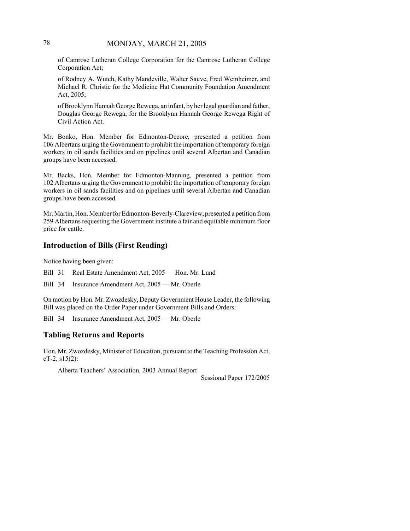## 78 MONDAY, MARCH 21, 2005

of Camrose Lutheran College Corporation for the Camrose Lutheran College Corporation Act;

of Rodney A. Wutch, Kathy Mandeville, Walter Sauve, Fred Weinheimer, and Michael R. Christie for the Medicine Hat Community Foundation Amendment Act, 2005;

of Brooklynn Hannah George Rewega, an infant, by her legal guardian and father, Douglas George Rewega, for the Brooklynn Hannah George Rewega Right of Civil Action Act.

Mr. Bonko, Hon. Member for Edmonton-Decore, presented a petition from 106 Albertans urging the Government to prohibit the importation of temporary foreign workers in oil sands facilities and on pipelines until several Albertan and Canadian groups have been accessed.

Mr. Backs, Hon. Member for Edmonton-Manning, presented a petition from 102 Albertans urging the Government to prohibit the importation of temporary foreign workers in oil sands facilities and on pipelines until several Albertan and Canadian groups have been accessed.

Mr. Martin, Hon. Member for Edmonton-Beverly-Clareview, presented a petition from 259 Albertans requesting the Government institute a fair and equitable minimum floor price for cattle.

### **Introduction of Bills (First Reading)**

Notice having been given:

Bill 31 Real Estate Amendment Act, 2005 — Hon. Mr. Lund

Bill 34 Insurance Amendment Act, 2005 — Mr. Oberle

On motion by Hon. Mr. Zwozdesky, Deputy Government House Leader, the following Bill was placed on the Order Paper under Government Bills and Orders:

Bill 34 Insurance Amendment Act, 2005 — Mr. Oberle

## **Tabling Returns and Reports**

Hon. Mr. Zwozdesky, Minister of Education, pursuant to the Teaching Profession Act,  $cT-2$ ,  $s15(2)$ :

Alberta Teachers' Association, 2003 Annual Report

Sessional Paper 172/2005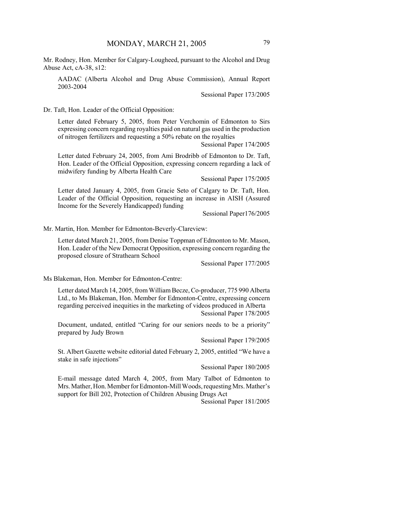Mr. Rodney, Hon. Member for Calgary-Lougheed, pursuant to the Alcohol and Drug Abuse Act, cA-38, s12:

AADAC (Alberta Alcohol and Drug Abuse Commission), Annual Report 2003-2004

Sessional Paper 173/2005

Dr. Taft, Hon. Leader of the Official Opposition:

Letter dated February 5, 2005, from Peter Verchomin of Edmonton to Sirs expressing concern regarding royalties paid on natural gas used in the production of nitrogen fertilizers and requesting a 50% rebate on the royalties

Sessional Paper 174/2005

Letter dated February 24, 2005, from Ami Brodribb of Edmonton to Dr. Taft, Hon. Leader of the Official Opposition, expressing concern regarding a lack of midwifery funding by Alberta Health Care

Sessional Paper 175/2005

Letter dated January 4, 2005, from Gracie Seto of Calgary to Dr. Taft, Hon. Leader of the Official Opposition, requesting an increase in AISH (Assured Income for the Severely Handicapped) funding

Sessional Paper176/2005

Mr. Martin, Hon. Member for Edmonton-Beverly-Clareview:

Letter dated March 21, 2005, from Denise Toppman of Edmonton to Mr. Mason, Hon. Leader of the New Democrat Opposition, expressing concern regarding the proposed closure of Strathearn School

Sessional Paper 177/2005

Ms Blakeman, Hon. Member for Edmonton-Centre:

Letter dated March 14, 2005, from William Becze, Co-producer, 775 990 Alberta Ltd., to Ms Blakeman, Hon. Member for Edmonton-Centre, expressing concern regarding perceived inequities in the marketing of videos produced in Alberta Sessional Paper 178/2005

Document, undated, entitled "Caring for our seniors needs to be a priority" prepared by Judy Brown

Sessional Paper 179/2005

St. Albert Gazette website editorial dated February 2, 2005, entitled "We have a stake in safe injections"

Sessional Paper 180/2005

E-mail message dated March 4, 2005, from Mary Talbot of Edmonton to Mrs. Mather, Hon. Member for Edmonton-Mill Woods, requesting Mrs. Mather's support for Bill 202, Protection of Children Abusing Drugs Act

Sessional Paper 181/2005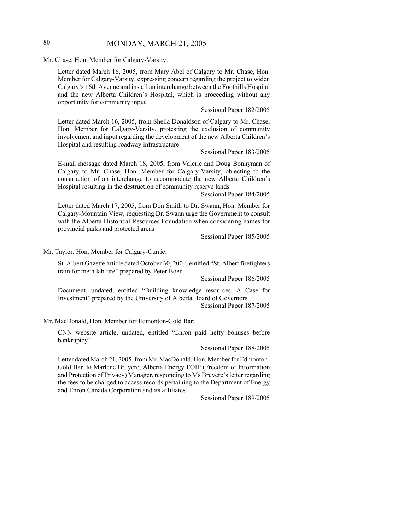## 80 MONDAY, MARCH 21, 2005

Mr. Chase, Hon. Member for Calgary-Varsity:

Letter dated March 16, 2005, from Mary Abel of Calgary to Mr. Chase, Hon. Member for Calgary-Varsity, expressing concern regarding the project to widen Calgary's 16th Avenue and install an interchange between the Foothills Hospital and the new Alberta Children's Hospital, which is proceeding without any opportunity for community input

### Sessional Paper 182/2005

Letter dated March 16, 2005, from Sheila Donaldson of Calgary to Mr. Chase, Hon. Member for Calgary-Varsity, protesting the exclusion of community involvement and input regarding the development of the new Alberta Children's Hospital and resulting roadway infrastructure

Sessional Paper 183/2005

E-mail message dated March 18, 2005, from Valerie and Doug Bonnyman of Calgary to Mr. Chase, Hon. Member for Calgary-Varsity, objecting to the construction of an interchange to accommodate the new Alberta Children's Hospital resulting in the destruction of community reserve lands

Sessional Paper 184/2005

Letter dated March 17, 2005, from Don Smith to Dr. Swann, Hon. Member for Calgary-Mountain View, requesting Dr. Swann urge the Government to consult with the Alberta Historical Resources Foundation when considering names for provincial parks and protected areas

Sessional Paper 185/2005

Mr. Taylor, Hon. Member for Calgary-Currie:

St. Albert Gazette article dated October 30, 2004, entitled "St. Albert firefighters train for meth lab fire" prepared by Peter Boer

Sessional Paper 186/2005

Document, undated, entitled "Building knowledge resources, A Case for Investment" prepared by the University of Alberta Board of Governors Sessional Paper 187/2005

Mr. MacDonald, Hon. Member for Edmonton-Gold Bar:

CNN website article, undated, entitled "Enron paid hefty bonuses before bankruptcy"

Sessional Paper 188/2005

Letter dated March 21, 2005, from Mr. MacDonald, Hon. Member for Edmonton-Gold Bar, to Marlene Bruyere, Alberta Energy FOIP (Freedom of Information and Protection of Privacy) Manager, responding to Ms Bruyere's letter regarding the fees to be charged to access records pertaining to the Department of Energy and Enron Canada Corporation and its affiliates

Sessional Paper 189/2005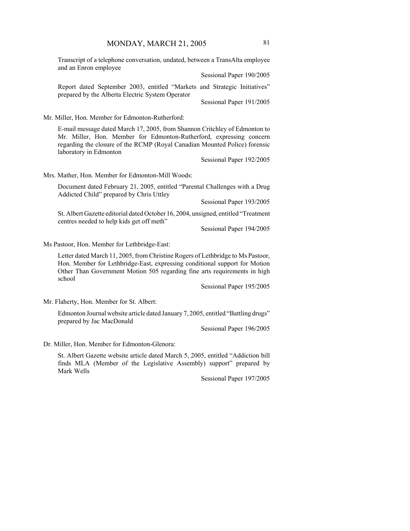Transcript of a telephone conversation, undated, between a TransAlta employee and an Enron employee

Sessional Paper 190/2005

Report dated September 2003, entitled "Markets and Strategic Initiatives" prepared by the Alberta Electric System Operator

Sessional Paper 191/2005

Mr. Miller, Hon. Member for Edmonton-Rutherford:

E-mail message dated March 17, 2005, from Shannon Critchley of Edmonton to Mr. Miller, Hon. Member for Edmonton-Rutherford, expressing concern regarding the closure of the RCMP (Royal Canadian Mounted Police) forensic laboratory in Edmonton

Sessional Paper 192/2005

Mrs. Mather, Hon. Member for Edmonton-Mill Woods:

Document dated February 21, 2005, entitled "Parental Challenges with a Drug Addicted Child" prepared by Chris Uttley

Sessional Paper 193/2005

St. Albert Gazette editorial dated October 16, 2004, unsigned, entitled "Treatment centres needed to help kids get off meth"

Sessional Paper 194/2005

Ms Pastoor, Hon. Member for Lethbridge-East:

Letter dated March 11, 2005, from Christine Rogers of Lethbridge to Ms Pastoor, Hon. Member for Lethbridge-East, expressing conditional support for Motion Other Than Government Motion 505 regarding fine arts requirements in high school

Sessional Paper 195/2005

Mr. Flaherty, Hon. Member for St. Albert:

Edmonton Journal website article dated January 7, 2005, entitled "Battling drugs" prepared by Jac MacDonald

Sessional Paper 196/2005

Dr. Miller, Hon. Member for Edmonton-Glenora:

St. Albert Gazette website article dated March 5, 2005, entitled "Addiction bill finds MLA (Member of the Legislative Assembly) support" prepared by Mark Wells

Sessional Paper 197/2005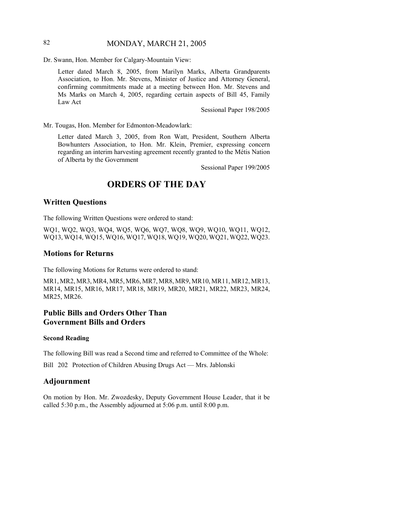## 82 MONDAY, MARCH 21, 2005

Dr. Swann, Hon. Member for Calgary-Mountain View:

Letter dated March 8, 2005, from Marilyn Marks, Alberta Grandparents Association, to Hon. Mr. Stevens, Minister of Justice and Attorney General, confirming commitments made at a meeting between Hon. Mr. Stevens and Ms Marks on March 4, 2005, regarding certain aspects of Bill 45, Family Law Act

Sessional Paper 198/2005

Mr. Tougas, Hon. Member for Edmonton-Meadowlark:

Letter dated March 3, 2005, from Ron Watt, President, Southern Alberta Bowhunters Association, to Hon. Mr. Klein, Premier, expressing concern regarding an interim harvesting agreement recently granted to the Métis Nation of Alberta by the Government

Sessional Paper 199/2005

# **ORDERS OF THE DAY**

#### **Written Questions**

The following Written Questions were ordered to stand:

WQ1, WQ2, WQ3, WQ4, WQ5, WQ6, WQ7, WQ8, WQ9, WQ10, WQ11, WQ12, WQ13, WQ14, WQ15, WQ16, WQ17, WQ18, WQ19, WQ20, WQ21, WQ22, WQ23.

### **Motions for Returns**

The following Motions for Returns were ordered to stand:

MR1, MR2, MR3, MR4, MR5, MR6, MR7, MR8, MR9, MR10, MR11, MR12, MR13, MR14, MR15, MR16, MR17, MR18, MR19, MR20, MR21, MR22, MR23, MR24, MR25, MR26.

## **Public Bills and Orders Other Than Government Bills and Orders**

#### **Second Reading**

The following Bill was read a Second time and referred to Committee of the Whole:

Bill 202 Protection of Children Abusing Drugs Act — Mrs. Jablonski

### **Adjournment**

On motion by Hon. Mr. Zwozdesky, Deputy Government House Leader, that it be called 5:30 p.m., the Assembly adjourned at 5:06 p.m. until 8:00 p.m.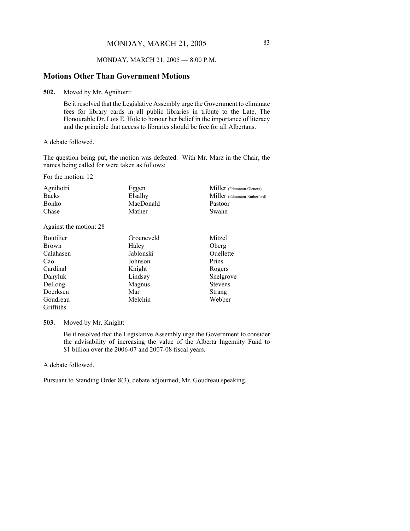### MONDAY, MARCH 21, 2005 — 8:00 P.M.

### **Motions Other Than Government Motions**

**502.** Moved by Mr. Agnihotri:

Be it resolved that the Legislative Assembly urge the Government to eliminate fees for library cards in all public libraries in tribute to the Late, The Honourable Dr. Lois E. Hole to honour her belief in the importance of literacy and the principle that access to libraries should be free for all Albertans.

A debate followed.

The question being put, the motion was defeated. With Mr. Marz in the Chair, the names being called for were taken as follows:

For the motion: 12

| Agnihotri    | Eggen     | Miller (Edmonton-Glenora)    |
|--------------|-----------|------------------------------|
| <b>Backs</b> | Elsalhy   | Miller (Edmonton-Rutherford) |
| Bonko        | MacDonald | Pastoor                      |
| Chase        | Mather    | Swann                        |
|              |           |                              |

Against the motion: 28

| Boutilier    | Groeneveld | Mitzel         |
|--------------|------------|----------------|
| <b>Brown</b> | Haley      | Oberg          |
| Calahasen    | Jablonski  | Ouellette      |
| Cao          | Johnson    | Prins          |
| Cardinal     | Knight     | Rogers         |
| Danyluk      | Lindsay    | Snelgrove      |
| DeLong       | Magnus     | <b>Stevens</b> |
| Doerksen     | Mar        | <b>Strang</b>  |
| Goudreau     | Melchin    | Webber         |
| Griffiths    |            |                |

**503.** Moved by Mr. Knight:

Be it resolved that the Legislative Assembly urge the Government to consider the advisability of increasing the value of the Alberta Ingenuity Fund to \$1 billion over the 2006-07 and 2007-08 fiscal years.

A debate followed.

Pursuant to Standing Order 8(3), debate adjourned, Mr. Goudreau speaking.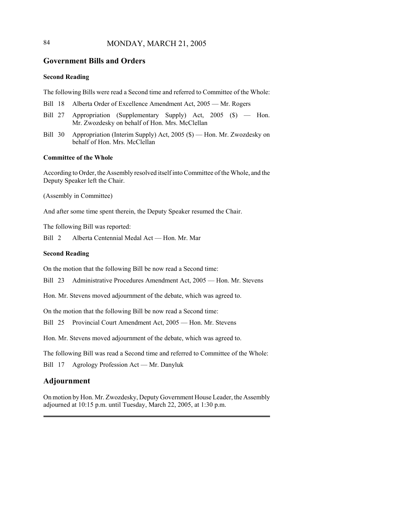## 84 MONDAY, MARCH 21, 2005

### **Government Bills and Orders**

### **Second Reading**

The following Bills were read a Second time and referred to Committee of the Whole:

- Bill 18 Alberta Order of Excellence Amendment Act, 2005 Mr. Rogers
- Bill 27 Appropriation (Supplementary Supply) Act, 2005 (\$) Hon. Mr. Zwozdesky on behalf of Hon. Mrs. McClellan
- Bill 30 Appropriation (Interim Supply) Act, 2005 (\$) Hon. Mr. Zwozdesky on behalf of Hon. Mrs. McClellan

#### **Committee of the Whole**

According to Order, the Assembly resolved itself into Committee of the Whole, and the Deputy Speaker left the Chair.

(Assembly in Committee)

And after some time spent therein, the Deputy Speaker resumed the Chair.

The following Bill was reported:

Bill 2 Alberta Centennial Medal Act — Hon. Mr. Mar

### **Second Reading**

On the motion that the following Bill be now read a Second time:

Bill 23 Administrative Procedures Amendment Act, 2005 — Hon. Mr. Stevens

Hon. Mr. Stevens moved adjournment of the debate, which was agreed to.

On the motion that the following Bill be now read a Second time:

Bill 25 Provincial Court Amendment Act, 2005 — Hon. Mr. Stevens

Hon. Mr. Stevens moved adjournment of the debate, which was agreed to.

The following Bill was read a Second time and referred to Committee of the Whole:

Bill 17 Agrology Profession Act — Mr. Danyluk

### **Adjournment**

On motion by Hon. Mr. Zwozdesky, Deputy Government House Leader, the Assembly adjourned at 10:15 p.m. until Tuesday, March 22, 2005, at 1:30 p.m.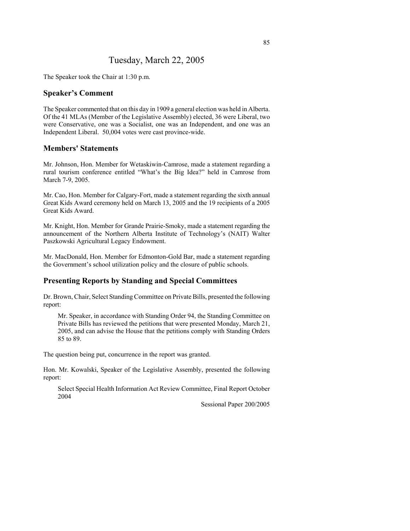# Tuesday, March 22, 2005

The Speaker took the Chair at 1:30 p.m.

### **Speaker's Comment**

The Speaker commented that on this day in 1909 a general election was held in Alberta. Of the 41 MLAs (Member of the Legislative Assembly) elected, 36 were Liberal, two were Conservative, one was a Socialist, one was an Independent, and one was an Independent Liberal. 50,004 votes were cast province-wide.

## **Members' Statements**

Mr. Johnson, Hon. Member for Wetaskiwin-Camrose, made a statement regarding a rural tourism conference entitled "What's the Big Idea?" held in Camrose from March 7-9, 2005.

Mr. Cao, Hon. Member for Calgary-Fort, made a statement regarding the sixth annual Great Kids Award ceremony held on March 13, 2005 and the 19 recipients of a 2005 Great Kids Award.

Mr. Knight, Hon. Member for Grande Prairie-Smoky, made a statement regarding the announcement of the Northern Alberta Institute of Technology's (NAIT) Walter Paszkowski Agricultural Legacy Endowment.

Mr. MacDonald, Hon. Member for Edmonton-Gold Bar, made a statement regarding the Government's school utilization policy and the closure of public schools.

## **Presenting Reports by Standing and Special Committees**

Dr. Brown, Chair, Select Standing Committee on Private Bills, presented the following report:

Mr. Speaker, in accordance with Standing Order 94, the Standing Committee on Private Bills has reviewed the petitions that were presented Monday, March 21, 2005, and can advise the House that the petitions comply with Standing Orders 85 to 89.

The question being put, concurrence in the report was granted.

Hon. Mr. Kowalski, Speaker of the Legislative Assembly, presented the following report:

Select Special Health Information Act Review Committee, Final Report October 2004

Sessional Paper 200/2005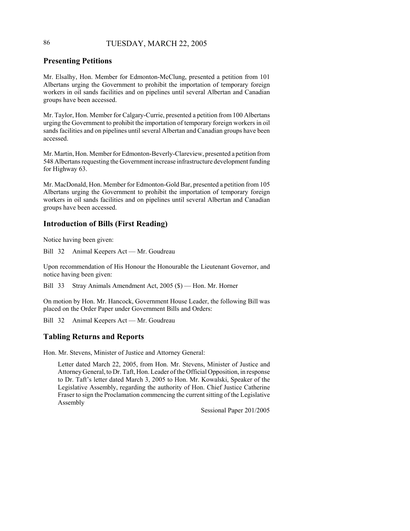## 86 TUESDAY, MARCH 22, 2005

## **Presenting Petitions**

Mr. Elsalhy, Hon. Member for Edmonton-McClung, presented a petition from 101 Albertans urging the Government to prohibit the importation of temporary foreign workers in oil sands facilities and on pipelines until several Albertan and Canadian groups have been accessed.

Mr. Taylor, Hon. Member for Calgary-Currie, presented a petition from 100 Albertans urging the Government to prohibit the importation of temporary foreign workers in oil sands facilities and on pipelines until several Albertan and Canadian groups have been accessed.

Mr. Martin, Hon. Member for Edmonton-Beverly-Clareview, presented a petition from 548 Albertans requesting the Government increase infrastructure development funding for Highway 63.

Mr. MacDonald, Hon. Member for Edmonton-Gold Bar, presented a petition from 105 Albertans urging the Government to prohibit the importation of temporary foreign workers in oil sands facilities and on pipelines until several Albertan and Canadian groups have been accessed.

## **Introduction of Bills (First Reading)**

Notice having been given:

Bill 32 Animal Keepers Act — Mr. Goudreau

Upon recommendation of His Honour the Honourable the Lieutenant Governor, and notice having been given:

Bill 33 Stray Animals Amendment Act, 2005 (\$) — Hon. Mr. Horner

On motion by Hon. Mr. Hancock, Government House Leader, the following Bill was placed on the Order Paper under Government Bills and Orders:

Bill 32 Animal Keepers Act — Mr. Goudreau

## **Tabling Returns and Reports**

Hon. Mr. Stevens, Minister of Justice and Attorney General:

Letter dated March 22, 2005, from Hon. Mr. Stevens, Minister of Justice and Attorney General, to Dr. Taft, Hon. Leader of the Official Opposition, in response to Dr. Taft's letter dated March 3, 2005 to Hon. Mr. Kowalski, Speaker of the Legislative Assembly, regarding the authority of Hon. Chief Justice Catherine Fraser to sign the Proclamation commencing the current sitting of the Legislative Assembly

Sessional Paper 201/2005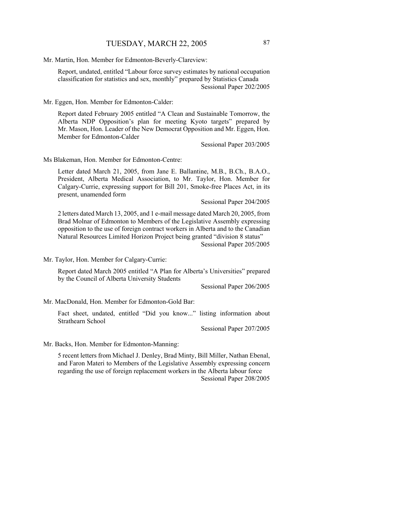Mr. Martin, Hon. Member for Edmonton-Beverly-Clareview:

Report, undated, entitled "Labour force survey estimates by national occupation classification for statistics and sex, monthly" prepared by Statistics Canada Sessional Paper 202/2005

Mr. Eggen, Hon. Member for Edmonton-Calder:

Report dated February 2005 entitled "A Clean and Sustainable Tomorrow, the Alberta NDP Opposition's plan for meeting Kyoto targets" prepared by Mr. Mason, Hon. Leader of the New Democrat Opposition and Mr. Eggen, Hon. Member for Edmonton-Calder

Sessional Paper 203/2005

Ms Blakeman, Hon. Member for Edmonton-Centre:

Letter dated March 21, 2005, from Jane E. Ballantine, M.B., B.Ch., B.A.O., President, Alberta Medical Association, to Mr. Taylor, Hon. Member for Calgary-Currie, expressing support for Bill 201, Smoke-free Places Act, in its present, unamended form

Sessional Paper 204/2005

2 letters dated March 13, 2005, and 1 e-mail message dated March 20, 2005, from Brad Molnar of Edmonton to Members of the Legislative Assembly expressing opposition to the use of foreign contract workers in Alberta and to the Canadian Natural Resources Limited Horizon Project being granted "division 8 status"

Sessional Paper 205/2005

Mr. Taylor, Hon. Member for Calgary-Currie:

Report dated March 2005 entitled "A Plan for Alberta's Universities" prepared by the Council of Alberta University Students

Sessional Paper 206/2005

Mr. MacDonald, Hon. Member for Edmonton-Gold Bar:

Fact sheet, undated, entitled "Did you know..." listing information about Strathearn School

Sessional Paper 207/2005

Mr. Backs, Hon. Member for Edmonton-Manning:

5 recent letters from Michael J. Denley, Brad Minty, Bill Miller, Nathan Ebenal, and Faron Materi to Members of the Legislative Assembly expressing concern regarding the use of foreign replacement workers in the Alberta labour force Sessional Paper 208/2005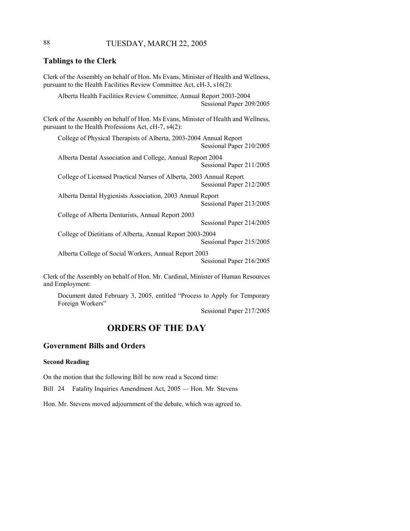## 88 TUESDAY, MARCH 22, 2005

### **Tablings to the Clerk**

Clerk of the Assembly on behalf of Hon. Ms Evans, Minister of Health and Wellness, pursuant to the Health Facilities Review Committee Act, cH-3, s16(2): Alberta Health Facilities Review Committee, Annual Report 2003-2004 Sessional Paper 209/2005 Clerk of the Assembly on behalf of Hon. Ms Evans, Minister of Health and Wellness, pursuant to the Health Professions Act, cH-7, s4(2): College of Physical Therapists of Alberta, 2003-2004 Annual Report Sessional Paper 210/2005 Alberta Dental Association and College, Annual Report 2004 Sessional Paper 211/2005 College of Licensed Practical Nurses of Alberta, 2003 Annual Report Sessional Paper 212/2005 Alberta Dental Hygienists Association, 2003 Annual Report Sessional Paper 213/2005 College of Alberta Denturists, Annual Report 2003 Sessional Paper 214/2005 College of Dietitians of Alberta, Annual Report 2003-2004 Sessional Paper 215/2005 Alberta College of Social Workers, Annual Report 2003 Sessional Paper 216/2005

Clerk of the Assembly on behalf of Hon. Mr. Cardinal, Minister of Human Resources and Employment:

Document dated February 3, 2005, entitled "Process to Apply for Temporary Foreign Workers"

Sessional Paper 217/2005

# **ORDERS OF THE DAY**

### **Government Bills and Orders**

#### **Second Reading**

On the motion that the following Bill be now read a Second time:

Bill 24 Fatality Inquiries Amendment Act, 2005 — Hon. Mr. Stevens

Hon. Mr. Stevens moved adjournment of the debate, which was agreed to.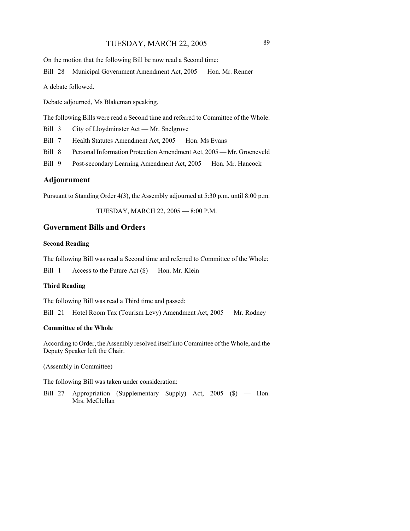## TUESDAY, MARCH 22, 2005 89

On the motion that the following Bill be now read a Second time:

Bill 28 Municipal Government Amendment Act, 2005 — Hon. Mr. Renner

A debate followed.

Debate adjourned, Ms Blakeman speaking.

The following Bills were read a Second time and referred to Committee of the Whole:

Bill 3 City of Lloydminster Act — Mr. Snelgrove

- Bill 7 Health Statutes Amendment Act, 2005 Hon. Ms Evans
- Bill 8 Personal Information Protection Amendment Act, 2005 Mr. Groeneveld
- Bill 9 Post-secondary Learning Amendment Act, 2005 Hon. Mr. Hancock

### **Adjournment**

Pursuant to Standing Order 4(3), the Assembly adjourned at 5:30 p.m. until 8:00 p.m.

TUESDAY, MARCH 22, 2005 — 8:00 P.M.

### **Government Bills and Orders**

#### **Second Reading**

The following Bill was read a Second time and referred to Committee of the Whole:

Bill 1 Access to the Future Act (\$) — Hon. Mr. Klein

#### **Third Reading**

The following Bill was read a Third time and passed:

Bill 21 Hotel Room Tax (Tourism Levy) Amendment Act, 2005 — Mr. Rodney

### **Committee of the Whole**

According to Order, the Assembly resolved itself into Committee of the Whole, and the Deputy Speaker left the Chair.

(Assembly in Committee)

The following Bill was taken under consideration:

Bill 27 Appropriation (Supplementary Supply) Act, 2005 (\$) — Hon. Mrs. McClellan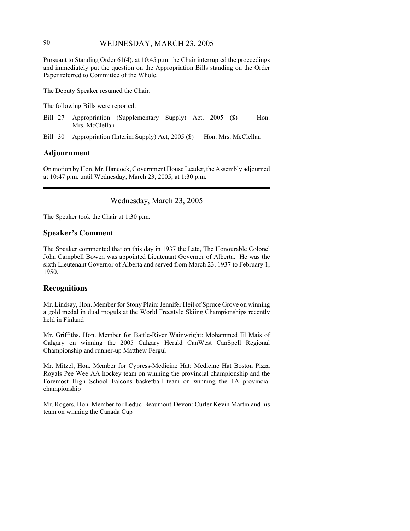## 90 WEDNESDAY, MARCH 23, 2005

Pursuant to Standing Order 61(4), at 10:45 p.m. the Chair interrupted the proceedings and immediately put the question on the Appropriation Bills standing on the Order Paper referred to Committee of the Whole.

The Deputy Speaker resumed the Chair.

The following Bills were reported:

Bill 27 Appropriation (Supplementary Supply) Act, 2005 (\$) — Hon. Mrs. McClellan

Bill 30 Appropriation (Interim Supply) Act, 2005 (\$) — Hon. Mrs. McClellan

### **Adjournment**

On motion by Hon. Mr. Hancock, Government House Leader, the Assembly adjourned at 10:47 p.m. until Wednesday, March 23, 2005, at 1:30 p.m.

Wednesday, March 23, 2005

The Speaker took the Chair at 1:30 p.m.

### **Speaker's Comment**

The Speaker commented that on this day in 1937 the Late, The Honourable Colonel John Campbell Bowen was appointed Lieutenant Governor of Alberta. He was the sixth Lieutenant Governor of Alberta and served from March 23, 1937 to February 1, 1950.

### **Recognitions**

Mr. Lindsay, Hon. Member for Stony Plain: Jennifer Heil of Spruce Grove on winning a gold medal in dual moguls at the World Freestyle Skiing Championships recently held in Finland

Mr. Griffiths, Hon. Member for Battle-River Wainwright: Mohammed El Mais of Calgary on winning the 2005 Calgary Herald CanWest CanSpell Regional Championship and runner-up Matthew Fergul

Mr. Mitzel, Hon. Member for Cypress-Medicine Hat: Medicine Hat Boston Pizza Royals Pee Wee AA hockey team on winning the provincial championship and the Foremost High School Falcons basketball team on winning the 1A provincial championship

Mr. Rogers, Hon. Member for Leduc-Beaumont-Devon: Curler Kevin Martin and his team on winning the Canada Cup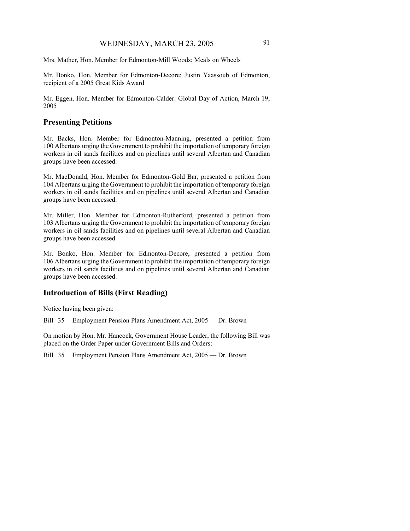Mrs. Mather, Hon. Member for Edmonton-Mill Woods: Meals on Wheels

Mr. Bonko, Hon. Member for Edmonton-Decore: Justin Yaassoub of Edmonton, recipient of a 2005 Great Kids Award

Mr. Eggen, Hon. Member for Edmonton-Calder: Global Day of Action, March 19, 2005

### **Presenting Petitions**

Mr. Backs, Hon. Member for Edmonton-Manning, presented a petition from 100 Albertans urging the Government to prohibit the importation of temporary foreign workers in oil sands facilities and on pipelines until several Albertan and Canadian groups have been accessed.

Mr. MacDonald, Hon. Member for Edmonton-Gold Bar, presented a petition from 104 Albertans urging the Government to prohibit the importation of temporary foreign workers in oil sands facilities and on pipelines until several Albertan and Canadian groups have been accessed.

Mr. Miller, Hon. Member for Edmonton-Rutherford, presented a petition from 103 Albertans urging the Government to prohibit the importation of temporary foreign workers in oil sands facilities and on pipelines until several Albertan and Canadian groups have been accessed.

Mr. Bonko, Hon. Member for Edmonton-Decore, presented a petition from 106 Albertans urging the Government to prohibit the importation of temporary foreign workers in oil sands facilities and on pipelines until several Albertan and Canadian groups have been accessed.

## **Introduction of Bills (First Reading)**

Notice having been given:

Bill 35 Employment Pension Plans Amendment Act, 2005 — Dr. Brown

On motion by Hon. Mr. Hancock, Government House Leader, the following Bill was placed on the Order Paper under Government Bills and Orders:

Bill 35 Employment Pension Plans Amendment Act, 2005 — Dr. Brown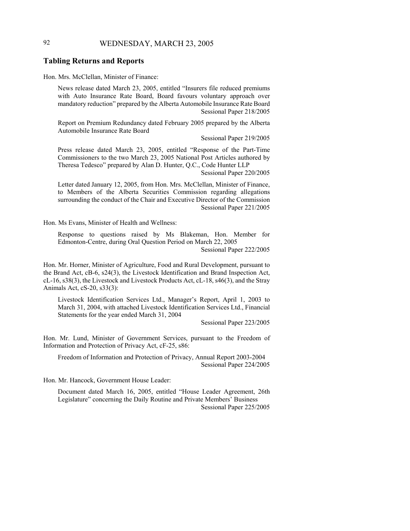## 92 WEDNESDAY, MARCH 23, 2005

### **Tabling Returns and Reports**

Hon. Mrs. McClellan, Minister of Finance:

News release dated March 23, 2005, entitled "Insurers file reduced premiums with Auto Insurance Rate Board, Board favours voluntary approach over mandatory reduction" prepared by the Alberta Automobile Insurance Rate Board Sessional Paper 218/2005

Report on Premium Redundancy dated February 2005 prepared by the Alberta Automobile Insurance Rate Board

Sessional Paper 219/2005

Press release dated March 23, 2005, entitled "Response of the Part-Time Commissioners to the two March 23, 2005 National Post Articles authored by Theresa Tedesco" prepared by Alan D. Hunter, Q.C., Code Hunter LLP Sessional Paper 220/2005

Letter dated January 12, 2005, from Hon. Mrs. McClellan, Minister of Finance, to Members of the Alberta Securities Commission regarding allegations surrounding the conduct of the Chair and Executive Director of the Commission Sessional Paper 221/2005

Hon. Ms Evans, Minister of Health and Wellness:

Response to questions raised by Ms Blakeman, Hon. Member for Edmonton-Centre, during Oral Question Period on March 22, 2005 Sessional Paper 222/2005

Hon. Mr. Horner, Minister of Agriculture, Food and Rural Development, pursuant to the Brand Act, cB-6, s24(3), the Livestock Identification and Brand Inspection Act, cL-16, s38(3), the Livestock and Livestock Products Act, cL-18, s46(3), and the Stray Animals Act, cS-20, s33(3):

Livestock Identification Services Ltd., Manager's Report, April 1, 2003 to March 31, 2004, with attached Livestock Identification Services Ltd., Financial Statements for the year ended March 31, 2004

Sessional Paper 223/2005

Hon. Mr. Lund, Minister of Government Services, pursuant to the Freedom of Information and Protection of Privacy Act, cF-25, s86:

Freedom of Information and Protection of Privacy, Annual Report 2003-2004 Sessional Paper 224/2005

Hon. Mr. Hancock, Government House Leader:

Document dated March 16, 2005, entitled "House Leader Agreement, 26th Legislature" concerning the Daily Routine and Private Members' Business Sessional Paper 225/2005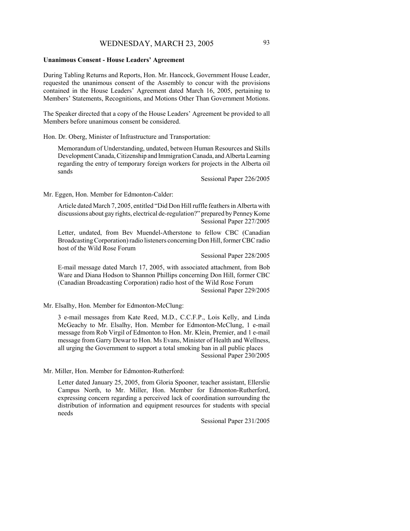#### **Unanimous Consent - House Leaders' Agreement**

During Tabling Returns and Reports, Hon. Mr. Hancock, Government House Leader, requested the unanimous consent of the Assembly to concur with the provisions contained in the House Leaders' Agreement dated March 16, 2005, pertaining to Members' Statements, Recognitions, and Motions Other Than Government Motions.

The Speaker directed that a copy of the House Leaders' Agreement be provided to all Members before unanimous consent be considered.

Hon. Dr. Oberg, Minister of Infrastructure and Transportation:

Memorandum of Understanding, undated, between Human Resources and Skills Development Canada, Citizenship and Immigration Canada, and Alberta Learning regarding the entry of temporary foreign workers for projects in the Alberta oil sands

Sessional Paper 226/2005

Mr. Eggen, Hon. Member for Edmonton-Calder:

Article dated March 7, 2005, entitled "Did Don Hill ruffle feathers in Alberta with discussions about gay rights, electrical de-regulation?" prepared by Penney Kome Sessional Paper 227/2005

Letter, undated, from Bev Muendel-Atherstone to fellow CBC (Canadian Broadcasting Corporation) radio listeners concerning Don Hill, former CBC radio host of the Wild Rose Forum

Sessional Paper 228/2005

E-mail message dated March 17, 2005, with associated attachment, from Bob Ware and Diana Hodson to Shannon Phillips concerning Don Hill, former CBC (Canadian Broadcasting Corporation) radio host of the Wild Rose Forum Sessional Paper 229/2005

Mr. Elsalhy, Hon. Member for Edmonton-McClung:

3 e-mail messages from Kate Reed, M.D., C.C.F.P., Lois Kelly, and Linda McGeachy to Mr. Elsalhy, Hon. Member for Edmonton-McClung, 1 e-mail message from Rob Virgil of Edmonton to Hon. Mr. Klein, Premier, and 1 e-mail message from Garry Dewar to Hon. Ms Evans, Minister of Health and Wellness, all urging the Government to support a total smoking ban in all public places Sessional Paper 230/2005

Mr. Miller, Hon. Member for Edmonton-Rutherford:

Letter dated January 25, 2005, from Gloria Spooner, teacher assistant, Ellerslie Campus North, to Mr. Miller, Hon. Member for Edmonton-Rutherford, expressing concern regarding a perceived lack of coordination surrounding the distribution of information and equipment resources for students with special needs

Sessional Paper 231/2005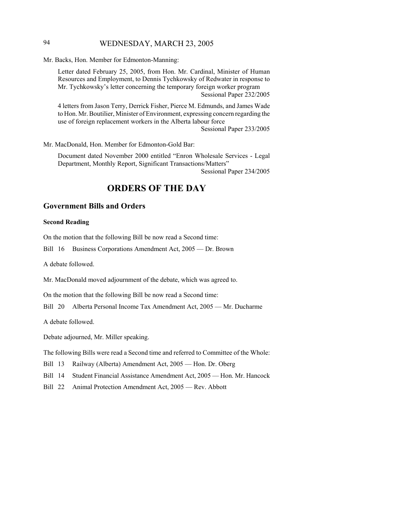## 94 WEDNESDAY, MARCH 23, 2005

Mr. Backs, Hon. Member for Edmonton-Manning:

Letter dated February 25, 2005, from Hon. Mr. Cardinal, Minister of Human Resources and Employment, to Dennis Tychkowsky of Redwater in response to Mr. Tychkowsky's letter concerning the temporary foreign worker program Sessional Paper 232/2005

4 letters from Jason Terry, Derrick Fisher, Pierce M. Edmunds, and James Wade to Hon. Mr. Boutilier, Minister of Environment, expressing concern regarding the use of foreign replacement workers in the Alberta labour force

Sessional Paper 233/2005

Mr. MacDonald, Hon. Member for Edmonton-Gold Bar:

Document dated November 2000 entitled "Enron Wholesale Services - Legal Department, Monthly Report, Significant Transactions/Matters" Sessional Paper 234/2005

# **ORDERS OF THE DAY**

## **Government Bills and Orders**

### **Second Reading**

On the motion that the following Bill be now read a Second time:

Bill 16 Business Corporations Amendment Act, 2005 — Dr. Brown

A debate followed.

Mr. MacDonald moved adjournment of the debate, which was agreed to.

On the motion that the following Bill be now read a Second time:

Bill 20 Alberta Personal Income Tax Amendment Act, 2005 — Mr. Ducharme

A debate followed.

Debate adjourned, Mr. Miller speaking.

The following Bills were read a Second time and referred to Committee of the Whole:

Bill 13 Railway (Alberta) Amendment Act, 2005 — Hon. Dr. Oberg

- Bill 14 Student Financial Assistance Amendment Act, 2005 Hon. Mr. Hancock
- Bill 22 Animal Protection Amendment Act, 2005 Rev. Abbott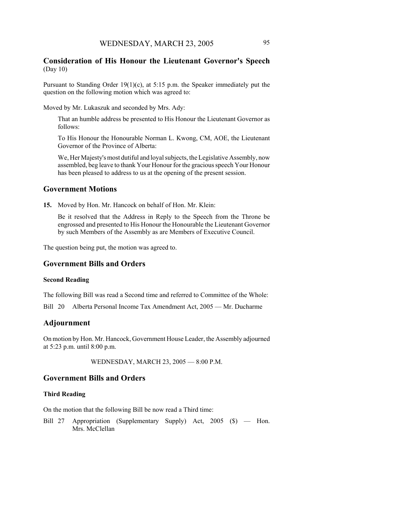### **Consideration of His Honour the Lieutenant Governor's Speech** (Day 10)

Pursuant to Standing Order 19(1)(c), at 5:15 p.m. the Speaker immediately put the question on the following motion which was agreed to:

Moved by Mr. Lukaszuk and seconded by Mrs. Ady:

That an humble address be presented to His Honour the Lieutenant Governor as follows:

To His Honour the Honourable Norman L. Kwong, CM, AOE, the Lieutenant Governor of the Province of Alberta:

We, Her Majesty's most dutiful and loyal subjects, the Legislative Assembly, now assembled, beg leave to thank Your Honour for the gracious speech Your Honour has been pleased to address to us at the opening of the present session.

### **Government Motions**

**15.** Moved by Hon. Mr. Hancock on behalf of Hon. Mr. Klein:

Be it resolved that the Address in Reply to the Speech from the Throne be engrossed and presented to His Honour the Honourable the Lieutenant Governor by such Members of the Assembly as are Members of Executive Council.

The question being put, the motion was agreed to.

### **Government Bills and Orders**

### **Second Reading**

The following Bill was read a Second time and referred to Committee of the Whole:

Bill 20 Alberta Personal Income Tax Amendment Act, 2005 — Mr. Ducharme

### **Adjournment**

On motion by Hon. Mr. Hancock, Government House Leader, the Assembly adjourned at 5:23 p.m. until 8:00 p.m.

WEDNESDAY, MARCH 23, 2005 — 8:00 P.M.

### **Government Bills and Orders**

### **Third Reading**

On the motion that the following Bill be now read a Third time:

Bill 27 Appropriation (Supplementary Supply) Act, 2005 (\$) — Hon. Mrs. McClellan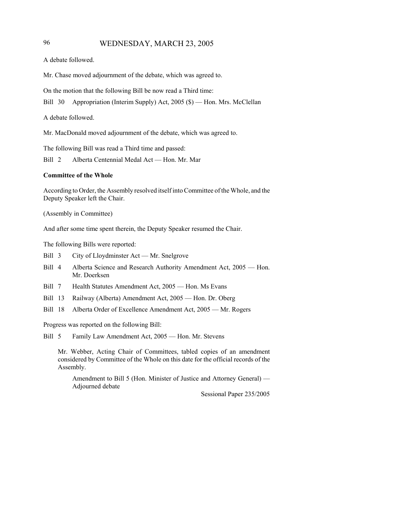## 96 WEDNESDAY, MARCH 23, 2005

A debate followed.

Mr. Chase moved adjournment of the debate, which was agreed to.

On the motion that the following Bill be now read a Third time:

Bill 30 Appropriation (Interim Supply) Act, 2005 (\$) — Hon. Mrs. McClellan

A debate followed.

Mr. MacDonald moved adjournment of the debate, which was agreed to.

The following Bill was read a Third time and passed:

Bill 2 Alberta Centennial Medal Act — Hon. Mr. Mar

#### **Committee of the Whole**

According to Order, the Assembly resolved itself into Committee of the Whole, and the Deputy Speaker left the Chair.

(Assembly in Committee)

And after some time spent therein, the Deputy Speaker resumed the Chair.

The following Bills were reported:

- Bill 3 City of Lloydminster Act Mr. Snelgrove
- Bill 4 Alberta Science and Research Authority Amendment Act, 2005 Hon. Mr. Doerksen
- Bill 7 Health Statutes Amendment Act, 2005 Hon. Ms Evans
- Bill 13 Railway (Alberta) Amendment Act, 2005 Hon. Dr. Oberg
- Bill 18 Alberta Order of Excellence Amendment Act, 2005 Mr. Rogers

Progress was reported on the following Bill:

Bill 5 Family Law Amendment Act, 2005 — Hon. Mr. Stevens

Mr. Webber, Acting Chair of Committees, tabled copies of an amendment considered by Committee of the Whole on this date for the official records of the Assembly.

Amendment to Bill 5 (Hon. Minister of Justice and Attorney General) — Adjourned debate

Sessional Paper 235/2005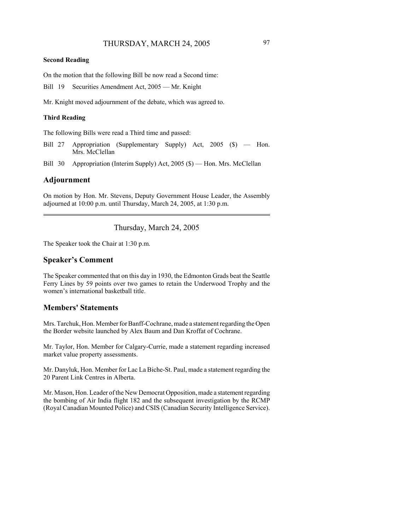#### **Second Reading**

On the motion that the following Bill be now read a Second time:

Bill 19 Securities Amendment Act, 2005 — Mr. Knight

Mr. Knight moved adjournment of the debate, which was agreed to.

### **Third Reading**

The following Bills were read a Third time and passed:

- Bill 27 Appropriation (Supplementary Supply) Act, 2005 (\$) Hon. Mrs. McClellan
- Bill 30 Appropriation (Interim Supply) Act, 2005 (\$) Hon. Mrs. McClellan

#### **Adjournment**

On motion by Hon. Mr. Stevens, Deputy Government House Leader, the Assembly adjourned at 10:00 p.m. until Thursday, March 24, 2005, at 1:30 p.m.

## Thursday, March 24, 2005

The Speaker took the Chair at 1:30 p.m.

#### **Speaker's Comment**

The Speaker commented that on this day in 1930, the Edmonton Grads beat the Seattle Ferry Lines by 59 points over two games to retain the Underwood Trophy and the women's international basketball title.

## **Members' Statements**

Mrs. Tarchuk, Hon. Member for Banff-Cochrane, made a statement regarding the Open the Border website launched by Alex Baum and Dan Kroffat of Cochrane.

Mr. Taylor, Hon. Member for Calgary-Currie, made a statement regarding increased market value property assessments.

Mr. Danyluk, Hon. Member for Lac La Biche-St. Paul, made a statement regarding the 20 Parent Link Centres in Alberta.

Mr. Mason, Hon. Leader of the New Democrat Opposition, made a statement regarding the bombing of Air India flight 182 and the subsequent investigation by the RCMP (Royal Canadian Mounted Police) and CSIS (Canadian Security Intelligence Service).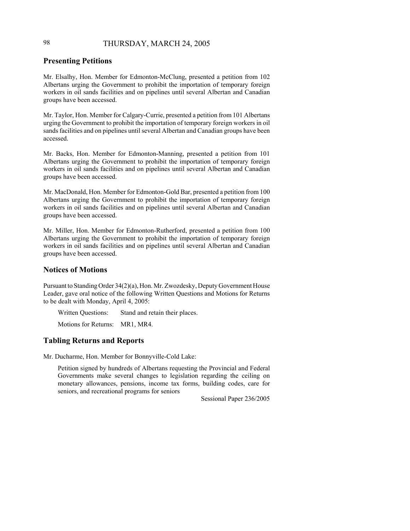## 98 THURSDAY, MARCH 24, 2005

## **Presenting Petitions**

Mr. Elsalhy, Hon. Member for Edmonton-McClung, presented a petition from 102 Albertans urging the Government to prohibit the importation of temporary foreign workers in oil sands facilities and on pipelines until several Albertan and Canadian groups have been accessed.

Mr. Taylor, Hon. Member for Calgary-Currie, presented a petition from 101 Albertans urging the Government to prohibit the importation of temporary foreign workers in oil sands facilities and on pipelines until several Albertan and Canadian groups have been accessed.

Mr. Backs, Hon. Member for Edmonton-Manning, presented a petition from 101 Albertans urging the Government to prohibit the importation of temporary foreign workers in oil sands facilities and on pipelines until several Albertan and Canadian groups have been accessed.

Mr. MacDonald, Hon. Member for Edmonton-Gold Bar, presented a petition from 100 Albertans urging the Government to prohibit the importation of temporary foreign workers in oil sands facilities and on pipelines until several Albertan and Canadian groups have been accessed.

Mr. Miller, Hon. Member for Edmonton-Rutherford, presented a petition from 100 Albertans urging the Government to prohibit the importation of temporary foreign workers in oil sands facilities and on pipelines until several Albertan and Canadian groups have been accessed.

### **Notices of Motions**

Pursuant to Standing Order 34(2)(a), Hon. Mr. Zwozdesky, Deputy Government House Leader, gave oral notice of the following Written Questions and Motions for Returns to be dealt with Monday, April 4, 2005:

Written Questions: Stand and retain their places.

Motions for Returns: MR1, MR4.

## **Tabling Returns and Reports**

Mr. Ducharme, Hon. Member for Bonnyville-Cold Lake:

Petition signed by hundreds of Albertans requesting the Provincial and Federal Governments make several changes to legislation regarding the ceiling on monetary allowances, pensions, income tax forms, building codes, care for seniors, and recreational programs for seniors

Sessional Paper 236/2005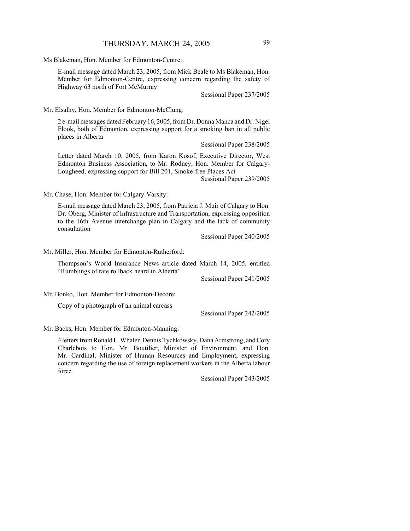Ms Blakeman, Hon. Member for Edmonton-Centre:

E-mail message dated March 23, 2005, from Mick Beale to Ms Blakeman, Hon. Member for Edmonton-Centre, expressing concern regarding the safety of Highway 63 north of Fort McMurray

Sessional Paper 237/2005

Mr. Elsalhy, Hon. Member for Edmonton-McClung:

2 e-mail messages dated February 16, 2005, from Dr. Donna Manca and Dr. Nigel Flook, both of Edmonton, expressing support for a smoking ban in all public places in Alberta

Sessional Paper 238/2005

Letter dated March 10, 2005, from Karon Kosof, Executive Director, West Edmonton Business Association, to Mr. Rodney, Hon. Member for Calgary-Lougheed, expressing support for Bill 201, Smoke-free Places Act

Sessional Paper 239/2005

Mr. Chase, Hon. Member for Calgary-Varsity:

E-mail message dated March 23, 2005, from Patricia J. Muir of Calgary to Hon. Dr. Oberg, Minister of Infrastructure and Transportation, expressing opposition to the 16th Avenue interchange plan in Calgary and the lack of community consultation

Sessional Paper 240/2005

Mr. Miller, Hon. Member for Edmonton-Rutherford:

Thompson's World Insurance News article dated March 14, 2005, entitled "Rumblings of rate rollback heard in Alberta"

Sessional Paper 241/2005

Mr. Bonko, Hon. Member for Edmonton-Decore:

Copy of a photograph of an animal carcass

Sessional Paper 242/2005

#### Mr. Backs, Hon. Member for Edmonton-Manning:

4 letters from Ronald L. Whaler, Dennis Tychkowsky, Dana Armstrong, and Cory Charlebois to Hon. Mr. Boutilier, Minister of Environment, and Hon. Mr. Cardinal, Minister of Human Resources and Employment, expressing concern regarding the use of foreign replacement workers in the Alberta labour force

Sessional Paper 243/2005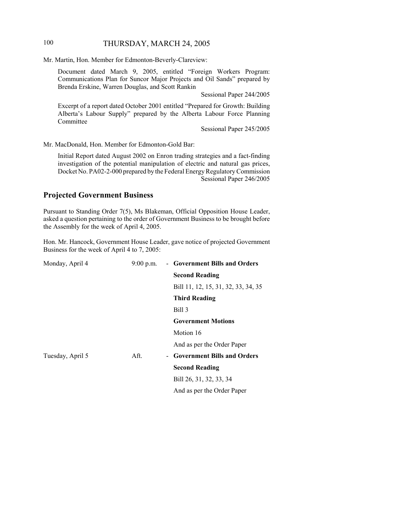## 100 THURSDAY, MARCH 24, 2005

Mr. Martin, Hon. Member for Edmonton-Beverly-Clareview:

Document dated March 9, 2005, entitled "Foreign Workers Program: Communications Plan for Suncor Major Projects and Oil Sands" prepared by Brenda Erskine, Warren Douglas, and Scott Rankin

Sessional Paper 244/2005

Excerpt of a report dated October 2001 entitled "Prepared for Growth: Building Alberta's Labour Supply" prepared by the Alberta Labour Force Planning Committee

Sessional Paper 245/2005

Mr. MacDonald, Hon. Member for Edmonton-Gold Bar:

Initial Report dated August 2002 on Enron trading strategies and a fact-finding investigation of the potential manipulation of electric and natural gas prices, Docket No. PA02-2-000 prepared by the Federal Energy Regulatory Commission Sessional Paper 246/2005

## **Projected Government Business**

Pursuant to Standing Order 7(5), Ms Blakeman, Official Opposition House Leader, asked a question pertaining to the order of Government Business to be brought before the Assembly for the week of April 4, 2005.

Hon. Mr. Hancock, Government House Leader, gave notice of projected Government Business for the week of April 4 to 7, 2005:

| Monday, April 4  | $9:00$ p.m. | - Government Bills and Orders       |
|------------------|-------------|-------------------------------------|
|                  |             | <b>Second Reading</b>               |
|                  |             | Bill 11, 12, 15, 31, 32, 33, 34, 35 |
|                  |             | <b>Third Reading</b>                |
|                  |             | Bill 3                              |
|                  |             | <b>Government Motions</b>           |
|                  |             | Motion 16                           |
|                  |             | And as per the Order Paper          |
| Tuesday, April 5 | Aft.        | - Government Bills and Orders       |
|                  |             | <b>Second Reading</b>               |
|                  |             | Bill 26, 31, 32, 33, 34             |
|                  |             | And as per the Order Paper          |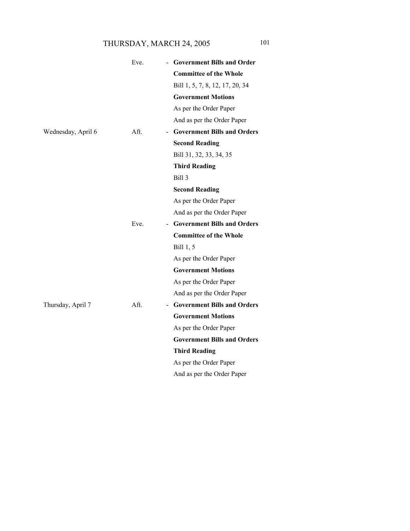# THURSDAY, MARCH 24, 2005 101

|                    | Eve.                             | <b>Government Bills and Order</b>  |
|--------------------|----------------------------------|------------------------------------|
|                    |                                  | <b>Committee of the Whole</b>      |
|                    |                                  | Bill 1, 5, 7, 8, 12, 17, 20, 34    |
|                    |                                  | <b>Government Motions</b>          |
|                    |                                  | As per the Order Paper             |
|                    |                                  | And as per the Order Paper         |
| Wednesday, April 6 | Aft.                             | <b>Government Bills and Orders</b> |
|                    |                                  | <b>Second Reading</b>              |
|                    |                                  | Bill 31, 32, 33, 34, 35            |
|                    |                                  | <b>Third Reading</b>               |
|                    |                                  | Bill 3                             |
|                    |                                  | <b>Second Reading</b>              |
|                    |                                  | As per the Order Paper             |
|                    |                                  | And as per the Order Paper         |
|                    | Eve.<br>$\overline{\phantom{0}}$ | <b>Government Bills and Orders</b> |
|                    |                                  | <b>Committee of the Whole</b>      |
|                    |                                  | Bill 1, 5                          |
|                    |                                  | As per the Order Paper             |
|                    |                                  | <b>Government Motions</b>          |
|                    |                                  | As per the Order Paper             |
|                    |                                  | And as per the Order Paper         |
| Thursday, April 7  | Aft.                             | - Government Bills and Orders      |
|                    |                                  | <b>Government Motions</b>          |
|                    |                                  | As per the Order Paper             |
|                    |                                  | <b>Government Bills and Orders</b> |
|                    |                                  | <b>Third Reading</b>               |
|                    |                                  | As per the Order Paper             |
|                    |                                  | And as per the Order Paper         |
|                    |                                  |                                    |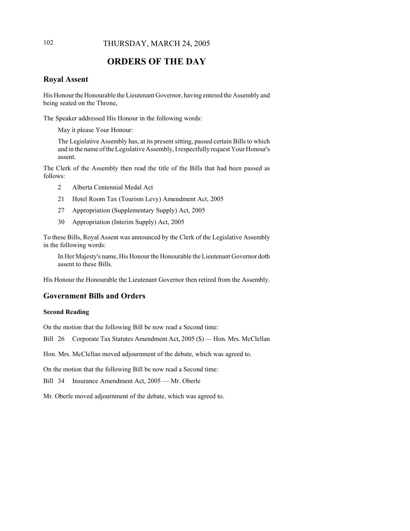## 102 THURSDAY, MARCH 24, 2005

# **ORDERS OF THE DAY**

## **Royal Assent**

His Honour the Honourable the Lieutenant Governor, having entered the Assembly and being seated on the Throne,

The Speaker addressed His Honour in the following words:

May it please Your Honour:

The Legislative Assembly has, at its present sitting, passed certain Bills to which and in the name of the Legislative Assembly, I respectfully request Your Honour's assent.

The Clerk of the Assembly then read the title of the Bills that had been passed as follows:

- 2 Alberta Centennial Medal Act
- 21 Hotel Room Tax (Tourism Levy) Amendment Act, 2005
- 27 Appropriation (Supplementary Supply) Act, 2005
- 30 Appropriation (Interim Supply) Act, 2005

To these Bills, Royal Assent was announced by the Clerk of the Legislative Assembly in the following words:

In Her Majesty's name, His Honour the Honourable the Lieutenant Governor doth assent to these Bills.

His Honour the Honourable the Lieutenant Governor then retired from the Assembly.

## **Government Bills and Orders**

#### **Second Reading**

On the motion that the following Bill be now read a Second time:

Bill 26 Corporate Tax Statutes Amendment Act, 2005 (\$) — Hon. Mrs. McClellan

Hon. Mrs. McClellan moved adjournment of the debate, which was agreed to.

On the motion that the following Bill be now read a Second time:

Bill 34 Insurance Amendment Act, 2005 — Mr. Oberle

Mr. Oberle moved adjournment of the debate, which was agreed to.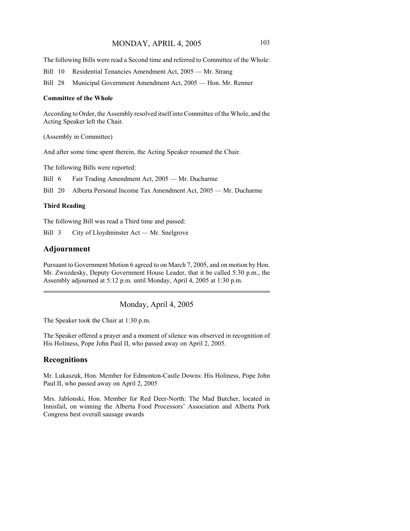The following Bills were read a Second time and referred to Committee of the Whole:

Bill 10 Residential Tenancies Amendment Act, 2005 — Mr. Strang

Bill 28 Municipal Government Amendment Act, 2005 — Hon. Mr. Renner

#### **Committee of the Whole**

According to Order, the Assembly resolved itself into Committee of the Whole, and the Acting Speaker left the Chair.

(Assembly in Committee)

And after some time spent therein, the Acting Speaker resumed the Chair.

The following Bills were reported:

Bill 6 Fair Trading Amendment Act, 2005 — Mr. Ducharme

Bill 20 Alberta Personal Income Tax Amendment Act, 2005 — Mr. Ducharme

#### **Third Reading**

The following Bill was read a Third time and passed:

Bill 3 City of Lloydminster Act — Mr. Snelgrove

### **Adjournment**

Pursuant to Government Motion 6 agreed to on March 7, 2005, and on motion by Hon. Mr. Zwozdesky, Deputy Government House Leader, that it be called 5:30 p.m., the Assembly adjourned at 5:12 p.m. until Monday, April 4, 2005 at 1:30 p.m.

Monday, April 4, 2005

The Speaker took the Chair at 1:30 p.m.

The Speaker offered a prayer and a moment of silence was observed in recognition of His Holiness, Pope John Paul II, who passed away on April 2, 2005.

### **Recognitions**

Mr. Lukaszuk, Hon. Member for Edmonton-Castle Downs: His Holiness, Pope John Paul II, who passed away on April 2, 2005

Mrs. Jablonski, Hon. Member for Red Deer-North: The Mad Butcher, located in Innisfail, on winning the Alberta Food Processors' Association and Alberta Pork Congress best overall sausage awards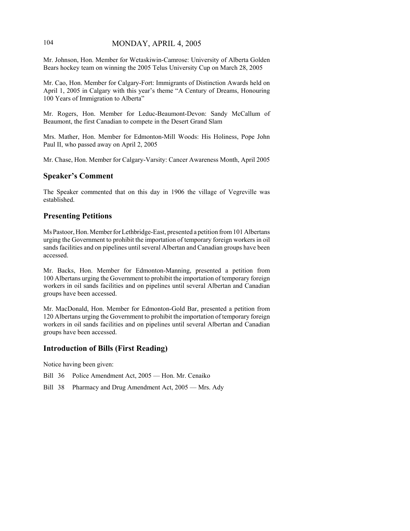## 104 MONDAY, APRIL 4, 2005

Mr. Johnson, Hon. Member for Wetaskiwin-Camrose: University of Alberta Golden Bears hockey team on winning the 2005 Telus University Cup on March 28, 2005

Mr. Cao, Hon. Member for Calgary-Fort: Immigrants of Distinction Awards held on April 1, 2005 in Calgary with this year's theme "A Century of Dreams, Honouring 100 Years of Immigration to Alberta"

Mr. Rogers, Hon. Member for Leduc-Beaumont-Devon: Sandy McCallum of Beaumont, the first Canadian to compete in the Desert Grand Slam

Mrs. Mather, Hon. Member for Edmonton-Mill Woods: His Holiness, Pope John Paul II, who passed away on April 2, 2005

Mr. Chase, Hon. Member for Calgary-Varsity: Cancer Awareness Month, April 2005

## **Speaker's Comment**

The Speaker commented that on this day in 1906 the village of Vegreville was established.

## **Presenting Petitions**

Ms Pastoor, Hon. Member for Lethbridge-East, presented a petition from 101 Albertans urging the Government to prohibit the importation of temporary foreign workers in oil sands facilities and on pipelines until several Albertan and Canadian groups have been accessed.

Mr. Backs, Hon. Member for Edmonton-Manning, presented a petition from 100 Albertans urging the Government to prohibit the importation of temporary foreign workers in oil sands facilities and on pipelines until several Albertan and Canadian groups have been accessed.

Mr. MacDonald, Hon. Member for Edmonton-Gold Bar, presented a petition from 120 Albertans urging the Government to prohibit the importation of temporary foreign workers in oil sands facilities and on pipelines until several Albertan and Canadian groups have been accessed.

# **Introduction of Bills (First Reading)**

Notice having been given:

- Bill 36 Police Amendment Act, 2005 Hon. Mr. Cenaiko
- Bill 38 Pharmacy and Drug Amendment Act, 2005 Mrs. Ady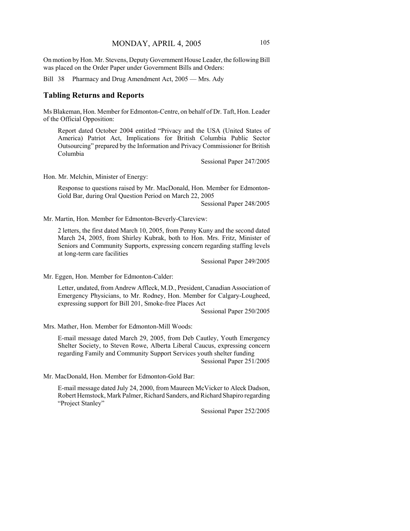On motion by Hon. Mr. Stevens, Deputy Government House Leader, the following Bill was placed on the Order Paper under Government Bills and Orders:

Bill 38 Pharmacy and Drug Amendment Act, 2005 — Mrs. Ady

#### **Tabling Returns and Reports**

Ms Blakeman, Hon. Member for Edmonton-Centre, on behalf of Dr. Taft, Hon. Leader of the Official Opposition:

Report dated October 2004 entitled "Privacy and the USA (United States of America) Patriot Act, Implications for British Columbia Public Sector Outsourcing" prepared by the Information and Privacy Commissioner for British Columbia

Sessional Paper 247/2005

Hon. Mr. Melchin, Minister of Energy:

Response to questions raised by Mr. MacDonald, Hon. Member for Edmonton-Gold Bar, during Oral Question Period on March 22, 2005

Sessional Paper 248/2005

Mr. Martin, Hon. Member for Edmonton-Beverly-Clareview:

2 letters, the first dated March 10, 2005, from Penny Kuny and the second dated March 24, 2005, from Shirley Kubrak, both to Hon. Mrs. Fritz, Minister of Seniors and Community Supports, expressing concern regarding staffing levels at long-term care facilities

Sessional Paper 249/2005

Mr. Eggen, Hon. Member for Edmonton-Calder:

Letter, undated, from Andrew Affleck, M.D., President, Canadian Association of Emergency Physicians, to Mr. Rodney, Hon. Member for Calgary-Lougheed, expressing support for Bill 201, Smoke-free Places Act

Sessional Paper 250/2005

Mrs. Mather, Hon. Member for Edmonton-Mill Woods:

E-mail message dated March 29, 2005, from Deb Cautley, Youth Emergency Shelter Society, to Steven Rowe, Alberta Liberal Caucus, expressing concern regarding Family and Community Support Services youth shelter funding Sessional Paper 251/2005

Mr. MacDonald, Hon. Member for Edmonton-Gold Bar:

E-mail message dated July 24, 2000, from Maureen McVicker to Aleck Dadson, Robert Hemstock, Mark Palmer, Richard Sanders, and Richard Shapiro regarding "Project Stanley"

Sessional Paper 252/2005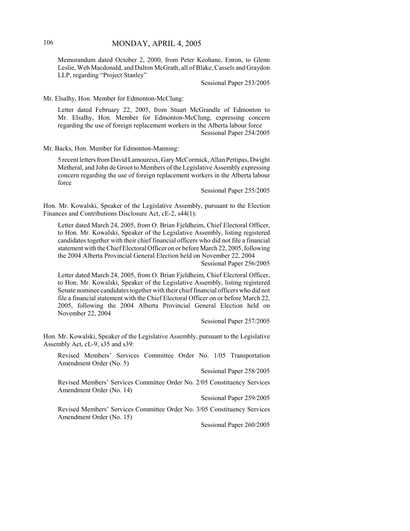Memorandum dated October 2, 2000, from Peter Keohane, Enron, to Glenn Leslie, Web Macdonald, and Dalton McGrath, all of Blake, Cassels and Graydon LLP, regarding "Project Stanley"

Sessional Paper 253/2005

Mr. Elsalhy, Hon. Member for Edmonton-McClung:

Letter dated February 22, 2005, from Stuart McGrandle of Edmonton to Mr. Elsalhy, Hon. Member for Edmonton-McClung, expressing concern regarding the use of foreign replacement workers in the Alberta labour force Sessional Paper 254/2005

Mr. Backs, Hon. Member for Edmonton-Manning:

5 recent letters from David Lamoureux, Gary McCormick, Allan Pettipas, Dwight Metheral, and John de Groot to Members of the Legislative Assembly expressing concern regarding the use of foreign replacement workers in the Alberta labour force

Sessional Paper 255/2005

Hon. Mr. Kowalski, Speaker of the Legislative Assembly, pursuant to the Election Finances and Contributions Disclosure Act, cE-2, s44(1):

Letter dated March 24, 2005, from O. Brian Fjeldheim, Chief Electoral Officer, to Hon. Mr. Kowalski, Speaker of the Legislative Assembly, listing registered candidates together with their chief financial officers who did not file a financial statement with the Chief Electoral Officer on or before March 22, 2005, following the 2004 Alberta Provincial General Election held on November 22, 2004

Sessional Paper 256/2005

Letter dated March 24, 2005, from O. Brian Fjeldheim, Chief Electoral Officer, to Hon. Mr. Kowalski, Speaker of the Legislative Assembly, listing registered Senate nominee candidates together with their chief financial officers who did not file a financial statement with the Chief Electoral Officer on or before March 22, 2005, following the 2004 Alberta Provincial General Election held on November 22, 2004

Sessional Paper 257/2005

Hon. Mr. Kowalski, Speaker of the Legislative Assembly, pursuant to the Legislative Assembly Act, cL-9, s35 and s39:

Revised Members' Services Committee Order No. 1/05 Transportation Amendment Order (No. 5)

Sessional Paper 258/2005

Revised Members' Services Committee Order No. 2/05 Constituency Services Amendment Order (No. 14)

Sessional Paper 259/2005

Revised Members' Services Committee Order No. 3/05 Constituency Services Amendment Order (No. 15)

Sessional Paper 260/2005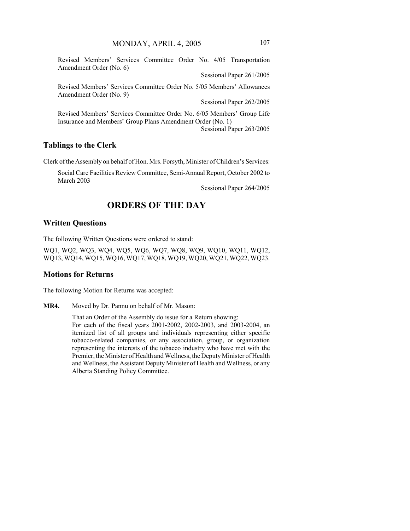Revised Members' Services Committee Order No. 4/05 Transportation Amendment Order (No. 6)

Sessional Paper 261/2005

Revised Members' Services Committee Order No. 5/05 Members' Allowances Amendment Order (No. 9)

Sessional Paper 262/2005

Revised Members' Services Committee Order No. 6/05 Members' Group Life Insurance and Members' Group Plans Amendment Order (No. 1) Sessional Paper 263/2005

#### **Tablings to the Clerk**

Clerk of the Assembly on behalf of Hon. Mrs. Forsyth, Minister of Children's Services:

Social Care Facilities Review Committee, Semi-Annual Report, October 2002 to March 2003

Sessional Paper 264/2005

# **ORDERS OF THE DAY**

#### **Written Questions**

The following Written Questions were ordered to stand:

WQ1, WQ2, WQ3, WQ4, WQ5, WQ6, WQ7, WQ8, WQ9, WQ10, WQ11, WQ12, WQ13, WQ14, WQ15, WQ16, WQ17, WQ18, WQ19, WQ20, WQ21, WQ22, WQ23.

#### **Motions for Returns**

The following Motion for Returns was accepted:

**MR4.** Moved by Dr. Pannu on behalf of Mr. Mason:

That an Order of the Assembly do issue for a Return showing: For each of the fiscal years 2001-2002, 2002-2003, and 2003-2004, an itemized list of all groups and individuals representing either specific tobacco-related companies, or any association, group, or organization representing the interests of the tobacco industry who have met with the Premier, the Minister of Health and Wellness, the Deputy Minister of Health and Wellness, the Assistant Deputy Minister of Health and Wellness, or any Alberta Standing Policy Committee.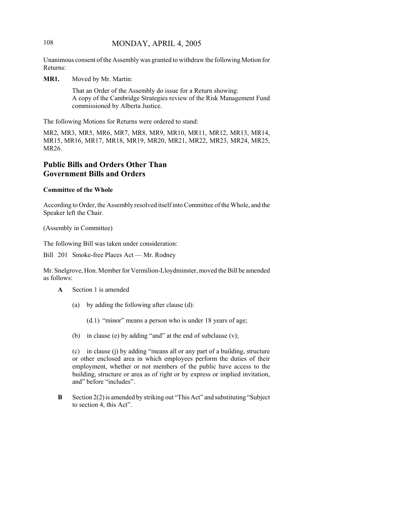## 108 MONDAY, APRIL 4, 2005

Unanimous consent of the Assembly was granted to withdraw the following Motion for Returns:

**MR1.** Moved by Mr. Martin:

That an Order of the Assembly do issue for a Return showing: A copy of the Cambridge Strategies review of the Risk Management Fund commissioned by Alberta Justice.

The following Motions for Returns were ordered to stand:

MR2, MR3, MR5, MR6, MR7, MR8, MR9, MR10, MR11, MR12, MR13, MR14, MR15, MR16, MR17, MR18, MR19, MR20, MR21, MR22, MR23, MR24, MR25, MR26.

# **Public Bills and Orders Other Than Government Bills and Orders**

#### **Committee of the Whole**

According to Order, the Assembly resolved itself into Committee of the Whole, and the Speaker left the Chair.

(Assembly in Committee)

The following Bill was taken under consideration:

Bill 201 Smoke-free Places Act — Mr. Rodney

Mr. Snelgrove, Hon. Member for Vermilion-Lloydminster, moved the Bill be amended as follows:

- **A** Section 1 is amended
	- (a) by adding the following after clause (d):

(d.1) "minor" means a person who is under 18 years of age;

(b) in clause (e) by adding "and" at the end of subclause (v);

(c) in clause (j) by adding "means all or any part of a building, structure or other enclosed area in which employees perform the duties of their employment, whether or not members of the public have access to the building, structure or area as of right or by express or implied invitation, and" before "includes".

**B** Section 2(2) is amended by striking out "This Act" and substituting "Subject to section 4, this Act".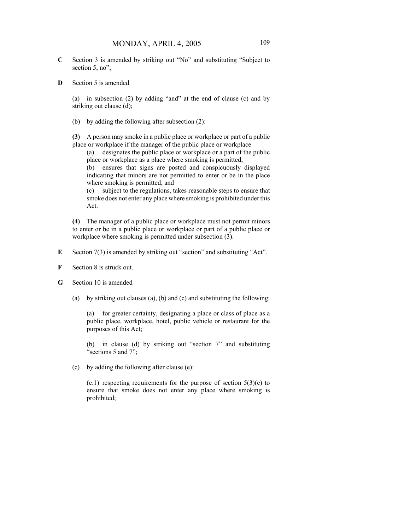- **C** Section 3 is amended by striking out "No" and substituting "Subject to section 5, no";
- **D** Section 5 is amended

(a) in subsection (2) by adding "and" at the end of clause (c) and by striking out clause (d);

(b) by adding the following after subsection (2):

**(3)** A person may smoke in a public place or workplace or part of a public place or workplace if the manager of the public place or workplace

(a) designates the public place or workplace or a part of the public place or workplace as a place where smoking is permitted,

(b) ensures that signs are posted and conspicuously displayed indicating that minors are not permitted to enter or be in the place where smoking is permitted, and

(c) subject to the regulations, takes reasonable steps to ensure that smoke does not enter any place where smoking is prohibited under this Act.

**(4)** The manager of a public place or workplace must not permit minors to enter or be in a public place or workplace or part of a public place or workplace where smoking is permitted under subsection (3).

- **E** Section 7(3) is amended by striking out "section" and substituting "Act".
- **F** Section 8 is struck out.
- **G** Section 10 is amended
	- (a) by striking out clauses (a), (b) and (c) and substituting the following:

(a) for greater certainty, designating a place or class of place as a public place, workplace, hotel, public vehicle or restaurant for the purposes of this Act;

(b) in clause (d) by striking out "section 7" and substituting "sections 5 and 7";

(c) by adding the following after clause (e):

 $(e.1)$  respecting requirements for the purpose of section  $5(3)(c)$  to ensure that smoke does not enter any place where smoking is prohibited;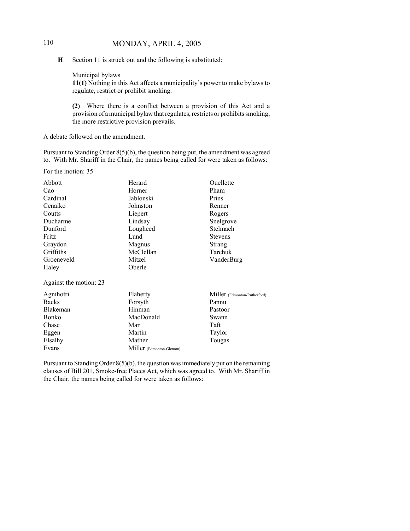# 110 MONDAY, APRIL 4, 2005

**H** Section 11 is struck out and the following is substituted:

Municipal bylaws **11(1)** Nothing in this Act affects a municipality's power to make bylaws to regulate, restrict or prohibit smoking.

**(2)** Where there is a conflict between a provision of this Act and a provision of a municipal bylaw that regulates, restricts or prohibits smoking, the more restrictive provision prevails.

A debate followed on the amendment.

Pursuant to Standing Order 8(5)(b), the question being put, the amendment was agreed to. With Mr. Shariff in the Chair, the names being called for were taken as follows:

For the motion: 35

Evans

| Abbott                 | Herard    | Ouellette                    |
|------------------------|-----------|------------------------------|
| Cao                    | Horner    | Pham                         |
| Cardinal               | Jablonski | Prins                        |
| Cenaiko                | Johnston  | Renner                       |
| Coutts                 | Liepert   | Rogers                       |
| Ducharme               | Lindsay   | Snelgrove                    |
| Dunford                | Lougheed  | Stelmach                     |
| Fritz                  | Lund      | <b>Stevens</b>               |
| Graydon                | Magnus    | Strang                       |
| Griffiths              | McClellan | Tarchuk                      |
| Groeneveld             | Mitzel    | VanderBurg                   |
| Haley                  | Oberle    |                              |
| Against the motion: 23 |           |                              |
| Agnihotri              | Flaherty  | Miller (Edmonton-Rutherford) |
| <b>Backs</b>           | Forsyth   | Pannu                        |
| Blakeman               | Hinman    | Pastoor                      |
| Bonko                  | MacDonald | Swann                        |
| Chase                  | Mar       | Taft                         |
| Eggen                  | Martin    | Taylor                       |
| Elsalhy                | Mather    | Tougas                       |

Pursuant to Standing Order 8(5)(b), the question was immediately put on the remaining clauses of Bill 201, Smoke-free Places Act, which was agreed to. With Mr. Shariff in the Chair, the names being called for were taken as follows:

Miller (Edmonton-Glenora)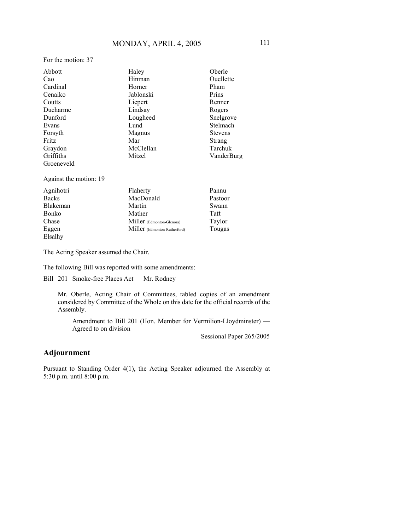For the motion: 37

| Abbott                 | Haley                        | Oberle         |
|------------------------|------------------------------|----------------|
| Cao                    | Hinman                       | Ouellette      |
| Cardinal               | Horner                       | Pham           |
| Cenaiko                | Jablonski                    | Prins          |
| Coutts                 | Liepert                      | Renner         |
| Ducharme               | Lindsay                      | Rogers         |
| Dunford                | Lougheed                     | Snelgrove      |
| Evans                  | Lund                         | Stelmach       |
| Forsyth                | Magnus                       | <b>Stevens</b> |
| Fritz                  | Mar                          | Strang         |
| Graydon                | McClellan                    | Tarchuk        |
| Griffiths              | Mitzel                       | VanderBurg     |
| Groeneveld             |                              |                |
| Against the motion: 19 |                              |                |
| Agnihotri              | Flaherty                     | Pannu          |
| <b>Backs</b>           | MacDonald                    | Pastoor        |
| Blakeman               | Martin                       | Swann          |
| Bonko                  | Mather                       | Taft           |
| Chase                  | Miller (Edmonton-Glenora)    | Taylor         |
| Eggen                  | Miller (Edmonton-Rutherford) | Tougas         |
| Elsalhy                |                              |                |

The Acting Speaker assumed the Chair.

The following Bill was reported with some amendments:

Bill 201 Smoke-free Places Act — Mr. Rodney

Mr. Oberle, Acting Chair of Committees, tabled copies of an amendment considered by Committee of the Whole on this date for the official records of the Assembly.

Amendment to Bill 201 (Hon. Member for Vermilion-Lloydminster) — Agreed to on division

Sessional Paper 265/2005

# **Adjournment**

Pursuant to Standing Order 4(1), the Acting Speaker adjourned the Assembly at 5:30 p.m. until 8:00 p.m.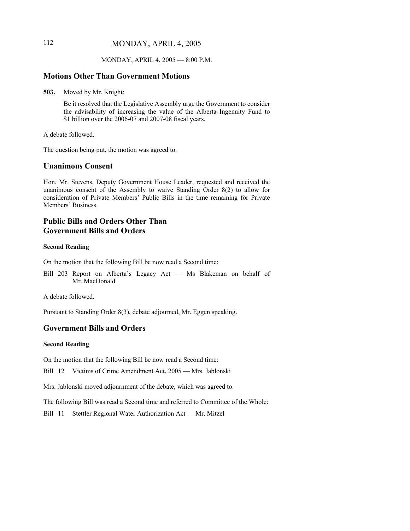# 112 MONDAY, APRIL 4, 2005

#### MONDAY, APRIL 4, 2005 — 8:00 P.M.

#### **Motions Other Than Government Motions**

**503.** Moved by Mr. Knight:

Be it resolved that the Legislative Assembly urge the Government to consider the advisability of increasing the value of the Alberta Ingenuity Fund to \$1 billion over the 2006-07 and 2007-08 fiscal years.

A debate followed.

The question being put, the motion was agreed to.

## **Unanimous Consent**

Hon. Mr. Stevens, Deputy Government House Leader, requested and received the unanimous consent of the Assembly to waive Standing Order 8(2) to allow for consideration of Private Members' Public Bills in the time remaining for Private Members' Business.

## **Public Bills and Orders Other Than Government Bills and Orders**

#### **Second Reading**

On the motion that the following Bill be now read a Second time:

Bill 203 Report on Alberta's Legacy Act — Ms Blakeman on behalf of Mr. MacDonald

A debate followed.

Pursuant to Standing Order 8(3), debate adjourned, Mr. Eggen speaking.

# **Government Bills and Orders**

#### **Second Reading**

On the motion that the following Bill be now read a Second time:

Bill 12 Victims of Crime Amendment Act, 2005 — Mrs. Jablonski

Mrs. Jablonski moved adjournment of the debate, which was agreed to.

The following Bill was read a Second time and referred to Committee of the Whole:

Bill 11 Stettler Regional Water Authorization Act — Mr. Mitzel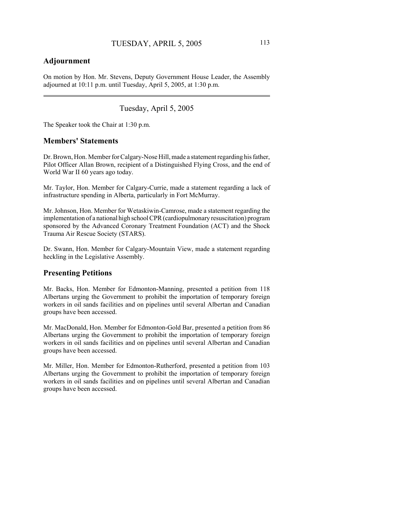# **Adjournment**

On motion by Hon. Mr. Stevens, Deputy Government House Leader, the Assembly adjourned at 10:11 p.m. until Tuesday, April 5, 2005, at 1:30 p.m.

Tuesday, April 5, 2005

The Speaker took the Chair at 1:30 p.m.

#### **Members' Statements**

Dr. Brown, Hon. Member for Calgary-Nose Hill, made a statement regarding his father, Pilot Officer Allan Brown, recipient of a Distinguished Flying Cross, and the end of World War II 60 years ago today.

Mr. Taylor, Hon. Member for Calgary-Currie, made a statement regarding a lack of infrastructure spending in Alberta, particularly in Fort McMurray.

Mr. Johnson, Hon. Member for Wetaskiwin-Camrose, made a statement regarding the implementation of a national high school CPR (cardiopulmonary resuscitation) program sponsored by the Advanced Coronary Treatment Foundation (ACT) and the Shock Trauma Air Rescue Society (STARS).

Dr. Swann, Hon. Member for Calgary-Mountain View, made a statement regarding heckling in the Legislative Assembly.

## **Presenting Petitions**

Mr. Backs, Hon. Member for Edmonton-Manning, presented a petition from 118 Albertans urging the Government to prohibit the importation of temporary foreign workers in oil sands facilities and on pipelines until several Albertan and Canadian groups have been accessed.

Mr. MacDonald, Hon. Member for Edmonton-Gold Bar, presented a petition from 86 Albertans urging the Government to prohibit the importation of temporary foreign workers in oil sands facilities and on pipelines until several Albertan and Canadian groups have been accessed.

Mr. Miller, Hon. Member for Edmonton-Rutherford, presented a petition from 103 Albertans urging the Government to prohibit the importation of temporary foreign workers in oil sands facilities and on pipelines until several Albertan and Canadian groups have been accessed.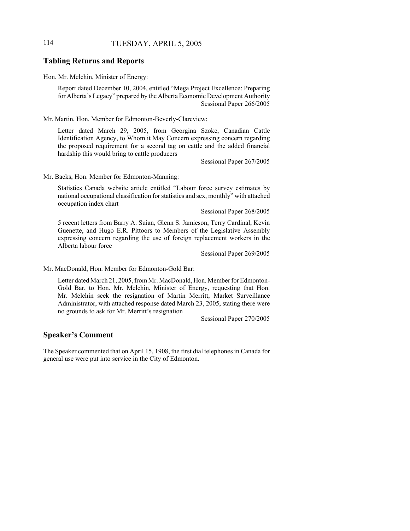# 114 TUESDAY, APRIL 5, 2005

## **Tabling Returns and Reports**

Hon. Mr. Melchin, Minister of Energy:

Report dated December 10, 2004, entitled "Mega Project Excellence: Preparing for Alberta's Legacy" prepared by the Alberta Economic Development Authority Sessional Paper 266/2005

Mr. Martin, Hon. Member for Edmonton-Beverly-Clareview:

Letter dated March 29, 2005, from Georgina Szoke, Canadian Cattle Identification Agency, to Whom it May Concern expressing concern regarding the proposed requirement for a second tag on cattle and the added financial hardship this would bring to cattle producers

Sessional Paper 267/2005

Mr. Backs, Hon. Member for Edmonton-Manning:

Statistics Canada website article entitled "Labour force survey estimates by national occupational classification for statistics and sex, monthly" with attached occupation index chart

Sessional Paper 268/2005

5 recent letters from Barry A. Suian, Glenn S. Jamieson, Terry Cardinal, Kevin Guenette, and Hugo E.R. Pittoors to Members of the Legislative Assembly expressing concern regarding the use of foreign replacement workers in the Alberta labour force

Sessional Paper 269/2005

Mr. MacDonald, Hon. Member for Edmonton-Gold Bar:

Letter dated March 21, 2005, from Mr. MacDonald, Hon. Member for Edmonton-Gold Bar, to Hon. Mr. Melchin, Minister of Energy, requesting that Hon. Mr. Melchin seek the resignation of Martin Merritt, Market Surveillance Administrator, with attached response dated March 23, 2005, stating there were no grounds to ask for Mr. Merritt's resignation

Sessional Paper 270/2005

## **Speaker's Comment**

The Speaker commented that on April 15, 1908, the first dial telephones in Canada for general use were put into service in the City of Edmonton.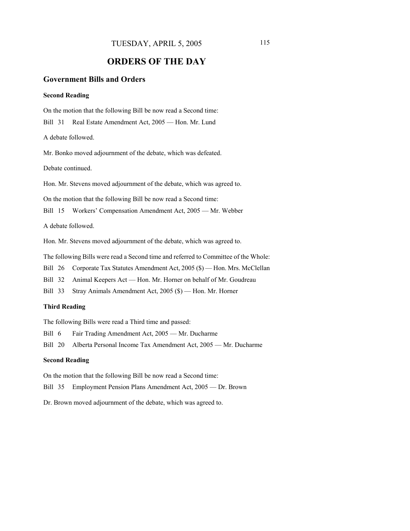# **ORDERS OF THE DAY**

## **Government Bills and Orders**

#### **Second Reading**

On the motion that the following Bill be now read a Second time: Bill 31 Real Estate Amendment Act, 2005 — Hon. Mr. Lund

A debate followed.

Mr. Bonko moved adjournment of the debate, which was defeated.

Debate continued.

Hon. Mr. Stevens moved adjournment of the debate, which was agreed to.

On the motion that the following Bill be now read a Second time:

Bill 15 Workers' Compensation Amendment Act, 2005 — Mr. Webber

A debate followed.

Hon. Mr. Stevens moved adjournment of the debate, which was agreed to.

The following Bills were read a Second time and referred to Committee of the Whole:

Bill 26 Corporate Tax Statutes Amendment Act, 2005 (\$) — Hon. Mrs. McClellan

Bill 32 Animal Keepers Act — Hon. Mr. Horner on behalf of Mr. Goudreau

Bill 33 Stray Animals Amendment Act, 2005 (\$) — Hon. Mr. Horner

#### **Third Reading**

The following Bills were read a Third time and passed:

Bill 6 Fair Trading Amendment Act, 2005 — Mr. Ducharme

Bill 20 Alberta Personal Income Tax Amendment Act, 2005 — Mr. Ducharme

#### **Second Reading**

On the motion that the following Bill be now read a Second time:

Bill 35 Employment Pension Plans Amendment Act, 2005 — Dr. Brown

Dr. Brown moved adjournment of the debate, which was agreed to.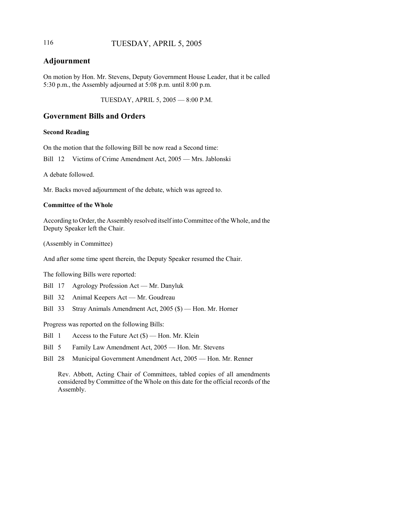## 116 TUESDAY, APRIL 5, 2005

# **Adjournment**

On motion by Hon. Mr. Stevens, Deputy Government House Leader, that it be called 5:30 p.m., the Assembly adjourned at 5:08 p.m. until 8:00 p.m.

TUESDAY, APRIL 5, 2005 — 8:00 P.M.

## **Government Bills and Orders**

#### **Second Reading**

On the motion that the following Bill be now read a Second time:

Bill 12 Victims of Crime Amendment Act, 2005 — Mrs. Jablonski

A debate followed.

Mr. Backs moved adjournment of the debate, which was agreed to.

#### **Committee of the Whole**

According to Order, the Assembly resolved itself into Committee of the Whole, and the Deputy Speaker left the Chair.

(Assembly in Committee)

And after some time spent therein, the Deputy Speaker resumed the Chair.

The following Bills were reported:

- Bill 17 Agrology Profession Act Mr. Danyluk
- Bill 32 Animal Keepers Act Mr. Goudreau
- Bill 33 Stray Animals Amendment Act, 2005 (\$) Hon. Mr. Horner

Progress was reported on the following Bills:

- Bill 1 Access to the Future Act (\$) Hon. Mr. Klein
- Bill 5 Family Law Amendment Act, 2005 Hon. Mr. Stevens
- Bill 28 Municipal Government Amendment Act, 2005 Hon. Mr. Renner

Rev. Abbott, Acting Chair of Committees, tabled copies of all amendments considered by Committee of the Whole on this date for the official records of the Assembly.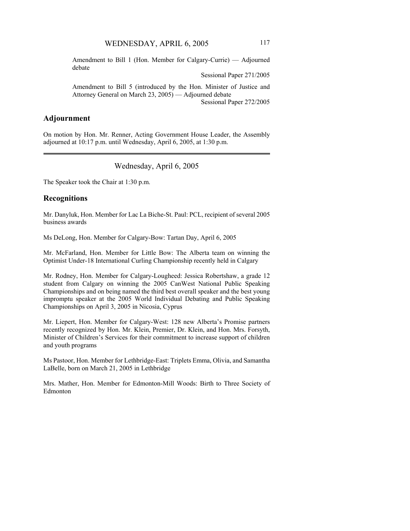Amendment to Bill 1 (Hon. Member for Calgary-Currie) — Adjourned debate

Sessional Paper 271/2005

Amendment to Bill 5 (introduced by the Hon. Minister of Justice and Attorney General on March 23, 2005) — Adjourned debate Sessional Paper 272/2005

## **Adjournment**

On motion by Hon. Mr. Renner, Acting Government House Leader, the Assembly adjourned at 10:17 p.m. until Wednesday, April 6, 2005, at 1:30 p.m.

Wednesday, April 6, 2005

The Speaker took the Chair at 1:30 p.m.

## **Recognitions**

Mr. Danyluk, Hon. Member for Lac La Biche-St. Paul: PCL, recipient of several 2005 business awards

Ms DeLong, Hon. Member for Calgary-Bow: Tartan Day, April 6, 2005

Mr. McFarland, Hon. Member for Little Bow: The Alberta team on winning the Optimist Under-18 International Curling Championship recently held in Calgary

Mr. Rodney, Hon. Member for Calgary-Lougheed: Jessica Robertshaw, a grade 12 student from Calgary on winning the 2005 CanWest National Public Speaking Championships and on being named the third best overall speaker and the best young impromptu speaker at the 2005 World Individual Debating and Public Speaking Championships on April 3, 2005 in Nicosia, Cyprus

Mr. Liepert, Hon. Member for Calgary-West: 128 new Alberta's Promise partners recently recognized by Hon. Mr. Klein, Premier, Dr. Klein, and Hon. Mrs. Forsyth, Minister of Children's Services for their commitment to increase support of children and youth programs

Ms Pastoor, Hon. Member for Lethbridge-East: Triplets Emma, Olivia, and Samantha LaBelle, born on March 21, 2005 in Lethbridge

Mrs. Mather, Hon. Member for Edmonton-Mill Woods: Birth to Three Society of Edmonton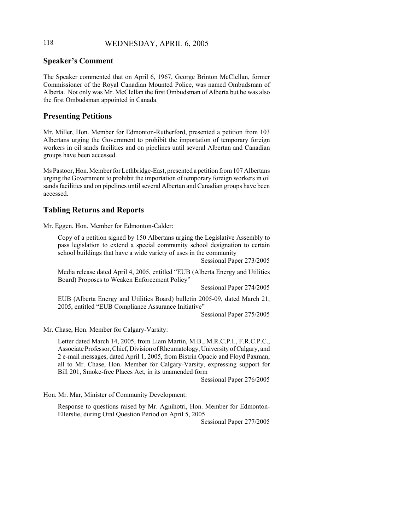## 118 WEDNESDAY, APRIL 6, 2005

## **Speaker's Comment**

The Speaker commented that on April 6, 1967, George Brinton McClellan, former Commissioner of the Royal Canadian Mounted Police, was named Ombudsman of Alberta. Not only was Mr. McClellan the first Ombudsman of Alberta but he was also the first Ombudsman appointed in Canada.

## **Presenting Petitions**

Mr. Miller, Hon. Member for Edmonton-Rutherford, presented a petition from 103 Albertans urging the Government to prohibit the importation of temporary foreign workers in oil sands facilities and on pipelines until several Albertan and Canadian groups have been accessed.

Ms Pastoor, Hon. Member for Lethbridge-East, presented a petition from 107 Albertans urging the Government to prohibit the importation of temporary foreign workers in oil sands facilities and on pipelines until several Albertan and Canadian groups have been accessed.

## **Tabling Returns and Reports**

Mr. Eggen, Hon. Member for Edmonton-Calder:

Copy of a petition signed by 150 Albertans urging the Legislative Assembly to pass legislation to extend a special community school designation to certain school buildings that have a wide variety of uses in the community

Sessional Paper 273/2005

Media release dated April 4, 2005, entitled "EUB (Alberta Energy and Utilities Board) Proposes to Weaken Enforcement Policy"

Sessional Paper 274/2005

EUB (Alberta Energy and Utilities Board) bulletin 2005-09, dated March 21, 2005, entitled "EUB Compliance Assurance Initiative"

Sessional Paper 275/2005

Mr. Chase, Hon. Member for Calgary-Varsity:

Letter dated March 14, 2005, from Liam Martin, M.B., M.R.C.P.I., F.R.C.P.C., Associate Professor, Chief, Division of Rheumatology, University of Calgary, and 2 e-mail messages, dated April 1, 2005, from Bistrin Opacic and Floyd Paxman, all to Mr. Chase, Hon. Member for Calgary-Varsity, expressing support for Bill 201, Smoke-free Places Act, in its unamended form

Sessional Paper 276/2005

Hon. Mr. Mar, Minister of Community Development:

Response to questions raised by Mr. Agnihotri, Hon. Member for Edmonton-Ellerslie, during Oral Question Period on April 5, 2005

Sessional Paper 277/2005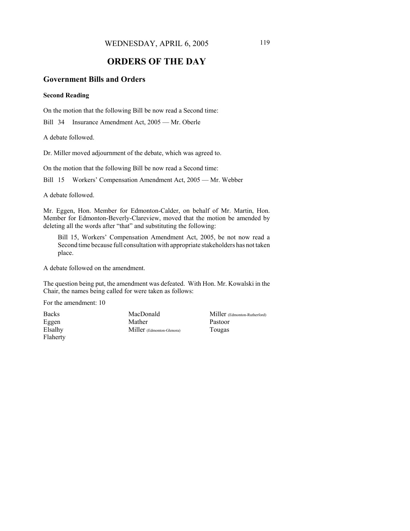WEDNESDAY, APRIL 6, 2005 119

# **ORDERS OF THE DAY**

## **Government Bills and Orders**

#### **Second Reading**

On the motion that the following Bill be now read a Second time:

Bill 34 Insurance Amendment Act, 2005 — Mr. Oberle

A debate followed.

Dr. Miller moved adjournment of the debate, which was agreed to.

On the motion that the following Bill be now read a Second time:

Bill 15 Workers' Compensation Amendment Act, 2005 — Mr. Webber

A debate followed.

Mr. Eggen, Hon. Member for Edmonton-Calder, on behalf of Mr. Martin, Hon. Member for Edmonton-Beverly-Clareview, moved that the motion be amended by deleting all the words after "that" and substituting the following:

Bill 15, Workers' Compensation Amendment Act, 2005, be not now read a Second time because full consultation with appropriate stakeholders has not taken place.

A debate followed on the amendment.

The question being put, the amendment was defeated. With Hon. Mr. Kowalski in the Chair, the names being called for were taken as follows:

For the amendment: 10

Backs Eggen Elsalhy Flaherty MacDonald Mather Miller (Edmonton-Glenora) Miller (Edmonton-Rutherford) Pastoor Tougas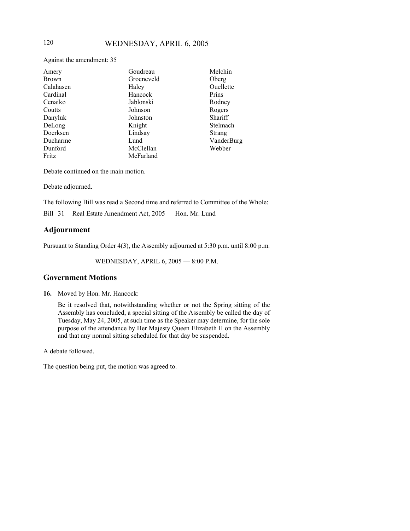Against the amendment: 35

| Amery        | Goudreau   | Melchin    |
|--------------|------------|------------|
| <b>Brown</b> | Groeneveld | Oberg      |
| Calahasen    | Haley      | Ouellette  |
| Cardinal     | Hancock    | Prins      |
| Cenaiko      | Jablonski  | Rodney     |
| Coutts       | Johnson    | Rogers     |
| Danyluk      | Johnston   | Shariff    |
| DeLong       | Knight     | Stelmach   |
| Doerksen     | Lindsay    | Strang     |
| Ducharme     | Lund       | VanderBurg |
| Dunford      | McClellan  | Webber     |
| Fritz        | McFarland  |            |

Debate continued on the main motion.

Debate adjourned.

The following Bill was read a Second time and referred to Committee of the Whole:

Bill 31 Real Estate Amendment Act, 2005 — Hon. Mr. Lund

## **Adjournment**

Pursuant to Standing Order 4(3), the Assembly adjourned at 5:30 p.m. until 8:00 p.m.

WEDNESDAY, APRIL 6, 2005 — 8:00 P.M.

## **Government Motions**

**16.** Moved by Hon. Mr. Hancock:

Be it resolved that, notwithstanding whether or not the Spring sitting of the Assembly has concluded, a special sitting of the Assembly be called the day of Tuesday, May 24, 2005, at such time as the Speaker may determine, for the sole purpose of the attendance by Her Majesty Queen Elizabeth II on the Assembly and that any normal sitting scheduled for that day be suspended.

A debate followed.

The question being put, the motion was agreed to.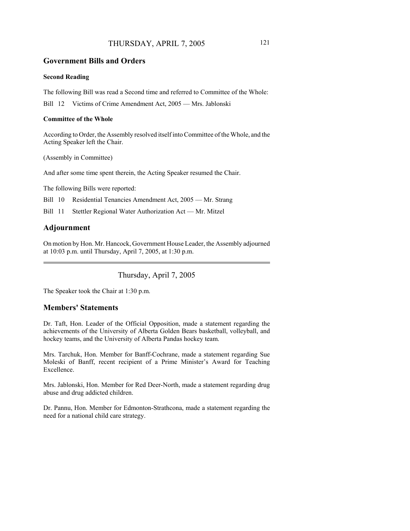## THURSDAY, APRIL 7, 2005 121

# **Government Bills and Orders**

#### **Second Reading**

The following Bill was read a Second time and referred to Committee of the Whole:

Bill 12 Victims of Crime Amendment Act, 2005 — Mrs. Jablonski

#### **Committee of the Whole**

According to Order, the Assembly resolved itself into Committee of the Whole, and the Acting Speaker left the Chair.

(Assembly in Committee)

And after some time spent therein, the Acting Speaker resumed the Chair.

The following Bills were reported:

Bill 10 Residential Tenancies Amendment Act, 2005 — Mr. Strang

Bill 11 Stettler Regional Water Authorization Act — Mr. Mitzel

## **Adjournment**

On motion by Hon. Mr. Hancock, Government House Leader, the Assembly adjourned at 10:03 p.m. until Thursday, April 7, 2005, at 1:30 p.m.

Thursday, April 7, 2005

The Speaker took the Chair at 1:30 p.m.

## **Members' Statements**

Dr. Taft, Hon. Leader of the Official Opposition, made a statement regarding the achievements of the University of Alberta Golden Bears basketball, volleyball, and hockey teams, and the University of Alberta Pandas hockey team.

Mrs. Tarchuk, Hon. Member for Banff-Cochrane, made a statement regarding Sue Moleski of Banff, recent recipient of a Prime Minister's Award for Teaching Excellence.

Mrs. Jablonski, Hon. Member for Red Deer-North, made a statement regarding drug abuse and drug addicted children.

Dr. Pannu, Hon. Member for Edmonton-Strathcona, made a statement regarding the need for a national child care strategy.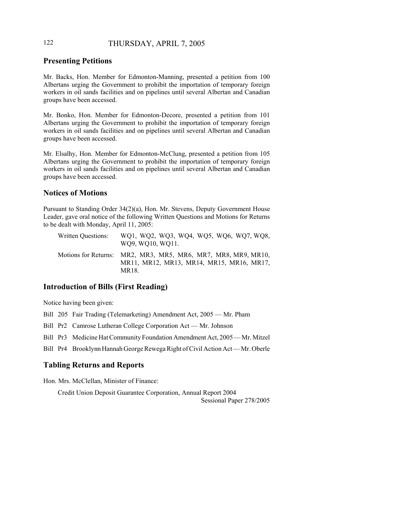## 122 THURSDAY, APRIL 7, 2005

# **Presenting Petitions**

Mr. Backs, Hon. Member for Edmonton-Manning, presented a petition from 100 Albertans urging the Government to prohibit the importation of temporary foreign workers in oil sands facilities and on pipelines until several Albertan and Canadian groups have been accessed.

Mr. Bonko, Hon. Member for Edmonton-Decore, presented a petition from 101 Albertans urging the Government to prohibit the importation of temporary foreign workers in oil sands facilities and on pipelines until several Albertan and Canadian groups have been accessed.

Mr. Elsalhy, Hon. Member for Edmonton-McClung, presented a petition from 105 Albertans urging the Government to prohibit the importation of temporary foreign workers in oil sands facilities and on pipelines until several Albertan and Canadian groups have been accessed.

## **Notices of Motions**

Pursuant to Standing Order 34(2)(a), Hon. Mr. Stevens, Deputy Government House Leader, gave oral notice of the following Written Questions and Motions for Returns to be dealt with Monday, April 11, 2005:

| Written Questions: | WQ1, WQ2, WQ3, WQ4, WQ5, WQ6, WQ7, WQ8,<br>WQ9, WQ10, WQ11.                                                        |
|--------------------|--------------------------------------------------------------------------------------------------------------------|
|                    | Motions for Returns: MR2, MR3, MR5, MR6, MR7, MR8, MR9, MR10,<br>MR11, MR12, MR13, MR14, MR15, MR16, MR17,<br>MR18 |

## **Introduction of Bills (First Reading)**

Notice having been given:

Bill 205 Fair Trading (Telemarketing) Amendment Act, 2005 — Mr. Pham

Bill Pr2 Camrose Lutheran College Corporation Act — Mr. Johnson

Bill Pr3 Medicine Hat Community Foundation Amendment Act, 2005 — Mr. Mitzel

Bill Pr4 Brooklynn Hannah George Rewega Right of Civil Action Act — Mr. Oberle

## **Tabling Returns and Reports**

Hon. Mrs. McClellan, Minister of Finance:

Credit Union Deposit Guarantee Corporation, Annual Report 2004 Sessional Paper 278/2005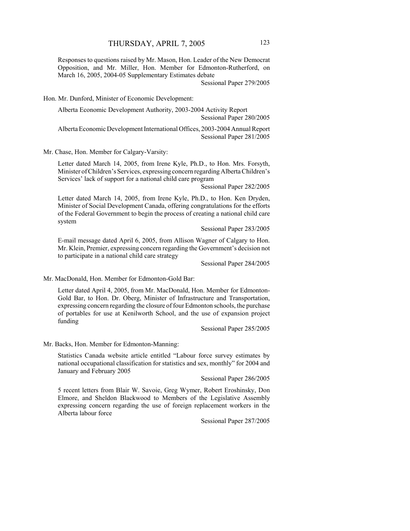Responses to questions raised by Mr. Mason, Hon. Leader of the New Democrat Opposition, and Mr. Miller, Hon. Member for Edmonton-Rutherford, on March 16, 2005, 2004-05 Supplementary Estimates debate

Sessional Paper 279/2005

Hon. Mr. Dunford, Minister of Economic Development:

Alberta Economic Development Authority, 2003-2004 Activity Report Sessional Paper 280/2005

Alberta Economic Development International Offices, 2003-2004 Annual Report Sessional Paper 281/2005

Mr. Chase, Hon. Member for Calgary-Varsity:

Letter dated March 14, 2005, from Irene Kyle, Ph.D., to Hon. Mrs. Forsyth, Minister of Children's Services, expressing concern regarding Alberta Children's Services' lack of support for a national child care program

Sessional Paper 282/2005

Letter dated March 14, 2005, from Irene Kyle, Ph.D., to Hon. Ken Dryden, Minister of Social Development Canada, offering congratulations for the efforts of the Federal Government to begin the process of creating a national child care system

Sessional Paper 283/2005

E-mail message dated April 6, 2005, from Allison Wagner of Calgary to Hon. Mr. Klein, Premier, expressing concern regarding the Government's decision not to participate in a national child care strategy

Sessional Paper 284/2005

Mr. MacDonald, Hon. Member for Edmonton-Gold Bar:

Letter dated April 4, 2005, from Mr. MacDonald, Hon. Member for Edmonton-Gold Bar, to Hon. Dr. Oberg, Minister of Infrastructure and Transportation, expressing concern regarding the closure of four Edmonton schools, the purchase of portables for use at Kenilworth School, and the use of expansion project funding

Sessional Paper 285/2005

Mr. Backs, Hon. Member for Edmonton-Manning:

Statistics Canada website article entitled "Labour force survey estimates by national occupational classification for statistics and sex, monthly" for 2004 and January and February 2005

Sessional Paper 286/2005

5 recent letters from Blair W. Savoie, Greg Wymer, Robert Eroshinsky, Don Elmore, and Sheldon Blackwood to Members of the Legislative Assembly expressing concern regarding the use of foreign replacement workers in the Alberta labour force

Sessional Paper 287/2005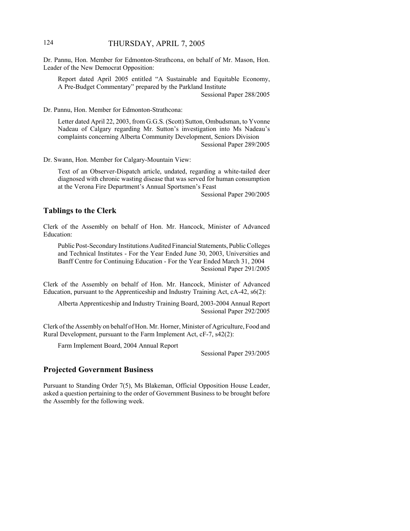## 124 THURSDAY, APRIL 7, 2005

Dr. Pannu, Hon. Member for Edmonton-Strathcona, on behalf of Mr. Mason, Hon. Leader of the New Democrat Opposition:

Report dated April 2005 entitled "A Sustainable and Equitable Economy, A Pre-Budget Commentary" prepared by the Parkland Institute Sessional Paper 288/2005

Dr. Pannu, Hon. Member for Edmonton-Strathcona:

Letter dated April 22, 2003, from G.G.S. (Scott) Sutton, Ombudsman, to Yvonne Nadeau of Calgary regarding Mr. Sutton's investigation into Ms Nadeau's complaints concerning Alberta Community Development, Seniors Division Sessional Paper 289/2005

Dr. Swann, Hon. Member for Calgary-Mountain View:

Text of an Observer-Dispatch article, undated, regarding a white-tailed deer diagnosed with chronic wasting disease that was served for human consumption at the Verona Fire Department's Annual Sportsmen's Feast

Sessional Paper 290/2005

#### **Tablings to the Clerk**

Clerk of the Assembly on behalf of Hon. Mr. Hancock, Minister of Advanced Education:

Public Post-Secondary Institutions Audited Financial Statements, Public Colleges and Technical Institutes - For the Year Ended June 30, 2003, Universities and Banff Centre for Continuing Education - For the Year Ended March 31, 2004 Sessional Paper 291/2005

Clerk of the Assembly on behalf of Hon. Mr. Hancock, Minister of Advanced Education, pursuant to the Apprenticeship and Industry Training Act, cA-42, s6(2):

Alberta Apprenticeship and Industry Training Board, 2003-2004 Annual Report Sessional Paper 292/2005

Clerk of the Assembly on behalf of Hon. Mr. Horner, Minister of Agriculture, Food and Rural Development, pursuant to the Farm Implement Act, cF-7, s42(2):

Farm Implement Board, 2004 Annual Report

Sessional Paper 293/2005

#### **Projected Government Business**

Pursuant to Standing Order 7(5), Ms Blakeman, Official Opposition House Leader, asked a question pertaining to the order of Government Business to be brought before the Assembly for the following week.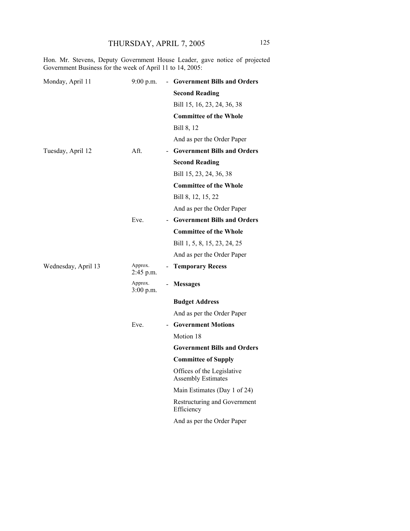Hon. Mr. Stevens, Deputy Government House Leader, gave notice of projected Government Business for the week of April 11 to 14, 2005:

| Monday, April 11    | 9:00 p.m.              | <b>Government Bills and Orders</b>                      |
|---------------------|------------------------|---------------------------------------------------------|
|                     |                        | <b>Second Reading</b>                                   |
|                     |                        | Bill 15, 16, 23, 24, 36, 38                             |
|                     |                        | <b>Committee of the Whole</b>                           |
|                     |                        | Bill 8, 12                                              |
|                     |                        | And as per the Order Paper                              |
| Tuesday, April 12   | Aft.                   | - Government Bills and Orders                           |
|                     |                        | <b>Second Reading</b>                                   |
|                     |                        | Bill 15, 23, 24, 36, 38                                 |
|                     |                        | <b>Committee of the Whole</b>                           |
|                     |                        | Bill 8, 12, 15, 22                                      |
|                     |                        | And as per the Order Paper                              |
|                     | Eve.                   | - Government Bills and Orders                           |
|                     |                        | <b>Committee of the Whole</b>                           |
|                     |                        | Bill 1, 5, 8, 15, 23, 24, 25                            |
|                     |                        | And as per the Order Paper                              |
| Wednesday, April 13 | Approx.<br>2:45 p.m.   | <b>Temporary Recess</b><br>$\qquad \qquad \blacksquare$ |
|                     | Approx.<br>$3:00$ p.m. | <b>Messages</b><br>$\overline{\phantom{0}}$             |
|                     |                        | <b>Budget Address</b>                                   |
|                     |                        | And as per the Order Paper                              |
|                     | Eve.                   | - Government Motions                                    |
|                     |                        | Motion 18                                               |
|                     |                        | <b>Government Bills and Orders</b>                      |
|                     |                        | <b>Committee of Supply</b>                              |
|                     |                        | Offices of the Legislative<br><b>Assembly Estimates</b> |
|                     |                        | Main Estimates (Day 1 of 24)                            |
|                     |                        | Restructuring and Government<br>Efficiency              |
|                     |                        | And as per the Order Paper                              |
|                     |                        |                                                         |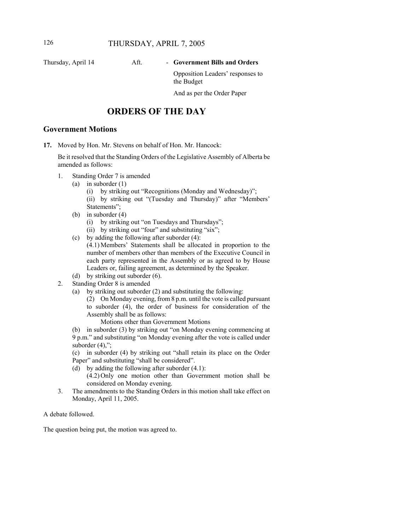# Thursday, April 14 Aft. - Government Bills and Orders

Opposition Leaders' responses to the Budget

And as per the Order Paper

# **ORDERS OF THE DAY**

## **Government Motions**

**17.** Moved by Hon. Mr. Stevens on behalf of Hon. Mr. Hancock:

Be it resolved that the Standing Orders of the Legislative Assembly of Alberta be amended as follows:

- 1. Standing Order 7 is amended
	- (a) in suborder (1)
		- (i) by striking out "Recognitions (Monday and Wednesday)";
		- (ii) by striking out "(Tuesday and Thursday)" after "Members' Statements";
	- (b) in suborder (4)
		- (i) by striking out "on Tuesdays and Thursdays";
		- (ii) by striking out "four" and substituting "six";
	- (c) by adding the following after suborder (4): (4.1) Members' Statements shall be allocated in proportion to the number of members other than members of the Executive Council in each party represented in the Assembly or as agreed to by House Leaders or, failing agreement, as determined by the Speaker.
- (d) by striking out suborder (6).
- 2. Standing Order 8 is amended
	- (a) by striking out suborder (2) and substituting the following:

(2) On Monday evening, from 8 p.m. until the vote is called pursuant to suborder (4), the order of business for consideration of the Assembly shall be as follows:

Motions other than Government Motions

(b) in suborder (3) by striking out "on Monday evening commencing at 9 p.m." and substituting "on Monday evening after the vote is called under suborder  $(4)$ ,";

(c) in suborder (4) by striking out "shall retain its place on the Order Paper" and substituting "shall be considered".

- (d) by adding the following after suborder (4.1):
	- (4.2) Only one motion other than Government motion shall be considered on Monday evening.
- 3. The amendments to the Standing Orders in this motion shall take effect on Monday, April 11, 2005.

A debate followed.

The question being put, the motion was agreed to.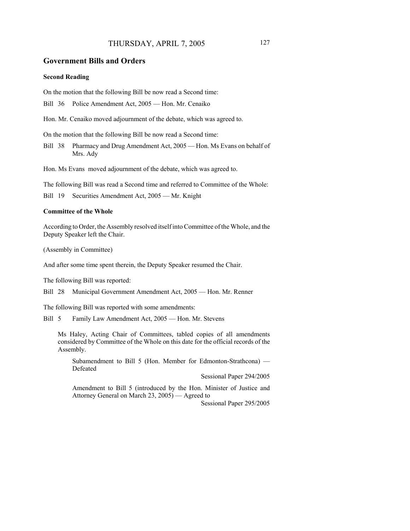## THURSDAY, APRIL 7, 2005 127

#### **Government Bills and Orders**

#### **Second Reading**

On the motion that the following Bill be now read a Second time:

Bill 36 Police Amendment Act, 2005 — Hon. Mr. Cenaiko

Hon. Mr. Cenaiko moved adjournment of the debate, which was agreed to.

On the motion that the following Bill be now read a Second time:

Bill 38 Pharmacy and Drug Amendment Act, 2005 — Hon. Ms Evans on behalf of Mrs. Ady

Hon. Ms Evans moved adjournment of the debate, which was agreed to.

The following Bill was read a Second time and referred to Committee of the Whole:

Bill 19 Securities Amendment Act, 2005 — Mr. Knight

#### **Committee of the Whole**

According to Order, the Assembly resolved itself into Committee of the Whole, and the Deputy Speaker left the Chair.

(Assembly in Committee)

And after some time spent therein, the Deputy Speaker resumed the Chair.

The following Bill was reported:

Bill 28 Municipal Government Amendment Act, 2005 — Hon. Mr. Renner

The following Bill was reported with some amendments:

Bill 5 Family Law Amendment Act, 2005 — Hon. Mr. Stevens

Ms Haley, Acting Chair of Committees, tabled copies of all amendments considered by Committee of the Whole on this date for the official records of the Assembly.

Subamendment to Bill 5 (Hon. Member for Edmonton-Strathcona) — Defeated

Sessional Paper 294/2005

Amendment to Bill 5 (introduced by the Hon. Minister of Justice and Attorney General on March 23, 2005) — Agreed to

Sessional Paper 295/2005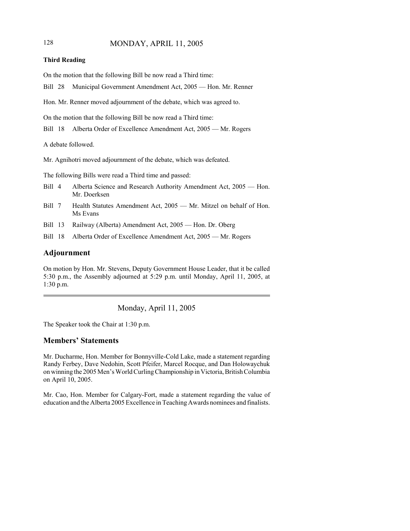## 128 MONDAY, APRIL 11, 2005

#### **Third Reading**

On the motion that the following Bill be now read a Third time:

Bill 28 Municipal Government Amendment Act, 2005 — Hon. Mr. Renner

Hon. Mr. Renner moved adjournment of the debate, which was agreed to.

On the motion that the following Bill be now read a Third time:

Bill 18 Alberta Order of Excellence Amendment Act, 2005 — Mr. Rogers

A debate followed.

Mr. Agnihotri moved adjournment of the debate, which was defeated.

The following Bills were read a Third time and passed:

- Bill 4 Alberta Science and Research Authority Amendment Act, 2005 Hon. Mr. Doerksen
- Bill 7 Health Statutes Amendment Act, 2005 Mr. Mitzel on behalf of Hon. Ms Evans
- Bill 13 Railway (Alberta) Amendment Act, 2005 Hon. Dr. Oberg
- Bill 18 Alberta Order of Excellence Amendment Act, 2005 Mr. Rogers

#### **Adjournment**

On motion by Hon. Mr. Stevens, Deputy Government House Leader, that it be called 5:30 p.m., the Assembly adjourned at 5:29 p.m. until Monday, April 11, 2005, at 1:30 p.m.

Monday, April 11, 2005

The Speaker took the Chair at 1:30 p.m.

## **Members' Statements**

Mr. Ducharme, Hon. Member for Bonnyville-Cold Lake, made a statement regarding Randy Ferbey, Dave Nedohin, Scott Pfeifer, Marcel Rocque, and Dan Holowaychuk on winning the 2005 Men's World Curling Championship in Victoria, British Columbia on April 10, 2005.

Mr. Cao, Hon. Member for Calgary-Fort, made a statement regarding the value of education and the Alberta 2005 Excellence in Teaching Awards nominees and finalists.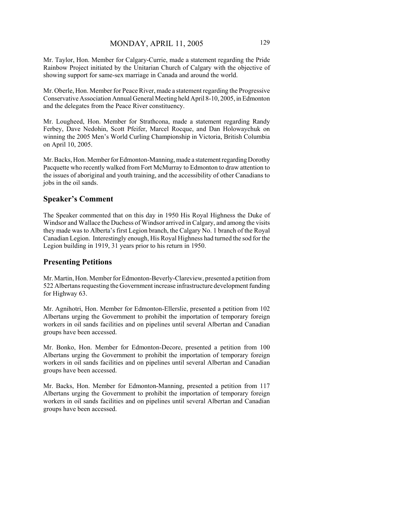Mr. Taylor, Hon. Member for Calgary-Currie, made a statement regarding the Pride Rainbow Project initiated by the Unitarian Church of Calgary with the objective of showing support for same-sex marriage in Canada and around the world.

Mr. Oberle, Hon. Member for Peace River, made a statement regarding the Progressive Conservative Association Annual General Meeting held April 8-10, 2005, in Edmonton and the delegates from the Peace River constituency.

Mr. Lougheed, Hon. Member for Strathcona, made a statement regarding Randy Ferbey, Dave Nedohin, Scott Pfeifer, Marcel Rocque, and Dan Holowaychuk on winning the 2005 Men's World Curling Championship in Victoria, British Columbia on April 10, 2005.

Mr. Backs, Hon. Member for Edmonton-Manning, made a statement regarding Dorothy Pacquette who recently walked from Fort McMurray to Edmonton to draw attention to the issues of aboriginal and youth training, and the accessibility of other Canadians to jobs in the oil sands.

## **Speaker's Comment**

The Speaker commented that on this day in 1950 His Royal Highness the Duke of Windsor and Wallace the Duchess of Windsor arrived in Calgary, and among the visits they made was to Alberta's first Legion branch, the Calgary No. 1 branch of the Royal Canadian Legion. Interestingly enough, His Royal Highness had turned the sod for the Legion building in 1919, 31 years prior to his return in 1950.

## **Presenting Petitions**

Mr. Martin, Hon. Member for Edmonton-Beverly-Clareview, presented a petition from 522 Albertans requesting the Government increase infrastructure development funding for Highway 63.

Mr. Agnihotri, Hon. Member for Edmonton-Ellerslie, presented a petition from 102 Albertans urging the Government to prohibit the importation of temporary foreign workers in oil sands facilities and on pipelines until several Albertan and Canadian groups have been accessed.

Mr. Bonko, Hon. Member for Edmonton-Decore, presented a petition from 100 Albertans urging the Government to prohibit the importation of temporary foreign workers in oil sands facilities and on pipelines until several Albertan and Canadian groups have been accessed.

Mr. Backs, Hon. Member for Edmonton-Manning, presented a petition from 117 Albertans urging the Government to prohibit the importation of temporary foreign workers in oil sands facilities and on pipelines until several Albertan and Canadian groups have been accessed.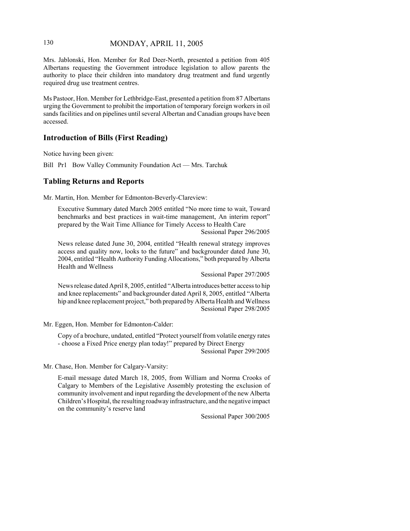# 130 MONDAY, APRIL 11, 2005

Mrs. Jablonski, Hon. Member for Red Deer-North, presented a petition from 405 Albertans requesting the Government introduce legislation to allow parents the authority to place their children into mandatory drug treatment and fund urgently required drug use treatment centres.

Ms Pastoor, Hon. Member for Lethbridge-East, presented a petition from 87 Albertans urging the Government to prohibit the importation of temporary foreign workers in oil sands facilities and on pipelines until several Albertan and Canadian groups have been accessed.

## **Introduction of Bills (First Reading)**

Notice having been given:

Bill Pr1 Bow Valley Community Foundation Act — Mrs. Tarchuk

## **Tabling Returns and Reports**

Mr. Martin, Hon. Member for Edmonton-Beverly-Clareview:

Executive Summary dated March 2005 entitled "No more time to wait, Toward benchmarks and best practices in wait-time management, An interim report" prepared by the Wait Time Alliance for Timely Access to Health Care Sessional Paper 296/2005

News release dated June 30, 2004, entitled "Health renewal strategy improves access and quality now, looks to the future" and backgrounder dated June 30, 2004, entitled "Health Authority Funding Allocations," both prepared by Alberta Health and Wellness

Sessional Paper 297/2005

News release dated April 8, 2005, entitled "Alberta introduces better access to hip and knee replacements" and backgrounder dated April 8, 2005, entitled "Alberta hip and knee replacement project," both prepared by Alberta Health and Wellness Sessional Paper 298/2005

Mr. Eggen, Hon. Member for Edmonton-Calder:

Copy of a brochure, undated, entitled "Protect yourself from volatile energy rates - choose a Fixed Price energy plan today!" prepared by Direct Energy Sessional Paper 299/2005

Mr. Chase, Hon. Member for Calgary-Varsity:

E-mail message dated March 18, 2005, from William and Norma Crooks of Calgary to Members of the Legislative Assembly protesting the exclusion of community involvement and input regarding the development of the new Alberta Children's Hospital, the resulting roadway infrastructure, and the negative impact on the community's reserve land

Sessional Paper 300/2005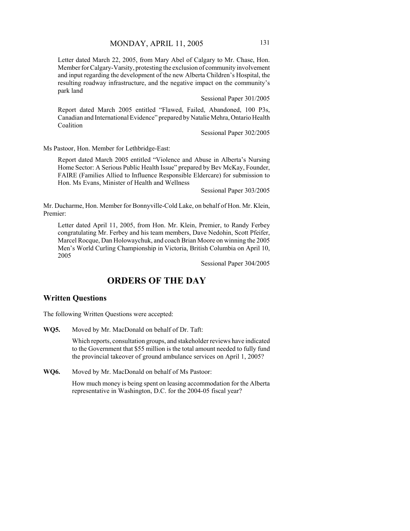Letter dated March 22, 2005, from Mary Abel of Calgary to Mr. Chase, Hon. Member for Calgary-Varsity, protesting the exclusion of community involvement and input regarding the development of the new Alberta Children's Hospital, the resulting roadway infrastructure, and the negative impact on the community's park land

Sessional Paper 301/2005

Report dated March 2005 entitled "Flawed, Failed, Abandoned, 100 P3s, Canadian and International Evidence" prepared by Natalie Mehra, Ontario Health Coalition

Sessional Paper 302/2005

Ms Pastoor, Hon. Member for Lethbridge-East:

Report dated March 2005 entitled "Violence and Abuse in Alberta's Nursing Home Sector: A Serious Public Health Issue" prepared by Bev McKay, Founder, FAIRE (Families Allied to Influence Responsible Eldercare) for submission to Hon. Ms Evans, Minister of Health and Wellness

Sessional Paper 303/2005

Mr. Ducharme, Hon. Member for Bonnyville-Cold Lake, on behalf of Hon. Mr. Klein, Premier:

Letter dated April 11, 2005, from Hon. Mr. Klein, Premier, to Randy Ferbey congratulating Mr. Ferbey and his team members, Dave Nedohin, Scott Pfeifer, Marcel Rocque, Dan Holowaychuk, and coach Brian Moore on winning the 2005 Men's World Curling Championship in Victoria, British Columbia on April 10, 2005

Sessional Paper 304/2005

# **ORDERS OF THE DAY**

## **Written Questions**

The following Written Questions were accepted:

**WQ5.** Moved by Mr. MacDonald on behalf of Dr. Taft:

Which reports, consultation groups, and stakeholder reviews have indicated to the Government that \$55 million is the total amount needed to fully fund the provincial takeover of ground ambulance services on April 1, 2005?

**WQ6.** Moved by Mr. MacDonald on behalf of Ms Pastoor:

How much money is being spent on leasing accommodation for the Alberta representative in Washington, D.C. for the 2004-05 fiscal year?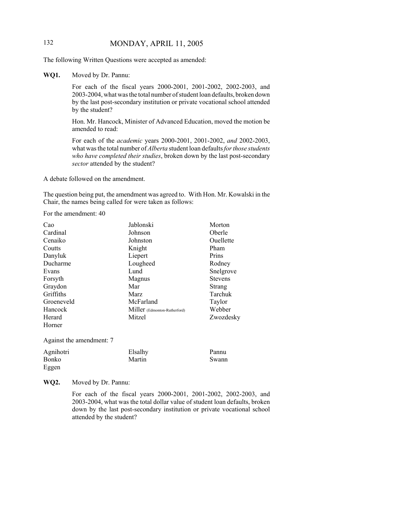# 132 MONDAY, APRIL 11, 2005

The following Written Questions were accepted as amended:

**WQ1.** Moved by Dr. Pannu:

For each of the fiscal years 2000-2001, 2001-2002, 2002-2003, and 2003-2004, what was the total number of student loan defaults, broken down by the last post-secondary institution or private vocational school attended by the student?

Hon. Mr. Hancock, Minister of Advanced Education, moved the motion be amended to read:

For each of the *academic* years 2000-2001, 2001-2002, *and* 2002-2003, what was the total number of *Alberta* student loan defaults *for those students who have completed their studies*, broken down by the last post-secondary *sector* attended by the student?

A debate followed on the amendment.

The question being put, the amendment was agreed to. With Hon. Mr. Kowalski in the Chair, the names being called for were taken as follows:

For the amendment: 40

| Cao                      | Jablonski                    | Morton         |
|--------------------------|------------------------------|----------------|
| Cardinal                 | Johnson                      | Oberle         |
| Cenaiko                  | Johnston                     | Ouellette      |
| Coutts                   | Knight                       | Pham           |
| Danyluk                  | Liepert                      | Prins          |
| Ducharme                 | Lougheed                     | Rodney         |
| Evans                    | Lund                         | Snelgrove      |
| Forsyth                  | Magnus                       | <b>Stevens</b> |
| Graydon                  | Mar                          | Strang         |
| Griffiths                | Marz                         | Tarchuk        |
| Groeneveld               | McFarland                    | Taylor         |
| Hancock                  | Miller (Edmonton-Rutherford) | Webber         |
| Herard                   | Mitzel                       | Zwozdesky      |
| Horner                   |                              |                |
| Against the amendment: 7 |                              |                |

| Agnihotri    | Elsalhy | Pannu |
|--------------|---------|-------|
| <b>Bonko</b> | Martin  | Swann |
| Eggen        |         |       |

**WQ2.** Moved by Dr. Pannu:

For each of the fiscal years 2000-2001, 2001-2002, 2002-2003, and 2003-2004, what was the total dollar value of student loan defaults, broken down by the last post-secondary institution or private vocational school attended by the student?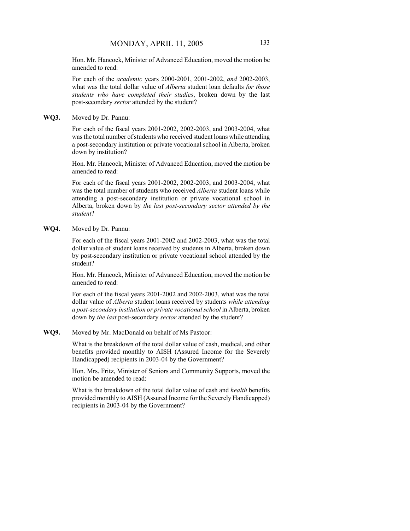Hon. Mr. Hancock, Minister of Advanced Education, moved the motion be amended to read:

For each of the *academic* years 2000-2001, 2001-2002, *and* 2002-2003, what was the total dollar value of *Alberta* student loan defaults *for those students who have completed their studies*, broken down by the last post-secondary *sector* attended by the student?

**WQ3.** Moved by Dr. Pannu:

For each of the fiscal years 2001-2002, 2002-2003, and 2003-2004, what was the total number of students who received student loans while attending a post-secondary institution or private vocational school in Alberta, broken down by institution?

Hon. Mr. Hancock, Minister of Advanced Education, moved the motion be amended to read:

For each of the fiscal years 2001-2002, 2002-2003, and 2003-2004, what was the total number of students who received *Alberta* student loans while attending a post-secondary institution or private vocational school in Alberta, broken down by *the last post-secondary sector attended by the student*?

**WQ4.** Moved by Dr. Pannu:

For each of the fiscal years 2001-2002 and 2002-2003, what was the total dollar value of student loans received by students in Alberta, broken down by post-secondary institution or private vocational school attended by the student?

Hon. Mr. Hancock, Minister of Advanced Education, moved the motion be amended to read:

For each of the fiscal years 2001-2002 and 2002-2003, what was the total dollar value of *Alberta* student loans received by students *while attending a post-secondary institution or private vocational school* in Alberta, broken down by *the last* post-secondary *sector* attended by the student?

**WQ9.** Moved by Mr. MacDonald on behalf of Ms Pastoor:

What is the breakdown of the total dollar value of cash, medical, and other benefits provided monthly to AISH (Assured Income for the Severely Handicapped) recipients in 2003-04 by the Government?

Hon. Mrs. Fritz, Minister of Seniors and Community Supports, moved the motion be amended to read:

What is the breakdown of the total dollar value of cash and *health* benefits provided monthly to AISH (Assured Income for the Severely Handicapped) recipients in 2003-04 by the Government?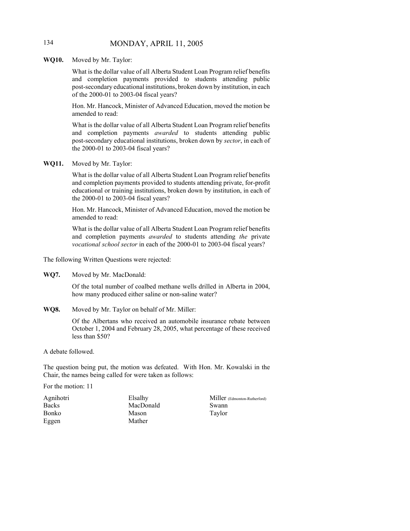## 134 MONDAY, APRIL 11, 2005

**WQ10.** Moved by Mr. Taylor:

What is the dollar value of all Alberta Student Loan Program relief benefits and completion payments provided to students attending public post-secondary educational institutions, broken down by institution, in each of the 2000-01 to 2003-04 fiscal years?

Hon. Mr. Hancock, Minister of Advanced Education, moved the motion be amended to read:

What is the dollar value of all Alberta Student Loan Program relief benefits and completion payments *awarded* to students attending public post-secondary educational institutions, broken down by *sector*, in each of the 2000-01 to 2003-04 fiscal years?

**WQ11.** Moved by Mr. Taylor:

What is the dollar value of all Alberta Student Loan Program relief benefits and completion payments provided to students attending private, for-profit educational or training institutions, broken down by institution, in each of the 2000-01 to 2003-04 fiscal years?

Hon. Mr. Hancock, Minister of Advanced Education, moved the motion be amended to read:

What is the dollar value of all Alberta Student Loan Program relief benefits and completion payments *awarded* to students attending *the* private *vocational school sector* in each of the 2000-01 to 2003-04 fiscal years?

The following Written Questions were rejected:

**WQ7.** Moved by Mr. MacDonald:

Of the total number of coalbed methane wells drilled in Alberta in 2004, how many produced either saline or non-saline water?

**WQ8.** Moved by Mr. Taylor on behalf of Mr. Miller:

Of the Albertans who received an automobile insurance rebate between October 1, 2004 and February 28, 2005, what percentage of these received less than \$50?

A debate followed.

The question being put, the motion was defeated. With Hon. Mr. Kowalski in the Chair, the names being called for were taken as follows:

For the motion: 11

| Agnihotri    |  |
|--------------|--|
| <b>Backs</b> |  |
| Bonko        |  |
| Eggen        |  |

Elsalhy MacDonald Mason Mather

Miller (Edmonton-Rutherford) Swann Taylor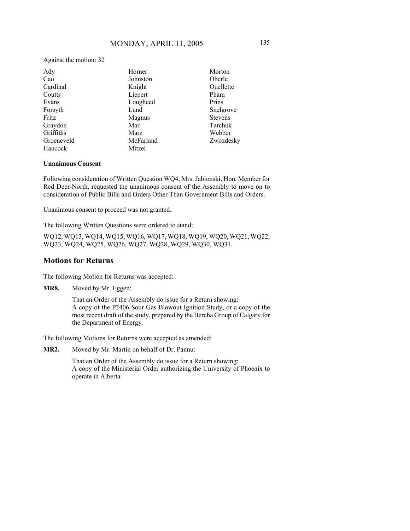Against the motion: 32

| Ady        | Horner    | Morton         |
|------------|-----------|----------------|
| Cao        | Johnston  | Oberle         |
| Cardinal   | Knight    | Ouellette      |
| Coutts     | Liepert   | Pham           |
| Evans      | Lougheed  | Prins          |
| Forsyth    | Lund      | Snelgrove      |
| Fritz      | Magnus    | <b>Stevens</b> |
| Graydon    | Mar       | Tarchuk        |
| Griffiths  | Marz      | Webber         |
| Groeneveld | McFarland | Zwozdesky      |
| Hancock    | Mitzel    |                |

#### **Unanimous Consent**

Following consideration of Written Question WQ4, Mrs. Jablonski, Hon. Member for Red Deer-North, requested the unanimous consent of the Assembly to move on to consideration of Public Bills and Orders Other Than Government Bills and Orders.

Unanimous consent to proceed was not granted.

The following Written Questions were ordered to stand:

WQ12, WQ13, WQ14, WQ15, WQ16, WQ17, WQ18, WQ19, WQ20, WQ21, WQ22, WQ23, WQ24, WQ25, WQ26, WQ27, WQ28, WQ29, WQ30, WQ31.

#### **Motions for Returns**

The following Motion for Returns was accepted:

**MR8.** Moved by Mr. Eggen:

That an Order of the Assembly do issue for a Return showing: A copy of the P2406 Sour Gas Blowout Ignition Study, or a copy of the most recent draft of the study, prepared by the Bercha Group of Calgary for the Department of Energy.

The following Motions for Returns were accepted as amended:

**MR2.** Moved by Mr. Martin on behalf of Dr. Pannu:

That an Order of the Assembly do issue for a Return showing: A copy of the Ministerial Order authorizing the University of Phoenix to operate in Alberta.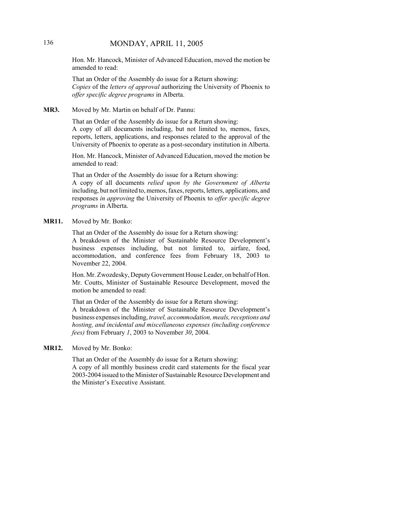## 136 MONDAY, APRIL 11, 2005

Hon. Mr. Hancock, Minister of Advanced Education, moved the motion be amended to read:

That an Order of the Assembly do issue for a Return showing: *Copies* of the *letters of approval* authorizing the University of Phoenix to *offer specific degree programs* in Alberta.

#### **MR3.** Moved by Mr. Martin on behalf of Dr. Pannu:

That an Order of the Assembly do issue for a Return showing: A copy of all documents including, but not limited to, memos, faxes, reports, letters, applications, and responses related to the approval of the University of Phoenix to operate as a post-secondary institution in Alberta.

Hon. Mr. Hancock, Minister of Advanced Education, moved the motion be amended to read:

That an Order of the Assembly do issue for a Return showing: A copy of all documents *relied upon by the Government of Alberta* including, but not limited to, memos, faxes, reports, letters, applications, and responses *in approving* the University of Phoenix to *offer specific degree programs* in Alberta.

#### **MR11.** Moved by Mr. Bonko:

That an Order of the Assembly do issue for a Return showing: A breakdown of the Minister of Sustainable Resource Development's business expenses including, but not limited to, airfare, food, accommodation, and conference fees from February 18, 2003 to November 22, 2004.

Hon. Mr. Zwozdesky, Deputy Government House Leader, on behalf of Hon. Mr. Coutts, Minister of Sustainable Resource Development, moved the motion be amended to read:

That an Order of the Assembly do issue for a Return showing: A breakdown of the Minister of Sustainable Resource Development's business expenses including, *travel, accommodation, meals, receptions and hosting, and incidental and miscellaneous expenses (including conference fees)* from February *1*, 2003 to November *30*, 2004.

#### **MR12.** Moved by Mr. Bonko:

That an Order of the Assembly do issue for a Return showing: A copy of all monthly business credit card statements for the fiscal year 2003-2004 issued to the Minister of Sustainable Resource Development and the Minister's Executive Assistant.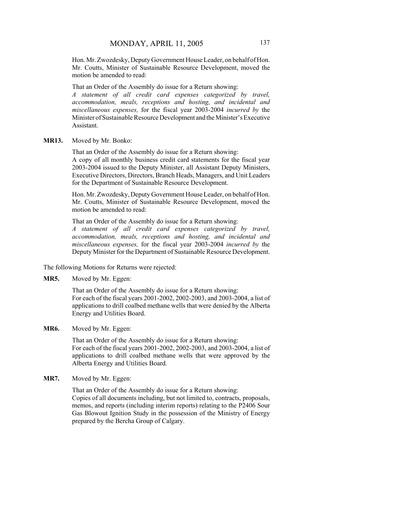Hon. Mr. Zwozdesky, Deputy Government House Leader, on behalf of Hon. Mr. Coutts, Minister of Sustainable Resource Development, moved the motion be amended to read:

That an Order of the Assembly do issue for a Return showing: *A statement of all credit card expenses categorized by travel, accommodation, meals, receptions and hosting, and incidental and miscellaneous expenses,* for the fiscal year 2003-2004 *incurred by* the Minister of Sustainable Resource Development and the Minister's Executive Assistant.

**MR13.** Moved by Mr. Bonko:

That an Order of the Assembly do issue for a Return showing: A copy of all monthly business credit card statements for the fiscal year 2003-2004 issued to the Deputy Minister, all Assistant Deputy Ministers, Executive Directors, Directors, Branch Heads, Managers, and Unit Leaders for the Department of Sustainable Resource Development.

Hon. Mr. Zwozdesky, Deputy Government House Leader, on behalf of Hon. Mr. Coutts, Minister of Sustainable Resource Development, moved the motion be amended to read:

That an Order of the Assembly do issue for a Return showing: *A statement of all credit card expenses categorized by travel, accommodation, meals, receptions and hosting, and incidental and miscellaneous expenses,* for the fiscal year 2003-2004 *incurred by* the Deputy Minister for the Department of Sustainable Resource Development.

The following Motions for Returns were rejected:

**MR5.** Moved by Mr. Eggen:

That an Order of the Assembly do issue for a Return showing: For each of the fiscal years 2001-2002, 2002-2003, and 2003-2004, a list of applications to drill coalbed methane wells that were denied by the Alberta Energy and Utilities Board.

**MR6.** Moved by Mr. Eggen:

That an Order of the Assembly do issue for a Return showing: For each of the fiscal years 2001-2002, 2002-2003, and 2003-2004, a list of applications to drill coalbed methane wells that were approved by the Alberta Energy and Utilities Board.

**MR7.** Moved by Mr. Eggen:

That an Order of the Assembly do issue for a Return showing: Copies of all documents including, but not limited to, contracts, proposals, memos, and reports (including interim reports) relating to the P2406 Sour Gas Blowout Ignition Study in the possession of the Ministry of Energy prepared by the Bercha Group of Calgary.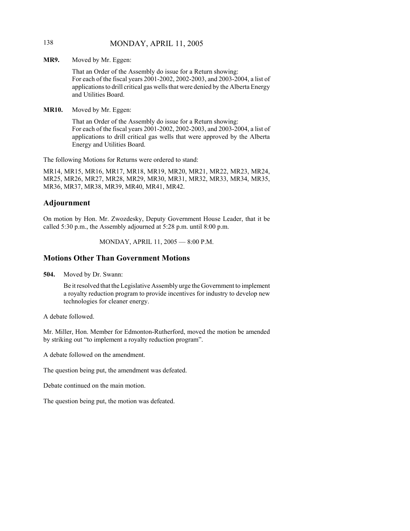## 138 MONDAY, APRIL 11, 2005

**MR9.** Moved by Mr. Eggen:

That an Order of the Assembly do issue for a Return showing: For each of the fiscal years 2001-2002, 2002-2003, and 2003-2004, a list of applications to drill critical gas wells that were denied by the Alberta Energy and Utilities Board.

**MR10.** Moved by Mr. Eggen:

That an Order of the Assembly do issue for a Return showing: For each of the fiscal years 2001-2002, 2002-2003, and 2003-2004, a list of applications to drill critical gas wells that were approved by the Alberta Energy and Utilities Board.

The following Motions for Returns were ordered to stand:

MR14, MR15, MR16, MR17, MR18, MR19, MR20, MR21, MR22, MR23, MR24, MR25, MR26, MR27, MR28, MR29, MR30, MR31, MR32, MR33, MR34, MR35, MR36, MR37, MR38, MR39, MR40, MR41, MR42.

# **Adjournment**

On motion by Hon. Mr. Zwozdesky, Deputy Government House Leader, that it be called 5:30 p.m., the Assembly adjourned at 5:28 p.m. until 8:00 p.m.

MONDAY, APRIL 11, 2005 — 8:00 P.M.

# **Motions Other Than Government Motions**

**504.** Moved by Dr. Swann:

Be it resolved that the Legislative Assembly urge the Government to implement a royalty reduction program to provide incentives for industry to develop new technologies for cleaner energy.

A debate followed.

Mr. Miller, Hon. Member for Edmonton-Rutherford, moved the motion be amended by striking out "to implement a royalty reduction program".

A debate followed on the amendment.

The question being put, the amendment was defeated.

Debate continued on the main motion.

The question being put, the motion was defeated.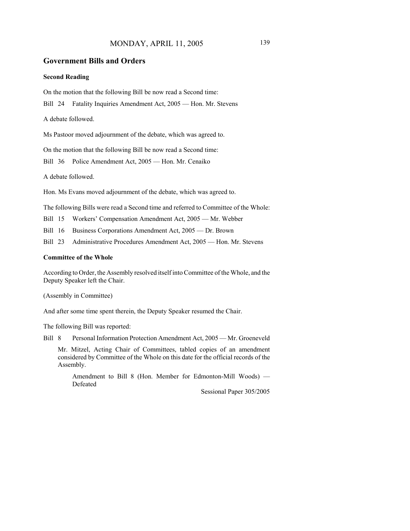## MONDAY, APRIL 11, 2005 139

## **Government Bills and Orders**

#### **Second Reading**

On the motion that the following Bill be now read a Second time:

Bill 24 Fatality Inquiries Amendment Act, 2005 — Hon. Mr. Stevens

A debate followed.

Ms Pastoor moved adjournment of the debate, which was agreed to.

On the motion that the following Bill be now read a Second time:

Bill 36 Police Amendment Act, 2005 — Hon. Mr. Cenaiko

A debate followed.

Hon. Ms Evans moved adjournment of the debate, which was agreed to.

The following Bills were read a Second time and referred to Committee of the Whole:

Bill 15 Workers' Compensation Amendment Act, 2005 — Mr. Webber

Bill 16 Business Corporations Amendment Act, 2005 — Dr. Brown

Bill 23 Administrative Procedures Amendment Act, 2005 — Hon. Mr. Stevens

#### **Committee of the Whole**

According to Order, the Assembly resolved itself into Committee of the Whole, and the Deputy Speaker left the Chair.

(Assembly in Committee)

And after some time spent therein, the Deputy Speaker resumed the Chair.

The following Bill was reported:

Bill 8 Personal Information Protection Amendment Act, 2005 — Mr. Groeneveld

Mr. Mitzel, Acting Chair of Committees, tabled copies of an amendment considered by Committee of the Whole on this date for the official records of the Assembly.

Amendment to Bill 8 (Hon. Member for Edmonton-Mill Woods) — Defeated

Sessional Paper 305/2005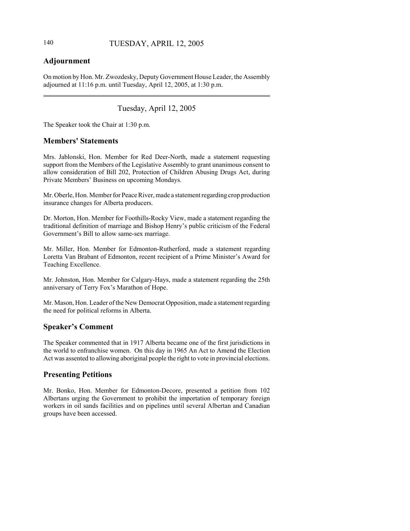## **Adjournment**

On motion by Hon. Mr. Zwozdesky, Deputy Government House Leader, the Assembly adjourned at 11:16 p.m. until Tuesday, April 12, 2005, at 1:30 p.m.

## Tuesday, April 12, 2005

The Speaker took the Chair at 1:30 p.m.

## **Members' Statements**

Mrs. Jablonski, Hon. Member for Red Deer-North, made a statement requesting support from the Members of the Legislative Assembly to grant unanimous consent to allow consideration of Bill 202, Protection of Children Abusing Drugs Act, during Private Members' Business on upcoming Mondays.

Mr. Oberle, Hon. Member for Peace River, made a statement regarding crop production insurance changes for Alberta producers.

Dr. Morton, Hon. Member for Foothills-Rocky View, made a statement regarding the traditional definition of marriage and Bishop Henry's public criticism of the Federal Government's Bill to allow same-sex marriage.

Mr. Miller, Hon. Member for Edmonton-Rutherford, made a statement regarding Loretta Van Brabant of Edmonton, recent recipient of a Prime Minister's Award for Teaching Excellence.

Mr. Johnston, Hon. Member for Calgary-Hays, made a statement regarding the 25th anniversary of Terry Fox's Marathon of Hope.

Mr. Mason, Hon. Leader of the New Democrat Opposition, made a statement regarding the need for political reforms in Alberta.

## **Speaker's Comment**

The Speaker commented that in 1917 Alberta became one of the first jurisdictions in the world to enfranchise women. On this day in 1965 An Act to Amend the Election Act was assented to allowing aboriginal people the right to vote in provincial elections.

## **Presenting Petitions**

Mr. Bonko, Hon. Member for Edmonton-Decore, presented a petition from 102 Albertans urging the Government to prohibit the importation of temporary foreign workers in oil sands facilities and on pipelines until several Albertan and Canadian groups have been accessed.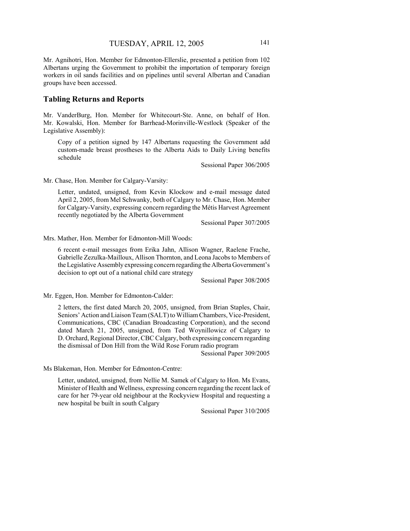Mr. Agnihotri, Hon. Member for Edmonton-Ellerslie, presented a petition from 102 Albertans urging the Government to prohibit the importation of temporary foreign workers in oil sands facilities and on pipelines until several Albertan and Canadian groups have been accessed.

## **Tabling Returns and Reports**

Mr. VanderBurg, Hon. Member for Whitecourt-Ste. Anne, on behalf of Hon. Mr. Kowalski, Hon. Member for Barrhead-Morinville-Westlock (Speaker of the Legislative Assembly):

Copy of a petition signed by 147 Albertans requesting the Government add custom-made breast prostheses to the Alberta Aids to Daily Living benefits schedule

Sessional Paper 306/2005

Mr. Chase, Hon. Member for Calgary-Varsity:

Letter, undated, unsigned, from Kevin Klockow and e-mail message dated April 2, 2005, from Mel Schwanky, both of Calgary to Mr. Chase, Hon. Member for Calgary-Varsity, expressing concern regarding the Métis Harvest Agreement recently negotiated by the Alberta Government

Sessional Paper 307/2005

Mrs. Mather, Hon. Member for Edmonton-Mill Woods:

6 recent e-mail messages from Erika Jahn, Allison Wagner, Raelene Frache, Gabrielle Zezulka-Mailloux, Allison Thornton, and Leona Jacobs to Members of the Legislative Assembly expressing concern regarding the Alberta Government's decision to opt out of a national child care strategy

Sessional Paper 308/2005

Mr. Eggen, Hon. Member for Edmonton-Calder:

2 letters, the first dated March 20, 2005, unsigned, from Brian Staples, Chair, Seniors' Action and Liaison Team (SALT) to William Chambers, Vice-President, Communications, CBC (Canadian Broadcasting Corporation), and the second dated March 21, 2005, unsigned, from Ted Woynillowicz of Calgary to D. Orchard, Regional Director, CBC Calgary, both expressing concern regarding the dismissal of Don Hill from the Wild Rose Forum radio program

Sessional Paper 309/2005

Ms Blakeman, Hon. Member for Edmonton-Centre:

Letter, undated, unsigned, from Nellie M. Samek of Calgary to Hon. Ms Evans, Minister of Health and Wellness, expressing concern regarding the recent lack of care for her 79-year old neighbour at the Rockyview Hospital and requesting a new hospital be built in south Calgary

Sessional Paper 310/2005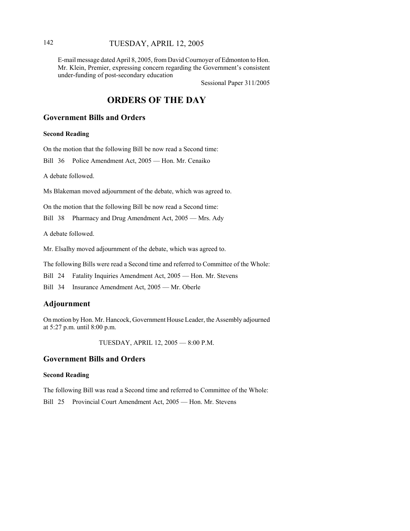## 142 TUESDAY, APRIL 12, 2005

E-mail message dated April 8, 2005, from David Cournoyer of Edmonton to Hon. Mr. Klein, Premier, expressing concern regarding the Government's consistent under-funding of post-secondary education

Sessional Paper 311/2005

## **ORDERS OF THE DAY**

## **Government Bills and Orders**

**Second Reading**

On the motion that the following Bill be now read a Second time:

Bill 36 Police Amendment Act, 2005 — Hon. Mr. Cenaiko

A debate followed.

Ms Blakeman moved adjournment of the debate, which was agreed to.

On the motion that the following Bill be now read a Second time:

Bill 38 Pharmacy and Drug Amendment Act, 2005 — Mrs. Ady

A debate followed.

Mr. Elsalhy moved adjournment of the debate, which was agreed to.

The following Bills were read a Second time and referred to Committee of the Whole:

Bill 24 Fatality Inquiries Amendment Act, 2005 — Hon. Mr. Stevens

Bill 34 Insurance Amendment Act, 2005 — Mr. Oberle

## **Adjournment**

On motion by Hon. Mr. Hancock, Government House Leader, the Assembly adjourned at 5:27 p.m. until 8:00 p.m.

TUESDAY, APRIL 12, 2005 — 8:00 P.M.

## **Government Bills and Orders**

#### **Second Reading**

The following Bill was read a Second time and referred to Committee of the Whole:

Bill 25 Provincial Court Amendment Act, 2005 — Hon. Mr. Stevens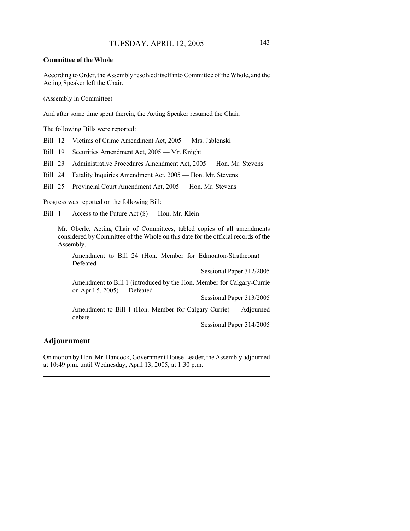#### **Committee of the Whole**

According to Order, the Assembly resolved itself into Committee of the Whole, and the Acting Speaker left the Chair.

(Assembly in Committee)

And after some time spent therein, the Acting Speaker resumed the Chair.

The following Bills were reported:

Bill 12 Victims of Crime Amendment Act, 2005 — Mrs. Jablonski

Bill 19 Securities Amendment Act, 2005 — Mr. Knight

Bill 23 Administrative Procedures Amendment Act, 2005 — Hon. Mr. Stevens

Bill 24 Fatality Inquiries Amendment Act, 2005 — Hon. Mr. Stevens

Bill 25 Provincial Court Amendment Act, 2005 — Hon. Mr. Stevens

Progress was reported on the following Bill:

Bill 1 Access to the Future Act (\$) — Hon. Mr. Klein

Mr. Oberle, Acting Chair of Committees, tabled copies of all amendments considered by Committee of the Whole on this date for the official records of the Assembly.

Amendment to Bill 24 (Hon. Member for Edmonton-Strathcona) — Defeated

Sessional Paper 312/2005

Amendment to Bill 1 (introduced by the Hon. Member for Calgary-Currie on April 5, 2005) — Defeated

Sessional Paper 313/2005

Amendment to Bill 1 (Hon. Member for Calgary-Currie) — Adjourned debate

Sessional Paper 314/2005

#### **Adjournment**

On motion by Hon. Mr. Hancock, Government House Leader, the Assembly adjourned at 10:49 p.m. until Wednesday, April 13, 2005, at 1:30 p.m.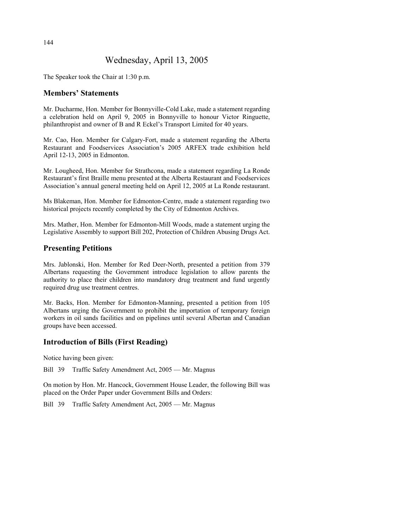## Wednesday, April 13, 2005

The Speaker took the Chair at 1:30 p.m.

## **Members' Statements**

Mr. Ducharme, Hon. Member for Bonnyville-Cold Lake, made a statement regarding a celebration held on April 9, 2005 in Bonnyville to honour Victor Ringuette, philanthropist and owner of B and R Eckel's Transport Limited for 40 years.

Mr. Cao, Hon. Member for Calgary-Fort, made a statement regarding the Alberta Restaurant and Foodservices Association's 2005 ARFEX trade exhibition held April 12-13, 2005 in Edmonton.

Mr. Lougheed, Hon. Member for Strathcona, made a statement regarding La Ronde Restaurant's first Braille menu presented at the Alberta Restaurant and Foodservices Association's annual general meeting held on April 12, 2005 at La Ronde restaurant.

Ms Blakeman, Hon. Member for Edmonton-Centre, made a statement regarding two historical projects recently completed by the City of Edmonton Archives.

Mrs. Mather, Hon. Member for Edmonton-Mill Woods, made a statement urging the Legislative Assembly to support Bill 202, Protection of Children Abusing Drugs Act.

## **Presenting Petitions**

Mrs. Jablonski, Hon. Member for Red Deer-North, presented a petition from 379 Albertans requesting the Government introduce legislation to allow parents the authority to place their children into mandatory drug treatment and fund urgently required drug use treatment centres.

Mr. Backs, Hon. Member for Edmonton-Manning, presented a petition from 105 Albertans urging the Government to prohibit the importation of temporary foreign workers in oil sands facilities and on pipelines until several Albertan and Canadian groups have been accessed.

## **Introduction of Bills (First Reading)**

Notice having been given:

Bill 39 Traffic Safety Amendment Act, 2005 — Mr. Magnus

On motion by Hon. Mr. Hancock, Government House Leader, the following Bill was placed on the Order Paper under Government Bills and Orders:

Bill 39 Traffic Safety Amendment Act, 2005 — Mr. Magnus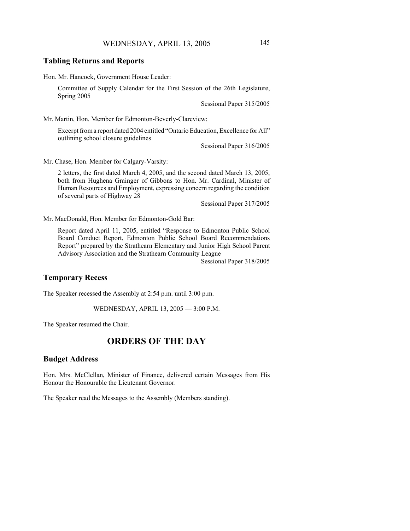### **Tabling Returns and Reports**

Hon. Mr. Hancock, Government House Leader:

Committee of Supply Calendar for the First Session of the 26th Legislature, Spring 2005

Sessional Paper 315/2005

Mr. Martin, Hon. Member for Edmonton-Beverly-Clareview:

Excerpt from a report dated 2004 entitled "Ontario Education, Excellence for All" outlining school closure guidelines

Sessional Paper 316/2005

Mr. Chase, Hon. Member for Calgary-Varsity:

2 letters, the first dated March 4, 2005, and the second dated March 13, 2005, both from Hughena Grainger of Gibbons to Hon. Mr. Cardinal, Minister of Human Resources and Employment, expressing concern regarding the condition of several parts of Highway 28

Sessional Paper 317/2005

Mr. MacDonald, Hon. Member for Edmonton-Gold Bar:

Report dated April 11, 2005, entitled "Response to Edmonton Public School Board Conduct Report, Edmonton Public School Board Recommendations Report" prepared by the Strathearn Elementary and Junior High School Parent Advisory Association and the Strathearn Community League

Sessional Paper 318/2005

#### **Temporary Recess**

The Speaker recessed the Assembly at 2:54 p.m. until 3:00 p.m.

WEDNESDAY, APRIL 13, 2005 — 3:00 P.M.

The Speaker resumed the Chair.

## **ORDERS OF THE DAY**

## **Budget Address**

Hon. Mrs. McClellan, Minister of Finance, delivered certain Messages from His Honour the Honourable the Lieutenant Governor.

The Speaker read the Messages to the Assembly (Members standing).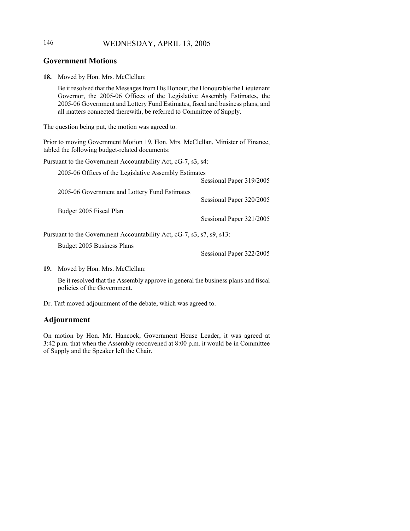## 146 WEDNESDAY, APRIL 13, 2005

## **Government Motions**

**18.** Moved by Hon. Mrs. McClellan:

Be it resolved that the Messages from His Honour, the Honourable the Lieutenant Governor, the 2005-06 Offices of the Legislative Assembly Estimates, the 2005-06 Government and Lottery Fund Estimates, fiscal and business plans, and all matters connected therewith, be referred to Committee of Supply.

The question being put, the motion was agreed to.

Prior to moving Government Motion 19, Hon. Mrs. McClellan, Minister of Finance, tabled the following budget-related documents:

Pursuant to the Government Accountability Act, cG-7, s3, s4:

| 2005-06 Offices of the Legislative Assembly Estimates                 |                          |  |
|-----------------------------------------------------------------------|--------------------------|--|
|                                                                       | Sessional Paper 319/2005 |  |
| 2005-06 Government and Lottery Fund Estimates                         |                          |  |
|                                                                       | Sessional Paper 320/2005 |  |
| Budget 2005 Fiscal Plan                                               |                          |  |
|                                                                       | Sessional Paper 321/2005 |  |
| Pursuant to the Government Accountability Act, cG-7, s3, s7, s9, s13: |                          |  |

Budget 2005 Business Plans

Sessional Paper 322/2005

**19.** Moved by Hon. Mrs. McClellan:

Be it resolved that the Assembly approve in general the business plans and fiscal policies of the Government.

Dr. Taft moved adjournment of the debate, which was agreed to.

## **Adjournment**

On motion by Hon. Mr. Hancock, Government House Leader, it was agreed at 3:42 p.m. that when the Assembly reconvened at 8:00 p.m. it would be in Committee of Supply and the Speaker left the Chair.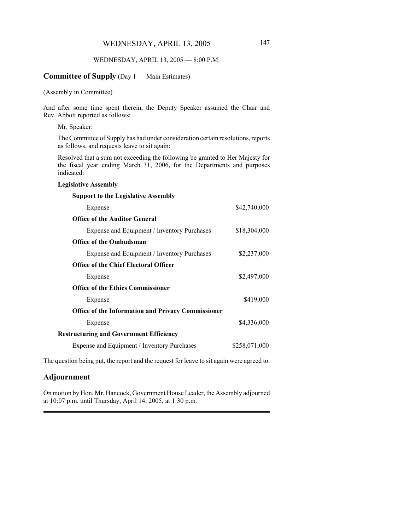#### WEDNESDAY, APRIL 13, 2005 — 8:00 P.M.

## **Committee of Supply** (Day 1 — Main Estimates)

(Assembly in Committee)

And after some time spent therein, the Deputy Speaker assumed the Chair and Rev. Abbott reported as follows:

Mr. Speaker:

The Committee of Supply has had under consideration certain resolutions, reports as follows, and requests leave to sit again:

Resolved that a sum not exceeding the following be granted to Her Majesty for the fiscal year ending March 31, 2006, for the Departments and purposes indicated:

#### **Legislative Assembly**

| <b>Support to the Legislative Assembly</b>                |               |
|-----------------------------------------------------------|---------------|
| Expense                                                   | \$42,740,000  |
| <b>Office of the Auditor General</b>                      |               |
| Expense and Equipment / Inventory Purchases               | \$18,304,000  |
| <b>Office of the Ombudsman</b>                            |               |
| Expense and Equipment / Inventory Purchases               | \$2,237,000   |
| <b>Office of the Chief Electoral Officer</b>              |               |
| Expense                                                   | \$2,497,000   |
| <b>Office of the Ethics Commissioner</b>                  |               |
| Expense                                                   | \$419,000     |
| <b>Office of the Information and Privacy Commissioner</b> |               |
| Expense                                                   | \$4,336,000   |
| <b>Restructuring and Government Efficiency</b>            |               |
| Expense and Equipment / Inventory Purchases               | \$258,071,000 |
|                                                           |               |

The question being put, the report and the request for leave to sit again were agreed to.

#### **Adjournment**

On motion by Hon. Mr. Hancock, Government House Leader, the Assembly adjourned at 10:07 p.m. until Thursday, April 14, 2005, at 1:30 p.m.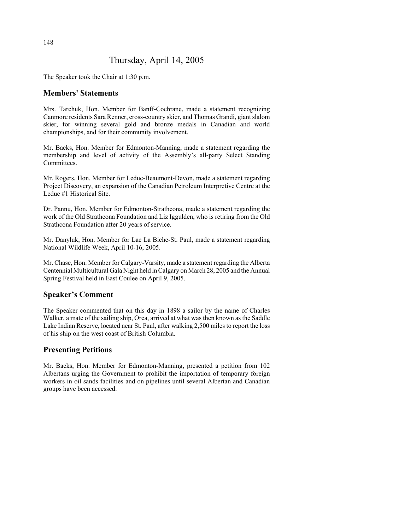## Thursday, April 14, 2005

The Speaker took the Chair at 1:30 p.m.

## **Members' Statements**

Mrs. Tarchuk, Hon. Member for Banff-Cochrane, made a statement recognizing Canmore residents Sara Renner, cross-country skier, and Thomas Grandi, giant slalom skier, for winning several gold and bronze medals in Canadian and world championships, and for their community involvement.

Mr. Backs, Hon. Member for Edmonton-Manning, made a statement regarding the membership and level of activity of the Assembly's all-party Select Standing Committees.

Mr. Rogers, Hon. Member for Leduc-Beaumont-Devon, made a statement regarding Project Discovery, an expansion of the Canadian Petroleum Interpretive Centre at the Leduc #1 Historical Site.

Dr. Pannu, Hon. Member for Edmonton-Strathcona, made a statement regarding the work of the Old Strathcona Foundation and Liz Iggulden, who is retiring from the Old Strathcona Foundation after 20 years of service.

Mr. Danyluk, Hon. Member for Lac La Biche-St. Paul, made a statement regarding National Wildlife Week, April 10-16, 2005.

Mr. Chase, Hon. Member for Calgary-Varsity, made a statement regarding the Alberta Centennial Multicultural Gala Night held in Calgary on March 28, 2005 and the Annual Spring Festival held in East Coulee on April 9, 2005.

## **Speaker's Comment**

The Speaker commented that on this day in 1898 a sailor by the name of Charles Walker, a mate of the sailing ship, Orca, arrived at what was then known as the Saddle Lake Indian Reserve, located near St. Paul, after walking 2,500 miles to report the loss of his ship on the west coast of British Columbia.

## **Presenting Petitions**

Mr. Backs, Hon. Member for Edmonton-Manning, presented a petition from 102 Albertans urging the Government to prohibit the importation of temporary foreign workers in oil sands facilities and on pipelines until several Albertan and Canadian groups have been accessed.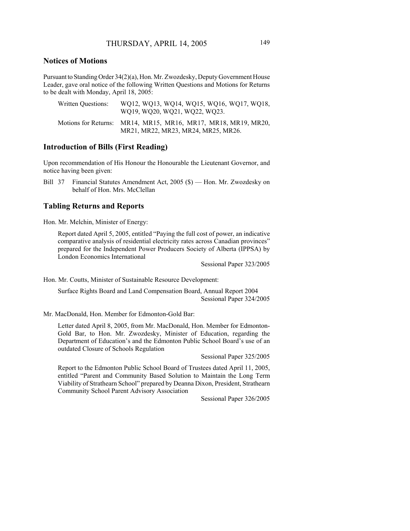## **Notices of Motions**

Pursuant to Standing Order 34(2)(a), Hon. Mr. Zwozdesky, Deputy Government House Leader, gave oral notice of the following Written Questions and Motions for Returns to be dealt with Monday, April 18, 2005:

| Written Ouestions: | WQ12, WQ13, WQ14, WQ15, WQ16, WQ17, WQ18,<br>WQ19, WQ20, WQ21, WQ22, WQ23.                            |
|--------------------|-------------------------------------------------------------------------------------------------------|
|                    | Motions for Returns: MR14, MR15, MR16, MR17, MR18, MR19, MR20,<br>MR21, MR22, MR23, MR24, MR25, MR26. |

### **Introduction of Bills (First Reading)**

Upon recommendation of His Honour the Honourable the Lieutenant Governor, and notice having been given:

Bill 37 Financial Statutes Amendment Act, 2005 (\$) — Hon. Mr. Zwozdesky on behalf of Hon. Mrs. McClellan

## **Tabling Returns and Reports**

Hon. Mr. Melchin, Minister of Energy:

Report dated April 5, 2005, entitled "Paying the full cost of power, an indicative comparative analysis of residential electricity rates across Canadian provinces" prepared for the Independent Power Producers Society of Alberta (IPPSA) by London Economics International

Sessional Paper 323/2005

Hon. Mr. Coutts, Minister of Sustainable Resource Development:

Surface Rights Board and Land Compensation Board, Annual Report 2004 Sessional Paper 324/2005

Mr. MacDonald, Hon. Member for Edmonton-Gold Bar:

Letter dated April 8, 2005, from Mr. MacDonald, Hon. Member for Edmonton-Gold Bar, to Hon. Mr. Zwozdesky, Minister of Education, regarding the Department of Education's and the Edmonton Public School Board's use of an outdated Closure of Schools Regulation

Sessional Paper 325/2005

Report to the Edmonton Public School Board of Trustees dated April 11, 2005, entitled "Parent and Community Based Solution to Maintain the Long Term Viability of Strathearn School" prepared by Deanna Dixon, President, Strathearn Community School Parent Advisory Association

Sessional Paper 326/2005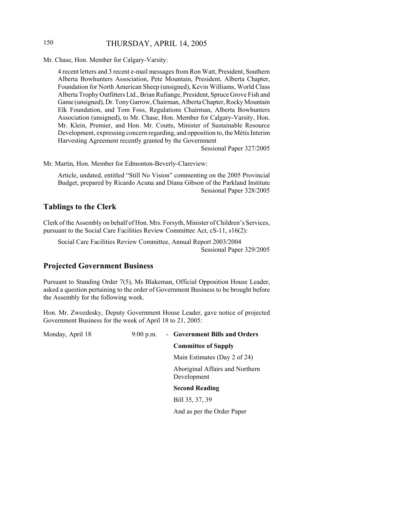## 150 THURSDAY, APRIL 14, 2005

Mr. Chase, Hon. Member for Calgary-Varsity:

4 recent letters and 3 recent e-mail messages from Ron Watt, President, Southern Alberta Bowhunters Association, Pete Mountain, President, Alberta Chapter, Foundation for North American Sheep (unsigned), Kevin Williams, World Class Alberta Trophy Outfitters Ltd., Brian Rufiange, President, Spruce Grove Fish and Game (unsigned), Dr. Tony Garrow, Chairman, Alberta Chapter, Rocky Mountain Elk Foundation, and Tom Foss, Regulations Chairman, Alberta Bowhunters Association (unsigned), to Mr. Chase, Hon. Member for Calgary-Varsity, Hon. Mr. Klein, Premier, and Hon. Mr. Coutts, Minister of Sustainable Resource Development, expressing concern regarding, and opposition to, the Métis Interim Harvesting Agreement recently granted by the Government

Sessional Paper 327/2005

Mr. Martin, Hon. Member for Edmonton-Beverly-Clareview:

Article, undated, entitled "Still No Vision" commenting on the 2005 Provincial Budget, prepared by Ricardo Acuna and Diana Gibson of the Parkland Institute Sessional Paper 328/2005

## **Tablings to the Clerk**

Clerk of the Assembly on behalf of Hon. Mrs. Forsyth, Minister of Children's Services, pursuant to the Social Care Facilities Review Committee Act, cS-11, s16(2):

Social Care Facilities Review Committee, Annual Report 2003/2004 Sessional Paper 329/2005

## **Projected Government Business**

Pursuant to Standing Order 7(5), Ms Blakeman, Official Opposition House Leader, asked a question pertaining to the order of Government Business to be brought before the Assembly for the following week.

Hon. Mr. Zwozdesky, Deputy Government House Leader, gave notice of projected Government Business for the week of April 18 to 21, 2005:

Monday, April 18 9:00 p.m. - **Government Bills and Orders**

**Committee of Supply**

Main Estimates (Day 2 of 24)

Aboriginal Affairs and Northern Development

**Second Reading**

Bill 35, 37, 39

And as per the Order Paper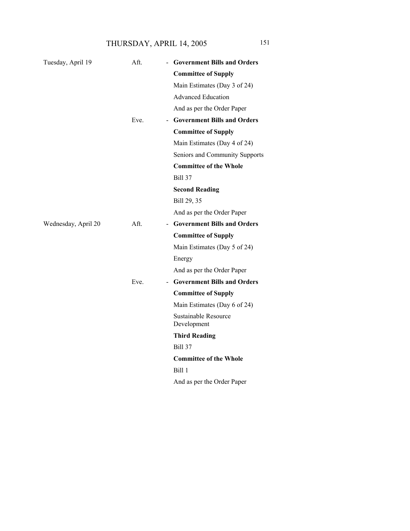THURSDAY, APRIL 14, 2005 151

| Tuesday, April 19   | Aft.                             | - Government Bills and Orders              |
|---------------------|----------------------------------|--------------------------------------------|
|                     |                                  | <b>Committee of Supply</b>                 |
|                     |                                  | Main Estimates (Day 3 of 24)               |
|                     |                                  | <b>Advanced Education</b>                  |
|                     |                                  | And as per the Order Paper                 |
|                     | Eve.<br>$\blacksquare$           | <b>Government Bills and Orders</b>         |
|                     |                                  | <b>Committee of Supply</b>                 |
|                     |                                  | Main Estimates (Day 4 of 24)               |
|                     |                                  | Seniors and Community Supports             |
|                     |                                  | <b>Committee of the Whole</b>              |
|                     |                                  | <b>Bill 37</b>                             |
|                     |                                  | <b>Second Reading</b>                      |
|                     |                                  | Bill 29, 35                                |
|                     |                                  | And as per the Order Paper                 |
| Wednesday, April 20 | Aft.<br>$\blacksquare$           | <b>Government Bills and Orders</b>         |
|                     |                                  | <b>Committee of Supply</b>                 |
|                     |                                  | Main Estimates (Day 5 of 24)               |
|                     |                                  | Energy                                     |
|                     |                                  | And as per the Order Paper                 |
|                     | Eve.<br>$\overline{\phantom{a}}$ | <b>Government Bills and Orders</b>         |
|                     |                                  | <b>Committee of Supply</b>                 |
|                     |                                  | Main Estimates (Day 6 of 24)               |
|                     |                                  | <b>Sustainable Resource</b><br>Development |
|                     |                                  | <b>Third Reading</b>                       |
|                     |                                  | <b>Bill 37</b>                             |
|                     |                                  | <b>Committee of the Whole</b>              |
|                     |                                  | Bill 1                                     |
|                     |                                  | And as per the Order Paper                 |
|                     |                                  |                                            |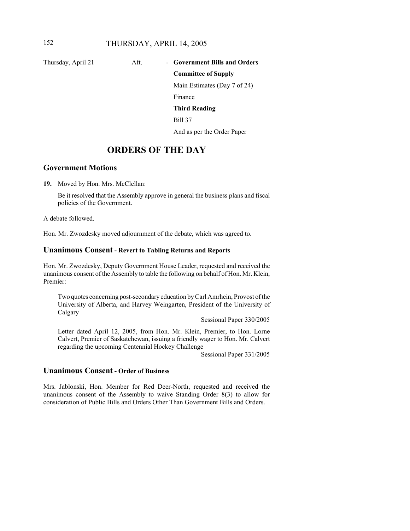# Thursday, April 21 Aft. - Government Bills and Orders **Committee of Supply**

Main Estimates (Day 7 of 24)

Finance

#### **Third Reading**

Bill 37

And as per the Order Paper

## **ORDERS OF THE DAY**

## **Government Motions**

**19.** Moved by Hon. Mrs. McClellan:

Be it resolved that the Assembly approve in general the business plans and fiscal policies of the Government.

A debate followed.

Hon. Mr. Zwozdesky moved adjournment of the debate, which was agreed to.

#### **Unanimous Consent - Revert to Tabling Returns and Reports**

Hon. Mr. Zwozdesky, Deputy Government House Leader, requested and received the unanimous consent of the Assembly to table the following on behalf of Hon. Mr. Klein, Premier:

Two quotes concerning post-secondary education by Carl Amrhein, Provost of the University of Alberta, and Harvey Weingarten, President of the University of Calgary

Sessional Paper 330/2005

Letter dated April 12, 2005, from Hon. Mr. Klein, Premier, to Hon. Lorne Calvert, Premier of Saskatchewan, issuing a friendly wager to Hon. Mr. Calvert regarding the upcoming Centennial Hockey Challenge

Sessional Paper 331/2005

## **Unanimous Consent - Order of Business**

Mrs. Jablonski, Hon. Member for Red Deer-North, requested and received the unanimous consent of the Assembly to waive Standing Order 8(3) to allow for consideration of Public Bills and Orders Other Than Government Bills and Orders.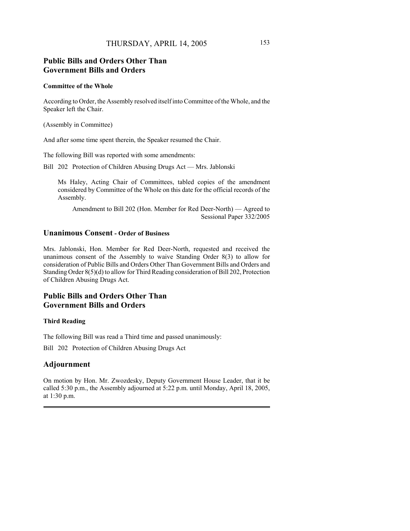## **Public Bills and Orders Other Than Government Bills and Orders**

#### **Committee of the Whole**

According to Order, the Assembly resolved itself into Committee of the Whole, and the Speaker left the Chair.

(Assembly in Committee)

And after some time spent therein, the Speaker resumed the Chair.

The following Bill was reported with some amendments:

Bill 202 Protection of Children Abusing Drugs Act — Mrs. Jablonski

Ms Haley, Acting Chair of Committees, tabled copies of the amendment considered by Committee of the Whole on this date for the official records of the Assembly.

Amendment to Bill 202 (Hon. Member for Red Deer-North) — Agreed to Sessional Paper 332/2005

## **Unanimous Consent - Order of Business**

Mrs. Jablonski, Hon. Member for Red Deer-North, requested and received the unanimous consent of the Assembly to waive Standing Order 8(3) to allow for consideration of Public Bills and Orders Other Than Government Bills and Orders and Standing Order 8(5)(d) to allow for Third Reading consideration of Bill 202, Protection of Children Abusing Drugs Act.

## **Public Bills and Orders Other Than Government Bills and Orders**

#### **Third Reading**

The following Bill was read a Third time and passed unanimously:

Bill 202 Protection of Children Abusing Drugs Act

## **Adjournment**

On motion by Hon. Mr. Zwozdesky, Deputy Government House Leader, that it be called 5:30 p.m., the Assembly adjourned at 5:22 p.m. until Monday, April 18, 2005, at 1:30 p.m.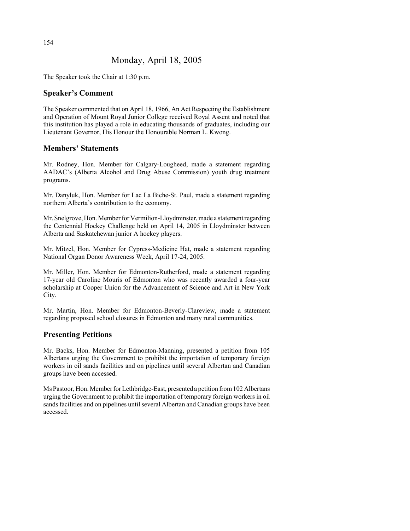## Monday, April 18, 2005

The Speaker took the Chair at 1:30 p.m.

## **Speaker's Comment**

The Speaker commented that on April 18, 1966, An Act Respecting the Establishment and Operation of Mount Royal Junior College received Royal Assent and noted that this institution has played a role in educating thousands of graduates, including our Lieutenant Governor, His Honour the Honourable Norman L. Kwong.

## **Members' Statements**

Mr. Rodney, Hon. Member for Calgary-Lougheed, made a statement regarding AADAC's (Alberta Alcohol and Drug Abuse Commission) youth drug treatment programs.

Mr. Danyluk, Hon. Member for Lac La Biche-St. Paul, made a statement regarding northern Alberta's contribution to the economy.

Mr. Snelgrove, Hon. Member for Vermilion-Lloydminster, made a statement regarding the Centennial Hockey Challenge held on April 14, 2005 in Lloydminster between Alberta and Saskatchewan junior A hockey players.

Mr. Mitzel, Hon. Member for Cypress-Medicine Hat, made a statement regarding National Organ Donor Awareness Week, April 17-24, 2005.

Mr. Miller, Hon. Member for Edmonton-Rutherford, made a statement regarding 17-year old Caroline Mouris of Edmonton who was recently awarded a four-year scholarship at Cooper Union for the Advancement of Science and Art in New York City.

Mr. Martin, Hon. Member for Edmonton-Beverly-Clareview, made a statement regarding proposed school closures in Edmonton and many rural communities.

## **Presenting Petitions**

Mr. Backs, Hon. Member for Edmonton-Manning, presented a petition from 105 Albertans urging the Government to prohibit the importation of temporary foreign workers in oil sands facilities and on pipelines until several Albertan and Canadian groups have been accessed.

Ms Pastoor, Hon. Member for Lethbridge-East, presented a petition from 102 Albertans urging the Government to prohibit the importation of temporary foreign workers in oil sands facilities and on pipelines until several Albertan and Canadian groups have been accessed.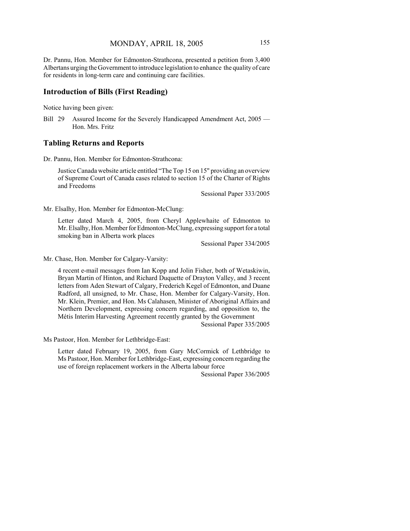Dr. Pannu, Hon. Member for Edmonton-Strathcona, presented a petition from 3,400 Albertans urging the Government to introduce legislation to enhance the quality of care for residents in long-term care and continuing care facilities.

### **Introduction of Bills (First Reading)**

Notice having been given:

Bill 29 Assured Income for the Severely Handicapped Amendment Act, 2005 — Hon. Mrs. Fritz

#### **Tabling Returns and Reports**

Dr. Pannu, Hon. Member for Edmonton-Strathcona:

Justice Canada website article entitled "The Top 15 on 15" providing an overview of Supreme Court of Canada cases related to section 15 of the Charter of Rights and Freedoms

Sessional Paper 333/2005

Mr. Elsalhy, Hon. Member for Edmonton-McClung:

Letter dated March 4, 2005, from Cheryl Applewhaite of Edmonton to Mr. Elsalhy, Hon. Member for Edmonton-McClung, expressing support for a total smoking ban in Alberta work places

Sessional Paper 334/2005

Mr. Chase, Hon. Member for Calgary-Varsity:

4 recent e-mail messages from Ian Kopp and Jolin Fisher, both of Wetaskiwin, Bryan Martin of Hinton, and Richard Duquette of Drayton Valley, and 3 recent letters from Aden Stewart of Calgary, Frederich Kegel of Edmonton, and Duane Radford, all unsigned, to Mr. Chase, Hon. Member for Calgary-Varsity, Hon. Mr. Klein, Premier, and Hon. Ms Calahasen, Minister of Aboriginal Affairs and Northern Development, expressing concern regarding, and opposition to, the Métis Interim Harvesting Agreement recently granted by the Government

Sessional Paper 335/2005

Ms Pastoor, Hon. Member for Lethbridge-East:

Letter dated February 19, 2005, from Gary McCormick of Lethbridge to Ms Pastoor, Hon. Member for Lethbridge-East, expressing concern regarding the use of foreign replacement workers in the Alberta labour force

Sessional Paper 336/2005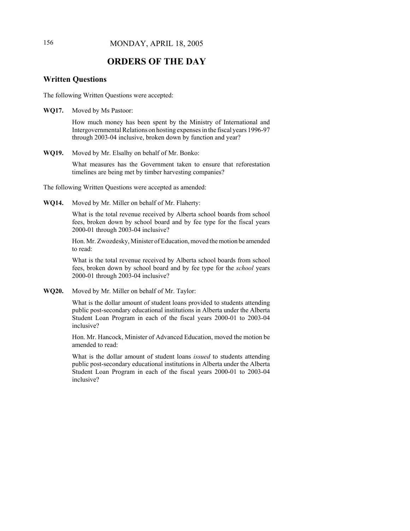## **ORDERS OF THE DAY**

### **Written Questions**

The following Written Questions were accepted:

**WQ17.** Moved by Ms Pastoor:

How much money has been spent by the Ministry of International and Intergovernmental Relations on hosting expenses in the fiscal years 1996-97 through 2003-04 inclusive, broken down by function and year?

**WQ19.** Moved by Mr. Elsalhy on behalf of Mr. Bonko:

What measures has the Government taken to ensure that reforestation timelines are being met by timber harvesting companies?

The following Written Questions were accepted as amended:

**WQ14.** Moved by Mr. Miller on behalf of Mr. Flaherty:

What is the total revenue received by Alberta school boards from school fees, broken down by school board and by fee type for the fiscal years 2000-01 through 2003-04 inclusive?

Hon. Mr. Zwozdesky, Minister of Education, moved the motion be amended to read:

What is the total revenue received by Alberta school boards from school fees, broken down by school board and by fee type for the *school* years 2000-01 through 2003-04 inclusive?

**WQ20.** Moved by Mr. Miller on behalf of Mr. Taylor:

What is the dollar amount of student loans provided to students attending public post-secondary educational institutions in Alberta under the Alberta Student Loan Program in each of the fiscal years 2000-01 to 2003-04 inclusive?

Hon. Mr. Hancock, Minister of Advanced Education, moved the motion be amended to read:

What is the dollar amount of student loans *issued* to students attending public post-secondary educational institutions in Alberta under the Alberta Student Loan Program in each of the fiscal years 2000-01 to 2003-04 inclusive?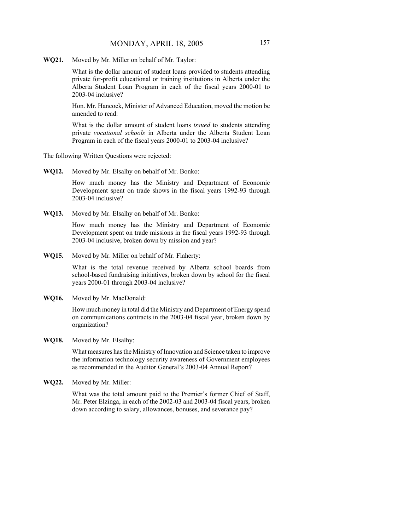**WQ21.** Moved by Mr. Miller on behalf of Mr. Taylor:

What is the dollar amount of student loans provided to students attending private for-profit educational or training institutions in Alberta under the Alberta Student Loan Program in each of the fiscal years 2000-01 to 2003-04 inclusive?

Hon. Mr. Hancock, Minister of Advanced Education, moved the motion be amended to read:

What is the dollar amount of student loans *issued* to students attending private *vocational schools* in Alberta under the Alberta Student Loan Program in each of the fiscal years 2000-01 to 2003-04 inclusive?

The following Written Questions were rejected:

**WQ12.** Moved by Mr. Elsalhy on behalf of Mr. Bonko:

How much money has the Ministry and Department of Economic Development spent on trade shows in the fiscal years 1992-93 through 2003-04 inclusive?

**WQ13.** Moved by Mr. Elsalhy on behalf of Mr. Bonko:

How much money has the Ministry and Department of Economic Development spent on trade missions in the fiscal years 1992-93 through 2003-04 inclusive, broken down by mission and year?

**WQ15.** Moved by Mr. Miller on behalf of Mr. Flaherty:

What is the total revenue received by Alberta school boards from school-based fundraising initiatives, broken down by school for the fiscal years 2000-01 through 2003-04 inclusive?

**WQ16.** Moved by Mr. MacDonald:

How much money in total did the Ministry and Department of Energy spend on communications contracts in the 2003-04 fiscal year, broken down by organization?

**WQ18.** Moved by Mr. Elsalhy:

What measures has the Ministry of Innovation and Science taken to improve the information technology security awareness of Government employees as recommended in the Auditor General's 2003-04 Annual Report?

**WQ22.** Moved by Mr. Miller:

What was the total amount paid to the Premier's former Chief of Staff, Mr. Peter Elzinga, in each of the 2002-03 and 2003-04 fiscal years, broken down according to salary, allowances, bonuses, and severance pay?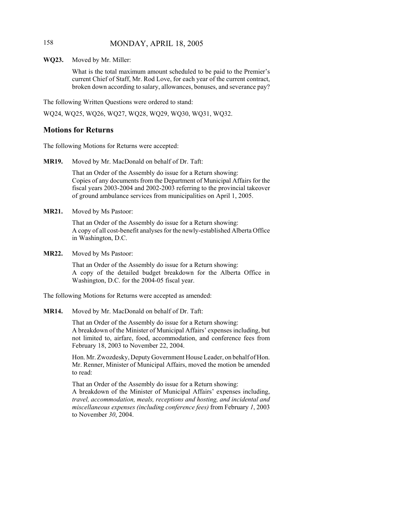## 158 MONDAY, APRIL 18, 2005

**WQ23.** Moved by Mr. Miller:

What is the total maximum amount scheduled to be paid to the Premier's current Chief of Staff, Mr. Rod Love, for each year of the current contract, broken down according to salary, allowances, bonuses, and severance pay?

The following Written Questions were ordered to stand:

WQ24, WQ25, WQ26, WQ27, WQ28, WQ29, WQ30, WQ31, WQ32.

### **Motions for Returns**

The following Motions for Returns were accepted:

**MR19.** Moved by Mr. MacDonald on behalf of Dr. Taft:

That an Order of the Assembly do issue for a Return showing: Copies of any documents from the Department of Municipal Affairs for the fiscal years 2003-2004 and 2002-2003 referring to the provincial takeover of ground ambulance services from municipalities on April 1, 2005.

**MR21.** Moved by Ms Pastoor:

That an Order of the Assembly do issue for a Return showing: A copy of all cost-benefit analyses for the newly-established Alberta Office in Washington, D.C.

**MR22.** Moved by Ms Pastoor:

That an Order of the Assembly do issue for a Return showing: A copy of the detailed budget breakdown for the Alberta Office in Washington, D.C. for the 2004-05 fiscal year.

The following Motions for Returns were accepted as amended:

**MR14.** Moved by Mr. MacDonald on behalf of Dr. Taft:

That an Order of the Assembly do issue for a Return showing: A breakdown of the Minister of Municipal Affairs' expenses including, but not limited to, airfare, food, accommodation, and conference fees from February 18, 2003 to November 22, 2004.

Hon. Mr. Zwozdesky, Deputy Government House Leader, on behalf of Hon. Mr. Renner, Minister of Municipal Affairs, moved the motion be amended to read:

That an Order of the Assembly do issue for a Return showing: A breakdown of the Minister of Municipal Affairs' expenses including, *travel, accommodation, meals, receptions and hosting, and incidental and miscellaneous expenses (including conference fees)* from February *1*, 2003 to November *30*, 2004.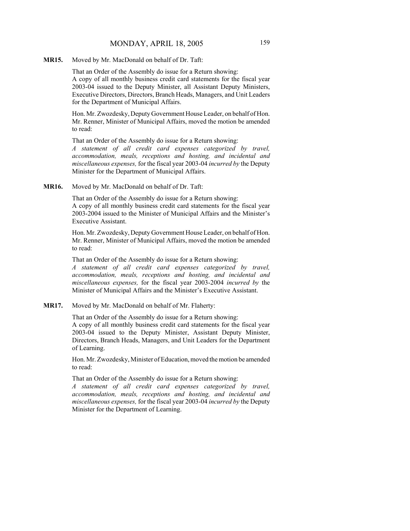**MR15.** Moved by Mr. MacDonald on behalf of Dr. Taft:

That an Order of the Assembly do issue for a Return showing: A copy of all monthly business credit card statements for the fiscal year 2003-04 issued to the Deputy Minister, all Assistant Deputy Ministers, Executive Directors, Directors, Branch Heads, Managers, and Unit Leaders for the Department of Municipal Affairs.

Hon. Mr. Zwozdesky, Deputy Government House Leader, on behalf of Hon. Mr. Renner, Minister of Municipal Affairs, moved the motion be amended to read:

That an Order of the Assembly do issue for a Return showing:

*A statement of all credit card expenses categorized by travel, accommodation, meals, receptions and hosting, and incidental and miscellaneous expenses,* for the fiscal year 2003-04 *incurred by* the Deputy Minister for the Department of Municipal Affairs.

**MR16.** Moved by Mr. MacDonald on behalf of Dr. Taft:

That an Order of the Assembly do issue for a Return showing: A copy of all monthly business credit card statements for the fiscal year 2003-2004 issued to the Minister of Municipal Affairs and the Minister's Executive Assistant.

Hon. Mr. Zwozdesky, Deputy Government House Leader, on behalf of Hon. Mr. Renner, Minister of Municipal Affairs, moved the motion be amended to read:

That an Order of the Assembly do issue for a Return showing:

*A statement of all credit card expenses categorized by travel, accommodation, meals, receptions and hosting, and incidental and miscellaneous expenses,* for the fiscal year 2003-2004 *incurred by* the Minister of Municipal Affairs and the Minister's Executive Assistant.

**MR17.** Moved by Mr. MacDonald on behalf of Mr. Flaherty:

That an Order of the Assembly do issue for a Return showing: A copy of all monthly business credit card statements for the fiscal year 2003-04 issued to the Deputy Minister, Assistant Deputy Minister, Directors, Branch Heads, Managers, and Unit Leaders for the Department of Learning.

Hon. Mr. Zwozdesky, Minister of Education, moved the motion be amended to read:

That an Order of the Assembly do issue for a Return showing:

*A statement of all credit card expenses categorized by travel, accommodation, meals, receptions and hosting, and incidental and miscellaneous expenses,* for the fiscal year 2003-04 *incurred by* the Deputy Minister for the Department of Learning.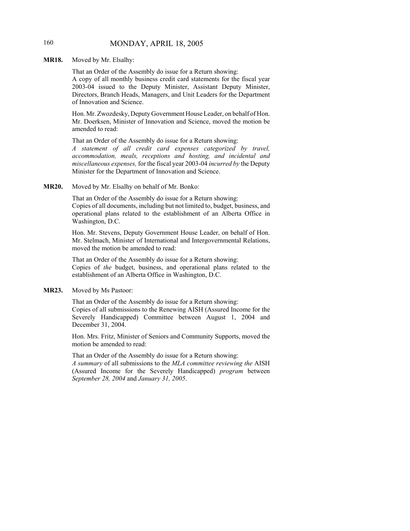## 160 MONDAY, APRIL 18, 2005

**MR18.** Moved by Mr. Elsalhy:

That an Order of the Assembly do issue for a Return showing: A copy of all monthly business credit card statements for the fiscal year 2003-04 issued to the Deputy Minister, Assistant Deputy Minister, Directors, Branch Heads, Managers, and Unit Leaders for the Department of Innovation and Science.

Hon. Mr. Zwozdesky, Deputy Government House Leader, on behalf of Hon. Mr. Doerksen, Minister of Innovation and Science, moved the motion be amended to read:

That an Order of the Assembly do issue for a Return showing: *A statement of all credit card expenses categorized by travel, accommodation, meals, receptions and hosting, and incidental and miscellaneous expenses,* for the fiscal year 2003-04 *incurred by* the Deputy Minister for the Department of Innovation and Science.

**MR20.** Moved by Mr. Elsalhy on behalf of Mr. Bonko:

That an Order of the Assembly do issue for a Return showing: Copies of all documents, including but not limited to, budget, business, and operational plans related to the establishment of an Alberta Office in Washington, D.C.

Hon. Mr. Stevens, Deputy Government House Leader, on behalf of Hon. Mr. Stelmach, Minister of International and Intergovernmental Relations, moved the motion be amended to read:

That an Order of the Assembly do issue for a Return showing: Copies of *the* budget, business, and operational plans related to the establishment of an Alberta Office in Washington, D.C.

**MR23.** Moved by Ms Pastoor:

That an Order of the Assembly do issue for a Return showing: Copies of all submissions to the Renewing AISH (Assured Income for the Severely Handicapped) Committee between August 1, 2004 and December 31, 2004.

Hon. Mrs. Fritz, Minister of Seniors and Community Supports, moved the motion be amended to read:

That an Order of the Assembly do issue for a Return showing:

*A summary* of all submissions to the *MLA committee reviewing the* AISH (Assured Income for the Severely Handicapped) *program* between *September 28, 2004* and *January 31, 2005*.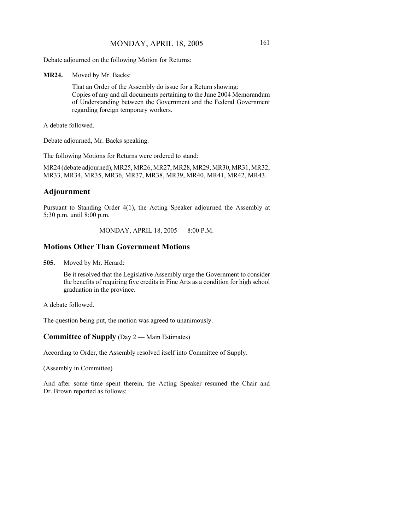Debate adjourned on the following Motion for Returns:

**MR24.** Moved by Mr. Backs:

That an Order of the Assembly do issue for a Return showing: Copies of any and all documents pertaining to the June 2004 Memorandum of Understanding between the Government and the Federal Government regarding foreign temporary workers.

A debate followed.

Debate adjourned, Mr. Backs speaking.

The following Motions for Returns were ordered to stand:

MR24 (debate adjourned), MR25, MR26, MR27, MR28, MR29, MR30, MR31, MR32, MR33, MR34, MR35, MR36, MR37, MR38, MR39, MR40, MR41, MR42, MR43.

## **Adjournment**

Pursuant to Standing Order 4(1), the Acting Speaker adjourned the Assembly at 5:30 p.m. until 8:00 p.m.

MONDAY, APRIL 18, 2005 — 8:00 P.M.

## **Motions Other Than Government Motions**

**505.** Moved by Mr. Herard:

Be it resolved that the Legislative Assembly urge the Government to consider the benefits of requiring five credits in Fine Arts as a condition for high school graduation in the province.

A debate followed.

The question being put, the motion was agreed to unanimously.

### **Committee of Supply** (Day 2 — Main Estimates)

According to Order, the Assembly resolved itself into Committee of Supply.

(Assembly in Committee)

And after some time spent therein, the Acting Speaker resumed the Chair and Dr. Brown reported as follows: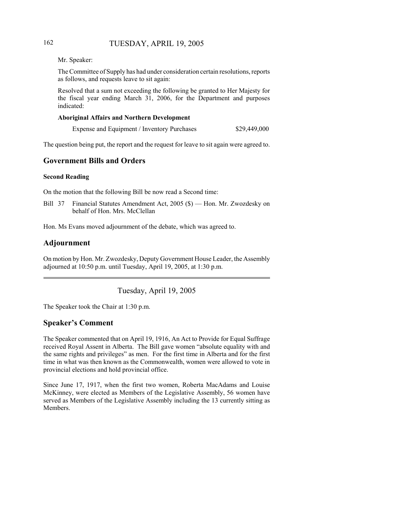## 162 TUESDAY, APRIL 19, 2005

Mr. Speaker:

The Committee of Supply has had under consideration certain resolutions, reports as follows, and requests leave to sit again:

Resolved that a sum not exceeding the following be granted to Her Majesty for the fiscal year ending March 31, 2006, for the Department and purposes indicated:

#### **Aboriginal Affairs and Northern Development**

| Expense and Equipment / Inventory Purchases |  | \$29,449,000 |
|---------------------------------------------|--|--------------|
|---------------------------------------------|--|--------------|

The question being put, the report and the request for leave to sit again were agreed to.

## **Government Bills and Orders**

#### **Second Reading**

On the motion that the following Bill be now read a Second time:

Bill 37 Financial Statutes Amendment Act, 2005 (\$) — Hon. Mr. Zwozdesky on behalf of Hon. Mrs. McClellan

Hon. Ms Evans moved adjournment of the debate, which was agreed to.

## **Adjournment**

On motion by Hon. Mr. Zwozdesky, Deputy Government House Leader, the Assembly adjourned at 10:50 p.m. until Tuesday, April 19, 2005, at 1:30 p.m.

Tuesday, April 19, 2005

The Speaker took the Chair at 1:30 p.m.

## **Speaker's Comment**

The Speaker commented that on April 19, 1916, An Act to Provide for Equal Suffrage received Royal Assent in Alberta. The Bill gave women "absolute equality with and the same rights and privileges" as men. For the first time in Alberta and for the first time in what was then known as the Commonwealth, women were allowed to vote in provincial elections and hold provincial office.

Since June 17, 1917, when the first two women, Roberta MacAdams and Louise McKinney, were elected as Members of the Legislative Assembly, 56 women have served as Members of the Legislative Assembly including the 13 currently sitting as **Members**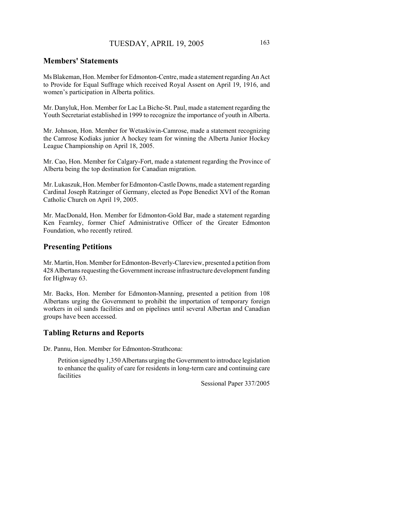### **Members' Statements**

Ms Blakeman, Hon. Member for Edmonton-Centre, made a statement regarding An Act to Provide for Equal Suffrage which received Royal Assent on April 19, 1916, and women's participation in Alberta politics.

Mr. Danyluk, Hon. Member for Lac La Biche-St. Paul, made a statement regarding the Youth Secretariat established in 1999 to recognize the importance of youth in Alberta.

Mr. Johnson, Hon. Member for Wetaskiwin-Camrose, made a statement recognizing the Camrose Kodiaks junior A hockey team for winning the Alberta Junior Hockey League Championship on April 18, 2005.

Mr. Cao, Hon. Member for Calgary-Fort, made a statement regarding the Province of Alberta being the top destination for Canadian migration.

Mr. Lukaszuk, Hon. Member for Edmonton-Castle Downs, made a statement regarding Cardinal Joseph Ratzinger of Germany, elected as Pope Benedict XVI of the Roman Catholic Church on April 19, 2005.

Mr. MacDonald, Hon. Member for Edmonton-Gold Bar, made a statement regarding Ken Fearnley, former Chief Administrative Officer of the Greater Edmonton Foundation, who recently retired.

## **Presenting Petitions**

Mr. Martin, Hon. Member for Edmonton-Beverly-Clareview, presented a petition from 428 Albertans requesting the Government increase infrastructure development funding for Highway 63.

Mr. Backs, Hon. Member for Edmonton-Manning, presented a petition from 108 Albertans urging the Government to prohibit the importation of temporary foreign workers in oil sands facilities and on pipelines until several Albertan and Canadian groups have been accessed.

#### **Tabling Returns and Reports**

Dr. Pannu, Hon. Member for Edmonton-Strathcona:

Petition signed by 1,350 Albertans urging the Government to introduce legislation to enhance the quality of care for residents in long-term care and continuing care facilities

Sessional Paper 337/2005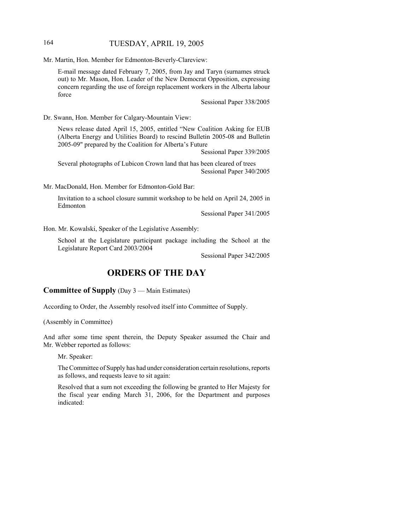## 164 TUESDAY, APRIL 19, 2005

Mr. Martin, Hon. Member for Edmonton-Beverly-Clareview:

E-mail message dated February 7, 2005, from Jay and Taryn (surnames struck out) to Mr. Mason, Hon. Leader of the New Democrat Opposition, expressing concern regarding the use of foreign replacement workers in the Alberta labour force

Sessional Paper 338/2005

Dr. Swann, Hon. Member for Calgary-Mountain View:

News release dated April 15, 2005, entitled "New Coalition Asking for EUB (Alberta Energy and Utilities Board) to rescind Bulletin 2005-08 and Bulletin 2005-09" prepared by the Coalition for Alberta's Future

Sessional Paper 339/2005

Several photographs of Lubicon Crown land that has been cleared of trees Sessional Paper 340/2005

Mr. MacDonald, Hon. Member for Edmonton-Gold Bar:

Invitation to a school closure summit workshop to be held on April 24, 2005 in Edmonton

Sessional Paper 341/2005

Hon. Mr. Kowalski, Speaker of the Legislative Assembly:

School at the Legislature participant package including the School at the Legislature Report Card 2003/2004

Sessional Paper 342/2005

## **ORDERS OF THE DAY**

#### **Committee of Supply** (Day 3 — Main Estimates)

According to Order, the Assembly resolved itself into Committee of Supply.

(Assembly in Committee)

And after some time spent therein, the Deputy Speaker assumed the Chair and Mr. Webber reported as follows:

Mr. Speaker:

The Committee of Supply has had under consideration certain resolutions, reports as follows, and requests leave to sit again:

Resolved that a sum not exceeding the following be granted to Her Majesty for the fiscal year ending March 31, 2006, for the Department and purposes indicated: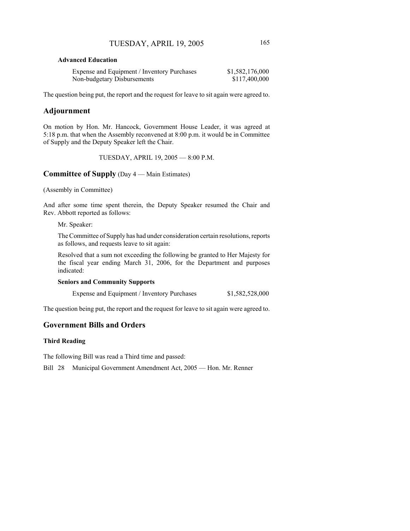#### **Advanced Education**

| Expense and Equipment / Inventory Purchases | \$1,582,176,000 |
|---------------------------------------------|-----------------|
| Non-budgetary Disbursements                 | \$117,400,000   |

The question being put, the report and the request for leave to sit again were agreed to.

## **Adjournment**

On motion by Hon. Mr. Hancock, Government House Leader, it was agreed at 5:18 p.m. that when the Assembly reconvened at 8:00 p.m. it would be in Committee of Supply and the Deputy Speaker left the Chair.

TUESDAY, APRIL 19, 2005 — 8:00 P.M.

## **Committee of Supply** (Day 4 — Main Estimates)

(Assembly in Committee)

And after some time spent therein, the Deputy Speaker resumed the Chair and Rev. Abbott reported as follows:

Mr. Speaker:

The Committee of Supply has had under consideration certain resolutions, reports as follows, and requests leave to sit again:

Resolved that a sum not exceeding the following be granted to Her Majesty for the fiscal year ending March 31, 2006, for the Department and purposes indicated:

#### **Seniors and Community Supports**

|  |  |  | Expense and Equipment / Inventory Purchases | \$1,582,528,000 |
|--|--|--|---------------------------------------------|-----------------|
|--|--|--|---------------------------------------------|-----------------|

The question being put, the report and the request for leave to sit again were agreed to.

## **Government Bills and Orders**

#### **Third Reading**

The following Bill was read a Third time and passed:

Bill 28 Municipal Government Amendment Act, 2005 — Hon. Mr. Renner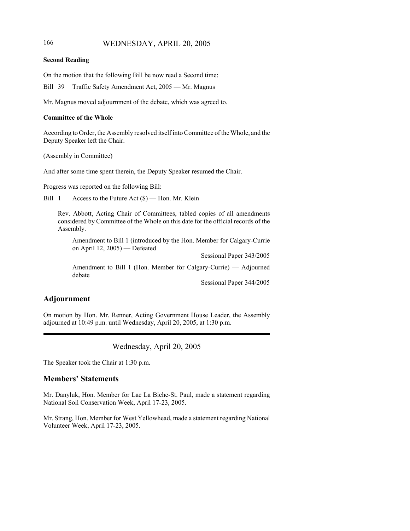## 166 WEDNESDAY, APRIL 20, 2005

#### **Second Reading**

On the motion that the following Bill be now read a Second time:

Bill 39 Traffic Safety Amendment Act, 2005 — Mr. Magnus

Mr. Magnus moved adjournment of the debate, which was agreed to.

#### **Committee of the Whole**

According to Order, the Assembly resolved itself into Committee of the Whole, and the Deputy Speaker left the Chair.

(Assembly in Committee)

And after some time spent therein, the Deputy Speaker resumed the Chair.

Progress was reported on the following Bill:

Bill 1 Access to the Future Act (\$) — Hon. Mr. Klein

Rev. Abbott, Acting Chair of Committees, tabled copies of all amendments considered by Committee of the Whole on this date for the official records of the Assembly.

Amendment to Bill 1 (introduced by the Hon. Member for Calgary-Currie on April 12, 2005) — Defeated

Sessional Paper 343/2005

Amendment to Bill 1 (Hon. Member for Calgary-Currie) — Adjourned debate

Sessional Paper 344/2005

## **Adjournment**

On motion by Hon. Mr. Renner, Acting Government House Leader, the Assembly adjourned at 10:49 p.m. until Wednesday, April 20, 2005, at 1:30 p.m.

Wednesday, April 20, 2005

The Speaker took the Chair at 1:30 p.m.

### **Members' Statements**

Mr. Danyluk, Hon. Member for Lac La Biche-St. Paul, made a statement regarding National Soil Conservation Week, April 17-23, 2005.

Mr. Strang, Hon. Member for West Yellowhead, made a statement regarding National Volunteer Week, April 17-23, 2005.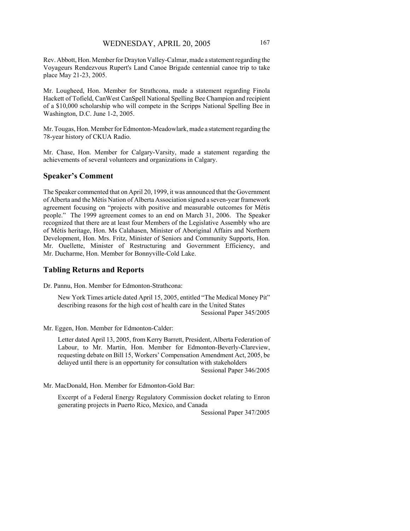Rev. Abbott, Hon. Member for Drayton Valley-Calmar, made a statement regarding the Voyageurs Rendezvous Rupert's Land Canoe Brigade centennial canoe trip to take place May 21-23, 2005.

Mr. Lougheed, Hon. Member for Strathcona, made a statement regarding Finola Hackett of Tofield, CanWest CanSpell National Spelling Bee Champion and recipient of a \$10,000 scholarship who will compete in the Scripps National Spelling Bee in Washington, D.C. June 1-2, 2005.

Mr. Tougas, Hon. Member for Edmonton-Meadowlark, made a statement regarding the 78-year history of CKUA Radio.

Mr. Chase, Hon. Member for Calgary-Varsity, made a statement regarding the achievements of several volunteers and organizations in Calgary.

#### **Speaker's Comment**

The Speaker commented that on April 20, 1999, it was announced that the Government of Alberta and the Métis Nation of Alberta Association signed a seven-year framework agreement focusing on "projects with positive and measurable outcomes for Métis people." The 1999 agreement comes to an end on March 31, 2006. The Speaker recognized that there are at least four Members of the Legislative Assembly who are of Métis heritage, Hon. Ms Calahasen, Minister of Aboriginal Affairs and Northern Development, Hon. Mrs. Fritz, Minister of Seniors and Community Supports, Hon. Mr. Ouellette, Minister of Restructuring and Government Efficiency, and Mr. Ducharme, Hon. Member for Bonnyville-Cold Lake.

#### **Tabling Returns and Reports**

Dr. Pannu, Hon. Member for Edmonton-Strathcona:

New York Times article dated April 15, 2005, entitled "The Medical Money Pit" describing reasons for the high cost of health care in the United States Sessional Paper 345/2005

Mr. Eggen, Hon. Member for Edmonton-Calder:

Letter dated April 13, 2005, from Kerry Barrett, President, Alberta Federation of Labour, to Mr. Martin, Hon. Member for Edmonton-Beverly-Clareview, requesting debate on Bill 15, Workers' Compensation Amendment Act, 2005, be delayed until there is an opportunity for consultation with stakeholders Sessional Paper 346/2005

Mr. MacDonald, Hon. Member for Edmonton-Gold Bar:

Excerpt of a Federal Energy Regulatory Commission docket relating to Enron generating projects in Puerto Rico, Mexico, and Canada

Sessional Paper 347/2005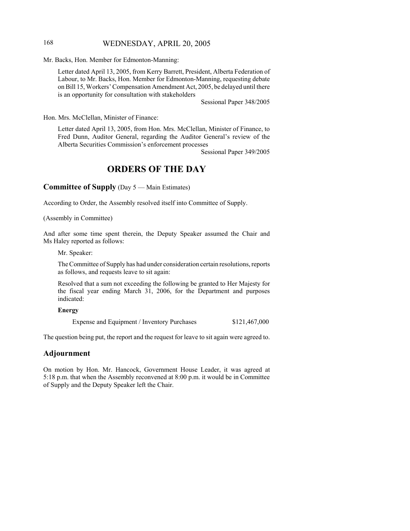## 168 WEDNESDAY, APRIL 20, 2005

Mr. Backs, Hon. Member for Edmonton-Manning:

Letter dated April 13, 2005, from Kerry Barrett, President, Alberta Federation of Labour, to Mr. Backs, Hon. Member for Edmonton-Manning, requesting debate on Bill 15, Workers' Compensation Amendment Act, 2005, be delayed until there is an opportunity for consultation with stakeholders

Sessional Paper 348/2005

Hon. Mrs. McClellan, Minister of Finance:

Letter dated April 13, 2005, from Hon. Mrs. McClellan, Minister of Finance, to Fred Dunn, Auditor General, regarding the Auditor General's review of the Alberta Securities Commission's enforcement processes

Sessional Paper 349/2005

## **ORDERS OF THE DAY**

**Committee of Supply** (Day 5 — Main Estimates)

According to Order, the Assembly resolved itself into Committee of Supply.

(Assembly in Committee)

And after some time spent therein, the Deputy Speaker assumed the Chair and Ms Haley reported as follows:

Mr. Speaker:

The Committee of Supply has had under consideration certain resolutions, reports as follows, and requests leave to sit again:

Resolved that a sum not exceeding the following be granted to Her Majesty for the fiscal year ending March 31, 2006, for the Department and purposes indicated:

#### **Energy**

Expense and Equipment / Inventory Purchases  $$121,467,000$ 

The question being put, the report and the request for leave to sit again were agreed to.

## **Adjournment**

On motion by Hon. Mr. Hancock, Government House Leader, it was agreed at 5:18 p.m. that when the Assembly reconvened at 8:00 p.m. it would be in Committee of Supply and the Deputy Speaker left the Chair.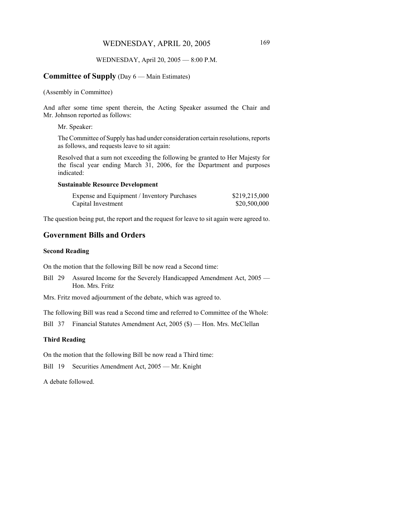#### WEDNESDAY, April 20, 2005 — 8:00 P.M.

#### **Committee of Supply** (Day 6 — Main Estimates)

#### (Assembly in Committee)

And after some time spent therein, the Acting Speaker assumed the Chair and Mr. Johnson reported as follows:

Mr. Speaker:

The Committee of Supply has had under consideration certain resolutions, reports as follows, and requests leave to sit again:

Resolved that a sum not exceeding the following be granted to Her Majesty for the fiscal year ending March 31, 2006, for the Department and purposes indicated:

#### **Sustainable Resource Development**

| Expense and Equipment / Inventory Purchases | \$219,215,000 |
|---------------------------------------------|---------------|
| Capital Investment                          | \$20,500,000  |

The question being put, the report and the request for leave to sit again were agreed to.

## **Government Bills and Orders**

#### **Second Reading**

On the motion that the following Bill be now read a Second time:

Bill 29 Assured Income for the Severely Handicapped Amendment Act, 2005 — Hon. Mrs. Fritz

Mrs. Fritz moved adjournment of the debate, which was agreed to.

The following Bill was read a Second time and referred to Committee of the Whole:

Bill 37 Financial Statutes Amendment Act, 2005 (\$) — Hon. Mrs. McClellan

#### **Third Reading**

On the motion that the following Bill be now read a Third time:

Bill 19 Securities Amendment Act, 2005 — Mr. Knight

A debate followed.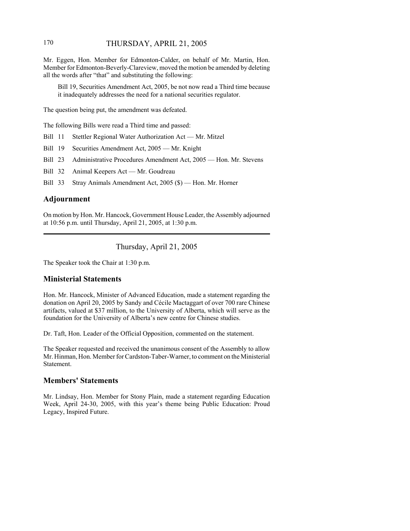## 170 THURSDAY, APRIL 21, 2005

Mr. Eggen, Hon. Member for Edmonton-Calder, on behalf of Mr. Martin, Hon. Member for Edmonton-Beverly-Clareview, moved the motion be amended by deleting all the words after "that" and substituting the following:

Bill 19, Securities Amendment Act, 2005, be not now read a Third time because it inadequately addresses the need for a national securities regulator.

The question being put, the amendment was defeated.

The following Bills were read a Third time and passed:

Bill 11 Stettler Regional Water Authorization Act — Mr. Mitzel

Bill 19 Securities Amendment Act, 2005 — Mr. Knight

Bill 23 Administrative Procedures Amendment Act, 2005 — Hon. Mr. Stevens

Bill 32 Animal Keepers Act — Mr. Goudreau

Bill 33 Stray Animals Amendment Act, 2005 (\$) — Hon. Mr. Horner

## **Adjournment**

On motion by Hon. Mr. Hancock, Government House Leader, the Assembly adjourned at 10:56 p.m. until Thursday, April 21, 2005, at 1:30 p.m.

Thursday, April 21, 2005

The Speaker took the Chair at 1:30 p.m.

#### **Ministerial Statements**

Hon. Mr. Hancock, Minister of Advanced Education, made a statement regarding the donation on April 20, 2005 by Sandy and Cécile Mactaggart of over 700 rare Chinese artifacts, valued at \$37 million, to the University of Alberta, which will serve as the foundation for the University of Alberta's new centre for Chinese studies.

Dr. Taft, Hon. Leader of the Official Opposition, commented on the statement.

The Speaker requested and received the unanimous consent of the Assembly to allow Mr. Hinman, Hon. Member for Cardston-Taber-Warner, to comment on the Ministerial Statement.

### **Members' Statements**

Mr. Lindsay, Hon. Member for Stony Plain, made a statement regarding Education Week, April 24-30, 2005, with this year's theme being Public Education: Proud Legacy, Inspired Future.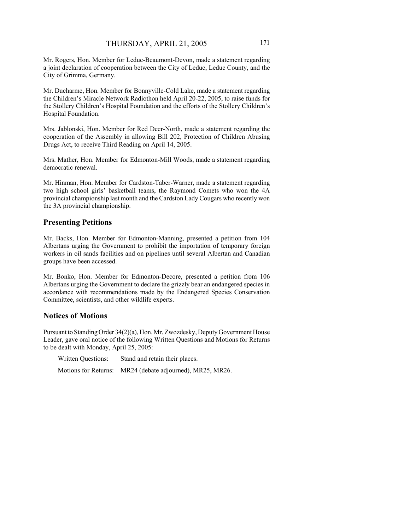Mr. Rogers, Hon. Member for Leduc-Beaumont-Devon, made a statement regarding a joint declaration of cooperation between the City of Leduc, Leduc County, and the City of Grimma, Germany.

Mr. Ducharme, Hon. Member for Bonnyville-Cold Lake, made a statement regarding the Children's Miracle Network Radiothon held April 20-22, 2005, to raise funds for the Stollery Children's Hospital Foundation and the efforts of the Stollery Children's Hospital Foundation.

Mrs. Jablonski, Hon. Member for Red Deer-North, made a statement regarding the cooperation of the Assembly in allowing Bill 202, Protection of Children Abusing Drugs Act, to receive Third Reading on April 14, 2005.

Mrs. Mather, Hon. Member for Edmonton-Mill Woods, made a statement regarding democratic renewal.

Mr. Hinman, Hon. Member for Cardston-Taber-Warner, made a statement regarding two high school girls' basketball teams, the Raymond Comets who won the 4A provincial championship last month and the Cardston Lady Cougars who recently won the 3A provincial championship.

## **Presenting Petitions**

Mr. Backs, Hon. Member for Edmonton-Manning, presented a petition from 104 Albertans urging the Government to prohibit the importation of temporary foreign workers in oil sands facilities and on pipelines until several Albertan and Canadian groups have been accessed.

Mr. Bonko, Hon. Member for Edmonton-Decore, presented a petition from 106 Albertans urging the Government to declare the grizzly bear an endangered species in accordance with recommendations made by the Endangered Species Conservation Committee, scientists, and other wildlife experts.

### **Notices of Motions**

Pursuant to Standing Order 34(2)(a), Hon. Mr. Zwozdesky, Deputy Government House Leader, gave oral notice of the following Written Questions and Motions for Returns to be dealt with Monday, April 25, 2005:

| Written Questions:   | Stand and retain their places.       |
|----------------------|--------------------------------------|
| Motions for Returns: | MR24 (debate adjourned), MR25, MR26. |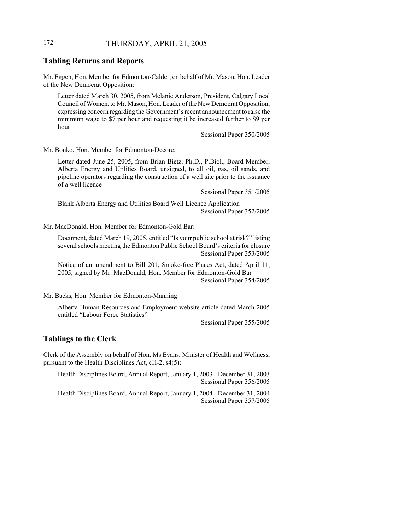## 172 THURSDAY, APRIL 21, 2005

#### **Tabling Returns and Reports**

Mr. Eggen, Hon. Member for Edmonton-Calder, on behalf of Mr. Mason, Hon. Leader of the New Democrat Opposition:

Letter dated March 30, 2005, from Melanie Anderson, President, Calgary Local Council of Women, to Mr. Mason, Hon. Leader of the New Democrat Opposition, expressing concern regarding the Government's recent announcement to raise the minimum wage to \$7 per hour and requesting it be increased further to \$9 per hour

Sessional Paper 350/2005

Mr. Bonko, Hon. Member for Edmonton-Decore:

Letter dated June 25, 2005, from Brian Bietz, Ph.D., P.Biol., Board Member, Alberta Energy and Utilities Board, unsigned, to all oil, gas, oil sands, and pipeline operators regarding the construction of a well site prior to the issuance of a well licence

Sessional Paper 351/2005

Blank Alberta Energy and Utilities Board Well Licence Application Sessional Paper 352/2005

Mr. MacDonald, Hon. Member for Edmonton-Gold Bar:

Document, dated March 19, 2005, entitled "Is your public school at risk?" listing several schools meeting the Edmonton Public School Board's criteria for closure Sessional Paper 353/2005

Notice of an amendment to Bill 201, Smoke-free Places Act, dated April 11, 2005, signed by Mr. MacDonald, Hon. Member for Edmonton-Gold Bar Sessional Paper 354/2005

Mr. Backs, Hon. Member for Edmonton-Manning:

Alberta Human Resources and Employment website article dated March 2005 entitled "Labour Force Statistics"

Sessional Paper 355/2005

#### **Tablings to the Clerk**

Clerk of the Assembly on behalf of Hon. Ms Evans, Minister of Health and Wellness, pursuant to the Health Disciplines Act, cH-2, s4(5):

Health Disciplines Board, Annual Report, January 1, 2003 - December 31, 2003 Sessional Paper 356/2005

Health Disciplines Board, Annual Report, January 1, 2004 - December 31, 2004 Sessional Paper 357/2005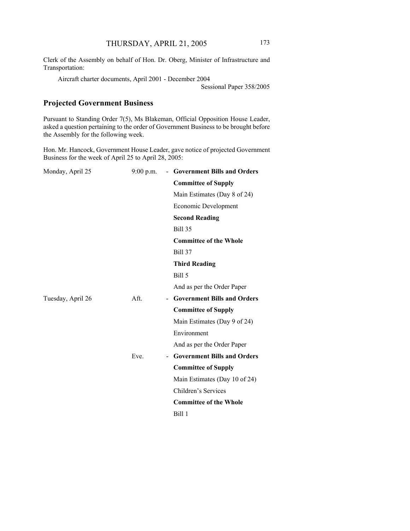Clerk of the Assembly on behalf of Hon. Dr. Oberg, Minister of Infrastructure and Transportation:

Aircraft charter documents, April 2001 - December 2004

Sessional Paper 358/2005

## **Projected Government Business**

Pursuant to Standing Order 7(5), Ms Blakeman, Official Opposition House Leader, asked a question pertaining to the order of Government Business to be brought before the Assembly for the following week.

Hon. Mr. Hancock, Government House Leader, gave notice of projected Government Business for the week of April 25 to April 28, 2005:

| Monday, April 25  | $9:00$ p.m. | - Government Bills and Orders      |
|-------------------|-------------|------------------------------------|
|                   |             | <b>Committee of Supply</b>         |
|                   |             | Main Estimates (Day 8 of 24)       |
|                   |             | Economic Development               |
|                   |             | <b>Second Reading</b>              |
|                   |             | Bill 35                            |
|                   |             | <b>Committee of the Whole</b>      |
|                   |             | <b>Bill 37</b>                     |
|                   |             | <b>Third Reading</b>               |
|                   |             | Bill 5                             |
|                   |             | And as per the Order Paper         |
| Tuesday, April 26 | Aft.        | <b>Government Bills and Orders</b> |
|                   |             | <b>Committee of Supply</b>         |
|                   |             | Main Estimates (Day 9 of 24)       |
|                   |             | Environment                        |
|                   |             | And as per the Order Paper         |
|                   | Eve.        | <b>Government Bills and Orders</b> |
|                   |             | <b>Committee of Supply</b>         |
|                   |             | Main Estimates (Day 10 of 24)      |
|                   |             | Children's Services                |
|                   |             | <b>Committee of the Whole</b>      |
|                   |             | Bill 1                             |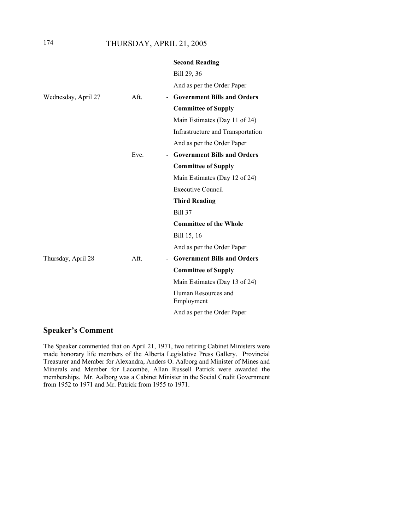## 174 THURSDAY, APRIL 21, 2005

|                     |                        | <b>Second Reading</b>              |
|---------------------|------------------------|------------------------------------|
|                     |                        | Bill 29, 36                        |
|                     |                        | And as per the Order Paper         |
| Wednesday, April 27 | Aft.                   | - Government Bills and Orders      |
|                     |                        | <b>Committee of Supply</b>         |
|                     |                        | Main Estimates (Day 11 of 24)      |
|                     |                        | Infrastructure and Transportation  |
|                     |                        | And as per the Order Paper         |
|                     | Eve.<br>$\blacksquare$ | <b>Government Bills and Orders</b> |
|                     |                        | <b>Committee of Supply</b>         |
|                     |                        | Main Estimates (Day 12 of 24)      |
|                     |                        | <b>Executive Council</b>           |
|                     |                        | <b>Third Reading</b>               |
|                     |                        | <b>Bill 37</b>                     |
|                     |                        | <b>Committee of the Whole</b>      |
|                     |                        | Bill 15, 16                        |
|                     |                        | And as per the Order Paper         |
| Thursday, April 28  | Aff.                   | <b>Government Bills and Orders</b> |
|                     |                        | <b>Committee of Supply</b>         |
|                     |                        | Main Estimates (Day 13 of 24)      |
|                     |                        | Human Resources and<br>Employment  |
|                     |                        | And as per the Order Paper         |

## **Speaker's Comment**

The Speaker commented that on April 21, 1971, two retiring Cabinet Ministers were made honorary life members of the Alberta Legislative Press Gallery. Provincial Treasurer and Member for Alexandra, Anders O. Aalborg and Minister of Mines and Minerals and Member for Lacombe, Allan Russell Patrick were awarded the memberships. Mr. Aalborg was a Cabinet Minister in the Social Credit Government from 1952 to 1971 and Mr. Patrick from 1955 to 1971.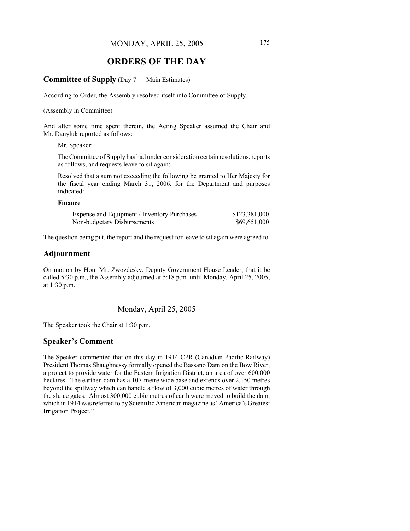## **ORDERS OF THE DAY**

#### **Committee of Supply** (Day 7 — Main Estimates)

According to Order, the Assembly resolved itself into Committee of Supply.

(Assembly in Committee)

And after some time spent therein, the Acting Speaker assumed the Chair and Mr. Danyluk reported as follows:

Mr. Speaker:

The Committee of Supply has had under consideration certain resolutions, reports as follows, and requests leave to sit again:

Resolved that a sum not exceeding the following be granted to Her Majesty for the fiscal year ending March 31, 2006, for the Department and purposes indicated:

#### **Finance**

| Expense and Equipment / Inventory Purchases | \$123,381,000 |
|---------------------------------------------|---------------|
| Non-budgetary Disbursements                 | \$69,651,000  |

The question being put, the report and the request for leave to sit again were agreed to.

## **Adjournment**

On motion by Hon. Mr. Zwozdesky, Deputy Government House Leader, that it be called 5:30 p.m., the Assembly adjourned at 5:18 p.m. until Monday, April 25, 2005, at 1:30 p.m.

Monday, April 25, 2005

The Speaker took the Chair at 1:30 p.m.

#### **Speaker's Comment**

The Speaker commented that on this day in 1914 CPR (Canadian Pacific Railway) President Thomas Shaughnessy formally opened the Bassano Dam on the Bow River, a project to provide water for the Eastern Irrigation District, an area of over 600,000 hectares. The earthen dam has a 107-metre wide base and extends over 2,150 metres beyond the spillway which can handle a flow of 3,000 cubic metres of water through the sluice gates. Almost 300,000 cubic metres of earth were moved to build the dam, which in 1914 was referred to by Scientific American magazine as "America's Greatest Irrigation Project."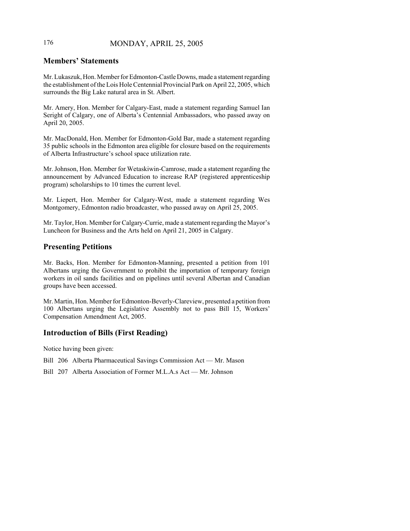# 176 MONDAY, APRIL 25, 2005

# **Members' Statements**

Mr. Lukaszuk, Hon. Member for Edmonton-Castle Downs, made a statement regarding the establishment of the Lois Hole Centennial Provincial Park on April 22, 2005, which surrounds the Big Lake natural area in St. Albert.

Mr. Amery, Hon. Member for Calgary-East, made a statement regarding Samuel Ian Seright of Calgary, one of Alberta's Centennial Ambassadors, who passed away on April 20, 2005.

Mr. MacDonald, Hon. Member for Edmonton-Gold Bar, made a statement regarding 35 public schools in the Edmonton area eligible for closure based on the requirements of Alberta Infrastructure's school space utilization rate.

Mr. Johnson, Hon. Member for Wetaskiwin-Camrose, made a statement regarding the announcement by Advanced Education to increase RAP (registered apprenticeship program) scholarships to 10 times the current level.

Mr. Liepert, Hon. Member for Calgary-West, made a statement regarding Wes Montgomery, Edmonton radio broadcaster, who passed away on April 25, 2005.

Mr. Taylor, Hon. Member for Calgary-Currie, made a statement regarding the Mayor's Luncheon for Business and the Arts held on April 21, 2005 in Calgary.

# **Presenting Petitions**

Mr. Backs, Hon. Member for Edmonton-Manning, presented a petition from 101 Albertans urging the Government to prohibit the importation of temporary foreign workers in oil sands facilities and on pipelines until several Albertan and Canadian groups have been accessed.

Mr. Martin, Hon. Member for Edmonton-Beverly-Clareview, presented a petition from 100 Albertans urging the Legislative Assembly not to pass Bill 15, Workers' Compensation Amendment Act, 2005.

# **Introduction of Bills (First Reading)**

Notice having been given:

- Bill 206 Alberta Pharmaceutical Savings Commission Act Mr. Mason
- Bill 207 Alberta Association of Former M.L.A.s Act Mr. Johnson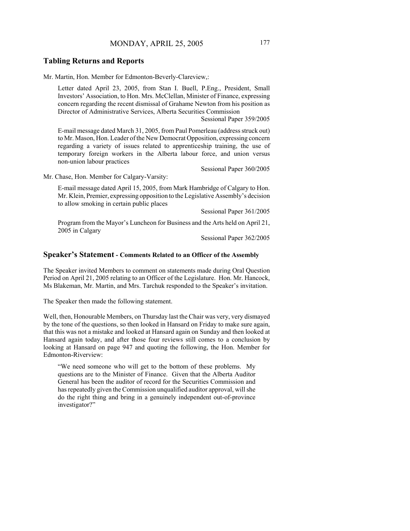#### **Tabling Returns and Reports**

Mr. Martin, Hon. Member for Edmonton-Beverly-Clareview,:

Letter dated April 23, 2005, from Stan I. Buell, P.Eng., President, Small Investors' Association, to Hon. Mrs. McClellan, Minister of Finance, expressing concern regarding the recent dismissal of Grahame Newton from his position as Director of Administrative Services, Alberta Securities Commission

Sessional Paper 359/2005

E-mail message dated March 31, 2005, from Paul Pomerleau (address struck out) to Mr. Mason, Hon. Leader of the New Democrat Opposition, expressing concern regarding a variety of issues related to apprenticeship training, the use of temporary foreign workers in the Alberta labour force, and union versus non-union labour practices

Sessional Paper 360/2005

Mr. Chase, Hon. Member for Calgary-Varsity:

E-mail message dated April 15, 2005, from Mark Hambridge of Calgary to Hon. Mr. Klein, Premier, expressing opposition to the Legislative Assembly's decision to allow smoking in certain public places

Sessional Paper 361/2005

Program from the Mayor's Luncheon for Business and the Arts held on April 21, 2005 in Calgary

Sessional Paper 362/2005

#### **Speaker's Statement - Comments Related to an Officer of the Assembly**

The Speaker invited Members to comment on statements made during Oral Question Period on April 21, 2005 relating to an Officer of the Legislature. Hon. Mr. Hancock, Ms Blakeman, Mr. Martin, and Mrs. Tarchuk responded to the Speaker's invitation.

The Speaker then made the following statement.

Well, then, Honourable Members, on Thursday last the Chair was very, very dismayed by the tone of the questions, so then looked in Hansard on Friday to make sure again, that this was not a mistake and looked at Hansard again on Sunday and then looked at Hansard again today, and after those four reviews still comes to a conclusion by looking at Hansard on page 947 and quoting the following, the Hon. Member for Edmonton-Riverview:

"We need someone who will get to the bottom of these problems. My questions are to the Minister of Finance. Given that the Alberta Auditor General has been the auditor of record for the Securities Commission and has repeatedly given the Commission unqualified auditor approval, will she do the right thing and bring in a genuinely independent out-of-province investigator?"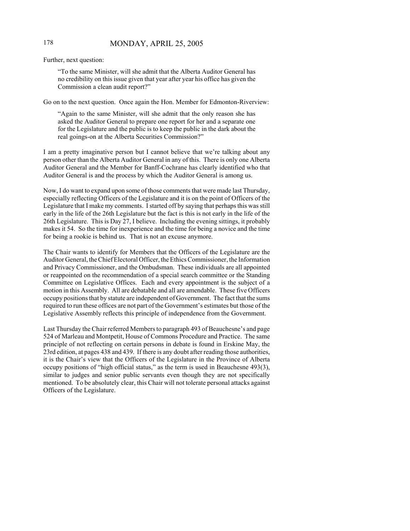# 178 MONDAY, APRIL 25, 2005

Further, next question:

"To the same Minister, will she admit that the Alberta Auditor General has no credibility on this issue given that year after year his office has given the Commission a clean audit report?"

Go on to the next question. Once again the Hon. Member for Edmonton-Riverview:

"Again to the same Minister, will she admit that the only reason she has asked the Auditor General to prepare one report for her and a separate one for the Legislature and the public is to keep the public in the dark about the real goings-on at the Alberta Securities Commission?"

I am a pretty imaginative person but I cannot believe that we're talking about any person other than the Alberta Auditor General in any of this. There is only one Alberta Auditor General and the Member for Banff-Cochrane has clearly identified who that Auditor General is and the process by which the Auditor General is among us.

Now, I do want to expand upon some of those comments that were made last Thursday, especially reflecting Officers of the Legislature and it is on the point of Officers of the Legislature that I make my comments. I started off by saying that perhaps this was still early in the life of the 26th Legislature but the fact is this is not early in the life of the 26th Legislature. This is Day 27, I believe. Including the evening sittings, it probably makes it 54. So the time for inexperience and the time for being a novice and the time for being a rookie is behind us. That is not an excuse anymore.

The Chair wants to identify for Members that the Officers of the Legislature are the Auditor General, the Chief Electoral Officer, the Ethics Commissioner, the Information and Privacy Commissioner, and the Ombudsman. These individuals are all appointed or reappointed on the recommendation of a special search committee or the Standing Committee on Legislative Offices. Each and every appointment is the subject of a motion in this Assembly. All are debatable and all are amendable. These five Officers occupy positions that by statute are independent of Government. The fact that the sums required to run these offices are not part of the Government's estimates but those of the Legislative Assembly reflects this principle of independence from the Government.

Last Thursday the Chair referred Members to paragraph 493 of Beauchesne's and page 524 of Marleau and Montpetit, House of Commons Procedure and Practice. The same principle of not reflecting on certain persons in debate is found in Erskine May, the 23rd edition, at pages 438 and 439. If there is any doubt after reading those authorities, it is the Chair's view that the Officers of the Legislature in the Province of Alberta occupy positions of "high official status," as the term is used in Beauchesne 493(3), similar to judges and senior public servants even though they are not specifically mentioned. To be absolutely clear, this Chair will not tolerate personal attacks against Officers of the Legislature.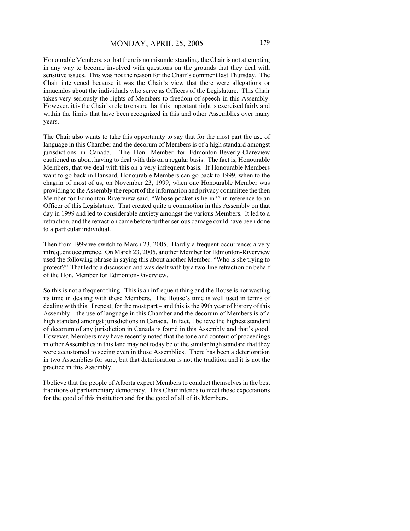Honourable Members, so that there is no misunderstanding, the Chair is not attempting in any way to become involved with questions on the grounds that they deal with sensitive issues. This was not the reason for the Chair's comment last Thursday. The Chair intervened because it was the Chair's view that there were allegations or innuendos about the individuals who serve as Officers of the Legislature. This Chair takes very seriously the rights of Members to freedom of speech in this Assembly. However, it is the Chair's role to ensure that this important right is exercised fairly and within the limits that have been recognized in this and other Assemblies over many years.

The Chair also wants to take this opportunity to say that for the most part the use of language in this Chamber and the decorum of Members is of a high standard amongst jurisdictions in Canada. The Hon. Member for Edmonton-Beverly-Clareview cautioned us about having to deal with this on a regular basis. The fact is, Honourable Members, that we deal with this on a very infrequent basis. If Honourable Members want to go back in Hansard, Honourable Members can go back to 1999, when to the chagrin of most of us, on November 23, 1999, when one Honourable Member was providing to the Assembly the report of the information and privacy committee the then Member for Edmonton-Riverview said, "Whose pocket is he in?" in reference to an Officer of this Legislature. That created quite a commotion in this Assembly on that day in 1999 and led to considerable anxiety amongst the various Members. It led to a retraction, and the retraction came before further serious damage could have been done to a particular individual.

Then from 1999 we switch to March 23, 2005. Hardly a frequent occurrence; a very infrequent occurrence. On March 23, 2005, another Member for Edmonton-Riverview used the following phrase in saying this about another Member: "Who is she trying to protect?" That led to a discussion and was dealt with by a two-line retraction on behalf of the Hon. Member for Edmonton-Riverview.

So this is not a frequent thing. This is an infrequent thing and the House is not wasting its time in dealing with these Members. The House's time is well used in terms of dealing with this. I repeat, for the most part – and this is the 99th year of history of this Assembly – the use of language in this Chamber and the decorum of Members is of a high standard amongst jurisdictions in Canada. In fact, I believe the highest standard of decorum of any jurisdiction in Canada is found in this Assembly and that's good. However, Members may have recently noted that the tone and content of proceedings in other Assemblies in this land may not today be of the similar high standard that they were accustomed to seeing even in those Assemblies. There has been a deterioration in two Assemblies for sure, but that deterioration is not the tradition and it is not the practice in this Assembly.

I believe that the people of Alberta expect Members to conduct themselves in the best traditions of parliamentary democracy. This Chair intends to meet those expectations for the good of this institution and for the good of all of its Members.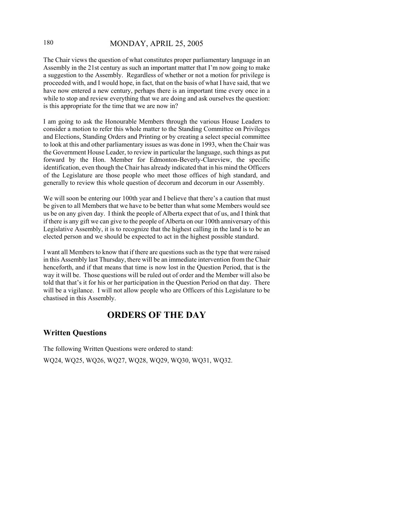# 180 MONDAY, APRIL 25, 2005

The Chair views the question of what constitutes proper parliamentary language in an Assembly in the 21st century as such an important matter that I'm now going to make a suggestion to the Assembly. Regardless of whether or not a motion for privilege is proceeded with, and I would hope, in fact, that on the basis of what I have said, that we have now entered a new century, perhaps there is an important time every once in a while to stop and review everything that we are doing and ask ourselves the question: is this appropriate for the time that we are now in?

I am going to ask the Honourable Members through the various House Leaders to consider a motion to refer this whole matter to the Standing Committee on Privileges and Elections, Standing Orders and Printing or by creating a select special committee to look at this and other parliamentary issues as was done in 1993, when the Chair was the Government House Leader, to review in particular the language, such things as put forward by the Hon. Member for Edmonton-Beverly-Clareview, the specific identification, even though the Chair has already indicated that in his mind the Officers of the Legislature are those people who meet those offices of high standard, and generally to review this whole question of decorum and decorum in our Assembly.

We will soon be entering our 100th year and I believe that there's a caution that must be given to all Members that we have to be better than what some Members would see us be on any given day. I think the people of Alberta expect that of us, and I think that if there is any gift we can give to the people of Alberta on our 100th anniversary of this Legislative Assembly, it is to recognize that the highest calling in the land is to be an elected person and we should be expected to act in the highest possible standard.

I want all Members to know that if there are questions such as the type that were raised in this Assembly last Thursday, there will be an immediate intervention from the Chair henceforth, and if that means that time is now lost in the Question Period, that is the way it will be. Those questions will be ruled out of order and the Member will also be told that that's it for his or her participation in the Question Period on that day. There will be a vigilance. I will not allow people who are Officers of this Legislature to be chastised in this Assembly.

# **ORDERS OF THE DAY**

# **Written Questions**

The following Written Questions were ordered to stand: WQ24, WQ25, WQ26, WQ27, WQ28, WQ29, WQ30, WQ31, WQ32.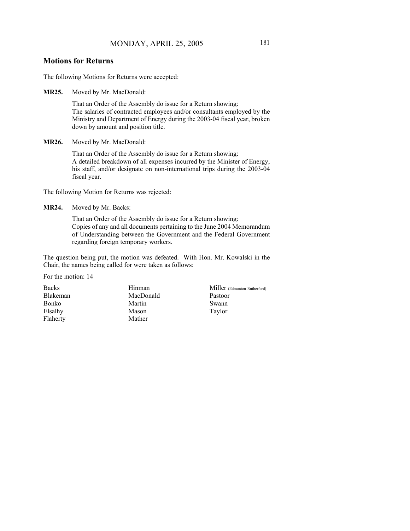The following Motions for Returns were accepted:

**MR25.** Moved by Mr. MacDonald:

That an Order of the Assembly do issue for a Return showing: The salaries of contracted employees and/or consultants employed by the Ministry and Department of Energy during the 2003-04 fiscal year, broken down by amount and position title.

**MR26.** Moved by Mr. MacDonald:

That an Order of the Assembly do issue for a Return showing: A detailed breakdown of all expenses incurred by the Minister of Energy, his staff, and/or designate on non-international trips during the 2003-04 fiscal year.

The following Motion for Returns was rejected:

**MR24.** Moved by Mr. Backs:

That an Order of the Assembly do issue for a Return showing: Copies of any and all documents pertaining to the June 2004 Memorandum of Understanding between the Government and the Federal Government regarding foreign temporary workers.

The question being put, the motion was defeated. With Hon. Mr. Kowalski in the Chair, the names being called for were taken as follows:

For the motion: 14

Backs Blakeman Bonko Elsalhy Flaherty

Hinman MacDonald Martin Mason Mather

Miller (Edmonton-Rutherford) Pastoor Swann Taylor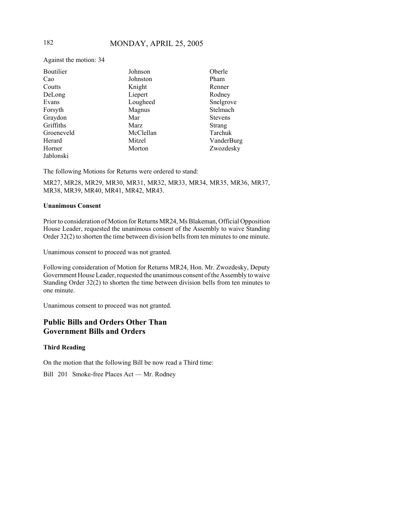Against the motion: 34

| Boutilier  | Johnson   | Oberle         |
|------------|-----------|----------------|
| Cao        | Johnston  | Pham           |
| Coutts     | Knight    | Renner         |
| DeLong     | Liepert   | Rodney         |
| Evans      | Lougheed  | Snelgrove      |
| Forsyth    | Magnus    | Stelmach       |
| Graydon    | Mar       | <b>Stevens</b> |
| Griffiths  | Marz      | Strang         |
| Groeneveld | McClellan | Tarchuk        |
| Herard     | Mitzel    | VanderBurg     |
| Horner     | Morton    | Zwozdesky      |
| Jablonski  |           |                |

The following Motions for Returns were ordered to stand:

MR27, MR28, MR29, MR30, MR31, MR32, MR33, MR34, MR35, MR36, MR37, MR38, MR39, MR40, MR41, MR42, MR43.

#### **Unanimous Consent**

Prior to consideration of Motion for Returns MR24, Ms Blakeman, Official Opposition House Leader, requested the unanimous consent of the Assembly to waive Standing Order 32(2) to shorten the time between division bells from ten minutes to one minute.

Unanimous consent to proceed was not granted.

Following consideration of Motion for Returns MR24, Hon. Mr. Zwozdesky, Deputy Government House Leader, requested the unanimous consent of the Assembly to waive Standing Order 32(2) to shorten the time between division bells from ten minutes to one minute.

Unanimous consent to proceed was not granted.

# **Public Bills and Orders Other Than Government Bills and Orders**

#### **Third Reading**

On the motion that the following Bill be now read a Third time:

Bill 201 Smoke-free Places Act — Mr. Rodney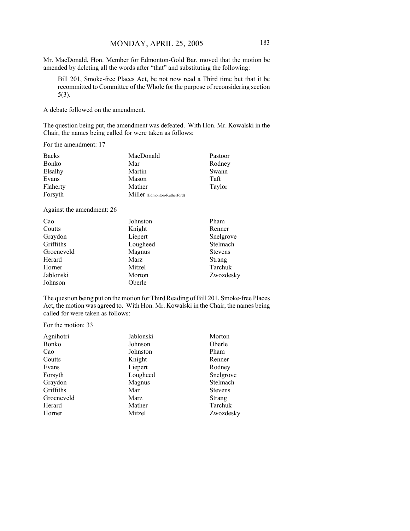Mr. MacDonald, Hon. Member for Edmonton-Gold Bar, moved that the motion be amended by deleting all the words after "that" and substituting the following:

Bill 201, Smoke-free Places Act, be not now read a Third time but that it be recommitted to Committee of the Whole for the purpose of reconsidering section 5(3).

A debate followed on the amendment.

The question being put, the amendment was defeated. With Hon. Mr. Kowalski in the Chair, the names being called for were taken as follows:

For the amendment: 17

| <b>Backs</b> | MacDonald                    | Pastoor |
|--------------|------------------------------|---------|
| Bonko        | Mar                          | Rodney  |
| Elsalhy      | Martin                       | Swann   |
| Evans        | Mason                        | Taft    |
| Flaherty     | Mather                       | Taylor  |
| Forsyth      | Miller (Edmonton-Rutherford) |         |

Against the amendment: 26

| Cao        | Johnston | Pham           |
|------------|----------|----------------|
| Coutts     | Knight   | Renner         |
| Graydon    | Liepert  | Snelgrove      |
| Griffiths  | Lougheed | Stelmach       |
| Groeneveld | Magnus   | <b>Stevens</b> |
| Herard     | Marz     | <b>Strang</b>  |
| Horner     | Mitzel   | Tarchuk        |
| Jablonski  | Morton   | Zwozdesky      |
| Johnson    | Oberle   |                |

The question being put on the motion for Third Reading of Bill 201, Smoke-free Places Act, the motion was agreed to. With Hon. Mr. Kowalski in the Chair, the names being called for were taken as follows:

For the motion: 33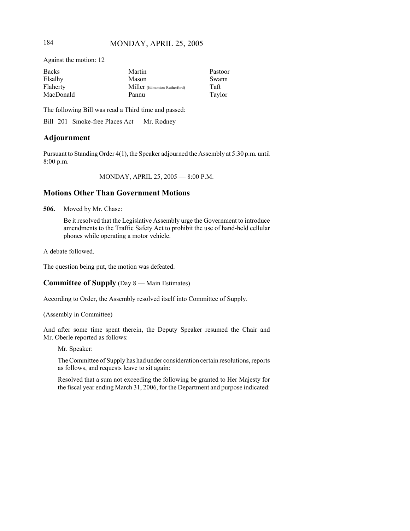Against the motion: 12

| <b>Backs</b> | Martin                       | Pastoor |
|--------------|------------------------------|---------|
| Elsalhy      | Mason                        | Swann   |
| Flaherty     | Miller (Edmonton-Rutherford) | Taft    |
| MacDonald    | Pannu                        | Taylor  |

The following Bill was read a Third time and passed:

Bill 201 Smoke-free Places Act — Mr. Rodney

# **Adjournment**

Pursuant to Standing Order 4(1), the Speaker adjourned the Assembly at 5:30 p.m. until 8:00 p.m.

MONDAY, APRIL 25, 2005 — 8:00 P.M.

# **Motions Other Than Government Motions**

**506.** Moved by Mr. Chase:

Be it resolved that the Legislative Assembly urge the Government to introduce amendments to the Traffic Safety Act to prohibit the use of hand-held cellular phones while operating a motor vehicle.

A debate followed.

The question being put, the motion was defeated.

#### **Committee of Supply** (Day 8 — Main Estimates)

According to Order, the Assembly resolved itself into Committee of Supply.

(Assembly in Committee)

And after some time spent therein, the Deputy Speaker resumed the Chair and Mr. Oberle reported as follows:

Mr. Speaker:

The Committee of Supply has had under consideration certain resolutions, reports as follows, and requests leave to sit again:

Resolved that a sum not exceeding the following be granted to Her Majesty for the fiscal year ending March 31, 2006, for the Department and purpose indicated: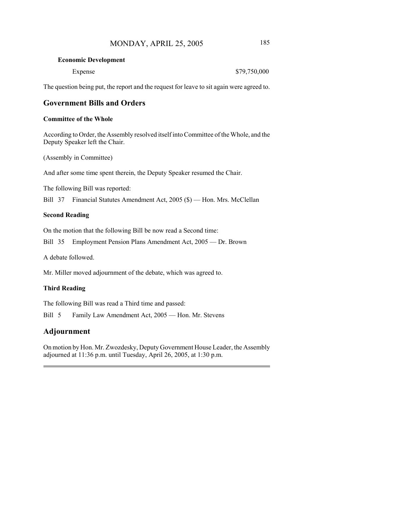#### **Economic Development**

| Expense | \$79,750,000 |
|---------|--------------|
|---------|--------------|

The question being put, the report and the request for leave to sit again were agreed to.

# **Government Bills and Orders**

#### **Committee of the Whole**

According to Order, the Assembly resolved itself into Committee of the Whole, and the Deputy Speaker left the Chair.

(Assembly in Committee)

And after some time spent therein, the Deputy Speaker resumed the Chair.

The following Bill was reported:

Bill 37 Financial Statutes Amendment Act, 2005 (\$) — Hon. Mrs. McClellan

#### **Second Reading**

On the motion that the following Bill be now read a Second time:

Bill 35 Employment Pension Plans Amendment Act, 2005 — Dr. Brown

A debate followed.

Mr. Miller moved adjournment of the debate, which was agreed to.

#### **Third Reading**

The following Bill was read a Third time and passed:

Bill 5 Family Law Amendment Act, 2005 — Hon. Mr. Stevens

# **Adjournment**

On motion by Hon. Mr. Zwozdesky, Deputy Government House Leader, the Assembly adjourned at 11:36 p.m. until Tuesday, April 26, 2005, at 1:30 p.m.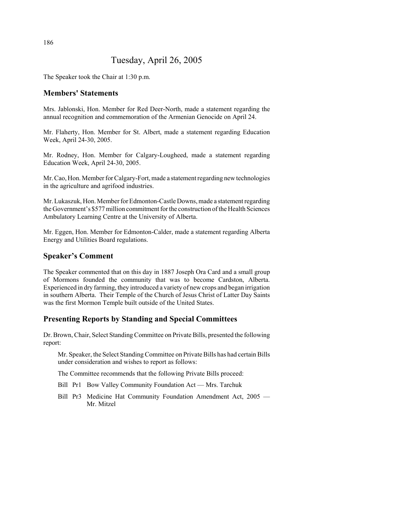# Tuesday, April 26, 2005

The Speaker took the Chair at 1:30 p.m.

# **Members' Statements**

Mrs. Jablonski, Hon. Member for Red Deer-North, made a statement regarding the annual recognition and commemoration of the Armenian Genocide on April 24.

Mr. Flaherty, Hon. Member for St. Albert, made a statement regarding Education Week, April 24-30, 2005.

Mr. Rodney, Hon. Member for Calgary-Lougheed, made a statement regarding Education Week, April 24-30, 2005.

Mr. Cao, Hon. Member for Calgary-Fort, made a statement regarding new technologies in the agriculture and agrifood industries.

Mr. Lukaszuk, Hon. Member for Edmonton-Castle Downs, made a statement regarding the Government's \$577 million commitment for the construction of the Health Sciences Ambulatory Learning Centre at the University of Alberta.

Mr. Eggen, Hon. Member for Edmonton-Calder, made a statement regarding Alberta Energy and Utilities Board regulations.

# **Speaker's Comment**

The Speaker commented that on this day in 1887 Joseph Ora Card and a small group of Mormons founded the community that was to become Cardston, Alberta. Experienced in dry farming, they introduced a variety of new crops and began irrigation in southern Alberta. Their Temple of the Church of Jesus Christ of Latter Day Saints was the first Mormon Temple built outside of the United States.

# **Presenting Reports by Standing and Special Committees**

Dr. Brown, Chair, Select Standing Committee on Private Bills, presented the following report:

Mr. Speaker, the Select Standing Committee on Private Bills has had certain Bills under consideration and wishes to report as follows:

The Committee recommends that the following Private Bills proceed:

- Bill Pr1 Bow Valley Community Foundation Act Mrs. Tarchuk
- Bill Pr3 Medicine Hat Community Foundation Amendment Act, 2005 Mr. Mitzel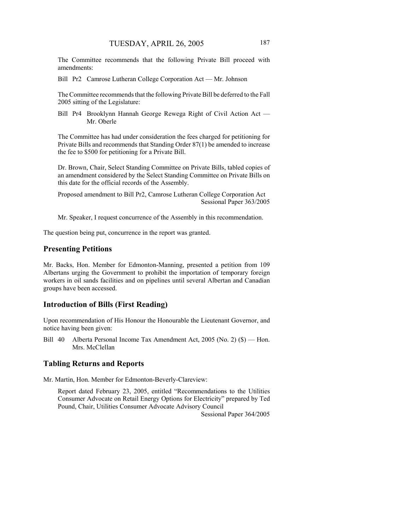The Committee recommends that the following Private Bill proceed with amendments:

Bill Pr2 Camrose Lutheran College Corporation Act — Mr. Johnson

The Committee recommends that the following Private Bill be deferred to the Fall 2005 sitting of the Legislature:

Bill Pr4 Brooklynn Hannah George Rewega Right of Civil Action Act — Mr. Oberle

The Committee has had under consideration the fees charged for petitioning for Private Bills and recommends that Standing Order 87(1) be amended to increase the fee to \$500 for petitioning for a Private Bill.

Dr. Brown, Chair, Select Standing Committee on Private Bills, tabled copies of an amendment considered by the Select Standing Committee on Private Bills on this date for the official records of the Assembly.

Proposed amendment to Bill Pr2, Camrose Lutheran College Corporation Act Sessional Paper 363/2005

Mr. Speaker, I request concurrence of the Assembly in this recommendation.

The question being put, concurrence in the report was granted.

#### **Presenting Petitions**

Mr. Backs, Hon. Member for Edmonton-Manning, presented a petition from 109 Albertans urging the Government to prohibit the importation of temporary foreign workers in oil sands facilities and on pipelines until several Albertan and Canadian groups have been accessed.

#### **Introduction of Bills (First Reading)**

Upon recommendation of His Honour the Honourable the Lieutenant Governor, and notice having been given:

Bill 40 Alberta Personal Income Tax Amendment Act, 2005 (No. 2) (\$) — Hon. Mrs. McClellan

#### **Tabling Returns and Reports**

Mr. Martin, Hon. Member for Edmonton-Beverly-Clareview:

Report dated February 23, 2005, entitled "Recommendations to the Utilities Consumer Advocate on Retail Energy Options for Electricity" prepared by Ted Pound, Chair, Utilities Consumer Advocate Advisory Council

Sessional Paper 364/2005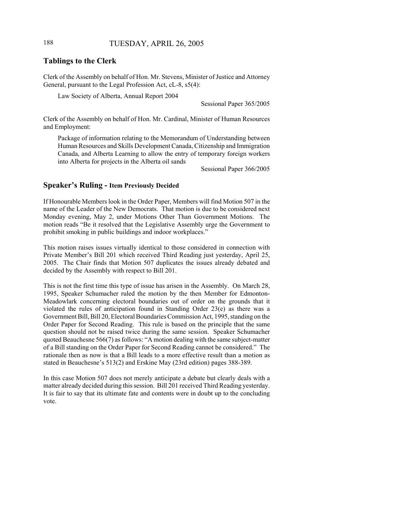# 188 TUESDAY, APRIL 26, 2005

#### **Tablings to the Clerk**

Clerk of the Assembly on behalf of Hon. Mr. Stevens, Minister of Justice and Attorney General, pursuant to the Legal Profession Act, cL-8, s5(4):

Law Society of Alberta, Annual Report 2004

Sessional Paper 365/2005

Clerk of the Assembly on behalf of Hon. Mr. Cardinal, Minister of Human Resources and Employment:

Package of information relating to the Memorandum of Understanding between Human Resources and Skills Development Canada, Citizenship and Immigration Canada, and Alberta Learning to allow the entry of temporary foreign workers into Alberta for projects in the Alberta oil sands

Sessional Paper 366/2005

#### **Speaker's Ruling - Item Previously Decided**

If Honourable Members look in the Order Paper, Members will find Motion 507 in the name of the Leader of the New Democrats. That motion is due to be considered next Monday evening, May 2, under Motions Other Than Government Motions. The motion reads "Be it resolved that the Legislative Assembly urge the Government to prohibit smoking in public buildings and indoor workplaces."

This motion raises issues virtually identical to those considered in connection with Private Member's Bill 201 which received Third Reading just yesterday, April 25, 2005. The Chair finds that Motion 507 duplicates the issues already debated and decided by the Assembly with respect to Bill 201.

This is not the first time this type of issue has arisen in the Assembly. On March 28, 1995, Speaker Schumacher ruled the motion by the then Member for Edmonton-Meadowlark concerning electoral boundaries out of order on the grounds that it violated the rules of anticipation found in Standing Order 23(e) as there was a Government Bill, Bill 20, Electoral Boundaries Commission Act, 1995, standing on the Order Paper for Second Reading. This rule is based on the principle that the same question should not be raised twice during the same session. Speaker Schumacher quoted Beauchesne 566(7) as follows: "A motion dealing with the same subject-matter of a Bill standing on the Order Paper for Second Reading cannot be considered." The rationale then as now is that a Bill leads to a more effective result than a motion as stated in Beauchesne's 513(2) and Erskine May (23rd edition) pages 388-389.

In this case Motion 507 does not merely anticipate a debate but clearly deals with a matter already decided during this session. Bill 201 received Third Reading yesterday. It is fair to say that its ultimate fate and contents were in doubt up to the concluding vote.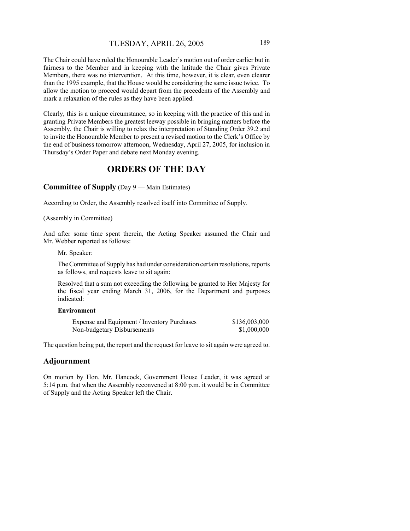The Chair could have ruled the Honourable Leader's motion out of order earlier but in fairness to the Member and in keeping with the latitude the Chair gives Private Members, there was no intervention. At this time, however, it is clear, even clearer than the 1995 example, that the House would be considering the same issue twice. To allow the motion to proceed would depart from the precedents of the Assembly and mark a relaxation of the rules as they have been applied.

Clearly, this is a unique circumstance, so in keeping with the practice of this and in granting Private Members the greatest leeway possible in bringing matters before the Assembly, the Chair is willing to relax the interpretation of Standing Order 39.2 and to invite the Honourable Member to present a revised motion to the Clerk's Office by the end of business tomorrow afternoon, Wednesday, April 27, 2005, for inclusion in Thursday's Order Paper and debate next Monday evening.

# **ORDERS OF THE DAY**

**Committee of Supply** (Day 9 — Main Estimates)

According to Order, the Assembly resolved itself into Committee of Supply.

(Assembly in Committee)

And after some time spent therein, the Acting Speaker assumed the Chair and Mr. Webber reported as follows:

Mr. Speaker:

The Committee of Supply has had under consideration certain resolutions, reports as follows, and requests leave to sit again:

Resolved that a sum not exceeding the following be granted to Her Majesty for the fiscal year ending March 31, 2006, for the Department and purposes indicated:

## **Environment**

| Expense and Equipment / Inventory Purchases | \$136,003,000 |
|---------------------------------------------|---------------|
| Non-budgetary Disbursements                 | \$1,000,000   |

The question being put, the report and the request for leave to sit again were agreed to.

# **Adjournment**

On motion by Hon. Mr. Hancock, Government House Leader, it was agreed at 5:14 p.m. that when the Assembly reconvened at 8:00 p.m. it would be in Committee of Supply and the Acting Speaker left the Chair.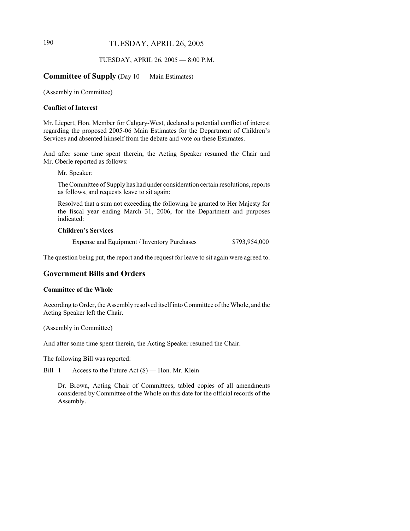# 190 TUESDAY, APRIL 26, 2005

#### TUESDAY, APRIL 26, 2005 — 8:00 P.M.

#### **Committee of Supply** (Day 10 — Main Estimates)

(Assembly in Committee)

#### **Conflict of Interest**

Mr. Liepert, Hon. Member for Calgary-West, declared a potential conflict of interest regarding the proposed 2005-06 Main Estimates for the Department of Children's Services and absented himself from the debate and vote on these Estimates.

And after some time spent therein, the Acting Speaker resumed the Chair and Mr. Oberle reported as follows:

Mr. Speaker:

The Committee of Supply has had under consideration certain resolutions, reports as follows, and requests leave to sit again:

Resolved that a sum not exceeding the following be granted to Her Majesty for the fiscal year ending March 31, 2006, for the Department and purposes indicated:

## **Children's Services**

Expense and Equipment / Inventory Purchases \$793,954,000

The question being put, the report and the request for leave to sit again were agreed to.

# **Government Bills and Orders**

#### **Committee of the Whole**

According to Order, the Assembly resolved itself into Committee of the Whole, and the Acting Speaker left the Chair.

(Assembly in Committee)

And after some time spent therein, the Acting Speaker resumed the Chair.

The following Bill was reported:

Bill 1 Access to the Future Act (\$) — Hon. Mr. Klein

Dr. Brown, Acting Chair of Committees, tabled copies of all amendments considered by Committee of the Whole on this date for the official records of the Assembly.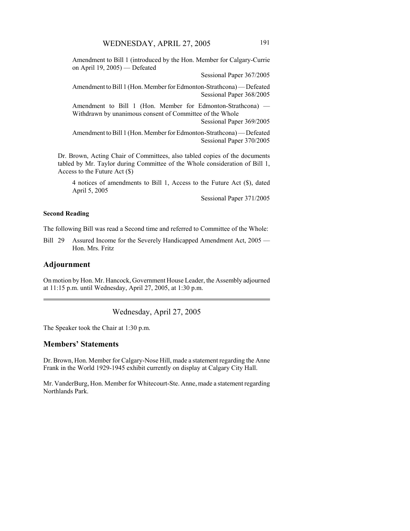Amendment to Bill 1 (introduced by the Hon. Member for Calgary-Currie on April 19, 2005) — Defeated

Sessional Paper 367/2005

Amendment to Bill 1 (Hon. Member for Edmonton-Strathcona) — Defeated Sessional Paper 368/2005

Amendment to Bill 1 (Hon. Member for Edmonton-Strathcona) — Withdrawn by unanimous consent of Committee of the Whole

Sessional Paper 369/2005

Amendment to Bill 1 (Hon. Member for Edmonton-Strathcona) — Defeated Sessional Paper 370/2005

Dr. Brown, Acting Chair of Committees, also tabled copies of the documents tabled by Mr. Taylor during Committee of the Whole consideration of Bill 1, Access to the Future Act (\$)

4 notices of amendments to Bill 1, Access to the Future Act (\$), dated April 5, 2005

Sessional Paper 371/2005

#### **Second Reading**

The following Bill was read a Second time and referred to Committee of the Whole:

Bill 29 Assured Income for the Severely Handicapped Amendment Act, 2005 — Hon. Mrs. Fritz

#### **Adjournment**

On motion by Hon. Mr. Hancock, Government House Leader, the Assembly adjourned at 11:15 p.m. until Wednesday, April 27, 2005, at 1:30 p.m.

Wednesday, April 27, 2005

The Speaker took the Chair at 1:30 p.m.

# **Members' Statements**

Dr. Brown, Hon. Member for Calgary-Nose Hill, made a statement regarding the Anne Frank in the World 1929-1945 exhibit currently on display at Calgary City Hall.

Mr. VanderBurg, Hon. Member for Whitecourt-Ste. Anne, made a statement regarding Northlands Park.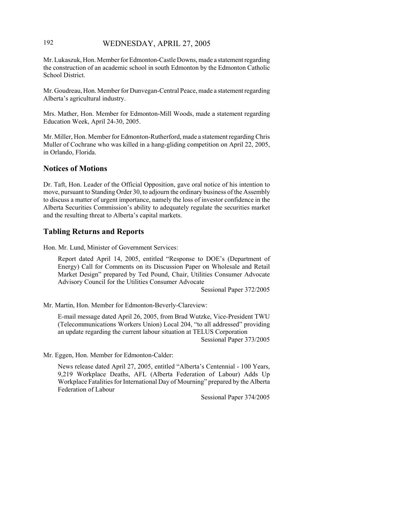# 192 WEDNESDAY, APRIL 27, 2005

Mr. Lukaszuk, Hon. Member for Edmonton-Castle Downs, made a statement regarding the construction of an academic school in south Edmonton by the Edmonton Catholic School District.

Mr. Goudreau, Hon. Member for Dunvegan-Central Peace, made a statement regarding Alberta's agricultural industry.

Mrs. Mather, Hon. Member for Edmonton-Mill Woods, made a statement regarding Education Week, April 24-30, 2005.

Mr. Miller, Hon. Member for Edmonton-Rutherford, made a statement regarding Chris Muller of Cochrane who was killed in a hang-gliding competition on April 22, 2005, in Orlando, Florida.

#### **Notices of Motions**

Dr. Taft, Hon. Leader of the Official Opposition, gave oral notice of his intention to move, pursuant to Standing Order 30, to adjourn the ordinary business of the Assembly to discuss a matter of urgent importance, namely the loss of investor confidence in the Alberta Securities Commission's ability to adequately regulate the securities market and the resulting threat to Alberta's capital markets.

#### **Tabling Returns and Reports**

Hon. Mr. Lund, Minister of Government Services:

Report dated April 14, 2005, entitled "Response to DOE's (Department of Energy) Call for Comments on its Discussion Paper on Wholesale and Retail Market Design" prepared by Ted Pound, Chair, Utilities Consumer Advocate Advisory Council for the Utilities Consumer Advocate

Sessional Paper 372/2005

Mr. Martin, Hon. Member for Edmonton-Beverly-Clareview:

E-mail message dated April 26, 2005, from Brad Wutzke, Vice-President TWU (Telecommunications Workers Union) Local 204, "to all addressed" providing an update regarding the current labour situation at TELUS Corporation

Sessional Paper 373/2005

Mr. Eggen, Hon. Member for Edmonton-Calder:

News release dated April 27, 2005, entitled "Alberta's Centennial - 100 Years, 9,219 Workplace Deaths, AFL (Alberta Federation of Labour) Adds Up Workplace Fatalities for International Day of Mourning" prepared by the Alberta Federation of Labour

Sessional Paper 374/2005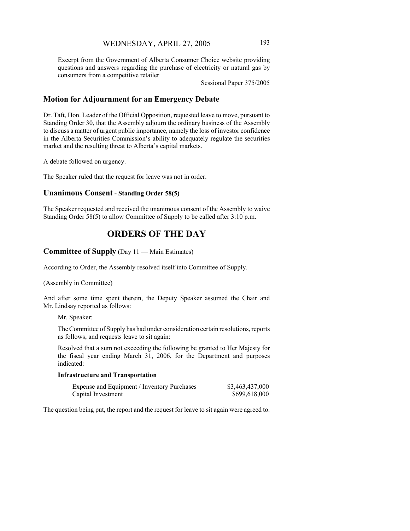Excerpt from the Government of Alberta Consumer Choice website providing questions and answers regarding the purchase of electricity or natural gas by consumers from a competitive retailer

Sessional Paper 375/2005

# **Motion for Adjournment for an Emergency Debate**

Dr. Taft, Hon. Leader of the Official Opposition, requested leave to move, pursuant to Standing Order 30, that the Assembly adjourn the ordinary business of the Assembly to discuss a matter of urgent public importance, namely the loss of investor confidence in the Alberta Securities Commission's ability to adequately regulate the securities market and the resulting threat to Alberta's capital markets.

A debate followed on urgency.

The Speaker ruled that the request for leave was not in order.

#### **Unanimous Consent - Standing Order 58(5)**

The Speaker requested and received the unanimous consent of the Assembly to waive Standing Order 58(5) to allow Committee of Supply to be called after 3:10 p.m.

# **ORDERS OF THE DAY**

#### **Committee of Supply** (Day 11 — Main Estimates)

According to Order, the Assembly resolved itself into Committee of Supply.

(Assembly in Committee)

And after some time spent therein, the Deputy Speaker assumed the Chair and Mr. Lindsay reported as follows:

Mr. Speaker:

The Committee of Supply has had under consideration certain resolutions, reports as follows, and requests leave to sit again:

Resolved that a sum not exceeding the following be granted to Her Majesty for the fiscal year ending March 31, 2006, for the Department and purposes indicated:

#### **Infrastructure and Transportation**

| Expense and Equipment / Inventory Purchases | \$3,463,437,000 |
|---------------------------------------------|-----------------|
| Capital Investment                          | \$699,618,000   |

The question being put, the report and the request for leave to sit again were agreed to.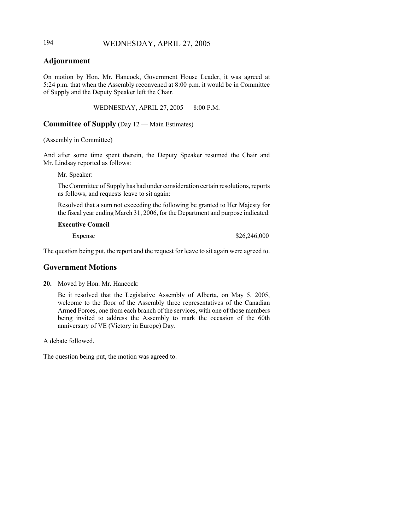# 194 WEDNESDAY, APRIL 27, 2005

# **Adjournment**

On motion by Hon. Mr. Hancock, Government House Leader, it was agreed at 5:24 p.m. that when the Assembly reconvened at 8:00 p.m. it would be in Committee of Supply and the Deputy Speaker left the Chair.

WEDNESDAY, APRIL 27, 2005 — 8:00 P.M.

#### **Committee of Supply** (Day 12 — Main Estimates)

#### (Assembly in Committee)

And after some time spent therein, the Deputy Speaker resumed the Chair and Mr. Lindsay reported as follows:

Mr. Speaker:

The Committee of Supply has had under consideration certain resolutions, reports as follows, and requests leave to sit again:

Resolved that a sum not exceeding the following be granted to Her Majesty for the fiscal year ending March 31, 2006, for the Department and purpose indicated:

#### **Executive Council**

Expense \$26,246,000

The question being put, the report and the request for leave to sit again were agreed to.

#### **Government Motions**

**20.** Moved by Hon. Mr. Hancock:

Be it resolved that the Legislative Assembly of Alberta, on May 5, 2005, welcome to the floor of the Assembly three representatives of the Canadian Armed Forces, one from each branch of the services, with one of those members being invited to address the Assembly to mark the occasion of the 60th anniversary of VE (Victory in Europe) Day.

A debate followed.

The question being put, the motion was agreed to.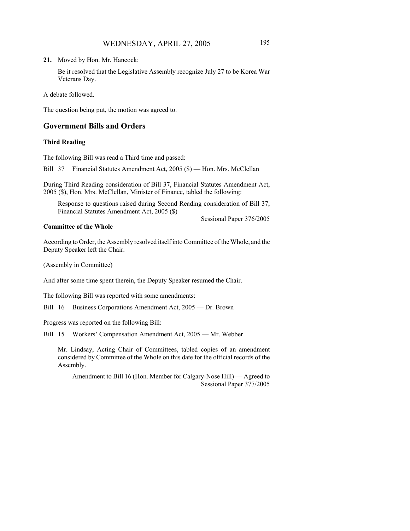Be it resolved that the Legislative Assembly recognize July 27 to be Korea War Veterans Day.

A debate followed.

The question being put, the motion was agreed to.

#### **Government Bills and Orders**

#### **Third Reading**

The following Bill was read a Third time and passed:

Bill 37 Financial Statutes Amendment Act, 2005 (\$) — Hon. Mrs. McClellan

During Third Reading consideration of Bill 37, Financial Statutes Amendment Act, 2005 (\$), Hon. Mrs. McClellan, Minister of Finance, tabled the following:

Response to questions raised during Second Reading consideration of Bill 37, Financial Statutes Amendment Act, 2005 (\$)

#### **Committee of the Whole**

According to Order, the Assembly resolved itself into Committee of the Whole, and the Deputy Speaker left the Chair.

(Assembly in Committee)

And after some time spent therein, the Deputy Speaker resumed the Chair.

The following Bill was reported with some amendments:

Bill 16 Business Corporations Amendment Act, 2005 — Dr. Brown

Progress was reported on the following Bill:

Bill 15 Workers' Compensation Amendment Act, 2005 — Mr. Webber

Mr. Lindsay, Acting Chair of Committees, tabled copies of an amendment considered by Committee of the Whole on this date for the official records of the Assembly.

Amendment to Bill 16 (Hon. Member for Calgary-Nose Hill) — Agreed to Sessional Paper 377/2005

Sessional Paper 376/2005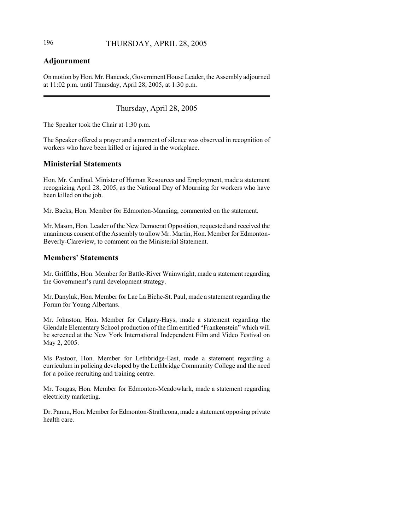# 196 THURSDAY, APRIL 28, 2005

# **Adjournment**

On motion by Hon. Mr. Hancock, Government House Leader, the Assembly adjourned at 11:02 p.m. until Thursday, April 28, 2005, at 1:30 p.m.

# Thursday, April 28, 2005

The Speaker took the Chair at 1:30 p.m.

The Speaker offered a prayer and a moment of silence was observed in recognition of workers who have been killed or injured in the workplace.

# **Ministerial Statements**

Hon. Mr. Cardinal, Minister of Human Resources and Employment, made a statement recognizing April 28, 2005, as the National Day of Mourning for workers who have been killed on the job.

Mr. Backs, Hon. Member for Edmonton-Manning, commented on the statement.

Mr. Mason, Hon. Leader of the New Democrat Opposition, requested and received the unanimous consent of the Assembly to allow Mr. Martin, Hon. Member for Edmonton-Beverly-Clareview, to comment on the Ministerial Statement.

# **Members' Statements**

Mr. Griffiths, Hon. Member for Battle-River Wainwright, made a statement regarding the Government's rural development strategy.

Mr. Danyluk, Hon. Member for Lac La Biche-St. Paul, made a statement regarding the Forum for Young Albertans.

Mr. Johnston, Hon. Member for Calgary-Hays, made a statement regarding the Glendale Elementary School production of the film entitled "Frankenstein" which will be screened at the New York International Independent Film and Video Festival on May 2, 2005.

Ms Pastoor, Hon. Member for Lethbridge-East, made a statement regarding a curriculum in policing developed by the Lethbridge Community College and the need for a police recruiting and training centre.

Mr. Tougas, Hon. Member for Edmonton-Meadowlark, made a statement regarding electricity marketing.

Dr. Pannu, Hon. Member for Edmonton-Strathcona, made a statement opposing private health care.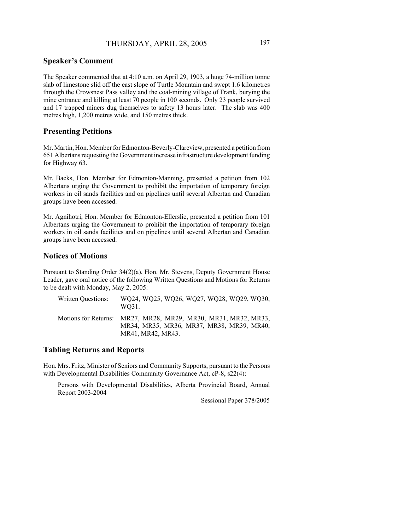# **Speaker's Comment**

The Speaker commented that at 4:10 a.m. on April 29, 1903, a huge 74-million tonne slab of limestone slid off the east slope of Turtle Mountain and swept 1.6 kilometres through the Crowsnest Pass valley and the coal-mining village of Frank, burying the mine entrance and killing at least 70 people in 100 seconds. Only 23 people survived and 17 trapped miners dug themselves to safety 13 hours later. The slab was 400 metres high, 1,200 metres wide, and 150 metres thick.

#### **Presenting Petitions**

Mr. Martin, Hon. Member for Edmonton-Beverly-Clareview, presented a petition from 651 Albertans requesting the Government increase infrastructure development funding for Highway 63.

Mr. Backs, Hon. Member for Edmonton-Manning, presented a petition from 102 Albertans urging the Government to prohibit the importation of temporary foreign workers in oil sands facilities and on pipelines until several Albertan and Canadian groups have been accessed.

Mr. Agnihotri, Hon. Member for Edmonton-Ellerslie, presented a petition from 101 Albertans urging the Government to prohibit the importation of temporary foreign workers in oil sands facilities and on pipelines until several Albertan and Canadian groups have been accessed.

## **Notices of Motions**

Pursuant to Standing Order 34(2)(a), Hon. Mr. Stevens, Deputy Government House Leader, gave oral notice of the following Written Questions and Motions for Returns to be dealt with Monday, May 2, 2005:

| Written Questions: | WQ24, WQ25, WQ26, WQ27, WQ28, WQ29, WQ30,<br>WO31.                                                                               |
|--------------------|----------------------------------------------------------------------------------------------------------------------------------|
|                    | Motions for Returns: MR27, MR28, MR29, MR30, MR31, MR32, MR33,<br>MR34, MR35, MR36, MR37, MR38, MR39, MR40,<br>MR41, MR42, MR43. |

#### **Tabling Returns and Reports**

Hon. Mrs. Fritz, Minister of Seniors and Community Supports, pursuant to the Persons with Developmental Disabilities Community Governance Act, cP-8, s22(4):

Persons with Developmental Disabilities, Alberta Provincial Board, Annual Report 2003-2004

Sessional Paper 378/2005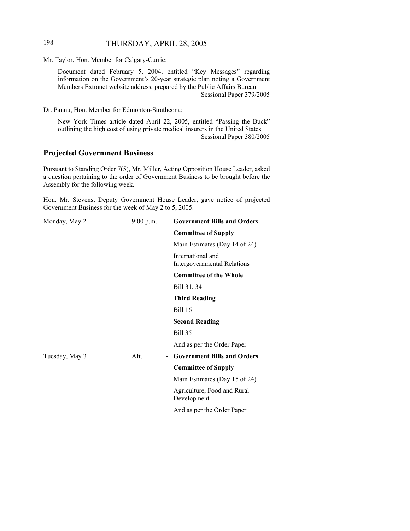# 198 THURSDAY, APRIL 28, 2005

Mr. Taylor, Hon. Member for Calgary-Currie:

Document dated February 5, 2004, entitled "Key Messages" regarding information on the Government's 20-year strategic plan noting a Government Members Extranet website address, prepared by the Public Affairs Bureau Sessional Paper 379/2005

Dr. Pannu, Hon. Member for Edmonton-Strathcona:

New York Times article dated April 22, 2005, entitled "Passing the Buck" outlining the high cost of using private medical insurers in the United States Sessional Paper 380/2005

# **Projected Government Business**

Pursuant to Standing Order 7(5), Mr. Miller, Acting Opposition House Leader, asked a question pertaining to the order of Government Business to be brought before the Assembly for the following week.

Hon. Mr. Stevens, Deputy Government House Leader, gave notice of projected Government Business for the week of May 2 to 5, 2005:

| Monday, May 2  | $9:00$ p.m.                      | - Government Bills and Orders                           |
|----------------|----------------------------------|---------------------------------------------------------|
|                |                                  | <b>Committee of Supply</b>                              |
|                |                                  | Main Estimates (Day 14 of 24)                           |
|                |                                  | International and<br><b>Intergovernmental Relations</b> |
|                |                                  | <b>Committee of the Whole</b>                           |
|                |                                  | Bill 31, 34                                             |
|                |                                  | <b>Third Reading</b>                                    |
|                |                                  | Bill 16                                                 |
|                |                                  | <b>Second Reading</b>                                   |
|                |                                  | <b>Bill 35</b>                                          |
|                |                                  | And as per the Order Paper                              |
| Tuesday, May 3 | Aft.<br>$\overline{\phantom{0}}$ | <b>Government Bills and Orders</b>                      |
|                |                                  | <b>Committee of Supply</b>                              |
|                |                                  | Main Estimates (Day 15 of 24)                           |
|                |                                  | Agriculture, Food and Rural<br>Development              |
|                |                                  | And as per the Order Paper                              |
|                |                                  |                                                         |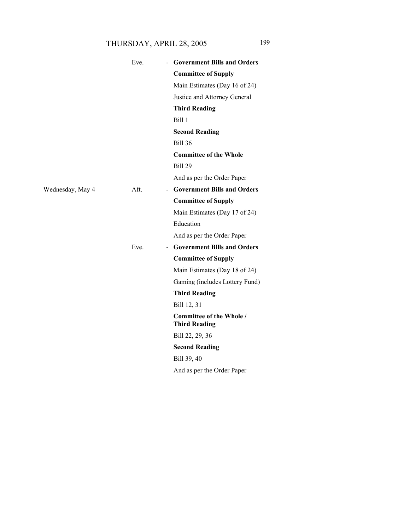# THURSDAY, APRIL 28, 2005 199

|                  | Eve. | - Government Bills and Orders                           |
|------------------|------|---------------------------------------------------------|
|                  |      | <b>Committee of Supply</b>                              |
|                  |      | Main Estimates (Day 16 of 24)                           |
|                  |      | Justice and Attorney General                            |
|                  |      | <b>Third Reading</b>                                    |
|                  |      | Bill 1                                                  |
|                  |      | <b>Second Reading</b>                                   |
|                  |      | <b>Bill 36</b>                                          |
|                  |      | <b>Committee of the Whole</b>                           |
|                  |      | <b>Bill 29</b>                                          |
|                  |      | And as per the Order Paper                              |
| Wednesday, May 4 | Aft. | - Government Bills and Orders                           |
|                  |      | <b>Committee of Supply</b>                              |
|                  |      | Main Estimates (Day 17 of 24)                           |
|                  |      | Education                                               |
|                  |      | And as per the Order Paper                              |
|                  | Eve. | - Government Bills and Orders                           |
|                  |      | <b>Committee of Supply</b>                              |
|                  |      | Main Estimates (Day 18 of 24)                           |
|                  |      | Gaming (includes Lottery Fund)                          |
|                  |      | <b>Third Reading</b>                                    |
|                  |      | Bill 12, 31                                             |
|                  |      | <b>Committee of the Whole /</b><br><b>Third Reading</b> |
|                  |      | Bill 22, 29, 36                                         |
|                  |      | <b>Second Reading</b>                                   |
|                  |      | Bill 39, 40                                             |
|                  |      | And as per the Order Paper                              |
|                  |      |                                                         |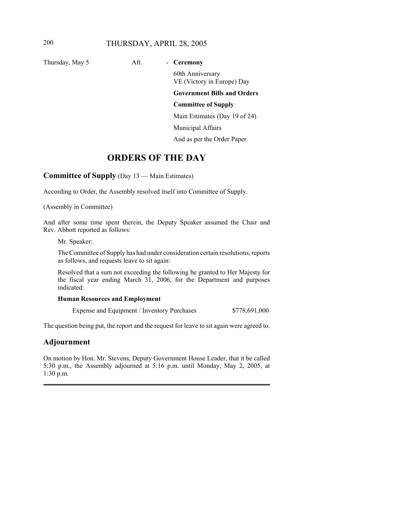# 200 THURSDAY, APRIL 28, 2005

Thursday, May 5 Aft. **- Ceremony** 

60th Anniversary VE (Victory in Europe) Day

**Government Bills and Orders**

# **Committee of Supply**

Main Estimates (Day 19 of 24)

Municipal Affairs

And as per the Order Paper

# **ORDERS OF THE DAY**

**Committee of Supply** (Day 13 — Main Estimates)

According to Order, the Assembly resolved itself into Committee of Supply.

(Assembly in Committee)

And after some time spent therein, the Deputy Speaker assumed the Chair and Rev. Abbott reported as follows:

Mr. Speaker:

The Committee of Supply has had under consideration certain resolutions, reports as follows, and requests leave to sit again:

Resolved that a sum not exceeding the following be granted to Her Majesty for the fiscal year ending March 31, 2006, for the Department and purposes indicated:

#### **Human Resources and Employment**

Expense and Equipment / Inventory Purchases  $$778,691,000$ 

The question being put, the report and the request for leave to sit again were agreed to.

# **Adjournment**

On motion by Hon. Mr. Stevens, Deputy Government House Leader, that it be called 5:30 p.m., the Assembly adjourned at 5:16 p.m. until Monday, May 2, 2005, at 1:30 p.m.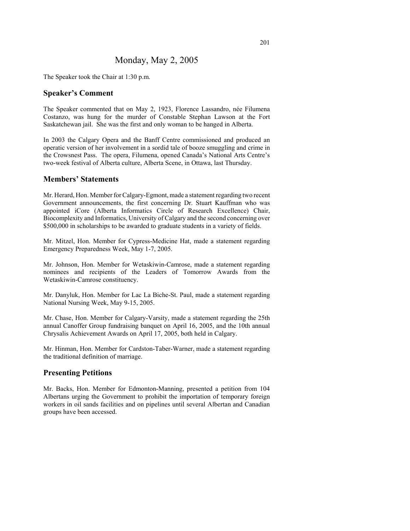# Monday, May 2, 2005

The Speaker took the Chair at 1:30 p.m.

#### **Speaker's Comment**

The Speaker commented that on May 2, 1923, Florence Lassandro, née Filumena Costanzo, was hung for the murder of Constable Stephan Lawson at the Fort Saskatchewan jail. She was the first and only woman to be hanged in Alberta.

In 2003 the Calgary Opera and the Banff Centre commissioned and produced an operatic version of her involvement in a sordid tale of booze smuggling and crime in the Crowsnest Pass. The opera, Filumena, opened Canada's National Arts Centre's two-week festival of Alberta culture, Alberta Scene, in Ottawa, last Thursday.

#### **Members' Statements**

Mr. Herard, Hon. Member for Calgary-Egmont, made a statement regarding two recent Government announcements, the first concerning Dr. Stuart Kauffman who was appointed iCore (Alberta Informatics Circle of Research Excellence) Chair, Biocomplexity and Informatics, University of Calgary and the second concerning over \$500,000 in scholarships to be awarded to graduate students in a variety of fields.

Mr. Mitzel, Hon. Member for Cypress-Medicine Hat, made a statement regarding Emergency Preparedness Week, May 1-7, 2005.

Mr. Johnson, Hon. Member for Wetaskiwin-Camrose, made a statement regarding nominees and recipients of the Leaders of Tomorrow Awards from the Wetaskiwin-Camrose constituency.

Mr. Danyluk, Hon. Member for Lac La Biche-St. Paul, made a statement regarding National Nursing Week, May 9-15, 2005.

Mr. Chase, Hon. Member for Calgary-Varsity, made a statement regarding the 25th annual Canoffer Group fundraising banquet on April 16, 2005, and the 10th annual Chrysalis Achievement Awards on April 17, 2005, both held in Calgary.

Mr. Hinman, Hon. Member for Cardston-Taber-Warner, made a statement regarding the traditional definition of marriage.

#### **Presenting Petitions**

Mr. Backs, Hon. Member for Edmonton-Manning, presented a petition from 104 Albertans urging the Government to prohibit the importation of temporary foreign workers in oil sands facilities and on pipelines until several Albertan and Canadian groups have been accessed.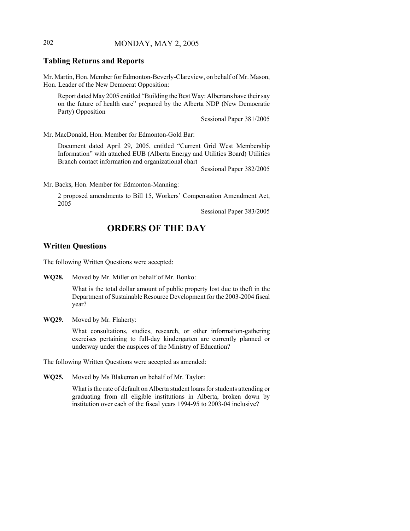# 202 MONDAY, MAY 2, 2005

# **Tabling Returns and Reports**

Mr. Martin, Hon. Member for Edmonton-Beverly-Clareview, on behalf of Mr. Mason, Hon. Leader of the New Democrat Opposition:

Report dated May 2005 entitled "Building the Best Way: Albertans have their say on the future of health care" prepared by the Alberta NDP (New Democratic Party) Opposition

Sessional Paper 381/2005

Mr. MacDonald, Hon. Member for Edmonton-Gold Bar:

Document dated April 29, 2005, entitled "Current Grid West Membership Information" with attached EUB (Alberta Energy and Utilities Board) Utilities Branch contact information and organizational chart

Sessional Paper 382/2005

Mr. Backs, Hon. Member for Edmonton-Manning:

2 proposed amendments to Bill 15, Workers' Compensation Amendment Act, 2005

Sessional Paper 383/2005

# **ORDERS OF THE DAY**

#### **Written Questions**

The following Written Questions were accepted:

**WQ28.** Moved by Mr. Miller on behalf of Mr. Bonko:

What is the total dollar amount of public property lost due to theft in the Department of Sustainable Resource Development for the 2003-2004 fiscal year?

**WQ29.** Moved by Mr. Flaherty:

What consultations, studies, research, or other information-gathering exercises pertaining to full-day kindergarten are currently planned or underway under the auspices of the Ministry of Education?

The following Written Questions were accepted as amended:

**WQ25.** Moved by Ms Blakeman on behalf of Mr. Taylor:

What is the rate of default on Alberta student loans for students attending or graduating from all eligible institutions in Alberta, broken down by institution over each of the fiscal years 1994-95 to 2003-04 inclusive?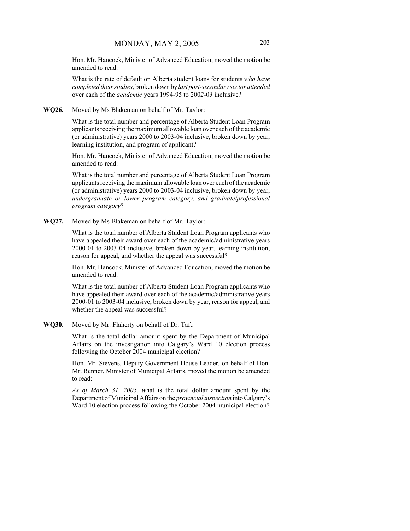Hon. Mr. Hancock, Minister of Advanced Education, moved the motion be amended to read:

What is the rate of default on Alberta student loans for students *who have completed their studies*, broken down by *last post-secondary sector attended* over each of the *academic* years 1994-95 to 200*2*-0*3* inclusive?

#### **WQ26.** Moved by Ms Blakeman on behalf of Mr. Taylor:

What is the total number and percentage of Alberta Student Loan Program applicants receiving the maximum allowable loan over each of the academic (or administrative) years 2000 to 2003-04 inclusive, broken down by year, learning institution, and program of applicant?

Hon. Mr. Hancock, Minister of Advanced Education, moved the motion be amended to read:

What is the total number and percentage of Alberta Student Loan Program applicants receiving the maximum allowable loan over each of the academic (or administrative) years 2000 to 2003-04 inclusive, broken down by year, *undergraduate or lower program category, and graduate/professional program category*?

**WQ27.** Moved by Ms Blakeman on behalf of Mr. Taylor:

What is the total number of Alberta Student Loan Program applicants who have appealed their award over each of the academic/administrative years 2000-01 to 2003-04 inclusive, broken down by year, learning institution, reason for appeal, and whether the appeal was successful?

Hon. Mr. Hancock, Minister of Advanced Education, moved the motion be amended to read:

What is the total number of Alberta Student Loan Program applicants who have appealed their award over each of the academic/administrative years 2000-01 to 2003-04 inclusive, broken down by year, reason for appeal, and whether the appeal was successful?

**WQ30.** Moved by Mr. Flaherty on behalf of Dr. Taft:

What is the total dollar amount spent by the Department of Municipal Affairs on the investigation into Calgary's Ward 10 election process following the October 2004 municipal election?

Hon. Mr. Stevens, Deputy Government House Leader, on behalf of Hon. Mr. Renner, Minister of Municipal Affairs, moved the motion be amended to read:

*As of March 31, 2005, w*hat is the total dollar amount spent by the Department of Municipal Affairs on the *provincial inspection* into Calgary's Ward 10 election process following the October 2004 municipal election?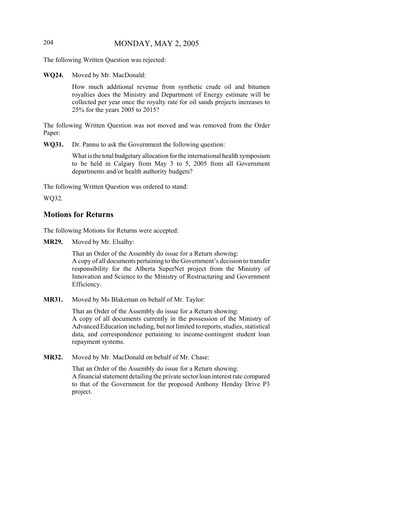# 204 MONDAY, MAY 2, 2005

The following Written Question was rejected:

**WQ24.** Moved by Mr. MacDonald:

How much additional revenue from synthetic crude oil and bitumen royalties does the Ministry and Department of Energy estimate will be collected per year once the royalty rate for oil sands projects increases to 25% for the years 2005 to 2015?

The following Written Question was not moved and was removed from the Order Paper:

**WQ31.** Dr. Pannu to ask the Government the following question:

What is the total budgetary allocation for the international health symposium to be held in Calgary from May 3 to 5, 2005 from all Government departments and/or health authority budgets?

The following Written Question was ordered to stand:

WQ32.

#### **Motions for Returns**

The following Motions for Returns were accepted:

**MR29.** Moved by Mr. Elsalhy:

That an Order of the Assembly do issue for a Return showing: A copy of all documents pertaining to the Government's decision to transfer responsibility for the Alberta SuperNet project from the Ministry of Innovation and Science to the Ministry of Restructuring and Government Efficiency.

**MR31.** Moved by Ms Blakeman on behalf of Mr. Taylor:

That an Order of the Assembly do issue for a Return showing: A copy of all documents currently in the possession of the Ministry of Advanced Education including, but not limited to reports, studies, statistical data, and correspondence pertaining to income-contingent student loan repayment systems.

**MR32.** Moved by Mr. MacDonald on behalf of Mr. Chase:

That an Order of the Assembly do issue for a Return showing: A financial statement detailing the private sector loan interest rate compared to that of the Government for the proposed Anthony Henday Drive P3 project.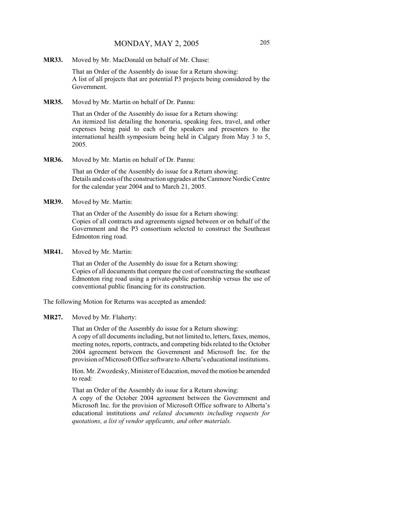**MR33.** Moved by Mr. MacDonald on behalf of Mr. Chase:

That an Order of the Assembly do issue for a Return showing: A list of all projects that are potential P3 projects being considered by the Government.

**MR35.** Moved by Mr. Martin on behalf of Dr. Pannu:

That an Order of the Assembly do issue for a Return showing: An itemized list detailing the honoraria, speaking fees, travel, and other expenses being paid to each of the speakers and presenters to the international health symposium being held in Calgary from May 3 to 5, 2005.

**MR36.** Moved by Mr. Martin on behalf of Dr. Pannu:

That an Order of the Assembly do issue for a Return showing: Details and costs of the construction upgrades at the Canmore Nordic Centre for the calendar year 2004 and to March 21, 2005.

**MR39.** Moved by Mr. Martin:

That an Order of the Assembly do issue for a Return showing: Copies of all contracts and agreements signed between or on behalf of the Government and the P3 consortium selected to construct the Southeast Edmonton ring road.

**MR41.** Moved by Mr. Martin:

That an Order of the Assembly do issue for a Return showing: Copies of all documents that compare the cost of constructing the southeast Edmonton ring road using a private-public partnership versus the use of conventional public financing for its construction.

The following Motion for Returns was accepted as amended:

#### **MR27.** Moved by Mr. Flaherty:

That an Order of the Assembly do issue for a Return showing: A copy of all documents including, but not limited to, letters, faxes, memos, meeting notes, reports, contracts, and competing bids related to the October 2004 agreement between the Government and Microsoft Inc. for the provision of Microsoft Office software to Alberta's educational institutions.

Hon. Mr. Zwozdesky, Minister of Education, moved the motion be amended to read:

That an Order of the Assembly do issue for a Return showing:

A copy of the October 2004 agreement between the Government and Microsoft Inc. for the provision of Microsoft Office software to Alberta's educational institutions *and related documents including requests for quotations, a list of vendor applicants, and other materials*.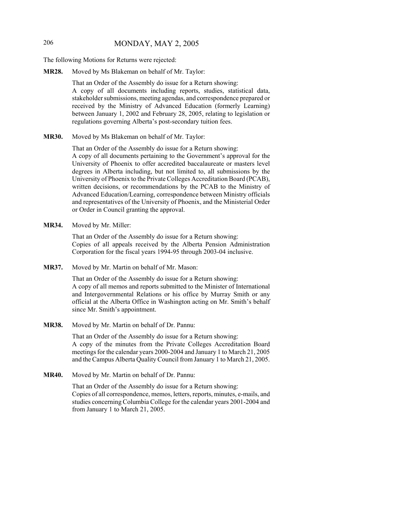# 206 MONDAY, MAY 2, 2005

The following Motions for Returns were rejected:

**MR28.** Moved by Ms Blakeman on behalf of Mr. Taylor:

That an Order of the Assembly do issue for a Return showing: A copy of all documents including reports, studies, statistical data, stakeholder submissions, meeting agendas, and correspondence prepared or received by the Ministry of Advanced Education (formerly Learning) between January 1, 2002 and February 28, 2005, relating to legislation or regulations governing Alberta's post-secondary tuition fees.

**MR30.** Moved by Ms Blakeman on behalf of Mr. Taylor:

That an Order of the Assembly do issue for a Return showing:

A copy of all documents pertaining to the Government's approval for the University of Phoenix to offer accredited baccalaureate or masters level degrees in Alberta including, but not limited to, all submissions by the University of Phoenix to the Private Colleges Accreditation Board (PCAB), written decisions, or recommendations by the PCAB to the Ministry of Advanced Education/Learning, correspondence between Ministry officials and representatives of the University of Phoenix, and the Ministerial Order or Order in Council granting the approval.

**MR34.** Moved by Mr. Miller:

That an Order of the Assembly do issue for a Return showing: Copies of all appeals received by the Alberta Pension Administration Corporation for the fiscal years 1994-95 through 2003-04 inclusive.

**MR37.** Moved by Mr. Martin on behalf of Mr. Mason:

That an Order of the Assembly do issue for a Return showing: A copy of all memos and reports submitted to the Minister of International and Intergovernmental Relations or his office by Murray Smith or any official at the Alberta Office in Washington acting on Mr. Smith's behalf since Mr. Smith's appointment.

**MR38.** Moved by Mr. Martin on behalf of Dr. Pannu:

That an Order of the Assembly do issue for a Return showing: A copy of the minutes from the Private Colleges Accreditation Board meetings for the calendar years 2000-2004 and January 1 to March 21, 2005 and the Campus Alberta Quality Council from January 1 to March 21, 2005.

**MR40.** Moved by Mr. Martin on behalf of Dr. Pannu:

That an Order of the Assembly do issue for a Return showing: Copies of all correspondence, memos, letters, reports, minutes, e-mails, and studies concerning Columbia College for the calendar years 2001-2004 and from January 1 to March 21, 2005.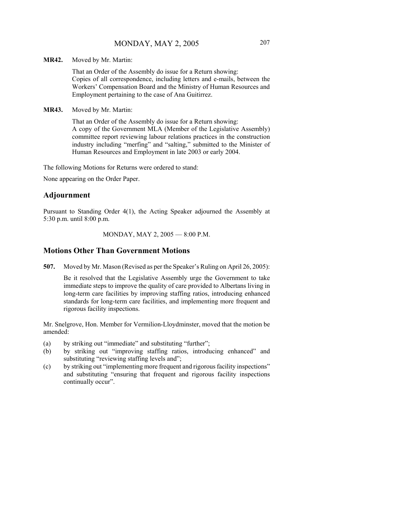**MR42.** Moved by Mr. Martin:

That an Order of the Assembly do issue for a Return showing: Copies of all correspondence, including letters and e-mails, between the Workers' Compensation Board and the Ministry of Human Resources and Employment pertaining to the case of Ana Guitirrez.

**MR43.** Moved by Mr. Martin:

That an Order of the Assembly do issue for a Return showing: A copy of the Government MLA (Member of the Legislative Assembly) committee report reviewing labour relations practices in the construction industry including "merfing" and "salting," submitted to the Minister of Human Resources and Employment in late 2003 or early 2004.

The following Motions for Returns were ordered to stand:

None appearing on the Order Paper.

#### **Adjournment**

Pursuant to Standing Order 4(1), the Acting Speaker adjourned the Assembly at 5:30 p.m. until 8:00 p.m.

MONDAY, MAY 2, 2005 — 8:00 P.M.

#### **Motions Other Than Government Motions**

**507.** Moved by Mr. Mason (Revised as per the Speaker's Ruling on April 26, 2005):

Be it resolved that the Legislative Assembly urge the Government to take immediate steps to improve the quality of care provided to Albertans living in long-term care facilities by improving staffing ratios, introducing enhanced standards for long-term care facilities, and implementing more frequent and rigorous facility inspections.

Mr. Snelgrove, Hon. Member for Vermilion-Lloydminster, moved that the motion be amended:

- (a) by striking out "immediate" and substituting "further";
- (b) by striking out "improving staffing ratios, introducing enhanced" and substituting "reviewing staffing levels and";
- (c) by striking out "implementing more frequent and rigorous facility inspections" and substituting "ensuring that frequent and rigorous facility inspections continually occur".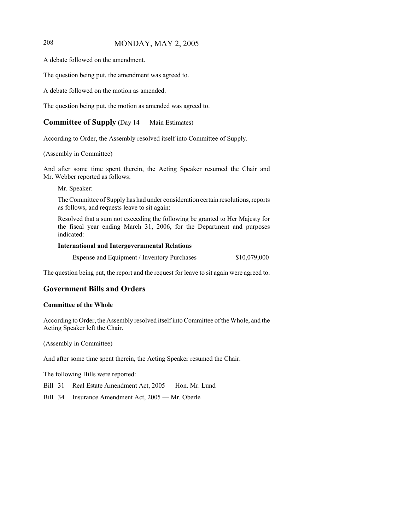# 208 MONDAY, MAY 2, 2005

A debate followed on the amendment.

The question being put, the amendment was agreed to.

A debate followed on the motion as amended.

The question being put, the motion as amended was agreed to.

# **Committee of Supply** (Day 14 — Main Estimates)

According to Order, the Assembly resolved itself into Committee of Supply.

#### (Assembly in Committee)

And after some time spent therein, the Acting Speaker resumed the Chair and Mr. Webber reported as follows:

Mr. Speaker:

The Committee of Supply has had under consideration certain resolutions, reports as follows, and requests leave to sit again:

Resolved that a sum not exceeding the following be granted to Her Majesty for the fiscal year ending March 31, 2006, for the Department and purposes indicated:

#### **International and Intergovernmental Relations**

Expense and Equipment / Inventory Purchases \$10,079,000

The question being put, the report and the request for leave to sit again were agreed to.

#### **Government Bills and Orders**

#### **Committee of the Whole**

According to Order, the Assembly resolved itself into Committee of the Whole, and the Acting Speaker left the Chair.

(Assembly in Committee)

And after some time spent therein, the Acting Speaker resumed the Chair.

The following Bills were reported:

- Bill 31 Real Estate Amendment Act, 2005 Hon. Mr. Lund
- Bill 34 Insurance Amendment Act, 2005 Mr. Oberle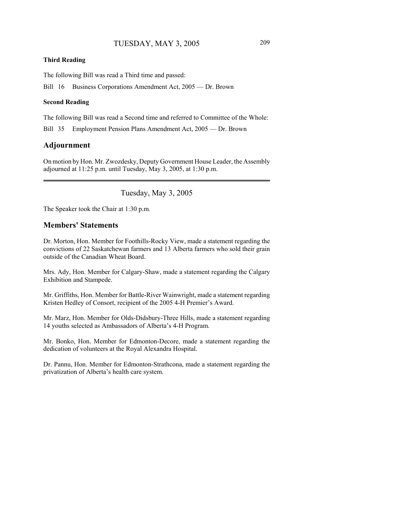#### **Third Reading**

The following Bill was read a Third time and passed:

Bill 16 Business Corporations Amendment Act, 2005 — Dr. Brown

#### **Second Reading**

The following Bill was read a Second time and referred to Committee of the Whole:

Bill 35 Employment Pension Plans Amendment Act, 2005 — Dr. Brown

#### **Adjournment**

On motion by Hon. Mr. Zwozdesky, Deputy Government House Leader, the Assembly adjourned at 11:25 p.m. until Tuesday, May 3, 2005, at 1:30 p.m.

Tuesday, May 3, 2005

The Speaker took the Chair at 1:30 p.m.

## **Members' Statements**

Dr. Morton, Hon. Member for Foothills-Rocky View, made a statement regarding the convictions of 22 Saskatchewan farmers and 13 Alberta farmers who sold their grain outside of the Canadian Wheat Board.

Mrs. Ady, Hon. Member for Calgary-Shaw, made a statement regarding the Calgary Exhibition and Stampede.

Mr. Griffiths, Hon. Member for Battle-River Wainwright, made a statement regarding Kristen Hedley of Consort, recipient of the 2005 4-H Premier's Award.

Mr. Marz, Hon. Member for Olds-Didsbury-Three Hills, made a statement regarding 14 youths selected as Ambassadors of Alberta's 4-H Program.

Mr. Bonko, Hon. Member for Edmonton-Decore, made a statement regarding the dedication of volunteers at the Royal Alexandra Hospital.

Dr. Pannu, Hon. Member for Edmonton-Strathcona, made a statement regarding the privatization of Alberta's health care system.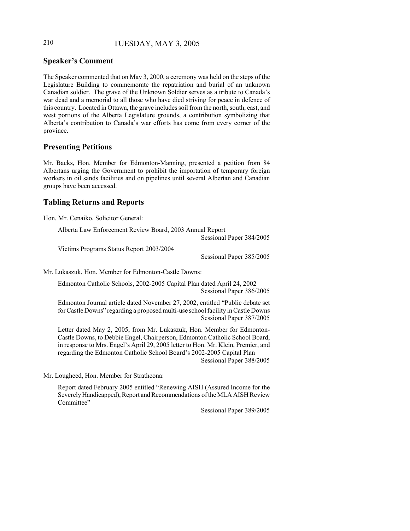# 210 TUESDAY, MAY 3, 2005

# **Speaker's Comment**

The Speaker commented that on May 3, 2000, a ceremony was held on the steps of the Legislature Building to commemorate the repatriation and burial of an unknown Canadian soldier. The grave of the Unknown Soldier serves as a tribute to Canada's war dead and a memorial to all those who have died striving for peace in defence of this country. Located in Ottawa, the grave includes soil from the north, south, east, and west portions of the Alberta Legislature grounds, a contribution symbolizing that Alberta's contribution to Canada's war efforts has come from every corner of the province.

#### **Presenting Petitions**

Mr. Backs, Hon. Member for Edmonton-Manning, presented a petition from 84 Albertans urging the Government to prohibit the importation of temporary foreign workers in oil sands facilities and on pipelines until several Albertan and Canadian groups have been accessed.

# **Tabling Returns and Reports**

Hon. Mr. Cenaiko, Solicitor General:

Alberta Law Enforcement Review Board, 2003 Annual Report

Sessional Paper 384/2005

Victims Programs Status Report 2003/2004

Sessional Paper 385/2005

Mr. Lukaszuk, Hon. Member for Edmonton-Castle Downs:

Edmonton Catholic Schools, 2002-2005 Capital Plan dated April 24, 2002 Sessional Paper 386/2005

Edmonton Journal article dated November 27, 2002, entitled "Public debate set for Castle Downs" regarding a proposed multi-use school facility in Castle Downs Sessional Paper 387/2005

Letter dated May 2, 2005, from Mr. Lukaszuk, Hon. Member for Edmonton-Castle Downs, to Debbie Engel, Chairperson, Edmonton Catholic School Board, in response to Mrs. Engel's April 29, 2005 letter to Hon. Mr. Klein, Premier, and regarding the Edmonton Catholic School Board's 2002-2005 Capital Plan

Sessional Paper 388/2005

Mr. Lougheed, Hon. Member for Strathcona:

Report dated February 2005 entitled "Renewing AISH (Assured Income for the Severely Handicapped), Report and Recommendations of the MLA AISH Review Committee"

Sessional Paper 389/2005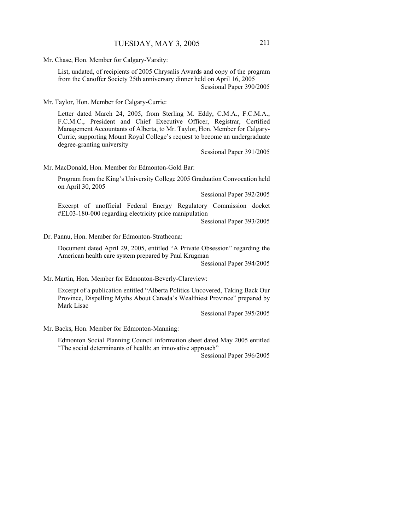Mr. Chase, Hon. Member for Calgary-Varsity:

List, undated, of recipients of 2005 Chrysalis Awards and copy of the program from the Canoffer Society 25th anniversary dinner held on April 16, 2005 Sessional Paper 390/2005

Mr. Taylor, Hon. Member for Calgary-Currie:

Letter dated March 24, 2005, from Sterling M. Eddy, C.M.A., F.C.M.A., F.C.M.C., President and Chief Executive Officer, Registrar, Certified Management Accountants of Alberta, to Mr. Taylor, Hon. Member for Calgary-Currie, supporting Mount Royal College's request to become an undergraduate degree-granting university

Sessional Paper 391/2005

Mr. MacDonald, Hon. Member for Edmonton-Gold Bar:

Program from the King's University College 2005 Graduation Convocation held on April 30, 2005

Sessional Paper 392/2005

Excerpt of unofficial Federal Energy Regulatory Commission docket #EL03-180-000 regarding electricity price manipulation

Sessional Paper 393/2005

Dr. Pannu, Hon. Member for Edmonton-Strathcona:

Document dated April 29, 2005, entitled "A Private Obsession" regarding the American health care system prepared by Paul Krugman

Sessional Paper 394/2005

Mr. Martin, Hon. Member for Edmonton-Beverly-Clareview:

Excerpt of a publication entitled "Alberta Politics Uncovered, Taking Back Our Province, Dispelling Myths About Canada's Wealthiest Province" prepared by Mark Lisac

Sessional Paper 395/2005

Mr. Backs, Hon. Member for Edmonton-Manning:

Edmonton Social Planning Council information sheet dated May 2005 entitled "The social determinants of health: an innovative approach"

Sessional Paper 396/2005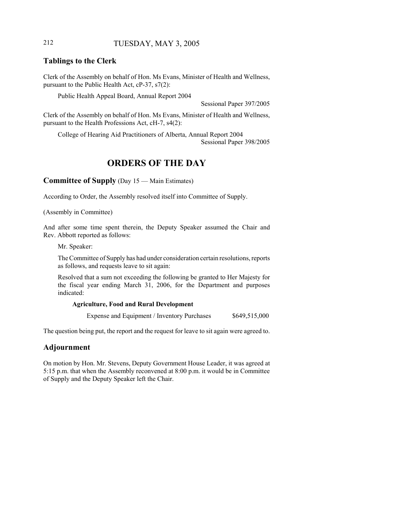## 212 TUESDAY, MAY 3, 2005

## **Tablings to the Clerk**

Clerk of the Assembly on behalf of Hon. Ms Evans, Minister of Health and Wellness, pursuant to the Public Health Act, cP-37, s7(2):

Public Health Appeal Board, Annual Report 2004

Sessional Paper 397/2005

Clerk of the Assembly on behalf of Hon. Ms Evans, Minister of Health and Wellness, pursuant to the Health Professions Act, cH-7, s4(2):

College of Hearing Aid Practitioners of Alberta, Annual Report 2004 Sessional Paper 398/2005

# **ORDERS OF THE DAY**

**Committee of Supply** (Day 15 — Main Estimates)

According to Order, the Assembly resolved itself into Committee of Supply.

(Assembly in Committee)

And after some time spent therein, the Deputy Speaker assumed the Chair and Rev. Abbott reported as follows:

Mr. Speaker:

The Committee of Supply has had under consideration certain resolutions, reports as follows, and requests leave to sit again:

Resolved that a sum not exceeding the following be granted to Her Majesty for the fiscal year ending March 31, 2006, for the Department and purposes indicated:

#### **Agriculture, Food and Rural Development**

Expense and Equipment / Inventory Purchases \$649,515,000

The question being put, the report and the request for leave to sit again were agreed to.

### **Adjournment**

On motion by Hon. Mr. Stevens, Deputy Government House Leader, it was agreed at 5:15 p.m. that when the Assembly reconvened at 8:00 p.m. it would be in Committee of Supply and the Deputy Speaker left the Chair.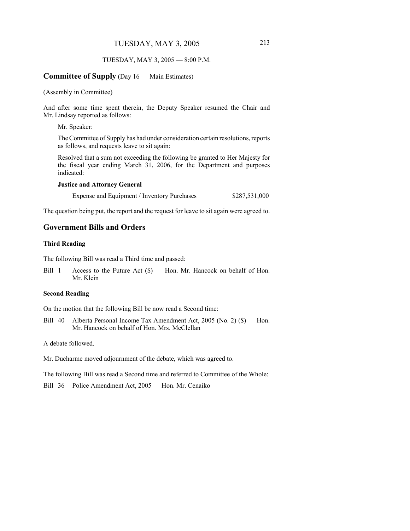#### TUESDAY, MAY 3, 2005 — 8:00 P.M.

#### **Committee of Supply** (Day 16 — Main Estimates)

(Assembly in Committee)

And after some time spent therein, the Deputy Speaker resumed the Chair and Mr. Lindsay reported as follows:

Mr. Speaker:

The Committee of Supply has had under consideration certain resolutions, reports as follows, and requests leave to sit again:

Resolved that a sum not exceeding the following be granted to Her Majesty for the fiscal year ending March 31, 2006, for the Department and purposes indicated:

#### **Justice and Attorney General**

Expense and Equipment / Inventory Purchases \$287,531,000

The question being put, the report and the request for leave to sit again were agreed to.

#### **Government Bills and Orders**

#### **Third Reading**

The following Bill was read a Third time and passed:

Bill 1 Access to the Future Act (\$) — Hon. Mr. Hancock on behalf of Hon. Mr. Klein

#### **Second Reading**

On the motion that the following Bill be now read a Second time:

Bill 40 Alberta Personal Income Tax Amendment Act, 2005 (No. 2) (\$) — Hon. Mr. Hancock on behalf of Hon. Mrs. McClellan

A debate followed.

Mr. Ducharme moved adjournment of the debate, which was agreed to.

The following Bill was read a Second time and referred to Committee of the Whole:

Bill 36 Police Amendment Act, 2005 — Hon. Mr. Cenaiko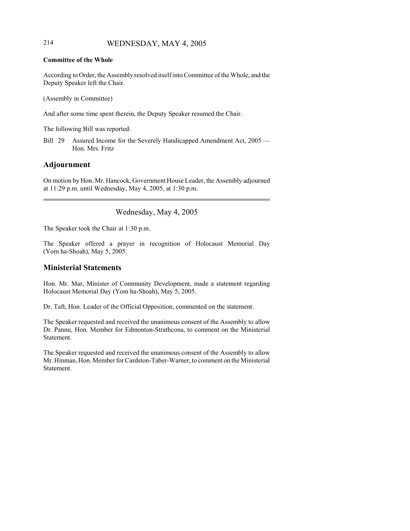## 214 WEDNESDAY, MAY 4, 2005

#### **Committee of the Whole**

According to Order, the Assembly resolved itself into Committee of the Whole, and the Deputy Speaker left the Chair.

(Assembly in Committee)

And after some time spent therein, the Deputy Speaker resumed the Chair.

The following Bill was reported:

Bill 29 Assured Income for the Severely Handicapped Amendment Act, 2005 — Hon. Mrs. Fritz

## **Adjournment**

On motion by Hon. Mr. Hancock, Government House Leader, the Assembly adjourned at 11:29 p.m. until Wednesday, May 4, 2005, at 1:30 p.m.

Wednesday, May 4, 2005

The Speaker took the Chair at 1:30 p.m.

The Speaker offered a prayer in recognition of Holocaust Memorial Day (Yom ha-Shoah), May 5, 2005.

### **Ministerial Statements**

Hon. Mr. Mar, Minister of Community Development, made a statement regarding Holocaust Memorial Day (Yom ha-Shoah), May 5, 2005.

Dr. Taft, Hon. Leader of the Official Opposition, commented on the statement.

The Speaker requested and received the unanimous consent of the Assembly to allow Dr. Pannu, Hon. Member for Edmonton-Strathcona, to comment on the Ministerial Statement.

The Speaker requested and received the unanimous consent of the Assembly to allow Mr. Hinman, Hon. Member for Cardston-Taber-Warner, to comment on the Ministerial Statement.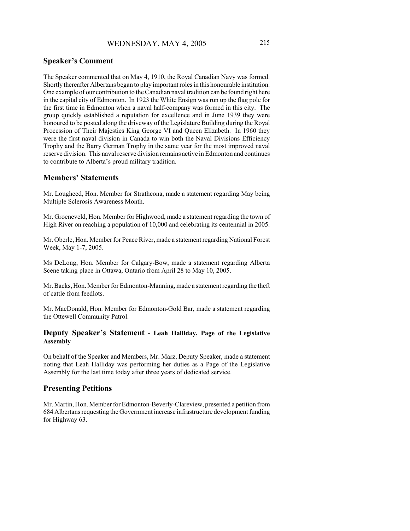## **Speaker's Comment**

The Speaker commented that on May 4, 1910, the Royal Canadian Navy was formed. Shortly thereafter Albertans began to play important roles in this honourable institution. One example of our contribution to the Canadian naval tradition can be found right here in the capital city of Edmonton. In 1923 the White Ensign was run up the flag pole for the first time in Edmonton when a naval half-company was formed in this city. The group quickly established a reputation for excellence and in June 1939 they were honoured to be posted along the driveway of the Legislature Building during the Royal Procession of Their Majesties King George VI and Queen Elizabeth. In 1960 they were the first naval division in Canada to win both the Naval Divisions Efficiency Trophy and the Barry German Trophy in the same year for the most improved naval reserve division. This naval reserve division remains active in Edmonton and continues to contribute to Alberta's proud military tradition.

## **Members' Statements**

Mr. Lougheed, Hon. Member for Strathcona, made a statement regarding May being Multiple Sclerosis Awareness Month.

Mr. Groeneveld, Hon. Member for Highwood, made a statement regarding the town of High River on reaching a population of 10,000 and celebrating its centennial in 2005.

Mr. Oberle, Hon. Member for Peace River, made a statement regarding National Forest Week, May 1-7, 2005.

Ms DeLong, Hon. Member for Calgary-Bow, made a statement regarding Alberta Scene taking place in Ottawa, Ontario from April 28 to May 10, 2005.

Mr. Backs, Hon. Member for Edmonton-Manning, made a statement regarding the theft of cattle from feedlots.

Mr. MacDonald, Hon. Member for Edmonton-Gold Bar, made a statement regarding the Ottewell Community Patrol.

#### **Deputy Speaker's Statement - Leah Halliday, Page of the Legislative Assembly**

On behalf of the Speaker and Members, Mr. Marz, Deputy Speaker, made a statement noting that Leah Halliday was performing her duties as a Page of the Legislative Assembly for the last time today after three years of dedicated service.

### **Presenting Petitions**

Mr. Martin, Hon. Member for Edmonton-Beverly-Clareview, presented a petition from 684 Albertans requesting the Government increase infrastructure development funding for Highway 63.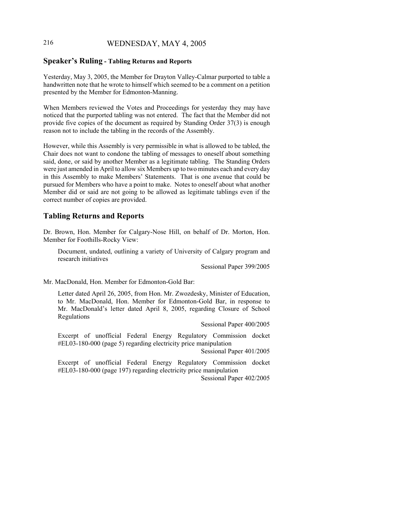## 216 WEDNESDAY, MAY 4, 2005

#### **Speaker's Ruling - Tabling Returns and Reports**

Yesterday, May 3, 2005, the Member for Drayton Valley-Calmar purported to table a handwritten note that he wrote to himself which seemed to be a comment on a petition presented by the Member for Edmonton-Manning.

When Members reviewed the Votes and Proceedings for yesterday they may have noticed that the purported tabling was not entered. The fact that the Member did not provide five copies of the document as required by Standing Order 37(3) is enough reason not to include the tabling in the records of the Assembly.

However, while this Assembly is very permissible in what is allowed to be tabled, the Chair does not want to condone the tabling of messages to oneself about something said, done, or said by another Member as a legitimate tabling. The Standing Orders were just amended in April to allow six Members up to two minutes each and every day in this Assembly to make Members' Statements. That is one avenue that could be pursued for Members who have a point to make. Notes to oneself about what another Member did or said are not going to be allowed as legitimate tablings even if the correct number of copies are provided.

### **Tabling Returns and Reports**

Dr. Brown, Hon. Member for Calgary-Nose Hill, on behalf of Dr. Morton, Hon. Member for Foothills-Rocky View:

Document, undated, outlining a variety of University of Calgary program and research initiatives

Sessional Paper 399/2005

Mr. MacDonald, Hon. Member for Edmonton-Gold Bar:

Letter dated April 26, 2005, from Hon. Mr. Zwozdesky, Minister of Education, to Mr. MacDonald, Hon. Member for Edmonton-Gold Bar, in response to Mr. MacDonald's letter dated April 8, 2005, regarding Closure of School Regulations

Sessional Paper 400/2005

Excerpt of unofficial Federal Energy Regulatory Commission docket #EL03-180-000 (page 5) regarding electricity price manipulation

Sessional Paper 401/2005

Excerpt of unofficial Federal Energy Regulatory Commission docket #EL03-180-000 (page 197) regarding electricity price manipulation

Sessional Paper 402/2005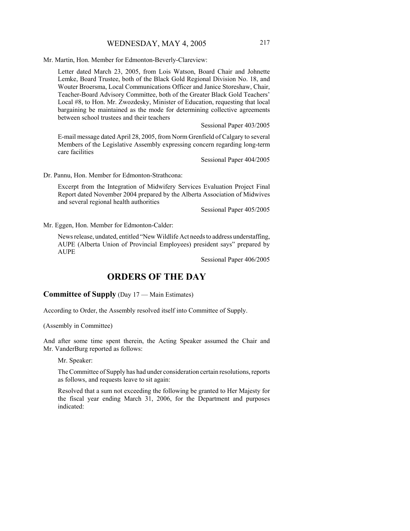Mr. Martin, Hon. Member for Edmonton-Beverly-Clareview:

Letter dated March 23, 2005, from Lois Watson, Board Chair and Johnette Lemke, Board Trustee, both of the Black Gold Regional Division No. 18, and Wouter Broersma, Local Communications Officer and Janice Storeshaw, Chair, Teacher-Board Advisory Committee, both of the Greater Black Gold Teachers' Local #8, to Hon. Mr. Zwozdesky, Minister of Education, requesting that local bargaining be maintained as the mode for determining collective agreements between school trustees and their teachers

Sessional Paper 403/2005

E-mail message dated April 28, 2005, from Norm Grenfield of Calgary to several Members of the Legislative Assembly expressing concern regarding long-term care facilities

Sessional Paper 404/2005

Dr. Pannu, Hon. Member for Edmonton-Strathcona:

Excerpt from the Integration of Midwifery Services Evaluation Project Final Report dated November 2004 prepared by the Alberta Association of Midwives and several regional health authorities

Sessional Paper 405/2005

Mr. Eggen, Hon. Member for Edmonton-Calder:

News release, undated, entitled "New Wildlife Act needs to address understaffing, AUPE (Alberta Union of Provincial Employees) president says" prepared by AUPE

Sessional Paper 406/2005

# **ORDERS OF THE DAY**

## **Committee of Supply** (Day 17 — Main Estimates)

According to Order, the Assembly resolved itself into Committee of Supply.

(Assembly in Committee)

And after some time spent therein, the Acting Speaker assumed the Chair and Mr. VanderBurg reported as follows:

Mr. Speaker:

The Committee of Supply has had under consideration certain resolutions, reports as follows, and requests leave to sit again:

Resolved that a sum not exceeding the following be granted to Her Majesty for the fiscal year ending March 31, 2006, for the Department and purposes indicated: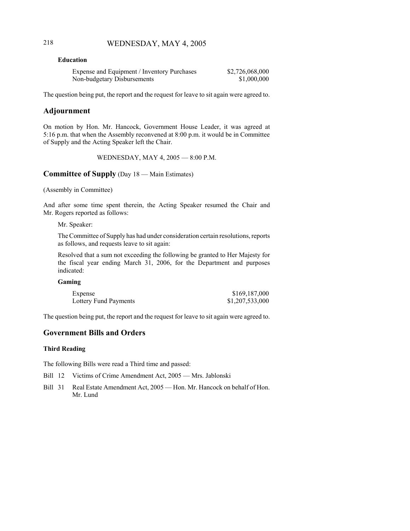## 218 WEDNESDAY, MAY 4, 2005

#### **Education**

| Expense and Equipment / Inventory Purchases | \$2,726,068,000 |
|---------------------------------------------|-----------------|
| Non-budgetary Disbursements                 | \$1,000,000     |

The question being put, the report and the request for leave to sit again were agreed to.

## **Adjournment**

On motion by Hon. Mr. Hancock, Government House Leader, it was agreed at 5:16 p.m. that when the Assembly reconvened at 8:00 p.m. it would be in Committee of Supply and the Acting Speaker left the Chair.

WEDNESDAY, MAY 4, 2005 — 8:00 P.M.

## **Committee of Supply** (Day 18 — Main Estimates)

(Assembly in Committee)

And after some time spent therein, the Acting Speaker resumed the Chair and Mr. Rogers reported as follows:

Mr. Speaker:

The Committee of Supply has had under consideration certain resolutions, reports as follows, and requests leave to sit again:

Resolved that a sum not exceeding the following be granted to Her Majesty for the fiscal year ending March 31, 2006, for the Department and purposes indicated:

### **Gaming**

| Expense               | \$169,187,000   |
|-----------------------|-----------------|
| Lottery Fund Payments | \$1,207,533,000 |

The question being put, the report and the request for leave to sit again were agreed to.

## **Government Bills and Orders**

#### **Third Reading**

The following Bills were read a Third time and passed:

- Bill 12 Victims of Crime Amendment Act, 2005 Mrs. Jablonski
- Bill 31 Real Estate Amendment Act, 2005 Hon. Mr. Hancock on behalf of Hon. Mr. Lund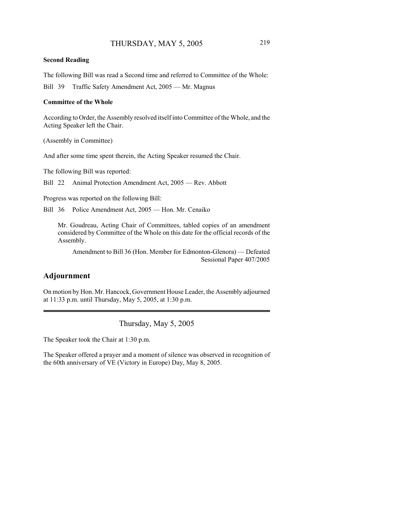#### **Second Reading**

The following Bill was read a Second time and referred to Committee of the Whole:

Bill 39 Traffic Safety Amendment Act, 2005 — Mr. Magnus

#### **Committee of the Whole**

According to Order, the Assembly resolved itself into Committee of the Whole, and the Acting Speaker left the Chair.

(Assembly in Committee)

And after some time spent therein, the Acting Speaker resumed the Chair.

The following Bill was reported:

Bill 22 Animal Protection Amendment Act, 2005 — Rev. Abbott

Progress was reported on the following Bill:

Bill 36 Police Amendment Act, 2005 — Hon. Mr. Cenaiko

Mr. Goudreau, Acting Chair of Committees, tabled copies of an amendment considered by Committee of the Whole on this date for the official records of the Assembly.

Amendment to Bill 36 (Hon. Member for Edmonton-Glenora) — Defeated Sessional Paper 407/2005

## **Adjournment**

On motion by Hon. Mr. Hancock, Government House Leader, the Assembly adjourned at 11:33 p.m. until Thursday, May 5, 2005, at 1:30 p.m.

Thursday, May 5, 2005

The Speaker took the Chair at 1:30 p.m.

The Speaker offered a prayer and a moment of silence was observed in recognition of the 60th anniversary of VE (Victory in Europe) Day, May 8, 2005.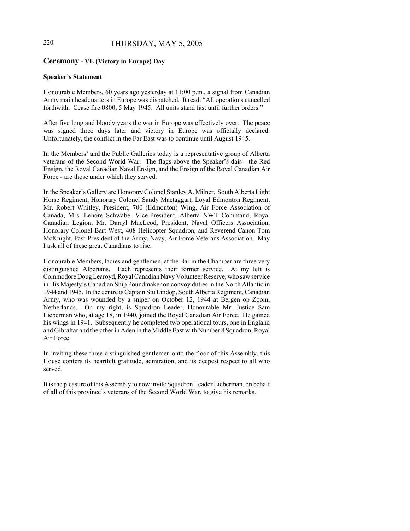## 220 THURSDAY, MAY 5, 2005

### **Ceremony - VE (Victory in Europe) Day**

#### **Speaker's Statement**

Honourable Members, 60 years ago yesterday at 11:00 p.m., a signal from Canadian Army main headquarters in Europe was dispatched. It read: "All operations cancelled forthwith. Cease fire 0800, 5 May 1945. All units stand fast until further orders."

After five long and bloody years the war in Europe was effectively over. The peace was signed three days later and victory in Europe was officially declared. Unfortunately, the conflict in the Far East was to continue until August 1945.

In the Members' and the Public Galleries today is a representative group of Alberta veterans of the Second World War. The flags above the Speaker's dais - the Red Ensign, the Royal Canadian Naval Ensign, and the Ensign of the Royal Canadian Air Force - are those under which they served.

In the Speaker's Gallery are Honorary Colonel Stanley A. Milner, South Alberta Light Horse Regiment, Honorary Colonel Sandy Mactaggart, Loyal Edmonton Regiment, Mr. Robert Whitley, President, 700 (Edmonton) Wing, Air Force Association of Canada, Mrs. Lenore Schwabe, Vice-President, Alberta NWT Command, Royal Canadian Legion, Mr. Darryl MacLeod, President, Naval Officers Association, Honorary Colonel Bart West, 408 Helicopter Squadron, and Reverend Canon Tom McKnight, Past-President of the Army, Navy, Air Force Veterans Association. May I ask all of these great Canadians to rise.

Honourable Members, ladies and gentlemen, at the Bar in the Chamber are three very distinguished Albertans. Each represents their former service. At my left is Commodore Doug Learoyd, Royal Canadian Navy Volunteer Reserve, who saw service in His Majesty's Canadian Ship Poundmaker on convoy duties in the North Atlantic in 1944 and 1945. In the centre is Captain Stu Lindop, South Alberta Regiment, Canadian Army, who was wounded by a sniper on October 12, 1944 at Bergen op Zoom, Netherlands. On my right, is Squadron Leader, Honourable Mr. Justice Sam Lieberman who, at age 18, in 1940, joined the Royal Canadian Air Force. He gained his wings in 1941. Subsequently he completed two operational tours, one in England and Gibraltar and the other in Aden in the Middle East with Number 8 Squadron, Royal Air Force.

In inviting these three distinguished gentlemen onto the floor of this Assembly, this House confers its heartfelt gratitude, admiration, and its deepest respect to all who served.

It is the pleasure of this Assembly to now invite Squadron Leader Lieberman, on behalf of all of this province's veterans of the Second World War, to give his remarks.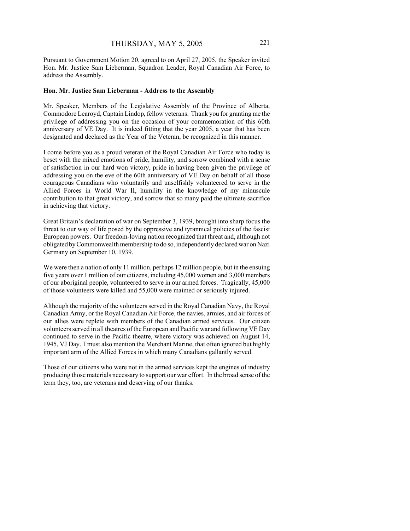Pursuant to Government Motion 20, agreed to on April 27, 2005, the Speaker invited Hon. Mr. Justice Sam Lieberman, Squadron Leader, Royal Canadian Air Force, to address the Assembly.

#### **Hon. Mr. Justice Sam Lieberman - Address to the Assembly**

Mr. Speaker, Members of the Legislative Assembly of the Province of Alberta, Commodore Learoyd, Captain Lindop, fellow veterans. Thank you for granting me the privilege of addressing you on the occasion of your commemoration of this 60th anniversary of VE Day. It is indeed fitting that the year 2005, a year that has been designated and declared as the Year of the Veteran, be recognized in this manner.

I come before you as a proud veteran of the Royal Canadian Air Force who today is beset with the mixed emotions of pride, humility, and sorrow combined with a sense of satisfaction in our hard won victory, pride in having been given the privilege of addressing you on the eve of the 60th anniversary of VE Day on behalf of all those courageous Canadians who voluntarily and unselfishly volunteered to serve in the Allied Forces in World War II, humility in the knowledge of my minuscule contribution to that great victory, and sorrow that so many paid the ultimate sacrifice in achieving that victory.

Great Britain's declaration of war on September 3, 1939, brought into sharp focus the threat to our way of life posed by the oppressive and tyrannical policies of the fascist European powers. Our freedom-loving nation recognized that threat and, although not obligated by Commonwealth membership to do so, independently declared war on Nazi Germany on September 10, 1939.

We were then a nation of only 11 million, perhaps 12 million people, but in the ensuing five years over 1 million of our citizens, including 45,000 women and 3,000 members of our aboriginal people, volunteered to serve in our armed forces. Tragically, 45,000 of those volunteers were killed and 55,000 were maimed or seriously injured.

Although the majority of the volunteers served in the Royal Canadian Navy, the Royal Canadian Army, or the Royal Canadian Air Force, the navies, armies, and air forces of our allies were replete with members of the Canadian armed services. Our citizen volunteers served in all theatres of the European and Pacific war and following VE Day continued to serve in the Pacific theatre, where victory was achieved on August 14, 1945, VJ Day. I must also mention the Merchant Marine, that often ignored but highly important arm of the Allied Forces in which many Canadians gallantly served.

Those of our citizens who were not in the armed services kept the engines of industry producing those materials necessary to support our war effort. In the broad sense of the term they, too, are veterans and deserving of our thanks.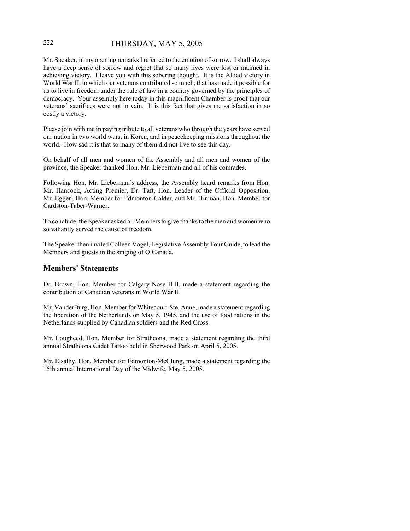## 222 THURSDAY, MAY 5, 2005

Mr. Speaker, in my opening remarks I referred to the emotion of sorrow. I shall always have a deep sense of sorrow and regret that so many lives were lost or maimed in achieving victory. I leave you with this sobering thought. It is the Allied victory in World War II, to which our veterans contributed so much, that has made it possible for us to live in freedom under the rule of law in a country governed by the principles of democracy. Your assembly here today in this magnificent Chamber is proof that our veterans' sacrifices were not in vain. It is this fact that gives me satisfaction in so costly a victory.

Please join with me in paying tribute to all veterans who through the years have served our nation in two world wars, in Korea, and in peacekeeping missions throughout the world. How sad it is that so many of them did not live to see this day.

On behalf of all men and women of the Assembly and all men and women of the province, the Speaker thanked Hon. Mr. Lieberman and all of his comrades.

Following Hon. Mr. Lieberman's address, the Assembly heard remarks from Hon. Mr. Hancock, Acting Premier, Dr. Taft, Hon. Leader of the Official Opposition, Mr. Eggen, Hon. Member for Edmonton-Calder, and Mr. Hinman, Hon. Member for Cardston-Taber-Warner.

To conclude, the Speaker asked all Members to give thanks to the men and women who so valiantly served the cause of freedom.

The Speaker then invited Colleen Vogel, Legislative Assembly Tour Guide, to lead the Members and guests in the singing of O Canada.

## **Members' Statements**

Dr. Brown, Hon. Member for Calgary-Nose Hill, made a statement regarding the contribution of Canadian veterans in World War II.

Mr. VanderBurg, Hon. Member for Whitecourt-Ste. Anne, made a statement regarding the liberation of the Netherlands on May 5, 1945, and the use of food rations in the Netherlands supplied by Canadian soldiers and the Red Cross.

Mr. Lougheed, Hon. Member for Strathcona, made a statement regarding the third annual Strathcona Cadet Tattoo held in Sherwood Park on April 5, 2005.

Mr. Elsalhy, Hon. Member for Edmonton-McClung, made a statement regarding the 15th annual International Day of the Midwife, May 5, 2005.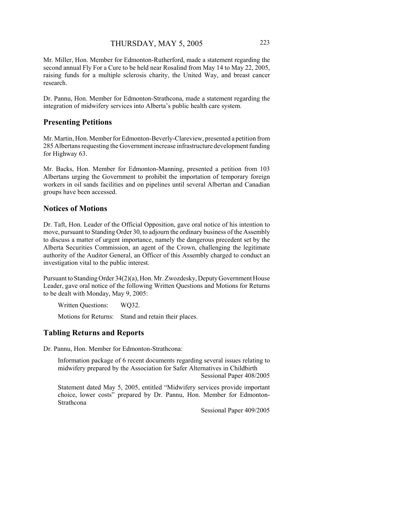Mr. Miller, Hon. Member for Edmonton-Rutherford, made a statement regarding the second annual Fly For a Cure to be held near Rosalind from May 14 to May 22, 2005, raising funds for a multiple sclerosis charity, the United Way, and breast cancer research.

Dr. Pannu, Hon. Member for Edmonton-Strathcona, made a statement regarding the integration of midwifery services into Alberta's public health care system.

### **Presenting Petitions**

Mr. Martin, Hon. Member for Edmonton-Beverly-Clareview, presented a petition from 285 Albertans requesting the Government increase infrastructure development funding for Highway 63.

Mr. Backs, Hon. Member for Edmonton-Manning, presented a petition from 103 Albertans urging the Government to prohibit the importation of temporary foreign workers in oil sands facilities and on pipelines until several Albertan and Canadian groups have been accessed.

## **Notices of Motions**

Dr. Taft, Hon. Leader of the Official Opposition, gave oral notice of his intention to move, pursuant to Standing Order 30, to adjourn the ordinary business of the Assembly to discuss a matter of urgent importance, namely the dangerous precedent set by the Alberta Securities Commission, an agent of the Crown, challenging the legitimate authority of the Auditor General, an Officer of this Assembly charged to conduct an investigation vital to the public interest.

Pursuant to Standing Order 34(2)(a), Hon. Mr. Zwozdesky, Deputy Government House Leader, gave oral notice of the following Written Questions and Motions for Returns to be dealt with Monday, May 9, 2005:

Written Questions: WQ32.

Motions for Returns: Stand and retain their places.

## **Tabling Returns and Reports**

Dr. Pannu, Hon. Member for Edmonton-Strathcona:

Information package of 6 recent documents regarding several issues relating to midwifery prepared by the Association for Safer Alternatives in Childbirth Sessional Paper 408/2005

Statement dated May 5, 2005, entitled "Midwifery services provide important choice, lower costs" prepared by Dr. Pannu, Hon. Member for Edmonton-Strathcona

Sessional Paper 409/2005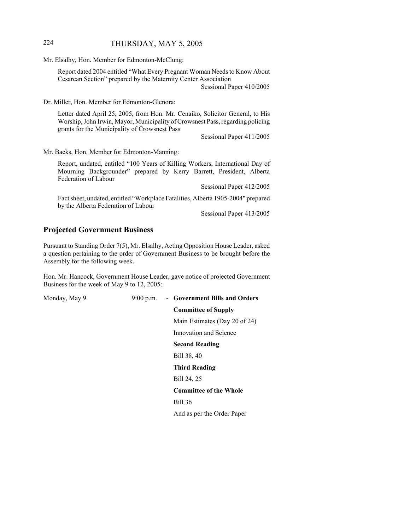## 224 THURSDAY, MAY 5, 2005

Mr. Elsalhy, Hon. Member for Edmonton-McClung:

Report dated 2004 entitled "What Every Pregnant Woman Needs to Know About Cesarean Section" prepared by the Maternity Center Association Sessional Paper 410/2005

Dr. Miller, Hon. Member for Edmonton-Glenora:

Letter dated April 25, 2005, from Hon. Mr. Cenaiko, Solicitor General, to His Worship, John Irwin, Mayor, Municipality of Crowsnest Pass, regarding policing grants for the Municipality of Crowsnest Pass

Sessional Paper 411/2005

Mr. Backs, Hon. Member for Edmonton-Manning:

Report, undated, entitled "100 Years of Killing Workers, International Day of Mourning Backgrounder" prepared by Kerry Barrett, President, Alberta Federation of Labour

Sessional Paper 412/2005

Fact sheet, undated, entitled "Workplace Fatalities, Alberta 1905-2004" prepared by the Alberta Federation of Labour

Sessional Paper 413/2005

#### **Projected Government Business**

Pursuant to Standing Order 7(5), Mr. Elsalhy, Acting Opposition House Leader, asked a question pertaining to the order of Government Business to be brought before the Assembly for the following week.

Hon. Mr. Hancock, Government House Leader, gave notice of projected Government Business for the week of May 9 to 12, 2005:

Monday, May 9 9:00 p.m. - **Government Bills and Orders Committee of Supply** Main Estimates (Day 20 of 24) Innovation and Science **Second Reading** Bill 38, 40 **Third Reading** Bill 24, 25 **Committee of the Whole** Bill 36 And as per the Order Paper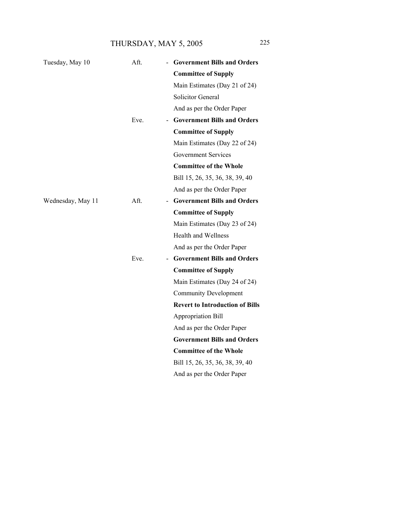THURSDAY, MAY 5, 2005 225

| Aft. | <b>Government Bills and Orders</b>                             |
|------|----------------------------------------------------------------|
|      | <b>Committee of Supply</b>                                     |
|      | Main Estimates (Day 21 of 24)                                  |
|      | <b>Solicitor General</b>                                       |
|      | And as per the Order Paper                                     |
| Eve. | - Government Bills and Orders                                  |
|      | <b>Committee of Supply</b>                                     |
|      | Main Estimates (Day 22 of 24)                                  |
|      | <b>Government Services</b>                                     |
|      | <b>Committee of the Whole</b>                                  |
|      | Bill 15, 26, 35, 36, 38, 39, 40                                |
|      | And as per the Order Paper                                     |
| Aft. | <b>Government Bills and Orders</b><br>$\overline{\phantom{0}}$ |
|      | <b>Committee of Supply</b>                                     |
|      | Main Estimates (Day 23 of 24)                                  |
|      | <b>Health and Wellness</b>                                     |
|      | And as per the Order Paper                                     |
| Eve. | - Government Bills and Orders                                  |
|      | <b>Committee of Supply</b>                                     |
|      | Main Estimates (Day 24 of 24)                                  |
|      | <b>Community Development</b>                                   |
|      | <b>Revert to Introduction of Bills</b>                         |
|      | Appropriation Bill                                             |
|      | And as per the Order Paper                                     |
|      | <b>Government Bills and Orders</b>                             |
|      | <b>Committee of the Whole</b>                                  |
|      | Bill 15, 26, 35, 36, 38, 39, 40                                |
|      | And as per the Order Paper                                     |
|      |                                                                |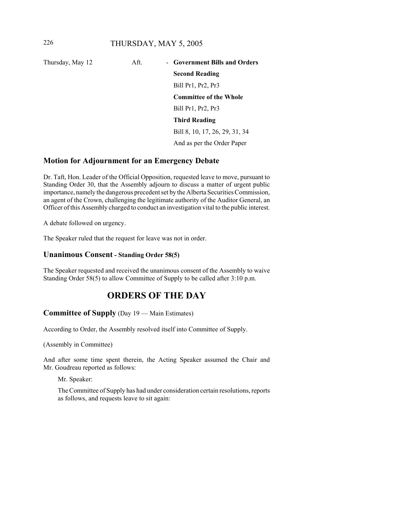| Thursday, May 12 | Aft. | - Government Bills and Orders  |
|------------------|------|--------------------------------|
|                  |      | <b>Second Reading</b>          |
|                  |      | Bill Pr1, Pr2, Pr3             |
|                  |      | <b>Committee of the Whole</b>  |
|                  |      | Bill Pr1, Pr2, Pr3             |
|                  |      | <b>Third Reading</b>           |
|                  |      | Bill 8, 10, 17, 26, 29, 31, 34 |
|                  |      | And as per the Order Paper     |

## **Motion for Adjournment for an Emergency Debate**

Dr. Taft, Hon. Leader of the Official Opposition, requested leave to move, pursuant to Standing Order 30, that the Assembly adjourn to discuss a matter of urgent public importance, namely the dangerous precedent set by the Alberta Securities Commission, an agent of the Crown, challenging the legitimate authority of the Auditor General, an Officer of this Assembly charged to conduct an investigation vital to the public interest.

A debate followed on urgency.

The Speaker ruled that the request for leave was not in order.

## **Unanimous Consent - Standing Order 58(5)**

The Speaker requested and received the unanimous consent of the Assembly to waive Standing Order 58(5) to allow Committee of Supply to be called after 3:10 p.m.

# **ORDERS OF THE DAY**

## **Committee of Supply** (Day 19 — Main Estimates)

According to Order, the Assembly resolved itself into Committee of Supply.

(Assembly in Committee)

And after some time spent therein, the Acting Speaker assumed the Chair and Mr. Goudreau reported as follows:

Mr. Speaker:

The Committee of Supply has had under consideration certain resolutions, reports as follows, and requests leave to sit again: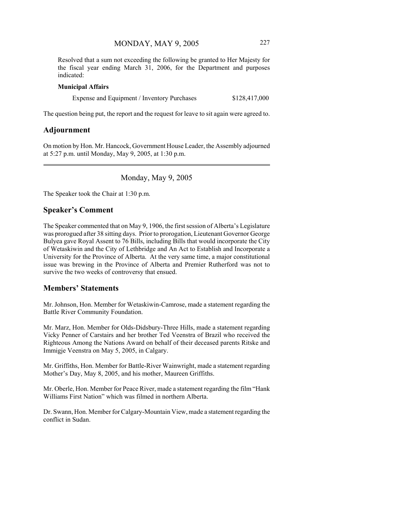Resolved that a sum not exceeding the following be granted to Her Majesty for the fiscal year ending March 31, 2006, for the Department and purposes indicated:

#### **Municipal Affairs**

Expense and Equipment / Inventory Purchases \$128,417,000

The question being put, the report and the request for leave to sit again were agreed to.

## **Adjournment**

On motion by Hon. Mr. Hancock, Government House Leader, the Assembly adjourned at 5:27 p.m. until Monday, May 9, 2005, at 1:30 p.m.

Monday, May 9, 2005

The Speaker took the Chair at 1:30 p.m.

## **Speaker's Comment**

The Speaker commented that on May 9, 1906, the first session of Alberta's Legislature was prorogued after 38 sitting days. Prior to prorogation, Lieutenant Governor George Bulyea gave Royal Assent to 76 Bills, including Bills that would incorporate the City of Wetaskiwin and the City of Lethbridge and An Act to Establish and Incorporate a University for the Province of Alberta. At the very same time, a major constitutional issue was brewing in the Province of Alberta and Premier Rutherford was not to survive the two weeks of controversy that ensued.

### **Members' Statements**

Mr. Johnson, Hon. Member for Wetaskiwin-Camrose, made a statement regarding the Battle River Community Foundation.

Mr. Marz, Hon. Member for Olds-Didsbury-Three Hills, made a statement regarding Vicky Penner of Carstairs and her brother Ted Veenstra of Brazil who received the Righteous Among the Nations Award on behalf of their deceased parents Ritske and Immigje Veenstra on May 5, 2005, in Calgary.

Mr. Griffiths, Hon. Member for Battle-River Wainwright, made a statement regarding Mother's Day, May 8, 2005, and his mother, Maureen Griffiths.

Mr. Oberle, Hon. Member for Peace River, made a statement regarding the film "Hank Williams First Nation" which was filmed in northern Alberta.

Dr. Swann, Hon. Member for Calgary-Mountain View, made a statement regarding the conflict in Sudan.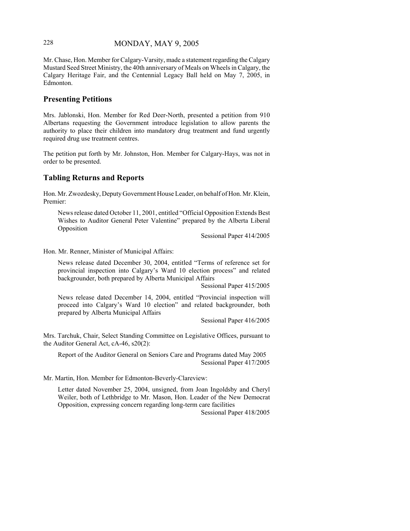## 228 MONDAY, MAY 9, 2005

Mr. Chase, Hon. Member for Calgary-Varsity, made a statement regarding the Calgary Mustard Seed Street Ministry, the 40th anniversary of Meals on Wheels in Calgary, the Calgary Heritage Fair, and the Centennial Legacy Ball held on May 7, 2005, in Edmonton.

## **Presenting Petitions**

Mrs. Jablonski, Hon. Member for Red Deer-North, presented a petition from 910 Albertans requesting the Government introduce legislation to allow parents the authority to place their children into mandatory drug treatment and fund urgently required drug use treatment centres.

The petition put forth by Mr. Johnston, Hon. Member for Calgary-Hays, was not in order to be presented.

## **Tabling Returns and Reports**

Hon. Mr. Zwozdesky, Deputy Government House Leader, on behalf of Hon. Mr. Klein, Premier:

News release dated October 11, 2001, entitled "Official Opposition Extends Best Wishes to Auditor General Peter Valentine" prepared by the Alberta Liberal Opposition

Sessional Paper 414/2005

Hon. Mr. Renner, Minister of Municipal Affairs:

News release dated December 30, 2004, entitled "Terms of reference set for provincial inspection into Calgary's Ward 10 election process" and related backgrounder, both prepared by Alberta Municipal Affairs

Sessional Paper 415/2005

News release dated December 14, 2004, entitled "Provincial inspection will proceed into Calgary's Ward 10 election" and related backgrounder, both prepared by Alberta Municipal Affairs

Sessional Paper 416/2005

Mrs. Tarchuk, Chair, Select Standing Committee on Legislative Offices, pursuant to the Auditor General Act, cA-46, s20(2):

Report of the Auditor General on Seniors Care and Programs dated May 2005 Sessional Paper 417/2005

Mr. Martin, Hon. Member for Edmonton-Beverly-Clareview:

Letter dated November 25, 2004, unsigned, from Joan Ingoldsby and Cheryl Weiler, both of Lethbridge to Mr. Mason, Hon. Leader of the New Democrat Opposition, expressing concern regarding long-term care facilities

Sessional Paper 418/2005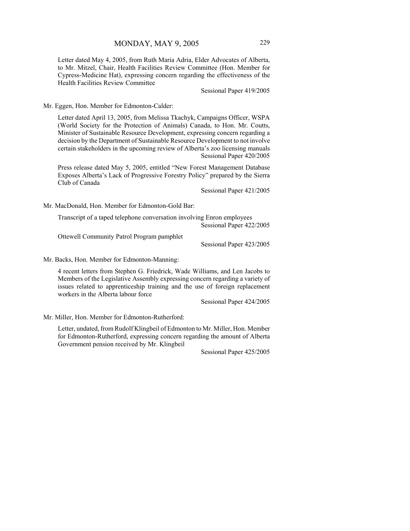Letter dated May 4, 2005, from Ruth Maria Adria, Elder Advocates of Alberta, to Mr. Mitzel, Chair, Health Facilities Review Committee (Hon. Member for Cypress-Medicine Hat), expressing concern regarding the effectiveness of the Health Facilities Review Committee

Sessional Paper 419/2005

Mr. Eggen, Hon. Member for Edmonton-Calder:

Letter dated April 13, 2005, from Melissa Tkachyk, Campaigns Officer, WSPA (World Society for the Protection of Animals) Canada, to Hon. Mr. Coutts, Minister of Sustainable Resource Development, expressing concern regarding a decision by the Department of Sustainable Resource Development to not involve certain stakeholders in the upcoming review of Alberta's zoo licensing manuals Sessional Paper 420/2005

Press release dated May 5, 2005, entitled "New Forest Management Database Exposes Alberta's Lack of Progressive Forestry Policy" prepared by the Sierra Club of Canada

Sessional Paper 421/2005

Mr. MacDonald, Hon. Member for Edmonton-Gold Bar:

Transcript of a taped telephone conversation involving Enron employees Sessional Paper 422/2005

Ottewell Community Patrol Program pamphlet

Sessional Paper 423/2005

Mr. Backs, Hon. Member for Edmonton-Manning:

4 recent letters from Stephen G. Friedrick, Wade Williams, and Len Jacobs to Members of the Legislative Assembly expressing concern regarding a variety of issues related to apprenticeship training and the use of foreign replacement workers in the Alberta labour force

Sessional Paper 424/2005

Mr. Miller, Hon. Member for Edmonton-Rutherford:

Letter, undated, from Rudolf Klingbeil of Edmonton to Mr. Miller, Hon. Member for Edmonton-Rutherford, expressing concern regarding the amount of Alberta Government pension received by Mr. Klingbeil

Sessional Paper 425/2005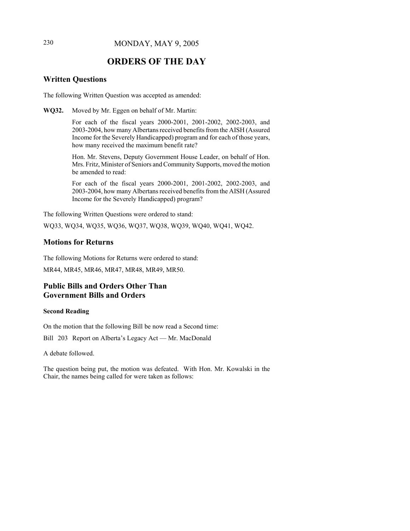# **ORDERS OF THE DAY**

## **Written Questions**

The following Written Question was accepted as amended:

**WQ32.** Moved by Mr. Eggen on behalf of Mr. Martin:

For each of the fiscal years 2000-2001, 2001-2002, 2002-2003, and 2003-2004, how many Albertans received benefits from the AISH (Assured Income for the Severely Handicapped) program and for each of those years, how many received the maximum benefit rate?

Hon. Mr. Stevens, Deputy Government House Leader, on behalf of Hon. Mrs. Fritz, Minister of Seniors and Community Supports, moved the motion be amended to read:

For each of the fiscal years 2000-2001, 2001-2002, 2002-2003, and 2003-2004, how many Albertans received benefits from the AISH (Assured Income for the Severely Handicapped) program?

The following Written Questions were ordered to stand:

WQ33, WQ34, WQ35, WQ36, WQ37, WQ38, WQ39, WQ40, WQ41, WQ42.

## **Motions for Returns**

The following Motions for Returns were ordered to stand:

MR44, MR45, MR46, MR47, MR48, MR49, MR50.

## **Public Bills and Orders Other Than Government Bills and Orders**

#### **Second Reading**

On the motion that the following Bill be now read a Second time:

Bill 203 Report on Alberta's Legacy Act — Mr. MacDonald

A debate followed.

The question being put, the motion was defeated. With Hon. Mr. Kowalski in the Chair, the names being called for were taken as follows: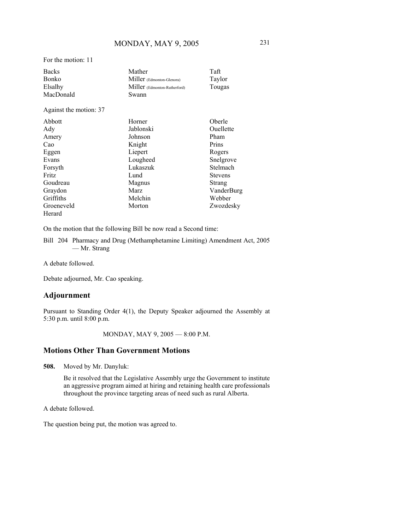For the motion: 11

| <b>Backs</b>           | Mather                       | Taft           |
|------------------------|------------------------------|----------------|
| Bonko                  | Miller (Edmonton-Glenora)    | Taylor         |
| Elsalhy                | Miller (Edmonton-Rutherford) | Tougas         |
| MacDonald              | Swann                        |                |
| Against the motion: 37 |                              |                |
| Abbott                 | Horner                       | Oberle         |
| Ady                    | Jablonski                    | Ouellette      |
| Amery                  | Johnson                      | Pham           |
| Cao                    | Knight                       | Prins          |
| Eggen                  | Liepert                      | Rogers         |
| Evans                  | Lougheed                     | Snelgrove      |
| Forsyth                | Lukaszuk                     | Stelmach       |
| Fritz                  | Lund                         | <b>Stevens</b> |
| Goudreau               | Magnus                       | Strang         |
| Graydon                | Marz                         | VanderBurg     |
| Griffiths              | Melchin                      | Webber         |
| Groeneveld             | Morton                       | Zwozdesky      |
| Herard                 |                              |                |

On the motion that the following Bill be now read a Second time:

Bill 204 Pharmacy and Drug (Methamphetamine Limiting) Amendment Act, 2005 — Mr. Strang

A debate followed.

Debate adjourned, Mr. Cao speaking.

## **Adjournment**

Pursuant to Standing Order 4(1), the Deputy Speaker adjourned the Assembly at 5:30 p.m. until 8:00 p.m.

MONDAY, MAY 9, 2005 — 8:00 P.M.

## **Motions Other Than Government Motions**

**508.** Moved by Mr. Danyluk:

Be it resolved that the Legislative Assembly urge the Government to institute an aggressive program aimed at hiring and retaining health care professionals throughout the province targeting areas of need such as rural Alberta.

A debate followed.

The question being put, the motion was agreed to.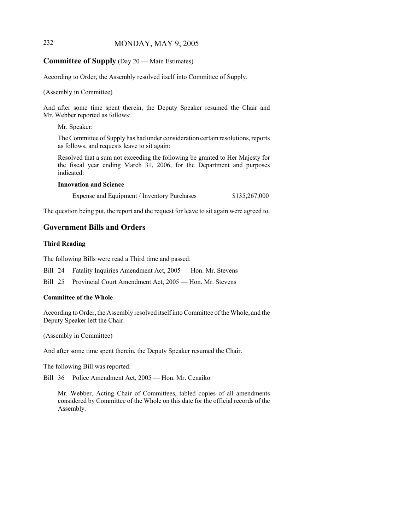## 232 MONDAY, MAY 9, 2005

## **Committee of Supply** (Day 20 — Main Estimates)

According to Order, the Assembly resolved itself into Committee of Supply.

(Assembly in Committee)

And after some time spent therein, the Deputy Speaker resumed the Chair and Mr. Webber reported as follows:

Mr. Speaker:

The Committee of Supply has had under consideration certain resolutions, reports as follows, and requests leave to sit again:

Resolved that a sum not exceeding the following be granted to Her Majesty for the fiscal year ending March 31, 2006, for the Department and purposes indicated:

#### **Innovation and Science**

Expense and Equipment / Inventory Purchases \$135,267,000

The question being put, the report and the request for leave to sit again were agreed to.

#### **Government Bills and Orders**

#### **Third Reading**

The following Bills were read a Third time and passed:

Bill 24 Fatality Inquiries Amendment Act, 2005 — Hon. Mr. Stevens

Bill 25 Provincial Court Amendment Act, 2005 — Hon. Mr. Stevens

#### **Committee of the Whole**

According to Order, the Assembly resolved itself into Committee of the Whole, and the Deputy Speaker left the Chair.

(Assembly in Committee)

And after some time spent therein, the Deputy Speaker resumed the Chair.

The following Bill was reported:

Bill 36 Police Amendment Act, 2005 — Hon. Mr. Cenaiko

Mr. Webber, Acting Chair of Committees, tabled copies of all amendments considered by Committee of the Whole on this date for the official records of the Assembly.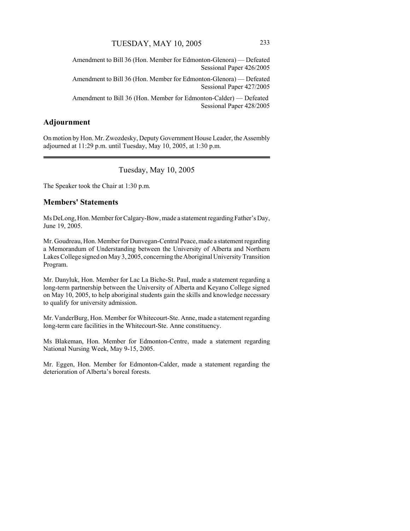Amendment to Bill 36 (Hon. Member for Edmonton-Glenora) — Defeated Sessional Paper 426/2005

Amendment to Bill 36 (Hon. Member for Edmonton-Glenora) — Defeated Sessional Paper 427/2005

Amendment to Bill 36 (Hon. Member for Edmonton-Calder) — Defeated Sessional Paper 428/2005

## **Adjournment**

On motion by Hon. Mr. Zwozdesky, Deputy Government House Leader, the Assembly adjourned at 11:29 p.m. until Tuesday, May 10, 2005, at 1:30 p.m.

Tuesday, May 10, 2005

The Speaker took the Chair at 1:30 p.m.

### **Members' Statements**

Ms DeLong, Hon. Member for Calgary-Bow, made a statement regarding Father's Day, June 19, 2005.

Mr. Goudreau, Hon. Member for Dunvegan-Central Peace, made a statement regarding a Memorandum of Understanding between the University of Alberta and Northern Lakes College signed on May 3, 2005, concerning the Aboriginal University Transition Program.

Mr. Danyluk, Hon. Member for Lac La Biche-St. Paul, made a statement regarding a long-term partnership between the University of Alberta and Keyano College signed on May 10, 2005, to help aboriginal students gain the skills and knowledge necessary to qualify for university admission.

Mr. VanderBurg, Hon. Member for Whitecourt-Ste. Anne, made a statement regarding long-term care facilities in the Whitecourt-Ste. Anne constituency.

Ms Blakeman, Hon. Member for Edmonton-Centre, made a statement regarding National Nursing Week, May 9-15, 2005.

Mr. Eggen, Hon. Member for Edmonton-Calder, made a statement regarding the deterioration of Alberta's boreal forests.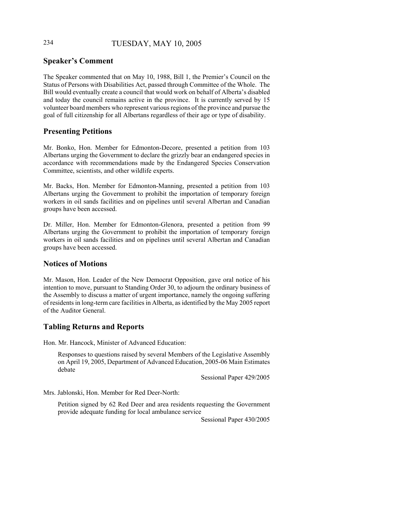## 234 TUESDAY, MAY 10, 2005

## **Speaker's Comment**

The Speaker commented that on May 10, 1988, Bill 1, the Premier's Council on the Status of Persons with Disabilities Act, passed through Committee of the Whole. The Bill would eventually create a council that would work on behalf of Alberta's disabled and today the council remains active in the province. It is currently served by 15 volunteer board members who represent various regions of the province and pursue the goal of full citizenship for all Albertans regardless of their age or type of disability.

## **Presenting Petitions**

Mr. Bonko, Hon. Member for Edmonton-Decore, presented a petition from 103 Albertans urging the Government to declare the grizzly bear an endangered species in accordance with recommendations made by the Endangered Species Conservation Committee, scientists, and other wildlife experts.

Mr. Backs, Hon. Member for Edmonton-Manning, presented a petition from 103 Albertans urging the Government to prohibit the importation of temporary foreign workers in oil sands facilities and on pipelines until several Albertan and Canadian groups have been accessed.

Dr. Miller, Hon. Member for Edmonton-Glenora, presented a petition from 99 Albertans urging the Government to prohibit the importation of temporary foreign workers in oil sands facilities and on pipelines until several Albertan and Canadian groups have been accessed.

### **Notices of Motions**

Mr. Mason, Hon. Leader of the New Democrat Opposition, gave oral notice of his intention to move, pursuant to Standing Order 30, to adjourn the ordinary business of the Assembly to discuss a matter of urgent importance, namely the ongoing suffering of residents in long-term care facilities in Alberta, as identified by the May 2005 report of the Auditor General.

## **Tabling Returns and Reports**

Hon. Mr. Hancock, Minister of Advanced Education:

Responses to questions raised by several Members of the Legislative Assembly on April 19, 2005, Department of Advanced Education, 2005-06 Main Estimates debate

Sessional Paper 429/2005

Mrs. Jablonski, Hon. Member for Red Deer-North:

Petition signed by 62 Red Deer and area residents requesting the Government provide adequate funding for local ambulance service

Sessional Paper 430/2005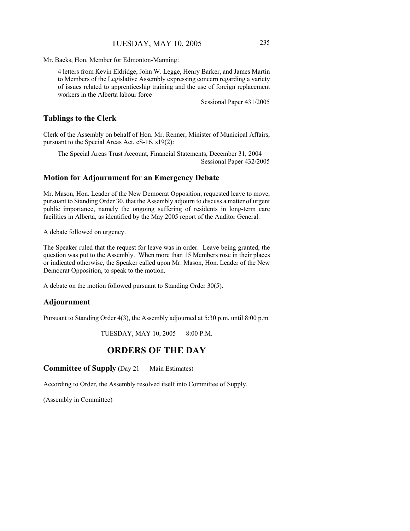Mr. Backs, Hon. Member for Edmonton-Manning:

4 letters from Kevin Eldridge, John W. Legge, Henry Barker, and James Martin to Members of the Legislative Assembly expressing concern regarding a variety of issues related to apprenticeship training and the use of foreign replacement workers in the Alberta labour force

Sessional Paper 431/2005

### **Tablings to the Clerk**

Clerk of the Assembly on behalf of Hon. Mr. Renner, Minister of Municipal Affairs, pursuant to the Special Areas Act, cS-16, s19(2):

The Special Areas Trust Account, Financial Statements, December 31, 2004 Sessional Paper 432/2005

#### **Motion for Adjournment for an Emergency Debate**

Mr. Mason, Hon. Leader of the New Democrat Opposition, requested leave to move, pursuant to Standing Order 30, that the Assembly adjourn to discuss a matter of urgent public importance, namely the ongoing suffering of residents in long-term care facilities in Alberta, as identified by the May 2005 report of the Auditor General.

A debate followed on urgency.

The Speaker ruled that the request for leave was in order. Leave being granted, the question was put to the Assembly. When more than 15 Members rose in their places or indicated otherwise, the Speaker called upon Mr. Mason, Hon. Leader of the New Democrat Opposition, to speak to the motion.

A debate on the motion followed pursuant to Standing Order 30(5).

#### **Adjournment**

Pursuant to Standing Order 4(3), the Assembly adjourned at 5:30 p.m. until 8:00 p.m.

TUESDAY, MAY 10, 2005 — 8:00 P.M.

## **ORDERS OF THE DAY**

**Committee of Supply** (Day 21 — Main Estimates)

According to Order, the Assembly resolved itself into Committee of Supply.

(Assembly in Committee)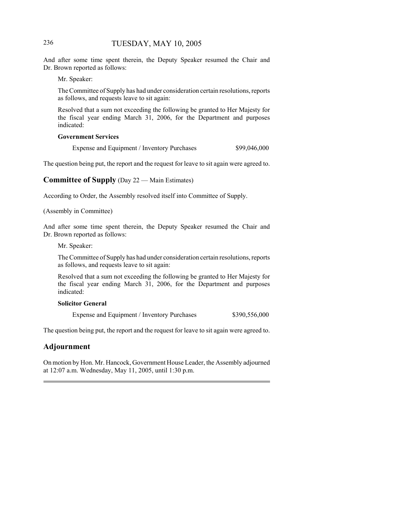## 236 TUESDAY, MAY 10, 2005

And after some time spent therein, the Deputy Speaker resumed the Chair and Dr. Brown reported as follows:

Mr. Speaker:

The Committee of Supply has had under consideration certain resolutions, reports as follows, and requests leave to sit again:

Resolved that a sum not exceeding the following be granted to Her Majesty for the fiscal year ending March 31, 2006, for the Department and purposes indicated:

#### **Government Services**

Expense and Equipment / Inventory Purchases  $$99,046,000$ 

The question being put, the report and the request for leave to sit again were agreed to.

## **Committee of Supply** (Day 22 — Main Estimates)

According to Order, the Assembly resolved itself into Committee of Supply.

(Assembly in Committee)

And after some time spent therein, the Deputy Speaker resumed the Chair and Dr. Brown reported as follows:

Mr. Speaker:

The Committee of Supply has had under consideration certain resolutions, reports as follows, and requests leave to sit again:

Resolved that a sum not exceeding the following be granted to Her Majesty for the fiscal year ending March 31, 2006, for the Department and purposes indicated:

#### **Solicitor General**

Expense and Equipment / Inventory Purchases \$390,556,000

The question being put, the report and the request for leave to sit again were agreed to.

## **Adjournment**

On motion by Hon. Mr. Hancock, Government House Leader, the Assembly adjourned at 12:07 a.m. Wednesday, May 11, 2005, until 1:30 p.m.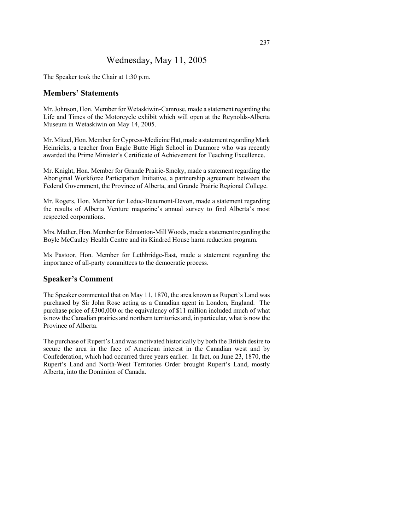## Wednesday, May 11, 2005

The Speaker took the Chair at 1:30 p.m.

## **Members' Statements**

Mr. Johnson, Hon. Member for Wetaskiwin-Camrose, made a statement regarding the Life and Times of the Motorcycle exhibit which will open at the Reynolds-Alberta Museum in Wetaskiwin on May 14, 2005.

Mr. Mitzel, Hon. Member for Cypress-Medicine Hat, made a statement regarding Mark Heinricks, a teacher from Eagle Butte High School in Dunmore who was recently awarded the Prime Minister's Certificate of Achievement for Teaching Excellence.

Mr. Knight, Hon. Member for Grande Prairie-Smoky, made a statement regarding the Aboriginal Workforce Participation Initiative, a partnership agreement between the Federal Government, the Province of Alberta, and Grande Prairie Regional College.

Mr. Rogers, Hon. Member for Leduc-Beaumont-Devon, made a statement regarding the results of Alberta Venture magazine's annual survey to find Alberta's most respected corporations.

Mrs. Mather, Hon. Member for Edmonton-Mill Woods, made a statement regarding the Boyle McCauley Health Centre and its Kindred House harm reduction program.

Ms Pastoor, Hon. Member for Lethbridge-East, made a statement regarding the importance of all-party committees to the democratic process.

### **Speaker's Comment**

The Speaker commented that on May 11, 1870, the area known as Rupert's Land was purchased by Sir John Rose acting as a Canadian agent in London, England. The purchase price of £300,000 or the equivalency of \$11 million included much of what is now the Canadian prairies and northern territories and, in particular, what is now the Province of Alberta.

The purchase of Rupert's Land was motivated historically by both the British desire to secure the area in the face of American interest in the Canadian west and by Confederation, which had occurred three years earlier. In fact, on June 23, 1870, the Rupert's Land and North-West Territories Order brought Rupert's Land, mostly Alberta, into the Dominion of Canada.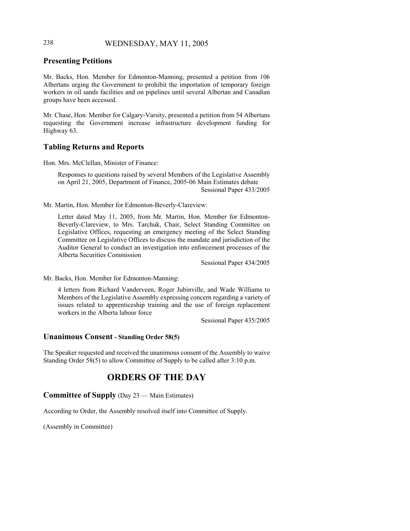## 238 WEDNESDAY, MAY 11, 2005

## **Presenting Petitions**

Mr. Backs, Hon. Member for Edmonton-Manning, presented a petition from 106 Albertans urging the Government to prohibit the importation of temporary foreign workers in oil sands facilities and on pipelines until several Albertan and Canadian groups have been accessed.

Mr. Chase, Hon. Member for Calgary-Varsity, presented a petition from 54 Albertans requesting the Government increase infrastructure development funding for Highway 63.

## **Tabling Returns and Reports**

Hon. Mrs. McClellan, Minister of Finance:

Responses to questions raised by several Members of the Legislative Assembly on April 21, 2005, Department of Finance, 2005-06 Main Estimates debate Sessional Paper 433/2005

Mr. Martin, Hon. Member for Edmonton-Beverly-Clareview:

Letter dated May 11, 2005, from Mr. Martin, Hon. Member for Edmonton-Beverly-Clareview, to Mrs. Tarchuk, Chair, Select Standing Committee on Legislative Offices, requesting an emergency meeting of the Select Standing Committee on Legislative Offices to discuss the mandate and jurisdiction of the Auditor General to conduct an investigation into enforcement processes of the Alberta Securities Commission

Sessional Paper 434/2005

Mr. Backs, Hon. Member for Edmonton-Manning:

4 letters from Richard Vanderveen, Roger Jubinville, and Wade Williams to Members of the Legislative Assembly expressing concern regarding a variety of issues related to apprenticeship training and the use of foreign replacement workers in the Alberta labour force

Sessional Paper 435/2005

### **Unanimous Consent - Standing Order 58(5)**

The Speaker requested and received the unanimous consent of the Assembly to waive Standing Order 58(5) to allow Committee of Supply to be called after 3:10 p.m.

## **ORDERS OF THE DAY**

**Committee of Supply** (Day 23 — Main Estimates)

According to Order, the Assembly resolved itself into Committee of Supply.

(Assembly in Committee)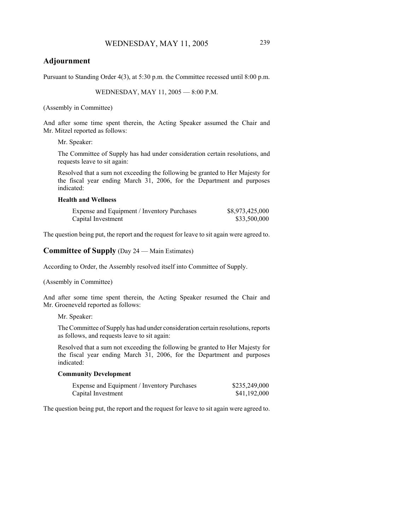## **Adjournment**

Pursuant to Standing Order 4(3), at 5:30 p.m. the Committee recessed until 8:00 p.m.

WEDNESDAY, MAY 11, 2005 — 8:00 P.M.

(Assembly in Committee)

And after some time spent therein, the Acting Speaker assumed the Chair and Mr. Mitzel reported as follows:

Mr. Speaker:

The Committee of Supply has had under consideration certain resolutions, and requests leave to sit again:

Resolved that a sum not exceeding the following be granted to Her Majesty for the fiscal year ending March 31, 2006, for the Department and purposes indicated:

#### **Health and Wellness**

| Expense and Equipment / Inventory Purchases | \$8,973,425,000 |
|---------------------------------------------|-----------------|
| Capital Investment                          | \$33,500,000    |

The question being put, the report and the request for leave to sit again were agreed to.

## **Committee of Supply** (Day 24 — Main Estimates)

According to Order, the Assembly resolved itself into Committee of Supply.

#### (Assembly in Committee)

And after some time spent therein, the Acting Speaker resumed the Chair and Mr. Groeneveld reported as follows:

Mr. Speaker:

The Committee of Supply has had under consideration certain resolutions, reports as follows, and requests leave to sit again:

Resolved that a sum not exceeding the following be granted to Her Majesty for the fiscal year ending March 31, 2006, for the Department and purposes indicated:

#### **Community Development**

| Expense and Equipment / Inventory Purchases | \$235,249,000 |
|---------------------------------------------|---------------|
| Capital Investment                          | \$41,192,000  |

The question being put, the report and the request for leave to sit again were agreed to.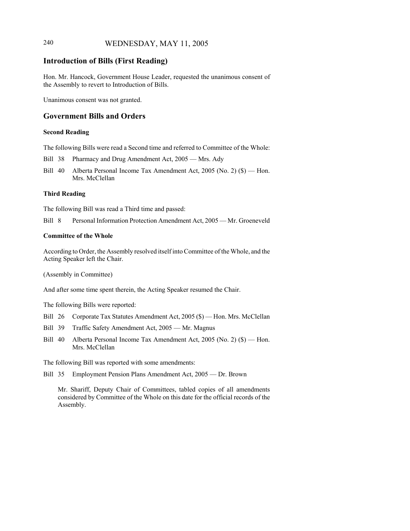## 240 WEDNESDAY, MAY 11, 2005

## **Introduction of Bills (First Reading)**

Hon. Mr. Hancock, Government House Leader, requested the unanimous consent of the Assembly to revert to Introduction of Bills.

Unanimous consent was not granted.

### **Government Bills and Orders**

#### **Second Reading**

The following Bills were read a Second time and referred to Committee of the Whole:

Bill 38 Pharmacy and Drug Amendment Act, 2005 — Mrs. Ady

Bill 40 Alberta Personal Income Tax Amendment Act, 2005 (No. 2) (\$) — Hon. Mrs. McClellan

#### **Third Reading**

The following Bill was read a Third time and passed:

Bill 8 Personal Information Protection Amendment Act, 2005 — Mr. Groeneveld

#### **Committee of the Whole**

According to Order, the Assembly resolved itself into Committee of the Whole, and the Acting Speaker left the Chair.

(Assembly in Committee)

And after some time spent therein, the Acting Speaker resumed the Chair.

The following Bills were reported:

- Bill 26 Corporate Tax Statutes Amendment Act, 2005 (\$) Hon. Mrs. McClellan
- Bill 39 Traffic Safety Amendment Act, 2005 Mr. Magnus
- Bill 40 Alberta Personal Income Tax Amendment Act, 2005 (No. 2) (\$) Hon. Mrs. McClellan

The following Bill was reported with some amendments:

Bill 35 Employment Pension Plans Amendment Act, 2005 — Dr. Brown

Mr. Shariff, Deputy Chair of Committees, tabled copies of all amendments considered by Committee of the Whole on this date for the official records of the Assembly.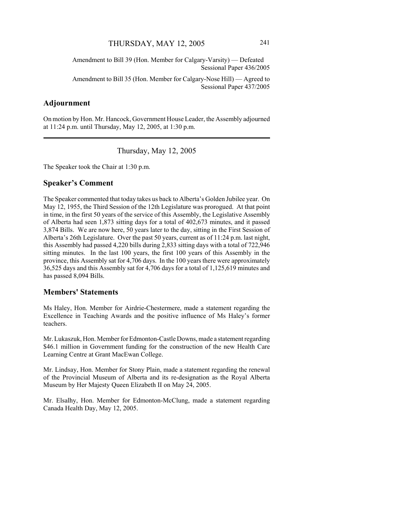Amendment to Bill 39 (Hon. Member for Calgary-Varsity) — Defeated Sessional Paper 436/2005

Amendment to Bill 35 (Hon. Member for Calgary-Nose Hill) — Agreed to Sessional Paper 437/2005

## **Adjournment**

On motion by Hon. Mr. Hancock, Government House Leader, the Assembly adjourned at 11:24 p.m. until Thursday, May 12, 2005, at 1:30 p.m.

Thursday, May 12, 2005

The Speaker took the Chair at 1:30 p.m.

### **Speaker's Comment**

The Speaker commented that today takes us back to Alberta's Golden Jubilee year. On May 12, 1955, the Third Session of the 12th Legislature was prorogued. At that point in time, in the first 50 years of the service of this Assembly, the Legislative Assembly of Alberta had seen 1,873 sitting days for a total of 402,673 minutes, and it passed 3,874 Bills. We are now here, 50 years later to the day, sitting in the First Session of Alberta's 26th Legislature. Over the past 50 years, current as of 11:24 p.m. last night, this Assembly had passed 4,220 bills during 2,833 sitting days with a total of 722,946 sitting minutes. In the last 100 years, the first 100 years of this Assembly in the province, this Assembly sat for 4,706 days. In the 100 years there were approximately 36,525 days and this Assembly sat for 4,706 days for a total of 1,125,619 minutes and has passed 8,094 Bills.

#### **Members' Statements**

Ms Haley, Hon. Member for Airdrie-Chestermere, made a statement regarding the Excellence in Teaching Awards and the positive influence of Ms Haley's former teachers.

Mr. Lukaszuk, Hon. Member for Edmonton-Castle Downs, made a statement regarding \$46.1 million in Government funding for the construction of the new Health Care Learning Centre at Grant MacEwan College.

Mr. Lindsay, Hon. Member for Stony Plain, made a statement regarding the renewal of the Provincial Museum of Alberta and its re-designation as the Royal Alberta Museum by Her Majesty Queen Elizabeth II on May 24, 2005.

Mr. Elsalhy, Hon. Member for Edmonton-McClung, made a statement regarding Canada Health Day, May 12, 2005.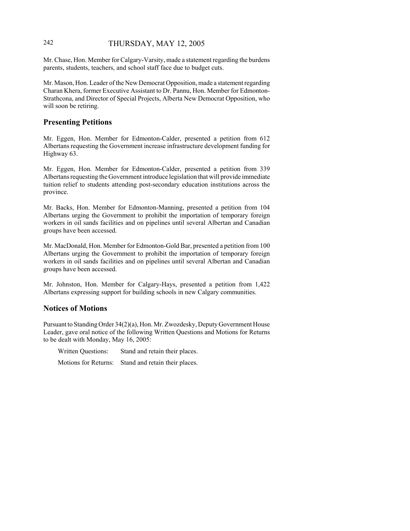## 242 THURSDAY, MAY 12, 2005

Mr. Chase, Hon. Member for Calgary-Varsity, made a statement regarding the burdens parents, students, teachers, and school staff face due to budget cuts.

Mr. Mason, Hon. Leader of the New Democrat Opposition, made a statement regarding Charan Khera, former Executive Assistant to Dr. Pannu, Hon. Member for Edmonton-Strathcona, and Director of Special Projects, Alberta New Democrat Opposition, who will soon be retiring.

## **Presenting Petitions**

Mr. Eggen, Hon. Member for Edmonton-Calder, presented a petition from 612 Albertans requesting the Government increase infrastructure development funding for Highway 63.

Mr. Eggen, Hon. Member for Edmonton-Calder, presented a petition from 339 Albertans requesting the Government introduce legislation that will provide immediate tuition relief to students attending post-secondary education institutions across the province.

Mr. Backs, Hon. Member for Edmonton-Manning, presented a petition from 104 Albertans urging the Government to prohibit the importation of temporary foreign workers in oil sands facilities and on pipelines until several Albertan and Canadian groups have been accessed.

Mr. MacDonald, Hon. Member for Edmonton-Gold Bar, presented a petition from 100 Albertans urging the Government to prohibit the importation of temporary foreign workers in oil sands facilities and on pipelines until several Albertan and Canadian groups have been accessed.

Mr. Johnston, Hon. Member for Calgary-Hays, presented a petition from 1,422 Albertans expressing support for building schools in new Calgary communities.

## **Notices of Motions**

Pursuant to Standing Order 34(2)(a), Hon. Mr. Zwozdesky, Deputy Government House Leader, gave oral notice of the following Written Questions and Motions for Returns to be dealt with Monday, May 16, 2005:

Written Questions: Stand and retain their places.

Motions for Returns: Stand and retain their places.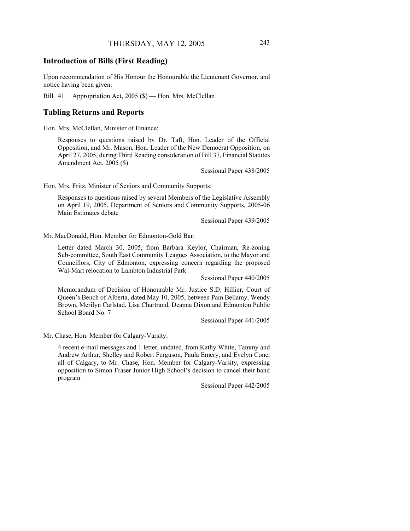## **Introduction of Bills (First Reading)**

Upon recommendation of His Honour the Honourable the Lieutenant Governor, and notice having been given:

Bill 41 Appropriation Act, 2005 (\$) — Hon. Mrs. McClellan

#### **Tabling Returns and Reports**

Hon. Mrs. McClellan, Minister of Finance:

Responses to questions raised by Dr. Taft, Hon. Leader of the Official Opposition, and Mr. Mason, Hon. Leader of the New Democrat Opposition, on April 27, 2005, during Third Reading consideration of Bill 37, Financial Statutes Amendment Act, 2005 (\$)

Sessional Paper 438/2005

Hon. Mrs. Fritz, Minister of Seniors and Community Supports:

Responses to questions raised by several Members of the Legislative Assembly on April 19, 2005, Department of Seniors and Community Supports, 2005-06 Main Estimates debate

Sessional Paper 439/2005

Mr. MacDonald, Hon. Member for Edmonton-Gold Bar:

Letter dated March 30, 2005, from Barbara Keylor, Chairman, Re-zoning Sub-committee, South East Community Leagues Association, to the Mayor and Councillors, City of Edmonton, expressing concern regarding the proposed Wal-Mart relocation to Lambton Industrial Park

Sessional Paper 440/2005

Memorandum of Decision of Honourable Mr. Justice S.D. Hillier, Court of Queen's Bench of Alberta, dated May 10, 2005, between Pam Bellamy, Wendy Brown, Merilyn Carlstad, Lisa Chartrand, Deanna Dixon and Edmonton Public School Board No. 7

Sessional Paper 441/2005

Mr. Chase, Hon. Member for Calgary-Varsity:

4 recent e-mail messages and 1 letter, undated, from Kathy White, Tammy and Andrew Arthur, Shelley and Robert Ferguson, Paula Emery, and Evelyn Cone, all of Calgary, to Mr. Chase, Hon. Member for Calgary-Varsity, expressing opposition to Simon Fraser Junior High School's decision to cancel their band program

Sessional Paper 442/2005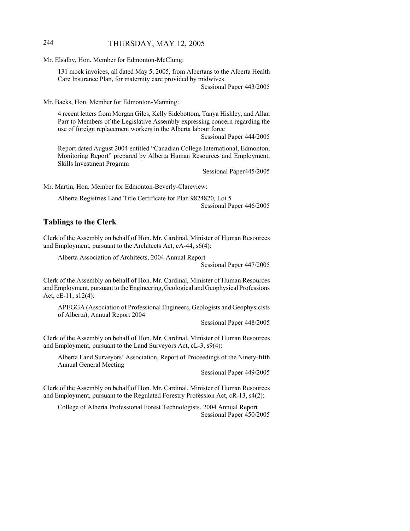## 244 THURSDAY, MAY 12, 2005

Mr. Elsalhy, Hon. Member for Edmonton-McClung:

131 mock invoices, all dated May 5, 2005, from Albertans to the Alberta Health Care Insurance Plan, for maternity care provided by midwives Sessional Paper 443/2005

Mr. Backs, Hon. Member for Edmonton-Manning:

4 recent letters from Morgan Giles, Kelly Sidebottom, Tanya Hishley, and Allan Parr to Members of the Legislative Assembly expressing concern regarding the use of foreign replacement workers in the Alberta labour force

Sessional Paper 444/2005

Report dated August 2004 entitled "Canadian College International, Edmonton, Monitoring Report" prepared by Alberta Human Resources and Employment, Skills Investment Program

Sessional Paper445/2005

Mr. Martin, Hon. Member for Edmonton-Beverly-Clareview:

Alberta Registries Land Title Certificate for Plan 9824820, Lot 5 Sessional Paper 446/2005

## **Tablings to the Clerk**

Clerk of the Assembly on behalf of Hon. Mr. Cardinal, Minister of Human Resources and Employment, pursuant to the Architects Act, cA-44, s6(4):

Alberta Association of Architects, 2004 Annual Report

Sessional Paper 447/2005

Clerk of the Assembly on behalf of Hon. Mr. Cardinal, Minister of Human Resources and Employment, pursuant to the Engineering, Geological and Geophysical Professions Act, cE-11, s12(4):

APEGGA (Association of Professional Engineers, Geologists and Geophysicists of Alberta), Annual Report 2004

Sessional Paper 448/2005

Clerk of the Assembly on behalf of Hon. Mr. Cardinal, Minister of Human Resources and Employment, pursuant to the Land Surveyors Act, cL-3, s9(4):

Alberta Land Surveyors' Association, Report of Proceedings of the Ninety-fifth Annual General Meeting

Sessional Paper 449/2005

Clerk of the Assembly on behalf of Hon. Mr. Cardinal, Minister of Human Resources and Employment, pursuant to the Regulated Forestry Profession Act, cR-13, s4(2):

College of Alberta Professional Forest Technologists, 2004 Annual Report Sessional Paper 450/2005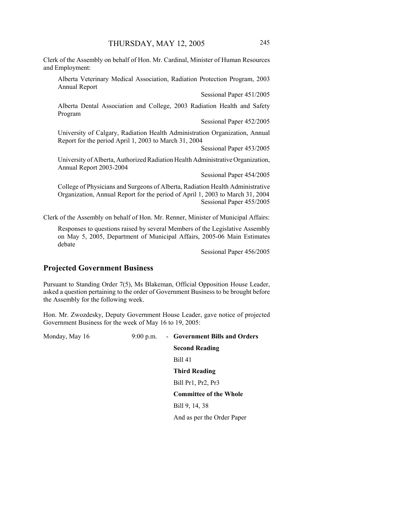Clerk of the Assembly on behalf of Hon. Mr. Cardinal, Minister of Human Resources and Employment:

Alberta Veterinary Medical Association, Radiation Protection Program, 2003 Annual Report

Sessional Paper 451/2005

Alberta Dental Association and College, 2003 Radiation Health and Safety Program

Sessional Paper 452/2005

University of Calgary, Radiation Health Administration Organization, Annual Report for the period April 1, 2003 to March 31, 2004

Sessional Paper 453/2005

University of Alberta, Authorized Radiation Health Administrative Organization, Annual Report 2003-2004

Sessional Paper 454/2005

College of Physicians and Surgeons of Alberta, Radiation Health Administrative Organization, Annual Report for the period of April 1, 2003 to March 31, 2004 Sessional Paper 455/2005

Clerk of the Assembly on behalf of Hon. Mr. Renner, Minister of Municipal Affairs:

Responses to questions raised by several Members of the Legislative Assembly on May 5, 2005, Department of Municipal Affairs, 2005-06 Main Estimates debate

Sessional Paper 456/2005

## **Projected Government Business**

Pursuant to Standing Order 7(5), Ms Blakeman, Official Opposition House Leader, asked a question pertaining to the order of Government Business to be brought before the Assembly for the following week.

Hon. Mr. Zwozdesky, Deputy Government House Leader, gave notice of projected Government Business for the week of May 16 to 19, 2005:

Monday, May 16 9:00 p.m. - **Government Bills and Orders**

**Second Reading**

Bill 41

**Third Reading**

Bill Pr1, Pr2, Pr3

**Committee of the Whole**

Bill 9, 14, 38

And as per the Order Paper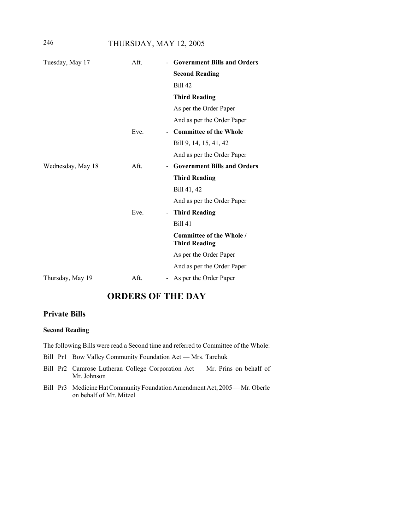246 THURSDAY, MAY 12, 2005

| Tuesday, May 17   | Aft. | <b>Government Bills and Orders</b>               |
|-------------------|------|--------------------------------------------------|
|                   |      | <b>Second Reading</b>                            |
|                   |      | <b>Bill 42</b>                                   |
|                   |      | <b>Third Reading</b>                             |
|                   |      | As per the Order Paper                           |
|                   |      | And as per the Order Paper                       |
|                   | Eve. | - Committee of the Whole                         |
|                   |      | Bill 9, 14, 15, 41, 42                           |
|                   |      | And as per the Order Paper                       |
| Wednesday, May 18 | Aft. | <b>Government Bills and Orders</b>               |
|                   |      | <b>Third Reading</b>                             |
|                   |      | Bill 41, 42                                      |
|                   |      | And as per the Order Paper                       |
|                   | Eve. | <b>Third Reading</b>                             |
|                   |      | <b>Bill 41</b>                                   |
|                   |      | Committee of the Whole /<br><b>Third Reading</b> |
|                   |      | As per the Order Paper                           |
|                   |      | And as per the Order Paper                       |
| Thursday, May 19  | Aft. | As per the Order Paper                           |

# **ORDERS OF THE DAY**

## **Private Bills**

#### **Second Reading**

The following Bills were read a Second time and referred to Committee of the Whole:

- Bill Pr1 Bow Valley Community Foundation Act Mrs. Tarchuk
- Bill Pr2 Camrose Lutheran College Corporation Act Mr. Prins on behalf of Mr. Johnson
- Bill Pr3 Medicine Hat Community Foundation Amendment Act, 2005 Mr. Oberle on behalf of Mr. Mitzel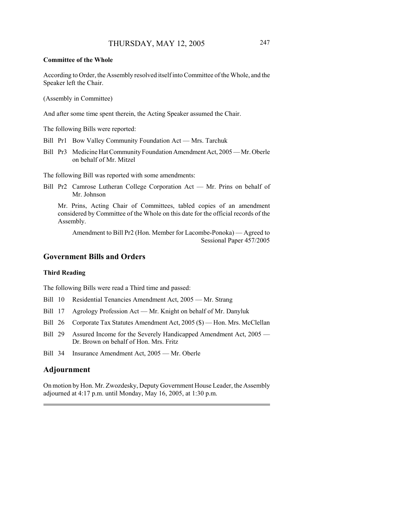#### **Committee of the Whole**

According to Order, the Assembly resolved itself into Committee of the Whole, and the Speaker left the Chair.

(Assembly in Committee)

And after some time spent therein, the Acting Speaker assumed the Chair.

The following Bills were reported:

- Bill Pr1 Bow Valley Community Foundation Act Mrs. Tarchuk
- Bill Pr3 Medicine Hat Community Foundation Amendment Act, 2005 Mr. Oberle on behalf of Mr. Mitzel

The following Bill was reported with some amendments:

Bill Pr2 Camrose Lutheran College Corporation Act — Mr. Prins on behalf of Mr. Johnson

Mr. Prins, Acting Chair of Committees, tabled copies of an amendment considered by Committee of the Whole on this date for the official records of the Assembly.

Amendment to Bill Pr2 (Hon. Member for Lacombe-Ponoka) — Agreed to Sessional Paper 457/2005

## **Government Bills and Orders**

#### **Third Reading**

The following Bills were read a Third time and passed:

- Bill 10 Residential Tenancies Amendment Act, 2005 Mr. Strang
- Bill 17 Agrology Profession Act Mr. Knight on behalf of Mr. Danyluk
- Bill 26 Corporate Tax Statutes Amendment Act, 2005 (\$) Hon. Mrs. McClellan
- Bill 29 Assured Income for the Severely Handicapped Amendment Act, 2005 Dr. Brown on behalf of Hon. Mrs. Fritz
- Bill 34 Insurance Amendment Act, 2005 Mr. Oberle

## **Adjournment**

On motion by Hon. Mr. Zwozdesky, Deputy Government House Leader, the Assembly adjourned at 4:17 p.m. until Monday, May 16, 2005, at 1:30 p.m.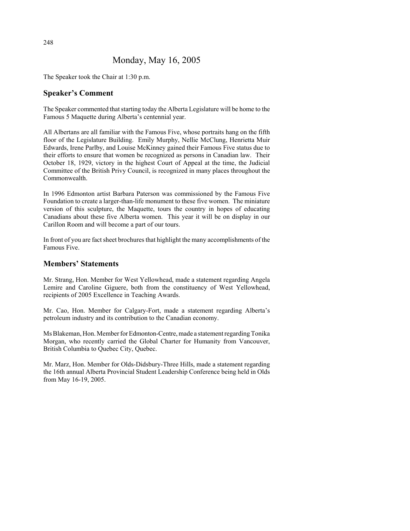# Monday, May 16, 2005

The Speaker took the Chair at 1:30 p.m.

# **Speaker's Comment**

The Speaker commented that starting today the Alberta Legislature will be home to the Famous 5 Maquette during Alberta's centennial year.

All Albertans are all familiar with the Famous Five, whose portraits hang on the fifth floor of the Legislature Building. Emily Murphy, Nellie McClung, Henrietta Muir Edwards, Irene Parlby, and Louise McKinney gained their Famous Five status due to their efforts to ensure that women be recognized as persons in Canadian law. Their October 18, 1929, victory in the highest Court of Appeal at the time, the Judicial Committee of the British Privy Council, is recognized in many places throughout the Commonwealth.

In 1996 Edmonton artist Barbara Paterson was commissioned by the Famous Five Foundation to create a larger-than-life monument to these five women. The miniature version of this sculpture, the Maquette, tours the country in hopes of educating Canadians about these five Alberta women. This year it will be on display in our Carillon Room and will become a part of our tours.

In front of you are fact sheet brochures that highlight the many accomplishments of the Famous Five.

### **Members' Statements**

Mr. Strang, Hon. Member for West Yellowhead, made a statement regarding Angela Lemire and Caroline Giguere, both from the constituency of West Yellowhead, recipients of 2005 Excellence in Teaching Awards.

Mr. Cao, Hon. Member for Calgary-Fort, made a statement regarding Alberta's petroleum industry and its contribution to the Canadian economy.

Ms Blakeman, Hon. Member for Edmonton-Centre, made a statement regarding Tonika Morgan, who recently carried the Global Charter for Humanity from Vancouver, British Columbia to Quebec City, Quebec.

Mr. Marz, Hon. Member for Olds-Didsbury-Three Hills, made a statement regarding the 16th annual Alberta Provincial Student Leadership Conference being held in Olds from May 16-19, 2005.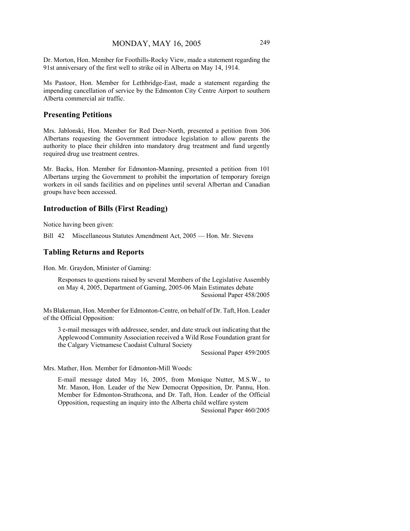Dr. Morton, Hon. Member for Foothills-Rocky View, made a statement regarding the 91st anniversary of the first well to strike oil in Alberta on May 14, 1914.

Ms Pastoor, Hon. Member for Lethbridge-East, made a statement regarding the impending cancellation of service by the Edmonton City Centre Airport to southern Alberta commercial air traffic.

#### **Presenting Petitions**

Mrs. Jablonski, Hon. Member for Red Deer-North, presented a petition from 306 Albertans requesting the Government introduce legislation to allow parents the authority to place their children into mandatory drug treatment and fund urgently required drug use treatment centres.

Mr. Backs, Hon. Member for Edmonton-Manning, presented a petition from 101 Albertans urging the Government to prohibit the importation of temporary foreign workers in oil sands facilities and on pipelines until several Albertan and Canadian groups have been accessed.

#### **Introduction of Bills (First Reading)**

Notice having been given:

Bill 42 Miscellaneous Statutes Amendment Act, 2005 — Hon. Mr. Stevens

#### **Tabling Returns and Reports**

Hon. Mr. Graydon, Minister of Gaming:

Responses to questions raised by several Members of the Legislative Assembly on May 4, 2005, Department of Gaming, 2005-06 Main Estimates debate Sessional Paper 458/2005

Ms Blakeman, Hon. Member for Edmonton-Centre, on behalf of Dr. Taft, Hon. Leader of the Official Opposition:

3 e-mail messages with addressee, sender, and date struck out indicating that the Applewood Community Association received a Wild Rose Foundation grant for the Calgary Vietnamese Caodaist Cultural Society

Sessional Paper 459/2005

Mrs. Mather, Hon. Member for Edmonton-Mill Woods:

E-mail message dated May 16, 2005, from Monique Nutter, M.S.W., to Mr. Mason, Hon. Leader of the New Democrat Opposition, Dr. Pannu, Hon. Member for Edmonton-Strathcona, and Dr. Taft, Hon. Leader of the Official Opposition, requesting an inquiry into the Alberta child welfare system

Sessional Paper 460/2005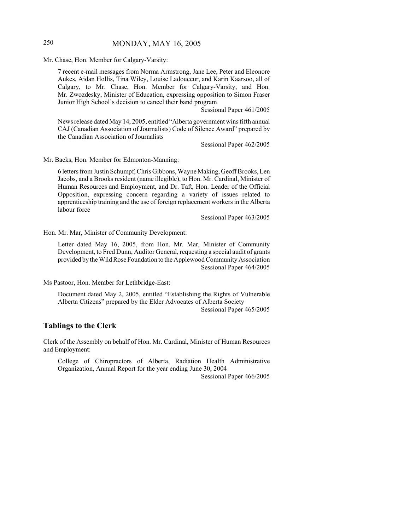# 250 MONDAY, MAY 16, 2005

Mr. Chase, Hon. Member for Calgary-Varsity:

7 recent e-mail messages from Norma Armstrong, Jane Lee, Peter and Eleonore Aukes, Aidan Hollis, Tina Wiley, Louise Ladouceur, and Karin Kaarsoo, all of Calgary, to Mr. Chase, Hon. Member for Calgary-Varsity, and Hon. Mr. Zwozdesky, Minister of Education, expressing opposition to Simon Fraser Junior High School's decision to cancel their band program

Sessional Paper 461/2005

News release dated May 14, 2005, entitled "Alberta government wins fifth annual CAJ (Canadian Association of Journalists) Code of Silence Award" prepared by the Canadian Association of Journalists

Sessional Paper 462/2005

Mr. Backs, Hon. Member for Edmonton-Manning:

6 letters from Justin Schumpf, Chris Gibbons, Wayne Making, Geoff Brooks, Len Jacobs, and a Brooks resident (name illegible), to Hon. Mr. Cardinal, Minister of Human Resources and Employment, and Dr. Taft, Hon. Leader of the Official Opposition, expressing concern regarding a variety of issues related to apprenticeship training and the use of foreign replacement workers in the Alberta labour force

Sessional Paper 463/2005

Hon. Mr. Mar, Minister of Community Development:

Letter dated May 16, 2005, from Hon. Mr. Mar, Minister of Community Development, to Fred Dunn, Auditor General, requesting a special audit of grants provided by the Wild Rose Foundation to the Applewood Community Association Sessional Paper 464/2005

Ms Pastoor, Hon. Member for Lethbridge-East:

Document dated May 2, 2005, entitled "Establishing the Rights of Vulnerable Alberta Citizens" prepared by the Elder Advocates of Alberta Society Sessional Paper 465/2005

#### **Tablings to the Clerk**

Clerk of the Assembly on behalf of Hon. Mr. Cardinal, Minister of Human Resources and Employment:

College of Chiropractors of Alberta, Radiation Health Administrative Organization, Annual Report for the year ending June 30, 2004

Sessional Paper 466/2005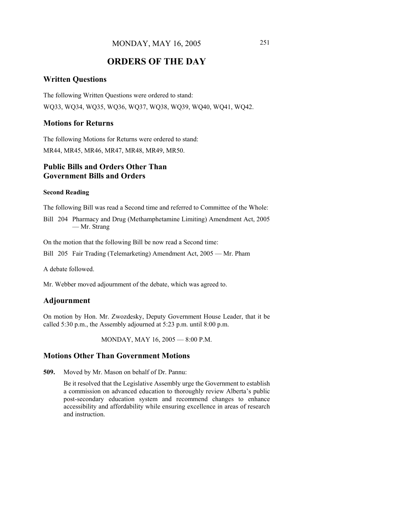# **ORDERS OF THE DAY**

# **Written Questions**

The following Written Questions were ordered to stand: WQ33, WQ34, WQ35, WQ36, WQ37, WQ38, WQ39, WQ40, WQ41, WQ42.

# **Motions for Returns**

The following Motions for Returns were ordered to stand: MR44, MR45, MR46, MR47, MR48, MR49, MR50.

# **Public Bills and Orders Other Than Government Bills and Orders**

#### **Second Reading**

The following Bill was read a Second time and referred to Committee of the Whole:

Bill 204 Pharmacy and Drug (Methamphetamine Limiting) Amendment Act, 2005 — Mr. Strang

On the motion that the following Bill be now read a Second time:

Bill 205 Fair Trading (Telemarketing) Amendment Act, 2005 — Mr. Pham

A debate followed.

Mr. Webber moved adjournment of the debate, which was agreed to.

# **Adjournment**

On motion by Hon. Mr. Zwozdesky, Deputy Government House Leader, that it be called 5:30 p.m., the Assembly adjourned at 5:23 p.m. until 8:00 p.m.

MONDAY, MAY 16, 2005 — 8:00 P.M.

#### **Motions Other Than Government Motions**

**509.** Moved by Mr. Mason on behalf of Dr. Pannu:

Be it resolved that the Legislative Assembly urge the Government to establish a commission on advanced education to thoroughly review Alberta's public post-secondary education system and recommend changes to enhance accessibility and affordability while ensuring excellence in areas of research and instruction.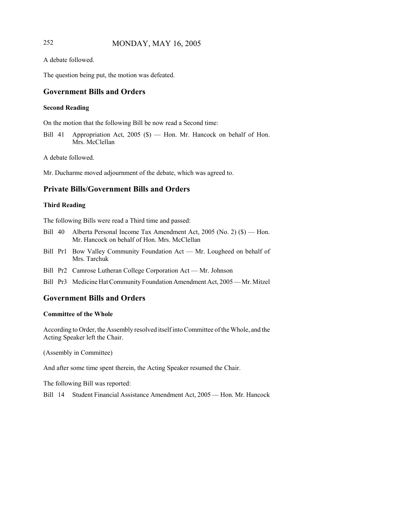# 252 MONDAY, MAY 16, 2005

A debate followed.

The question being put, the motion was defeated.

# **Government Bills and Orders**

#### **Second Reading**

On the motion that the following Bill be now read a Second time:

Bill 41 Appropriation Act, 2005 (\$) — Hon. Mr. Hancock on behalf of Hon. Mrs. McClellan

A debate followed.

Mr. Ducharme moved adjournment of the debate, which was agreed to.

# **Private Bills/Government Bills and Orders**

#### **Third Reading**

The following Bills were read a Third time and passed:

- Bill 40 Alberta Personal Income Tax Amendment Act, 2005 (No. 2) (\$) Hon. Mr. Hancock on behalf of Hon. Mrs. McClellan
- Bill Pr1 Bow Valley Community Foundation Act Mr. Lougheed on behalf of Mrs. Tarchuk
- Bill Pr2 Camrose Lutheran College Corporation Act Mr. Johnson
- Bill Pr3 Medicine Hat Community Foundation Amendment Act, 2005 Mr. Mitzel

# **Government Bills and Orders**

#### **Committee of the Whole**

According to Order, the Assembly resolved itself into Committee of the Whole, and the Acting Speaker left the Chair.

(Assembly in Committee)

And after some time spent therein, the Acting Speaker resumed the Chair.

The following Bill was reported:

Bill 14 Student Financial Assistance Amendment Act, 2005 — Hon. Mr. Hancock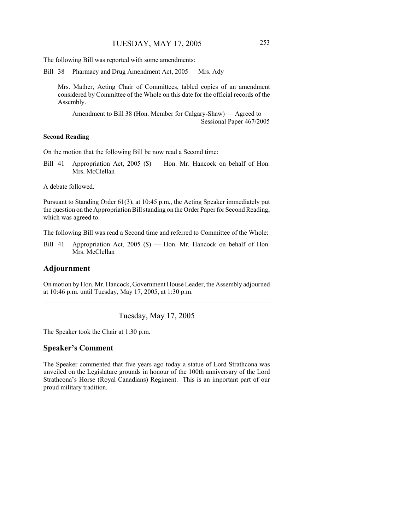The following Bill was reported with some amendments:

Bill 38 Pharmacy and Drug Amendment Act, 2005 — Mrs. Ady

Mrs. Mather, Acting Chair of Committees, tabled copies of an amendment considered by Committee of the Whole on this date for the official records of the Assembly.

Amendment to Bill 38 (Hon. Member for Calgary-Shaw) — Agreed to Sessional Paper 467/2005

#### **Second Reading**

On the motion that the following Bill be now read a Second time:

Bill 41 Appropriation Act, 2005 (\$) — Hon. Mr. Hancock on behalf of Hon. Mrs. McClellan

A debate followed.

Pursuant to Standing Order 61(3), at 10:45 p.m., the Acting Speaker immediately put the question on the Appropriation Bill standing on the Order Paper for Second Reading, which was agreed to.

The following Bill was read a Second time and referred to Committee of the Whole:

Bill 41 Appropriation Act, 2005 (\$) — Hon. Mr. Hancock on behalf of Hon. Mrs. McClellan

#### **Adjournment**

On motion by Hon. Mr. Hancock, Government House Leader, the Assembly adjourned at 10:46 p.m. until Tuesday, May 17, 2005, at 1:30 p.m.

Tuesday, May 17, 2005

The Speaker took the Chair at 1:30 p.m.

#### **Speaker's Comment**

The Speaker commented that five years ago today a statue of Lord Strathcona was unveiled on the Legislature grounds in honour of the 100th anniversary of the Lord Strathcona's Horse (Royal Canadians) Regiment. This is an important part of our proud military tradition.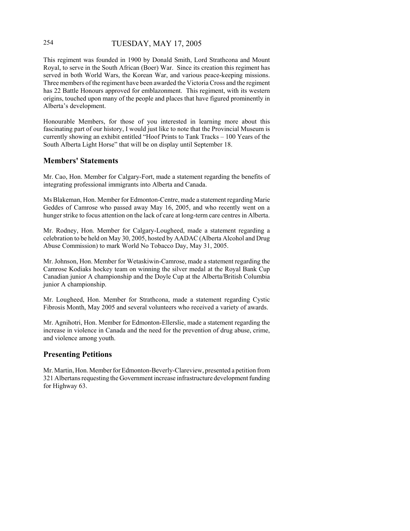# 254 TUESDAY, MAY 17, 2005

This regiment was founded in 1900 by Donald Smith, Lord Strathcona and Mount Royal, to serve in the South African (Boer) War. Since its creation this regiment has served in both World Wars, the Korean War, and various peace-keeping missions. Three members of the regiment have been awarded the Victoria Cross and the regiment has 22 Battle Honours approved for emblazonment. This regiment, with its western origins, touched upon many of the people and places that have figured prominently in Alberta's development.

Honourable Members, for those of you interested in learning more about this fascinating part of our history, I would just like to note that the Provincial Museum is currently showing an exhibit entitled "Hoof Prints to Tank Tracks – 100 Years of the South Alberta Light Horse" that will be on display until September 18.

#### **Members' Statements**

Mr. Cao, Hon. Member for Calgary-Fort, made a statement regarding the benefits of integrating professional immigrants into Alberta and Canada.

Ms Blakeman, Hon. Member for Edmonton-Centre, made a statement regarding Marie Geddes of Camrose who passed away May 16, 2005, and who recently went on a hunger strike to focus attention on the lack of care at long-term care centres in Alberta.

Mr. Rodney, Hon. Member for Calgary-Lougheed, made a statement regarding a celebration to be held on May 30, 2005, hosted by AADAC (Alberta Alcohol and Drug Abuse Commission) to mark World No Tobacco Day, May 31, 2005.

Mr. Johnson, Hon. Member for Wetaskiwin-Camrose, made a statement regarding the Camrose Kodiaks hockey team on winning the silver medal at the Royal Bank Cup Canadian junior A championship and the Doyle Cup at the Alberta/British Columbia junior A championship.

Mr. Lougheed, Hon. Member for Strathcona, made a statement regarding Cystic Fibrosis Month, May 2005 and several volunteers who received a variety of awards.

Mr. Agnihotri, Hon. Member for Edmonton-Ellerslie, made a statement regarding the increase in violence in Canada and the need for the prevention of drug abuse, crime, and violence among youth.

# **Presenting Petitions**

Mr. Martin, Hon. Member for Edmonton-Beverly-Clareview, presented a petition from 321 Albertans requesting the Government increase infrastructure development funding for Highway 63.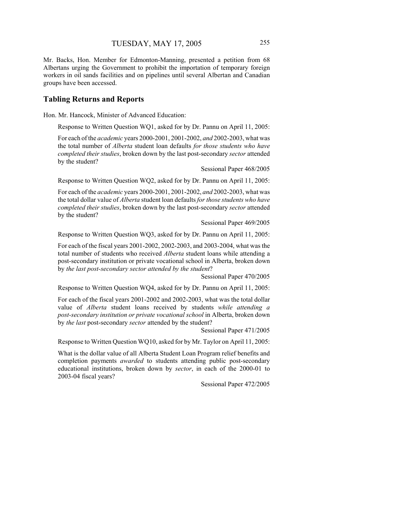Mr. Backs, Hon. Member for Edmonton-Manning, presented a petition from 68 Albertans urging the Government to prohibit the importation of temporary foreign workers in oil sands facilities and on pipelines until several Albertan and Canadian groups have been accessed.

## **Tabling Returns and Reports**

Hon. Mr. Hancock, Minister of Advanced Education:

Response to Written Question WQ1, asked for by Dr. Pannu on April 11, 2005:

For each of the *academic* years 2000-2001, 2001-2002, *and* 2002-2003, what was the total number of *Alberta* student loan defaults *for those students who have completed their studies*, broken down by the last post-secondary *sector* attended by the student?

Sessional Paper 468/2005

Response to Written Question WQ2, asked for by Dr. Pannu on April 11, 2005:

For each of the *academic* years 2000-2001, 2001-2002, *and* 2002-2003, what was the total dollar value of *Alberta* student loan defaults *for those students who have completed their studies*, broken down by the last post-secondary *sector* attended by the student?

Sessional Paper 469/2005

Response to Written Question WQ3, asked for by Dr. Pannu on April 11, 2005:

For each of the fiscal years 2001-2002, 2002-2003, and 2003-2004, what was the total number of students who received *Alberta* student loans while attending a post-secondary institution or private vocational school in Alberta, broken down by *the last post-secondary sector attended by the student*?

Sessional Paper 470/2005

Response to Written Question WQ4, asked for by Dr. Pannu on April 11, 2005:

For each of the fiscal years 2001-2002 and 2002-2003, what was the total dollar value of *Alberta* student loans received by students *while attending a post-secondary institution or private vocational school* in Alberta, broken down by *the last* post-secondary *sector* attended by the student?

Sessional Paper 471/2005

Response to Written Question WQ10, asked for by Mr. Taylor on April 11, 2005:

What is the dollar value of all Alberta Student Loan Program relief benefits and completion payments *awarded* to students attending public post-secondary educational institutions, broken down by *sector*, in each of the 2000-01 to 2003-04 fiscal years?

Sessional Paper 472/2005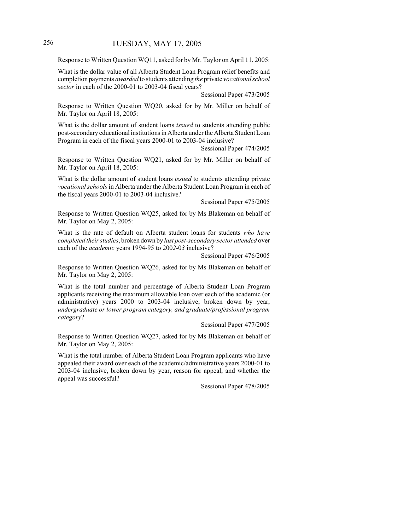# 256 TUESDAY, MAY 17, 2005

Response to Written Question WQ11, asked for by Mr. Taylor on April 11, 2005:

What is the dollar value of all Alberta Student Loan Program relief benefits and completion payments *awarded* to students attending *the* private *vocational school sector* in each of the 2000-01 to 2003-04 fiscal years?

Sessional Paper 473/2005

Response to Written Question WQ20, asked for by Mr. Miller on behalf of Mr. Taylor on April 18, 2005:

What is the dollar amount of student loans *issued* to students attending public post-secondary educational institutions in Alberta under the Alberta Student Loan Program in each of the fiscal years 2000-01 to 2003-04 inclusive?

Sessional Paper 474/2005

Response to Written Question WQ21, asked for by Mr. Miller on behalf of Mr. Taylor on April 18, 2005:

What is the dollar amount of student loans *issued* to students attending private *vocational schools* in Alberta under the Alberta Student Loan Program in each of the fiscal years 2000-01 to 2003-04 inclusive?

Sessional Paper 475/2005

Response to Written Question WQ25, asked for by Ms Blakeman on behalf of Mr. Taylor on May 2, 2005:

What is the rate of default on Alberta student loans for students *who have completed their studies*, broken down by *last post-secondary sector attended* over each of the *academic* years 1994-95 to 200*2*-0*3* inclusive?

Sessional Paper 476/2005

Response to Written Question WQ26, asked for by Ms Blakeman on behalf of Mr. Taylor on May 2, 2005:

What is the total number and percentage of Alberta Student Loan Program applicants receiving the maximum allowable loan over each of the academic (or administrative) years 2000 to 2003-04 inclusive, broken down by year, *undergraduate or lower program category, and graduate/professional program category*?

Sessional Paper 477/2005

Response to Written Question WQ27, asked for by Ms Blakeman on behalf of Mr. Taylor on May 2, 2005:

What is the total number of Alberta Student Loan Program applicants who have appealed their award over each of the academic/administrative years 2000-01 to 2003-04 inclusive, broken down by year, reason for appeal, and whether the appeal was successful?

Sessional Paper 478/2005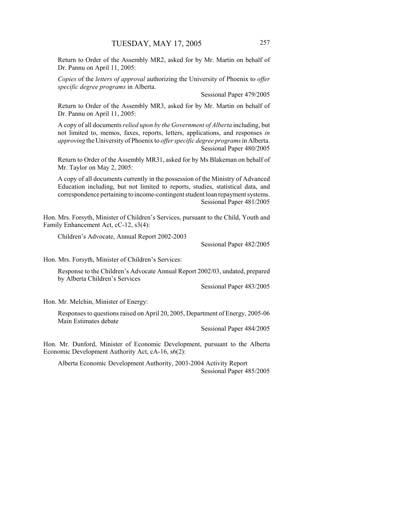Return to Order of the Assembly MR2, asked for by Mr. Martin on behalf of Dr. Pannu on April 11, 2005:

*Copies* of the *letters of approval* authorizing the University of Phoenix to *offer specific degree programs* in Alberta.

Sessional Paper 479/2005

Return to Order of the Assembly MR3, asked for by Mr. Martin on behalf of Dr. Pannu on April 11, 2005:

A copy of all documents *relied upon by the Government of Alberta* including, but not limited to, memos, faxes, reports, letters, applications, and responses *in approving* the University of Phoenix to *offer specific degree programs* in Alberta. Sessional Paper 480/2005

Return to Order of the Assembly MR31, asked for by Ms Blakeman on behalf of Mr. Taylor on May 2, 2005:

A copy of all documents currently in the possession of the Ministry of Advanced Education including, but not limited to reports, studies, statistical data, and correspondence pertaining to income-contingent student loan repayment systems. Sessional Paper 481/2005

Hon. Mrs. Forsyth, Minister of Children's Services, pursuant to the Child, Youth and Family Enhancement Act, cC-12, s3(4):

Children's Advocate, Annual Report 2002-2003

Sessional Paper 482/2005

Hon. Mrs. Forsyth, Minister of Children's Services:

Response to the Children's Advocate Annual Report 2002/03, undated, prepared by Alberta Children's Services

Sessional Paper 483/2005

Hon. Mr. Melchin, Minister of Energy:

Responses to questions raised on April 20, 2005, Department of Energy, 2005-06 Main Estimates debate

Sessional Paper 484/2005

Hon. Mr. Dunford, Minister of Economic Development, pursuant to the Alberta Economic Development Authority Act, cA-16, s6(2):

Alberta Economic Development Authority, 2003-2004 Activity Report Sessional Paper 485/2005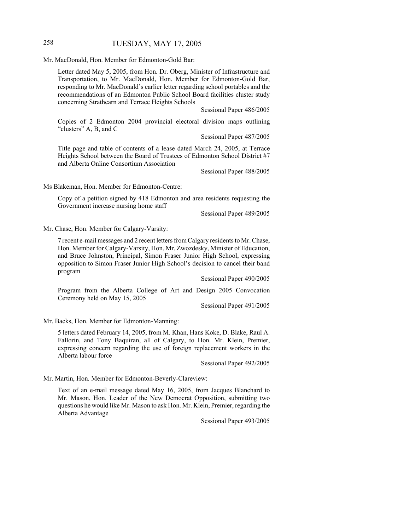# 258 TUESDAY, MAY 17, 2005

Mr. MacDonald, Hon. Member for Edmonton-Gold Bar:

Letter dated May 5, 2005, from Hon. Dr. Oberg, Minister of Infrastructure and Transportation, to Mr. MacDonald, Hon. Member for Edmonton-Gold Bar, responding to Mr. MacDonald's earlier letter regarding school portables and the recommendations of an Edmonton Public School Board facilities cluster study concerning Strathearn and Terrace Heights Schools

Sessional Paper 486/2005

Copies of 2 Edmonton 2004 provincial electoral division maps outlining "clusters" A, B, and C

Sessional Paper 487/2005

Title page and table of contents of a lease dated March 24, 2005, at Terrace Heights School between the Board of Trustees of Edmonton School District #7 and Alberta Online Consortium Association

Sessional Paper 488/2005

Ms Blakeman, Hon. Member for Edmonton-Centre:

Copy of a petition signed by 418 Edmonton and area residents requesting the Government increase nursing home staff

Sessional Paper 489/2005

Mr. Chase, Hon. Member for Calgary-Varsity:

7 recent e-mail messages and 2 recent letters from Calgary residents to Mr. Chase, Hon. Member for Calgary-Varsity, Hon. Mr. Zwozdesky, Minister of Education, and Bruce Johnston, Principal, Simon Fraser Junior High School, expressing opposition to Simon Fraser Junior High School's decision to cancel their band program

Sessional Paper 490/2005

Program from the Alberta College of Art and Design 2005 Convocation Ceremony held on May 15, 2005

Sessional Paper 491/2005

Mr. Backs, Hon. Member for Edmonton-Manning:

5 letters dated February 14, 2005, from M. Khan, Hans Koke, D. Blake, Raul A. Fallorin, and Tony Baquiran, all of Calgary, to Hon. Mr. Klein, Premier, expressing concern regarding the use of foreign replacement workers in the Alberta labour force

Sessional Paper 492/2005

Mr. Martin, Hon. Member for Edmonton-Beverly-Clareview:

Text of an e-mail message dated May 16, 2005, from Jacques Blanchard to Mr. Mason, Hon. Leader of the New Democrat Opposition, submitting two questions he would like Mr. Mason to ask Hon. Mr. Klein, Premier, regarding the Alberta Advantage

Sessional Paper 493/2005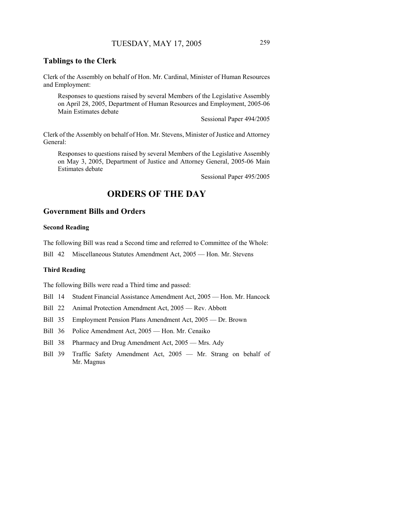# **Tablings to the Clerk**

Clerk of the Assembly on behalf of Hon. Mr. Cardinal, Minister of Human Resources and Employment:

Responses to questions raised by several Members of the Legislative Assembly on April 28, 2005, Department of Human Resources and Employment, 2005-06 Main Estimates debate

Sessional Paper 494/2005

Clerk of the Assembly on behalf of Hon. Mr. Stevens, Minister of Justice and Attorney General:

Responses to questions raised by several Members of the Legislative Assembly on May 3, 2005, Department of Justice and Attorney General, 2005-06 Main Estimates debate

Sessional Paper 495/2005

# **ORDERS OF THE DAY**

#### **Government Bills and Orders**

#### **Second Reading**

The following Bill was read a Second time and referred to Committee of the Whole:

Bill 42 Miscellaneous Statutes Amendment Act, 2005 — Hon. Mr. Stevens

#### **Third Reading**

The following Bills were read a Third time and passed:

- Bill 14 Student Financial Assistance Amendment Act, 2005 Hon. Mr. Hancock
- Bill 22 Animal Protection Amendment Act, 2005 Rev. Abbott
- Bill 35 Employment Pension Plans Amendment Act, 2005 Dr. Brown
- Bill 36 Police Amendment Act, 2005 Hon. Mr. Cenaiko
- Bill 38 Pharmacy and Drug Amendment Act, 2005 Mrs. Ady
- Bill 39 Traffic Safety Amendment Act, 2005 Mr. Strang on behalf of Mr. Magnus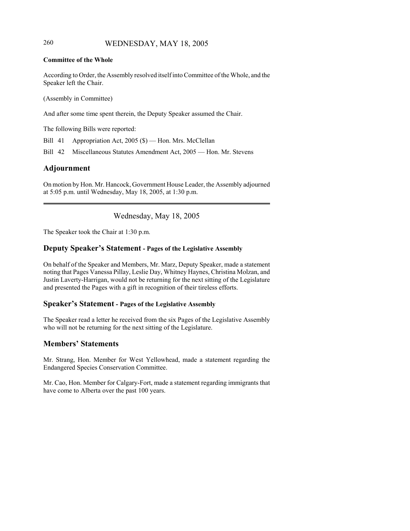# 260 WEDNESDAY, MAY 18, 2005

#### **Committee of the Whole**

According to Order, the Assembly resolved itself into Committee of the Whole, and the Speaker left the Chair.

(Assembly in Committee)

And after some time spent therein, the Deputy Speaker assumed the Chair.

The following Bills were reported:

Bill 41 Appropriation Act, 2005 (\$) — Hon. Mrs. McClellan

Bill 42 Miscellaneous Statutes Amendment Act, 2005 — Hon. Mr. Stevens

# **Adjournment**

On motion by Hon. Mr. Hancock, Government House Leader, the Assembly adjourned at 5:05 p.m. until Wednesday, May 18, 2005, at 1:30 p.m.

Wednesday, May 18, 2005

The Speaker took the Chair at 1:30 p.m.

# **Deputy Speaker's Statement - Pages of the Legislative Assembly**

On behalf of the Speaker and Members, Mr. Marz, Deputy Speaker, made a statement noting that Pages Vanessa Pillay, Leslie Day, Whitney Haynes, Christina Molzan, and Justin Laverty-Harrigan, would not be returning for the next sitting of the Legislature and presented the Pages with a gift in recognition of their tireless efforts.

#### **Speaker's Statement - Pages of the Legislative Assembly**

The Speaker read a letter he received from the six Pages of the Legislative Assembly who will not be returning for the next sitting of the Legislature.

#### **Members' Statements**

Mr. Strang, Hon. Member for West Yellowhead, made a statement regarding the Endangered Species Conservation Committee.

Mr. Cao, Hon. Member for Calgary-Fort, made a statement regarding immigrants that have come to Alberta over the past 100 years.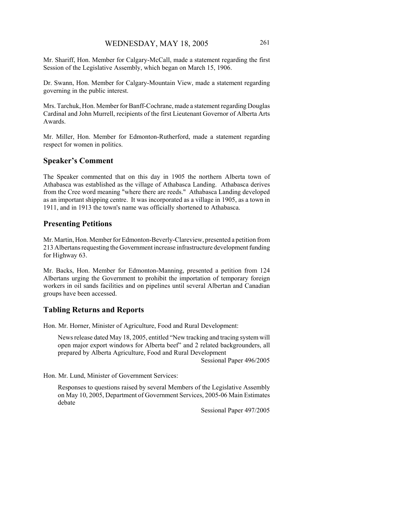Mr. Shariff, Hon. Member for Calgary-McCall, made a statement regarding the first Session of the Legislative Assembly, which began on March 15, 1906.

Dr. Swann, Hon. Member for Calgary-Mountain View, made a statement regarding governing in the public interest.

Mrs. Tarchuk, Hon. Member for Banff-Cochrane, made a statement regarding Douglas Cardinal and John Murrell, recipients of the first Lieutenant Governor of Alberta Arts Awards.

Mr. Miller, Hon. Member for Edmonton-Rutherford, made a statement regarding respect for women in politics.

#### **Speaker's Comment**

The Speaker commented that on this day in 1905 the northern Alberta town of Athabasca was established as the village of Athabasca Landing. Athabasca derives from the Cree word meaning "where there are reeds." Athabasca Landing developed as an important shipping centre. It was incorporated as a village in 1905, as a town in 1911, and in 1913 the town's name was officially shortened to Athabasca.

#### **Presenting Petitions**

Mr. Martin, Hon. Member for Edmonton-Beverly-Clareview, presented a petition from 213 Albertans requesting the Government increase infrastructure development funding for Highway 63.

Mr. Backs, Hon. Member for Edmonton-Manning, presented a petition from 124 Albertans urging the Government to prohibit the importation of temporary foreign workers in oil sands facilities and on pipelines until several Albertan and Canadian groups have been accessed.

#### **Tabling Returns and Reports**

Hon. Mr. Horner, Minister of Agriculture, Food and Rural Development:

News release dated May 18, 2005, entitled "New tracking and tracing system will open major export windows for Alberta beef" and 2 related backgrounders, all prepared by Alberta Agriculture, Food and Rural Development

Sessional Paper 496/2005

Hon. Mr. Lund, Minister of Government Services:

Responses to questions raised by several Members of the Legislative Assembly on May 10, 2005, Department of Government Services, 2005-06 Main Estimates debate

Sessional Paper 497/2005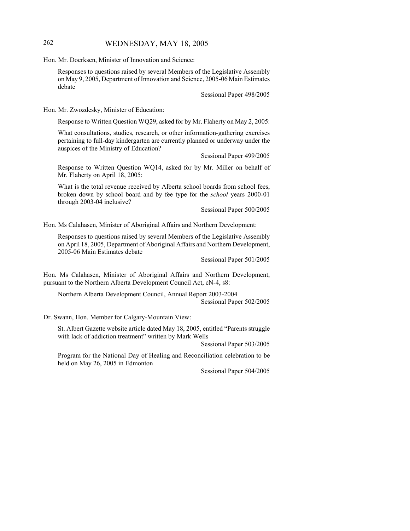# 262 WEDNESDAY, MAY 18, 2005

Hon. Mr. Doerksen, Minister of Innovation and Science:

Responses to questions raised by several Members of the Legislative Assembly on May 9, 2005, Department of Innovation and Science, 2005-06 Main Estimates debate

Sessional Paper 498/2005

Hon. Mr. Zwozdesky, Minister of Education:

Response to Written Question WQ29, asked for by Mr. Flaherty on May 2, 2005:

What consultations, studies, research, or other information-gathering exercises pertaining to full-day kindergarten are currently planned or underway under the auspices of the Ministry of Education?

Sessional Paper 499/2005

Response to Written Question WQ14, asked for by Mr. Miller on behalf of Mr. Flaherty on April 18, 2005:

What is the total revenue received by Alberta school boards from school fees, broken down by school board and by fee type for the *school* years 2000-01 through 2003-04 inclusive?

Sessional Paper 500/2005

Hon. Ms Calahasen, Minister of Aboriginal Affairs and Northern Development:

Responses to questions raised by several Members of the Legislative Assembly on April 18, 2005, Department of Aboriginal Affairs and Northern Development, 2005-06 Main Estimates debate

Sessional Paper 501/2005

Hon. Ms Calahasen, Minister of Aboriginal Affairs and Northern Development, pursuant to the Northern Alberta Development Council Act, cN-4, s8:

Northern Alberta Development Council, Annual Report 2003-2004 Sessional Paper 502/2005

Dr. Swann, Hon. Member for Calgary-Mountain View:

St. Albert Gazette website article dated May 18, 2005, entitled "Parents struggle with lack of addiction treatment" written by Mark Wells

Sessional Paper 503/2005

Program for the National Day of Healing and Reconciliation celebration to be held on May 26, 2005 in Edmonton

Sessional Paper 504/2005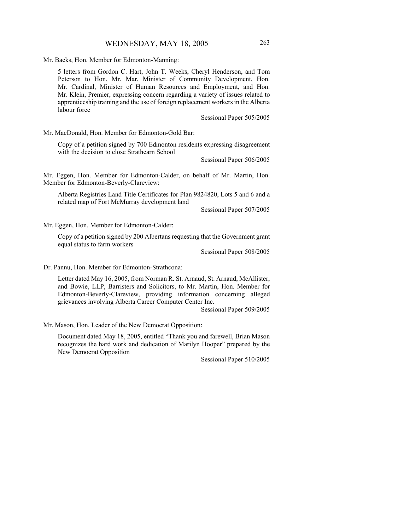Mr. Backs, Hon. Member for Edmonton-Manning:

5 letters from Gordon C. Hart, John T. Weeks, Cheryl Henderson, and Tom Peterson to Hon. Mr. Mar, Minister of Community Development, Hon. Mr. Cardinal, Minister of Human Resources and Employment, and Hon. Mr. Klein, Premier, expressing concern regarding a variety of issues related to apprenticeship training and the use of foreign replacement workers in the Alberta labour force

Sessional Paper 505/2005

Mr. MacDonald, Hon. Member for Edmonton-Gold Bar:

Copy of a petition signed by 700 Edmonton residents expressing disagreement with the decision to close Strathearn School

Sessional Paper 506/2005

Mr. Eggen, Hon. Member for Edmonton-Calder, on behalf of Mr. Martin, Hon. Member for Edmonton-Beverly-Clareview:

Alberta Registries Land Title Certificates for Plan 9824820, Lots 5 and 6 and a related map of Fort McMurray development land

Sessional Paper 507/2005

Mr. Eggen, Hon. Member for Edmonton-Calder:

Copy of a petition signed by 200 Albertans requesting that the Government grant equal status to farm workers

Sessional Paper 508/2005

Dr. Pannu, Hon. Member for Edmonton-Strathcona:

Letter dated May 16, 2005, from Norman R. St. Arnaud, St. Arnaud, McAllister, and Bowie, LLP, Barristers and Solicitors, to Mr. Martin, Hon. Member for Edmonton-Beverly-Clareview, providing information concerning alleged grievances involving Alberta Career Computer Center Inc.

Sessional Paper 509/2005

Mr. Mason, Hon. Leader of the New Democrat Opposition:

Document dated May 18, 2005, entitled "Thank you and farewell, Brian Mason recognizes the hard work and dedication of Marilyn Hooper" prepared by the New Democrat Opposition

Sessional Paper 510/2005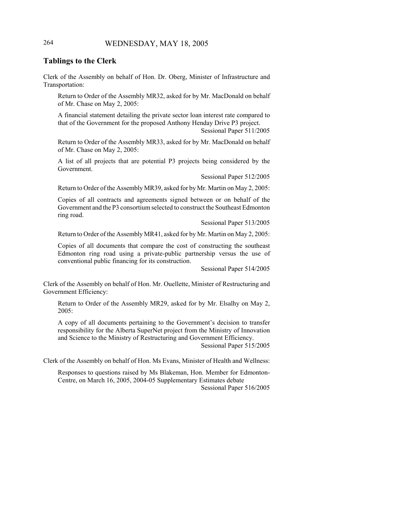# 264 WEDNESDAY, MAY 18, 2005

#### **Tablings to the Clerk**

Clerk of the Assembly on behalf of Hon. Dr. Oberg, Minister of Infrastructure and Transportation:

Return to Order of the Assembly MR32, asked for by Mr. MacDonald on behalf of Mr. Chase on May 2, 2005:

A financial statement detailing the private sector loan interest rate compared to that of the Government for the proposed Anthony Henday Drive P3 project. Sessional Paper 511/2005

Return to Order of the Assembly MR33, asked for by Mr. MacDonald on behalf of Mr. Chase on May 2, 2005:

A list of all projects that are potential P3 projects being considered by the Government.

Sessional Paper 512/2005

Return to Order of the Assembly MR39, asked for by Mr. Martin on May 2, 2005:

Copies of all contracts and agreements signed between or on behalf of the Government and the P3 consortium selected to construct the Southeast Edmonton ring road.

Sessional Paper 513/2005

Return to Order of the Assembly MR41, asked for by Mr. Martin on May 2, 2005:

Copies of all documents that compare the cost of constructing the southeast Edmonton ring road using a private-public partnership versus the use of conventional public financing for its construction.

Sessional Paper 514/2005

Clerk of the Assembly on behalf of Hon. Mr. Ouellette, Minister of Restructuring and Government Efficiency:

Return to Order of the Assembly MR29, asked for by Mr. Elsalhy on May 2, 2005:

A copy of all documents pertaining to the Government's decision to transfer responsibility for the Alberta SuperNet project from the Ministry of Innovation and Science to the Ministry of Restructuring and Government Efficiency.

Sessional Paper 515/2005

Clerk of the Assembly on behalf of Hon. Ms Evans, Minister of Health and Wellness:

Responses to questions raised by Ms Blakeman, Hon. Member for Edmonton-Centre, on March 16, 2005, 2004-05 Supplementary Estimates debate Sessional Paper 516/2005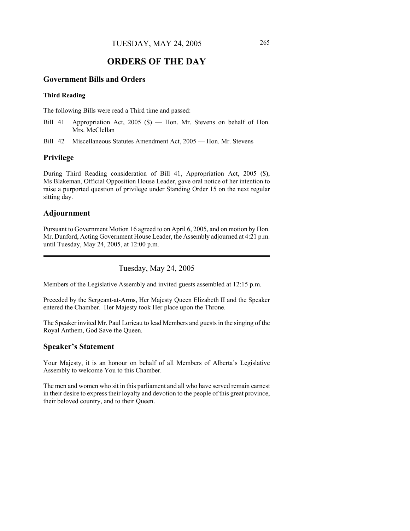# **ORDERS OF THE DAY**

# **Government Bills and Orders**

#### **Third Reading**

The following Bills were read a Third time and passed:

- Bill 41 Appropriation Act, 2005 (\$) Hon. Mr. Stevens on behalf of Hon. Mrs. McClellan
- Bill 42 Miscellaneous Statutes Amendment Act, 2005 Hon. Mr. Stevens

# **Privilege**

During Third Reading consideration of Bill 41, Appropriation Act, 2005 (\$), Ms Blakeman, Official Opposition House Leader, gave oral notice of her intention to raise a purported question of privilege under Standing Order 15 on the next regular sitting day.

# **Adjournment**

Pursuant to Government Motion 16 agreed to on April 6, 2005, and on motion by Hon. Mr. Dunford, Acting Government House Leader, the Assembly adjourned at 4:21 p.m. until Tuesday, May 24, 2005, at 12:00 p.m.

Tuesday, May 24, 2005

Members of the Legislative Assembly and invited guests assembled at 12:15 p.m.

Preceded by the Sergeant-at-Arms, Her Majesty Queen Elizabeth II and the Speaker entered the Chamber. Her Majesty took Her place upon the Throne.

The Speaker invited Mr. Paul Lorieau to lead Members and guests in the singing of the Royal Anthem, God Save the Queen.

#### **Speaker's Statement**

Your Majesty, it is an honour on behalf of all Members of Alberta's Legislative Assembly to welcome You to this Chamber.

The men and women who sit in this parliament and all who have served remain earnest in their desire to express their loyalty and devotion to the people of this great province, their beloved country, and to their Queen.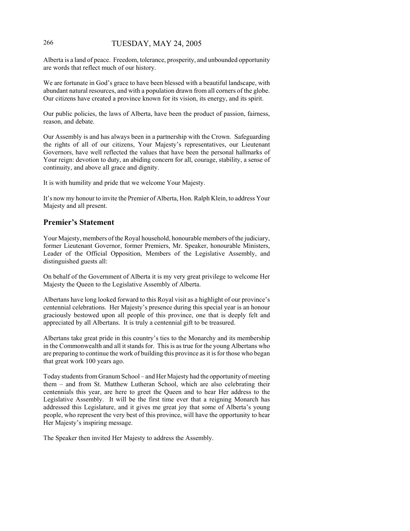# 266 TUESDAY, MAY 24, 2005

Alberta is a land of peace. Freedom, tolerance, prosperity, and unbounded opportunity are words that reflect much of our history.

We are fortunate in God's grace to have been blessed with a beautiful landscape, with abundant natural resources, and with a population drawn from all corners of the globe. Our citizens have created a province known for its vision, its energy, and its spirit.

Our public policies, the laws of Alberta, have been the product of passion, fairness, reason, and debate.

Our Assembly is and has always been in a partnership with the Crown. Safeguarding the rights of all of our citizens, Your Majesty's representatives, our Lieutenant Governors, have well reflected the values that have been the personal hallmarks of Your reign: devotion to duty, an abiding concern for all, courage, stability, a sense of continuity, and above all grace and dignity.

It is with humility and pride that we welcome Your Majesty.

It's now my honour to invite the Premier of Alberta, Hon. Ralph Klein, to address Your Majesty and all present.

# **Premier's Statement**

Your Majesty, members of the Royal household, honourable members of the judiciary, former Lieutenant Governor, former Premiers, Mr. Speaker, honourable Ministers, Leader of the Official Opposition, Members of the Legislative Assembly, and distinguished guests all:

On behalf of the Government of Alberta it is my very great privilege to welcome Her Majesty the Queen to the Legislative Assembly of Alberta.

Albertans have long looked forward to this Royal visit as a highlight of our province's centennial celebrations. Her Majesty's presence during this special year is an honour graciously bestowed upon all people of this province, one that is deeply felt and appreciated by all Albertans. It is truly a centennial gift to be treasured.

Albertans take great pride in this country's ties to the Monarchy and its membership in the Commonwealth and all it stands for. This is as true for the young Albertans who are preparing to continue the work of building this province as it is for those who began that great work 100 years ago.

Today students from Granum School – and Her Majesty had the opportunity of meeting them – and from St. Matthew Lutheran School, which are also celebrating their centennials this year, are here to greet the Queen and to hear Her address to the Legislative Assembly. It will be the first time ever that a reigning Monarch has addressed this Legislature, and it gives me great joy that some of Alberta's young people, who represent the very best of this province, will have the opportunity to hear Her Majesty's inspiring message.

The Speaker then invited Her Majesty to address the Assembly.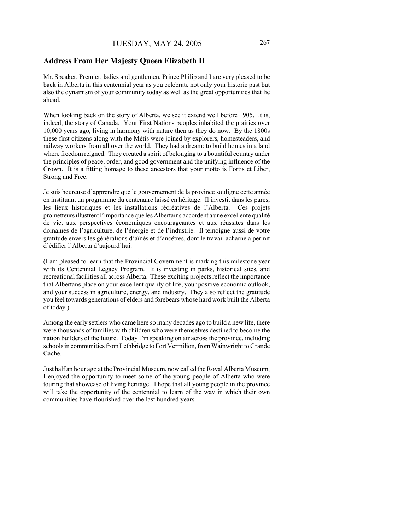# **Address From Her Majesty Queen Elizabeth II**

Mr. Speaker, Premier, ladies and gentlemen, Prince Philip and I are very pleased to be back in Alberta in this centennial year as you celebrate not only your historic past but also the dynamism of your community today as well as the great opportunities that lie ahead.

When looking back on the story of Alberta, we see it extend well before 1905. It is, indeed, the story of Canada. Your First Nations peoples inhabited the prairies over 10,000 years ago, living in harmony with nature then as they do now. By the 1800s these first citizens along with the Métis were joined by explorers, homesteaders, and railway workers from all over the world. They had a dream: to build homes in a land where freedom reigned. They created a spirit of belonging to a bountiful country under the principles of peace, order, and good government and the unifying influence of the Crown. It is a fitting homage to these ancestors that your motto is Fortis et Liber, Strong and Free.

Je suis heureuse d'apprendre que le gouvernement de la province souligne cette année en instituant un programme du centenaire laissé en héritage. Il investit dans les parcs, les lieux historiques et les installations récréatives de l'Alberta. Ces projets prometteurs illustrent l'importance que les Albertains accordent à une excellente qualité de vie, aux perspectives économiques encourageantes et aux réussites dans les domaines de l'agriculture, de l'énergie et de l'industrie. Il témoigne aussi de votre gratitude envers les générations d'aînés et d'ancêtres, dont le travail acharné a permit d'édifier l'Alberta d'aujourd'hui.

(I am pleased to learn that the Provincial Government is marking this milestone year with its Centennial Legacy Program. It is investing in parks, historical sites, and recreational facilities all across Alberta. These exciting projects reflect the importance that Albertans place on your excellent quality of life, your positive economic outlook, and your success in agriculture, energy, and industry. They also reflect the gratitude you feel towards generations of elders and forebears whose hard work built the Alberta of today.)

Among the early settlers who came here so many decades ago to build a new life, there were thousands of families with children who were themselves destined to become the nation builders of the future. Today I'm speaking on air across the province, including schools in communities from Lethbridge to Fort Vermilion, from Wainwright to Grande Cache.

Just half an hour ago at the Provincial Museum, now called the Royal Alberta Museum, I enjoyed the opportunity to meet some of the young people of Alberta who were touring that showcase of living heritage. I hope that all young people in the province will take the opportunity of the centennial to learn of the way in which their own communities have flourished over the last hundred years.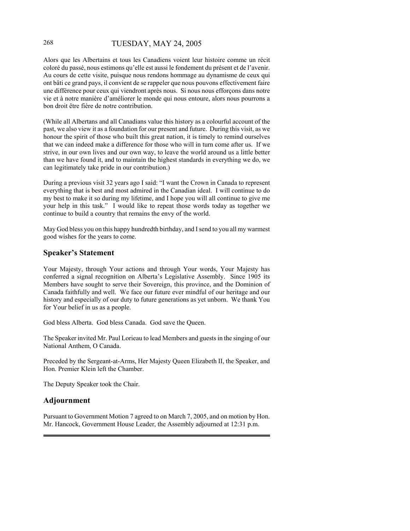# 268 TUESDAY, MAY 24, 2005

Alors que les Albertains et tous les Canadiens voient leur histoire comme un récit coloré du passé, nous estimons qu'elle est aussi le fondement du présent et de l'avenir. Au cours de cette visite, puisque nous rendons hommage au dynamisme de ceux qui ont bâti ce grand pays, il convient de se rappeler que nous pouvons effectivement faire une différence pour ceux qui viendront après nous. Si nous nous efforçons dans notre vie et à notre manière d'améliorer le monde qui nous entoure, alors nous pourrons a bon droit être fière de notre contribution.

(While all Albertans and all Canadians value this history as a colourful account of the past, we also view it as a foundation for our present and future. During this visit, as we honour the spirit of those who built this great nation, it is timely to remind ourselves that we can indeed make a difference for those who will in turn come after us. If we strive, in our own lives and our own way, to leave the world around us a little better than we have found it, and to maintain the highest standards in everything we do, we can legitimately take pride in our contribution.)

During a previous visit 32 years ago I said: "I want the Crown in Canada to represent everything that is best and most admired in the Canadian ideal. I will continue to do my best to make it so during my lifetime, and I hope you will all continue to give me your help in this task." I would like to repeat those words today as together we continue to build a country that remains the envy of the world.

May God bless you on this happy hundredth birthday, and I send to you all my warmest good wishes for the years to come.

#### **Speaker's Statement**

Your Majesty, through Your actions and through Your words, Your Majesty has conferred a signal recognition on Alberta's Legislative Assembly. Since 1905 its Members have sought to serve their Sovereign, this province, and the Dominion of Canada faithfully and well. We face our future ever mindful of our heritage and our history and especially of our duty to future generations as yet unborn. We thank You for Your belief in us as a people.

God bless Alberta. God bless Canada. God save the Queen.

The Speaker invited Mr. Paul Lorieau to lead Members and guests in the singing of our National Anthem, O Canada.

Preceded by the Sergeant-at-Arms, Her Majesty Queen Elizabeth II, the Speaker, and Hon. Premier Klein left the Chamber.

The Deputy Speaker took the Chair.

#### **Adjournment**

Pursuant to Government Motion 7 agreed to on March 7, 2005, and on motion by Hon. Mr. Hancock, Government House Leader, the Assembly adjourned at 12:31 p.m.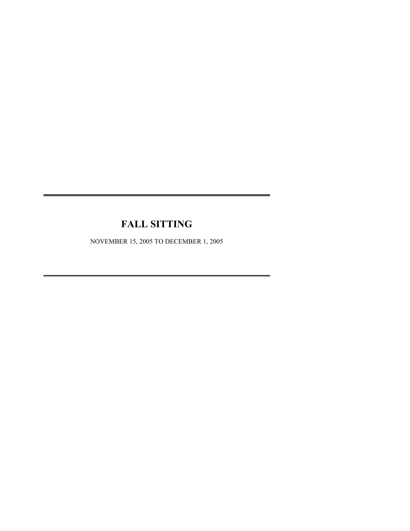# **FALL SITTING**

NOVEMBER 15, 2005 TO DECEMBER 1, 2005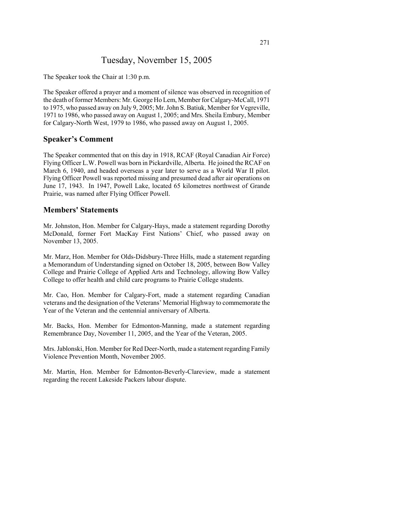# Tuesday, November 15, 2005

The Speaker took the Chair at 1:30 p.m.

The Speaker offered a prayer and a moment of silence was observed in recognition of the death of former Members: Mr. George Ho Lem, Member for Calgary-McCall, 1971 to 1975, who passed away on July 9, 2005; Mr. John S. Batiuk, Member for Vegreville, 1971 to 1986, who passed away on August 1, 2005; and Mrs. Sheila Embury, Member for Calgary-North West, 1979 to 1986, who passed away on August 1, 2005.

#### **Speaker's Comment**

The Speaker commented that on this day in 1918, RCAF (Royal Canadian Air Force) Flying Officer L.W. Powell was born in Pickardville, Alberta. He joined the RCAF on March 6, 1940, and headed overseas a year later to serve as a World War II pilot. Flying Officer Powell was reported missing and presumed dead after air operations on June 17, 1943. In 1947, Powell Lake, located 65 kilometres northwest of Grande Prairie, was named after Flying Officer Powell.

## **Members' Statements**

Mr. Johnston, Hon. Member for Calgary-Hays, made a statement regarding Dorothy McDonald, former Fort MacKay First Nations' Chief, who passed away on November 13, 2005.

Mr. Marz, Hon. Member for Olds-Didsbury-Three Hills, made a statement regarding a Memorandum of Understanding signed on October 18, 2005, between Bow Valley College and Prairie College of Applied Arts and Technology, allowing Bow Valley College to offer health and child care programs to Prairie College students.

Mr. Cao, Hon. Member for Calgary-Fort, made a statement regarding Canadian veterans and the designation of the Veterans' Memorial Highway to commemorate the Year of the Veteran and the centennial anniversary of Alberta.

Mr. Backs, Hon. Member for Edmonton-Manning, made a statement regarding Remembrance Day, November 11, 2005, and the Year of the Veteran, 2005.

Mrs. Jablonski, Hon. Member for Red Deer-North, made a statement regarding Family Violence Prevention Month, November 2005.

Mr. Martin, Hon. Member for Edmonton-Beverly-Clareview, made a statement regarding the recent Lakeside Packers labour dispute.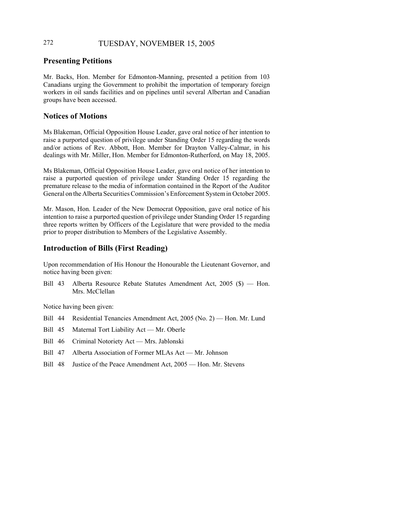# 272 TUESDAY, NOVEMBER 15, 2005

# **Presenting Petitions**

Mr. Backs, Hon. Member for Edmonton-Manning, presented a petition from 103 Canadians urging the Government to prohibit the importation of temporary foreign workers in oil sands facilities and on pipelines until several Albertan and Canadian groups have been accessed.

# **Notices of Motions**

Ms Blakeman, Official Opposition House Leader, gave oral notice of her intention to raise a purported question of privilege under Standing Order 15 regarding the words and/or actions of Rev. Abbott, Hon. Member for Drayton Valley-Calmar, in his dealings with Mr. Miller, Hon. Member for Edmonton-Rutherford, on May 18, 2005.

Ms Blakeman, Official Opposition House Leader, gave oral notice of her intention to raise a purported question of privilege under Standing Order 15 regarding the premature release to the media of information contained in the Report of the Auditor General on the Alberta Securities Commission's Enforcement System in October 2005.

Mr. Mason, Hon. Leader of the New Democrat Opposition, gave oral notice of his intention to raise a purported question of privilege under Standing Order 15 regarding three reports written by Officers of the Legislature that were provided to the media prior to proper distribution to Members of the Legislative Assembly.

# **Introduction of Bills (First Reading)**

Upon recommendation of His Honour the Honourable the Lieutenant Governor, and notice having been given:

Bill 43 Alberta Resource Rebate Statutes Amendment Act, 2005 (\$) — Hon. Mrs. McClellan

Notice having been given:

- Bill 44 Residential Tenancies Amendment Act, 2005 (No. 2) Hon. Mr. Lund
- Bill 45 Maternal Tort Liability Act Mr. Oberle
- Bill 46 Criminal Notoriety Act Mrs. Jablonski
- Bill 47 Alberta Association of Former MLAs Act Mr. Johnson
- Bill 48 Justice of the Peace Amendment Act, 2005 Hon. Mr. Stevens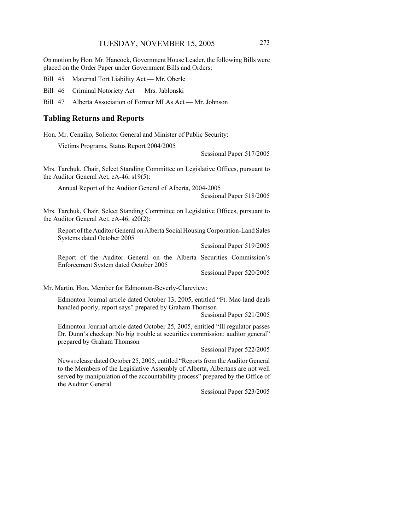On motion by Hon. Mr. Hancock, Government House Leader, the following Bills were placed on the Order Paper under Government Bills and Orders:

Bill 45 Maternal Tort Liability Act — Mr. Oberle

Bill 46 Criminal Notoriety Act — Mrs. Jablonski

Bill 47 Alberta Association of Former MLAs Act — Mr. Johnson

#### **Tabling Returns and Reports**

Hon. Mr. Cenaiko, Solicitor General and Minister of Public Security:

Victims Programs, Status Report 2004/2005

Sessional Paper 517/2005

Mrs. Tarchuk, Chair, Select Standing Committee on Legislative Offices, pursuant to the Auditor General Act, cA-46, s19(5):

Annual Report of the Auditor General of Alberta, 2004-2005

Sessional Paper 518/2005

Mrs. Tarchuk, Chair, Select Standing Committee on Legislative Offices, pursuant to the Auditor General Act, cA-46, s20(2):

Report of the Auditor General on Alberta Social Housing Corporation-Land Sales Systems dated October 2005

Sessional Paper 519/2005

Report of the Auditor General on the Alberta Securities Commission's Enforcement System dated October 2005

Sessional Paper 520/2005

Mr. Martin, Hon. Member for Edmonton-Beverly-Clareview:

Edmonton Journal article dated October 13, 2005, entitled "Ft. Mac land deals handled poorly, report says" prepared by Graham Thomson

Sessional Paper 521/2005

Edmonton Journal article dated October 25, 2005, entitled "Ill regulator passes Dr. Dunn's checkup: No big trouble at securities commission: auditor general" prepared by Graham Thomson

Sessional Paper 522/2005

News release dated October 25, 2005, entitled "Reports from the Auditor General to the Members of the Legislative Assembly of Alberta, Albertans are not well served by manipulation of the accountability process" prepared by the Office of the Auditor General

Sessional Paper 523/2005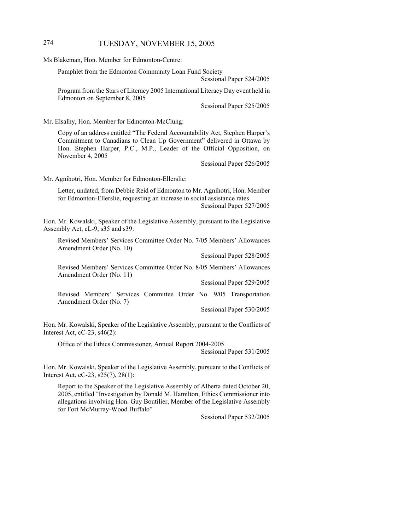# 274 TUESDAY, NOVEMBER 15, 2005

Ms Blakeman, Hon. Member for Edmonton-Centre:

Pamphlet from the Edmonton Community Loan Fund Society

Sessional Paper 524/2005

Program from the Stars of Literacy 2005 International Literacy Day event held in Edmonton on September 8, 2005

Sessional Paper 525/2005

Mr. Elsalhy, Hon. Member for Edmonton-McClung:

Copy of an address entitled "The Federal Accountability Act, Stephen Harper's Commitment to Canadians to Clean Up Government" delivered in Ottawa by Hon. Stephen Harper, P.C., M.P., Leader of the Official Opposition, on November 4, 2005

Sessional Paper 526/2005

Mr. Agnihotri, Hon. Member for Edmonton-Ellerslie:

Letter, undated, from Debbie Reid of Edmonton to Mr. Agnihotri, Hon. Member for Edmonton-Ellerslie, requesting an increase in social assistance rates Sessional Paper 527/2005

Hon. Mr. Kowalski, Speaker of the Legislative Assembly, pursuant to the Legislative Assembly Act, cL-9, s35 and s39:

Revised Members' Services Committee Order No. 7/05 Members' Allowances Amendment Order (No. 10)

Sessional Paper 528/2005

Revised Members' Services Committee Order No. 8/05 Members' Allowances Amendment Order (No. 11)

Sessional Paper 529/2005

Revised Members' Services Committee Order No. 9/05 Transportation Amendment Order (No. 7)

Sessional Paper 530/2005

Hon. Mr. Kowalski, Speaker of the Legislative Assembly, pursuant to the Conflicts of Interest Act,  $cC-23$ ,  $s46(2)$ :

Office of the Ethics Commissioner, Annual Report 2004-2005

Sessional Paper 531/2005

Hon. Mr. Kowalski, Speaker of the Legislative Assembly, pursuant to the Conflicts of Interest Act, cC-23, s25(7), 28(1):

Report to the Speaker of the Legislative Assembly of Alberta dated October 20, 2005, entitled "Investigation by Donald M. Hamilton, Ethics Commissioner into allegations involving Hon. Guy Boutilier, Member of the Legislative Assembly for Fort McMurray-Wood Buffalo"

Sessional Paper 532/2005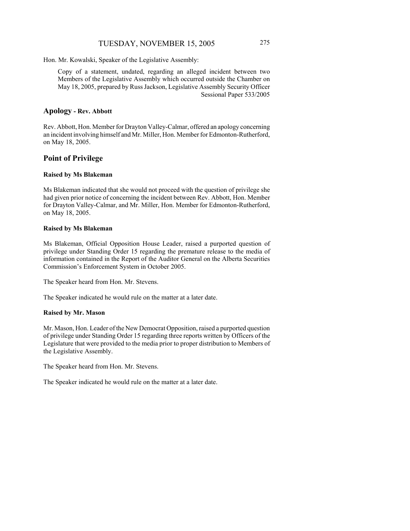# TUESDAY, NOVEMBER 15, 2005 275

Hon. Mr. Kowalski, Speaker of the Legislative Assembly:

Copy of a statement, undated, regarding an alleged incident between two Members of the Legislative Assembly which occurred outside the Chamber on May 18, 2005, prepared by Russ Jackson, Legislative Assembly Security Officer Sessional Paper 533/2005

# **Apology - Rev. Abbott**

Rev. Abbott, Hon. Member for Drayton Valley-Calmar, offered an apology concerning an incident involving himself and Mr. Miller, Hon. Member for Edmonton-Rutherford, on May 18, 2005.

## **Point of Privilege**

#### **Raised by Ms Blakeman**

Ms Blakeman indicated that she would not proceed with the question of privilege she had given prior notice of concerning the incident between Rev. Abbott, Hon. Member for Drayton Valley-Calmar, and Mr. Miller, Hon. Member for Edmonton-Rutherford, on May 18, 2005.

#### **Raised by Ms Blakeman**

Ms Blakeman, Official Opposition House Leader, raised a purported question of privilege under Standing Order 15 regarding the premature release to the media of information contained in the Report of the Auditor General on the Alberta Securities Commission's Enforcement System in October 2005.

The Speaker heard from Hon. Mr. Stevens.

The Speaker indicated he would rule on the matter at a later date.

#### **Raised by Mr. Mason**

Mr. Mason, Hon. Leader of the New Democrat Opposition, raised a purported question of privilege under Standing Order 15 regarding three reports written by Officers of the Legislature that were provided to the media prior to proper distribution to Members of the Legislative Assembly.

The Speaker heard from Hon. Mr. Stevens.

The Speaker indicated he would rule on the matter at a later date.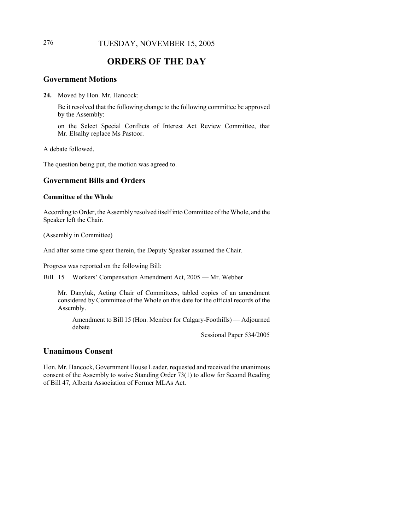# 276 TUESDAY, NOVEMBER 15, 2005

# **ORDERS OF THE DAY**

#### **Government Motions**

**24.** Moved by Hon. Mr. Hancock:

Be it resolved that the following change to the following committee be approved by the Assembly:

on the Select Special Conflicts of Interest Act Review Committee, that Mr. Elsalhy replace Ms Pastoor.

A debate followed.

The question being put, the motion was agreed to.

# **Government Bills and Orders**

#### **Committee of the Whole**

According to Order, the Assembly resolved itself into Committee of the Whole, and the Speaker left the Chair.

(Assembly in Committee)

And after some time spent therein, the Deputy Speaker assumed the Chair.

Progress was reported on the following Bill:

Bill 15 Workers' Compensation Amendment Act, 2005 — Mr. Webber

Mr. Danyluk, Acting Chair of Committees, tabled copies of an amendment considered by Committee of the Whole on this date for the official records of the Assembly.

Amendment to Bill 15 (Hon. Member for Calgary-Foothills) — Adjourned debate

Sessional Paper 534/2005

## **Unanimous Consent**

Hon. Mr. Hancock, Government House Leader, requested and received the unanimous consent of the Assembly to waive Standing Order 73(1) to allow for Second Reading of Bill 47, Alberta Association of Former MLAs Act.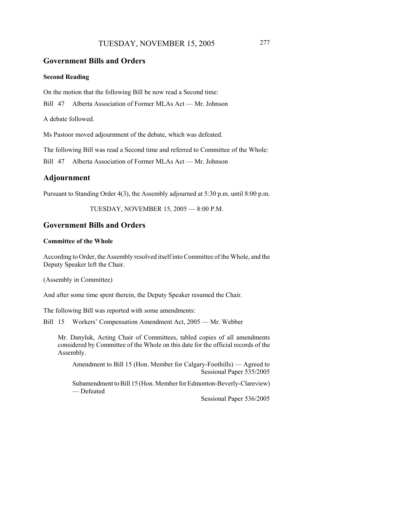# TUESDAY, NOVEMBER 15, 2005 277

### **Government Bills and Orders**

#### **Second Reading**

On the motion that the following Bill be now read a Second time:

Bill 47 Alberta Association of Former MLAs Act — Mr. Johnson

A debate followed.

Ms Pastoor moved adjournment of the debate, which was defeated.

The following Bill was read a Second time and referred to Committee of the Whole:

Bill 47 Alberta Association of Former MLAs Act — Mr. Johnson

#### **Adjournment**

Pursuant to Standing Order 4(3), the Assembly adjourned at 5:30 p.m. until 8:00 p.m.

TUESDAY, NOVEMBER 15, 2005 — 8:00 P.M.

#### **Government Bills and Orders**

#### **Committee of the Whole**

According to Order, the Assembly resolved itself into Committee of the Whole, and the Deputy Speaker left the Chair.

(Assembly in Committee)

And after some time spent therein, the Deputy Speaker resumed the Chair.

The following Bill was reported with some amendments:

Bill 15 Workers' Compensation Amendment Act, 2005 — Mr. Webber

Mr. Danyluk, Acting Chair of Committees, tabled copies of all amendments considered by Committee of the Whole on this date for the official records of the Assembly.

Amendment to Bill 15 (Hon. Member for Calgary-Foothills) — Agreed to Sessional Paper 535/2005

Subamendment to Bill 15 (Hon. Member for Edmonton-Beverly-Clareview) — Defeated

Sessional Paper 536/2005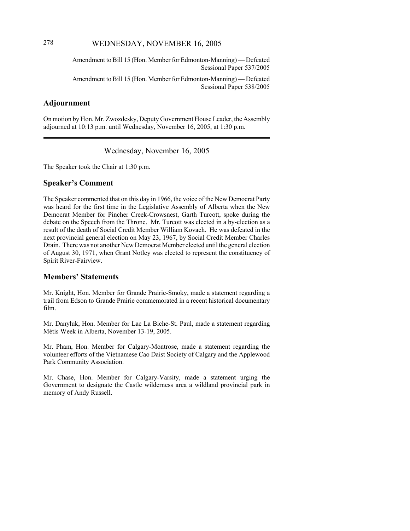# 278 WEDNESDAY, NOVEMBER 16, 2005

Amendment to Bill 15 (Hon. Member for Edmonton-Manning) — Defeated Sessional Paper 537/2005

Amendment to Bill 15 (Hon. Member for Edmonton-Manning) — Defeated Sessional Paper 538/2005

# **Adjournment**

On motion by Hon. Mr. Zwozdesky, Deputy Government House Leader, the Assembly adjourned at 10:13 p.m. until Wednesday, November 16, 2005, at 1:30 p.m.

Wednesday, November 16, 2005

The Speaker took the Chair at 1:30 p.m.

#### **Speaker's Comment**

The Speaker commented that on this day in 1966, the voice of the New Democrat Party was heard for the first time in the Legislative Assembly of Alberta when the New Democrat Member for Pincher Creek-Crowsnest, Garth Turcott, spoke during the debate on the Speech from the Throne. Mr. Turcott was elected in a by-election as a result of the death of Social Credit Member William Kovach. He was defeated in the next provincial general election on May 23, 1967, by Social Credit Member Charles Drain. There was not another New Democrat Member elected until the general election of August 30, 1971, when Grant Notley was elected to represent the constituency of Spirit River-Fairview.

#### **Members' Statements**

Mr. Knight, Hon. Member for Grande Prairie-Smoky, made a statement regarding a trail from Edson to Grande Prairie commemorated in a recent historical documentary film.

Mr. Danyluk, Hon. Member for Lac La Biche-St. Paul, made a statement regarding Métis Week in Alberta, November 13-19, 2005.

Mr. Pham, Hon. Member for Calgary-Montrose, made a statement regarding the volunteer efforts of the Vietnamese Cao Daist Society of Calgary and the Applewood Park Community Association.

Mr. Chase, Hon. Member for Calgary-Varsity, made a statement urging the Government to designate the Castle wilderness area a wildland provincial park in memory of Andy Russell.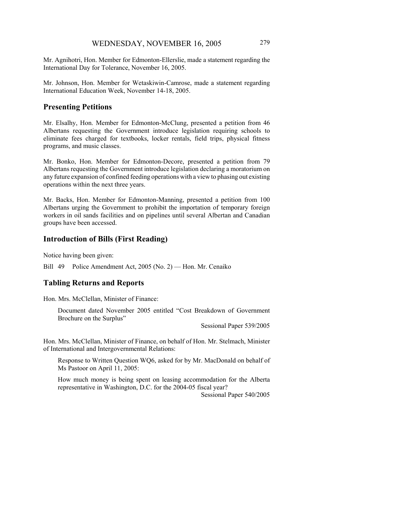Mr. Johnson, Hon. Member for Wetaskiwin-Camrose, made a statement regarding International Education Week, November 14-18, 2005.

# **Presenting Petitions**

Mr. Elsalhy, Hon. Member for Edmonton-McClung, presented a petition from 46 Albertans requesting the Government introduce legislation requiring schools to eliminate fees charged for textbooks, locker rentals, field trips, physical fitness programs, and music classes.

Mr. Bonko, Hon. Member for Edmonton-Decore, presented a petition from 79 Albertans requesting the Government introduce legislation declaring a moratorium on any future expansion of confined feeding operations with a view to phasing out existing operations within the next three years.

Mr. Backs, Hon. Member for Edmonton-Manning, presented a petition from 100 Albertans urging the Government to prohibit the importation of temporary foreign workers in oil sands facilities and on pipelines until several Albertan and Canadian groups have been accessed.

# **Introduction of Bills (First Reading)**

Notice having been given:

Bill 49 Police Amendment Act, 2005 (No. 2) — Hon. Mr. Cenaiko

# **Tabling Returns and Reports**

Hon. Mrs. McClellan, Minister of Finance:

Document dated November 2005 entitled "Cost Breakdown of Government Brochure on the Surplus"

Sessional Paper 539/2005

Hon. Mrs. McClellan, Minister of Finance, on behalf of Hon. Mr. Stelmach, Minister of International and Intergovernmental Relations:

Response to Written Question WQ6, asked for by Mr. MacDonald on behalf of Ms Pastoor on April 11, 2005:

How much money is being spent on leasing accommodation for the Alberta representative in Washington, D.C. for the 2004-05 fiscal year?

Sessional Paper 540/2005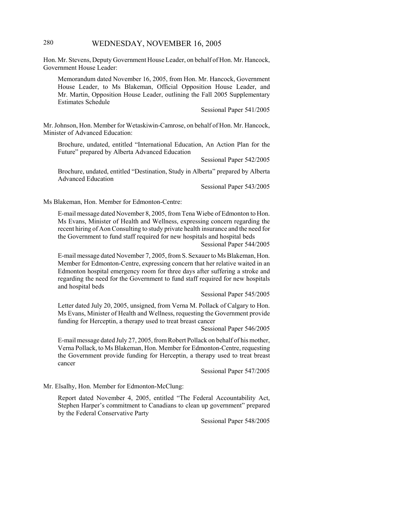# 280 WEDNESDAY, NOVEMBER 16, 2005

Hon. Mr. Stevens, Deputy Government House Leader, on behalf of Hon. Mr. Hancock, Government House Leader:

Memorandum dated November 16, 2005, from Hon. Mr. Hancock, Government House Leader, to Ms Blakeman, Official Opposition House Leader, and Mr. Martin, Opposition House Leader, outlining the Fall 2005 Supplementary Estimates Schedule

Sessional Paper 541/2005

Mr. Johnson, Hon. Member for Wetaskiwin-Camrose, on behalf of Hon. Mr. Hancock, Minister of Advanced Education:

Brochure, undated, entitled "International Education, An Action Plan for the Future" prepared by Alberta Advanced Education

Sessional Paper 542/2005

Brochure, undated, entitled "Destination, Study in Alberta" prepared by Alberta Advanced Education

Sessional Paper 543/2005

Ms Blakeman, Hon. Member for Edmonton-Centre:

E-mail message dated November 8, 2005, from Tena Wiebe of Edmonton to Hon. Ms Evans, Minister of Health and Wellness, expressing concern regarding the recent hiring of Aon Consulting to study private health insurance and the need for the Government to fund staff required for new hospitals and hospital beds

Sessional Paper 544/2005

E-mail message dated November 7, 2005, from S. Sexauer to Ms Blakeman, Hon. Member for Edmonton-Centre, expressing concern that her relative waited in an Edmonton hospital emergency room for three days after suffering a stroke and regarding the need for the Government to fund staff required for new hospitals and hospital beds

Sessional Paper 545/2005

Letter dated July 20, 2005, unsigned, from Verna M. Pollack of Calgary to Hon. Ms Evans, Minister of Health and Wellness, requesting the Government provide funding for Herceptin, a therapy used to treat breast cancer

Sessional Paper 546/2005

E-mail message dated July 27, 2005, from Robert Pollack on behalf of his mother, Verna Pollack, to Ms Blakeman, Hon. Member for Edmonton-Centre, requesting the Government provide funding for Herceptin, a therapy used to treat breast cancer

Sessional Paper 547/2005

Mr. Elsalhy, Hon. Member for Edmonton-McClung:

Report dated November 4, 2005, entitled "The Federal Accountability Act, Stephen Harper's commitment to Canadians to clean up government" prepared by the Federal Conservative Party

Sessional Paper 548/2005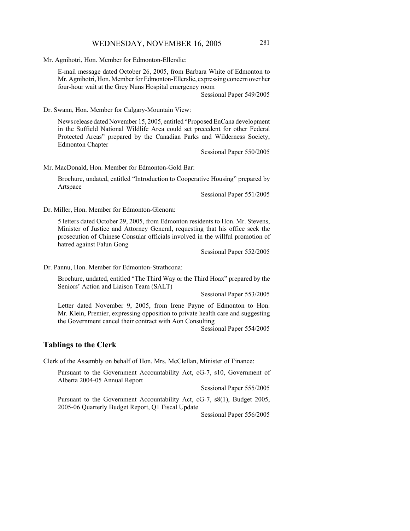Mr. Agnihotri, Hon. Member for Edmonton-Ellerslie:

E-mail message dated October 26, 2005, from Barbara White of Edmonton to Mr. Agnihotri, Hon. Member for Edmonton-Ellerslie, expressing concern over her four-hour wait at the Grey Nuns Hospital emergency room

Sessional Paper 549/2005

Dr. Swann, Hon. Member for Calgary-Mountain View:

News release dated November 15, 2005, entitled "Proposed EnCana development in the Suffield National Wildlife Area could set precedent for other Federal Protected Areas" prepared by the Canadian Parks and Wilderness Society, Edmonton Chapter

Sessional Paper 550/2005

Mr. MacDonald, Hon. Member for Edmonton-Gold Bar:

Brochure, undated, entitled "Introduction to Cooperative Housing" prepared by Artspace

Sessional Paper 551/2005

Dr. Miller, Hon. Member for Edmonton-Glenora:

5 letters dated October 29, 2005, from Edmonton residents to Hon. Mr. Stevens, Minister of Justice and Attorney General, requesting that his office seek the prosecution of Chinese Consular officials involved in the willful promotion of hatred against Falun Gong

Sessional Paper 552/2005

Dr. Pannu, Hon. Member for Edmonton-Strathcona:

Brochure, undated, entitled "The Third Way or the Third Hoax" prepared by the Seniors' Action and Liaison Team (SALT)

Sessional Paper 553/2005

Letter dated November 9, 2005, from Irene Payne of Edmonton to Hon. Mr. Klein, Premier, expressing opposition to private health care and suggesting the Government cancel their contract with Aon Consulting

Sessional Paper 554/2005

#### **Tablings to the Clerk**

Clerk of the Assembly on behalf of Hon. Mrs. McClellan, Minister of Finance:

Pursuant to the Government Accountability Act, cG-7, s10, Government of Alberta 2004-05 Annual Report

Sessional Paper 555/2005

Pursuant to the Government Accountability Act, cG-7, s8(1), Budget 2005, 2005-06 Quarterly Budget Report, Q1 Fiscal Update

Sessional Paper 556/2005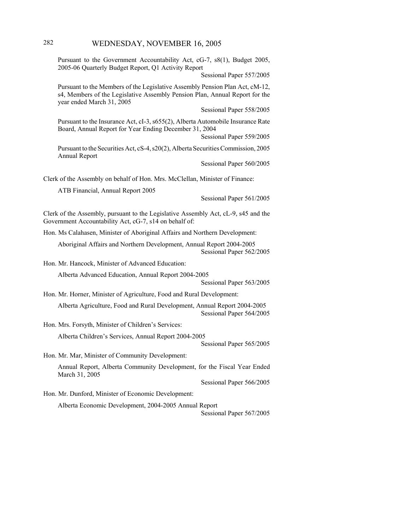# 282 WEDNESDAY, NOVEMBER 16, 2005

Pursuant to the Government Accountability Act, cG-7, s8(1), Budget 2005, 2005-06 Quarterly Budget Report, Q1 Activity Report

Sessional Paper 557/2005

Pursuant to the Members of the Legislative Assembly Pension Plan Act, cM-12, s4, Members of the Legislative Assembly Pension Plan, Annual Report for the year ended March 31, 2005

Sessional Paper 558/2005

Pursuant to the Insurance Act, cI-3, s655(2), Alberta Automobile Insurance Rate Board, Annual Report for Year Ending December 31, 2004

Sessional Paper 559/2005

Pursuant to the Securities Act, cS-4, s20(2), Alberta Securities Commission, 2005 Annual Report

Sessional Paper 560/2005

Clerk of the Assembly on behalf of Hon. Mrs. McClellan, Minister of Finance:

ATB Financial, Annual Report 2005

Sessional Paper 561/2005

Clerk of the Assembly, pursuant to the Legislative Assembly Act, cL-9, s45 and the Government Accountability Act, cG-7, s14 on behalf of:

Hon. Ms Calahasen, Minister of Aboriginal Affairs and Northern Development:

Aboriginal Affairs and Northern Development, Annual Report 2004-2005 Sessional Paper 562/2005

Hon. Mr. Hancock, Minister of Advanced Education:

Alberta Advanced Education, Annual Report 2004-2005

Sessional Paper 563/2005

Hon. Mr. Horner, Minister of Agriculture, Food and Rural Development:

Alberta Agriculture, Food and Rural Development, Annual Report 2004-2005 Sessional Paper 564/2005

Hon. Mrs. Forsyth, Minister of Children's Services:

Alberta Children's Services, Annual Report 2004-2005

Sessional Paper 565/2005

Hon. Mr. Mar, Minister of Community Development:

Annual Report, Alberta Community Development, for the Fiscal Year Ended March 31, 2005

Sessional Paper 566/2005

Hon. Mr. Dunford, Minister of Economic Development:

Alberta Economic Development, 2004-2005 Annual Report Sessional Paper 567/2005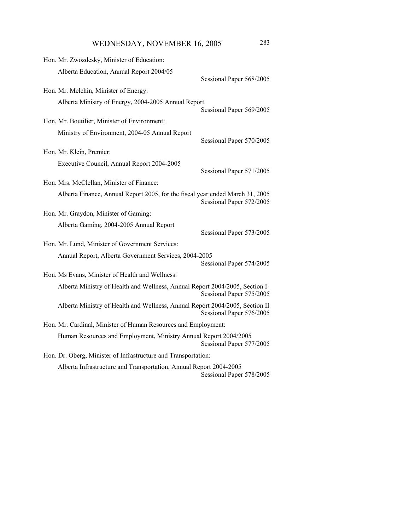WEDNESDAY, NOVEMBER 16, 2005 283

| Hon. Mr. Zwozdesky, Minister of Education:                                                              |                          |
|---------------------------------------------------------------------------------------------------------|--------------------------|
| Alberta Education, Annual Report 2004/05                                                                |                          |
| Hon. Mr. Melchin, Minister of Energy:                                                                   | Sessional Paper 568/2005 |
|                                                                                                         |                          |
| Alberta Ministry of Energy, 2004-2005 Annual Report                                                     | Sessional Paper 569/2005 |
| Hon. Mr. Boutilier, Minister of Environment:                                                            |                          |
| Ministry of Environment, 2004-05 Annual Report                                                          | Sessional Paper 570/2005 |
| Hon. Mr. Klein, Premier:                                                                                |                          |
| Executive Council, Annual Report 2004-2005                                                              | Sessional Paper 571/2005 |
| Hon. Mrs. McClellan, Minister of Finance:                                                               |                          |
| Alberta Finance, Annual Report 2005, for the fiscal year ended March 31, 2005                           | Sessional Paper 572/2005 |
| Hon. Mr. Graydon, Minister of Gaming:                                                                   |                          |
| Alberta Gaming, 2004-2005 Annual Report                                                                 | Sessional Paper 573/2005 |
| Hon. Mr. Lund, Minister of Government Services:                                                         |                          |
| Annual Report, Alberta Government Services, 2004-2005                                                   | Sessional Paper 574/2005 |
| Hon. Ms Evans, Minister of Health and Wellness:                                                         |                          |
| Alberta Ministry of Health and Wellness, Annual Report 2004/2005, Section I<br>Sessional Paper 575/2005 |                          |
| Alberta Ministry of Health and Wellness, Annual Report 2004/2005, Section II                            | Sessional Paper 576/2005 |
| Hon. Mr. Cardinal, Minister of Human Resources and Employment:                                          |                          |
| Human Resources and Employment, Ministry Annual Report 2004/2005                                        | Sessional Paper 577/2005 |
| Hon. Dr. Oberg, Minister of Infrastructure and Transportation:                                          |                          |
| Alberta Infrastructure and Transportation, Annual Report 2004-2005                                      | Sessional Paper 578/2005 |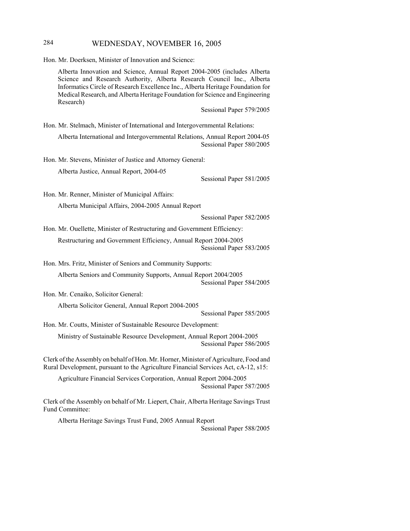## 284 WEDNESDAY, NOVEMBER 16, 2005

Hon. Mr. Doerksen, Minister of Innovation and Science:

Alberta Innovation and Science, Annual Report 2004-2005 (includes Alberta Science and Research Authority, Alberta Research Council Inc., Alberta Informatics Circle of Research Excellence Inc., Alberta Heritage Foundation for Medical Research, and Alberta Heritage Foundation for Science and Engineering Research)

Sessional Paper 579/2005

Hon. Mr. Stelmach, Minister of International and Intergovernmental Relations:

Alberta International and Intergovernmental Relations, Annual Report 2004-05 Sessional Paper 580/2005

Hon. Mr. Stevens, Minister of Justice and Attorney General:

Alberta Justice, Annual Report, 2004-05

Sessional Paper 581/2005

Hon. Mr. Renner, Minister of Municipal Affairs:

Alberta Municipal Affairs, 2004-2005 Annual Report

Sessional Paper 582/2005

Hon. Mr. Ouellette, Minister of Restructuring and Government Efficiency: Restructuring and Government Efficiency, Annual Report 2004-2005 Sessional Paper 583/2005

Hon. Mrs. Fritz, Minister of Seniors and Community Supports:

Alberta Seniors and Community Supports, Annual Report 2004/2005 Sessional Paper 584/2005

Hon. Mr. Cenaiko, Solicitor General:

Alberta Solicitor General, Annual Report 2004-2005

Sessional Paper 585/2005

Hon. Mr. Coutts, Minister of Sustainable Resource Development:

Ministry of Sustainable Resource Development, Annual Report 2004-2005 Sessional Paper 586/2005

Clerk of the Assembly on behalf of Hon. Mr. Horner, Minister of Agriculture, Food and Rural Development, pursuant to the Agriculture Financial Services Act, cA-12, s15:

Agriculture Financial Services Corporation, Annual Report 2004-2005 Sessional Paper 587/2005

Clerk of the Assembly on behalf of Mr. Liepert, Chair, Alberta Heritage Savings Trust Fund Committee:

Alberta Heritage Savings Trust Fund, 2005 Annual Report Sessional Paper 588/2005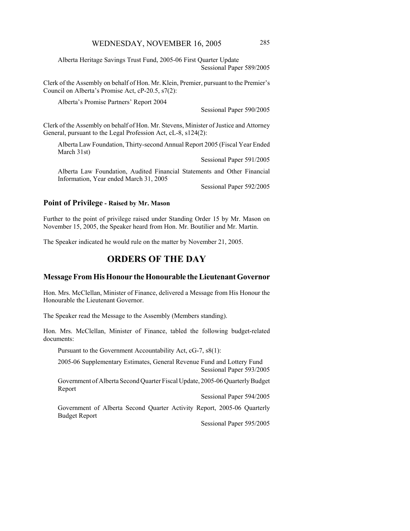Alberta Heritage Savings Trust Fund, 2005-06 First Quarter Update Sessional Paper 589/2005

Clerk of the Assembly on behalf of Hon. Mr. Klein, Premier, pursuant to the Premier's Council on Alberta's Promise Act, cP-20.5, s7(2):

Alberta's Promise Partners' Report 2004

Sessional Paper 590/2005

Clerk of the Assembly on behalf of Hon. Mr. Stevens, Minister of Justice and Attorney General, pursuant to the Legal Profession Act, cL-8, s124(2):

Alberta Law Foundation, Thirty-second Annual Report 2005 (Fiscal Year Ended March 31st)

Sessional Paper 591/2005

Alberta Law Foundation, Audited Financial Statements and Other Financial Information, Year ended March 31, 2005

Sessional Paper 592/2005

#### **Point of Privilege - Raised by Mr. Mason**

Further to the point of privilege raised under Standing Order 15 by Mr. Mason on November 15, 2005, the Speaker heard from Hon. Mr. Boutilier and Mr. Martin.

The Speaker indicated he would rule on the matter by November 21, 2005.

## **ORDERS OF THE DAY**

#### **Message From His Honour the Honourable the Lieutenant Governor**

Hon. Mrs. McClellan, Minister of Finance, delivered a Message from His Honour the Honourable the Lieutenant Governor.

The Speaker read the Message to the Assembly (Members standing).

Hon. Mrs. McClellan, Minister of Finance, tabled the following budget-related documents:

Pursuant to the Government Accountability Act, cG-7, s8(1):

2005-06 Supplementary Estimates, General Revenue Fund and Lottery Fund Sessional Paper 593/2005

Government of Alberta Second Quarter Fiscal Update, 2005-06 Quarterly Budget Report

Sessional Paper 594/2005

Government of Alberta Second Quarter Activity Report, 2005-06 Quarterly Budget Report

Sessional Paper 595/2005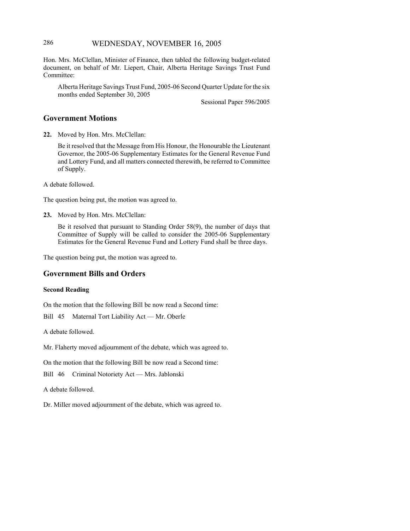## 286 WEDNESDAY, NOVEMBER 16, 2005

Hon. Mrs. McClellan, Minister of Finance, then tabled the following budget-related document, on behalf of Mr. Liepert, Chair, Alberta Heritage Savings Trust Fund Committee:

Alberta Heritage Savings Trust Fund, 2005-06 Second Quarter Update for the six months ended September 30, 2005

Sessional Paper 596/2005

#### **Government Motions**

**22.** Moved by Hon. Mrs. McClellan:

Be it resolved that the Message from His Honour, the Honourable the Lieutenant Governor, the 2005-06 Supplementary Estimates for the General Revenue Fund and Lottery Fund, and all matters connected therewith, be referred to Committee of Supply.

A debate followed.

The question being put, the motion was agreed to.

**23.** Moved by Hon. Mrs. McClellan:

Be it resolved that pursuant to Standing Order 58(9), the number of days that Committee of Supply will be called to consider the 2005-06 Supplementary Estimates for the General Revenue Fund and Lottery Fund shall be three days.

The question being put, the motion was agreed to.

#### **Government Bills and Orders**

#### **Second Reading**

On the motion that the following Bill be now read a Second time:

Bill 45 Maternal Tort Liability Act — Mr. Oberle

A debate followed.

Mr. Flaherty moved adjournment of the debate, which was agreed to.

On the motion that the following Bill be now read a Second time:

Bill 46 Criminal Notoriety Act — Mrs. Jablonski

A debate followed.

Dr. Miller moved adjournment of the debate, which was agreed to.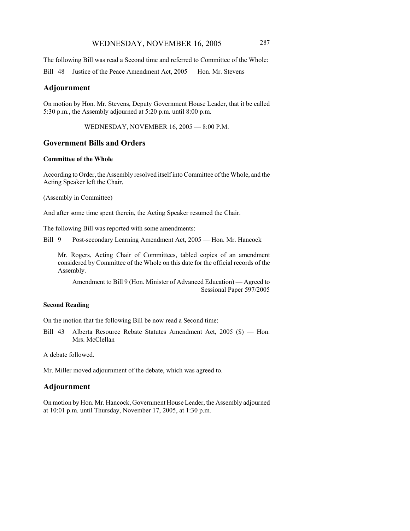The following Bill was read a Second time and referred to Committee of the Whole:

Bill 48 Justice of the Peace Amendment Act, 2005 — Hon. Mr. Stevens

#### **Adjournment**

On motion by Hon. Mr. Stevens, Deputy Government House Leader, that it be called 5:30 p.m., the Assembly adjourned at 5:20 p.m. until 8:00 p.m.

WEDNESDAY, NOVEMBER 16, 2005 — 8:00 P.M.

#### **Government Bills and Orders**

#### **Committee of the Whole**

According to Order, the Assembly resolved itself into Committee of the Whole, and the Acting Speaker left the Chair.

(Assembly in Committee)

And after some time spent therein, the Acting Speaker resumed the Chair.

The following Bill was reported with some amendments:

Bill 9 Post-secondary Learning Amendment Act, 2005 — Hon. Mr. Hancock

Mr. Rogers, Acting Chair of Committees, tabled copies of an amendment considered by Committee of the Whole on this date for the official records of the Assembly.

Amendment to Bill 9 (Hon. Minister of Advanced Education) — Agreed to Sessional Paper 597/2005

#### **Second Reading**

On the motion that the following Bill be now read a Second time:

Bill 43 Alberta Resource Rebate Statutes Amendment Act, 2005 (\$) — Hon. Mrs. McClellan

A debate followed.

Mr. Miller moved adjournment of the debate, which was agreed to.

## **Adjournment**

On motion by Hon. Mr. Hancock, Government House Leader, the Assembly adjourned at 10:01 p.m. until Thursday, November 17, 2005, at 1:30 p.m.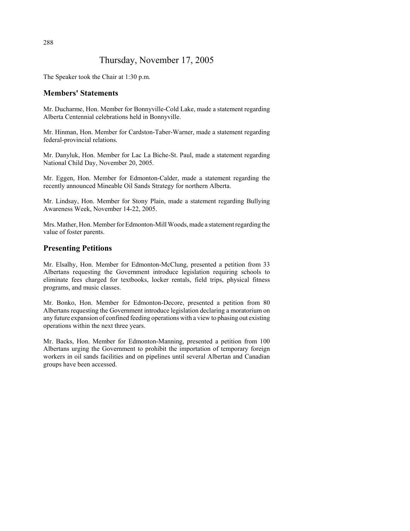## Thursday, November 17, 2005

The Speaker took the Chair at 1:30 p.m.

## **Members' Statements**

Mr. Ducharme, Hon. Member for Bonnyville-Cold Lake, made a statement regarding Alberta Centennial celebrations held in Bonnyville.

Mr. Hinman, Hon. Member for Cardston-Taber-Warner, made a statement regarding federal-provincial relations.

Mr. Danyluk, Hon. Member for Lac La Biche-St. Paul, made a statement regarding National Child Day, November 20, 2005.

Mr. Eggen, Hon. Member for Edmonton-Calder, made a statement regarding the recently announced Mineable Oil Sands Strategy for northern Alberta.

Mr. Lindsay, Hon. Member for Stony Plain, made a statement regarding Bullying Awareness Week, November 14-22, 2005.

Mrs. Mather, Hon. Member for Edmonton-Mill Woods, made a statement regarding the value of foster parents.

## **Presenting Petitions**

Mr. Elsalhy, Hon. Member for Edmonton-McClung, presented a petition from 33 Albertans requesting the Government introduce legislation requiring schools to eliminate fees charged for textbooks, locker rentals, field trips, physical fitness programs, and music classes.

Mr. Bonko, Hon. Member for Edmonton-Decore, presented a petition from 80 Albertans requesting the Government introduce legislation declaring a moratorium on any future expansion of confined feeding operations with a view to phasing out existing operations within the next three years.

Mr. Backs, Hon. Member for Edmonton-Manning, presented a petition from 100 Albertans urging the Government to prohibit the importation of temporary foreign workers in oil sands facilities and on pipelines until several Albertan and Canadian groups have been accessed.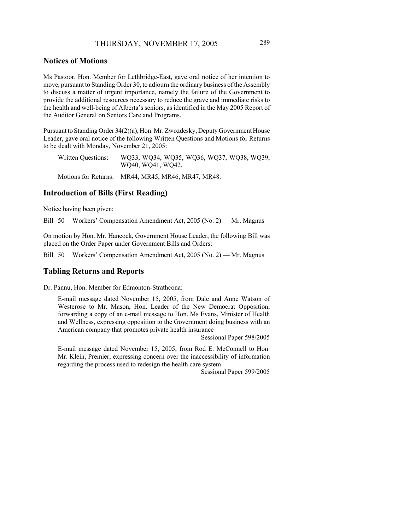#### **Notices of Motions**

Ms Pastoor, Hon. Member for Lethbridge-East, gave oral notice of her intention to move, pursuant to Standing Order 30, to adjourn the ordinary business of the Assembly to discuss a matter of urgent importance, namely the failure of the Government to provide the additional resources necessary to reduce the grave and immediate risks to the health and well-being of Alberta's seniors, as identified in the May 2005 Report of the Auditor General on Seniors Care and Programs.

Pursuant to Standing Order 34(2)(a), Hon. Mr. Zwozdesky, Deputy Government House Leader, gave oral notice of the following Written Questions and Motions for Returns to be dealt with Monday, November 21, 2005:

Written Questions: WQ33, WQ34, WQ35, WQ36, WQ37, WQ38, WQ39, WQ40, WQ41, WQ42.

Motions for Returns: MR44, MR45, MR46, MR47, MR48.

#### **Introduction of Bills (First Reading)**

Notice having been given:

Bill 50 Workers' Compensation Amendment Act, 2005 (No. 2) — Mr. Magnus

On motion by Hon. Mr. Hancock, Government House Leader, the following Bill was placed on the Order Paper under Government Bills and Orders:

Bill 50 Workers' Compensation Amendment Act, 2005 (No. 2) — Mr. Magnus

#### **Tabling Returns and Reports**

Dr. Pannu, Hon. Member for Edmonton-Strathcona:

E-mail message dated November 15, 2005, from Dale and Anne Watson of Westerose to Mr. Mason, Hon. Leader of the New Democrat Opposition, forwarding a copy of an e-mail message to Hon. Ms Evans, Minister of Health and Wellness, expressing opposition to the Government doing business with an American company that promotes private health insurance

Sessional Paper 598/2005

E-mail message dated November 15, 2005, from Rod E. McConnell to Hon. Mr. Klein, Premier, expressing concern over the inaccessibility of information regarding the process used to redesign the health care system

Sessional Paper 599/2005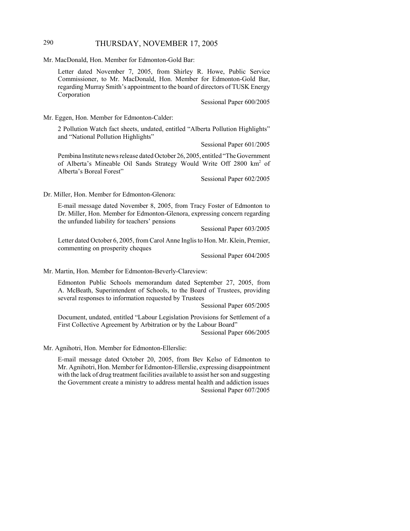## 290 THURSDAY, NOVEMBER 17, 2005

Mr. MacDonald, Hon. Member for Edmonton-Gold Bar:

Letter dated November 7, 2005, from Shirley R. Howe, Public Service Commissioner, to Mr. MacDonald, Hon. Member for Edmonton-Gold Bar, regarding Murray Smith's appointment to the board of directors of TUSK Energy Corporation

Sessional Paper 600/2005

Mr. Eggen, Hon. Member for Edmonton-Calder:

2 Pollution Watch fact sheets, undated, entitled "Alberta Pollution Highlights" and "National Pollution Highlights"

Sessional Paper 601/2005

Pembina Institute news release dated October 26, 2005, entitled "The Government of Alberta's Mineable Oil Sands Strategy Would Write Off 2800 km<sup>2</sup> of Alberta's Boreal Forest"

Sessional Paper 602/2005

Dr. Miller, Hon. Member for Edmonton-Glenora:

E-mail message dated November 8, 2005, from Tracy Foster of Edmonton to Dr. Miller, Hon. Member for Edmonton-Glenora, expressing concern regarding the unfunded liability for teachers' pensions

Sessional Paper 603/2005

Letter dated October 6, 2005, from Carol Anne Inglis to Hon. Mr. Klein, Premier, commenting on prosperity cheques

Sessional Paper 604/2005

Mr. Martin, Hon. Member for Edmonton-Beverly-Clareview:

Edmonton Public Schools memorandum dated September 27, 2005, from A. McBeath, Superintendent of Schools, to the Board of Trustees, providing several responses to information requested by Trustees

Sessional Paper 605/2005

Document, undated, entitled "Labour Legislation Provisions for Settlement of a First Collective Agreement by Arbitration or by the Labour Board"

Sessional Paper 606/2005

Mr. Agnihotri, Hon. Member for Edmonton-Ellerslie:

E-mail message dated October 20, 2005, from Bev Kelso of Edmonton to Mr. Agnihotri, Hon. Member for Edmonton-Ellerslie, expressing disappointment with the lack of drug treatment facilities available to assist her son and suggesting the Government create a ministry to address mental health and addiction issues Sessional Paper 607/2005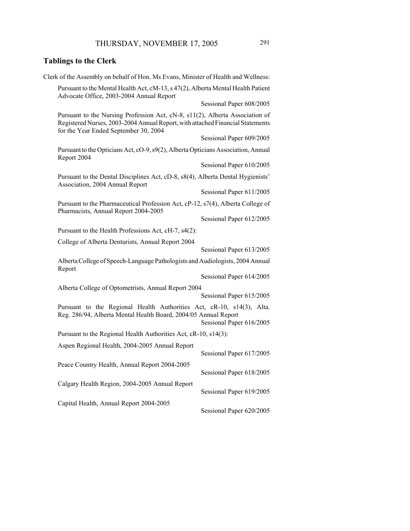# **Tablings to the Clerk**

| Clerk of the Assembly on behalf of Hon. Ms Evans, Minister of Health and Wellness:                                                                                                                      |  |  |
|---------------------------------------------------------------------------------------------------------------------------------------------------------------------------------------------------------|--|--|
| Pursuant to the Mental Health Act, cM-13, s 47(2), Alberta Mental Health Patient<br>Advocate Office, 2003-2004 Annual Report                                                                            |  |  |
| Sessional Paper 608/2005                                                                                                                                                                                |  |  |
| Pursuant to the Nursing Profession Act, cN-8, s11(2), Alberta Association of<br>Registered Nurses, 2003-2004 Annual Report, with attached Financial Statements<br>for the Year Ended September 30, 2004 |  |  |
| Sessional Paper 609/2005                                                                                                                                                                                |  |  |
| Pursuant to the Opticians Act, cO-9, s9(2), Alberta Opticians Association, Annual<br>Report 2004                                                                                                        |  |  |
| Sessional Paper 610/2005                                                                                                                                                                                |  |  |
| Pursuant to the Dental Disciplines Act, cD-8, s8(4), Alberta Dental Hygienists'<br>Association, 2004 Annual Report                                                                                      |  |  |
| Sessional Paper 611/2005                                                                                                                                                                                |  |  |
| Pursuant to the Pharmaceutical Profession Act, cP-12, s7(4), Alberta College of<br>Pharmacists, Annual Report 2004-2005                                                                                 |  |  |
| Sessional Paper 612/2005                                                                                                                                                                                |  |  |
| Pursuant to the Health Professions Act, cH-7, s4(2):                                                                                                                                                    |  |  |
| College of Alberta Denturists, Annual Report 2004<br>Sessional Paper 613/2005                                                                                                                           |  |  |
| Alberta College of Speech-Language Pathologists and Audiologists, 2004 Annual<br>Report                                                                                                                 |  |  |
| Sessional Paper 614/2005                                                                                                                                                                                |  |  |
| Alberta College of Optometrists, Annual Report 2004                                                                                                                                                     |  |  |
| Sessional Paper 615/2005                                                                                                                                                                                |  |  |
| Pursuant to the Regional Health Authorities Act, cR-10, s14(3), Alta.<br>Reg. 286/94, Alberta Mental Health Board, 2004/05 Annual Report<br>Sessional Paper 616/2005                                    |  |  |
| Pursuant to the Regional Health Authorities Act, cR-10, s14(3):                                                                                                                                         |  |  |
| Aspen Regional Health, 2004-2005 Annual Report<br>Sessional Paper 617/2005                                                                                                                              |  |  |
| Peace Country Health, Annual Report 2004-2005<br>Sessional Paper 618/2005                                                                                                                               |  |  |
| Calgary Health Region, 2004-2005 Annual Report<br>Sessional Paper 619/2005                                                                                                                              |  |  |
| Capital Health, Annual Report 2004-2005<br>Sessional Paper 620/2005                                                                                                                                     |  |  |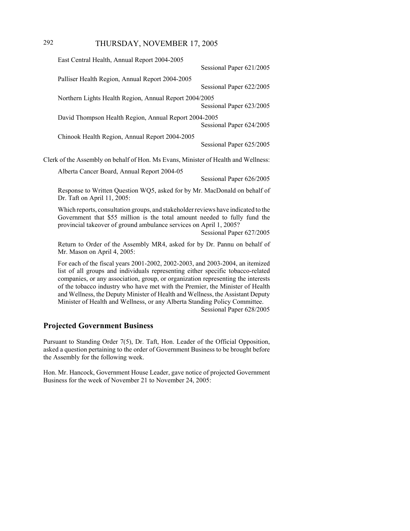## 292 THURSDAY, NOVEMBER 17, 2005

|                                                                                    | East Central Health, Annual Report 2004-2005                                                                                                                                                                                                                     |                          |
|------------------------------------------------------------------------------------|------------------------------------------------------------------------------------------------------------------------------------------------------------------------------------------------------------------------------------------------------------------|--------------------------|
|                                                                                    |                                                                                                                                                                                                                                                                  | Sessional Paper 621/2005 |
|                                                                                    | Palliser Health Region, Annual Report 2004-2005                                                                                                                                                                                                                  | Sessional Paper 622/2005 |
|                                                                                    | Northern Lights Health Region, Annual Report 2004/2005                                                                                                                                                                                                           | Sessional Paper 623/2005 |
|                                                                                    | David Thompson Health Region, Annual Report 2004-2005                                                                                                                                                                                                            | Sessional Paper 624/2005 |
|                                                                                    | Chinook Health Region, Annual Report 2004-2005                                                                                                                                                                                                                   | Sessional Paper 625/2005 |
| Clerk of the Assembly on behalf of Hon. Ms Evans, Minister of Health and Wellness: |                                                                                                                                                                                                                                                                  |                          |
|                                                                                    | Alberta Cancer Board, Annual Report 2004-05                                                                                                                                                                                                                      |                          |
|                                                                                    |                                                                                                                                                                                                                                                                  | Sessional Paper 626/2005 |
|                                                                                    | Response to Written Question WQ5, asked for by Mr. MacDonald on behalf of<br>Dr. Taft on April 11, 2005:                                                                                                                                                         |                          |
|                                                                                    | Which reports, consultation groups, and stakeholder reviews have indicated to the<br>Government that \$55 million is the total amount needed to fully fund the<br>provincial takeover of ground ambulance services on April 1, 2005?<br>Sessional Paper 627/2005 |                          |
|                                                                                    | Return to Order of the Assembly MR4, asked for by Dr. Pannu on behalf of<br>Mr. Mason on April 4, 2005:                                                                                                                                                          |                          |
|                                                                                    | For each of the fiscal years 2001-2002, 2002-2003, and 2003-2004, an itemized                                                                                                                                                                                    |                          |

list of all groups and individuals representing either specific tobacco-related companies, or any association, group, or organization representing the interests of the tobacco industry who have met with the Premier, the Minister of Health and Wellness, the Deputy Minister of Health and Wellness, the Assistant Deputy Minister of Health and Wellness, or any Alberta Standing Policy Committee. Sessional Paper 628/2005

## **Projected Government Business**

Pursuant to Standing Order 7(5), Dr. Taft, Hon. Leader of the Official Opposition, asked a question pertaining to the order of Government Business to be brought before the Assembly for the following week.

Hon. Mr. Hancock, Government House Leader, gave notice of projected Government Business for the week of November 21 to November 24, 2005: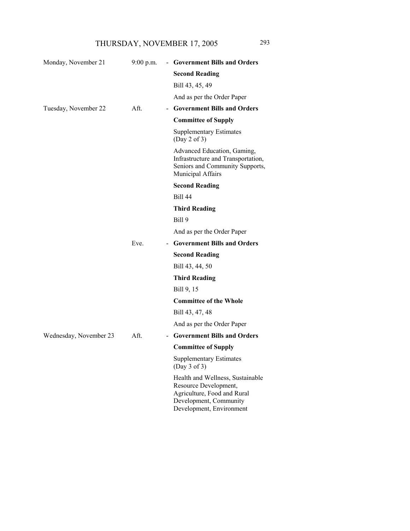| Monday, November 21    | $9:00$ p.m.                          | - Government Bills and Orders                                                                                                                  |
|------------------------|--------------------------------------|------------------------------------------------------------------------------------------------------------------------------------------------|
|                        |                                      | <b>Second Reading</b>                                                                                                                          |
|                        |                                      | Bill 43, 45, 49                                                                                                                                |
|                        |                                      | And as per the Order Paper                                                                                                                     |
| Tuesday, November 22   | Aft.<br>$\overline{\phantom{0}}$     | <b>Government Bills and Orders</b>                                                                                                             |
|                        |                                      | <b>Committee of Supply</b>                                                                                                                     |
|                        |                                      | <b>Supplementary Estimates</b><br>(Day 2 of 3)                                                                                                 |
|                        |                                      | Advanced Education, Gaming,<br>Infrastructure and Transportation,<br>Seniors and Community Supports,<br>Municipal Affairs                      |
|                        |                                      | <b>Second Reading</b>                                                                                                                          |
|                        |                                      | <b>Bill 44</b>                                                                                                                                 |
|                        |                                      | <b>Third Reading</b>                                                                                                                           |
|                        |                                      | Bill 9                                                                                                                                         |
|                        |                                      | And as per the Order Paper                                                                                                                     |
|                        | Eve.                                 | - Government Bills and Orders                                                                                                                  |
|                        |                                      | <b>Second Reading</b>                                                                                                                          |
|                        |                                      | Bill 43, 44, 50                                                                                                                                |
|                        |                                      | <b>Third Reading</b>                                                                                                                           |
|                        |                                      | Bill 9, 15                                                                                                                                     |
|                        |                                      | <b>Committee of the Whole</b>                                                                                                                  |
|                        |                                      | Bill 43, 47, 48                                                                                                                                |
|                        |                                      | And as per the Order Paper                                                                                                                     |
| Wednesday, November 23 | Aft.<br>$\qquad \qquad \blacksquare$ | <b>Government Bills and Orders</b>                                                                                                             |
|                        |                                      | <b>Committee of Supply</b>                                                                                                                     |
|                        |                                      | <b>Supplementary Estimates</b><br>(Day 3 of 3)                                                                                                 |
|                        |                                      | Health and Wellness, Sustainable<br>Resource Development,<br>Agriculture, Food and Rural<br>Development, Community<br>Development, Environment |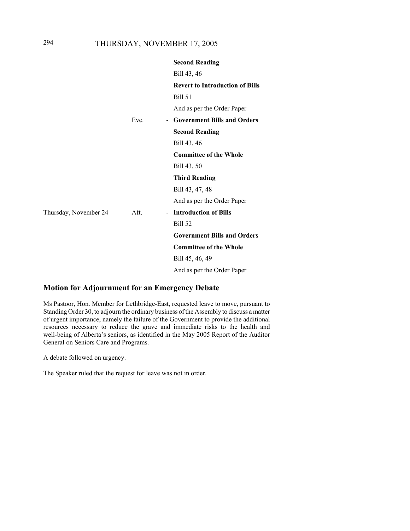|                       |      | <b>Second Reading</b>                                |
|-----------------------|------|------------------------------------------------------|
|                       |      | Bill 43, 46                                          |
|                       |      | <b>Revert to Introduction of Bills</b>               |
|                       |      | <b>Bill 51</b>                                       |
|                       |      | And as per the Order Paper                           |
|                       | Eve. | <b>Government Bills and Orders</b><br>$\blacksquare$ |
|                       |      | <b>Second Reading</b>                                |
|                       |      | Bill 43, 46                                          |
|                       |      | <b>Committee of the Whole</b>                        |
|                       |      | Bill 43, 50                                          |
|                       |      | <b>Third Reading</b>                                 |
|                       |      | Bill 43, 47, 48                                      |
|                       |      | And as per the Order Paper                           |
| Thursday, November 24 | Aft. | - Introduction of Bills                              |
|                       |      | Bill 52                                              |
|                       |      | <b>Government Bills and Orders</b>                   |
|                       |      | <b>Committee of the Whole</b>                        |
|                       |      | Bill 45, 46, 49                                      |
|                       |      | And as per the Order Paper                           |

## **Motion for Adjournment for an Emergency Debate**

Ms Pastoor, Hon. Member for Lethbridge-East, requested leave to move, pursuant to Standing Order 30, to adjourn the ordinary business of the Assembly to discuss a matter of urgent importance, namely the failure of the Government to provide the additional resources necessary to reduce the grave and immediate risks to the health and well-being of Alberta's seniors, as identified in the May 2005 Report of the Auditor General on Seniors Care and Programs.

A debate followed on urgency.

The Speaker ruled that the request for leave was not in order.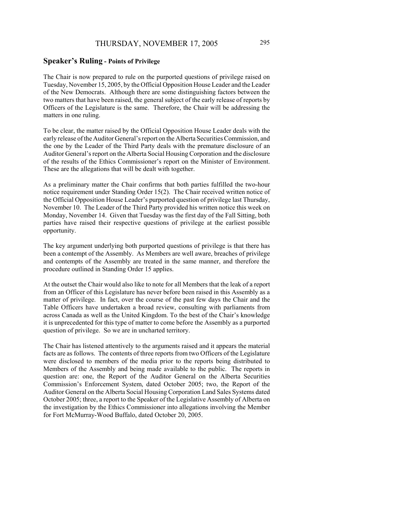#### **Speaker's Ruling - Points of Privilege**

The Chair is now prepared to rule on the purported questions of privilege raised on Tuesday, November 15, 2005, by the Official Opposition House Leader and the Leader of the New Democrats. Although there are some distinguishing factors between the two matters that have been raised, the general subject of the early release of reports by Officers of the Legislature is the same. Therefore, the Chair will be addressing the matters in one ruling.

To be clear, the matter raised by the Official Opposition House Leader deals with the early release of the Auditor General's report on the Alberta Securities Commission, and the one by the Leader of the Third Party deals with the premature disclosure of an Auditor General's report on the Alberta Social Housing Corporation and the disclosure of the results of the Ethics Commissioner's report on the Minister of Environment. These are the allegations that will be dealt with together.

As a preliminary matter the Chair confirms that both parties fulfilled the two-hour notice requirement under Standing Order 15(2). The Chair received written notice of the Official Opposition House Leader's purported question of privilege last Thursday, November 10. The Leader of the Third Party provided his written notice this week on Monday, November 14. Given that Tuesday was the first day of the Fall Sitting, both parties have raised their respective questions of privilege at the earliest possible opportunity.

The key argument underlying both purported questions of privilege is that there has been a contempt of the Assembly. As Members are well aware, breaches of privilege and contempts of the Assembly are treated in the same manner, and therefore the procedure outlined in Standing Order 15 applies.

At the outset the Chair would also like to note for all Members that the leak of a report from an Officer of this Legislature has never before been raised in this Assembly as a matter of privilege. In fact, over the course of the past few days the Chair and the Table Officers have undertaken a broad review, consulting with parliaments from across Canada as well as the United Kingdom. To the best of the Chair's knowledge it is unprecedented for this type of matter to come before the Assembly as a purported question of privilege. So we are in uncharted territory.

The Chair has listened attentively to the arguments raised and it appears the material facts are as follows. The contents of three reports from two Officers of the Legislature were disclosed to members of the media prior to the reports being distributed to Members of the Assembly and being made available to the public. The reports in question are: one, the Report of the Auditor General on the Alberta Securities Commission's Enforcement System, dated October 2005; two, the Report of the Auditor General on the Alberta Social Housing Corporation Land Sales Systems dated October 2005; three, a report to the Speaker of the Legislative Assembly of Alberta on the investigation by the Ethics Commissioner into allegations involving the Member for Fort McMurray-Wood Buffalo, dated October 20, 2005.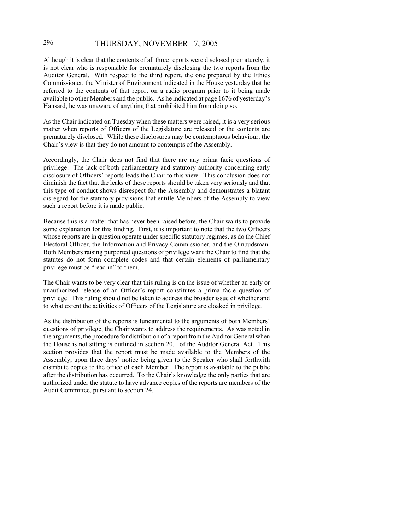## 296 THURSDAY, NOVEMBER 17, 2005

Although it is clear that the contents of all three reports were disclosed prematurely, it is not clear who is responsible for prematurely disclosing the two reports from the Auditor General. With respect to the third report, the one prepared by the Ethics Commissioner, the Minister of Environment indicated in the House yesterday that he referred to the contents of that report on a radio program prior to it being made available to other Members and the public. As he indicated at page 1676 of yesterday's Hansard, he was unaware of anything that prohibited him from doing so.

As the Chair indicated on Tuesday when these matters were raised, it is a very serious matter when reports of Officers of the Legislature are released or the contents are prematurely disclosed. While these disclosures may be contemptuous behaviour, the Chair's view is that they do not amount to contempts of the Assembly.

Accordingly, the Chair does not find that there are any prima facie questions of privilege. The lack of both parliamentary and statutory authority concerning early disclosure of Officers' reports leads the Chair to this view. This conclusion does not diminish the fact that the leaks of these reports should be taken very seriously and that this type of conduct shows disrespect for the Assembly and demonstrates a blatant disregard for the statutory provisions that entitle Members of the Assembly to view such a report before it is made public.

Because this is a matter that has never been raised before, the Chair wants to provide some explanation for this finding. First, it is important to note that the two Officers whose reports are in question operate under specific statutory regimes, as do the Chief Electoral Officer, the Information and Privacy Commissioner, and the Ombudsman. Both Members raising purported questions of privilege want the Chair to find that the statutes do not form complete codes and that certain elements of parliamentary privilege must be "read in" to them.

The Chair wants to be very clear that this ruling is on the issue of whether an early or unauthorized release of an Officer's report constitutes a prima facie question of privilege. This ruling should not be taken to address the broader issue of whether and to what extent the activities of Officers of the Legislature are cloaked in privilege.

As the distribution of the reports is fundamental to the arguments of both Members' questions of privilege, the Chair wants to address the requirements. As was noted in the arguments, the procedure for distribution of a report from the Auditor General when the House is not sitting is outlined in section 20.1 of the Auditor General Act. This section provides that the report must be made available to the Members of the Assembly, upon three days' notice being given to the Speaker who shall forthwith distribute copies to the office of each Member. The report is available to the public after the distribution has occurred. To the Chair's knowledge the only parties that are authorized under the statute to have advance copies of the reports are members of the Audit Committee, pursuant to section 24.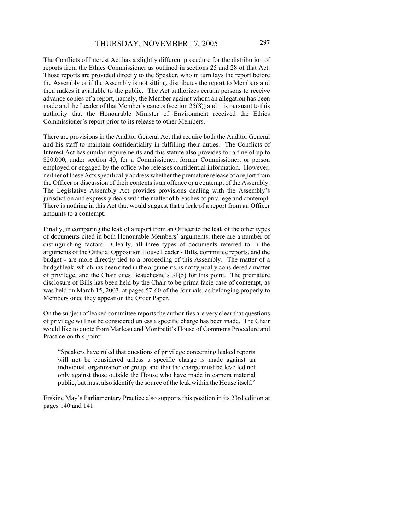The Conflicts of Interest Act has a slightly different procedure for the distribution of reports from the Ethics Commissioner as outlined in sections 25 and 28 of that Act. Those reports are provided directly to the Speaker, who in turn lays the report before the Assembly or if the Assembly is not sitting, distributes the report to Members and then makes it available to the public. The Act authorizes certain persons to receive advance copies of a report, namely, the Member against whom an allegation has been made and the Leader of that Member's caucus (section 25(8)) and it is pursuant to this authority that the Honourable Minister of Environment received the Ethics Commissioner's report prior to its release to other Members.

There are provisions in the Auditor General Act that require both the Auditor General and his staff to maintain confidentiality in fulfilling their duties. The Conflicts of Interest Act has similar requirements and this statute also provides for a fine of up to \$20,000, under section 40, for a Commissioner, former Commissioner, or person employed or engaged by the office who releases confidential information. However, neither of these Acts specifically address whether the premature release of a report from the Officer or discussion of their contents is an offence or a contempt of the Assembly. The Legislative Assembly Act provides provisions dealing with the Assembly's jurisdiction and expressly deals with the matter of breaches of privilege and contempt. There is nothing in this Act that would suggest that a leak of a report from an Officer amounts to a contempt.

Finally, in comparing the leak of a report from an Officer to the leak of the other types of documents cited in both Honourable Members' arguments, there are a number of distinguishing factors. Clearly, all three types of documents referred to in the arguments of the Official Opposition House Leader - Bills, committee reports, and the budget - are more directly tied to a proceeding of this Assembly. The matter of a budget leak, which has been cited in the arguments, is not typically considered a matter of privilege, and the Chair cites Beauchesne's 31(5) for this point. The premature disclosure of Bills has been held by the Chair to be prima facie case of contempt, as was held on March 15, 2003, at pages 57-60 of the Journals, as belonging properly to Members once they appear on the Order Paper.

On the subject of leaked committee reports the authorities are very clear that questions of privilege will not be considered unless a specific charge has been made. The Chair would like to quote from Marleau and Montpetit's House of Commons Procedure and Practice on this point:

"Speakers have ruled that questions of privilege concerning leaked reports will not be considered unless a specific charge is made against an individual, organization or group, and that the charge must be levelled not only against those outside the House who have made in camera material public, but must also identify the source of the leak within the House itself."

Erskine May's Parliamentary Practice also supports this position in its 23rd edition at pages 140 and 141.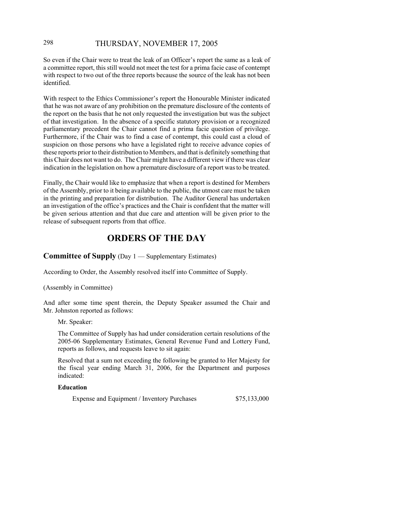## 298 THURSDAY, NOVEMBER 17, 2005

So even if the Chair were to treat the leak of an Officer's report the same as a leak of a committee report, this still would not meet the test for a prima facie case of contempt with respect to two out of the three reports because the source of the leak has not been identified.

With respect to the Ethics Commissioner's report the Honourable Minister indicated that he was not aware of any prohibition on the premature disclosure of the contents of the report on the basis that he not only requested the investigation but was the subject of that investigation. In the absence of a specific statutory provision or a recognized parliamentary precedent the Chair cannot find a prima facie question of privilege. Furthermore, if the Chair was to find a case of contempt, this could cast a cloud of suspicion on those persons who have a legislated right to receive advance copies of these reports prior to their distribution to Members, and that is definitely something that this Chair does not want to do. The Chair might have a different view if there was clear indication in the legislation on how a premature disclosure of a report was to be treated.

Finally, the Chair would like to emphasize that when a report is destined for Members of the Assembly, prior to it being available to the public, the utmost care must be taken in the printing and preparation for distribution. The Auditor General has undertaken an investigation of the office's practices and the Chair is confident that the matter will be given serious attention and that due care and attention will be given prior to the release of subsequent reports from that office.

## **ORDERS OF THE DAY**

**Committee of Supply** (Day 1 — Supplementary Estimates)

According to Order, the Assembly resolved itself into Committee of Supply.

(Assembly in Committee)

And after some time spent therein, the Deputy Speaker assumed the Chair and Mr. Johnston reported as follows:

Mr. Speaker:

The Committee of Supply has had under consideration certain resolutions of the 2005-06 Supplementary Estimates, General Revenue Fund and Lottery Fund, reports as follows, and requests leave to sit again:

Resolved that a sum not exceeding the following be granted to Her Majesty for the fiscal year ending March 31, 2006, for the Department and purposes indicated:

#### **Education**

Expense and Equipment / Inventory Purchases  $$75,133,000$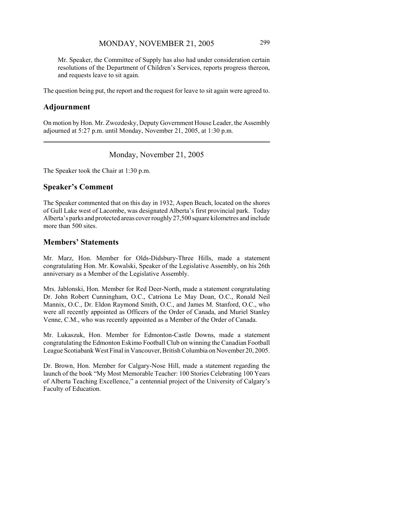Mr. Speaker, the Committee of Supply has also had under consideration certain resolutions of the Department of Children's Services, reports progress thereon, and requests leave to sit again.

The question being put, the report and the request for leave to sit again were agreed to.

#### **Adjournment**

On motion by Hon. Mr. Zwozdesky, Deputy Government House Leader, the Assembly adjourned at 5:27 p.m. until Monday, November 21, 2005, at 1:30 p.m.

#### Monday, November 21, 2005

The Speaker took the Chair at 1:30 p.m.

#### **Speaker's Comment**

The Speaker commented that on this day in 1932, Aspen Beach, located on the shores of Gull Lake west of Lacombe, was designated Alberta's first provincial park. Today Alberta's parks and protected areas cover roughly 27,500 square kilometres and include more than 500 sites.

#### **Members' Statements**

Mr. Marz, Hon. Member for Olds-Didsbury-Three Hills, made a statement congratulating Hon. Mr. Kowalski, Speaker of the Legislative Assembly, on his 26th anniversary as a Member of the Legislative Assembly.

Mrs. Jablonski, Hon. Member for Red Deer-North, made a statement congratulating Dr. John Robert Cunningham, O.C., Catriona Le May Doan, O.C., Ronald Neil Mannix, O.C., Dr. Eldon Raymond Smith, O.C., and James M. Stanford, O.C., who were all recently appointed as Officers of the Order of Canada, and Muriel Stanley Venne, C.M., who was recently appointed as a Member of the Order of Canada.

Mr. Lukaszuk, Hon. Member for Edmonton-Castle Downs, made a statement congratulating the Edmonton Eskimo Football Club on winning the Canadian Football League Scotiabank West Final in Vancouver, British Columbia on November 20, 2005.

Dr. Brown, Hon. Member for Calgary-Nose Hill, made a statement regarding the launch of the book "My Most Memorable Teacher: 100 Stories Celebrating 100 Years of Alberta Teaching Excellence," a centennial project of the University of Calgary's Faculty of Education.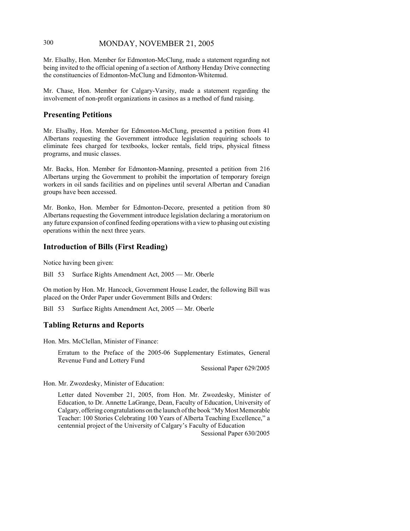## 300 MONDAY, NOVEMBER 21, 2005

Mr. Elsalhy, Hon. Member for Edmonton-McClung, made a statement regarding not being invited to the official opening of a section of Anthony Henday Drive connecting the constituencies of Edmonton-McClung and Edmonton-Whitemud.

Mr. Chase, Hon. Member for Calgary-Varsity, made a statement regarding the involvement of non-profit organizations in casinos as a method of fund raising.

### **Presenting Petitions**

Mr. Elsalhy, Hon. Member for Edmonton-McClung, presented a petition from 41 Albertans requesting the Government introduce legislation requiring schools to eliminate fees charged for textbooks, locker rentals, field trips, physical fitness programs, and music classes.

Mr. Backs, Hon. Member for Edmonton-Manning, presented a petition from 216 Albertans urging the Government to prohibit the importation of temporary foreign workers in oil sands facilities and on pipelines until several Albertan and Canadian groups have been accessed.

Mr. Bonko, Hon. Member for Edmonton-Decore, presented a petition from 80 Albertans requesting the Government introduce legislation declaring a moratorium on any future expansion of confined feeding operations with a view to phasing out existing operations within the next three years.

## **Introduction of Bills (First Reading)**

Notice having been given:

Bill 53 Surface Rights Amendment Act, 2005 — Mr. Oberle

On motion by Hon. Mr. Hancock, Government House Leader, the following Bill was placed on the Order Paper under Government Bills and Orders:

Bill 53 Surface Rights Amendment Act, 2005 — Mr. Oberle

## **Tabling Returns and Reports**

Hon. Mrs. McClellan, Minister of Finance:

Erratum to the Preface of the 2005-06 Supplementary Estimates, General Revenue Fund and Lottery Fund

Sessional Paper 629/2005

Hon. Mr. Zwozdesky, Minister of Education:

Letter dated November 21, 2005, from Hon. Mr. Zwozdesky, Minister of Education, to Dr. Annette LaGrange, Dean, Faculty of Education, University of Calgary, offering congratulations on the launch of the book "My Most Memorable Teacher: 100 Stories Celebrating 100 Years of Alberta Teaching Excellence," a centennial project of the University of Calgary's Faculty of Education

Sessional Paper 630/2005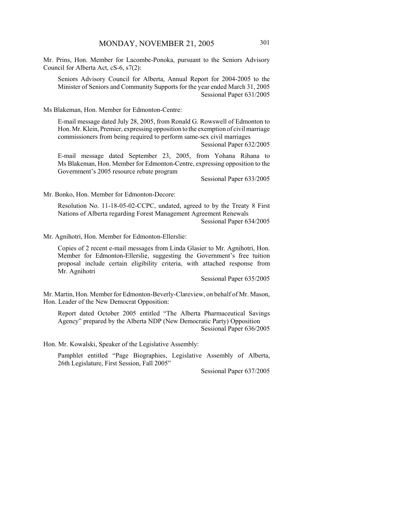Mr. Prins, Hon. Member for Lacombe-Ponoka, pursuant to the Seniors Advisory Council for Alberta Act, cS-6, s7(2):

Seniors Advisory Council for Alberta, Annual Report for 2004-2005 to the Minister of Seniors and Community Supports for the year ended March 31, 2005 Sessional Paper 631/2005

Ms Blakeman, Hon. Member for Edmonton-Centre:

E-mail message dated July 28, 2005, from Ronald G. Rowswell of Edmonton to Hon. Mr. Klein, Premier, expressing opposition to the exemption of civil marriage commissioners from being required to perform same-sex civil marriages

Sessional Paper 632/2005

E-mail message dated September 23, 2005, from Yohana Rihana to Ms Blakeman, Hon. Member for Edmonton-Centre, expressing opposition to the Government's 2005 resource rebate program

Sessional Paper 633/2005

Mr. Bonko, Hon. Member for Edmonton-Decore:

Resolution No. 11-18-05-02-CCPC, undated, agreed to by the Treaty 8 First Nations of Alberta regarding Forest Management Agreement Renewals Sessional Paper 634/2005

Mr. Agnihotri, Hon. Member for Edmonton-Ellerslie:

Copies of 2 recent e-mail messages from Linda Glasier to Mr. Agnihotri, Hon. Member for Edmonton-Ellerslie, suggesting the Government's free tuition proposal include certain eligibility criteria, with attached response from Mr. Agnihotri

Sessional Paper 635/2005

Mr. Martin, Hon. Member for Edmonton-Beverly-Clareview, on behalf of Mr. Mason, Hon. Leader of the New Democrat Opposition:

Report dated October 2005 entitled "The Alberta Pharmaceutical Savings Agency" prepared by the Alberta NDP (New Democratic Party) Opposition Sessional Paper 636/2005

Hon. Mr. Kowalski, Speaker of the Legislative Assembly:

Pamphlet entitled "Page Biographies, Legislative Assembly of Alberta, 26th Legislature, First Session, Fall 2005"

Sessional Paper 637/2005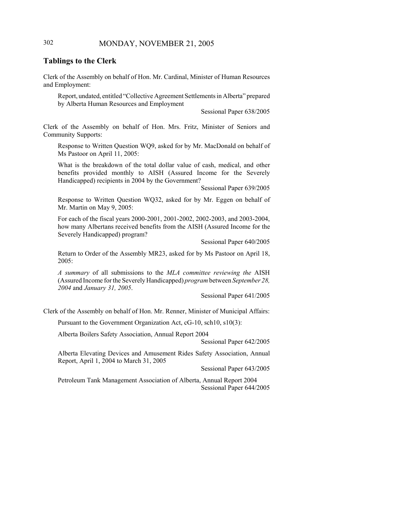## 302 MONDAY, NOVEMBER 21, 2005

#### **Tablings to the Clerk**

Clerk of the Assembly on behalf of Hon. Mr. Cardinal, Minister of Human Resources and Employment:

Report, undated, entitled "Collective Agreement Settlements in Alberta" prepared by Alberta Human Resources and Employment

Sessional Paper 638/2005

Clerk of the Assembly on behalf of Hon. Mrs. Fritz, Minister of Seniors and Community Supports:

Response to Written Question WQ9, asked for by Mr. MacDonald on behalf of Ms Pastoor on April 11, 2005:

What is the breakdown of the total dollar value of cash, medical, and other benefits provided monthly to AISH (Assured Income for the Severely Handicapped) recipients in 2004 by the Government?

Sessional Paper 639/2005

Response to Written Question WQ32, asked for by Mr. Eggen on behalf of Mr. Martin on May 9, 2005:

For each of the fiscal years 2000-2001, 2001-2002, 2002-2003, and 2003-2004, how many Albertans received benefits from the AISH (Assured Income for the Severely Handicapped) program?

Sessional Paper 640/2005

Return to Order of the Assembly MR23, asked for by Ms Pastoor on April 18, 2005:

*A summary* of all submissions to the *MLA committee reviewing the* AISH (Assured Income for the Severely Handicapped) *program* between *September 28, 2004* and *January 31, 2005*.

Sessional Paper 641/2005

Clerk of the Assembly on behalf of Hon. Mr. Renner, Minister of Municipal Affairs:

Pursuant to the Government Organization Act, cG-10, sch10, s10(3):

Alberta Boilers Safety Association, Annual Report 2004

Sessional Paper 642/2005

Alberta Elevating Devices and Amusement Rides Safety Association, Annual Report, April 1, 2004 to March 31, 2005

Sessional Paper 643/2005

Petroleum Tank Management Association of Alberta, Annual Report 2004 Sessional Paper 644/2005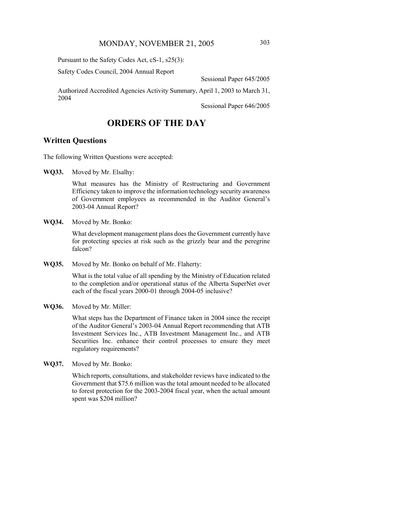Pursuant to the Safety Codes Act, cS-1, s25(3):

Safety Codes Council, 2004 Annual Report

Sessional Paper 645/2005

Authorized Accredited Agencies Activity Summary, April 1, 2003 to March 31, 2004

Sessional Paper 646/2005

## **ORDERS OF THE DAY**

#### **Written Questions**

The following Written Questions were accepted:

**WQ33.** Moved by Mr. Elsalhy:

What measures has the Ministry of Restructuring and Government Efficiency taken to improve the information technology security awareness of Government employees as recommended in the Auditor General's 2003-04 Annual Report?

**WQ34.** Moved by Mr. Bonko:

What development management plans does the Government currently have for protecting species at risk such as the grizzly bear and the peregrine falcon?

**WQ35.** Moved by Mr. Bonko on behalf of Mr. Flaherty:

What is the total value of all spending by the Ministry of Education related to the completion and/or operational status of the Alberta SuperNet over each of the fiscal years 2000-01 through 2004-05 inclusive?

**WQ36.** Moved by Mr. Miller:

What steps has the Department of Finance taken in 2004 since the receipt of the Auditor General's 2003-04 Annual Report recommending that ATB Investment Services Inc., ATB Investment Management Inc., and ATB Securities Inc. enhance their control processes to ensure they meet regulatory requirements?

**WQ37.** Moved by Mr. Bonko:

Which reports, consultations, and stakeholder reviews have indicated to the Government that \$75.6 million was the total amount needed to be allocated to forest protection for the 2003-2004 fiscal year, when the actual amount spent was \$204 million?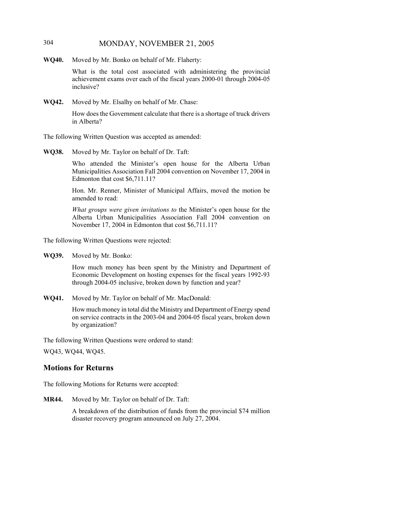## 304 MONDAY, NOVEMBER 21, 2005

**WQ40.** Moved by Mr. Bonko on behalf of Mr. Flaherty:

What is the total cost associated with administering the provincial achievement exams over each of the fiscal years 2000-01 through 2004-05 inclusive?

**WQ42.** Moved by Mr. Elsalhy on behalf of Mr. Chase:

How does the Government calculate that there is a shortage of truck drivers in Alberta?

The following Written Question was accepted as amended:

**WQ38.** Moved by Mr. Taylor on behalf of Dr. Taft:

Who attended the Minister's open house for the Alberta Urban Municipalities Association Fall 2004 convention on November 17, 2004 in Edmonton that cost \$6,711.11?

Hon. Mr. Renner, Minister of Municipal Affairs, moved the motion be amended to read:

*What groups were given invitations to* the Minister's open house for the Alberta Urban Municipalities Association Fall 2004 convention on November 17, 2004 in Edmonton that cost \$6,711.11?

The following Written Questions were rejected:

**WQ39.** Moved by Mr. Bonko:

How much money has been spent by the Ministry and Department of Economic Development on hosting expenses for the fiscal years 1992-93 through 2004-05 inclusive, broken down by function and year?

**WQ41.** Moved by Mr. Taylor on behalf of Mr. MacDonald:

How much money in total did the Ministry and Department of Energy spend on service contracts in the 2003-04 and 2004-05 fiscal years, broken down by organization?

The following Written Questions were ordered to stand:

WQ43, WQ44, WQ45.

#### **Motions for Returns**

The following Motions for Returns were accepted:

**MR44.** Moved by Mr. Taylor on behalf of Dr. Taft:

A breakdown of the distribution of funds from the provincial \$74 million disaster recovery program announced on July 27, 2004.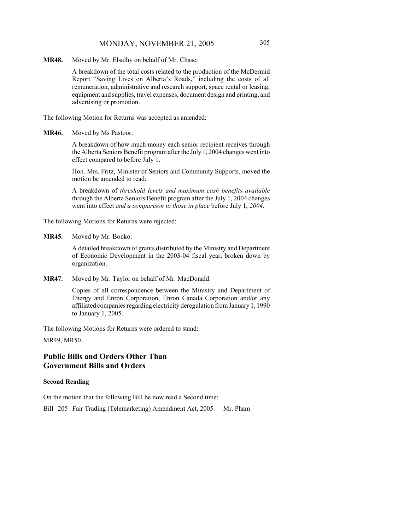## MONDAY, NOVEMBER 21, 2005 305

**MR48.** Moved by Mr. Elsalhy on behalf of Mr. Chase:

A breakdown of the total costs related to the production of the McDermid Report "Saving Lives on Alberta's Roads," including the costs of all remuneration, administrative and research support, space rental or leasing, equipment and supplies, travel expenses, document design and printing, and advertising or promotion.

The following Motion for Returns was accepted as amended:

**MR46.** Moved by Ms Pastoor:

A breakdown of how much money each senior recipient receives through the Alberta Seniors Benefit program after the July 1, 2004 changes went into effect compared to before July 1.

Hon. Mrs. Fritz, Minister of Seniors and Community Supports, moved the motion be amended to read:

A breakdown of *threshold levels and maximum cash benefits available* through the Alberta Seniors Benefit program after the July 1, 2004 changes went into effect *and a comparison to those in place* before July 1*, 2004*.

The following Motions for Returns were rejected:

**MR45.** Moved by Mr. Bonko:

A detailed breakdown of grants distributed by the Ministry and Department of Economic Development in the 2003-04 fiscal year, broken down by organization.

**MR47.** Moved by Mr. Taylor on behalf of Mr. MacDonald:

Copies of all correspondence between the Ministry and Department of Energy and Enron Corporation, Enron Canada Corporation and/or any affiliated companies regarding electricity deregulation from January 1, 1990 to January 1, 2005.

The following Motions for Returns were ordered to stand: MR49, MR50.

## **Public Bills and Orders Other Than Government Bills and Orders**

#### **Second Reading**

On the motion that the following Bill be now read a Second time:

Bill 205 Fair Trading (Telemarketing) Amendment Act, 2005 — Mr. Pham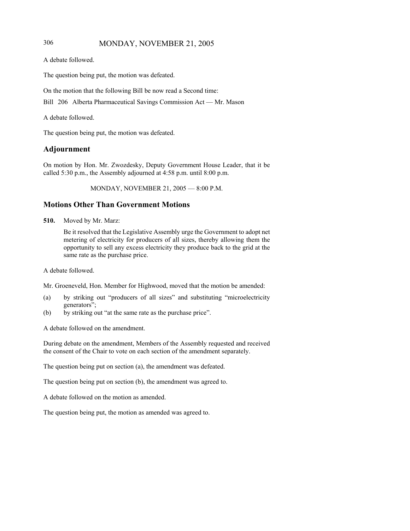## 306 MONDAY, NOVEMBER 21, 2005

```
A debate followed.
```
The question being put, the motion was defeated.

On the motion that the following Bill be now read a Second time:

Bill 206 Alberta Pharmaceutical Savings Commission Act — Mr. Mason

A debate followed.

The question being put, the motion was defeated.

## **Adjournment**

On motion by Hon. Mr. Zwozdesky, Deputy Government House Leader, that it be called 5:30 p.m., the Assembly adjourned at 4:58 p.m. until 8:00 p.m.

MONDAY, NOVEMBER 21, 2005 — 8:00 P.M.

## **Motions Other Than Government Motions**

**510.** Moved by Mr. Marz:

Be it resolved that the Legislative Assembly urge the Government to adopt net metering of electricity for producers of all sizes, thereby allowing them the opportunity to sell any excess electricity they produce back to the grid at the same rate as the purchase price.

A debate followed.

Mr. Groeneveld, Hon. Member for Highwood, moved that the motion be amended:

- (a) by striking out "producers of all sizes" and substituting "microelectricity generators";
- (b) by striking out "at the same rate as the purchase price".

A debate followed on the amendment.

During debate on the amendment, Members of the Assembly requested and received the consent of the Chair to vote on each section of the amendment separately.

The question being put on section (a), the amendment was defeated.

The question being put on section (b), the amendment was agreed to.

A debate followed on the motion as amended.

The question being put, the motion as amended was agreed to.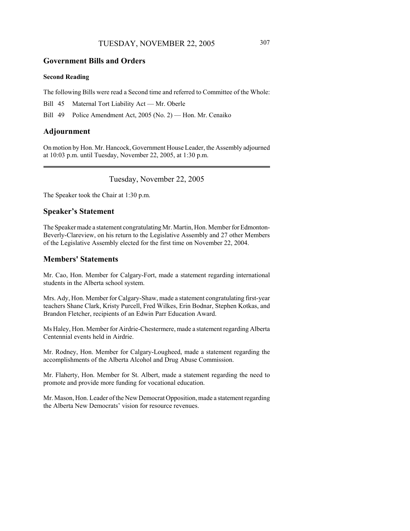### **Government Bills and Orders**

#### **Second Reading**

The following Bills were read a Second time and referred to Committee of the Whole:

Bill 45 Maternal Tort Liability Act — Mr. Oberle

Bill 49 Police Amendment Act, 2005 (No. 2) — Hon. Mr. Cenaiko

#### **Adjournment**

On motion by Hon. Mr. Hancock, Government House Leader, the Assembly adjourned at 10:03 p.m. until Tuesday, November 22, 2005, at 1:30 p.m.

#### Tuesday, November 22, 2005

The Speaker took the Chair at 1:30 p.m.

#### **Speaker's Statement**

The Speaker made a statement congratulating Mr. Martin, Hon. Member for Edmonton-Beverly-Clareview, on his return to the Legislative Assembly and 27 other Members of the Legislative Assembly elected for the first time on November 22, 2004.

## **Members' Statements**

Mr. Cao, Hon. Member for Calgary-Fort, made a statement regarding international students in the Alberta school system.

Mrs. Ady, Hon. Member for Calgary-Shaw, made a statement congratulating first-year teachers Shane Clark, Kristy Purcell, Fred Wilkes, Erin Bodnar, Stephen Kotkas, and Brandon Fletcher, recipients of an Edwin Parr Education Award.

Ms Haley, Hon. Member for Airdrie-Chestermere, made a statement regarding Alberta Centennial events held in Airdrie.

Mr. Rodney, Hon. Member for Calgary-Lougheed, made a statement regarding the accomplishments of the Alberta Alcohol and Drug Abuse Commission.

Mr. Flaherty, Hon. Member for St. Albert, made a statement regarding the need to promote and provide more funding for vocational education.

Mr. Mason, Hon. Leader of the New Democrat Opposition, made a statement regarding the Alberta New Democrats' vision for resource revenues.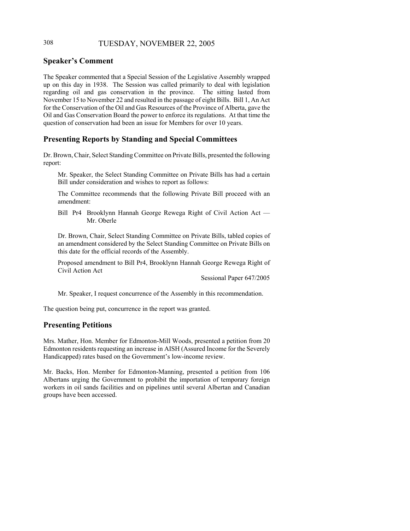## 308 TUESDAY, NOVEMBER 22, 2005

## **Speaker's Comment**

The Speaker commented that a Special Session of the Legislative Assembly wrapped up on this day in 1938. The Session was called primarily to deal with legislation regarding oil and gas conservation in the province. The sitting lasted from November 15 to November 22 and resulted in the passage of eight Bills. Bill 1, An Act for the Conservation of the Oil and Gas Resources of the Province of Alberta, gave the Oil and Gas Conservation Board the power to enforce its regulations. At that time the question of conservation had been an issue for Members for over 10 years.

## **Presenting Reports by Standing and Special Committees**

Dr. Brown, Chair, Select Standing Committee on Private Bills, presented the following report:

Mr. Speaker, the Select Standing Committee on Private Bills has had a certain Bill under consideration and wishes to report as follows:

The Committee recommends that the following Private Bill proceed with an amendment:

Bill Pr4 Brooklynn Hannah George Rewega Right of Civil Action Act — Mr. Oberle

Dr. Brown, Chair, Select Standing Committee on Private Bills, tabled copies of an amendment considered by the Select Standing Committee on Private Bills on this date for the official records of the Assembly.

Proposed amendment to Bill Pr4, Brooklynn Hannah George Rewega Right of Civil Action Act

Sessional Paper 647/2005

Mr. Speaker, I request concurrence of the Assembly in this recommendation.

The question being put, concurrence in the report was granted.

## **Presenting Petitions**

Mrs. Mather, Hon. Member for Edmonton-Mill Woods, presented a petition from 20 Edmonton residents requesting an increase in AISH (Assured Income for the Severely Handicapped) rates based on the Government's low-income review.

Mr. Backs, Hon. Member for Edmonton-Manning, presented a petition from 106 Albertans urging the Government to prohibit the importation of temporary foreign workers in oil sands facilities and on pipelines until several Albertan and Canadian groups have been accessed.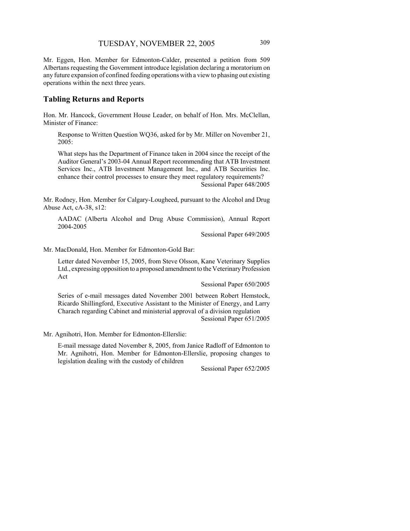Mr. Eggen, Hon. Member for Edmonton-Calder, presented a petition from 509 Albertans requesting the Government introduce legislation declaring a moratorium on any future expansion of confined feeding operations with a view to phasing out existing operations within the next three years.

## **Tabling Returns and Reports**

Hon. Mr. Hancock, Government House Leader, on behalf of Hon. Mrs. McClellan, Minister of Finance:

Response to Written Question WQ36, asked for by Mr. Miller on November 21, 2005:

What steps has the Department of Finance taken in 2004 since the receipt of the Auditor General's 2003-04 Annual Report recommending that ATB Investment Services Inc., ATB Investment Management Inc., and ATB Securities Inc. enhance their control processes to ensure they meet regulatory requirements? Sessional Paper 648/2005

Mr. Rodney, Hon. Member for Calgary-Lougheed, pursuant to the Alcohol and Drug Abuse Act, cA-38, s12:

AADAC (Alberta Alcohol and Drug Abuse Commission), Annual Report 2004-2005

Sessional Paper 649/2005

Mr. MacDonald, Hon. Member for Edmonton-Gold Bar:

Letter dated November 15, 2005, from Steve Olsson, Kane Veterinary Supplies Ltd., expressing opposition to a proposed amendment to the Veterinary Profession Act

Sessional Paper 650/2005

Series of e-mail messages dated November 2001 between Robert Hemstock, Ricardo Shillingford, Executive Assistant to the Minister of Energy, and Larry Charach regarding Cabinet and ministerial approval of a division regulation Sessional Paper 651/2005

Mr. Agnihotri, Hon. Member for Edmonton-Ellerslie:

E-mail message dated November 8, 2005, from Janice Radloff of Edmonton to Mr. Agnihotri, Hon. Member for Edmonton-Ellerslie, proposing changes to legislation dealing with the custody of children

Sessional Paper 652/2005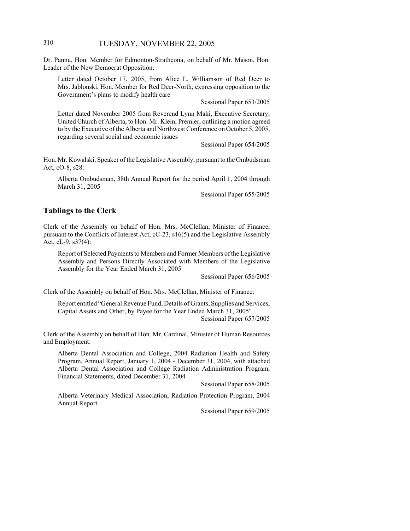### 310 TUESDAY, NOVEMBER 22, 2005

Dr. Pannu, Hon. Member for Edmonton-Strathcona, on behalf of Mr. Mason, Hon. Leader of the New Democrat Opposition:

Letter dated October 17, 2005, from Alice L. Williamson of Red Deer to Mrs. Jablonski, Hon. Member for Red Deer-North, expressing opposition to the Government's plans to modify health care

Sessional Paper 653/2005

Letter dated November 2005 from Reverend Lynn Maki, Executive Secretary, United Church of Alberta, to Hon. Mr. Klein, Premier, outlining a motion agreed to by the Executive of the Alberta and Northwest Conference on October 5, 2005, regarding several social and economic issues

Sessional Paper 654/2005

Hon. Mr. Kowalski, Speaker of the Legislative Assembly, pursuant to the Ombudsman Act, cO-8, s28:

Alberta Ombudsman, 38th Annual Report for the period April 1, 2004 through March 31, 2005

Sessional Paper 655/2005

#### **Tablings to the Clerk**

Clerk of the Assembly on behalf of Hon. Mrs. McClellan, Minister of Finance, pursuant to the Conflicts of Interest Act, cC-23, s16(5) and the Legislative Assembly Act, cL-9, s37(4):

Report of Selected Payments to Members and Former Members of the Legislative Assembly and Persons Directly Associated with Members of the Legislative Assembly for the Year Ended March 31, 2005

Sessional Paper 656/2005

Clerk of the Assembly on behalf of Hon. Mrs. McClellan, Minister of Finance:

Report entitled "General Revenue Fund, Details of Grants, Supplies and Services, Capital Assets and Other, by Payee for the Year Ended March 31, 2005" Sessional Paper 657/2005

Clerk of the Assembly on behalf of Hon. Mr. Cardinal, Minister of Human Resources and Employment:

Alberta Dental Association and College, 2004 Radiation Health and Safety Program, Annual Report, January 1, 2004 - December 31, 2004, with attached Alberta Dental Association and College Radiation Administration Program, Financial Statements, dated December 31, 2004

Sessional Paper 658/2005

Alberta Veterinary Medical Association, Radiation Protection Program, 2004 Annual Report

Sessional Paper 659/2005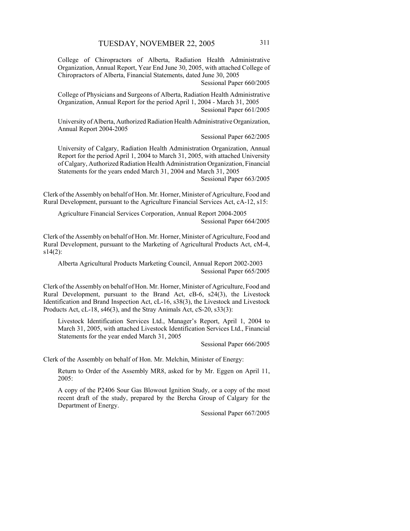College of Chiropractors of Alberta, Radiation Health Administrative Organization, Annual Report, Year End June 30, 2005, with attached College of Chiropractors of Alberta, Financial Statements, dated June 30, 2005

Sessional Paper 660/2005

College of Physicians and Surgeons of Alberta, Radiation Health Administrative Organization, Annual Report for the period April 1, 2004 - March 31, 2005 Sessional Paper 661/2005

University of Alberta, Authorized Radiation Health Administrative Organization, Annual Report 2004-2005

Sessional Paper 662/2005

University of Calgary, Radiation Health Administration Organization, Annual Report for the period April 1, 2004 to March 31, 2005, with attached University of Calgary, Authorized Radiation Health Administration Organization, Financial Statements for the years ended March 31, 2004 and March 31, 2005

Sessional Paper 663/2005

Clerk of the Assembly on behalf of Hon. Mr. Horner, Minister of Agriculture, Food and Rural Development, pursuant to the Agriculture Financial Services Act, cA-12, s15:

Agriculture Financial Services Corporation, Annual Report 2004-2005 Sessional Paper 664/2005

Clerk of the Assembly on behalf of Hon. Mr. Horner, Minister of Agriculture, Food and Rural Development, pursuant to the Marketing of Agricultural Products Act, cM-4,  $s14(2)$ :

Alberta Agricultural Products Marketing Council, Annual Report 2002-2003 Sessional Paper 665/2005

Clerk of the Assembly on behalf of Hon. Mr. Horner, Minister of Agriculture, Food and Rural Development, pursuant to the Brand Act, cB-6, s24(3), the Livestock Identification and Brand Inspection Act, cL-16, s38(3), the Livestock and Livestock Products Act, cL-18, s46(3), and the Stray Animals Act, cS-20, s33(3):

Livestock Identification Services Ltd., Manager's Report, April 1, 2004 to March 31, 2005, with attached Livestock Identification Services Ltd., Financial Statements for the year ended March 31, 2005

Sessional Paper 666/2005

Clerk of the Assembly on behalf of Hon. Mr. Melchin, Minister of Energy:

Return to Order of the Assembly MR8, asked for by Mr. Eggen on April 11, 2005:

A copy of the P2406 Sour Gas Blowout Ignition Study, or a copy of the most recent draft of the study, prepared by the Bercha Group of Calgary for the Department of Energy.

Sessional Paper 667/2005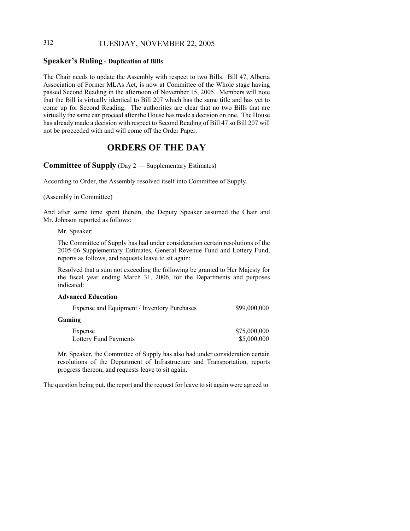## 312 TUESDAY, NOVEMBER 22, 2005

#### **Speaker's Ruling - Duplication of Bills**

The Chair needs to update the Assembly with respect to two Bills. Bill 47, Alberta Association of Former MLAs Act, is now at Committee of the Whole stage having passed Second Reading in the afternoon of November 15, 2005. Members will note that the Bill is virtually identical to Bill 207 which has the same title and has yet to come up for Second Reading. The authorities are clear that no two Bills that are virtually the same can proceed after the House has made a decision on one. The House has already made a decision with respect to Second Reading of Bill 47 so Bill 207 will not be proceeded with and will come off the Order Paper.

## **ORDERS OF THE DAY**

**Committee of Supply** (Day 2 — Supplementary Estimates)

According to Order, the Assembly resolved itself into Committee of Supply.

(Assembly in Committee)

And after some time spent therein, the Deputy Speaker assumed the Chair and Mr. Johnson reported as follows:

Mr. Speaker:

The Committee of Supply has had under consideration certain resolutions of the 2005-06 Supplementary Estimates, General Revenue Fund and Lottery Fund, reports as follows, and requests leave to sit again:

Resolved that a sum not exceeding the following be granted to Her Majesty for the fiscal year ending March 31, 2006, for the Departments and purposes indicated:

#### **Advanced Education**

| Expense and Equipment / Inventory Purchases | \$99,000,000 |
|---------------------------------------------|--------------|
| <b>Gaming</b>                               |              |
| Expense                                     | \$75,000,000 |
| Lottery Fund Payments                       | \$5,000,000  |

Mr. Speaker, the Committee of Supply has also had under consideration certain resolutions of the Department of Infrastructure and Transportation, reports progress thereon, and requests leave to sit again.

The question being put, the report and the request for leave to sit again were agreed to.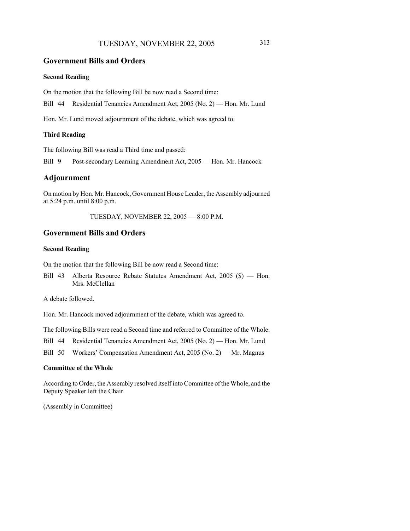## TUESDAY, NOVEMBER 22, 2005 313

#### **Government Bills and Orders**

#### **Second Reading**

On the motion that the following Bill be now read a Second time:

Bill 44 Residential Tenancies Amendment Act, 2005 (No. 2) — Hon. Mr. Lund

Hon. Mr. Lund moved adjournment of the debate, which was agreed to.

#### **Third Reading**

The following Bill was read a Third time and passed:

Bill 9 Post-secondary Learning Amendment Act, 2005 — Hon. Mr. Hancock

#### **Adjournment**

On motion by Hon. Mr. Hancock, Government House Leader, the Assembly adjourned at 5:24 p.m. until 8:00 p.m.

TUESDAY, NOVEMBER 22, 2005 — 8:00 P.M.

## **Government Bills and Orders**

#### **Second Reading**

On the motion that the following Bill be now read a Second time:

Bill 43 Alberta Resource Rebate Statutes Amendment Act, 2005 (\$) — Hon. Mrs. McClellan

A debate followed.

Hon. Mr. Hancock moved adjournment of the debate, which was agreed to.

The following Bills were read a Second time and referred to Committee of the Whole:

Bill 44 Residential Tenancies Amendment Act, 2005 (No. 2) — Hon. Mr. Lund

Bill 50 Workers' Compensation Amendment Act, 2005 (No. 2) — Mr. Magnus

#### **Committee of the Whole**

According to Order, the Assembly resolved itself into Committee of the Whole, and the Deputy Speaker left the Chair.

(Assembly in Committee)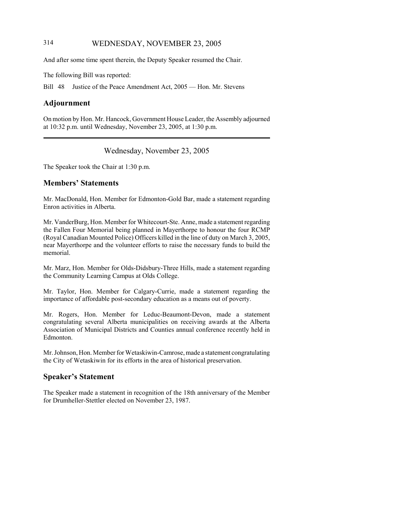## 314 WEDNESDAY, NOVEMBER 23, 2005

And after some time spent therein, the Deputy Speaker resumed the Chair.

The following Bill was reported:

Bill 48 Justice of the Peace Amendment Act, 2005 — Hon. Mr. Stevens

## **Adjournment**

On motion by Hon. Mr. Hancock, Government House Leader, the Assembly adjourned at 10:32 p.m. until Wednesday, November 23, 2005, at 1:30 p.m.

## Wednesday, November 23, 2005

The Speaker took the Chair at 1:30 p.m.

#### **Members' Statements**

Mr. MacDonald, Hon. Member for Edmonton-Gold Bar, made a statement regarding Enron activities in Alberta.

Mr. VanderBurg, Hon. Member for Whitecourt-Ste. Anne, made a statement regarding the Fallen Four Memorial being planned in Mayerthorpe to honour the four RCMP (Royal Canadian Mounted Police) Officers killed in the line of duty on March 3, 2005, near Mayerthorpe and the volunteer efforts to raise the necessary funds to build the memorial.

Mr. Marz, Hon. Member for Olds-Didsbury-Three Hills, made a statement regarding the Community Learning Campus at Olds College.

Mr. Taylor, Hon. Member for Calgary-Currie, made a statement regarding the importance of affordable post-secondary education as a means out of poverty.

Mr. Rogers, Hon. Member for Leduc-Beaumont-Devon, made a statement congratulating several Alberta municipalities on receiving awards at the Alberta Association of Municipal Districts and Counties annual conference recently held in Edmonton.

Mr. Johnson, Hon. Member for Wetaskiwin-Camrose, made a statement congratulating the City of Wetaskiwin for its efforts in the area of historical preservation.

## **Speaker's Statement**

The Speaker made a statement in recognition of the 18th anniversary of the Member for Drumheller-Stettler elected on November 23, 1987.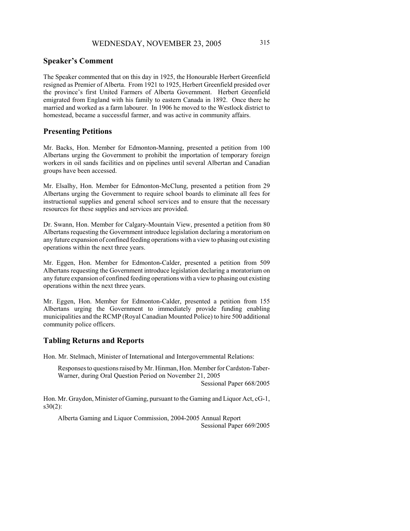### **Speaker's Comment**

The Speaker commented that on this day in 1925, the Honourable Herbert Greenfield resigned as Premier of Alberta. From 1921 to 1925, Herbert Greenfield presided over the province's first United Farmers of Alberta Government. Herbert Greenfield emigrated from England with his family to eastern Canada in 1892. Once there he married and worked as a farm labourer. In 1906 he moved to the Westlock district to homestead, became a successful farmer, and was active in community affairs.

#### **Presenting Petitions**

Mr. Backs, Hon. Member for Edmonton-Manning, presented a petition from 100 Albertans urging the Government to prohibit the importation of temporary foreign workers in oil sands facilities and on pipelines until several Albertan and Canadian groups have been accessed.

Mr. Elsalhy, Hon. Member for Edmonton-McClung, presented a petition from 29 Albertans urging the Government to require school boards to eliminate all fees for instructional supplies and general school services and to ensure that the necessary resources for these supplies and services are provided.

Dr. Swann, Hon. Member for Calgary-Mountain View, presented a petition from 80 Albertans requesting the Government introduce legislation declaring a moratorium on any future expansion of confined feeding operations with a view to phasing out existing operations within the next three years.

Mr. Eggen, Hon. Member for Edmonton-Calder, presented a petition from 509 Albertans requesting the Government introduce legislation declaring a moratorium on any future expansion of confined feeding operations with a view to phasing out existing operations within the next three years.

Mr. Eggen, Hon. Member for Edmonton-Calder, presented a petition from 155 Albertans urging the Government to immediately provide funding enabling municipalities and the RCMP (Royal Canadian Mounted Police) to hire 500 additional community police officers.

#### **Tabling Returns and Reports**

Hon. Mr. Stelmach, Minister of International and Intergovernmental Relations:

Responses to questions raised by Mr. Hinman, Hon. Member for Cardston-Taber-Warner, during Oral Question Period on November 21, 2005

Sessional Paper 668/2005

Hon. Mr. Graydon, Minister of Gaming, pursuant to the Gaming and Liquor Act, cG-1,  $s30(2)$ :

Alberta Gaming and Liquor Commission, 2004-2005 Annual Report Sessional Paper 669/2005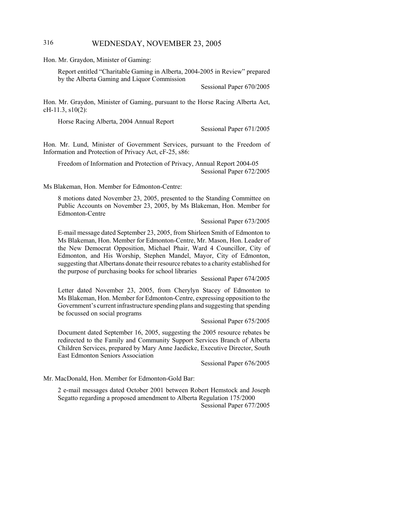### 316 WEDNESDAY, NOVEMBER 23, 2005

Hon. Mr. Graydon, Minister of Gaming:

Report entitled "Charitable Gaming in Alberta, 2004-2005 in Review" prepared by the Alberta Gaming and Liquor Commission

Sessional Paper 670/2005

Hon. Mr. Graydon, Minister of Gaming, pursuant to the Horse Racing Alberta Act, cH-11.3, s10(2):

Horse Racing Alberta, 2004 Annual Report

Sessional Paper 671/2005

Hon. Mr. Lund, Minister of Government Services, pursuant to the Freedom of Information and Protection of Privacy Act, cF-25, s86:

Freedom of Information and Protection of Privacy, Annual Report 2004-05 Sessional Paper 672/2005

Ms Blakeman, Hon. Member for Edmonton-Centre:

8 motions dated November 23, 2005, presented to the Standing Committee on Public Accounts on November 23, 2005, by Ms Blakeman, Hon. Member for Edmonton-Centre

Sessional Paper 673/2005

E-mail message dated September 23, 2005, from Shirleen Smith of Edmonton to Ms Blakeman, Hon. Member for Edmonton-Centre, Mr. Mason, Hon. Leader of the New Democrat Opposition, Michael Phair, Ward 4 Councillor, City of Edmonton, and His Worship, Stephen Mandel, Mayor, City of Edmonton, suggesting that Albertans donate their resource rebates to a charity established for the purpose of purchasing books for school libraries

Sessional Paper 674/2005

Letter dated November 23, 2005, from Cherylyn Stacey of Edmonton to Ms Blakeman, Hon. Member for Edmonton-Centre, expressing opposition to the Government's current infrastructure spending plans and suggesting that spending be focussed on social programs

Sessional Paper 675/2005

Document dated September 16, 2005, suggesting the 2005 resource rebates be redirected to the Family and Community Support Services Branch of Alberta Children Services, prepared by Mary Anne Jaedicke, Executive Director, South East Edmonton Seniors Association

Sessional Paper 676/2005

Mr. MacDonald, Hon. Member for Edmonton-Gold Bar:

2 e-mail messages dated October 2001 between Robert Hemstock and Joseph Segatto regarding a proposed amendment to Alberta Regulation 175/2000 Sessional Paper 677/2005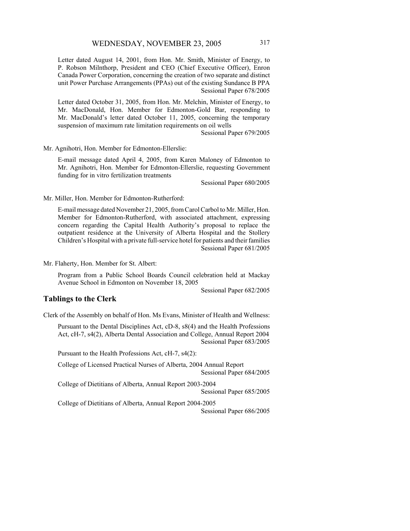Letter dated August 14, 2001, from Hon. Mr. Smith, Minister of Energy, to P. Robson Milnthorp, President and CEO (Chief Executive Officer), Enron Canada Power Corporation, concerning the creation of two separate and distinct unit Power Purchase Arrangements (PPAs) out of the existing Sundance B PPA Sessional Paper 678/2005

Letter dated October 31, 2005, from Hon. Mr. Melchin, Minister of Energy, to Mr. MacDonald, Hon. Member for Edmonton-Gold Bar, responding to Mr. MacDonald's letter dated October 11, 2005, concerning the temporary suspension of maximum rate limitation requirements on oil wells

Sessional Paper 679/2005

Mr. Agnihotri, Hon. Member for Edmonton-Ellerslie:

E-mail message dated April 4, 2005, from Karen Maloney of Edmonton to Mr. Agnihotri, Hon. Member for Edmonton-Ellerslie, requesting Government funding for in vitro fertilization treatments

Sessional Paper 680/2005

Mr. Miller, Hon. Member for Edmonton-Rutherford:

E-mail message dated November 21, 2005, from Carol Carbol to Mr. Miller, Hon. Member for Edmonton-Rutherford, with associated attachment, expressing concern regarding the Capital Health Authority's proposal to replace the outpatient residence at the University of Alberta Hospital and the Stollery Children's Hospital with a private full-service hotel for patients and their families Sessional Paper 681/2005

Mr. Flaherty, Hon. Member for St. Albert:

Program from a Public School Boards Council celebration held at Mackay Avenue School in Edmonton on November 18, 2005

Sessional Paper 682/2005

#### **Tablings to the Clerk**

Clerk of the Assembly on behalf of Hon. Ms Evans, Minister of Health and Wellness:

Pursuant to the Dental Disciplines Act, cD-8, s8(4) and the Health Professions Act, cH-7, s4(2), Alberta Dental Association and College, Annual Report 2004 Sessional Paper 683/2005

Pursuant to the Health Professions Act, cH-7, s4(2):

College of Licensed Practical Nurses of Alberta, 2004 Annual Report Sessional Paper 684/2005

College of Dietitians of Alberta, Annual Report 2003-2004 Sessional Paper 685/2005

College of Dietitians of Alberta, Annual Report 2004-2005

Sessional Paper 686/2005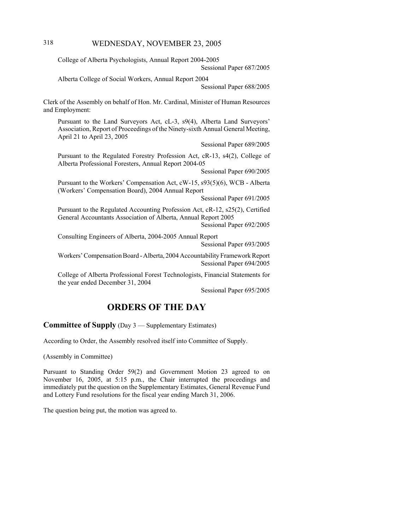## 318 WEDNESDAY, NOVEMBER 23, 2005

College of Alberta Psychologists, Annual Report 2004-2005

Sessional Paper 687/2005

Alberta College of Social Workers, Annual Report 2004

Sessional Paper 688/2005

Clerk of the Assembly on behalf of Hon. Mr. Cardinal, Minister of Human Resources and Employment:

Pursuant to the Land Surveyors Act, cL-3, s9(4), Alberta Land Surveyors' Association, Report of Proceedings of the Ninety-sixth Annual General Meeting, April 21 to April 23, 2005

Sessional Paper 689/2005

Pursuant to the Regulated Forestry Profession Act, cR-13, s4(2), College of Alberta Professional Foresters, Annual Report 2004-05

Sessional Paper 690/2005

Pursuant to the Workers' Compensation Act, cW-15, s93(5)(6), WCB - Alberta (Workers' Compensation Board), 2004 Annual Report

Sessional Paper 691/2005

Pursuant to the Regulated Accounting Profession Act, cR-12, s25(2), Certified General Accountants Association of Alberta, Annual Report 2005 Sessional Paper 692/2005

Consulting Engineers of Alberta, 2004-2005 Annual Report

Sessional Paper 693/2005

Workers' Compensation Board - Alberta, 2004 Accountability Framework Report Sessional Paper 694/2005

College of Alberta Professional Forest Technologists, Financial Statements for the year ended December 31, 2004

Sessional Paper 695/2005

## **ORDERS OF THE DAY**

**Committee of Supply** (Day 3 — Supplementary Estimates)

According to Order, the Assembly resolved itself into Committee of Supply.

(Assembly in Committee)

Pursuant to Standing Order 59(2) and Government Motion 23 agreed to on November 16, 2005, at 5:15 p.m., the Chair interrupted the proceedings and immediately put the question on the Supplementary Estimates, General Revenue Fund and Lottery Fund resolutions for the fiscal year ending March 31, 2006.

The question being put, the motion was agreed to.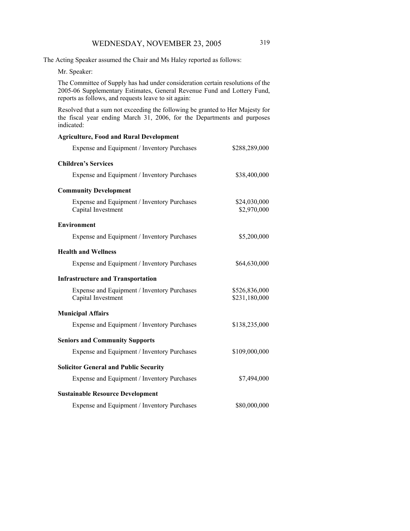The Acting Speaker assumed the Chair and Ms Haley reported as follows:

Mr. Speaker:

The Committee of Supply has had under consideration certain resolutions of the 2005-06 Supplementary Estimates, General Revenue Fund and Lottery Fund, reports as follows, and requests leave to sit again:

Resolved that a sum not exceeding the following be granted to Her Majesty for the fiscal year ending March 31, 2006, for the Departments and purposes indicated:

#### **Agriculture, Food and Rural Development**

| Expense and Equipment / Inventory Purchases                       | \$288,289,000                  |  |  |  |
|-------------------------------------------------------------------|--------------------------------|--|--|--|
| <b>Children's Services</b>                                        |                                |  |  |  |
| Expense and Equipment / Inventory Purchases                       | \$38,400,000                   |  |  |  |
| <b>Community Development</b>                                      |                                |  |  |  |
| Expense and Equipment / Inventory Purchases<br>Capital Investment | \$24,030,000<br>\$2,970,000    |  |  |  |
| <b>Environment</b>                                                |                                |  |  |  |
| Expense and Equipment / Inventory Purchases                       | \$5,200,000                    |  |  |  |
| <b>Health and Wellness</b>                                        |                                |  |  |  |
| Expense and Equipment / Inventory Purchases                       | \$64,630,000                   |  |  |  |
| <b>Infrastructure and Transportation</b>                          |                                |  |  |  |
| Expense and Equipment / Inventory Purchases<br>Capital Investment | \$526,836,000<br>\$231,180,000 |  |  |  |
| <b>Municipal Affairs</b>                                          |                                |  |  |  |
| Expense and Equipment / Inventory Purchases                       | \$138,235,000                  |  |  |  |
| <b>Seniors and Community Supports</b>                             |                                |  |  |  |
| Expense and Equipment / Inventory Purchases                       | \$109,000,000                  |  |  |  |
| <b>Solicitor General and Public Security</b>                      |                                |  |  |  |
| Expense and Equipment / Inventory Purchases                       | \$7,494,000                    |  |  |  |
| <b>Sustainable Resource Development</b>                           |                                |  |  |  |
| Expense and Equipment / Inventory Purchases                       | \$80,000,000                   |  |  |  |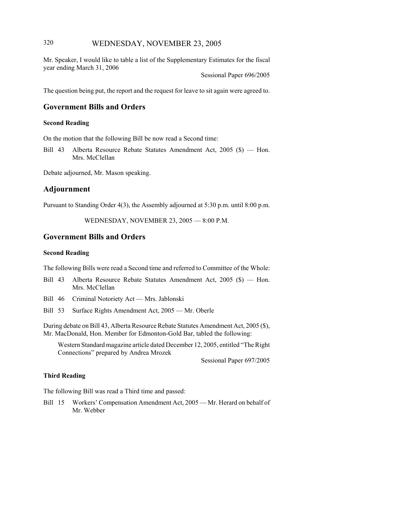### 320 WEDNESDAY, NOVEMBER 23, 2005

Mr. Speaker, I would like to table a list of the Supplementary Estimates for the fiscal year ending March 31, 2006

Sessional Paper 696/2005

The question being put, the report and the request for leave to sit again were agreed to.

# **Government Bills and Orders**

#### **Second Reading**

On the motion that the following Bill be now read a Second time:

Bill 43 Alberta Resource Rebate Statutes Amendment Act, 2005 (\$) — Hon. Mrs. McClellan

Debate adjourned, Mr. Mason speaking.

### **Adjournment**

Pursuant to Standing Order 4(3), the Assembly adjourned at 5:30 p.m. until 8:00 p.m.

WEDNESDAY, NOVEMBER 23, 2005 — 8:00 P.M.

### **Government Bills and Orders**

#### **Second Reading**

The following Bills were read a Second time and referred to Committee of the Whole:

- Bill 43 Alberta Resource Rebate Statutes Amendment Act, 2005 (\$) Hon. Mrs. McClellan
- Bill 46 Criminal Notoriety Act Mrs. Jablonski
- Bill 53 Surface Rights Amendment Act, 2005 Mr. Oberle

During debate on Bill 43, Alberta Resource Rebate Statutes Amendment Act, 2005 (\$), Mr. MacDonald, Hon. Member for Edmonton-Gold Bar, tabled the following:

Western Standard magazine article dated December 12, 2005, entitled "The Right Connections" prepared by Andrea Mrozek

Sessional Paper 697/2005

### **Third Reading**

The following Bill was read a Third time and passed:

Bill 15 Workers' Compensation Amendment Act, 2005 — Mr. Herard on behalf of Mr. Webber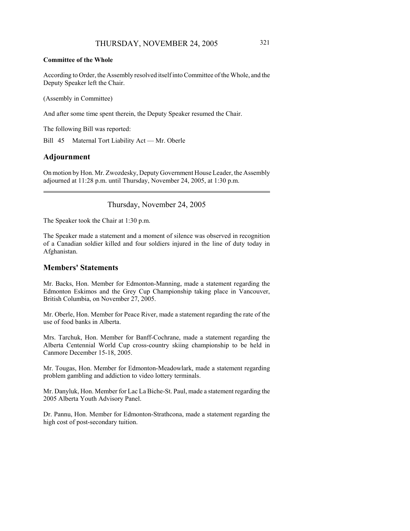### **Committee of the Whole**

According to Order, the Assembly resolved itself into Committee of the Whole, and the Deputy Speaker left the Chair.

(Assembly in Committee)

And after some time spent therein, the Deputy Speaker resumed the Chair.

The following Bill was reported:

Bill 45 Maternal Tort Liability Act — Mr. Oberle

### **Adjournment**

On motion by Hon. Mr. Zwozdesky, Deputy Government House Leader, the Assembly adjourned at 11:28 p.m. until Thursday, November 24, 2005, at 1:30 p.m.

Thursday, November 24, 2005

The Speaker took the Chair at 1:30 p.m.

The Speaker made a statement and a moment of silence was observed in recognition of a Canadian soldier killed and four soldiers injured in the line of duty today in Afghanistan.

### **Members' Statements**

Mr. Backs, Hon. Member for Edmonton-Manning, made a statement regarding the Edmonton Eskimos and the Grey Cup Championship taking place in Vancouver, British Columbia, on November 27, 2005.

Mr. Oberle, Hon. Member for Peace River, made a statement regarding the rate of the use of food banks in Alberta.

Mrs. Tarchuk, Hon. Member for Banff-Cochrane, made a statement regarding the Alberta Centennial World Cup cross-country skiing championship to be held in Canmore December 15-18, 2005.

Mr. Tougas, Hon. Member for Edmonton-Meadowlark, made a statement regarding problem gambling and addiction to video lottery terminals.

Mr. Danyluk, Hon. Member for Lac La Biche-St. Paul, made a statement regarding the 2005 Alberta Youth Advisory Panel.

Dr. Pannu, Hon. Member for Edmonton-Strathcona, made a statement regarding the high cost of post-secondary tuition.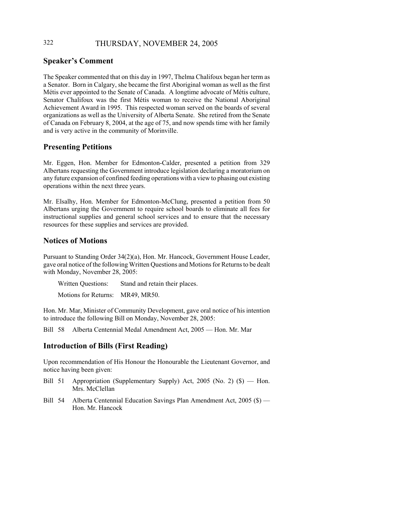# 322 THURSDAY, NOVEMBER 24, 2005

## **Speaker's Comment**

The Speaker commented that on this day in 1997, Thelma Chalifoux began her term as a Senator. Born in Calgary, she became the first Aboriginal woman as well as the first Métis ever appointed to the Senate of Canada. A longtime advocate of Métis culture, Senator Chalifoux was the first Métis woman to receive the National Aboriginal Achievement Award in 1995. This respected woman served on the boards of several organizations as well as the University of Alberta Senate. She retired from the Senate of Canada on February 8, 2004, at the age of 75, and now spends time with her family and is very active in the community of Morinville.

# **Presenting Petitions**

Mr. Eggen, Hon. Member for Edmonton-Calder, presented a petition from 329 Albertans requesting the Government introduce legislation declaring a moratorium on any future expansion of confined feeding operations with a view to phasing out existing operations within the next three years.

Mr. Elsalhy, Hon. Member for Edmonton-McClung, presented a petition from 50 Albertans urging the Government to require school boards to eliminate all fees for instructional supplies and general school services and to ensure that the necessary resources for these supplies and services are provided.

# **Notices of Motions**

Pursuant to Standing Order 34(2)(a), Hon. Mr. Hancock, Government House Leader, gave oral notice of the following Written Questions and Motions for Returns to be dealt with Monday, November 28, 2005:

Written Questions: Stand and retain their places.

Motions for Returns: MR49, MR50.

Hon. Mr. Mar, Minister of Community Development, gave oral notice of his intention to introduce the following Bill on Monday, November 28, 2005:

Bill 58 Alberta Centennial Medal Amendment Act, 2005 — Hon. Mr. Mar

# **Introduction of Bills (First Reading)**

Upon recommendation of His Honour the Honourable the Lieutenant Governor, and notice having been given:

- Bill 51 Appropriation (Supplementary Supply) Act, 2005 (No. 2) (\$) Hon. Mrs. McClellan
- Bill 54 Alberta Centennial Education Savings Plan Amendment Act, 2005 (\$) Hon. Mr. Hancock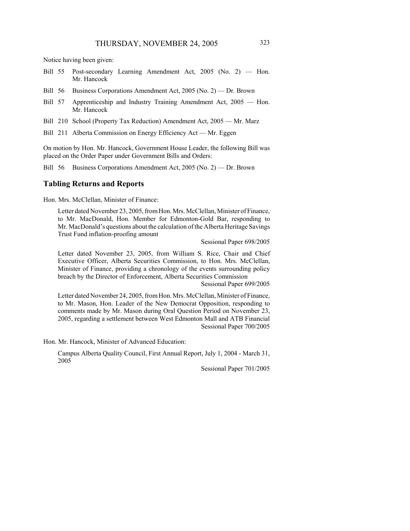Notice having been given:

- Bill 55 Post-secondary Learning Amendment Act, 2005 (No. 2) Hon. Mr. Hancock
- Bill 56 Business Corporations Amendment Act, 2005 (No. 2) Dr. Brown
- Bill 57 Apprenticeship and Industry Training Amendment Act, 2005 Hon. Mr. Hancock
- Bill 210 School (Property Tax Reduction) Amendment Act, 2005 Mr. Marz
- Bill 211 Alberta Commission on Energy Efficiency Act Mr. Eggen

On motion by Hon. Mr. Hancock, Government House Leader, the following Bill was placed on the Order Paper under Government Bills and Orders:

Bill 56 Business Corporations Amendment Act, 2005 (No. 2) — Dr. Brown

### **Tabling Returns and Reports**

Hon. Mrs. McClellan, Minister of Finance:

Letter dated November 23, 2005, from Hon. Mrs. McClellan, Minister of Finance, to Mr. MacDonald, Hon. Member for Edmonton-Gold Bar, responding to Mr. MacDonald's questions about the calculation of the Alberta Heritage Savings Trust Fund inflation-proofing amount

Sessional Paper 698/2005

Letter dated November 23, 2005, from William S. Rice, Chair and Chief Executive Officer, Alberta Securities Commission, to Hon. Mrs. McClellan, Minister of Finance, providing a chronology of the events surrounding policy breach by the Director of Enforcement, Alberta Securities Commission

Sessional Paper 699/2005

Letter dated November 24, 2005, from Hon. Mrs. McClellan, Minister of Finance, to Mr. Mason, Hon. Leader of the New Democrat Opposition, responding to comments made by Mr. Mason during Oral Question Period on November 23, 2005, regarding a settlement between West Edmonton Mall and ATB Financial Sessional Paper 700/2005

Hon. Mr. Hancock, Minister of Advanced Education:

Campus Alberta Quality Council, First Annual Report, July 1, 2004 - March 31, 2005

Sessional Paper 701/2005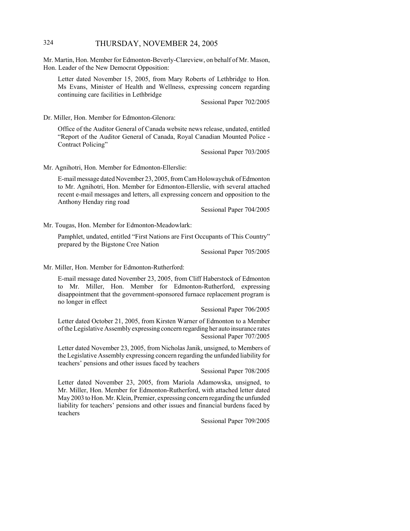## 324 THURSDAY, NOVEMBER 24, 2005

Mr. Martin, Hon. Member for Edmonton-Beverly-Clareview, on behalf of Mr. Mason, Hon. Leader of the New Democrat Opposition:

Letter dated November 15, 2005, from Mary Roberts of Lethbridge to Hon. Ms Evans, Minister of Health and Wellness, expressing concern regarding continuing care facilities in Lethbridge

Sessional Paper 702/2005

Dr. Miller, Hon. Member for Edmonton-Glenora:

Office of the Auditor General of Canada website news release, undated, entitled "Report of the Auditor General of Canada, Royal Canadian Mounted Police - Contract Policing"

Sessional Paper 703/2005

Mr. Agnihotri, Hon. Member for Edmonton-Ellerslie:

E-mail message dated November 23, 2005, from Cam Holowaychuk of Edmonton to Mr. Agnihotri, Hon. Member for Edmonton-Ellerslie, with several attached recent e-mail messages and letters, all expressing concern and opposition to the Anthony Henday ring road

Sessional Paper 704/2005

Mr. Tougas, Hon. Member for Edmonton-Meadowlark:

Pamphlet, undated, entitled "First Nations are First Occupants of This Country" prepared by the Bigstone Cree Nation

Sessional Paper 705/2005

Mr. Miller, Hon. Member for Edmonton-Rutherford:

E-mail message dated November 23, 2005, from Cliff Haberstock of Edmonton to Mr. Miller, Hon. Member for Edmonton-Rutherford, expressing disappointment that the government-sponsored furnace replacement program is no longer in effect

Sessional Paper 706/2005

Letter dated October 21, 2005, from Kirsten Warner of Edmonton to a Member of the Legislative Assembly expressing concern regarding her auto insurance rates Sessional Paper 707/2005

Letter dated November 23, 2005, from Nicholas Janik, unsigned, to Members of the Legislative Assembly expressing concern regarding the unfunded liability for teachers' pensions and other issues faced by teachers

Sessional Paper 708/2005

Letter dated November 23, 2005, from Mariola Adamowska, unsigned, to Mr. Miller, Hon. Member for Edmonton-Rutherford, with attached letter dated May 2003 to Hon. Mr. Klein, Premier, expressing concern regarding the unfunded liability for teachers' pensions and other issues and financial burdens faced by teachers

Sessional Paper 709/2005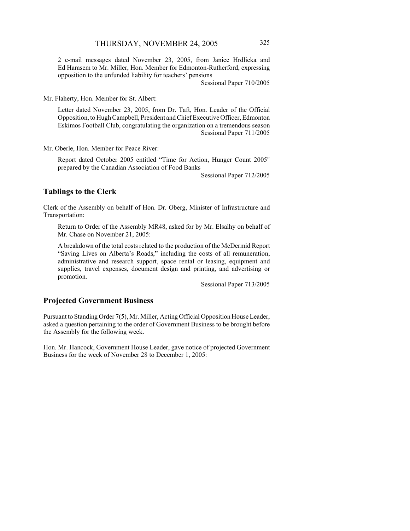2 e-mail messages dated November 23, 2005, from Janice Hrdlicka and Ed Harasem to Mr. Miller, Hon. Member for Edmonton-Rutherford, expressing opposition to the unfunded liability for teachers' pensions

Sessional Paper 710/2005

Mr. Flaherty, Hon. Member for St. Albert:

Letter dated November 23, 2005, from Dr. Taft, Hon. Leader of the Official Opposition, to Hugh Campbell, President and Chief Executive Officer, Edmonton Eskimos Football Club, congratulating the organization on a tremendous season Sessional Paper 711/2005

Mr. Oberle, Hon. Member for Peace River:

Report dated October 2005 entitled "Time for Action, Hunger Count 2005" prepared by the Canadian Association of Food Banks

Sessional Paper 712/2005

### **Tablings to the Clerk**

Clerk of the Assembly on behalf of Hon. Dr. Oberg, Minister of Infrastructure and Transportation:

Return to Order of the Assembly MR48, asked for by Mr. Elsalhy on behalf of Mr. Chase on November 21, 2005:

A breakdown of the total costs related to the production of the McDermid Report "Saving Lives on Alberta's Roads," including the costs of all remuneration, administrative and research support, space rental or leasing, equipment and supplies, travel expenses, document design and printing, and advertising or promotion.

Sessional Paper 713/2005

### **Projected Government Business**

Pursuant to Standing Order 7(5), Mr. Miller, Acting Official Opposition House Leader, asked a question pertaining to the order of Government Business to be brought before the Assembly for the following week.

Hon. Mr. Hancock, Government House Leader, gave notice of projected Government Business for the week of November 28 to December 1, 2005: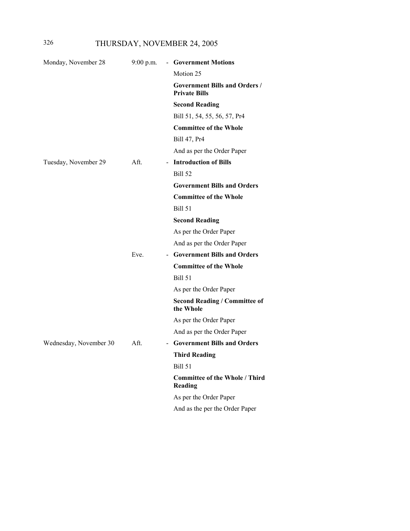# 326 THURSDAY, NOVEMBER 24, 2005

| Monday, November 28    | $9:00$ p.m. | - Government Motions                                         |
|------------------------|-------------|--------------------------------------------------------------|
|                        |             | Motion 25                                                    |
|                        |             | <b>Government Bills and Orders /</b><br><b>Private Bills</b> |
|                        |             | <b>Second Reading</b>                                        |
|                        |             | Bill 51, 54, 55, 56, 57, Pr4                                 |
|                        |             | <b>Committee of the Whole</b>                                |
|                        |             | Bill 47, Pr4                                                 |
|                        |             | And as per the Order Paper                                   |
| Tuesday, November 29   | Aft.        | - Introduction of Bills                                      |
|                        |             | <b>Bill 52</b>                                               |
|                        |             | <b>Government Bills and Orders</b>                           |
|                        |             | <b>Committee of the Whole</b>                                |
|                        |             | <b>Bill 51</b>                                               |
|                        |             | <b>Second Reading</b>                                        |
|                        |             | As per the Order Paper                                       |
|                        |             | And as per the Order Paper                                   |
|                        | Eve.        | - Government Bills and Orders                                |
|                        |             | <b>Committee of the Whole</b>                                |
|                        |             | <b>Bill 51</b>                                               |
|                        |             | As per the Order Paper                                       |
|                        |             | <b>Second Reading / Committee of</b><br>the Whole            |
|                        |             | As per the Order Paper                                       |
|                        |             | And as per the Order Paper                                   |
| Wednesday, November 30 | Aft.        | <b>Government Bills and Orders</b>                           |
|                        |             | <b>Third Reading</b>                                         |
|                        |             | Bill 51                                                      |
|                        |             | <b>Committee of the Whole / Third</b><br>Reading             |
|                        |             | As per the Order Paper                                       |
|                        |             | And as the per the Order Paper                               |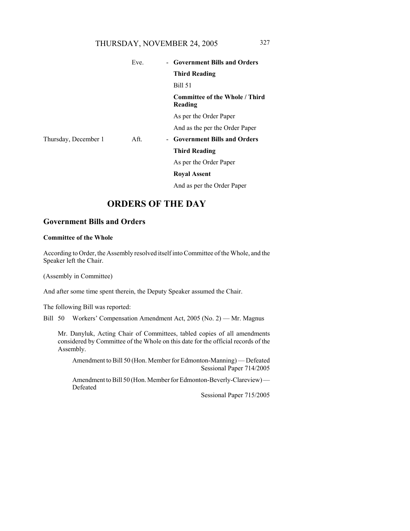# THURSDAY, NOVEMBER 24, 2005 327

|                      | Eve. | - Government Bills and Orders                    |  |
|----------------------|------|--------------------------------------------------|--|
|                      |      | <b>Third Reading</b>                             |  |
|                      |      | <b>Bill 51</b>                                   |  |
|                      |      | <b>Committee of the Whole / Third</b><br>Reading |  |
|                      |      | As per the Order Paper                           |  |
|                      |      | And as the per the Order Paper                   |  |
| Thursday, December 1 | Aft. | - Government Bills and Orders                    |  |
|                      |      | <b>Third Reading</b>                             |  |
|                      |      | As per the Order Paper                           |  |
|                      |      | <b>Royal Assent</b>                              |  |
|                      |      | And as per the Order Paper                       |  |

# **ORDERS OF THE DAY**

### **Government Bills and Orders**

#### **Committee of the Whole**

According to Order, the Assembly resolved itself into Committee of the Whole, and the Speaker left the Chair.

(Assembly in Committee)

And after some time spent therein, the Deputy Speaker assumed the Chair.

The following Bill was reported:

Bill 50 Workers' Compensation Amendment Act, 2005 (No. 2) — Mr. Magnus

Mr. Danyluk, Acting Chair of Committees, tabled copies of all amendments considered by Committee of the Whole on this date for the official records of the Assembly.

Amendment to Bill 50 (Hon. Member for Edmonton-Manning) — Defeated Sessional Paper 714/2005

Amendment to Bill 50 (Hon. Member for Edmonton-Beverly-Clareview) — Defeated

Sessional Paper 715/2005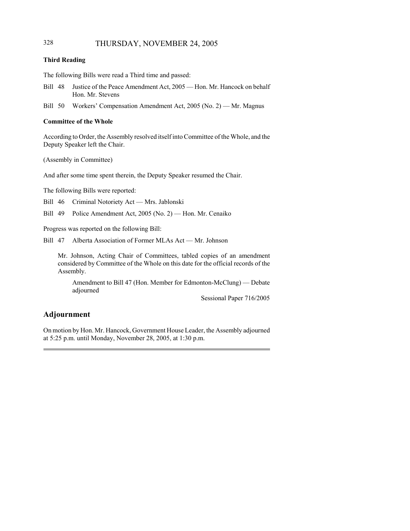## 328 THURSDAY, NOVEMBER 24, 2005

### **Third Reading**

The following Bills were read a Third time and passed:

- Bill 48 Justice of the Peace Amendment Act, 2005 Hon. Mr. Hancock on behalf Hon. Mr. Stevens
- Bill 50 Workers' Compensation Amendment Act, 2005 (No. 2) Mr. Magnus

#### **Committee of the Whole**

According to Order, the Assembly resolved itself into Committee of the Whole, and the Deputy Speaker left the Chair.

(Assembly in Committee)

And after some time spent therein, the Deputy Speaker resumed the Chair.

The following Bills were reported:

Bill 46 Criminal Notoriety Act — Mrs. Jablonski

Bill 49 Police Amendment Act, 2005 (No. 2) — Hon. Mr. Cenaiko

Progress was reported on the following Bill:

Bill 47 Alberta Association of Former MLAs Act — Mr. Johnson

Mr. Johnson, Acting Chair of Committees, tabled copies of an amendment considered by Committee of the Whole on this date for the official records of the Assembly.

Amendment to Bill 47 (Hon. Member for Edmonton-McClung) — Debate adjourned

Sessional Paper 716/2005

# **Adjournment**

On motion by Hon. Mr. Hancock, Government House Leader, the Assembly adjourned at 5:25 p.m. until Monday, November 28, 2005, at 1:30 p.m.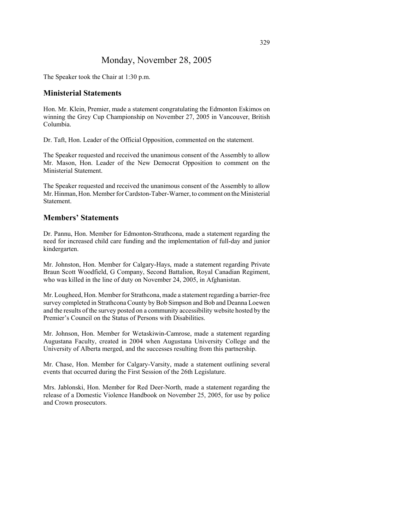# Monday, November 28, 2005

The Speaker took the Chair at 1:30 p.m.

### **Ministerial Statements**

Hon. Mr. Klein, Premier, made a statement congratulating the Edmonton Eskimos on winning the Grey Cup Championship on November 27, 2005 in Vancouver, British Columbia.

Dr. Taft, Hon. Leader of the Official Opposition, commented on the statement.

The Speaker requested and received the unanimous consent of the Assembly to allow Mr. Mason, Hon. Leader of the New Democrat Opposition to comment on the Ministerial Statement.

The Speaker requested and received the unanimous consent of the Assembly to allow Mr. Hinman, Hon. Member for Cardston-Taber-Warner, to comment on the Ministerial Statement.

# **Members' Statements**

Dr. Pannu, Hon. Member for Edmonton-Strathcona, made a statement regarding the need for increased child care funding and the implementation of full-day and junior kindergarten.

Mr. Johnston, Hon. Member for Calgary-Hays, made a statement regarding Private Braun Scott Woodfield, G Company, Second Battalion, Royal Canadian Regiment, who was killed in the line of duty on November 24, 2005, in Afghanistan.

Mr. Lougheed, Hon. Member for Strathcona, made a statement regarding a barrier-free survey completed in Strathcona County by Bob Simpson and Bob and Deanna Loewen and the results of the survey posted on a community accessibility website hosted by the Premier's Council on the Status of Persons with Disabilities.

Mr. Johnson, Hon. Member for Wetaskiwin-Camrose, made a statement regarding Augustana Faculty, created in 2004 when Augustana University College and the University of Alberta merged, and the successes resulting from this partnership.

Mr. Chase, Hon. Member for Calgary-Varsity, made a statement outlining several events that occurred during the First Session of the 26th Legislature.

Mrs. Jablonski, Hon. Member for Red Deer-North, made a statement regarding the release of a Domestic Violence Handbook on November 25, 2005, for use by police and Crown prosecutors.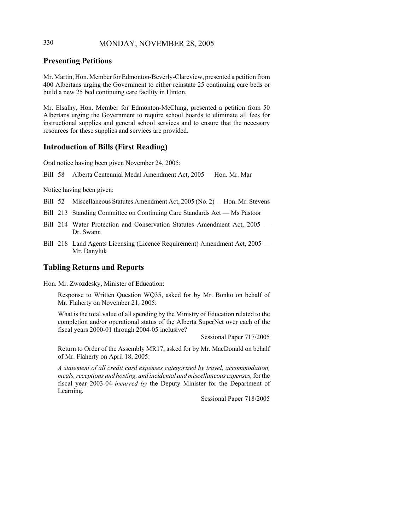# 330 MONDAY, NOVEMBER 28, 2005

# **Presenting Petitions**

Mr. Martin, Hon. Member for Edmonton-Beverly-Clareview, presented a petition from 400 Albertans urging the Government to either reinstate 25 continuing care beds or build a new 25 bed continuing care facility in Hinton.

Mr. Elsalhy, Hon. Member for Edmonton-McClung, presented a petition from 50 Albertans urging the Government to require school boards to eliminate all fees for instructional supplies and general school services and to ensure that the necessary resources for these supplies and services are provided.

### **Introduction of Bills (First Reading)**

Oral notice having been given November 24, 2005:

Bill 58 Alberta Centennial Medal Amendment Act, 2005 — Hon. Mr. Mar

Notice having been given:

- Bill 52 Miscellaneous Statutes Amendment Act, 2005 (No. 2) Hon. Mr. Stevens
- Bill 213 Standing Committee on Continuing Care Standards Act Ms Pastoor
- Bill 214 Water Protection and Conservation Statutes Amendment Act, 2005 Dr. Swann
- Bill 218 Land Agents Licensing (Licence Requirement) Amendment Act, 2005 Mr. Danyluk

### **Tabling Returns and Reports**

Hon. Mr. Zwozdesky, Minister of Education:

Response to Written Question WQ35, asked for by Mr. Bonko on behalf of Mr. Flaherty on November 21, 2005:

What is the total value of all spending by the Ministry of Education related to the completion and/or operational status of the Alberta SuperNet over each of the fiscal years 2000-01 through 2004-05 inclusive?

Sessional Paper 717/2005

Return to Order of the Assembly MR17, asked for by Mr. MacDonald on behalf of Mr. Flaherty on April 18, 2005:

*A statement of all credit card expenses categorized by travel, accommodation, meals, receptions and hosting, and incidental and miscellaneous expenses,* for the fiscal year 2003-04 *incurred by* the Deputy Minister for the Department of Learning.

Sessional Paper 718/2005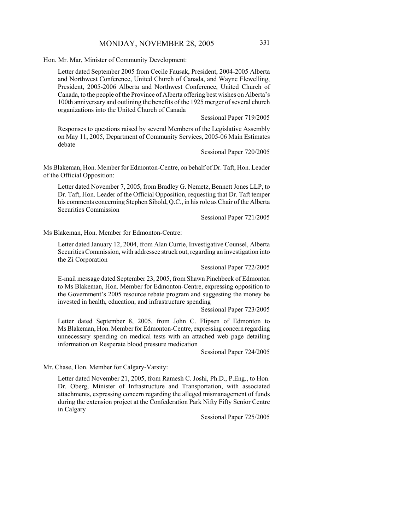Hon. Mr. Mar, Minister of Community Development:

Letter dated September 2005 from Cecile Fausak, President, 2004-2005 Alberta and Northwest Conference, United Church of Canada, and Wayne Flewelling, President, 2005-2006 Alberta and Northwest Conference, United Church of Canada, to the people of the Province of Alberta offering best wishes on Alberta's 100th anniversary and outlining the benefits of the 1925 merger of several church organizations into the United Church of Canada

Sessional Paper 719/2005

Responses to questions raised by several Members of the Legislative Assembly on May 11, 2005, Department of Community Services, 2005-06 Main Estimates debate

Sessional Paper 720/2005

Ms Blakeman, Hon. Member for Edmonton-Centre, on behalf of Dr. Taft, Hon. Leader of the Official Opposition:

Letter dated November 7, 2005, from Bradley G. Nemetz, Bennett Jones LLP, to Dr. Taft, Hon. Leader of the Official Opposition, requesting that Dr. Taft temper his comments concerning Stephen Sibold, Q.C., in his role as Chair of the Alberta Securities Commission

Sessional Paper 721/2005

Ms Blakeman, Hon. Member for Edmonton-Centre:

Letter dated January 12, 2004, from Alan Currie, Investigative Counsel, Alberta Securities Commission, with addressee struck out, regarding an investigation into the Zi Corporation

Sessional Paper 722/2005

E-mail message dated September 23, 2005, from Shawn Pinchbeck of Edmonton to Ms Blakeman, Hon. Member for Edmonton-Centre, expressing opposition to the Government's 2005 resource rebate program and suggesting the money be invested in health, education, and infrastructure spending

Sessional Paper 723/2005

Letter dated September 8, 2005, from John C. Flipsen of Edmonton to Ms Blakeman, Hon. Member for Edmonton-Centre, expressing concern regarding unnecessary spending on medical tests with an attached web page detailing information on Resperate blood pressure medication

Sessional Paper 724/2005

Mr. Chase, Hon. Member for Calgary-Varsity:

Letter dated November 21, 2005, from Ramesh C. Joshi, Ph.D., P.Eng., to Hon. Dr. Oberg, Minister of Infrastructure and Transportation, with associated attachments, expressing concern regarding the alleged mismanagement of funds during the extension project at the Confederation Park Nifty Fifty Senior Centre in Calgary

Sessional Paper 725/2005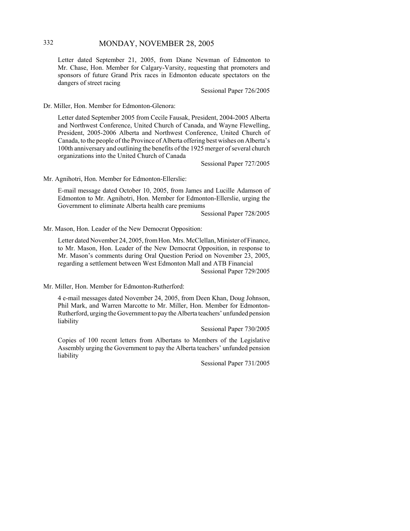# 332 MONDAY, NOVEMBER 28, 2005

Letter dated September 21, 2005, from Diane Newman of Edmonton to Mr. Chase, Hon. Member for Calgary-Varsity, requesting that promoters and sponsors of future Grand Prix races in Edmonton educate spectators on the dangers of street racing

Sessional Paper 726/2005

Dr. Miller, Hon. Member for Edmonton-Glenora:

Letter dated September 2005 from Cecile Fausak, President, 2004-2005 Alberta and Northwest Conference, United Church of Canada, and Wayne Flewelling, President, 2005-2006 Alberta and Northwest Conference, United Church of Canada, to the people of the Province of Alberta offering best wishes on Alberta's 100th anniversary and outlining the benefits of the 1925 merger of several church organizations into the United Church of Canada

Sessional Paper 727/2005

Mr. Agnihotri, Hon. Member for Edmonton-Ellerslie:

E-mail message dated October 10, 2005, from James and Lucille Adamson of Edmonton to Mr. Agnihotri, Hon. Member for Edmonton-Ellerslie, urging the Government to eliminate Alberta health care premiums

Sessional Paper 728/2005

Mr. Mason, Hon. Leader of the New Democrat Opposition:

Letter dated November 24, 2005, from Hon. Mrs. McClellan, Minister of Finance, to Mr. Mason, Hon. Leader of the New Democrat Opposition, in response to Mr. Mason's comments during Oral Question Period on November 23, 2005, regarding a settlement between West Edmonton Mall and ATB Financial

Sessional Paper 729/2005

Mr. Miller, Hon. Member for Edmonton-Rutherford:

4 e-mail messages dated November 24, 2005, from Deen Khan, Doug Johnson, Phil Mark, and Warren Marcotte to Mr. Miller, Hon. Member for Edmonton-Rutherford, urging the Government to pay the Alberta teachers' unfunded pension liability

Sessional Paper 730/2005

Copies of 100 recent letters from Albertans to Members of the Legislative Assembly urging the Government to pay the Alberta teachers' unfunded pension liability

Sessional Paper 731/2005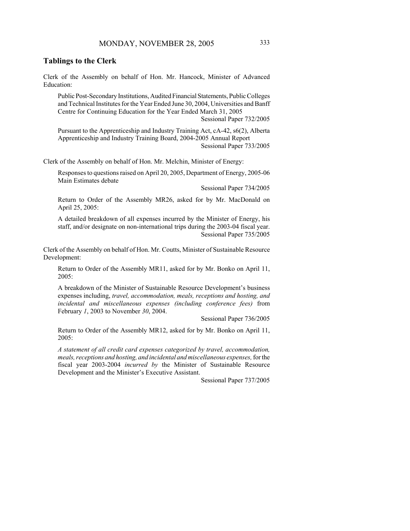### **Tablings to the Clerk**

Clerk of the Assembly on behalf of Hon. Mr. Hancock, Minister of Advanced Education:

Public Post-Secondary Institutions, Audited Financial Statements, Public Colleges and Technical Institutes for the Year Ended June 30, 2004, Universities and Banff Centre for Continuing Education for the Year Ended March 31, 2005

Sessional Paper 732/2005

Pursuant to the Apprenticeship and Industry Training Act, cA-42, s6(2), Alberta Apprenticeship and Industry Training Board, 2004-2005 Annual Report Sessional Paper 733/2005

Clerk of the Assembly on behalf of Hon. Mr. Melchin, Minister of Energy:

Responses to questions raised on April 20, 2005, Department of Energy, 2005-06 Main Estimates debate

Sessional Paper 734/2005

Return to Order of the Assembly MR26, asked for by Mr. MacDonald on April 25, 2005:

A detailed breakdown of all expenses incurred by the Minister of Energy, his staff, and/or designate on non-international trips during the 2003-04 fiscal year. Sessional Paper 735/2005

Clerk of the Assembly on behalf of Hon. Mr. Coutts, Minister of Sustainable Resource Development:

Return to Order of the Assembly MR11, asked for by Mr. Bonko on April 11, 2005:

A breakdown of the Minister of Sustainable Resource Development's business expenses including, *travel, accommodation, meals, receptions and hosting, and incidental and miscellaneous expenses (including conference fees)* from February *1*, 2003 to November *30*, 2004.

Sessional Paper 736/2005

Return to Order of the Assembly MR12, asked for by Mr. Bonko on April 11, 2005:

*A statement of all credit card expenses categorized by travel, accommodation, meals, receptions and hosting, and incidental and miscellaneous expenses,* for the fiscal year 2003-2004 *incurred by* the Minister of Sustainable Resource Development and the Minister's Executive Assistant.

Sessional Paper 737/2005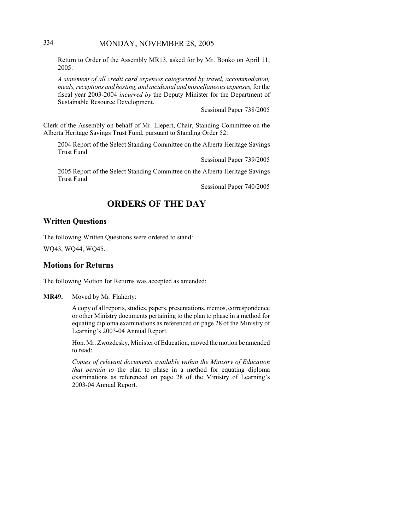# 334 MONDAY, NOVEMBER 28, 2005

Return to Order of the Assembly MR13, asked for by Mr. Bonko on April 11, 2005:

*A statement of all credit card expenses categorized by travel, accommodation, meals, receptions and hosting, and incidental and miscellaneous expenses,* for the fiscal year 2003-2004 *incurred by* the Deputy Minister for the Department of Sustainable Resource Development.

Sessional Paper 738/2005

Clerk of the Assembly on behalf of Mr. Liepert, Chair, Standing Committee on the Alberta Heritage Savings Trust Fund, pursuant to Standing Order 52:

2004 Report of the Select Standing Committee on the Alberta Heritage Savings Trust Fund

Sessional Paper 739/2005

2005 Report of the Select Standing Committee on the Alberta Heritage Savings Trust Fund

Sessional Paper 740/2005

# **ORDERS OF THE DAY**

### **Written Questions**

The following Written Questions were ordered to stand: WQ43, WQ44, WQ45.

### **Motions for Returns**

The following Motion for Returns was accepted as amended:

**MR49.** Moved by Mr. Flaherty:

A copy of all reports, studies, papers, presentations, memos, correspondence or other Ministry documents pertaining to the plan to phase in a method for equating diploma examinations as referenced on page 28 of the Ministry of Learning's 2003-04 Annual Report.

Hon. Mr. Zwozdesky, Minister of Education, moved the motion be amended to read:

*Copies of relevant documents available within the Ministry of Education that pertain to* the plan to phase in a method for equating diploma examinations as referenced on page 28 of the Ministry of Learning's 2003-04 Annual Report.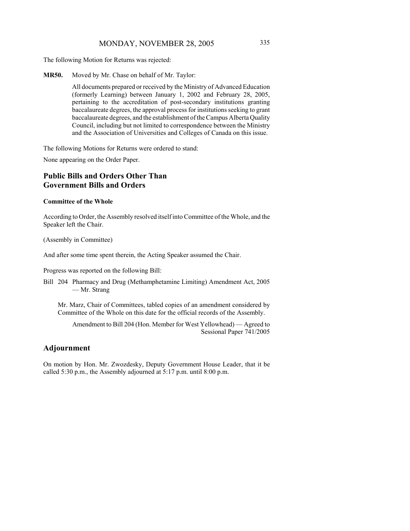The following Motion for Returns was rejected:

**MR50.** Moved by Mr. Chase on behalf of Mr. Taylor:

All documents prepared or received by the Ministry of Advanced Education (formerly Learning) between January 1, 2002 and February 28, 2005, pertaining to the accreditation of post-secondary institutions granting baccalaureate degrees, the approval process for institutions seeking to grant baccalaureate degrees, and the establishment of the Campus Alberta Quality Council, including but not limited to correspondence between the Ministry and the Association of Universities and Colleges of Canada on this issue.

The following Motions for Returns were ordered to stand:

None appearing on the Order Paper.

# **Public Bills and Orders Other Than Government Bills and Orders**

#### **Committee of the Whole**

According to Order, the Assembly resolved itself into Committee of the Whole, and the Speaker left the Chair.

(Assembly in Committee)

And after some time spent therein, the Acting Speaker assumed the Chair.

Progress was reported on the following Bill:

Bill 204 Pharmacy and Drug (Methamphetamine Limiting) Amendment Act, 2005 — Mr. Strang

Mr. Marz, Chair of Committees, tabled copies of an amendment considered by Committee of the Whole on this date for the official records of the Assembly.

Amendment to Bill 204 (Hon. Member for West Yellowhead) — Agreed to Sessional Paper 741/2005

# **Adjournment**

On motion by Hon. Mr. Zwozdesky, Deputy Government House Leader, that it be called 5:30 p.m., the Assembly adjourned at 5:17 p.m. until 8:00 p.m.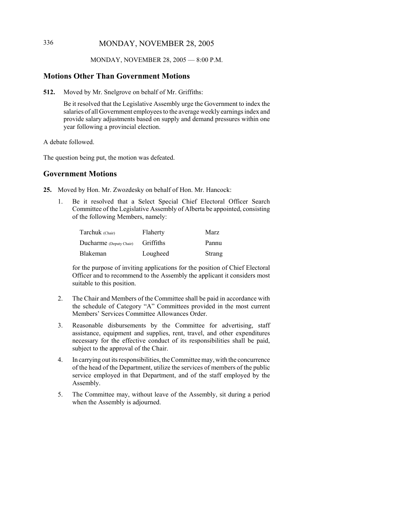# 336 MONDAY, NOVEMBER 28, 2005

#### MONDAY, NOVEMBER 28, 2005 — 8:00 P.M.

### **Motions Other Than Government Motions**

**512.** Moved by Mr. Snelgrove on behalf of Mr. Griffiths:

Be it resolved that the Legislative Assembly urge the Government to index the salaries of all Government employees to the average weekly earnings index and provide salary adjustments based on supply and demand pressures within one year following a provincial election.

A debate followed.

The question being put, the motion was defeated.

### **Government Motions**

**25.** Moved by Hon. Mr. Zwozdesky on behalf of Hon. Mr. Hancock:

1. Be it resolved that a Select Special Chief Electoral Officer Search Committee of the Legislative Assembly of Alberta be appointed, consisting of the following Members, namely:

| Tarchuk (Chair)         | Flaherty  | Marz   |
|-------------------------|-----------|--------|
| Ducharme (Deputy Chair) | Griffiths | Pannu  |
| Blakeman                | Lougheed  | Strang |

for the purpose of inviting applications for the position of Chief Electoral Officer and to recommend to the Assembly the applicant it considers most suitable to this position.

- 2. The Chair and Members of the Committee shall be paid in accordance with the schedule of Category "A" Committees provided in the most current Members' Services Committee Allowances Order.
- 3. Reasonable disbursements by the Committee for advertising, staff assistance, equipment and supplies, rent, travel, and other expenditures necessary for the effective conduct of its responsibilities shall be paid, subject to the approval of the Chair.
- 4. In carrying out its responsibilities, the Committee may, with the concurrence of the head of the Department, utilize the services of members of the public service employed in that Department, and of the staff employed by the Assembly.
- 5. The Committee may, without leave of the Assembly, sit during a period when the Assembly is adjourned.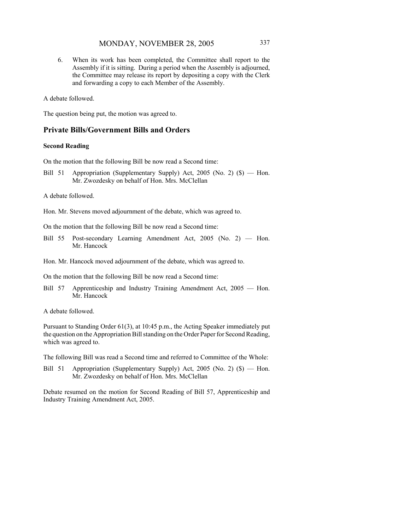6. When its work has been completed, the Committee shall report to the Assembly if it is sitting. During a period when the Assembly is adjourned, the Committee may release its report by depositing a copy with the Clerk and forwarding a copy to each Member of the Assembly.

A debate followed.

The question being put, the motion was agreed to.

### **Private Bills/Government Bills and Orders**

#### **Second Reading**

On the motion that the following Bill be now read a Second time:

Bill 51 Appropriation (Supplementary Supply) Act, 2005 (No. 2) (\$) — Hon. Mr. Zwozdesky on behalf of Hon. Mrs. McClellan

A debate followed.

Hon. Mr. Stevens moved adjournment of the debate, which was agreed to.

On the motion that the following Bill be now read a Second time:

- Bill 55 Post-secondary Learning Amendment Act, 2005 (No. 2) Hon. Mr. Hancock
- Hon. Mr. Hancock moved adjournment of the debate, which was agreed to.

On the motion that the following Bill be now read a Second time:

Bill 57 Apprenticeship and Industry Training Amendment Act, 2005 — Hon. Mr. Hancock

A debate followed.

Pursuant to Standing Order 61(3), at 10:45 p.m., the Acting Speaker immediately put the question on the Appropriation Bill standing on the Order Paper for Second Reading, which was agreed to.

The following Bill was read a Second time and referred to Committee of the Whole:

Bill 51 Appropriation (Supplementary Supply) Act, 2005 (No. 2) (\$) — Hon. Mr. Zwozdesky on behalf of Hon. Mrs. McClellan

Debate resumed on the motion for Second Reading of Bill 57, Apprenticeship and Industry Training Amendment Act, 2005.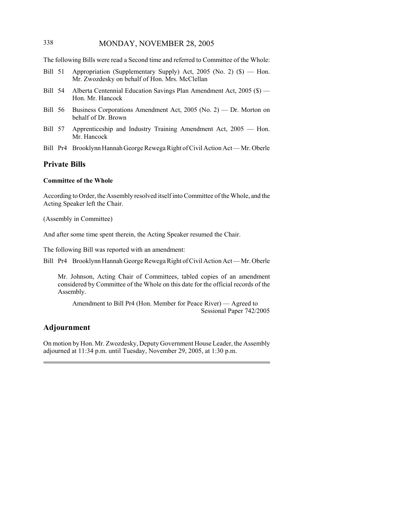# 338 MONDAY, NOVEMBER 28, 2005

The following Bills were read a Second time and referred to Committee of the Whole:

- Bill 51 Appropriation (Supplementary Supply) Act, 2005 (No. 2) (\$) Hon. Mr. Zwozdesky on behalf of Hon. Mrs. McClellan
- Bill 54 Alberta Centennial Education Savings Plan Amendment Act, 2005 (\$) Hon. Mr. Hancock
- Bill 56 Business Corporations Amendment Act, 2005 (No. 2) Dr. Morton on behalf of Dr. Brown
- Bill 57 Apprenticeship and Industry Training Amendment Act, 2005 Hon. Mr. Hancock
- Bill Pr4 Brooklynn Hannah George Rewega Right of Civil Action Act Mr. Oberle

### **Private Bills**

### **Committee of the Whole**

According to Order, the Assembly resolved itself into Committee of the Whole, and the Acting Speaker left the Chair.

(Assembly in Committee)

And after some time spent therein, the Acting Speaker resumed the Chair.

The following Bill was reported with an amendment:

Bill Pr4 Brooklynn Hannah George Rewega Right of Civil Action Act — Mr. Oberle

Mr. Johnson, Acting Chair of Committees, tabled copies of an amendment considered by Committee of the Whole on this date for the official records of the Assembly.

Amendment to Bill Pr4 (Hon. Member for Peace River) — Agreed to Sessional Paper 742/2005

### **Adjournment**

On motion by Hon. Mr. Zwozdesky, Deputy Government House Leader, the Assembly adjourned at 11:34 p.m. until Tuesday, November 29, 2005, at 1:30 p.m.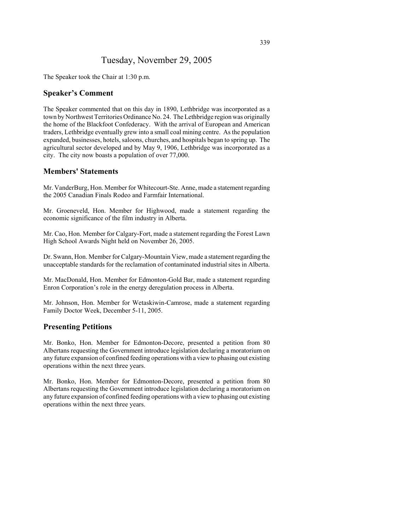# Tuesday, November 29, 2005

The Speaker took the Chair at 1:30 p.m.

### **Speaker's Comment**

The Speaker commented that on this day in 1890, Lethbridge was incorporated as a town by Northwest Territories Ordinance No. 24. The Lethbridge region was originally the home of the Blackfoot Confederacy. With the arrival of European and American traders, Lethbridge eventually grew into a small coal mining centre. As the population expanded, businesses, hotels, saloons, churches, and hospitals began to spring up. The agricultural sector developed and by May 9, 1906, Lethbridge was incorporated as a city. The city now boasts a population of over 77,000.

### **Members' Statements**

Mr. VanderBurg, Hon. Member for Whitecourt-Ste. Anne, made a statement regarding the 2005 Canadian Finals Rodeo and Farmfair International.

Mr. Groeneveld, Hon. Member for Highwood, made a statement regarding the economic significance of the film industry in Alberta.

Mr. Cao, Hon. Member for Calgary-Fort, made a statement regarding the Forest Lawn High School Awards Night held on November 26, 2005.

Dr. Swann, Hon. Member for Calgary-Mountain View, made a statement regarding the unacceptable standards for the reclamation of contaminated industrial sites in Alberta.

Mr. MacDonald, Hon. Member for Edmonton-Gold Bar, made a statement regarding Enron Corporation's role in the energy deregulation process in Alberta.

Mr. Johnson, Hon. Member for Wetaskiwin-Camrose, made a statement regarding Family Doctor Week, December 5-11, 2005.

### **Presenting Petitions**

Mr. Bonko, Hon. Member for Edmonton-Decore, presented a petition from 80 Albertans requesting the Government introduce legislation declaring a moratorium on any future expansion of confined feeding operations with a view to phasing out existing operations within the next three years.

Mr. Bonko, Hon. Member for Edmonton-Decore, presented a petition from 80 Albertans requesting the Government introduce legislation declaring a moratorium on any future expansion of confined feeding operations with a view to phasing out existing operations within the next three years.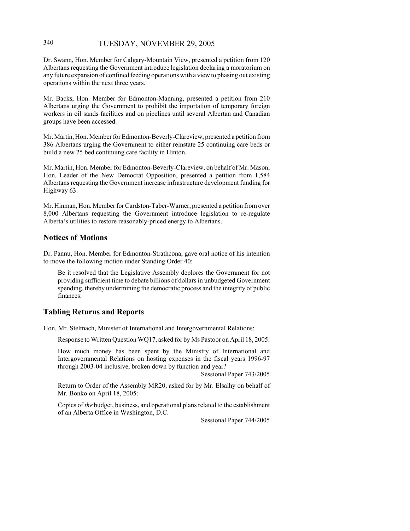### 340 TUESDAY, NOVEMBER 29, 2005

Dr. Swann, Hon. Member for Calgary-Mountain View, presented a petition from 120 Albertans requesting the Government introduce legislation declaring a moratorium on any future expansion of confined feeding operations with a view to phasing out existing operations within the next three years.

Mr. Backs, Hon. Member for Edmonton-Manning, presented a petition from 210 Albertans urging the Government to prohibit the importation of temporary foreign workers in oil sands facilities and on pipelines until several Albertan and Canadian groups have been accessed.

Mr. Martin, Hon. Member for Edmonton-Beverly-Clareview, presented a petition from 386 Albertans urging the Government to either reinstate 25 continuing care beds or build a new 25 bed continuing care facility in Hinton.

Mr. Martin, Hon. Member for Edmonton-Beverly-Clareview, on behalf of Mr. Mason, Hon. Leader of the New Democrat Opposition, presented a petition from 1,584 Albertans requesting the Government increase infrastructure development funding for Highway 63.

Mr. Hinman, Hon. Member for Cardston-Taber-Warner, presented a petition from over 8,000 Albertans requesting the Government introduce legislation to re-regulate Alberta's utilities to restore reasonably-priced energy to Albertans.

### **Notices of Motions**

Dr. Pannu, Hon. Member for Edmonton-Strathcona, gave oral notice of his intention to move the following motion under Standing Order 40:

Be it resolved that the Legislative Assembly deplores the Government for not providing sufficient time to debate billions of dollars in unbudgeted Government spending, thereby undermining the democratic process and the integrity of public finances.

### **Tabling Returns and Reports**

Hon. Mr. Stelmach, Minister of International and Intergovernmental Relations:

Response to Written Question WQ17, asked for by Ms Pastoor on April 18, 2005:

How much money has been spent by the Ministry of International and Intergovernmental Relations on hosting expenses in the fiscal years 1996-97 through 2003-04 inclusive, broken down by function and year?

Sessional Paper 743/2005

Return to Order of the Assembly MR20, asked for by Mr. Elsalhy on behalf of Mr. Bonko on April 18, 2005:

Copies of *the* budget, business, and operational plans related to the establishment of an Alberta Office in Washington, D.C.

Sessional Paper 744/2005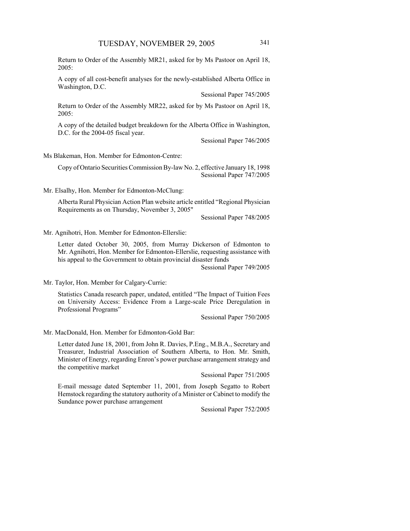Return to Order of the Assembly MR21, asked for by Ms Pastoor on April 18, 2005:

A copy of all cost-benefit analyses for the newly-established Alberta Office in Washington, D.C.

Sessional Paper 745/2005

Return to Order of the Assembly MR22, asked for by Ms Pastoor on April 18, 2005:

A copy of the detailed budget breakdown for the Alberta Office in Washington, D.C. for the 2004-05 fiscal year.

Sessional Paper 746/2005

Ms Blakeman, Hon. Member for Edmonton-Centre:

Copy of Ontario Securities Commission By-law No. 2, effective January 18, 1998 Sessional Paper 747/2005

Mr. Elsalhy, Hon. Member for Edmonton-McClung:

Alberta Rural Physician Action Plan website article entitled "Regional Physician Requirements as on Thursday, November 3, 2005"

Sessional Paper 748/2005

Mr. Agnihotri, Hon. Member for Edmonton-Ellerslie:

Letter dated October 30, 2005, from Murray Dickerson of Edmonton to Mr. Agnihotri, Hon. Member for Edmonton-Ellerslie, requesting assistance with his appeal to the Government to obtain provincial disaster funds

Sessional Paper 749/2005

Mr. Taylor, Hon. Member for Calgary-Currie:

Statistics Canada research paper, undated, entitled "The Impact of Tuition Fees on University Access: Evidence From a Large-scale Price Deregulation in Professional Programs"

Sessional Paper 750/2005

Mr. MacDonald, Hon. Member for Edmonton-Gold Bar:

Letter dated June 18, 2001, from John R. Davies, P.Eng., M.B.A., Secretary and Treasurer, Industrial Association of Southern Alberta, to Hon. Mr. Smith, Minister of Energy, regarding Enron's power purchase arrangement strategy and the competitive market

Sessional Paper 751/2005

E-mail message dated September 11, 2001, from Joseph Segatto to Robert Hemstock regarding the statutory authority of a Minister or Cabinet to modify the Sundance power purchase arrangement

Sessional Paper 752/2005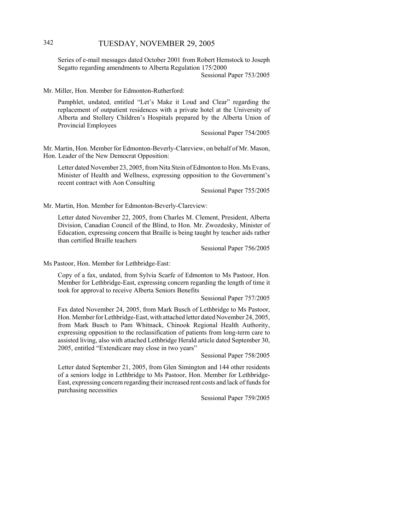# 342 TUESDAY, NOVEMBER 29, 2005

Series of e-mail messages dated October 2001 from Robert Hemstock to Joseph Segatto regarding amendments to Alberta Regulation 175/2000 Sessional Paper 753/2005

Mr. Miller, Hon. Member for Edmonton-Rutherford:

Pamphlet, undated, entitled "Let's Make it Loud and Clear" regarding the replacement of outpatient residences with a private hotel at the University of Alberta and Stollery Children's Hospitals prepared by the Alberta Union of Provincial Employees

Sessional Paper 754/2005

Mr. Martin, Hon. Member for Edmonton-Beverly-Clareview, on behalf of Mr. Mason, Hon. Leader of the New Democrat Opposition:

Letter dated November 23, 2005, from Nita Stein of Edmonton to Hon. Ms Evans, Minister of Health and Wellness, expressing opposition to the Government's recent contract with Aon Consulting

Sessional Paper 755/2005

Mr. Martin, Hon. Member for Edmonton-Beverly-Clareview:

Letter dated November 22, 2005, from Charles M. Clement, President, Alberta Division, Canadian Council of the Blind, to Hon. Mr. Zwozdesky, Minister of Education, expressing concern that Braille is being taught by teacher aids rather than certified Braille teachers

Sessional Paper 756/2005

Ms Pastoor, Hon. Member for Lethbridge-East:

Copy of a fax, undated, from Sylvia Scarfe of Edmonton to Ms Pastoor, Hon. Member for Lethbridge-East, expressing concern regarding the length of time it took for approval to receive Alberta Seniors Benefits

Sessional Paper 757/2005

Fax dated November 24, 2005, from Mark Busch of Lethbridge to Ms Pastoor, Hon. Member for Lethbridge-East, with attached letter dated November 24, 2005, from Mark Busch to Pam Whitnack, Chinook Regional Health Authority, expressing opposition to the reclassification of patients from long-term care to assisted living, also with attached Lethbridge Herald article dated September 30, 2005, entitled "Extendicare may close in two years"

Sessional Paper 758/2005

Letter dated September 21, 2005, from Glen Simington and 144 other residents of a seniors lodge in Lethbridge to Ms Pastoor, Hon. Member for Lethbridge-East, expressing concern regarding their increased rent costs and lack of funds for purchasing necessities

Sessional Paper 759/2005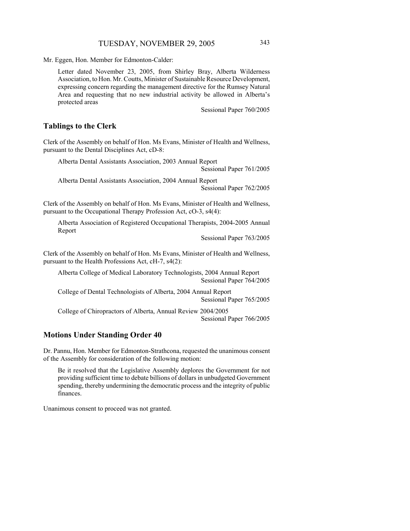Mr. Eggen, Hon. Member for Edmonton-Calder:

Letter dated November 23, 2005, from Shirley Bray, Alberta Wilderness Association, to Hon. Mr. Coutts, Minister of Sustainable Resource Development, expressing concern regarding the management directive for the Rumsey Natural Area and requesting that no new industrial activity be allowed in Alberta's protected areas

Sessional Paper 760/2005

### **Tablings to the Clerk**

Clerk of the Assembly on behalf of Hon. Ms Evans, Minister of Health and Wellness, pursuant to the Dental Disciplines Act, cD-8:

Alberta Dental Assistants Association, 2003 Annual Report Sessional Paper 761/2005

Alberta Dental Assistants Association, 2004 Annual Report Sessional Paper 762/2005

Clerk of the Assembly on behalf of Hon. Ms Evans, Minister of Health and Wellness, pursuant to the Occupational Therapy Profession Act, cO-3, s4(4):

Alberta Association of Registered Occupational Therapists, 2004-2005 Annual Report

Sessional Paper 763/2005

Clerk of the Assembly on behalf of Hon. Ms Evans, Minister of Health and Wellness, pursuant to the Health Professions Act, cH-7, s4(2):

Alberta College of Medical Laboratory Technologists, 2004 Annual Report Sessional Paper 764/2005

College of Dental Technologists of Alberta, 2004 Annual Report Sessional Paper 765/2005

College of Chiropractors of Alberta, Annual Review 2004/2005 Sessional Paper 766/2005

### **Motions Under Standing Order 40**

Dr. Pannu, Hon. Member for Edmonton-Strathcona, requested the unanimous consent of the Assembly for consideration of the following motion:

Be it resolved that the Legislative Assembly deplores the Government for not providing sufficient time to debate billions of dollars in unbudgeted Government spending, thereby undermining the democratic process and the integrity of public finances.

Unanimous consent to proceed was not granted.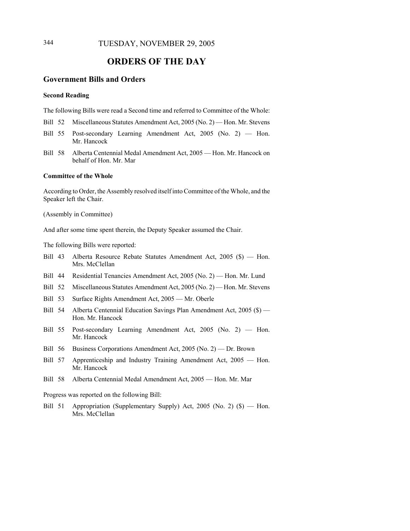# **ORDERS OF THE DAY**

### **Government Bills and Orders**

#### **Second Reading**

The following Bills were read a Second time and referred to Committee of the Whole:

- Bill 52 Miscellaneous Statutes Amendment Act, 2005 (No. 2) Hon. Mr. Stevens
- Bill 55 Post-secondary Learning Amendment Act, 2005 (No. 2) Hon. Mr. Hancock
- Bill 58 Alberta Centennial Medal Amendment Act, 2005 Hon. Mr. Hancock on behalf of Hon. Mr. Mar

#### **Committee of the Whole**

According to Order, the Assembly resolved itself into Committee of the Whole, and the Speaker left the Chair.

(Assembly in Committee)

And after some time spent therein, the Deputy Speaker assumed the Chair.

The following Bills were reported:

- Bill 43 Alberta Resource Rebate Statutes Amendment Act, 2005 (\$) Hon. Mrs. McClellan
- Bill 44 Residential Tenancies Amendment Act, 2005 (No. 2) Hon. Mr. Lund
- Bill 52 Miscellaneous Statutes Amendment Act, 2005 (No. 2) Hon. Mr. Stevens
- Bill 53 Surface Rights Amendment Act, 2005 Mr. Oberle
- Bill 54 Alberta Centennial Education Savings Plan Amendment Act, 2005 (\$) Hon. Mr. Hancock
- Bill 55 Post-secondary Learning Amendment Act, 2005 (No. 2) Hon. Mr. Hancock
- Bill 56 Business Corporations Amendment Act, 2005 (No. 2) Dr. Brown
- Bill 57 Apprenticeship and Industry Training Amendment Act, 2005 Hon. Mr. Hancock
- Bill 58 Alberta Centennial Medal Amendment Act, 2005 Hon. Mr. Mar

Progress was reported on the following Bill:

Bill 51 Appropriation (Supplementary Supply) Act, 2005 (No. 2) (\$) — Hon. Mrs. McClellan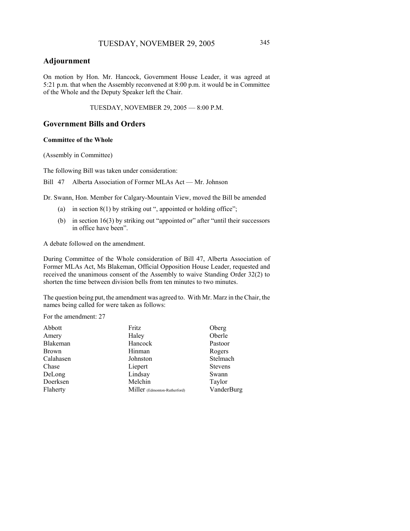### **Adjournment**

On motion by Hon. Mr. Hancock, Government House Leader, it was agreed at 5:21 p.m. that when the Assembly reconvened at 8:00 p.m. it would be in Committee of the Whole and the Deputy Speaker left the Chair.

TUESDAY, NOVEMBER 29, 2005 — 8:00 P.M.

### **Government Bills and Orders**

#### **Committee of the Whole**

(Assembly in Committee)

The following Bill was taken under consideration:

Bill 47 Alberta Association of Former MLAs Act — Mr. Johnson

Dr. Swann, Hon. Member for Calgary-Mountain View, moved the Bill be amended

- (a) in section  $8(1)$  by striking out ", appointed or holding office";
- (b) in section 16(3) by striking out "appointed or" after "until their successors in office have been".

A debate followed on the amendment.

During Committee of the Whole consideration of Bill 47, Alberta Association of Former MLAs Act, Ms Blakeman, Official Opposition House Leader, requested and received the unanimous consent of the Assembly to waive Standing Order 32(2) to shorten the time between division bells from ten minutes to two minutes.

The question being put, the amendment was agreed to. With Mr. Marz in the Chair, the names being called for were taken as follows:

For the amendment: 27

| Abbott       | Fritz                        | Oberg          |
|--------------|------------------------------|----------------|
| Amery        | Haley                        | Oberle         |
| Blakeman     | Hancock                      | Pastoor        |
| <b>Brown</b> | Hinman                       | Rogers         |
| Calahasen    | Johnston                     | Stelmach       |
| Chase        | Liepert                      | <b>Stevens</b> |
| DeLong       | Lindsay                      | Swann          |
| Doerksen     | Melchin                      | Taylor         |
| Flaherty     | Miller (Edmonton-Rutherford) | VanderBurg     |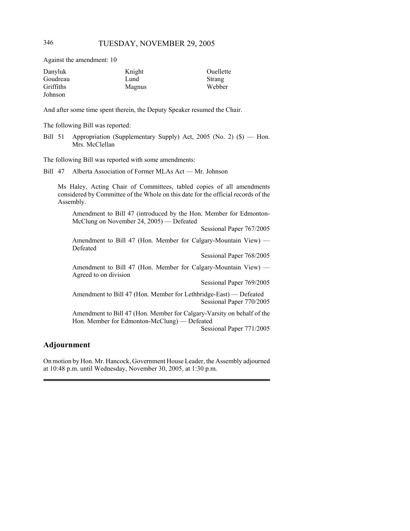Against the amendment: 10

| Danyluk   | Knight | Ouellette |
|-----------|--------|-----------|
| Goudreau  | Lund   | Strang    |
| Griffiths | Magnus | Webber    |
| Johnson   |        |           |

And after some time spent therein, the Deputy Speaker resumed the Chair.

The following Bill was reported:

Bill 51 Appropriation (Supplementary Supply) Act, 2005 (No. 2) (\$) — Hon. Mrs. McClellan

The following Bill was reported with some amendments:

Bill 47 Alberta Association of Former MLAs Act — Mr. Johnson

Ms Haley, Acting Chair of Committees, tabled copies of all amendments considered by Committee of the Whole on this date for the official records of the Assembly.

Amendment to Bill 47 (introduced by the Hon. Member for Edmonton-McClung on November 24, 2005) — Defeated

Sessional Paper 767/2005

Amendment to Bill 47 (Hon. Member for Calgary-Mountain View) — Defeated

Sessional Paper 768/2005

Amendment to Bill 47 (Hon. Member for Calgary-Mountain View) — Agreed to on division

Sessional Paper 769/2005

Amendment to Bill 47 (Hon. Member for Lethbridge-East) — Defeated Sessional Paper 770/2005

Amendment to Bill 47 (Hon. Member for Calgary-Varsity on behalf of the Hon. Member for Edmonton-McClung) — Defeated

Sessional Paper 771/2005

### **Adjournment**

On motion by Hon. Mr. Hancock, Government House Leader, the Assembly adjourned at 10:48 p.m. until Wednesday, November 30, 2005, at 1:30 p.m.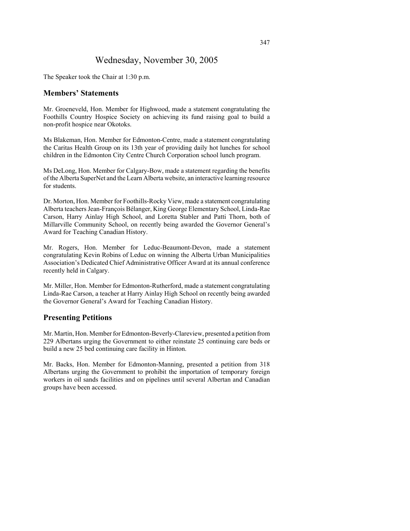# Wednesday, November 30, 2005

The Speaker took the Chair at 1:30 p.m.

### **Members' Statements**

Mr. Groeneveld, Hon. Member for Highwood, made a statement congratulating the Foothills Country Hospice Society on achieving its fund raising goal to build a non-profit hospice near Okotoks.

Ms Blakeman, Hon. Member for Edmonton-Centre, made a statement congratulating the Caritas Health Group on its 13th year of providing daily hot lunches for school children in the Edmonton City Centre Church Corporation school lunch program.

Ms DeLong, Hon. Member for Calgary-Bow, made a statement regarding the benefits of the Alberta SuperNet and the Learn Alberta website, an interactive learning resource for students.

Dr. Morton, Hon. Member for Foothills-Rocky View, made a statement congratulating Alberta teachers Jean-François Bélanger, King George Elementary School, Linda-Rae Carson, Harry Ainlay High School, and Loretta Stabler and Patti Thorn, both of Millarville Community School, on recently being awarded the Governor General's Award for Teaching Canadian History.

Mr. Rogers, Hon. Member for Leduc-Beaumont-Devon, made a statement congratulating Kevin Robins of Leduc on winning the Alberta Urban Municipalities Association's Dedicated Chief Administrative Officer Award at its annual conference recently held in Calgary.

Mr. Miller, Hon. Member for Edmonton-Rutherford, made a statement congratulating Linda-Rae Carson, a teacher at Harry Ainlay High School on recently being awarded the Governor General's Award for Teaching Canadian History.

### **Presenting Petitions**

Mr. Martin, Hon. Member for Edmonton-Beverly-Clareview, presented a petition from 229 Albertans urging the Government to either reinstate 25 continuing care beds or build a new 25 bed continuing care facility in Hinton.

Mr. Backs, Hon. Member for Edmonton-Manning, presented a petition from 318 Albertans urging the Government to prohibit the importation of temporary foreign workers in oil sands facilities and on pipelines until several Albertan and Canadian groups have been accessed.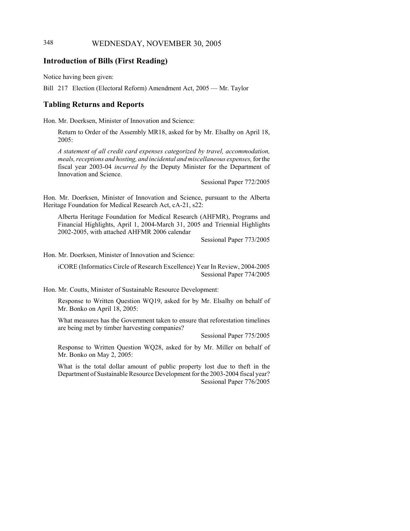### 348 WEDNESDAY, NOVEMBER 30, 2005

### **Introduction of Bills (First Reading)**

Notice having been given:

Bill 217 Election (Electoral Reform) Amendment Act, 2005 — Mr. Taylor

### **Tabling Returns and Reports**

Hon. Mr. Doerksen, Minister of Innovation and Science:

Return to Order of the Assembly MR18, asked for by Mr. Elsalhy on April 18, 2005:

*A statement of all credit card expenses categorized by travel, accommodation, meals, receptions and hosting, and incidental and miscellaneous expenses,* for the fiscal year 2003-04 *incurred by* the Deputy Minister for the Department of Innovation and Science.

Sessional Paper 772/2005

Hon. Mr. Doerksen, Minister of Innovation and Science, pursuant to the Alberta Heritage Foundation for Medical Research Act, cA-21, s22:

Alberta Heritage Foundation for Medical Research (AHFMR), Programs and Financial Highlights, April 1, 2004-March 31, 2005 and Triennial Highlights 2002-2005, with attached AHFMR 2006 calendar

Sessional Paper 773/2005

Hon. Mr. Doerksen, Minister of Innovation and Science:

iCORE (Informatics Circle of Research Excellence) Year In Review, 2004-2005 Sessional Paper 774/2005

Hon. Mr. Coutts, Minister of Sustainable Resource Development:

Response to Written Question WQ19, asked for by Mr. Elsalhy on behalf of Mr. Bonko on April 18, 2005:

What measures has the Government taken to ensure that reforestation timelines are being met by timber harvesting companies?

Sessional Paper 775/2005

Response to Written Question WQ28, asked for by Mr. Miller on behalf of Mr. Bonko on May 2, 2005:

What is the total dollar amount of public property lost due to theft in the Department of Sustainable Resource Development for the 2003-2004 fiscal year? Sessional Paper 776/2005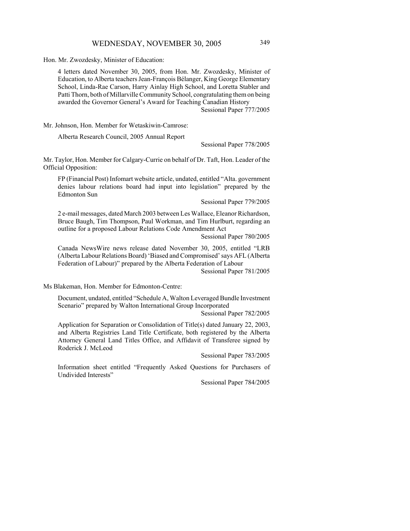Hon. Mr. Zwozdesky, Minister of Education:

4 letters dated November 30, 2005, from Hon. Mr. Zwozdesky, Minister of Education, to Alberta teachers Jean-François Bélanger, King George Elementary School, Linda-Rae Carson, Harry Ainlay High School, and Loretta Stabler and Patti Thorn, both of Millarville Community School, congratulating them on being awarded the Governor General's Award for Teaching Canadian History

Sessional Paper 777/2005

Mr. Johnson, Hon. Member for Wetaskiwin-Camrose:

Alberta Research Council, 2005 Annual Report

Sessional Paper 778/2005

Mr. Taylor, Hon. Member for Calgary-Currie on behalf of Dr. Taft, Hon. Leader of the Official Opposition:

FP (Financial Post) Infomart website article, undated, entitled "Alta. government denies labour relations board had input into legislation" prepared by the Edmonton Sun

Sessional Paper 779/2005

2 e-mail messages, dated March 2003 between Les Wallace, Eleanor Richardson, Bruce Baugh, Tim Thompson, Paul Workman, and Tim Hurlburt, regarding an outline for a proposed Labour Relations Code Amendment Act

Sessional Paper 780/2005

Canada NewsWire news release dated November 30, 2005, entitled "LRB (Alberta Labour Relations Board) 'Biased and Compromised' says AFL (Alberta Federation of Labour)" prepared by the Alberta Federation of Labour

Sessional Paper 781/2005

Ms Blakeman, Hon. Member for Edmonton-Centre:

Document, undated, entitled "Schedule A, Walton Leveraged Bundle Investment Scenario" prepared by Walton International Group Incorporated

Sessional Paper 782/2005

Application for Separation or Consolidation of Title(s) dated January 22, 2003, and Alberta Registries Land Title Certificate, both registered by the Alberta Attorney General Land Titles Office, and Affidavit of Transferee signed by Roderick J. McLeod

Sessional Paper 783/2005

Information sheet entitled "Frequently Asked Questions for Purchasers of Undivided Interests"

Sessional Paper 784/2005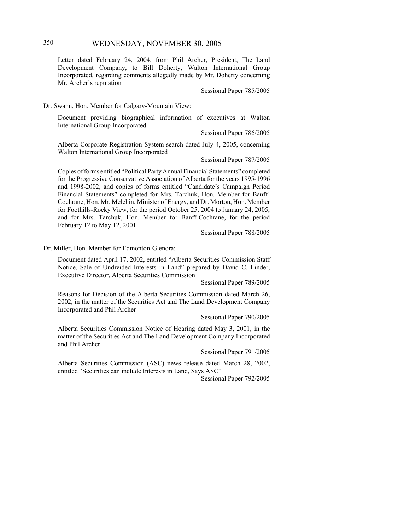# 350 WEDNESDAY, NOVEMBER 30, 2005

Letter dated February 24, 2004, from Phil Archer, President, The Land Development Company, to Bill Doherty, Walton International Group Incorporated, regarding comments allegedly made by Mr. Doherty concerning Mr. Archer's reputation

Sessional Paper 785/2005

Dr. Swann, Hon. Member for Calgary-Mountain View:

Document providing biographical information of executives at Walton International Group Incorporated

Sessional Paper 786/2005

Alberta Corporate Registration System search dated July 4, 2005, concerning Walton International Group Incorporated

Sessional Paper 787/2005

Copies of forms entitled "Political Party Annual Financial Statements" completed for the Progressive Conservative Association of Alberta for the years 1995-1996 and 1998-2002, and copies of forms entitled "Candidate's Campaign Period Financial Statements" completed for Mrs. Tarchuk, Hon. Member for Banff-Cochrane, Hon. Mr. Melchin, Minister of Energy, and Dr. Morton, Hon. Member for Foothills-Rocky View, for the period October 25, 2004 to January 24, 2005, and for Mrs. Tarchuk, Hon. Member for Banff-Cochrane, for the period February 12 to May 12, 2001

Sessional Paper 788/2005

Dr. Miller, Hon. Member for Edmonton-Glenora:

Document dated April 17, 2002, entitled "Alberta Securities Commission Staff Notice, Sale of Undivided Interests in Land" prepared by David C. Linder, Executive Director, Alberta Securities Commission

Sessional Paper 789/2005

Reasons for Decision of the Alberta Securities Commission dated March 26, 2002, in the matter of the Securities Act and The Land Development Company Incorporated and Phil Archer

Sessional Paper 790/2005

Alberta Securities Commission Notice of Hearing dated May 3, 2001, in the matter of the Securities Act and The Land Development Company Incorporated and Phil Archer

Sessional Paper 791/2005

Alberta Securities Commission (ASC) news release dated March 28, 2002, entitled "Securities can include Interests in Land, Says ASC"

Sessional Paper 792/2005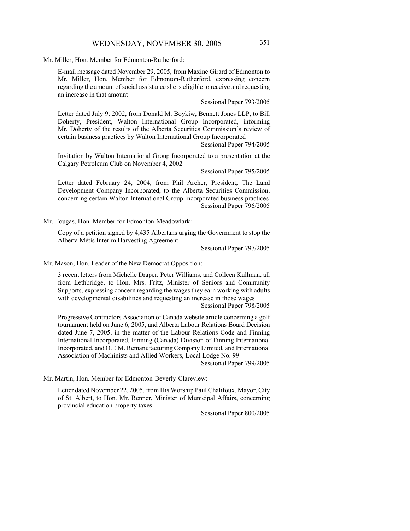### WEDNESDAY, NOVEMBER 30, 2005 351

Mr. Miller, Hon. Member for Edmonton-Rutherford:

E-mail message dated November 29, 2005, from Maxine Girard of Edmonton to Mr. Miller, Hon. Member for Edmonton-Rutherford, expressing concern regarding the amount of social assistance she is eligible to receive and requesting an increase in that amount

Sessional Paper 793/2005

Letter dated July 9, 2002, from Donald M. Boykiw, Bennett Jones LLP, to Bill Doherty, President, Walton International Group Incorporated, informing Mr. Doherty of the results of the Alberta Securities Commission's review of certain business practices by Walton International Group Incorporated

Sessional Paper 794/2005

Invitation by Walton International Group Incorporated to a presentation at the Calgary Petroleum Club on November 4, 2002

Sessional Paper 795/2005

Letter dated February 24, 2004, from Phil Archer, President, The Land Development Company Incorporated, to the Alberta Securities Commission, concerning certain Walton International Group Incorporated business practices Sessional Paper 796/2005

Mr. Tougas, Hon. Member for Edmonton-Meadowlark:

Copy of a petition signed by 4,435 Albertans urging the Government to stop the Alberta Métis Interim Harvesting Agreement

Sessional Paper 797/2005

Mr. Mason, Hon. Leader of the New Democrat Opposition:

3 recent letters from Michelle Draper, Peter Williams, and Colleen Kullman, all from Lethbridge, to Hon. Mrs. Fritz, Minister of Seniors and Community Supports, expressing concern regarding the wages they earn working with adults with developmental disabilities and requesting an increase in those wages

Sessional Paper 798/2005

Progressive Contractors Association of Canada website article concerning a golf tournament held on June 6, 2005, and Alberta Labour Relations Board Decision dated June 7, 2005, in the matter of the Labour Relations Code and Finning International Incorporated, Finning (Canada) Division of Finning International Incorporated, and O.E.M. Remanufacturing Company Limited, and International Association of Machinists and Allied Workers, Local Lodge No. 99

Sessional Paper 799/2005

Mr. Martin, Hon. Member for Edmonton-Beverly-Clareview:

Letter dated November 22, 2005, from His Worship Paul Chalifoux, Mayor, City of St. Albert, to Hon. Mr. Renner, Minister of Municipal Affairs, concerning provincial education property taxes

Sessional Paper 800/2005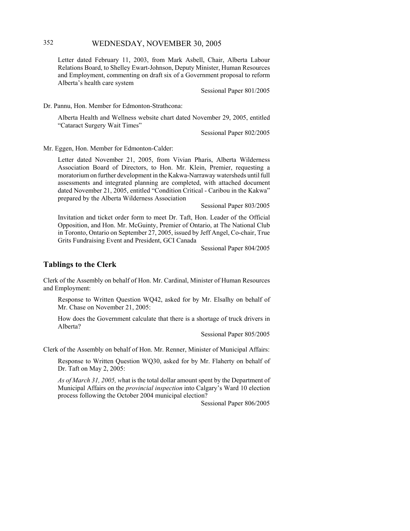# 352 WEDNESDAY, NOVEMBER 30, 2005

Letter dated February 11, 2003, from Mark Asbell, Chair, Alberta Labour Relations Board, to Shelley Ewart-Johnson, Deputy Minister, Human Resources and Employment, commenting on draft six of a Government proposal to reform Alberta's health care system

Sessional Paper 801/2005

Dr. Pannu, Hon. Member for Edmonton-Strathcona:

Alberta Health and Wellness website chart dated November 29, 2005, entitled "Cataract Surgery Wait Times"

Sessional Paper 802/2005

Mr. Eggen, Hon. Member for Edmonton-Calder:

Letter dated November 21, 2005, from Vivian Pharis, Alberta Wilderness Association Board of Directors, to Hon. Mr. Klein, Premier, requesting a moratorium on further development in the Kakwa-Narraway watersheds until full assessments and integrated planning are completed, with attached document dated November 21, 2005, entitled "Condition Critical - Caribou in the Kakwa" prepared by the Alberta Wilderness Association

Sessional Paper 803/2005

Invitation and ticket order form to meet Dr. Taft, Hon. Leader of the Official Opposition, and Hon. Mr. McGuinty, Premier of Ontario, at The National Club in Toronto, Ontario on September 27, 2005, issued by Jeff Angel, Co-chair, True Grits Fundraising Event and President, GCI Canada

Sessional Paper 804/2005

#### **Tablings to the Clerk**

Clerk of the Assembly on behalf of Hon. Mr. Cardinal, Minister of Human Resources and Employment:

Response to Written Question WQ42, asked for by Mr. Elsalhy on behalf of Mr. Chase on November 21, 2005:

How does the Government calculate that there is a shortage of truck drivers in Alberta?

Sessional Paper 805/2005

Clerk of the Assembly on behalf of Hon. Mr. Renner, Minister of Municipal Affairs:

Response to Written Question WQ30, asked for by Mr. Flaherty on behalf of Dr. Taft on May 2, 2005:

*As of March 31, 2005, w*hat is the total dollar amount spent by the Department of Municipal Affairs on the *provincial inspection* into Calgary's Ward 10 election process following the October 2004 municipal election?

Sessional Paper 806/2005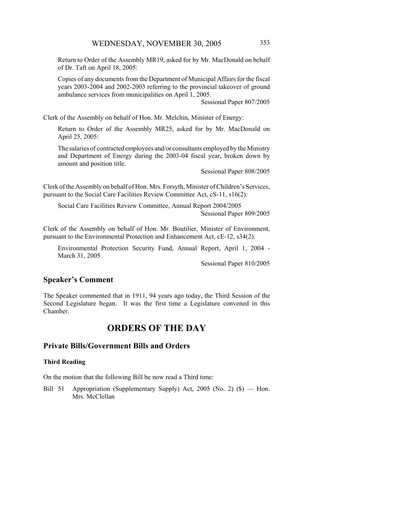Return to Order of the Assembly MR19, asked for by Mr. MacDonald on behalf of Dr. Taft on April 18, 2005:

Copies of any documents from the Department of Municipal Affairs for the fiscal years 2003-2004 and 2002-2003 referring to the provincial takeover of ground ambulance services from municipalities on April 1, 2005.

Sessional Paper 807/2005

Clerk of the Assembly on behalf of Hon. Mr. Melchin, Minister of Energy:

Return to Order of the Assembly MR25, asked for by Mr. MacDonald on April 25, 2005:

The salaries of contracted employees and/or consultants employed by the Ministry and Department of Energy during the 2003-04 fiscal year, broken down by amount and position title.

Sessional Paper 808/2005

Clerk of the Assembly on behalf of Hon. Mrs. Forsyth, Minister of Children's Services, pursuant to the Social Care Facilities Review Committee Act, cS-11, s16(2):

Social Care Facilities Review Committee, Annual Report 2004/2005 Sessional Paper 809/2005

Clerk of the Assembly on behalf of Hon. Mr. Boutilier, Minister of Environment, pursuant to the Environmental Protection and Enhancement Act, cE-12, s34(2):

Environmental Protection Security Fund, Annual Report, April 1, 2004 - March 31, 2005

Sessional Paper 810/2005

### **Speaker's Comment**

The Speaker commented that in 1911, 94 years ago today, the Third Session of the Second Legislature began. It was the first time a Legislature convened in this Chamber.

# **ORDERS OF THE DAY**

### **Private Bills/Government Bills and Orders**

### **Third Reading**

On the motion that the following Bill be now read a Third time:

Bill 51 Appropriation (Supplementary Supply) Act, 2005 (No. 2) (\$) — Hon. Mrs. McClellan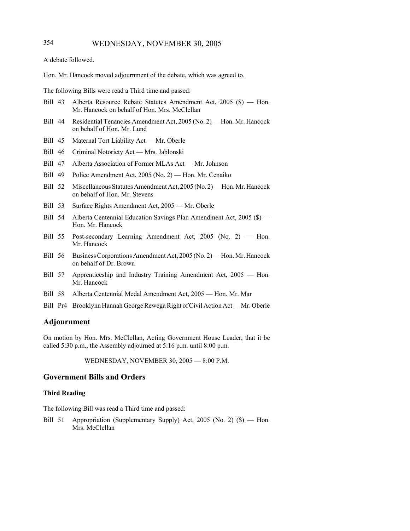A debate followed.

Hon. Mr. Hancock moved adjournment of the debate, which was agreed to.

The following Bills were read a Third time and passed:

- Bill 43 Alberta Resource Rebate Statutes Amendment Act, 2005 (\$) Hon. Mr. Hancock on behalf of Hon. Mrs. McClellan
- Bill 44 Residential Tenancies Amendment Act, 2005 (No. 2) Hon. Mr. Hancock on behalf of Hon. Mr. Lund
- Bill 45 Maternal Tort Liability Act Mr. Oberle
- Bill 46 Criminal Notoriety Act Mrs. Jablonski
- Bill 47 Alberta Association of Former MLAs Act Mr. Johnson
- Bill 49 Police Amendment Act, 2005 (No. 2) Hon. Mr. Cenaiko
- Bill 52 Miscellaneous Statutes Amendment Act, 2005 (No. 2) Hon. Mr. Hancock on behalf of Hon. Mr. Stevens
- Bill 53 Surface Rights Amendment Act, 2005 Mr. Oberle
- Bill 54 Alberta Centennial Education Savings Plan Amendment Act, 2005 (\$) Hon. Mr. Hancock
- Bill 55 Post-secondary Learning Amendment Act, 2005 (No. 2) Hon. Mr. Hancock
- Bill 56 Business Corporations Amendment Act, 2005 (No. 2) Hon. Mr. Hancock on behalf of Dr. Brown
- Bill 57 Apprenticeship and Industry Training Amendment Act, 2005 Hon. Mr. Hancock
- Bill 58 Alberta Centennial Medal Amendment Act, 2005 Hon. Mr. Mar
- Bill Pr4 Brooklynn Hannah George Rewega Right of Civil Action Act Mr. Oberle

### **Adjournment**

On motion by Hon. Mrs. McClellan, Acting Government House Leader, that it be called 5:30 p.m., the Assembly adjourned at 5:16 p.m. until 8:00 p.m.

WEDNESDAY, NOVEMBER 30, 2005 — 8:00 P.M.

# **Government Bills and Orders**

#### **Third Reading**

The following Bill was read a Third time and passed:

Bill 51 Appropriation (Supplementary Supply) Act, 2005 (No. 2) (\$) — Hon. Mrs. McClellan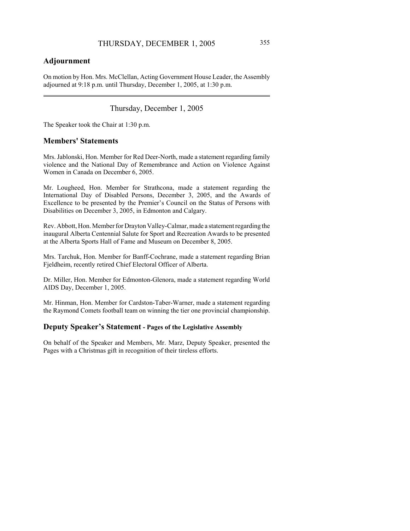### **Adjournment**

On motion by Hon. Mrs. McClellan, Acting Government House Leader, the Assembly adjourned at 9:18 p.m. until Thursday, December 1, 2005, at 1:30 p.m.

Thursday, December 1, 2005

The Speaker took the Chair at 1:30 p.m.

### **Members' Statements**

Mrs. Jablonski, Hon. Member for Red Deer-North, made a statement regarding family violence and the National Day of Remembrance and Action on Violence Against Women in Canada on December 6, 2005.

Mr. Lougheed, Hon. Member for Strathcona, made a statement regarding the International Day of Disabled Persons, December 3, 2005, and the Awards of Excellence to be presented by the Premier's Council on the Status of Persons with Disabilities on December 3, 2005, in Edmonton and Calgary.

Rev. Abbott, Hon. Member for Drayton Valley-Calmar, made a statement regarding the inaugural Alberta Centennial Salute for Sport and Recreation Awards to be presented at the Alberta Sports Hall of Fame and Museum on December 8, 2005.

Mrs. Tarchuk, Hon. Member for Banff-Cochrane, made a statement regarding Brian Fjeldheim, recently retired Chief Electoral Officer of Alberta.

Dr. Miller, Hon. Member for Edmonton-Glenora, made a statement regarding World AIDS Day, December 1, 2005.

Mr. Hinman, Hon. Member for Cardston-Taber-Warner, made a statement regarding the Raymond Comets football team on winning the tier one provincial championship.

### **Deputy Speaker's Statement - Pages of the Legislative Assembly**

On behalf of the Speaker and Members, Mr. Marz, Deputy Speaker, presented the Pages with a Christmas gift in recognition of their tireless efforts.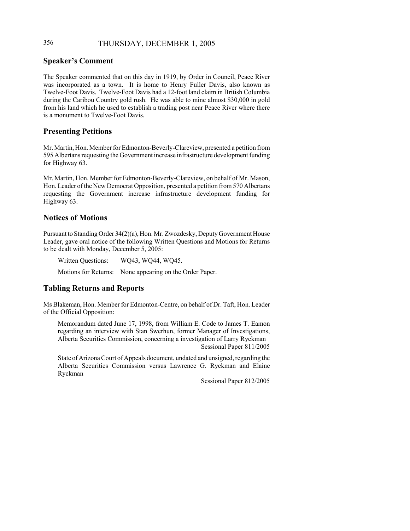## 356 THURSDAY, DECEMBER 1, 2005

#### **Speaker's Comment**

The Speaker commented that on this day in 1919, by Order in Council, Peace River was incorporated as a town. It is home to Henry Fuller Davis, also known as Twelve-Foot Davis. Twelve-Foot Davis had a 12-foot land claim in British Columbia during the Caribou Country gold rush. He was able to mine almost \$30,000 in gold from his land which he used to establish a trading post near Peace River where there is a monument to Twelve-Foot Davis.

#### **Presenting Petitions**

Mr. Martin, Hon. Member for Edmonton-Beverly-Clareview, presented a petition from 595 Albertans requesting the Government increase infrastructure development funding for Highway 63.

Mr. Martin, Hon. Member for Edmonton-Beverly-Clareview, on behalf of Mr. Mason, Hon. Leader of the New Democrat Opposition, presented a petition from 570 Albertans requesting the Government increase infrastructure development funding for Highway 63.

#### **Notices of Motions**

Pursuant to Standing Order 34(2)(a), Hon. Mr. Zwozdesky, Deputy Government House Leader, gave oral notice of the following Written Questions and Motions for Returns to be dealt with Monday, December 5, 2005:

Written Questions: WQ43, WQ44, WQ45. Motions for Returns: None appearing on the Order Paper.

# **Tabling Returns and Reports**

Ms Blakeman, Hon. Member for Edmonton-Centre, on behalf of Dr. Taft, Hon. Leader of the Official Opposition:

Memorandum dated June 17, 1998, from William E. Code to James T. Eamon regarding an interview with Stan Swerhun, former Manager of Investigations, Alberta Securities Commission, concerning a investigation of Larry Ryckman Sessional Paper 811/2005

State of Arizona Court of Appeals document, undated and unsigned, regarding the Alberta Securities Commission versus Lawrence G. Ryckman and Elaine Ryckman

Sessional Paper 812/2005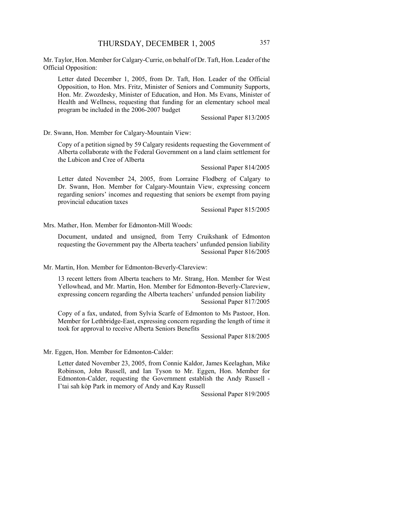Mr. Taylor, Hon. Member for Calgary-Currie, on behalf of Dr. Taft, Hon. Leader of the Official Opposition:

Letter dated December 1, 2005, from Dr. Taft, Hon. Leader of the Official Opposition, to Hon. Mrs. Fritz, Minister of Seniors and Community Supports, Hon. Mr. Zwozdesky, Minister of Education, and Hon. Ms Evans, Minister of Health and Wellness, requesting that funding for an elementary school meal program be included in the 2006-2007 budget

Sessional Paper 813/2005

Dr. Swann, Hon. Member for Calgary-Mountain View:

Copy of a petition signed by 59 Calgary residents requesting the Government of Alberta collaborate with the Federal Government on a land claim settlement for the Lubicon and Cree of Alberta

Sessional Paper 814/2005

Letter dated November 24, 2005, from Lorraine Flodberg of Calgary to Dr. Swann, Hon. Member for Calgary-Mountain View, expressing concern regarding seniors' incomes and requesting that seniors be exempt from paying provincial education taxes

Sessional Paper 815/2005

Mrs. Mather, Hon. Member for Edmonton-Mill Woods:

Document, undated and unsigned, from Terry Cruikshank of Edmonton requesting the Government pay the Alberta teachers' unfunded pension liability Sessional Paper 816/2005

Mr. Martin, Hon. Member for Edmonton-Beverly-Clareview:

13 recent letters from Alberta teachers to Mr. Strang, Hon. Member for West Yellowhead, and Mr. Martin, Hon. Member for Edmonton-Beverly-Clareview, expressing concern regarding the Alberta teachers' unfunded pension liability Sessional Paper 817/2005

Copy of a fax, undated, from Sylvia Scarfe of Edmonton to Ms Pastoor, Hon. Member for Lethbridge-East, expressing concern regarding the length of time it took for approval to receive Alberta Seniors Benefits

Sessional Paper 818/2005

Mr. Eggen, Hon. Member for Edmonton-Calder:

Letter dated November 23, 2005, from Connie Kaldor, James Keelaghan, Mike Robinson, John Russell, and Ian Tyson to Mr. Eggen, Hon. Member for Edmonton-Calder, requesting the Government establish the Andy Russell - I'tai sah kòp Park in memory of Andy and Kay Russell

Sessional Paper 819/2005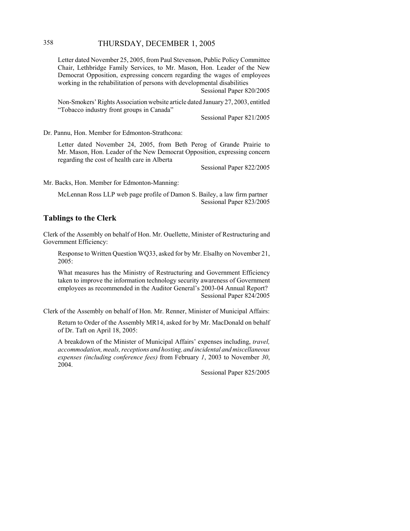### 358 THURSDAY, DECEMBER 1, 2005

Letter dated November 25, 2005, from Paul Stevenson, Public Policy Committee Chair, Lethbridge Family Services, to Mr. Mason, Hon. Leader of the New Democrat Opposition, expressing concern regarding the wages of employees working in the rehabilitation of persons with developmental disabilities

Sessional Paper 820/2005

Non-Smokers' Rights Association website article dated January 27, 2003, entitled "Tobacco industry front groups in Canada"

Sessional Paper 821/2005

Dr. Pannu, Hon. Member for Edmonton-Strathcona:

Letter dated November 24, 2005, from Beth Perog of Grande Prairie to Mr. Mason, Hon. Leader of the New Democrat Opposition, expressing concern regarding the cost of health care in Alberta

Sessional Paper 822/2005

Mr. Backs, Hon. Member for Edmonton-Manning:

McLennan Ross LLP web page profile of Damon S. Bailey, a law firm partner Sessional Paper 823/2005

### **Tablings to the Clerk**

Clerk of the Assembly on behalf of Hon. Mr. Ouellette, Minister of Restructuring and Government Efficiency:

Response to Written Question WQ33, asked for by Mr. Elsalhy on November 21, 2005:

What measures has the Ministry of Restructuring and Government Efficiency taken to improve the information technology security awareness of Government employees as recommended in the Auditor General's 2003-04 Annual Report? Sessional Paper 824/2005

Clerk of the Assembly on behalf of Hon. Mr. Renner, Minister of Municipal Affairs:

Return to Order of the Assembly MR14, asked for by Mr. MacDonald on behalf of Dr. Taft on April 18, 2005:

A breakdown of the Minister of Municipal Affairs' expenses including, *travel, accommodation, meals, receptions and hosting, and incidental and miscellaneous expenses (including conference fees)* from February *1*, 2003 to November *30*, 2004.

Sessional Paper 825/2005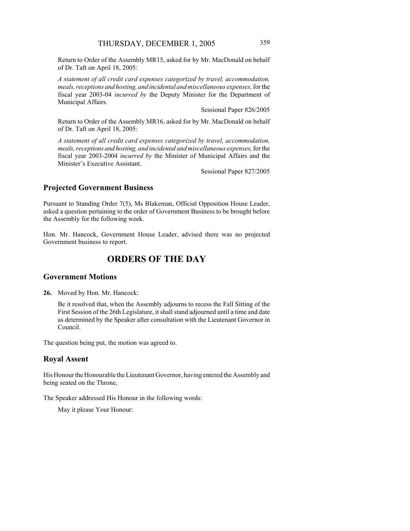Return to Order of the Assembly MR15, asked for by Mr. MacDonald on behalf of Dr. Taft on April 18, 2005:

*A statement of all credit card expenses categorized by travel, accommodation, meals, receptions and hosting, and incidental and miscellaneous expenses,* for the fiscal year 2003-04 *incurred by* the Deputy Minister for the Department of Municipal Affairs.

Sessional Paper 826/2005

Return to Order of the Assembly MR16, asked for by Mr. MacDonald on behalf of Dr. Taft on April 18, 2005:

*A statement of all credit card expenses categorized by travel, accommodation, meals, receptions and hosting, and incidental and miscellaneous expenses,* for the fiscal year 2003-2004 *incurred by* the Minister of Municipal Affairs and the Minister's Executive Assistant.

Sessional Paper 827/2005

#### **Projected Government Business**

Pursuant to Standing Order 7(5), Ms Blakeman, Official Opposition House Leader, asked a question pertaining to the order of Government Business to be brought before the Assembly for the following week.

Hon. Mr. Hancock, Government House Leader, advised there was no projected Government business to report.

# **ORDERS OF THE DAY**

#### **Government Motions**

**26.** Moved by Hon. Mr. Hancock:

Be it resolved that, when the Assembly adjourns to recess the Fall Sitting of the First Session of the 26th Legislature, it shall stand adjourned until a time and date as determined by the Speaker after consultation with the Lieutenant Governor in Council.

The question being put, the motion was agreed to.

#### **Royal Assent**

His Honour the Honourable the Lieutenant Governor, having entered the Assembly and being seated on the Throne,

The Speaker addressed His Honour in the following words:

May it please Your Honour: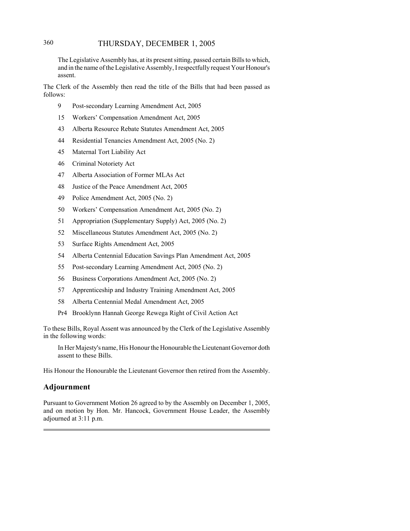### 360 THURSDAY, DECEMBER 1, 2005

The Legislative Assembly has, at its present sitting, passed certain Bills to which, and in the name of the Legislative Assembly, I respectfully request Your Honour's assent.

The Clerk of the Assembly then read the title of the Bills that had been passed as follows:

- 9 Post-secondary Learning Amendment Act, 2005
- 15 Workers' Compensation Amendment Act, 2005
- 43 Alberta Resource Rebate Statutes Amendment Act, 2005
- 44 Residential Tenancies Amendment Act, 2005 (No. 2)
- 45 Maternal Tort Liability Act
- 46 Criminal Notoriety Act
- 47 Alberta Association of Former MLAs Act
- 48 Justice of the Peace Amendment Act, 2005
- 49 Police Amendment Act, 2005 (No. 2)
- 50 Workers' Compensation Amendment Act, 2005 (No. 2)
- 51 Appropriation (Supplementary Supply) Act, 2005 (No. 2)
- 52 Miscellaneous Statutes Amendment Act, 2005 (No. 2)
- 53 Surface Rights Amendment Act, 2005
- 54 Alberta Centennial Education Savings Plan Amendment Act, 2005
- 55 Post-secondary Learning Amendment Act, 2005 (No. 2)
- 56 Business Corporations Amendment Act, 2005 (No. 2)
- 57 Apprenticeship and Industry Training Amendment Act, 2005
- 58 Alberta Centennial Medal Amendment Act, 2005
- Pr4 Brooklynn Hannah George Rewega Right of Civil Action Act

To these Bills, Royal Assent was announced by the Clerk of the Legislative Assembly in the following words:

In Her Majesty's name, His Honour the Honourable the Lieutenant Governor doth assent to these Bills.

His Honour the Honourable the Lieutenant Governor then retired from the Assembly.

#### **Adjournment**

Pursuant to Government Motion 26 agreed to by the Assembly on December 1, 2005, and on motion by Hon. Mr. Hancock, Government House Leader, the Assembly adjourned at 3:11 p.m.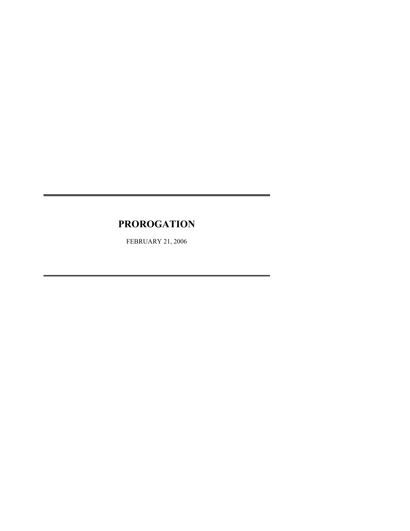# **PROROGATION**

FEBRUARY 21, 2006